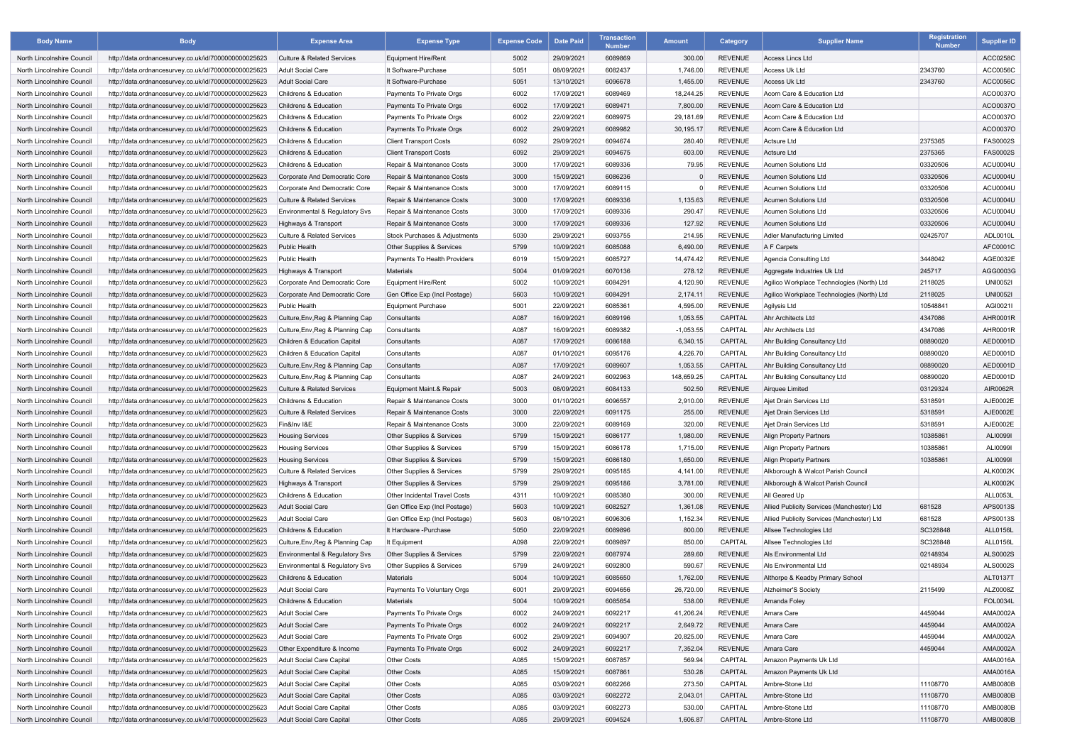| <b>Body Name</b>                                         | <b>Body</b>                                                                                                  | <b>Expense Area</b>                                | <b>Expense Type</b>                                     | <b>Expense Code</b> | <b>Date Paid</b> | <b>Transaction</b><br><b>Number</b> | <b>Amount</b> | Category                         | Supplier Name                              | <b>Registration</b><br><b>Number</b> | <b>Supplier ID</b> |
|----------------------------------------------------------|--------------------------------------------------------------------------------------------------------------|----------------------------------------------------|---------------------------------------------------------|---------------------|------------------|-------------------------------------|---------------|----------------------------------|--------------------------------------------|--------------------------------------|--------------------|
| North Lincolnshire Council                               | http://data.ordnancesurvey.co.uk/id/7000000000025623                                                         | <b>Culture &amp; Related Services</b>              | Equipment Hire/Rent                                     | 5002                | 29/09/2021       | 6089869                             | 300.00        | <b>REVENUE</b>                   | <b>Access Lincs Ltd</b>                    |                                      | <b>ACC0258C</b>    |
| North Lincolnshire Council                               | http://data.ordnancesurvey.co.uk/id/7000000000025623                                                         | Adult Social Care                                  | It Software-Purchase                                    | 5051                | 08/09/2021       | 6082437                             | 1,746.00      | <b>REVENUE</b>                   | Access Uk Ltd                              | 2343760                              | ACC0056C           |
| North Lincolnshire Council                               | http://data.ordnancesurvey.co.uk/id/7000000000025623                                                         | Adult Social Care                                  | It Software-Purchase                                    | 5051                | 13/10/2021       | 6096678                             | 1,455.00      | <b>REVENUE</b>                   | <b>Access Uk Ltd</b>                       | 2343760                              | <b>ACC0056C</b>    |
| North Lincolnshire Council                               | http://data.ordnancesurvey.co.uk/id/7000000000025623                                                         | <b>Childrens &amp; Education</b>                   | Payments To Private Orgs                                | 6002                | 17/09/2021       | 6089469                             | 18,244.25     | <b>REVENUE</b>                   | Acorn Care & Education Ltd                 |                                      | ACO0037O           |
| North Lincolnshire Council                               | http://data.ordnancesurvey.co.uk/id/7000000000025623                                                         | <b>Childrens &amp; Education</b>                   | Payments To Private Orgs                                | 6002                | 17/09/2021       | 6089471                             | 7,800.00      | <b>REVENUE</b>                   | Acorn Care & Education Ltd                 |                                      | ACO0037O           |
| North Lincolnshire Council                               | http://data.ordnancesurvey.co.uk/id/7000000000025623                                                         | Childrens & Education                              | Payments To Private Orgs                                | 6002                | 22/09/2021       | 6089975                             | 29,181.69     | <b>REVENUE</b>                   | Acorn Care & Education Ltd                 |                                      | ACO0037C           |
| North Lincolnshire Council                               | http://data.ordnancesurvey.co.uk/id/7000000000025623                                                         | <b>Childrens &amp; Education</b>                   | Payments To Private Orgs                                | 6002                | 29/09/2021       | 6089982                             | 30,195.17     | <b>REVENUE</b>                   | Acorn Care & Education Ltd                 |                                      | ACO0037O           |
| North Lincolnshire Council                               | http://data.ordnancesurvey.co.uk/id/7000000000025623                                                         | <b>Childrens &amp; Education</b>                   | <b>Client Transport Costs</b>                           | 6092                | 29/09/2021       | 6094674                             | 280.40        | <b>REVENUE</b>                   | <b>Actsure Ltd</b>                         | 2375365                              | <b>FAS0002S</b>    |
| North Lincolnshire Council                               | http://data.ordnancesurvey.co.uk/id/7000000000025623                                                         | <b>Childrens &amp; Education</b>                   | <b>Client Transport Costs</b>                           | 6092                | 29/09/2021       | 6094675                             | 603.00        | <b>REVENUE</b>                   | <b>Actsure Ltd</b>                         | 2375365                              | <b>FAS0002S</b>    |
| North Lincolnshire Council                               | http://data.ordnancesurvey.co.uk/id/7000000000025623                                                         | <b>Childrens &amp; Education</b>                   | Repair & Maintenance Costs                              | 3000                | 17/09/2021       | 6089336                             | 79.95         | <b>REVENUE</b>                   | <b>Acumen Solutions Ltd</b>                | 03320506                             | ACU0004U           |
| North Lincolnshire Council                               | http://data.ordnancesurvey.co.uk/id/7000000000025623                                                         | Corporate And Democratic Core                      | Repair & Maintenance Costs                              | 3000                | 15/09/2021       | 6086236                             |               | <b>REVENUE</b>                   | <b>Acumen Solutions Ltd</b>                | 03320506                             | <b>ACU0004U</b>    |
| North Lincolnshire Council                               | http://data.ordnancesurvey.co.uk/id/7000000000025623                                                         | Corporate And Democratic Core                      | Repair & Maintenance Costs                              | 3000                | 17/09/2021       | 6089115                             | $\Omega$      | <b>REVENUE</b>                   | <b>Acumen Solutions Ltd</b>                | 03320506                             | ACU0004U           |
| North Lincolnshire Council                               | http://data.ordnancesurvey.co.uk/id/7000000000025623                                                         | <b>Culture &amp; Related Services</b>              | Repair & Maintenance Costs                              | 3000                | 17/09/2021       | 6089336                             | 1,135.63      | <b>REVENUE</b>                   | <b>Acumen Solutions Ltd</b>                | 03320506                             | <b>ACU0004U</b>    |
| North Lincolnshire Council                               | http://data.ordnancesurvey.co.uk/id/7000000000025623                                                         | Environmental & Regulatory Svs                     | Repair & Maintenance Costs                              | 3000                | 17/09/2021       | 6089336                             | 290.47        | <b>REVENUE</b>                   | <b>Acumen Solutions Ltd</b>                | 03320506                             | ACU0004U           |
| North Lincolnshire Council                               | http://data.ordnancesurvey.co.uk/id/7000000000025623                                                         | Highways & Transport                               | Repair & Maintenance Costs                              | 3000                | 17/09/2021       | 6089336                             | 127.92        | <b>REVENUE</b>                   | <b>Acumen Solutions Ltd</b>                | 03320506                             | <b>ACU0004U</b>    |
| North Lincolnshire Council                               | http://data.ordnancesurvey.co.uk/id/7000000000025623                                                         | <b>Culture &amp; Related Services</b>              | Stock Purchases & Adjustments                           | 5030                | 29/09/2021       | 6093755                             | 214.95        | <b>REVENUE</b>                   | Adler Manufacturing Limited                | 02425707                             | ADL0010L           |
| North Lincolnshire Council                               | http://data.ordnancesurvey.co.uk/id/7000000000025623                                                         | <b>Public Health</b>                               | <b>Other Supplies &amp; Services</b>                    | 5799                | 10/09/2021       | 6085088                             | 6,490.00      | <b>REVENUE</b>                   | A F Carpets                                |                                      | AFC0001C           |
| North Lincolnshire Council                               | http://data.ordnancesurvey.co.uk/id/7000000000025623                                                         | <b>Public Health</b>                               | Payments To Health Providers                            | 6019                | 15/09/2021       | 6085727                             | 14,474.42     | <b>REVENUE</b>                   | Agencia Consulting Ltd                     | 3448042                              | AGE0032E           |
| North Lincolnshire Council                               | http://data.ordnancesurvey.co.uk/id/7000000000025623                                                         | Highways & Transport                               | Materials                                               | 5004                | 01/09/2021       | 6070136                             | 278.12        | <b>REVENUE</b>                   | Aggregate Industries Uk Ltd                | 245717                               | AGG0003G           |
| North Lincolnshire Council                               | http://data.ordnancesurvey.co.uk/id/7000000000025623                                                         | Corporate And Democratic Core                      | Equipment Hire/Rent                                     | 5002                | 10/09/2021       | 6084291                             | 4,120.90      | <b>REVENUE</b>                   | Agilico Workplace Technologies (North) Ltd | 2118025                              | <b>UNI00521</b>    |
| North Lincolnshire Council                               | http://data.ordnancesurvey.co.uk/id/7000000000025623                                                         | Corporate And Democratic Core                      | Gen Office Exp (Incl Postage)                           | 5603                | 10/09/2021       | 6084291                             | 2,174.11      | <b>REVENUE</b>                   | Agilico Workplace Technologies (North) Ltd | 2118025                              | <b>UNI0052I</b>    |
| North Lincolnshire Council                               | http://data.ordnancesurvey.co.uk/id/7000000000025623                                                         | <b>Public Health</b>                               | Equipment Purchase                                      | 5001                | 22/09/2021       | 6085361                             | 4,595.00      | <b>REVENUE</b>                   | Agilysis Ltd                               | 10548841                             | AGI0021I           |
| North Lincolnshire Council                               | http://data.ordnancesurvey.co.uk/id/7000000000025623                                                         | Culture, Env, Reg & Planning Cap                   | Consultants                                             | A087                | 16/09/2021       | 6089196                             | 1,053.55      | <b>CAPITAL</b>                   | Ahr Architects Ltd                         | 4347086                              | <b>AHR0001R</b>    |
| North Lincolnshire Council                               | http://data.ordnancesurvey.co.uk/id/7000000000025623                                                         | Culture, Env, Reg & Planning Cap                   | Consultants                                             | A087                | 16/09/2021       | 6089382                             | $-1,053.55$   | CAPITAL                          | <b>Ahr Architects Ltd</b>                  | 4347086                              | <b>AHR0001R</b>    |
| North Lincolnshire Council                               | http://data.ordnancesurvey.co.uk/id/7000000000025623                                                         | Children & Education Capital                       | Consultants                                             | A087                | 17/09/2021       | 6086188                             | 6,340.15      | CAPITAL                          | Ahr Building Consultancy Ltd               | 08890020                             | AED0001D           |
| North Lincolnshire Council                               | http://data.ordnancesurvey.co.uk/id/7000000000025623                                                         | Children & Education Capital                       | Consultants                                             | A087                | 01/10/2021       | 6095176                             | 4,226.70      | <b>CAPITAL</b>                   | Ahr Building Consultancy Ltd               | 08890020                             | AED0001D           |
| North Lincolnshire Council                               | http://data.ordnancesurvey.co.uk/id/7000000000025623                                                         | Culture, Env, Reg & Planning Cap                   | Consultants                                             | A087                | 17/09/2021       | 6089607                             | 1,053.55      | <b>CAPITAL</b>                   | Ahr Building Consultancy Ltd               | 08890020                             | AED0001D           |
| North Lincolnshire Council                               | http://data.ordnancesurvey.co.uk/id/7000000000025623                                                         | Culture, Env, Reg & Planning Cap                   | Consultants                                             | A087                | 24/09/2021       | 6092963                             | 148,659.25    | CAPITAL                          | Ahr Building Consultancy Ltd               | 08890020                             | AED0001D           |
| North Lincolnshire Council                               | http://data.ordnancesurvey.co.uk/id/7000000000025623                                                         | <b>Culture &amp; Related Services</b>              | Equipment Maint.& Repair                                | 5003                | 08/09/2021       | 6084133                             | 502.50        | <b>REVENUE</b>                   | Airquee Limited                            | 03129324                             | <b>AIR0062R</b>    |
| North Lincolnshire Council                               | http://data.ordnancesurvey.co.uk/id/7000000000025623                                                         | <b>Childrens &amp; Education</b>                   | Repair & Maintenance Costs                              | 3000                | 01/10/2021       | 6096557                             | 2,910.00      | <b>REVENUE</b>                   | Ajet Drain Services Ltd                    | 5318591                              | AJE0002E           |
| North Lincolnshire Council                               | http://data.ordnancesurvey.co.uk/id/7000000000025623                                                         | <b>Culture &amp; Related Services</b>              | Repair & Maintenance Costs                              | 3000                | 22/09/2021       | 6091175                             | 255.00        | <b>REVENUE</b>                   | Ajet Drain Services Ltd                    | 5318591                              | AJE0002E           |
| North Lincolnshire Council                               | http://data.ordnancesurvey.co.uk/id/7000000000025623                                                         | Fin&Inv I&E                                        | Repair & Maintenance Costs                              | 3000                | 22/09/2021       | 6089169                             | 320.00        | <b>REVENUE</b>                   | Ajet Drain Services Ltd                    | 5318591                              | AJE0002E           |
| North Lincolnshire Council                               | http://data.ordnancesurvey.co.uk/id/7000000000025623                                                         | <b>Housing Services</b>                            | Other Supplies & Services                               | 5799                | 15/09/2021       | 6086177                             | 1,980.00      | REVENUE                          | <b>Align Property Partners</b>             | 10385861                             | ALI00991           |
|                                                          |                                                                                                              |                                                    | Other Supplies & Services                               | 5799                | 15/09/2021       | 6086178                             | 1,715.00      | <b>REVENUE</b>                   | <b>Align Property Partners</b>             | 10385861                             | ALI00991           |
| North Lincolnshire Council<br>North Lincolnshire Council | http://data.ordnancesurvey.co.uk/id/7000000000025623<br>http://data.ordnancesurvey.co.uk/id/7000000000025623 | <b>Housing Services</b><br><b>Housing Services</b> | Other Supplies & Services                               | 5799                | 15/09/2021       | 6086180                             | 1,650.00      | <b>REVENUE</b>                   | <b>Align Property Partners</b>             | 10385861                             | ALI00991           |
| North Lincolnshire Council                               | http://data.ordnancesurvey.co.uk/id/7000000000025623                                                         | <b>Culture &amp; Related Services</b>              | Other Supplies & Services                               | 5799                | 29/09/2021       | 6095185                             | 4,141.00      | <b>REVENUE</b>                   | Alkborough & Walcot Parish Council         |                                      | <b>ALK0002K</b>    |
| North Lincolnshire Council                               | http://data.ordnancesurvey.co.uk/id/7000000000025623                                                         | Highways & Transport                               | Other Supplies & Services                               | 5799                | 29/09/2021       | 6095186                             | 3,781.00      | <b>REVENUE</b>                   | Alkborough & Walcot Parish Council         |                                      | <b>ALK0002K</b>    |
| North Lincolnshire Council                               |                                                                                                              | Childrens & Education                              | Other Incidental Travel Costs                           | 4311                | 10/09/2021       | 6085380                             | 300.00        | <b>REVENUE</b>                   | All Geared Up                              |                                      | <b>ALL0053L</b>    |
|                                                          | http://data.ordnancesurvey.co.uk/id/7000000000025623                                                         |                                                    |                                                         |                     |                  |                                     |               |                                  | Allied Publicity Services (Manchester) Ltd |                                      | APS0013S           |
| North Lincolnshire Council<br>North Lincolnshire Council | http://data.ordnancesurvey.co.uk/id/7000000000025623                                                         | <b>Adult Social Care</b>                           | Gen Office Exp (Incl Postage)                           | 5603                | 10/09/2021       | 6082527                             | 1,361.08      | <b>REVENUE</b><br><b>REVENUE</b> |                                            | 681528<br>681528                     | APS0013S           |
| North Lincolnshire Council                               | http://data.ordnancesurvey.co.uk/id/7000000000025623                                                         | Adult Social Care                                  | Gen Office Exp (Incl Postage)<br>It Hardware - Purchase | 5603                | 08/10/2021       | 6096306                             | 1,152.34      |                                  | Allied Publicity Services (Manchester) Ltd |                                      |                    |
|                                                          | http://data.ordnancesurvey.co.uk/id/7000000000025623                                                         | <b>Childrens &amp; Education</b>                   |                                                         | 5050                | 22/09/2021       | 6089896                             | 800.00        | <b>REVENUE</b>                   | Allsee Technologies Ltd                    | SC328848                             | <b>ALL0156L</b>    |
| North Lincolnshire Council                               | http://data.ordnancesurvey.co.uk/id/7000000000025623                                                         | Culture, Env, Reg & Planning Cap                   | It Equipment                                            | A098                | 22/09/2021       | 6089897                             | 850.00        | <b>CAPITAL</b>                   | Allsee Technologies Ltd                    | SC328848                             | <b>ALL0156L</b>    |
| North Lincolnshire Council                               | http://data.ordnancesurvey.co.uk/id/7000000000025623                                                         | Environmental & Regulatory Svs                     | Other Supplies & Services                               | 5799                | 22/09/2021       | 6087974                             | 289.60        | <b>REVENUE</b>                   | Als Environmental Ltd                      | 02148934                             | ALS0002S           |
| North Lincolnshire Council                               | http://data.ordnancesurvey.co.uk/id/7000000000025623                                                         | Environmental & Regulatory Svs                     | Other Supplies & Services                               | 5799                | 24/09/2021       | 6092800                             | 590.67        | <b>REVENUE</b>                   | Als Environmental Ltd                      | 02148934                             | ALS0002S           |
| North Lincolnshire Council                               | http://data.ordnancesurvey.co.uk/id/7000000000025623                                                         | Childrens & Education                              | Materials                                               | 5004                | 10/09/2021       | 6085650                             | 1,762.00      | <b>REVENUE</b>                   | Althorpe & Keadby Primary School           |                                      | ALT0137T           |
| North Lincolnshire Council                               | http://data.ordnancesurvey.co.uk/id/7000000000025623                                                         | Adult Social Care                                  | Payments To Voluntary Orgs                              | 6001                | 29/09/2021       | 6094656                             | 26,720.00     | <b>REVENUE</b>                   | <b>Alzheimer'S Society</b>                 | 2115499                              | ALZ0008Z           |
| North Lincolnshire Council                               | http://data.ordnancesurvey.co.uk/id/7000000000025623                                                         | Childrens & Education                              | Materials                                               | 5004                | 10/09/2021       | 6085654                             | 538.00        | <b>REVENUE</b>                   | Amanda Foley                               |                                      | <b>FOL0034L</b>    |
| North Lincolnshire Council                               | http://data.ordnancesurvey.co.uk/id/7000000000025623                                                         | Adult Social Care                                  | Payments To Private Orgs                                | 6002                | 24/09/2021       | 6092217                             | 41,206.24     | <b>REVENUE</b>                   | Amara Care                                 | 4459044                              | AMA0002A           |
| North Lincolnshire Council                               | http://data.ordnancesurvey.co.uk/id/7000000000025623                                                         | <b>Adult Social Care</b>                           | Payments To Private Orgs                                | 6002                | 24/09/2021       | 6092217                             | 2,649.72      | <b>REVENUE</b>                   | Amara Care                                 | 4459044                              | AMA0002A           |
| North Lincolnshire Council                               | http://data.ordnancesurvey.co.uk/id/7000000000025623                                                         | Adult Social Care                                  | Payments To Private Orgs                                | 6002                | 29/09/2021       | 6094907                             | 20,825.00     | <b>REVENUE</b>                   | Amara Care                                 | 4459044                              | AMA0002A           |
| North Lincolnshire Council                               | http://data.ordnancesurvey.co.uk/id/7000000000025623                                                         | Other Expenditure & Income                         | Payments To Private Orgs                                | 6002                | 24/09/2021       | 6092217                             | 7,352.04      | <b>REVENUE</b>                   | Amara Care                                 | 4459044                              | AMA0002A           |
| North Lincolnshire Council                               | http://data.ordnancesurvey.co.uk/id/7000000000025623                                                         | Adult Social Care Capital                          | <b>Other Costs</b>                                      | A085                | 15/09/2021       | 6087857                             | 569.94        | <b>CAPITAL</b>                   | Amazon Payments Uk Ltd                     |                                      | AMA0016A           |
| North Lincolnshire Council                               | http://data.ordnancesurvey.co.uk/id/7000000000025623                                                         | Adult Social Care Capital                          | <b>Other Costs</b>                                      | A085                | 15/09/2021       | 6087861                             | 530.28        | CAPITAL                          | Amazon Payments Uk Ltd                     |                                      | AMA0016A           |
| North Lincolnshire Council                               | http://data.ordnancesurvey.co.uk/id/7000000000025623                                                         | Adult Social Care Capital                          | <b>Other Costs</b>                                      | A085                | 03/09/2021       | 6082266                             | 273.50        | CAPITAL                          | Ambre-Stone Ltd                            | 11108770                             | <b>AMB0080B</b>    |
| North Lincolnshire Council                               | http://data.ordnancesurvey.co.uk/id/7000000000025623                                                         | Adult Social Care Capital                          | <b>Other Costs</b>                                      | A085                | 03/09/2021       | 6082272                             | 2,043.01      | <b>CAPITAL</b>                   | Ambre-Stone Ltd                            | 11108770                             | AMB0080B           |
| North Lincolnshire Council                               | http://data.ordnancesurvey.co.uk/id/7000000000025623                                                         | <b>Adult Social Care Capital</b>                   | <b>Other Costs</b>                                      | A085                | 03/09/2021       | 6082273                             | 530.00        | CAPITAL                          | Ambre-Stone Ltd                            | 11108770                             | <b>AMB0080B</b>    |
| North Lincolnshire Council                               | http://data.ordnancesurvey.co.uk/id/7000000000025623                                                         | Adult Social Care Capital                          | Other Costs                                             | A085                | 29/09/2021       | 6094524                             | 1,606.87      | <b>CAPITAL</b>                   | Ambre-Stone Ltd                            | 11108770                             | AMB0080B           |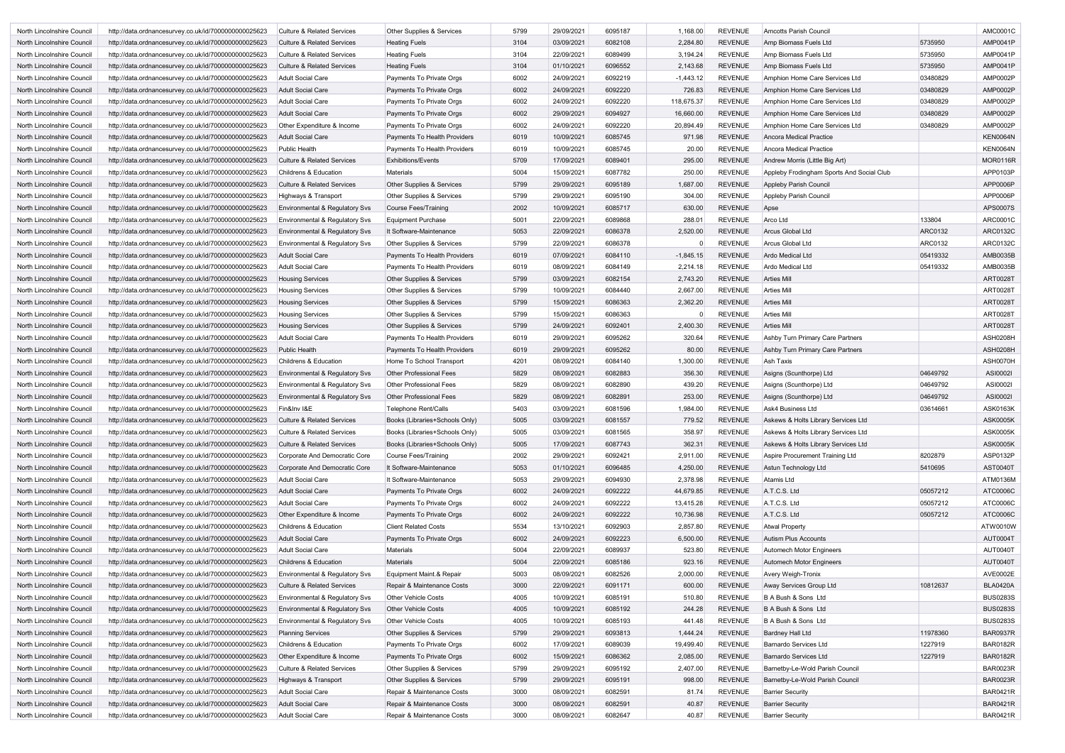| North Lincolnshire Council                               |                                                      |                                       |                                                          |              |                          |                    |                |                                  |                                                    |                |                                    |
|----------------------------------------------------------|------------------------------------------------------|---------------------------------------|----------------------------------------------------------|--------------|--------------------------|--------------------|----------------|----------------------------------|----------------------------------------------------|----------------|------------------------------------|
|                                                          | http://data.ordnancesurvey.co.uk/id/7000000000025623 | <b>Culture &amp; Related Services</b> | Other Supplies & Services                                | 5799         | 29/09/2021               | 6095187            | 1,168.00       | <b>REVENUE</b>                   | <b>Amcotts Parish Council</b>                      |                | AMC0001C                           |
| North Lincolnshire Council                               | http://data.ordnancesurvey.co.uk/id/7000000000025623 | <b>Culture &amp; Related Services</b> | <b>Heating Fuels</b>                                     | 3104         | 03/09/2021               | 6082108            | 2,284.80       | <b>REVENUE</b>                   | Amp Biomass Fuels Ltd                              | 5735950        | <b>AMP0041P</b>                    |
| North Lincolnshire Council                               | http://data.ordnancesurvey.co.uk/id/7000000000025623 | <b>Culture &amp; Related Services</b> | <b>Heating Fuels</b>                                     | 3104         | 22/09/2021               | 6089499            | 3,194.24       | <b>REVENUE</b>                   | Amp Biomass Fuels Ltd                              | 5735950        | AMP0041P                           |
| North Lincolnshire Council                               | http://data.ordnancesurvey.co.uk/id/7000000000025623 | <b>Culture &amp; Related Services</b> | <b>Heating Fuels</b>                                     | 3104         | 01/10/2021               | 6096552            | 2,143.68       | <b>REVENUE</b>                   | Amp Biomass Fuels Ltd                              | 5735950        | <b>AMP0041P</b>                    |
| North Lincolnshire Council                               | http://data.ordnancesurvey.co.uk/id/7000000000025623 | <b>Adult Social Care</b>              | Payments To Private Orgs                                 | 6002         | 24/09/2021               | 6092219            | $-1,443.12$    | <b>REVENUE</b>                   | Amphion Home Care Services Ltd                     | 03480829       | <b>AMP0002P</b>                    |
| North Lincolnshire Council                               | http://data.ordnancesurvey.co.uk/id/7000000000025623 | <b>Adult Social Care</b>              | Payments To Private Orgs                                 | 6002         | 24/09/2021               | 6092220            | 726.83         | <b>REVENUE</b>                   | Amphion Home Care Services Ltd                     | 03480829       | <b>AMP0002P</b>                    |
| North Lincolnshire Council                               | http://data.ordnancesurvey.co.uk/id/7000000000025623 | <b>Adult Social Care</b>              | Payments To Private Orgs                                 | 6002         | 24/09/2021               | 6092220            | 118,675.37     | <b>REVENUE</b>                   | Amphion Home Care Services Ltd                     | 03480829       | <b>AMP0002P</b>                    |
| North Lincolnshire Council                               | http://data.ordnancesurvey.co.uk/id/7000000000025623 | <b>Adult Social Care</b>              | Payments To Private Orgs                                 | 6002         | 29/09/2021               | 6094927            | 16,660.00      | <b>REVENUE</b>                   | Amphion Home Care Services Ltd                     | 03480829       | <b>AMP0002P</b>                    |
|                                                          |                                                      | Other Expenditure & Income            |                                                          | 6002         | 24/09/2021               | 6092220            | 20,894.49      | <b>REVENUE</b>                   | Amphion Home Care Services Ltd                     | 03480829       | <b>AMP0002P</b>                    |
| North Lincolnshire Council                               | http://data.ordnancesurvey.co.uk/id/7000000000025623 |                                       | Payments To Private Orgs                                 |              |                          |                    |                |                                  |                                                    |                |                                    |
| North Lincolnshire Council                               | http://data.ordnancesurvey.co.uk/id/7000000000025623 | <b>Adult Social Care</b>              | Payments To Health Providers                             | 6019         | 10/09/2021               | 6085745            | 971.98         | <b>REVENUE</b>                   | <b>Ancora Medical Practice</b>                     |                | <b>KEN0064N</b>                    |
| North Lincolnshire Council                               | http://data.ordnancesurvey.co.uk/id/7000000000025623 | <b>Public Health</b>                  | Payments To Health Providers                             | 6019         | 10/09/2021               | 6085745            | 20.00          | <b>REVENUE</b>                   | <b>Ancora Medical Practice</b>                     |                | <b>KEN0064N</b>                    |
| North Lincolnshire Council                               | http://data.ordnancesurvey.co.uk/id/7000000000025623 | <b>Culture &amp; Related Services</b> | <b>Exhibitions/Events</b>                                | 5709         | 17/09/2021               | 6089401            | 295.00         | <b>REVENUE</b>                   | Andrew Morris (Little Big Art)                     |                | MOR0116R                           |
| North Lincolnshire Council                               | http://data.ordnancesurvey.co.uk/id/7000000000025623 | <b>Childrens &amp; Education</b>      | <b>Materials</b>                                         | 5004         | 15/09/2021               | 6087782            | 250.00         | <b>REVENUE</b>                   | Appleby Frodingham Sports And Social Club          |                | APP0103P                           |
| North Lincolnshire Council                               | http://data.ordnancesurvey.co.uk/id/7000000000025623 | <b>Culture &amp; Related Services</b> | Other Supplies & Services                                | 5799         | 29/09/2021               | 6095189            | 1,687.00       | <b>REVENUE</b>                   | Appleby Parish Council                             |                | APP0006P                           |
| North Lincolnshire Council                               | http://data.ordnancesurvey.co.uk/id/7000000000025623 | Highways & Transport                  | Other Supplies & Services                                | 5799         | 29/09/2021               | 6095190            | 304.00         | <b>REVENUE</b>                   | Appleby Parish Council                             |                | APP0006P                           |
| North Lincolnshire Council                               | http://data.ordnancesurvey.co.uk/id/7000000000025623 | Environmental & Regulatory Svs        | Course Fees/Training                                     | 2002         | 10/09/2021               | 6085717            | 630.00         | <b>REVENUE</b>                   | Apse                                               |                | APS0007S                           |
| North Lincolnshire Council                               | http://data.ordnancesurvey.co.uk/id/7000000000025623 | Environmental & Regulatory Svs        | <b>Equipment Purchase</b>                                | 5001         | 22/09/2021               | 6089868            | 288.01         | <b>REVENUE</b>                   | Arco Ltd                                           | 133804         | ARC0001C                           |
| North Lincolnshire Council                               | http://data.ordnancesurvey.co.uk/id/7000000000025623 | Environmental & Regulatory Svs        | It Software-Maintenance                                  | 5053         | 22/09/2021               | 6086378            | 2,520.00       | <b>REVENUE</b>                   | <b>Arcus Global Ltd</b>                            | <b>ARC0132</b> | <b>ARC0132C</b>                    |
| North Lincolnshire Council                               | http://data.ordnancesurvey.co.uk/id/7000000000025623 | Environmental & Regulatory Svs        | Other Supplies & Services                                | 5799         | 22/09/2021               | 6086378            |                | <b>REVENUE</b>                   | <b>Arcus Global Ltd</b>                            | <b>ARC0132</b> | ARC0132C                           |
|                                                          |                                                      |                                       |                                                          |              |                          |                    |                | <b>REVENUE</b>                   | <b>Ardo Medical Ltd</b>                            |                | AMB0035B                           |
| North Lincolnshire Council                               | http://data.ordnancesurvey.co.uk/id/7000000000025623 | <b>Adult Social Care</b>              | Payments To Health Providers                             | 6019         | 07/09/2021               | 6084110            | $-1,845.15$    |                                  |                                                    | 05419332       |                                    |
| North Lincolnshire Council                               | http://data.ordnancesurvey.co.uk/id/7000000000025623 | <b>Adult Social Care</b>              | Payments To Health Providers                             | 6019         | 08/09/2021               | 6084149            | 2,214.18       | <b>REVENUE</b>                   | <b>Ardo Medical Ltd</b>                            | 05419332       | AMB0035B                           |
| North Lincolnshire Council                               | http://data.ordnancesurvey.co.uk/id/7000000000025623 | <b>Housing Services</b>               | Other Supplies & Services                                | 5799         | 03/09/2021               | 6082154            | 2,743.20       | <b>REVENUE</b>                   | <b>Arties Mill</b>                                 |                | <b>ART0028T</b>                    |
| North Lincolnshire Council                               | http://data.ordnancesurvey.co.uk/id/7000000000025623 | <b>Housing Services</b>               | Other Supplies & Services                                | 5799         | 10/09/2021               | 6084440            | 2,667.00       | <b>REVENUE</b>                   | <b>Arties Mill</b>                                 |                | ART0028T                           |
| North Lincolnshire Council                               | http://data.ordnancesurvey.co.uk/id/7000000000025623 | <b>Housing Services</b>               | Other Supplies & Services                                | 5799         | 15/09/2021               | 6086363            | 2,362.20       | <b>REVENUE</b>                   | <b>Arties Mill</b>                                 |                | ART0028T                           |
| North Lincolnshire Council                               | http://data.ordnancesurvey.co.uk/id/7000000000025623 | <b>Housing Services</b>               | Other Supplies & Services                                | 5799         | 15/09/2021               | 6086363            |                | <b>REVENUE</b>                   | <b>Arties Mill</b>                                 |                | <b>ART0028T</b>                    |
| North Lincolnshire Council                               | http://data.ordnancesurvey.co.uk/id/7000000000025623 | <b>Housing Services</b>               | Other Supplies & Services                                | 5799         | 24/09/2021               | 6092401            | 2,400.30       | <b>REVENUE</b>                   | <b>Arties Mill</b>                                 |                | <b>ART0028T</b>                    |
| North Lincolnshire Council                               | http://data.ordnancesurvey.co.uk/id/7000000000025623 | <b>Adult Social Care</b>              | Payments To Health Providers                             | 6019         | 29/09/2021               | 6095262            | 320.64         | <b>REVENUE</b>                   | Ashby Turn Primary Care Partners                   |                | <b>ASH0208H</b>                    |
| North Lincolnshire Council                               | http://data.ordnancesurvey.co.uk/id/7000000000025623 | <b>Public Health</b>                  | Payments To Health Providers                             | 6019         | 29/09/2021               | 6095262            | 80.00          | <b>REVENUE</b>                   | Ashby Turn Primary Care Partners                   |                | ASH0208H                           |
| North Lincolnshire Council                               | http://data.ordnancesurvey.co.uk/id/7000000000025623 | <b>Childrens &amp; Education</b>      | Home To School Transport                                 | 4201         | 08/09/2021               | 6084140            | 1,300.00       | <b>REVENUE</b>                   | Ash Taxis                                          |                | ASH0070H                           |
| North Lincolnshire Council                               | http://data.ordnancesurvey.co.uk/id/7000000000025623 | Environmental & Regulatory Svs        | <b>Other Professional Fees</b>                           | 5829         | 08/09/2021               | 6082883            | 356.30         | <b>REVENUE</b>                   | Asigns (Scunthorpe) Ltd                            | 04649792       | ASI0002I                           |
|                                                          |                                                      |                                       |                                                          |              |                          |                    |                |                                  |                                                    |                |                                    |
| North Lincolnshire Council                               | http://data.ordnancesurvey.co.uk/id/7000000000025623 | Environmental & Regulatory Svs        | <b>Other Professional Fees</b>                           | 5829         | 08/09/2021               | 6082890            | 439.20         | <b>REVENUE</b>                   | Asigns (Scunthorpe) Ltd                            | 04649792       | ASI0002I                           |
| North Lincolnshire Council                               | http://data.ordnancesurvey.co.uk/id/7000000000025623 | Environmental & Regulatory Svs        | <b>Other Professional Fees</b>                           | 5829         | 08/09/2021               | 6082891            | 253.00         | <b>REVENUE</b>                   | Asigns (Scunthorpe) Ltd                            | 04649792       | ASI0002I                           |
| North Lincolnshire Council                               | http://data.ordnancesurvey.co.uk/id/7000000000025623 | Fin&Inv I&E                           | <b>Telephone Rent/Calls</b>                              | 5403         | 03/09/2021               | 6081596            | 1,984.00       | <b>REVENUE</b>                   | Ask4 Business Ltd                                  | 03614661       | ASK0163K                           |
| North Lincolnshire Council                               | http://data.ordnancesurvey.co.uk/id/7000000000025623 | <b>Culture &amp; Related Services</b> | Books (Libraries+Schools Only)                           | 5005         | 03/09/2021               | 6081557            | 779.52         | <b>REVENUE</b>                   | Askews & Holts Library Services Ltd                |                | <b>ASK0005K</b>                    |
| North Lincolnshire Council                               | http://data.ordnancesurvey.co.uk/id/7000000000025623 | <b>Culture &amp; Related Services</b> | Books (Libraries+Schools Only)                           | 5005         | 03/09/2021               | 6081565            | 358.97         | <b>REVENUE</b>                   | Askews & Holts Library Services Ltd                |                | <b>ASK0005K</b>                    |
| North Lincolnshire Council                               |                                                      |                                       |                                                          |              |                          |                    |                |                                  |                                                    |                |                                    |
|                                                          | http://data.ordnancesurvey.co.uk/id/7000000000025623 | <b>Culture &amp; Related Services</b> | Books (Libraries+Schools Only)                           | 5005         | 17/09/2021               | 6087743            | 362.31         | <b>REVENUE</b>                   | Askews & Holts Library Services Ltd                |                | <b>ASK0005K</b>                    |
| North Lincolnshire Council                               | http://data.ordnancesurvey.co.uk/id/7000000000025623 | Corporate And Democratic Core         | Course Fees/Training                                     | 2002         | 29/09/2021               | 6092421            | 2,911.00       | <b>REVENUE</b>                   | Aspire Procurement Training Ltd                    | 8202879        | ASP0132P                           |
| North Lincolnshire Council                               | http://data.ordnancesurvey.co.uk/id/7000000000025623 | Corporate And Democratic Core         | It Software-Maintenance                                  | 5053         | 01/10/2021               | 6096485            | 4,250.00       | <b>REVENUE</b>                   | Astun Technology Ltd                               | 5410695        | <b>AST0040T</b>                    |
| North Lincolnshire Council                               | http://data.ordnancesurvey.co.uk/id/7000000000025623 | <b>Adult Social Care</b>              | It Software-Maintenance                                  | 5053         | 29/09/2021               | 6094930            |                | <b>REVENUE</b>                   | Atamis Ltd                                         |                | ATM0136M                           |
|                                                          |                                                      |                                       |                                                          |              |                          |                    | 2,378.98       |                                  |                                                    |                |                                    |
| North Lincolnshire Council                               | http://data.ordnancesurvey.co.uk/id/7000000000025623 | <b>Adult Social Care</b>              | Payments To Private Orgs                                 | 6002         | 24/09/2021               | 6092222            | 44,679.85      | <b>REVENUE</b>                   | A.T.C.S. Ltd                                       | 05057212       | ATC0006C                           |
| North Lincolnshire Council                               | http://data.ordnancesurvey.co.uk/id/7000000000025623 | <b>Adult Social Care</b>              | Payments To Private Orgs                                 | 6002         | 24/09/2021               | 6092222            | 13,415.28      | <b>REVENUE</b>                   | A.T.C.S. Ltd                                       | 05057212       | ATC0006C                           |
| North Lincolnshire Council                               | http://data.ordnancesurvey.co.uk/id/7000000000025623 | Other Expenditure & Income            | Payments To Private Orgs                                 | 6002         | 24/09/2021               | 6092222            | 10,736.98      | <b>REVENUE</b>                   | A.T.C.S. Ltd                                       | 05057212       | ATC0006C                           |
| North Lincolnshire Council                               | http://data.ordnancesurvey.co.uk/id/7000000000025623 | Childrens & Education                 | <b>Client Related Costs</b>                              | 5534         | 13/10/2021               | 6092903            | 2,857.80       | <b>REVENUE</b>                   | <b>Atwal Property</b>                              |                | ATW0010W                           |
| North Lincolnshire Council                               | http://data.ordnancesurvey.co.uk/id/7000000000025623 | <b>Adult Social Care</b>              | Payments To Private Orgs                                 | 6002         | 24/09/2021               | 6092223            | 6,500.00       | <b>REVENUE</b>                   | <b>Autism Plus Accounts</b>                        |                | <b>AUT0004T</b>                    |
| North Lincolnshire Council                               | http://data.ordnancesurvey.co.uk/id/7000000000025623 | <b>Adult Social Care</b>              | Materials                                                | 5004         | 22/09/2021               | 6089937            | 523.80         | <b>REVENUE</b>                   | <b>Automech Motor Engineers</b>                    |                | AUT0040T                           |
| North Lincolnshire Council                               | http://data.ordnancesurvey.co.uk/id/7000000000025623 | Childrens & Education                 | <b>Materials</b>                                         | 5004         | 22/09/2021               | 6085186            | 923.16         | <b>REVENUE</b>                   | <b>Automech Motor Engineers</b>                    |                | AUT0040T                           |
| North Lincolnshire Council                               | http://data.ordnancesurvey.co.uk/id/7000000000025623 | Environmental & Regulatory Svs        | Equipment Maint.& Repair                                 | 5003         | 08/09/2021               | 6082526            | 2,000.00       | <b>REVENUE</b>                   | Avery Weigh-Tronix                                 |                | AVE0002E                           |
| North Lincolnshire Council                               | http://data.ordnancesurvey.co.uk/id/7000000000025623 | <b>Culture &amp; Related Services</b> | Repair & Maintenance Costs                               | 3000         | 22/09/2021               | 6091171            | 600.00         | <b>REVENUE</b>                   | Away Services Group Ltd                            | 10812637       | <b>BLA0420A</b>                    |
| North Lincolnshire Council                               | http://data.ordnancesurvey.co.uk/id/7000000000025623 | Environmental & Regulatory Svs        | <b>Other Vehicle Costs</b>                               | 4005         | 10/09/2021               | 6085191            | 510.80         | <b>REVENUE</b>                   | B A Bush & Sons Ltd                                |                | <b>BUS0283S</b>                    |
| North Lincolnshire Council                               | http://data.ordnancesurvey.co.uk/id/7000000000025623 | Environmental & Regulatory Svs        | <b>Other Vehicle Costs</b>                               | 4005         | 10/09/2021               | 6085192            | 244.28         | <b>REVENUE</b>                   | B A Bush & Sons Ltd                                |                | <b>BUS0283S</b>                    |
| North Lincolnshire Council                               | http://data.ordnancesurvey.co.uk/id/7000000000025623 | Environmental & Regulatory Svs        | <b>Other Vehicle Costs</b>                               | 4005         | 10/09/2021               | 6085193            | 441.48         | <b>REVENUE</b>                   | B A Bush & Sons Ltd                                |                | <b>BUS0283S</b>                    |
|                                                          |                                                      |                                       |                                                          |              |                          |                    |                |                                  |                                                    |                |                                    |
| North Lincolnshire Council                               | http://data.ordnancesurvey.co.uk/id/7000000000025623 | <b>Planning Services</b>              | Other Supplies & Services                                | 5799         | 29/09/2021               | 6093813            | 1,444.24       | <b>REVENUE</b>                   | <b>Bardney Hall Ltd</b>                            | 11978360       | <b>BAR0937R</b>                    |
| North Lincolnshire Council                               | http://data.ordnancesurvey.co.uk/id/7000000000025623 | Childrens & Education                 | Payments To Private Orgs                                 | 6002         | 17/09/2021               | 6089039            | 19,499.40      | <b>REVENUE</b>                   | Barnardo Services Ltd                              | 1227919        | <b>BAR0182R</b>                    |
| North Lincolnshire Council                               | http://data.ordnancesurvey.co.uk/id/7000000000025623 | Other Expenditure & Income            | Payments To Private Orgs                                 | 6002         | 15/09/2021               | 6086362            | 2,085.00       | <b>REVENUE</b>                   | <b>Barnardo Services Ltd</b>                       | 1227919        | <b>BAR0182R</b>                    |
| North Lincolnshire Council                               | http://data.ordnancesurvey.co.uk/id/7000000000025623 | <b>Culture &amp; Related Services</b> | Other Supplies & Services                                | 5799         | 29/09/2021               | 6095192            | 2,407.00       | <b>REVENUE</b>                   | Barnetby-Le-Wold Parish Council                    |                | <b>BAR0023R</b>                    |
| North Lincolnshire Council                               | http://data.ordnancesurvey.co.uk/id/7000000000025623 | Highways & Transport                  | Other Supplies & Services                                | 5799         | 29/09/2021               | 6095191            | 998.00         | <b>REVENUE</b>                   | Barnetby-Le-Wold Parish Council                    |                | <b>BAR0023R</b>                    |
| North Lincolnshire Council                               | http://data.ordnancesurvey.co.uk/id/7000000000025623 | <b>Adult Social Care</b>              | Repair & Maintenance Costs                               | 3000         | 08/09/2021               | 6082591            | 81.74          | <b>REVENUE</b>                   | <b>Barrier Security</b>                            |                | <b>BAR0421R</b>                    |
| North Lincolnshire Council<br>North Lincolnshire Council | http://data.ordnancesurvey.co.uk/id/7000000000025623 | <b>Adult Social Care</b>              | Repair & Maintenance Costs<br>Repair & Maintenance Costs | 3000<br>3000 | 08/09/2021<br>08/09/2021 | 6082591<br>6082647 | 40.87<br>40.87 | <b>REVENUE</b><br><b>REVENUE</b> | <b>Barrier Security</b><br><b>Barrier Security</b> |                | <b>BAR0421R</b><br><b>BAR0421R</b> |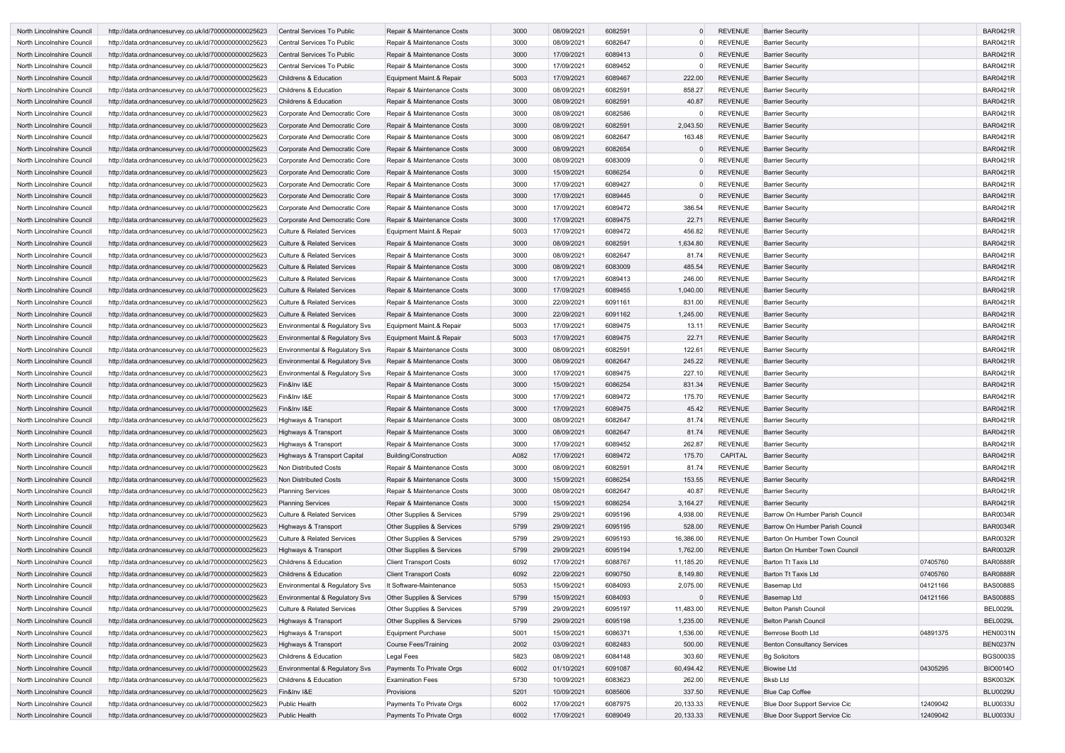| North Lincolnshire Council | http://data.ordnancesurvey.co.uk/id/7000000000025623 | <b>Central Services To Public</b>         | Repair & Maintenance Costs           | 3000 | 08/09/2021 | 6082591 |           | <b>REVENUE</b> | <b>Barrier Security</b>            |          | <b>BAR0421R</b> |
|----------------------------|------------------------------------------------------|-------------------------------------------|--------------------------------------|------|------------|---------|-----------|----------------|------------------------------------|----------|-----------------|
| North Lincolnshire Council | http://data.ordnancesurvey.co.uk/id/7000000000025623 | <b>Central Services To Public</b>         | Repair & Maintenance Costs           | 3000 | 08/09/2021 | 6082647 |           | <b>REVENUE</b> | <b>Barrier Security</b>            |          | <b>BAR0421R</b> |
| North Lincolnshire Council | http://data.ordnancesurvey.co.uk/id/7000000000025623 | <b>Central Services To Public</b>         | Repair & Maintenance Costs           | 3000 | 17/09/2021 | 6089413 |           | <b>REVENUE</b> | <b>Barrier Security</b>            |          | <b>BAR0421R</b> |
| North Lincolnshire Council | http://data.ordnancesurvey.co.uk/id/7000000000025623 | Central Services To Public                | Repair & Maintenance Costs           | 3000 | 17/09/2021 | 6089452 | $\Omega$  | <b>REVENUE</b> | <b>Barrier Security</b>            |          | <b>BAR0421R</b> |
| North Lincolnshire Council | http://data.ordnancesurvey.co.uk/id/7000000000025623 | Childrens & Education                     | Equipment Maint.& Repair             | 5003 | 17/09/2021 | 6089467 | 222.00    | <b>REVENUE</b> | <b>Barrier Security</b>            |          | <b>BAR0421R</b> |
| North Lincolnshire Council | http://data.ordnancesurvey.co.uk/id/7000000000025623 | <b>Childrens &amp; Education</b>          | Repair & Maintenance Costs           | 3000 | 08/09/2021 | 6082591 | 858.27    | <b>REVENUE</b> | <b>Barrier Security</b>            |          | <b>BAR0421R</b> |
| North Lincolnshire Council | http://data.ordnancesurvey.co.uk/id/7000000000025623 | <b>Childrens &amp; Education</b>          | Repair & Maintenance Costs           | 3000 | 08/09/2021 | 6082591 | 40.87     | <b>REVENUE</b> | <b>Barrier Security</b>            |          | <b>BAR0421R</b> |
| North Lincolnshire Council | http://data.ordnancesurvey.co.uk/id/7000000000025623 | Corporate And Democratic Core             | Repair & Maintenance Costs           | 3000 | 08/09/2021 | 6082586 |           | <b>REVENUE</b> | <b>Barrier Security</b>            |          | <b>BAR0421R</b> |
| North Lincolnshire Council | http://data.ordnancesurvey.co.uk/id/7000000000025623 | Corporate And Democratic Core             | Repair & Maintenance Costs           | 3000 | 08/09/2021 | 6082591 | 2,043.50  | <b>REVENUE</b> | <b>Barrier Security</b>            |          | <b>BAR0421R</b> |
| North Lincolnshire Council | http://data.ordnancesurvey.co.uk/id/7000000000025623 | Corporate And Democratic Core             | Repair & Maintenance Costs           | 3000 | 08/09/2021 | 6082647 | 163.48    | <b>REVENUE</b> | <b>Barrier Security</b>            |          | <b>BAR0421R</b> |
| North Lincolnshire Council | http://data.ordnancesurvey.co.uk/id/7000000000025623 | Corporate And Democratic Core             | Repair & Maintenance Costs           | 3000 | 08/09/2021 | 6082654 |           | <b>REVENUE</b> | <b>Barrier Security</b>            |          | <b>BAR0421R</b> |
| North Lincolnshire Council | http://data.ordnancesurvey.co.uk/id/7000000000025623 | Corporate And Democratic Core             | Repair & Maintenance Costs           | 3000 | 08/09/2021 | 6083009 |           | <b>REVENUE</b> | <b>Barrier Security</b>            |          | <b>BAR0421R</b> |
| North Lincolnshire Council | http://data.ordnancesurvey.co.uk/id/7000000000025623 | Corporate And Democratic Core             | Repair & Maintenance Costs           | 3000 | 15/09/2021 | 6086254 |           | <b>REVENUE</b> | <b>Barrier Security</b>            |          | <b>BAR0421R</b> |
| North Lincolnshire Council | http://data.ordnancesurvey.co.uk/id/7000000000025623 | Corporate And Democratic Core             | Repair & Maintenance Costs           | 3000 | 17/09/2021 | 6089427 | $\Omega$  | REVENUE        | <b>Barrier Security</b>            |          | <b>BAR0421R</b> |
| North Lincolnshire Council | http://data.ordnancesurvey.co.uk/id/7000000000025623 | Corporate And Democratic Core             | Repair & Maintenance Costs           | 3000 | 17/09/2021 | 6089445 | $\Omega$  | <b>REVENUE</b> | <b>Barrier Security</b>            |          | <b>BAR0421R</b> |
| North Lincolnshire Council | http://data.ordnancesurvey.co.uk/id/7000000000025623 | Corporate And Democratic Core             | Repair & Maintenance Costs           | 3000 | 17/09/2021 | 6089472 | 386.54    | <b>REVENUE</b> | <b>Barrier Security</b>            |          | <b>BAR0421R</b> |
| North Lincolnshire Council | http://data.ordnancesurvey.co.uk/id/7000000000025623 | <b>Corporate And Democratic Core</b>      | Repair & Maintenance Costs           | 3000 | 17/09/2021 | 6089475 | 22.71     | <b>REVENUE</b> | <b>Barrier Security</b>            |          | <b>BAR0421R</b> |
| North Lincolnshire Council | http://data.ordnancesurvey.co.uk/id/7000000000025623 | <b>Culture &amp; Related Services</b>     | Equipment Maint.& Repair             | 5003 | 17/09/2021 | 6089472 | 456.82    | <b>REVENUE</b> | <b>Barrier Security</b>            |          | <b>BAR0421R</b> |
| North Lincolnshire Council | http://data.ordnancesurvey.co.uk/id/7000000000025623 | <b>Culture &amp; Related Services</b>     | Repair & Maintenance Costs           | 3000 | 08/09/2021 | 6082591 | 1,634.80  | <b>REVENUE</b> | <b>Barrier Security</b>            |          | <b>BAR0421R</b> |
| North Lincolnshire Council | http://data.ordnancesurvey.co.uk/id/7000000000025623 | <b>Culture &amp; Related Services</b>     | Repair & Maintenance Costs           | 3000 | 08/09/2021 | 6082647 | 81.74     | <b>REVENUE</b> | <b>Barrier Security</b>            |          | <b>BAR0421R</b> |
| North Lincolnshire Council | http://data.ordnancesurvey.co.uk/id/7000000000025623 | <b>Culture &amp; Related Services</b>     | Repair & Maintenance Costs           | 3000 | 08/09/2021 | 6083009 | 485.54    | <b>REVENUE</b> | <b>Barrier Security</b>            |          | <b>BAR0421R</b> |
| North Lincolnshire Council | http://data.ordnancesurvey.co.uk/id/7000000000025623 | <b>Culture &amp; Related Services</b>     | Repair & Maintenance Costs           | 3000 | 17/09/2021 | 6089413 | 246.00    | <b>REVENUE</b> | <b>Barrier Security</b>            |          | <b>BAR0421R</b> |
| North Lincolnshire Council | http://data.ordnancesurvey.co.uk/id/7000000000025623 | <b>Culture &amp; Related Services</b>     | Repair & Maintenance Costs           | 3000 | 17/09/2021 | 6089455 | 1,040.00  | <b>REVENUE</b> | <b>Barrier Security</b>            |          | <b>BAR0421R</b> |
| North Lincolnshire Council | http://data.ordnancesurvey.co.uk/id/7000000000025623 | Culture & Related Services                | Repair & Maintenance Costs           | 3000 | 22/09/2021 | 6091161 | 831.00    | <b>REVENUE</b> | <b>Barrier Security</b>            |          | <b>BAR0421R</b> |
| North Lincolnshire Council | http://data.ordnancesurvey.co.uk/id/7000000000025623 | <b>Culture &amp; Related Services</b>     | Repair & Maintenance Costs           | 3000 | 22/09/2021 | 6091162 | 1,245.00  | <b>REVENUE</b> | <b>Barrier Security</b>            |          | <b>BAR0421R</b> |
| North Lincolnshire Council | http://data.ordnancesurvey.co.uk/id/7000000000025623 | Environmental & Regulatory Svs            | Equipment Maint.& Repair             | 5003 | 17/09/2021 | 6089475 | 13.11     | <b>REVENUE</b> | <b>Barrier Security</b>            |          | <b>BAR0421R</b> |
| North Lincolnshire Council | http://data.ordnancesurvey.co.uk/id/7000000000025623 | Environmental & Regulatory Svs            | Equipment Maint.& Repair             | 5003 | 17/09/2021 | 6089475 | 22.71     | <b>REVENUE</b> | <b>Barrier Security</b>            |          | <b>BAR0421R</b> |
| North Lincolnshire Council |                                                      |                                           |                                      | 3000 | 08/09/2021 | 6082591 | 122.61    | REVENUE        | <b>Barrier Security</b>            |          | <b>BAR0421R</b> |
|                            | http://data.ordnancesurvey.co.uk/id/7000000000025623 | Environmental & Regulatory Svs            | Repair & Maintenance Costs           |      |            |         |           |                |                                    |          |                 |
| North Lincolnshire Council | http://data.ordnancesurvey.co.uk/id/7000000000025623 | Environmental & Regulatory Svs            | Repair & Maintenance Costs           | 3000 | 08/09/2021 | 6082647 | 245.22    | <b>REVENUE</b> | <b>Barrier Security</b>            |          | <b>BAR0421R</b> |
| North Lincolnshire Council | http://data.ordnancesurvey.co.uk/id/7000000000025623 | Environmental & Regulatory Svs            | Repair & Maintenance Costs           | 3000 | 17/09/2021 | 6089475 | 227.10    | <b>REVENUE</b> | <b>Barrier Security</b>            |          | <b>BAR0421R</b> |
| North Lincolnshire Council | http://data.ordnancesurvey.co.uk/id/7000000000025623 | Fin&Inv I&E                               | Repair & Maintenance Costs           | 3000 | 15/09/2021 | 6086254 | 831.34    | <b>REVENUE</b> | <b>Barrier Security</b>            |          | <b>BAR0421R</b> |
| North Lincolnshire Council | http://data.ordnancesurvey.co.uk/id/7000000000025623 | Fin&Inv I&E                               | Repair & Maintenance Costs           | 3000 | 17/09/2021 | 6089472 | 175.70    | <b>REVENUE</b> | <b>Barrier Security</b>            |          | <b>BAR0421R</b> |
| North Lincolnshire Council | http://data.ordnancesurvey.co.uk/id/7000000000025623 | Fin&Inv I&E                               | Repair & Maintenance Costs           | 3000 | 17/09/2021 | 6089475 | 45.42     | <b>REVENUE</b> | <b>Barrier Security</b>            |          | <b>BAR0421R</b> |
| North Lincolnshire Council | http://data.ordnancesurvey.co.uk/id/7000000000025623 | Highways & Transport                      | Repair & Maintenance Costs           | 3000 | 08/09/2021 | 6082647 | 81.74     | REVENUE        | <b>Barrier Security</b>            |          | <b>BAR0421R</b> |
| North Lincolnshire Council | http://data.ordnancesurvey.co.uk/id/7000000000025623 | Highways & Transport                      | Repair & Maintenance Costs           | 3000 | 08/09/2021 | 6082647 | 81.74     | <b>REVENUE</b> | <b>Barrier Security</b>            |          | <b>BAR0421R</b> |
| North Lincolnshire Council | http://data.ordnancesurvey.co.uk/id/7000000000025623 | Highways & Transport                      | Repair & Maintenance Costs           | 3000 | 17/09/2021 | 6089452 | 262.87    | <b>REVENUE</b> | <b>Barrier Security</b>            |          | <b>BAR0421R</b> |
| North Lincolnshire Council | http://data.ordnancesurvey.co.uk/id/7000000000025623 | Highways & Transport Capital              | Building/Construction                | A082 | 17/09/2021 | 6089472 | 175.70    | CAPITAL        | <b>Barrier Security</b>            |          | <b>BAR0421R</b> |
| North Lincolnshire Council | http://data.ordnancesurvey.co.uk/id/7000000000025623 | Non Distributed Costs                     | Repair & Maintenance Costs           | 3000 | 08/09/2021 | 6082591 | 81.74     | <b>REVENUE</b> | <b>Barrier Security</b>            |          | <b>BAR0421R</b> |
| North Lincolnshire Council | http://data.ordnancesurvey.co.uk/id/7000000000025623 | Non Distributed Costs                     | Repair & Maintenance Costs           | 3000 | 15/09/2021 | 6086254 | 153.55    | <b>REVENUE</b> | <b>Barrier Security</b>            |          | <b>BAR0421R</b> |
| North Lincolnshire Council | http://data.ordnancesurvey.co.uk/id/7000000000025623 | <b>Planning Services</b>                  | Repair & Maintenance Costs           | 3000 | 08/09/2021 | 6082647 | 40.87     | <b>REVENUE</b> | <b>Barrier Security</b>            |          | <b>BAR0421R</b> |
| North Lincolnshire Council | http://data.ordnancesurvey.co.uk/id/7000000000025623 | <b>Planning Services</b>                  | Repair & Maintenance Costs           | 3000 | 15/09/2021 | 6086254 | 3,164.27  | REVENUE        | <b>Barrier Security</b>            |          | <b>BAR0421R</b> |
| North Lincolnshire Council | http://data.ordnancesurvey.co.uk/id/7000000000025623 | <b>Culture &amp; Related Services</b>     | Other Supplies & Services            | 5799 | 29/09/2021 | 6095196 | 4,938.00  | <b>REVENUE</b> | Barrow On Humber Parish Council    |          | <b>BAR0034R</b> |
| North Lincolnshire Council | http://data.ordnancesurvey.co.uk/id/7000000000025623 | Highways & Transport                      | Other Supplies & Services            | 5799 | 29/09/2021 | 6095195 | 528.00    | <b>REVENUE</b> | Barrow On Humber Parish Council    |          | <b>BAR0034R</b> |
| North Lincolnshire Council | http://data.ordnancesurvey.co.uk/id/7000000000025623 | <b>Culture &amp; Related Services</b>     | Other Supplies & Services            | 5799 | 29/09/2021 | 6095193 | 16,386.00 | <b>REVENUE</b> | Barton On Humber Town Council      |          | <b>BAR0032R</b> |
| North Lincolnshire Council | http://data.ordnancesurvey.co.uk/id/7000000000025623 | Highways & Transport                      | Other Supplies & Services            | 5799 | 29/09/2021 | 6095194 | 1,762.00  | <b>REVENUE</b> | Barton On Humber Town Council      |          | <b>BAR0032R</b> |
| North Lincolnshire Council | http://data.ordnancesurvey.co.uk/id/7000000000025623 | Childrens & Education                     | <b>Client Transport Costs</b>        | 6092 | 17/09/2021 | 6088767 | 11,185.20 | REVENUE        | <b>Barton Tt Taxis Ltd</b>         | 07405760 | <b>BAR0888R</b> |
| North Lincolnshire Council | http://data.ordnancesurvey.co.uk/id/7000000000025623 | Childrens & Education                     | <b>Client Transport Costs</b>        | 6092 | 22/09/2021 | 6090750 | 8,149.80  | REVENUE        | Barton Tt Taxis Ltd                | 07405760 | <b>BAR0888R</b> |
| North Lincolnshire Council | http://data.ordnancesurvey.co.uk/id/7000000000025623 | Environmental & Regulatory Svs            | It Software-Maintenance              | 5053 | 15/09/2021 | 6084093 | 2,075.00  | <b>REVENUE</b> | Basemap Ltd                        | 04121166 | <b>BAS0088S</b> |
| North Lincolnshire Council | http://data.ordnancesurvey.co.uk/id/7000000000025623 | Environmental & Regulatory Svs            | <b>Other Supplies &amp; Services</b> | 5799 | 15/09/2021 | 6084093 | $\Omega$  | <b>REVENUE</b> | <b>Basemap Ltd</b>                 | 04121166 | <b>BAS0088S</b> |
| North Lincolnshire Council | http://data.ordnancesurvey.co.uk/id/7000000000025623 | <b>Culture &amp; Related Services</b>     | Other Supplies & Services            | 5799 | 29/09/2021 | 6095197 | 11,483.00 | <b>REVENUE</b> | <b>Belton Parish Council</b>       |          | <b>BEL0029L</b> |
| North Lincolnshire Council | http://data.ordnancesurvey.co.uk/id/7000000000025623 | Highways & Transport                      | Other Supplies & Services            | 5799 | 29/09/2021 | 6095198 | 1,235.00  | REVENUE        | <b>Belton Parish Council</b>       |          | <b>BEL0029L</b> |
| North Lincolnshire Council | http://data.ordnancesurvey.co.uk/id/7000000000025623 | Highways & Transport                      | <b>Equipment Purchase</b>            | 5001 | 15/09/2021 | 6086371 | 1,536.00  | <b>REVENUE</b> | Bemrose Booth Ltd                  | 04891375 | <b>HEN0031N</b> |
| North Lincolnshire Council | http://data.ordnancesurvey.co.uk/id/7000000000025623 | Highways & Transport                      | <b>Course Fees/Training</b>          | 2002 | 03/09/2021 | 6082483 | 500.00    | <b>REVENUE</b> | <b>Benton Consultancy Services</b> |          | <b>BEN0237N</b> |
| North Lincolnshire Council | http://data.ordnancesurvey.co.uk/id/7000000000025623 | Childrens & Education                     | Legal Fees                           | 5823 | 08/09/2021 | 6084148 | 303.60    | <b>REVENUE</b> | <b>Bg Solicitors</b>               |          | <b>BGS0003S</b> |
| North Lincolnshire Council | http://data.ordnancesurvey.co.uk/id/7000000000025623 | <b>Environmental &amp; Regulatory Svs</b> | Payments To Private Orgs             | 6002 | 01/10/2021 | 6091087 | 60,494.42 | <b>REVENUE</b> | <b>Biowise Ltd</b>                 | 04305295 | <b>BIO0014O</b> |
| North Lincolnshire Council | http://data.ordnancesurvey.co.uk/id/7000000000025623 | Childrens & Education                     | <b>Examination Fees</b>              | 5730 | 10/09/2021 | 6083623 | 262.00    | <b>REVENUE</b> | <b>Bksb Ltd</b>                    |          | <b>BSK0032K</b> |
| North Lincolnshire Council | http://data.ordnancesurvey.co.uk/id/7000000000025623 | Fin&Inv I&E                               | Provisions                           | 5201 | 10/09/2021 | 6085606 | 337.50    | <b>REVENUE</b> | <b>Blue Cap Coffee</b>             |          | <b>BLU0029U</b> |
| North Lincolnshire Council | http://data.ordnancesurvey.co.uk/id/7000000000025623 | <b>Public Health</b>                      | Payments To Private Orgs             | 6002 | 17/09/2021 | 6087975 | 20,133.33 | REVENUE        | Blue Door Support Service Cic      | 12409042 | <b>BLU0033U</b> |
| North Lincolnshire Council | http://data.ordnancesurvey.co.uk/id/7000000000025623 | <b>Public Health</b>                      | Payments To Private Orgs             | 6002 | 17/09/2021 | 6089049 | 20,133.33 | REVENUE        | Blue Door Support Service Cic      | 12409042 | <b>BLU0033U</b> |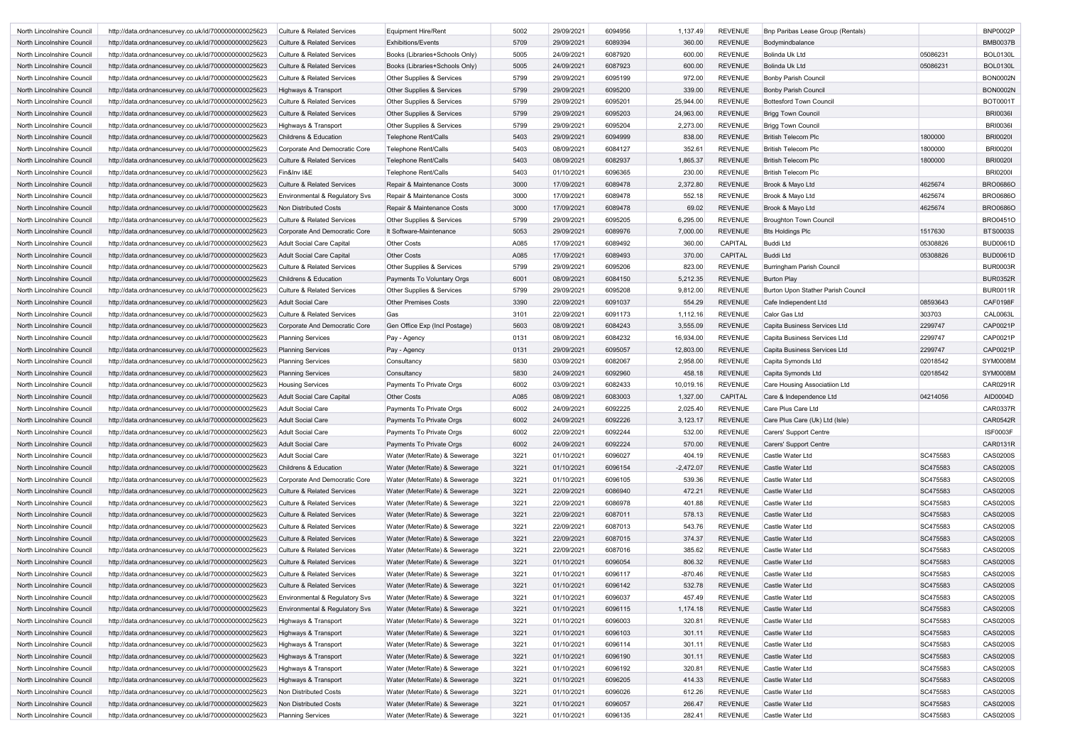| North Lincolnshire Council | http://data.ordnancesurvey.co.uk/id/7000000000025623 | <b>Culture &amp; Related Services</b> | <b>Equipment Hire/Rent</b>           | 5002 | 29/09/2021 | 6094956 | 1,137.49    | REVENUE        | Bnp Paribas Lease Group (Rentals)  |                      | <b>BNP0002P</b> |
|----------------------------|------------------------------------------------------|---------------------------------------|--------------------------------------|------|------------|---------|-------------|----------------|------------------------------------|----------------------|-----------------|
| North Lincolnshire Council | http://data.ordnancesurvey.co.uk/id/7000000000025623 | <b>Culture &amp; Related Services</b> | <b>Exhibitions/Events</b>            | 5709 | 29/09/2021 | 6089394 | 360.00      | <b>REVENUE</b> | Bodymindbalance                    |                      | <b>BMB0037B</b> |
| North Lincolnshire Council | http://data.ordnancesurvey.co.uk/id/7000000000025623 | <b>Culture &amp; Related Services</b> | Books (Libraries+Schools Only)       | 5005 | 24/09/2021 | 6087920 | 600.00      | <b>REVENUE</b> | <b>Bolinda Uk Ltd</b>              | 05086231             | <b>BOL0130L</b> |
| North Lincolnshire Council | http://data.ordnancesurvey.co.uk/id/7000000000025623 | <b>Culture &amp; Related Services</b> | Books (Libraries+Schools Only)       | 5005 | 24/09/2021 | 6087923 | 600.00      | <b>REVENUE</b> | <b>Bolinda Uk Ltd</b>              | 05086231             | <b>BOL0130L</b> |
| North Lincolnshire Council | http://data.ordnancesurvey.co.uk/id/7000000000025623 | <b>Culture &amp; Related Services</b> | <b>Other Supplies &amp; Services</b> | 5799 | 29/09/2021 | 6095199 | 972.00      | <b>REVENUE</b> | <b>Bonby Parish Council</b>        |                      | <b>BON0002N</b> |
| North Lincolnshire Council | http://data.ordnancesurvey.co.uk/id/7000000000025623 | Highways & Transport                  | Other Supplies & Services            | 5799 | 29/09/2021 | 6095200 | 339.00      | <b>REVENUE</b> | <b>Bonby Parish Council</b>        |                      | <b>BON0002N</b> |
| North Lincolnshire Council | http://data.ordnancesurvey.co.uk/id/7000000000025623 | <b>Culture &amp; Related Services</b> | Other Supplies & Services            | 5799 | 29/09/2021 | 6095201 | 25,944.00   | <b>REVENUE</b> | <b>Bottesford Town Council</b>     |                      | <b>BOT0001T</b> |
| North Lincolnshire Council | http://data.ordnancesurvey.co.uk/id/7000000000025623 | <b>Culture &amp; Related Services</b> | Other Supplies & Services            | 5799 | 29/09/2021 | 6095203 | 24,963.00   | <b>REVENUE</b> | <b>Brigg Town Council</b>          |                      | <b>BRI0036I</b> |
| North Lincolnshire Council | http://data.ordnancesurvey.co.uk/id/7000000000025623 | Highways & Transport                  | Other Supplies & Services            | 5799 | 29/09/2021 | 6095204 | 2,273.00    | REVENUE        | <b>Brigg Town Council</b>          |                      | <b>BRI0036I</b> |
| North Lincolnshire Council | http://data.ordnancesurvey.co.uk/id/7000000000025623 | <b>Childrens &amp; Education</b>      | <b>Telephone Rent/Calls</b>          | 5403 | 29/09/2021 | 6094999 | 838.00      | <b>REVENUE</b> | <b>British Telecom Plc</b>         | 1800000              | <b>BRI0020</b>  |
| North Lincolnshire Council | http://data.ordnancesurvey.co.uk/id/7000000000025623 | Corporate And Democratic Core         | Telephone Rent/Calls                 | 5403 | 08/09/2021 | 6084127 | 352.61      | <b>REVENUE</b> | <b>British Telecom Plc</b>         | 1800000              | <b>BRI0020I</b> |
| North Lincolnshire Council | http://data.ordnancesurvey.co.uk/id/7000000000025623 | <b>Culture &amp; Related Services</b> | <b>Telephone Rent/Calls</b>          | 5403 | 08/09/2021 | 6082937 | 1,865.37    | <b>REVENUE</b> | <b>British Telecom Plc</b>         | 1800000              | <b>BRI00201</b> |
| North Lincolnshire Council | http://data.ordnancesurvey.co.uk/id/7000000000025623 | Fin&Inv I&E                           | Telephone Rent/Calls                 | 5403 | 01/10/2021 | 6096365 | 230.00      | <b>REVENUE</b> | <b>British Telecom Plc</b>         |                      | <b>BRI0200I</b> |
| North Lincolnshire Council | http://data.ordnancesurvey.co.uk/id/7000000000025623 | <b>Culture &amp; Related Services</b> | Repair & Maintenance Costs           | 3000 | 17/09/2021 | 6089478 | 2,372.80    | <b>REVENUE</b> | Brook & Mayo Ltd                   | 4625674              | <b>BRO0686C</b> |
| North Lincolnshire Council | http://data.ordnancesurvey.co.uk/id/7000000000025623 | Environmental & Regulatory Svs        | Repair & Maintenance Costs           | 3000 | 17/09/2021 | 6089478 | 552.18      | REVENUE        | Brook & Mayo Ltd                   | 4625674              | <b>BRO0686C</b> |
| North Lincolnshire Council | http://data.ordnancesurvey.co.uk/id/7000000000025623 | Non Distributed Costs                 | Repair & Maintenance Costs           | 3000 | 17/09/2021 | 6089478 | 69.02       | <b>REVENUE</b> | Brook & Mayo Ltd                   | 4625674              | <b>BRO0686O</b> |
| North Lincolnshire Council | http://data.ordnancesurvey.co.uk/id/7000000000025623 | <b>Culture &amp; Related Services</b> | <b>Other Supplies &amp; Services</b> | 5799 | 29/09/2021 | 6095205 | 6,295.00    | <b>REVENUE</b> | <b>Broughton Town Council</b>      |                      | <b>BRO0451O</b> |
| North Lincolnshire Council | http://data.ordnancesurvey.co.uk/id/7000000000025623 | Corporate And Democratic Core         | It Software-Maintenance              | 5053 | 29/09/2021 | 6089976 | 7,000.00    | <b>REVENUE</b> | <b>Bts Holdings Plc</b>            | 1517630              | <b>BTS0003S</b> |
| North Lincolnshire Council | http://data.ordnancesurvey.co.uk/id/7000000000025623 | Adult Social Care Capital             | <b>Other Costs</b>                   | A085 | 17/09/2021 | 6089492 | 360.00      | CAPITAL        | Buddi Ltd                          | 05308826             | <b>BUD0061D</b> |
| North Lincolnshire Council | http://data.ordnancesurvey.co.uk/id/7000000000025623 | Adult Social Care Capital             | <b>Other Costs</b>                   | A085 | 17/09/2021 | 6089493 | 370.00      | CAPITAL        | <b>Buddi Ltd</b>                   | 05308826             | <b>BUD0061D</b> |
| North Lincolnshire Council | http://data.ordnancesurvey.co.uk/id/7000000000025623 | <b>Culture &amp; Related Services</b> | Other Supplies & Services            | 5799 | 29/09/2021 | 6095206 | 823.00      | <b>REVENUE</b> | <b>Burringham Parish Council</b>   |                      | <b>BUR0003R</b> |
| North Lincolnshire Council | http://data.ordnancesurvey.co.uk/id/7000000000025623 | <b>Childrens &amp; Education</b>      | Payments To Voluntary Orgs           | 6001 | 08/09/2021 | 6084150 | 5,212.35    | <b>REVENUE</b> | <b>Burton Play</b>                 |                      | <b>BUR0352R</b> |
| North Lincolnshire Council | http://data.ordnancesurvey.co.uk/id/7000000000025623 | <b>Culture &amp; Related Services</b> | <b>Other Supplies &amp; Services</b> | 5799 | 29/09/2021 | 6095208 | 9,812.00    | <b>REVENUE</b> | Burton Upon Stather Parish Council |                      | <b>BUR0011R</b> |
| North Lincolnshire Council | http://data.ordnancesurvey.co.uk/id/7000000000025623 | <b>Adult Social Care</b>              | <b>Other Premises Costs</b>          | 3390 | 22/09/2021 | 6091037 | 554.29      | <b>REVENUE</b> | Cafe Indiependent Ltd              | 08593643             | <b>CAF0198F</b> |
| North Lincolnshire Council | http://data.ordnancesurvey.co.uk/id/7000000000025623 | <b>Culture &amp; Related Services</b> | Gas                                  | 3101 | 22/09/2021 | 6091173 | 1,112.16    | <b>REVENUE</b> | Calor Gas Ltd                      | 303703               | <b>CAL0063L</b> |
| North Lincolnshire Council | http://data.ordnancesurvey.co.uk/id/7000000000025623 | Corporate And Democratic Core         | Gen Office Exp (Incl Postage)        | 5603 | 08/09/2021 | 6084243 | 3,555.09    | <b>REVENUE</b> | Capita Business Services Ltd       | 2299747              | CAP0021P        |
| North Lincolnshire Council | http://data.ordnancesurvey.co.uk/id/7000000000025623 | <b>Planning Services</b>              | Pay - Agency                         | 0131 | 08/09/2021 | 6084232 | 16,934.00   | <b>REVENUE</b> | Capita Business Services Ltd       | 2299747              | CAP0021P        |
| North Lincolnshire Council | http://data.ordnancesurvey.co.uk/id/7000000000025623 | <b>Planning Services</b>              | Pay - Agency                         | 0131 | 29/09/2021 | 6095057 | 12,803.00   | <b>REVENUE</b> | Capita Business Services Ltd       | 2299747              | CAP0021P        |
| North Lincolnshire Council | http://data.ordnancesurvey.co.uk/id/7000000000025623 | <b>Planning Services</b>              | Consultancy                          | 5830 | 03/09/2021 | 6082067 | 2,958.00    | <b>REVENUE</b> | Capita Symonds Ltd                 | 02018542             | <b>SYM0008M</b> |
| North Lincolnshire Council | http://data.ordnancesurvey.co.uk/id/7000000000025623 | <b>Planning Services</b>              | Consultancy                          | 5830 | 24/09/2021 | 6092960 | 458.18      | <b>REVENUE</b> | Capita Symonds Ltd                 | 02018542             | <b>SYM0008M</b> |
| North Lincolnshire Council | http://data.ordnancesurvey.co.uk/id/7000000000025623 | <b>Housing Services</b>               | Payments To Private Orgs             | 6002 | 03/09/2021 | 6082433 | 10,019.16   | REVENUE        | Care Housing Associatiion Ltd      |                      | CAR0291R        |
| North Lincolnshire Council | http://data.ordnancesurvey.co.uk/id/7000000000025623 | Adult Social Care Capital             | <b>Other Costs</b>                   | A085 | 08/09/2021 | 6083003 | 1,327.00    | <b>CAPITAL</b> | Care & Independence Ltd            | 04214056             | AID0004D        |
| North Lincolnshire Council | http://data.ordnancesurvey.co.uk/id/7000000000025623 | <b>Adult Social Care</b>              | Payments To Private Orgs             | 6002 | 24/09/2021 | 6092225 | 2,025.40    | REVENUE        | Care Plus Care Ltd                 |                      | <b>CAR0337R</b> |
| North Lincolnshire Council | http://data.ordnancesurvey.co.uk/id/7000000000025623 | <b>Adult Social Care</b>              | Payments To Private Orgs             | 6002 | 24/09/2021 | 6092226 | 3,123.17    | <b>REVENUE</b> | Care Plus Care (Uk) Ltd (Isle)     |                      | <b>CAR0542R</b> |
| North Lincolnshire Council | http://data.ordnancesurvey.co.uk/id/7000000000025623 | <b>Adult Social Care</b>              | Payments To Private Orgs             | 6002 | 22/09/2021 | 6092244 | 532.00      | <b>REVENUE</b> | Carers' Support Centre             |                      | <b>ISF0003F</b> |
| North Lincolnshire Council | http://data.ordnancesurvey.co.uk/id/7000000000025623 | <b>Adult Social Care</b>              | Payments To Private Orgs             | 6002 | 24/09/2021 | 6092224 | 570.00      | <b>REVENUE</b> | Carers' Support Centre             |                      | CAR0131R        |
| North Lincolnshire Council | http://data.ordnancesurvey.co.uk/id/7000000000025623 | Adult Social Care                     | Water (Meter/Rate) & Sewerage        | 3221 | 01/10/2021 | 6096027 | 404.19      | <b>REVENUE</b> | Castle Water Ltd                   | SC475583             | <b>CAS0200S</b> |
| North Lincolnshire Council | http://data.ordnancesurvey.co.uk/id/7000000000025623 | <b>Childrens &amp; Education</b>      | Water (Meter/Rate) & Sewerage        | 3221 | 01/10/2021 | 6096154 | $-2,472.07$ | <b>REVENUE</b> | Castle Water Ltd                   | SC475583             | <b>CAS0200S</b> |
| North Lincolnshire Council | http://data.ordnancesurvey.co.uk/id/7000000000025623 | Corporate And Democratic Core         | Water (Meter/Rate) & Sewerage        | 3221 | 01/10/2021 | 6096105 | 539.36      | <b>REVENUE</b> | Castle Water Ltd                   | SC475583             | <b>CAS0200S</b> |
| North Lincolnshire Council | http://data.ordnancesurvey.co.uk/id/7000000000025623 | <b>Culture &amp; Related Services</b> | Water (Meter/Rate) & Sewerage        | 3221 | 22/09/2021 | 6086940 | 472.21      | <b>REVENUE</b> | Castle Water Ltd                   | SC475583             | <b>CAS0200S</b> |
| North Lincolnshire Council | http://data.ordnancesurvey.co.uk/id/7000000000025623 | <b>Culture &amp; Related Services</b> | Water (Meter/Rate) & Sewerage        | 3221 | 22/09/2021 | 6086978 | 401.88      | <b>REVENUE</b> | Castle Water Ltd                   | SC475583             | <b>CAS0200S</b> |
| North Lincolnshire Council | http://data.ordnancesurvey.co.uk/id/7000000000025623 | <b>Culture &amp; Related Services</b> | Water (Meter/Rate) & Sewerage        | 3221 | 22/09/2021 | 6087011 | 578.13      | <b>REVENUE</b> | Castle Water Ltd                   | SC475583             | <b>CAS0200S</b> |
| North Lincolnshire Council | http://data.ordnancesurvey.co.uk/id/7000000000025623 | <b>Culture &amp; Related Services</b> | Water (Meter/Rate) & Sewerage        | 3221 | 22/09/2021 | 6087013 | 543.76      | <b>REVENUE</b> | Castle Water Ltd                   | SC475583             | <b>CAS0200S</b> |
| North Lincolnshire Council | http://data.ordnancesurvey.co.uk/id/7000000000025623 | <b>Culture &amp; Related Services</b> | Water (Meter/Rate) & Sewerage        | 3221 | 22/09/2021 | 6087015 | 374.37      | <b>REVENUE</b> | Castle Water Ltd                   | SC475583             | <b>CAS0200S</b> |
| North Lincolnshire Council | http://data.ordnancesurvey.co.uk/id/7000000000025623 | <b>Culture &amp; Related Services</b> | Water (Meter/Rate) & Sewerage        | 3221 | 22/09/2021 | 6087016 | 385.62      | <b>REVENUE</b> | Castle Water Ltd                   | SC475583             | <b>CAS0200S</b> |
| North Lincolnshire Council | http://data.ordnancesurvey.co.uk/id/7000000000025623 | <b>Culture &amp; Related Services</b> | Water (Meter/Rate) & Sewerage        | 3221 | 01/10/2021 | 6096054 | 806.32      | <b>REVENUE</b> | Castle Water Ltd                   | SC475583             | <b>CAS0200S</b> |
| North Lincolnshire Council | http://data.ordnancesurvey.co.uk/id/7000000000025623 | <b>Culture &amp; Related Services</b> | Water (Meter/Rate) & Sewerage        | 3221 | 01/10/2021 | 6096117 | $-870.46$   | <b>REVENUE</b> | Castle Water Ltd                   | SC475583             | CAS0200S        |
|                            |                                                      |                                       |                                      |      |            |         |             | <b>REVENUE</b> |                                    | SC475583             | <b>CAS0200S</b> |
| North Lincolnshire Council | http://data.ordnancesurvey.co.uk/id/7000000000025623 | <b>Culture &amp; Related Services</b> | Water (Meter/Rate) & Sewerage        | 3221 | 01/10/2021 | 6096142 | 532.78      |                | Castle Water Ltd                   |                      |                 |
| North Lincolnshire Council | http://data.ordnancesurvey.co.uk/id/7000000000025623 | Environmental & Regulatory Svs        | Water (Meter/Rate) & Sewerage        | 3221 | 01/10/2021 | 6096037 | 457.49      | <b>REVENUE</b> | Castle Water Ltd                   | SC475583<br>SC475583 | CAS0200S        |
| North Lincolnshire Council | http://data.ordnancesurvey.co.uk/id/7000000000025623 | Environmental & Regulatory Svs        | Water (Meter/Rate) & Sewerage        | 3221 | 01/10/2021 | 6096115 | 1,174.18    | <b>REVENUE</b> | Castle Water Ltd                   |                      | <b>CAS0200S</b> |
| North Lincolnshire Council | http://data.ordnancesurvey.co.uk/id/7000000000025623 | Highways & Transport                  | Water (Meter/Rate) & Sewerage        | 3221 | 01/10/2021 | 6096003 | 320.81      | <b>REVENUE</b> | Castle Water Ltd                   | SC475583             | CAS0200S        |
| North Lincolnshire Council | http://data.ordnancesurvey.co.uk/id/7000000000025623 | Highways & Transport                  | Water (Meter/Rate) & Sewerage        | 3221 | 01/10/2021 | 6096103 | 301.11      | <b>REVENUE</b> | Castle Water Ltd                   | SC475583             | <b>CAS0200S</b> |
| North Lincolnshire Council | http://data.ordnancesurvey.co.uk/id/7000000000025623 | Highways & Transport                  | Water (Meter/Rate) & Sewerage        | 3221 | 01/10/2021 | 6096114 | 301.11      | <b>REVENUE</b> | Castle Water Ltd                   | SC475583             | CAS0200S        |
| North Lincolnshire Council | http://data.ordnancesurvey.co.uk/id/7000000000025623 | Highways & Transport                  | Water (Meter/Rate) & Sewerage        | 3221 | 01/10/2021 | 6096190 | 301.11      | <b>REVENUE</b> | Castle Water Ltd                   | SC475583             | <b>CAS0200S</b> |
| North Lincolnshire Council | http://data.ordnancesurvey.co.uk/id/7000000000025623 | Highways & Transport                  | Water (Meter/Rate) & Sewerage        | 3221 | 01/10/2021 | 6096192 | 320.81      | <b>REVENUE</b> | Castle Water Ltd                   | SC475583             | <b>CAS0200S</b> |
| North Lincolnshire Council | http://data.ordnancesurvey.co.uk/id/7000000000025623 | Highways & Transport                  | Water (Meter/Rate) & Sewerage        | 3221 | 01/10/2021 | 6096205 | 414.33      | <b>REVENUE</b> | Castle Water Ltd                   | SC475583             | <b>CAS0200S</b> |
| North Lincolnshire Council | http://data.ordnancesurvey.co.uk/id/7000000000025623 | Non Distributed Costs                 | Water (Meter/Rate) & Sewerage        | 3221 | 01/10/2021 | 6096026 | 612.26      | <b>REVENUE</b> | Castle Water Ltd                   | SC475583             | CAS0200S        |
| North Lincolnshire Council | http://data.ordnancesurvey.co.uk/id/7000000000025623 | Non Distributed Costs                 | Water (Meter/Rate) & Sewerage        | 3221 | 01/10/2021 | 6096057 | 266.47      | <b>REVENUE</b> | Castle Water Ltd                   | SC475583             | <b>CAS0200S</b> |
| North Lincolnshire Council | http://data.ordnancesurvey.co.uk/id/7000000000025623 | <b>Planning Services</b>              | Water (Meter/Rate) & Sewerage        | 3221 | 01/10/2021 | 6096135 | 282.41      | <b>REVENUE</b> | Castle Water Ltd                   | SC475583             | CAS0200S        |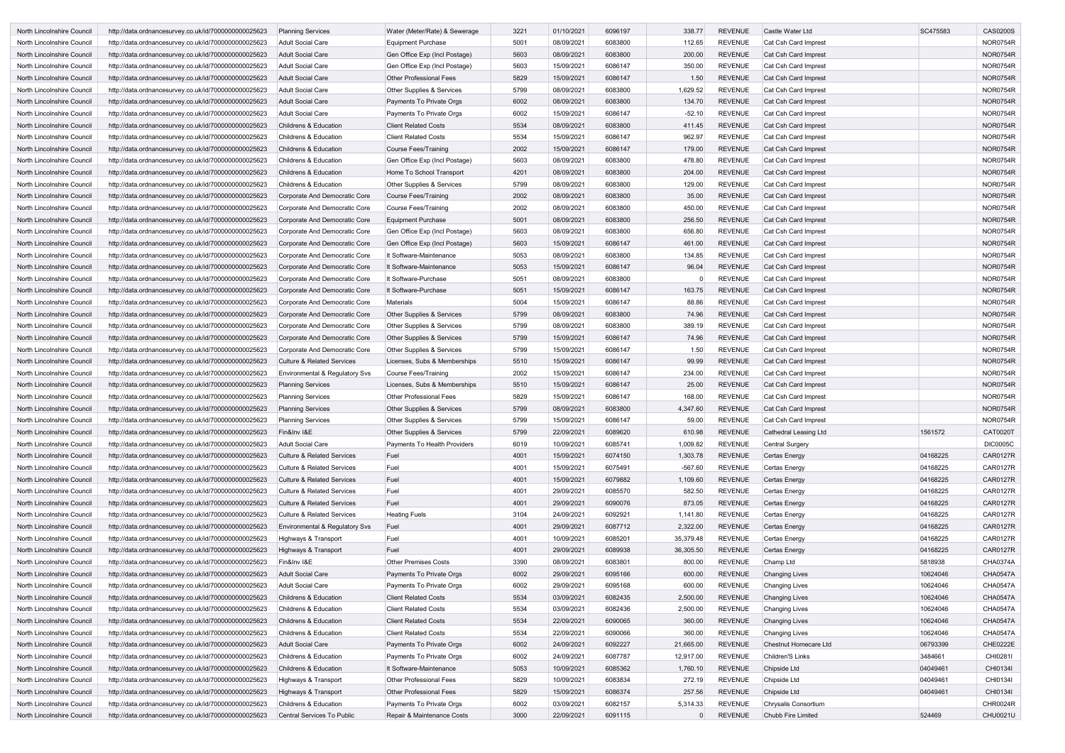| North Lincolnshire Council | http://data.ordnancesurvey.co.uk/id/7000000000025623 | <b>Planning Services</b>              | Water (Meter/Rate) & Sewerage        | 3221 | 01/10/2021 | 6096197 | 338.77    | <b>REVENUE</b> | Castle Water Ltd       | SC475583 | <b>CAS0200S</b> |
|----------------------------|------------------------------------------------------|---------------------------------------|--------------------------------------|------|------------|---------|-----------|----------------|------------------------|----------|-----------------|
| North Lincolnshire Council | http://data.ordnancesurvey.co.uk/id/7000000000025623 | <b>Adult Social Care</b>              | <b>Equipment Purchase</b>            | 5001 | 08/09/2021 | 6083800 | 112.65    | <b>REVENUE</b> | Cat Csh Card Imprest   |          | <b>NOR0754R</b> |
| North Lincolnshire Council | http://data.ordnancesurvey.co.uk/id/7000000000025623 | <b>Adult Social Care</b>              | Gen Office Exp (Incl Postage)        | 5603 | 08/09/2021 | 6083800 | 200.00    | <b>REVENUE</b> | Cat Csh Card Imprest   |          | <b>NOR0754R</b> |
| North Lincolnshire Council | http://data.ordnancesurvey.co.uk/id/7000000000025623 | <b>Adult Social Care</b>              | Gen Office Exp (Incl Postage)        | 5603 | 15/09/2021 | 6086147 | 350.00    | <b>REVENUE</b> | Cat Csh Card Imprest   |          | <b>NOR0754R</b> |
| North Lincolnshire Council | http://data.ordnancesurvey.co.uk/id/7000000000025623 | <b>Adult Social Care</b>              | <b>Other Professional Fees</b>       | 5829 | 15/09/2021 | 6086147 | 1.50      | <b>REVENUE</b> | Cat Csh Card Imprest   |          | <b>NOR0754R</b> |
| North Lincolnshire Council | http://data.ordnancesurvey.co.uk/id/7000000000025623 | <b>Adult Social Care</b>              | Other Supplies & Services            | 5799 | 08/09/2021 | 6083800 | 1,629.52  | REVENUE        | Cat Csh Card Imprest   |          | <b>NOR0754R</b> |
| North Lincolnshire Council | http://data.ordnancesurvey.co.uk/id/7000000000025623 | <b>Adult Social Care</b>              | Payments To Private Orgs             | 6002 | 08/09/2021 | 6083800 | 134.70    | <b>REVENUE</b> | Cat Csh Card Imprest   |          | <b>NOR0754R</b> |
| North Lincolnshire Council | http://data.ordnancesurvey.co.uk/id/7000000000025623 | <b>Adult Social Care</b>              | Payments To Private Orgs             | 6002 | 15/09/2021 | 6086147 | $-52.10$  | <b>REVENUE</b> | Cat Csh Card Imprest   |          | <b>NOR0754R</b> |
| North Lincolnshire Council | http://data.ordnancesurvey.co.uk/id/7000000000025623 | <b>Childrens &amp; Education</b>      | <b>Client Related Costs</b>          | 5534 | 08/09/2021 | 6083800 | 411.45    | <b>REVENUE</b> | Cat Csh Card Imprest   |          | <b>NOR0754R</b> |
| North Lincolnshire Council | http://data.ordnancesurvey.co.uk/id/7000000000025623 | <b>Childrens &amp; Education</b>      | <b>Client Related Costs</b>          | 5534 | 15/09/2021 | 6086147 | 962.97    | <b>REVENUE</b> | Cat Csh Card Imprest   |          | <b>NOR0754R</b> |
| North Lincolnshire Council | http://data.ordnancesurvey.co.uk/id/7000000000025623 | <b>Childrens &amp; Education</b>      | <b>Course Fees/Training</b>          | 2002 | 15/09/2021 | 6086147 | 179.00    | <b>REVENUE</b> | Cat Csh Card Imprest   |          | <b>NOR0754R</b> |
| North Lincolnshire Council | http://data.ordnancesurvey.co.uk/id/7000000000025623 | <b>Childrens &amp; Education</b>      | Gen Office Exp (Incl Postage)        | 5603 | 08/09/2021 | 6083800 | 478.80    | <b>REVENUE</b> | Cat Csh Card Imprest   |          | <b>NOR0754R</b> |
|                            |                                                      |                                       |                                      |      | 08/09/2021 |         |           | <b>REVENUE</b> |                        |          | <b>NOR0754R</b> |
| North Lincolnshire Council | http://data.ordnancesurvey.co.uk/id/7000000000025623 | <b>Childrens &amp; Education</b>      | Home To School Transport             | 4201 |            | 6083800 | 204.00    |                | Cat Csh Card Imprest   |          |                 |
| North Lincolnshire Council | http://data.ordnancesurvey.co.uk/id/7000000000025623 | <b>Childrens &amp; Education</b>      | Other Supplies & Services            | 5799 | 08/09/2021 | 6083800 | 129.00    | <b>REVENUE</b> | Cat Csh Card Imprest   |          | <b>NOR0754R</b> |
| North Lincolnshire Council | http://data.ordnancesurvey.co.uk/id/7000000000025623 | Corporate And Democratic Core         | Course Fees/Training                 | 2002 | 08/09/2021 | 6083800 | 35.00     | <b>REVENUE</b> | Cat Csh Card Imprest   |          | <b>NOR0754R</b> |
| North Lincolnshire Council | http://data.ordnancesurvey.co.uk/id/7000000000025623 | Corporate And Democratic Core         | Course Fees/Training                 | 2002 | 08/09/2021 | 6083800 | 450.00    | <b>REVENUE</b> | Cat Csh Card Imprest   |          | <b>NOR0754R</b> |
| North Lincolnshire Council | http://data.ordnancesurvey.co.uk/id/7000000000025623 | Corporate And Democratic Core         | <b>Equipment Purchase</b>            | 5001 | 08/09/2021 | 6083800 | 256.50    | <b>REVENUE</b> | Cat Csh Card Imprest   |          | <b>NOR0754R</b> |
| North Lincolnshire Council | http://data.ordnancesurvey.co.uk/id/7000000000025623 | Corporate And Democratic Core         | Gen Office Exp (Incl Postage)        | 5603 | 08/09/2021 | 6083800 | 656.80    | <b>REVENUE</b> | Cat Csh Card Imprest   |          | <b>NOR0754R</b> |
| North Lincolnshire Council | http://data.ordnancesurvey.co.uk/id/7000000000025623 | Corporate And Democratic Core         | Gen Office Exp (Incl Postage)        | 5603 | 15/09/2021 | 6086147 | 461.00    | <b>REVENUE</b> | Cat Csh Card Imprest   |          | <b>NOR0754R</b> |
| North Lincolnshire Council | http://data.ordnancesurvey.co.uk/id/7000000000025623 | Corporate And Democratic Core         | It Software-Maintenance              | 5053 | 08/09/2021 | 6083800 | 134.85    | <b>REVENUE</b> | Cat Csh Card Imprest   |          | <b>NOR0754R</b> |
| North Lincolnshire Council | http://data.ordnancesurvey.co.uk/id/7000000000025623 | Corporate And Democratic Core         | It Software-Maintenance              | 5053 | 15/09/2021 | 6086147 | 96.04     | REVENUE        | Cat Csh Card Imprest   |          | <b>NOR0754R</b> |
| North Lincolnshire Council | http://data.ordnancesurvey.co.uk/id/7000000000025623 | Corporate And Democratic Core         | It Software-Purchase                 | 5051 | 08/09/2021 | 6083800 |           | <b>REVENUE</b> | Cat Csh Card Imprest   |          | <b>NOR0754R</b> |
| North Lincolnshire Council | http://data.ordnancesurvey.co.uk/id/7000000000025623 | Corporate And Democratic Core         | It Software-Purchase                 | 5051 | 15/09/2021 | 6086147 | 163.75    | <b>REVENUE</b> | Cat Csh Card Imprest   |          | <b>NOR0754R</b> |
| North Lincolnshire Council | http://data.ordnancesurvey.co.uk/id/7000000000025623 | Corporate And Democratic Core         | <b>Materials</b>                     | 5004 | 15/09/2021 | 6086147 | 88.86     | REVENUE        | Cat Csh Card Imprest   |          | <b>NOR0754R</b> |
| North Lincolnshire Council | http://data.ordnancesurvey.co.uk/id/7000000000025623 | Corporate And Democratic Core         | Other Supplies & Services            | 5799 | 08/09/2021 | 6083800 | 74.96     | <b>REVENUE</b> | Cat Csh Card Imprest   |          | <b>NOR0754R</b> |
| North Lincolnshire Council | http://data.ordnancesurvey.co.uk/id/7000000000025623 | Corporate And Democratic Core         | Other Supplies & Services            | 5799 | 08/09/2021 | 6083800 | 389.19    | <b>REVENUE</b> | Cat Csh Card Imprest   |          | <b>NOR0754R</b> |
|                            |                                                      |                                       |                                      | 5799 |            | 6086147 |           | <b>REVENUE</b> |                        |          | <b>NOR0754R</b> |
| North Lincolnshire Council | http://data.ordnancesurvey.co.uk/id/7000000000025623 | Corporate And Democratic Core         | Other Supplies & Services            |      | 15/09/2021 |         | 74.96     |                | Cat Csh Card Imprest   |          |                 |
| North Lincolnshire Council | http://data.ordnancesurvey.co.uk/id/7000000000025623 | Corporate And Democratic Core         | Other Supplies & Services            | 5799 | 15/09/2021 | 6086147 | 1.50      | <b>REVENUE</b> | Cat Csh Card Imprest   |          | <b>NOR0754R</b> |
| North Lincolnshire Council | http://data.ordnancesurvey.co.uk/id/7000000000025623 | <b>Culture &amp; Related Services</b> | Licenses, Subs & Memberships         | 5510 | 15/09/2021 | 6086147 | 99.99     | <b>REVENUE</b> | Cat Csh Card Imprest   |          | <b>NOR0754R</b> |
| North Lincolnshire Council | http://data.ordnancesurvey.co.uk/id/7000000000025623 | Environmental & Regulatory Svs        | Course Fees/Training                 | 2002 | 15/09/2021 | 6086147 | 234.00    | <b>REVENUE</b> | Cat Csh Card Imprest   |          | <b>NOR0754R</b> |
| North Lincolnshire Council | http://data.ordnancesurvey.co.uk/id/7000000000025623 | <b>Planning Services</b>              | Licenses, Subs & Memberships         | 5510 | 15/09/2021 | 6086147 | 25.00     | <b>REVENUE</b> | Cat Csh Card Imprest   |          | <b>NOR0754R</b> |
| North Lincolnshire Council | http://data.ordnancesurvey.co.uk/id/7000000000025623 | <b>Planning Services</b>              | <b>Other Professional Fees</b>       | 5829 | 15/09/2021 | 6086147 | 168.00    | <b>REVENUE</b> | Cat Csh Card Imprest   |          | <b>NOR0754R</b> |
| North Lincolnshire Council | http://data.ordnancesurvey.co.uk/id/7000000000025623 | <b>Planning Services</b>              | <b>Other Supplies &amp; Services</b> | 5799 | 08/09/2021 | 6083800 | 4,347.60  | <b>REVENUE</b> | Cat Csh Card Imprest   |          | <b>NOR0754R</b> |
| North Lincolnshire Council | http://data.ordnancesurvey.co.uk/id/7000000000025623 | <b>Planning Services</b>              | <b>Other Supplies &amp; Services</b> | 5799 | 15/09/2021 | 6086147 | 59.00     | <b>REVENUE</b> | Cat Csh Card Imprest   |          | <b>NOR0754R</b> |
| North Lincolnshire Council | http://data.ordnancesurvey.co.uk/id/7000000000025623 | Fin&Inv I&E                           | Other Supplies & Services            | 5799 | 22/09/2021 | 6089620 | 610.98    | <b>REVENUE</b> | Cathedral Leasing Ltd  | 1561572  | <b>CAT0020T</b> |
| North Lincolnshire Council | http://data.ordnancesurvey.co.uk/id/7000000000025623 | <b>Adult Social Care</b>              | Payments To Health Providers         | 6019 | 10/09/2021 | 6085741 | 1,009.82  | <b>REVENUE</b> | <b>Central Surgery</b> |          | <b>DIC0005C</b> |
| North Lincolnshire Council | http://data.ordnancesurvey.co.uk/id/7000000000025623 | <b>Culture &amp; Related Services</b> | Fuel                                 | 4001 | 15/09/2021 | 6074150 | 1,303.78  | <b>REVENUE</b> | Certas Energy          | 04168225 | <b>CAR0127R</b> |
| North Lincolnshire Council | http://data.ordnancesurvey.co.uk/id/7000000000025623 | <b>Culture &amp; Related Services</b> | Fuel                                 | 4001 | 15/09/2021 | 6075491 | $-567.60$ | <b>REVENUE</b> | Certas Energy          | 04168225 | <b>CAR0127R</b> |
| North Lincolnshire Council | http://data.ordnancesurvey.co.uk/id/7000000000025623 | <b>Culture &amp; Related Services</b> | Fuel                                 | 4001 | 15/09/2021 | 6079882 | 1,109.60  | <b>REVENUE</b> | Certas Energy          | 04168225 | <b>CAR0127R</b> |
| North Lincolnshire Council | http://data.ordnancesurvey.co.uk/id/7000000000025623 | <b>Culture &amp; Related Services</b> | Fuel                                 | 4001 | 29/09/2021 | 6085570 | 582.50    | <b>REVENUE</b> | Certas Energy          | 04168225 | <b>CAR0127R</b> |
| North Lincolnshire Council | http://data.ordnancesurvey.co.uk/id/7000000000025623 | <b>Culture &amp; Related Services</b> | Fuel                                 | 4001 | 29/09/2021 | 6090076 | 873.05    | <b>REVENUE</b> | Certas Energy          | 04168225 | <b>CAR0127R</b> |
|                            |                                                      |                                       |                                      |      | 24/09/2021 | 6092921 |           | <b>REVENUE</b> |                        | 04168225 | <b>CAR0127R</b> |
| North Lincolnshire Council | http://data.ordnancesurvey.co.uk/id/7000000000025623 | <b>Culture &amp; Related Services</b> | <b>Heating Fuels</b>                 | 3104 |            |         | 1,141.80  |                | Certas Energy          |          |                 |
| North Lincolnshire Council | http://data.ordnancesurvey.co.uk/id/7000000000025623 | Environmental & Regulatory Svs        | Fuel                                 | 4001 | 29/09/2021 | 6087712 | 2,322.00  | <b>REVENUE</b> | <b>Certas Energy</b>   | 04168225 | <b>CAR0127R</b> |
| North Lincolnshire Council | http://data.ordnancesurvey.co.uk/id/7000000000025623 | Highways & Transport                  | Fuel                                 | 4001 | 10/09/2021 | 6085201 | 35,379.48 | <b>REVENUE</b> | Certas Energy          | 04168225 | <b>CAR0127R</b> |
| North Lincolnshire Council | http://data.ordnancesurvey.co.uk/id/7000000000025623 | Highways & Transport                  | Fuel                                 | 4001 | 29/09/2021 | 6089938 | 36,305.50 | <b>REVENUE</b> | Certas Energy          | 04168225 | <b>CAR0127R</b> |
| North Lincolnshire Council | http://data.ordnancesurvey.co.uk/id/7000000000025623 | Fin&Inv I&E                           | <b>Other Premises Costs</b>          | 3390 | 08/09/2021 | 6083801 | 800.00    | <b>REVENUE</b> | Champ Ltd              | 5818938  | CHA0374A        |
| North Lincolnshire Council | http://data.ordnancesurvey.co.uk/id/7000000000025623 | <b>Adult Social Care</b>              | Payments To Private Orgs             | 6002 | 29/09/2021 | 6095166 | 600.00    | <b>REVENUE</b> | <b>Changing Lives</b>  | 10624046 | <b>CHA0547A</b> |
| North Lincolnshire Council | http://data.ordnancesurvey.co.uk/id/7000000000025623 | <b>Adult Social Care</b>              | Payments To Private Orgs             | 6002 | 29/09/2021 | 6095168 | 600.00    | <b>REVENUE</b> | <b>Changing Lives</b>  | 10624046 | <b>CHA0547A</b> |
| North Lincolnshire Council | http://data.ordnancesurvey.co.uk/id/7000000000025623 | <b>Childrens &amp; Education</b>      | <b>Client Related Costs</b>          | 5534 | 03/09/2021 | 6082435 | 2,500.00  | <b>REVENUE</b> | <b>Changing Lives</b>  | 10624046 | <b>CHA0547A</b> |
| North Lincolnshire Council | http://data.ordnancesurvey.co.uk/id/7000000000025623 | Childrens & Education                 | <b>Client Related Costs</b>          | 5534 | 03/09/2021 | 6082436 | 2,500.00  | <b>REVENUE</b> | <b>Changing Lives</b>  | 10624046 | <b>CHA0547A</b> |
| North Lincolnshire Council | http://data.ordnancesurvey.co.uk/id/7000000000025623 | Childrens & Education                 | <b>Client Related Costs</b>          | 5534 | 22/09/2021 | 6090065 | 360.00    | <b>REVENUE</b> | <b>Changing Lives</b>  | 10624046 | <b>CHA0547A</b> |
| North Lincolnshire Council | http://data.ordnancesurvey.co.uk/id/7000000000025623 | Childrens & Education                 | <b>Client Related Costs</b>          | 5534 | 22/09/2021 | 6090066 | 360.00    | <b>REVENUE</b> | <b>Changing Lives</b>  | 10624046 | <b>CHA0547A</b> |
| North Lincolnshire Council | http://data.ordnancesurvey.co.uk/id/7000000000025623 | <b>Adult Social Care</b>              | Payments To Private Orgs             | 6002 | 24/09/2021 | 6092227 | 21,665.00 | <b>REVENUE</b> | Chestnut Homecare Ltd  | 06793399 | CHE0222E        |
| North Lincolnshire Council | http://data.ordnancesurvey.co.uk/id/7000000000025623 | Childrens & Education                 | Payments To Private Orgs             | 6002 | 24/09/2021 | 6087787 | 12,917.00 | <b>REVENUE</b> | Children'S Links       | 3484661  | CHI0281I        |
| North Lincolnshire Council | http://data.ordnancesurvey.co.uk/id/7000000000025623 | Childrens & Education                 | It Software-Maintenance              | 5053 | 10/09/2021 | 6085362 | 1,760.10  | <b>REVENUE</b> | Chipside Ltd           | 04049461 | CHI01341        |
|                            |                                                      |                                       | <b>Other Professional Fees</b>       | 5829 | 10/09/2021 | 6083834 | 272.19    | <b>REVENUE</b> | Chipside Ltd           | 04049461 | CHI01341        |
| North Lincolnshire Council | http://data.ordnancesurvey.co.uk/id/7000000000025623 | Highways & Transport                  |                                      |      |            |         |           |                |                        |          |                 |
| North Lincolnshire Council | http://data.ordnancesurvey.co.uk/id/7000000000025623 | Highways & Transport                  | <b>Other Professional Fees</b>       | 5829 | 15/09/2021 | 6086374 | 257.56    | <b>REVENUE</b> | Chipside Ltd           | 04049461 | CHI01341        |
| North Lincolnshire Council | http://data.ordnancesurvey.co.uk/id/7000000000025623 | Childrens & Education                 | Payments To Private Orgs             | 6002 | 03/09/2021 | 6082157 | 5,314.33  | <b>REVENUE</b> | Chrysalis Consortium   |          | CHR0024R        |
| North Lincolnshire Council | http://data.ordnancesurvey.co.uk/id/7000000000025623 | <b>Central Services To Public</b>     | Repair & Maintenance Costs           | 3000 | 22/09/2021 | 6091115 | 0         | <b>REVENUE</b> | Chubb Fire Limited     | 524469   | CHU0021U        |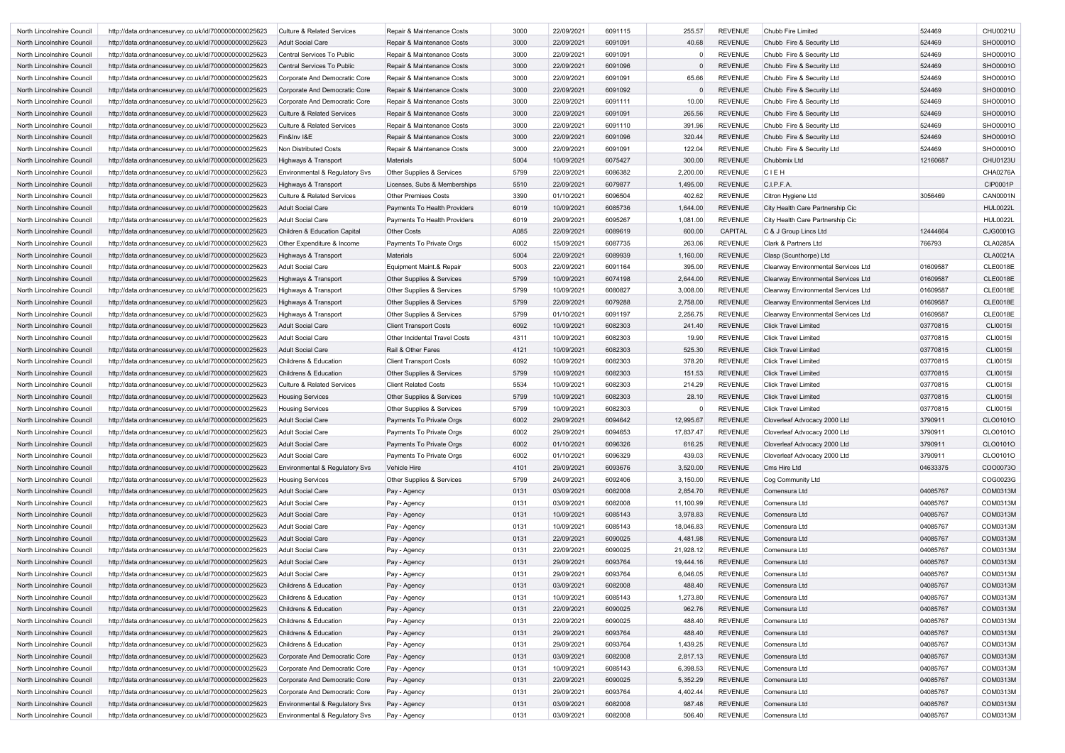| North Lincolnshire Council | http://data.ordnancesurvey.co.uk/id/7000000000025623 | <b>Culture &amp; Related Services</b>     | Repair & Maintenance Costs           | 3000 | 22/09/2021 | 6091115 | 255.57    | <b>REVENUE</b> | Chubb Fire Limited                         | 524469   | <b>CHU0021U</b> |
|----------------------------|------------------------------------------------------|-------------------------------------------|--------------------------------------|------|------------|---------|-----------|----------------|--------------------------------------------|----------|-----------------|
| North Lincolnshire Council | http://data.ordnancesurvey.co.uk/id/7000000000025623 | <b>Adult Social Care</b>                  | Repair & Maintenance Costs           | 3000 | 22/09/2021 | 6091091 | 40.68     | <b>REVENUE</b> | Chubb Fire & Security Ltd                  | 524469   | SHO0001O        |
| North Lincolnshire Council | http://data.ordnancesurvey.co.uk/id/7000000000025623 | <b>Central Services To Public</b>         | Repair & Maintenance Costs           | 3000 | 22/09/2021 | 6091091 |           | <b>REVENUE</b> | Chubb Fire & Security Ltd                  | 524469   | SHO0001O        |
| North Lincolnshire Council | http://data.ordnancesurvey.co.uk/id/7000000000025623 | Central Services To Public                | Repair & Maintenance Costs           | 3000 | 22/09/2021 | 6091096 |           | <b>REVENUE</b> | Chubb Fire & Security Ltd                  | 524469   | SHO0001O        |
| North Lincolnshire Council | http://data.ordnancesurvey.co.uk/id/7000000000025623 | Corporate And Democratic Core             | Repair & Maintenance Costs           | 3000 | 22/09/2021 | 6091091 | 65.66     | <b>REVENUE</b> | Chubb Fire & Security Ltd                  | 524469   | SHO0001O        |
| North Lincolnshire Council | http://data.ordnancesurvey.co.uk/id/7000000000025623 | Corporate And Democratic Core             | Repair & Maintenance Costs           | 3000 | 22/09/2021 | 6091092 |           | <b>REVENUE</b> | Chubb Fire & Security Ltd                  | 524469   | SHO0001O        |
| North Lincolnshire Council | http://data.ordnancesurvey.co.uk/id/7000000000025623 | Corporate And Democratic Core             | Repair & Maintenance Costs           | 3000 | 22/09/2021 | 6091111 | 10.00     | <b>REVENUE</b> | Chubb Fire & Security Ltd                  | 524469   | SHO0001O        |
| North Lincolnshire Council | http://data.ordnancesurvey.co.uk/id/7000000000025623 | <b>Culture &amp; Related Services</b>     | Repair & Maintenance Costs           | 3000 | 22/09/2021 | 6091091 | 265.56    | <b>REVENUE</b> | Chubb Fire & Security Ltd                  | 524469   | SHO0001O        |
| North Lincolnshire Council | http://data.ordnancesurvey.co.uk/id/7000000000025623 | <b>Culture &amp; Related Services</b>     | Repair & Maintenance Costs           | 3000 | 22/09/2021 | 6091110 | 391.96    | <b>REVENUE</b> | Chubb Fire & Security Ltd                  | 524469   | SHO0001O        |
| North Lincolnshire Council | http://data.ordnancesurvey.co.uk/id/7000000000025623 | Fin&Inv I&E                               | Repair & Maintenance Costs           | 3000 | 22/09/2021 | 6091096 | 320.44    | <b>REVENUE</b> | Chubb Fire & Security Ltd                  | 524469   | SHO0001O        |
| North Lincolnshire Council | http://data.ordnancesurvey.co.uk/id/7000000000025623 | Non Distributed Costs                     | Repair & Maintenance Costs           | 3000 | 22/09/2021 | 6091091 | 122.04    | <b>REVENUE</b> | Chubb Fire & Security Ltd                  | 524469   | SHO0001O        |
| North Lincolnshire Council | http://data.ordnancesurvey.co.uk/id/7000000000025623 | Highways & Transport                      | Materials                            | 5004 | 10/09/2021 | 6075427 | 300.00    | <b>REVENUE</b> | Chubbmix Ltd                               | 12160687 | <b>CHU0123U</b> |
| North Lincolnshire Council | http://data.ordnancesurvey.co.uk/id/7000000000025623 | Environmental & Regulatory Svs            | Other Supplies & Services            | 5799 | 22/09/2021 | 6086382 | 2,200.00  | <b>REVENUE</b> | CIEH                                       |          | <b>CHA0276A</b> |
| North Lincolnshire Council | http://data.ordnancesurvey.co.uk/id/7000000000025623 | Highways & Transport                      | Licenses, Subs & Memberships         | 5510 | 22/09/2021 | 6079877 | 1,495.00  | <b>REVENUE</b> | C.I.P.F.A.                                 |          | <b>CIP0001P</b> |
| North Lincolnshire Council | http://data.ordnancesurvey.co.uk/id/7000000000025623 | <b>Culture &amp; Related Services</b>     | <b>Other Premises Costs</b>          | 3390 | 01/10/2021 | 6096504 | 402.62    | <b>REVENUE</b> | Citron Hygiene Ltd                         | 3056469  | <b>CAN0001N</b> |
| North Lincolnshire Council | http://data.ordnancesurvey.co.uk/id/7000000000025623 | Adult Social Care                         | <b>Payments To Health Providers</b>  | 6019 | 10/09/2021 | 6085736 | 1,644.00  | <b>REVENUE</b> | City Health Care Partnership Cic           |          | <b>HUL0022L</b> |
| North Lincolnshire Council | http://data.ordnancesurvey.co.uk/id/7000000000025623 | <b>Adult Social Care</b>                  | Payments To Health Providers         | 6019 | 29/09/2021 | 6095267 | 1,081.00  | <b>REVENUE</b> | City Health Care Partnership Cic           |          | <b>HUL0022L</b> |
| North Lincolnshire Council | http://data.ordnancesurvey.co.uk/id/7000000000025623 | Children & Education Capital              | <b>Other Costs</b>                   | A085 | 22/09/2021 | 6089619 | 600.00    | <b>CAPITAL</b> | C & J Group Lincs Ltd                      | 12444664 | CJG0001G        |
| North Lincolnshire Council | http://data.ordnancesurvey.co.uk/id/7000000000025623 | Other Expenditure & Income                | Payments To Private Orgs             | 6002 | 15/09/2021 | 6087735 | 263.06    | <b>REVENUE</b> | Clark & Partners Ltd                       | 766793   | <b>CLA0285A</b> |
| North Lincolnshire Council | http://data.ordnancesurvey.co.uk/id/7000000000025623 | Highways & Transport                      | <b>Materials</b>                     | 5004 | 22/09/2021 | 6089939 | 1,160.00  | <b>REVENUE</b> | Clasp (Scunthorpe) Ltd                     |          | <b>CLA0021A</b> |
| North Lincolnshire Council | http://data.ordnancesurvey.co.uk/id/7000000000025623 | Adult Social Care                         | Equipment Maint.& Repair             | 5003 | 22/09/2021 | 6091164 | 395.00    | <b>REVENUE</b> | <b>Clearway Environmental Services Ltd</b> | 01609587 | <b>CLE0018E</b> |
| North Lincolnshire Council | http://data.ordnancesurvey.co.uk/id/7000000000025623 | Highways & Transport                      | Other Supplies & Services            | 5799 | 10/09/2021 | 6074198 | 2,644.00  | <b>REVENUE</b> | <b>Clearway Environmental Services Ltd</b> | 01609587 | <b>CLE0018E</b> |
| North Lincolnshire Council | http://data.ordnancesurvey.co.uk/id/7000000000025623 | Highways & Transport                      | Other Supplies & Services            | 5799 | 10/09/2021 | 6080827 | 3,008.00  | <b>REVENUE</b> | <b>Clearway Environmental Services Ltd</b> | 01609587 | <b>CLE0018E</b> |
| North Lincolnshire Council | http://data.ordnancesurvey.co.uk/id/7000000000025623 | Highways & Transport                      | Other Supplies & Services            | 5799 | 22/09/2021 | 6079288 | 2,758.00  | <b>REVENUE</b> | <b>Clearway Environmental Services Ltd</b> | 01609587 | <b>CLE0018E</b> |
| North Lincolnshire Council | http://data.ordnancesurvey.co.uk/id/7000000000025623 | Highways & Transport                      | Other Supplies & Services            | 5799 | 01/10/2021 | 6091197 | 2,256.75  | <b>REVENUE</b> | <b>Clearway Environmental Services Ltd</b> | 01609587 | <b>CLE0018E</b> |
| North Lincolnshire Council | http://data.ordnancesurvey.co.uk/id/7000000000025623 | Adult Social Care                         | <b>Client Transport Costs</b>        | 6092 | 10/09/2021 | 6082303 | 241.40    | <b>REVENUE</b> | <b>Click Travel Limited</b>                | 03770815 | <b>CLI0015I</b> |
| North Lincolnshire Council | http://data.ordnancesurvey.co.uk/id/7000000000025623 | Adult Social Care                         | <b>Other Incidental Travel Costs</b> | 4311 | 10/09/2021 | 6082303 | 19.90     | <b>REVENUE</b> | <b>Click Travel Limited</b>                | 03770815 | <b>CLI0015I</b> |
| North Lincolnshire Council | http://data.ordnancesurvey.co.uk/id/7000000000025623 | <b>Adult Social Care</b>                  | Rail & Other Fares                   | 4121 | 10/09/2021 | 6082303 | 525.30    | <b>REVENUE</b> | <b>Click Travel Limited</b>                | 03770815 | <b>CLI0015I</b> |
| North Lincolnshire Council | http://data.ordnancesurvey.co.uk/id/7000000000025623 | Childrens & Education                     | <b>Client Transport Costs</b>        | 6092 | 10/09/2021 | 6082303 | 378.20    | <b>REVENUE</b> | <b>Click Travel Limited</b>                | 03770815 | <b>CLI0015I</b> |
| North Lincolnshire Council | http://data.ordnancesurvey.co.uk/id/7000000000025623 | <b>Childrens &amp; Education</b>          | <b>Other Supplies &amp; Services</b> | 5799 | 10/09/2021 | 6082303 | 151.53    | <b>REVENUE</b> | <b>Click Travel Limited</b>                | 03770815 | <b>CLI0015I</b> |
| North Lincolnshire Council | http://data.ordnancesurvey.co.uk/id/7000000000025623 | <b>Culture &amp; Related Services</b>     | <b>Client Related Costs</b>          | 5534 | 10/09/2021 | 6082303 | 214.29    | <b>REVENUE</b> | <b>Click Travel Limited</b>                | 03770815 | <b>CLI0015I</b> |
| North Lincolnshire Council | http://data.ordnancesurvey.co.uk/id/7000000000025623 | <b>Housing Services</b>                   | Other Supplies & Services            | 5799 | 10/09/2021 | 6082303 | 28.10     | <b>REVENUE</b> | <b>Click Travel Limited</b>                | 03770815 | <b>CLI0015I</b> |
| North Lincolnshire Council | http://data.ordnancesurvey.co.uk/id/7000000000025623 | <b>Housing Services</b>                   | <b>Other Supplies &amp; Services</b> | 5799 | 10/09/2021 | 6082303 |           | <b>REVENUE</b> | <b>Click Travel Limited</b>                | 03770815 | <b>CLI0015I</b> |
| North Lincolnshire Council | http://data.ordnancesurvey.co.uk/id/7000000000025623 | Adult Social Care                         | Payments To Private Orgs             | 6002 | 29/09/2021 | 6094642 | 12,995.67 | <b>REVENUE</b> | Cloverleaf Advocacy 2000 Ltd               | 3790911  | CLO0101O        |
| North Lincolnshire Council | http://data.ordnancesurvey.co.uk/id/7000000000025623 | Adult Social Care                         | Payments To Private Orgs             | 6002 | 29/09/2021 | 6094653 | 17,837.47 | REVENUE        | Cloverleaf Advocacy 2000 Ltd               | 3790911  | CLO0101O        |
| North Lincolnshire Council | http://data.ordnancesurvey.co.uk/id/7000000000025623 | Adult Social Care                         | Payments To Private Orgs             | 6002 | 01/10/2021 | 6096326 | 616.25    | <b>REVENUE</b> | Cloverleaf Advocacy 2000 Ltd               | 3790911  | CLO0101O        |
| North Lincolnshire Council | http://data.ordnancesurvey.co.uk/id/7000000000025623 | <b>Adult Social Care</b>                  | Payments To Private Orgs             | 6002 | 01/10/2021 | 6096329 | 439.03    | <b>REVENUE</b> | Cloverleaf Advocacy 2000 Ltd               | 3790911  | CLO0101O        |
| North Lincolnshire Council | http://data.ordnancesurvey.co.uk/id/7000000000025623 | <b>Environmental &amp; Regulatory Svs</b> | Vehicle Hire                         | 4101 | 29/09/2021 | 6093676 | 3,520.00  | <b>REVENUE</b> | Cms Hire Ltd                               | 04633375 | CO000730        |
| North Lincolnshire Council | http://data.ordnancesurvey.co.uk/id/7000000000025623 | <b>Housing Services</b>                   | Other Supplies & Services            | 5799 | 24/09/2021 | 6092406 | 3,150.00  | <b>REVENUE</b> | Cog Community Ltd                          |          | COG0023G        |
| North Lincolnshire Council | http://data.ordnancesurvey.co.uk/id/7000000000025623 | <b>Adult Social Care</b>                  | Pay - Agency                         | 0131 | 03/09/2021 | 6082008 | 2,854.70  | <b>REVENUE</b> | Comensura Ltd                              | 04085767 | COM0313M        |
| North Lincolnshire Council | http://data.ordnancesurvey.co.uk/id/7000000000025623 | Adult Social Care                         | Pay - Agency                         | 0131 | 03/09/2021 | 6082008 | 11,100.99 | <b>REVENUE</b> | Comensura Ltd                              | 04085767 | COM0313M        |
| North Lincolnshire Council | http://data.ordnancesurvey.co.uk/id/7000000000025623 | <b>Adult Social Care</b>                  | Pay - Agency                         | 0131 | 10/09/2021 | 6085143 | 3,978.83  | <b>REVENUE</b> | Comensura Ltd                              | 04085767 | COM0313M        |
| North Lincolnshire Council | http://data.ordnancesurvey.co.uk/id/7000000000025623 | <b>Adult Social Care</b>                  | Pay - Agency                         | 0131 | 10/09/2021 | 6085143 | 18,046.83 | <b>REVENUE</b> | Comensura Ltd                              | 04085767 | COM0313M        |
| North Lincolnshire Council | http://data.ordnancesurvey.co.uk/id/7000000000025623 | <b>Adult Social Care</b>                  | Pay - Agency                         | 0131 | 22/09/2021 | 6090025 | 4,481.98  | <b>REVENUE</b> | Comensura Ltd                              | 04085767 | COM0313M        |
| North Lincolnshire Council | http://data.ordnancesurvey.co.uk/id/7000000000025623 | <b>Adult Social Care</b>                  | Pay - Agency                         | 0131 | 22/09/2021 | 6090025 | 21,928.12 | <b>REVENUE</b> | Comensura Ltd                              | 04085767 | COM0313M        |
| North Lincolnshire Council | http://data.ordnancesurvey.co.uk/id/7000000000025623 | <b>Adult Social Care</b>                  | Pay - Agency                         | 0131 | 29/09/2021 | 6093764 | 19,444.16 | <b>REVENUE</b> | Comensura Ltd                              | 04085767 | COM0313M        |
| North Lincolnshire Council | http://data.ordnancesurvey.co.uk/id/7000000000025623 | <b>Adult Social Care</b>                  | Pay - Agency                         | 0131 | 29/09/2021 | 6093764 | 6,046.05  | <b>REVENUE</b> | Comensura Ltd                              | 04085767 | COM0313M        |
| North Lincolnshire Council | http://data.ordnancesurvey.co.uk/id/7000000000025623 | Childrens & Education                     | Pay - Agency                         | 0131 | 03/09/2021 | 6082008 | 488.40    | <b>REVENUE</b> | Comensura Ltd                              | 04085767 | COM0313M        |
| North Lincolnshire Council | http://data.ordnancesurvey.co.uk/id/7000000000025623 | Childrens & Education                     | Pay - Agency                         | 0131 | 10/09/2021 | 6085143 | 1,273.80  | <b>REVENUE</b> | Comensura Ltd                              | 04085767 | COM0313M        |
| North Lincolnshire Council | http://data.ordnancesurvey.co.uk/id/7000000000025623 | Childrens & Education                     | Pay - Agency                         | 0131 | 22/09/2021 | 6090025 | 962.76    | <b>REVENUE</b> | Comensura Ltd                              | 04085767 | COM0313M        |
| North Lincolnshire Council | http://data.ordnancesurvey.co.uk/id/7000000000025623 | Childrens & Education                     | Pay - Agency                         | 0131 | 22/09/2021 | 6090025 | 488.40    | <b>REVENUE</b> | Comensura Ltd                              | 04085767 | COM0313M        |
| North Lincolnshire Council | http://data.ordnancesurvey.co.uk/id/7000000000025623 | Childrens & Education                     | Pay - Agency                         | 0131 | 29/09/2021 | 6093764 | 488.40    | <b>REVENUE</b> | Comensura Ltd                              | 04085767 | COM0313M        |
| North Lincolnshire Council | http://data.ordnancesurvey.co.uk/id/7000000000025623 | Childrens & Education                     | Pay - Agency                         | 0131 | 29/09/2021 | 6093764 | 1,439.25  | <b>REVENUE</b> | Comensura Ltd                              | 04085767 | COM0313M        |
| North Lincolnshire Council | http://data.ordnancesurvey.co.uk/id/7000000000025623 | Corporate And Democratic Core             | Pay - Agency                         | 0131 | 03/09/2021 | 6082008 | 2,817.13  | <b>REVENUE</b> | Comensura Ltd                              | 04085767 | COM0313M        |
| North Lincolnshire Council | http://data.ordnancesurvey.co.uk/id/7000000000025623 | Corporate And Democratic Core             | Pay - Agency                         | 0131 | 10/09/2021 | 6085143 | 6,398.53  | <b>REVENUE</b> | Comensura Ltd                              | 04085767 | COM0313M        |
| North Lincolnshire Council | http://data.ordnancesurvey.co.uk/id/7000000000025623 | Corporate And Democratic Core             | Pay - Agency                         | 0131 | 22/09/2021 | 6090025 | 5,352.29  | <b>REVENUE</b> | Comensura Ltd                              | 04085767 | COM0313M        |
| North Lincolnshire Council | http://data.ordnancesurvey.co.uk/id/7000000000025623 | Corporate And Democratic Core             | Pay - Agency                         | 0131 | 29/09/2021 | 6093764 | 4,402.44  | <b>REVENUE</b> | Comensura Ltd                              | 04085767 | COM0313M        |
| North Lincolnshire Council | http://data.ordnancesurvey.co.uk/id/7000000000025623 | <b>Environmental &amp; Regulatory Svs</b> | Pay - Agency                         | 0131 | 03/09/2021 | 6082008 | 987.48    | <b>REVENUE</b> | Comensura Ltd                              | 04085767 | COM0313M        |
| North Lincolnshire Council | http://data.ordnancesurvey.co.uk/id/7000000000025623 | Environmental & Regulatory Svs            | Pay - Agency                         | 0131 | 03/09/2021 | 6082008 | 506.40    | <b>REVENUE</b> | Comensura Ltd                              | 04085767 | COM0313M        |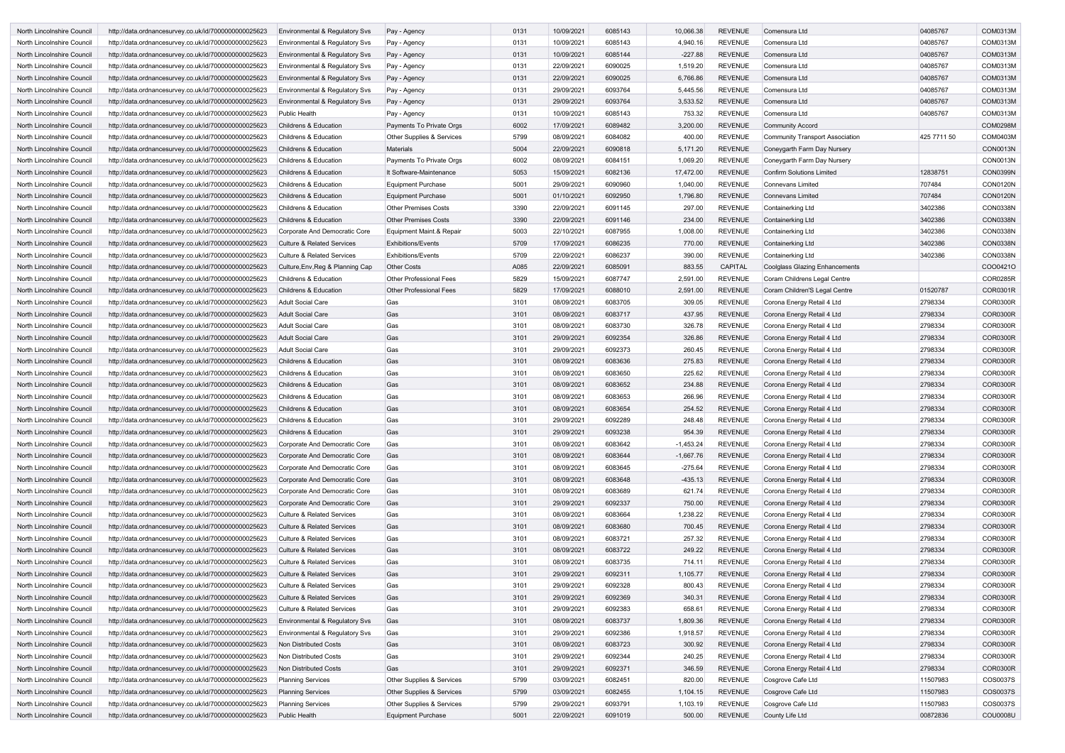| North Lincolnshire Council | http://data.ordnancesurvey.co.uk/id/7000000000025623 | Environmental & Regulatory Svs            | Pay - Agency                   | 0131 | 10/09/2021 | 6085143 | 10,066.38   | <b>REVENUE</b> | Comensura Ltd                          | 04085767    | COM0313M        |
|----------------------------|------------------------------------------------------|-------------------------------------------|--------------------------------|------|------------|---------|-------------|----------------|----------------------------------------|-------------|-----------------|
| North Lincolnshire Council | http://data.ordnancesurvey.co.uk/id/7000000000025623 | Environmental & Regulatory Svs            | Pay - Agency                   | 0131 | 10/09/2021 | 6085143 | 4,940.16    | <b>REVENUE</b> | Comensura Ltd                          | 04085767    | COM0313M        |
| North Lincolnshire Council | http://data.ordnancesurvey.co.uk/id/7000000000025623 | Environmental & Regulatory Svs            | Pay - Agency                   | 0131 | 10/09/2021 | 6085144 | $-227.88$   | <b>REVENUE</b> | Comensura Ltd                          | 04085767    | COM0313M        |
| North Lincolnshire Council | http://data.ordnancesurvey.co.uk/id/7000000000025623 | <b>Environmental &amp; Regulatory Svs</b> | Pay - Agency                   | 0131 | 22/09/2021 | 6090025 | 1,519.20    | <b>REVENUE</b> | Comensura Ltd                          | 04085767    | COM0313M        |
| North Lincolnshire Council | http://data.ordnancesurvey.co.uk/id/7000000000025623 | Environmental & Regulatory Svs            | Pay - Agency                   | 0131 | 22/09/2021 | 6090025 | 6,766.86    | <b>REVENUE</b> | Comensura Ltd                          | 04085767    | COM0313M        |
| North Lincolnshire Council | http://data.ordnancesurvey.co.uk/id/7000000000025623 | Environmental & Regulatory Svs            | Pay - Agency                   | 0131 | 29/09/2021 | 6093764 | 5,445.56    | <b>REVENUE</b> | Comensura Ltd                          | 04085767    | COM0313M        |
| North Lincolnshire Council | http://data.ordnancesurvey.co.uk/id/7000000000025623 | Environmental & Regulatory Svs            | Pay - Agency                   | 0131 | 29/09/2021 | 6093764 | 3,533.52    | <b>REVENUE</b> | Comensura Ltd                          | 04085767    | COM0313M        |
| North Lincolnshire Council | http://data.ordnancesurvey.co.uk/id/7000000000025623 | <b>Public Health</b>                      | Pay - Agency                   | 0131 | 10/09/2021 | 6085143 | 753.32      | <b>REVENUE</b> | Comensura Ltd                          | 04085767    | COM0313M        |
| North Lincolnshire Council | http://data.ordnancesurvey.co.uk/id/7000000000025623 | Childrens & Education                     | Payments To Private Orgs       | 6002 | 17/09/2021 | 6089482 | 3,200.00    | <b>REVENUE</b> | <b>Community Accord</b>                |             | <b>COM0298M</b> |
| North Lincolnshire Council | http://data.ordnancesurvey.co.uk/id/7000000000025623 | <b>Childrens &amp; Education</b>          | Other Supplies & Services      | 5799 | 08/09/2021 | 6084082 | 400.00      | <b>REVENUE</b> | <b>Community Transport Association</b> | 425 7711 50 | COM0403M        |
|                            | http://data.ordnancesurvey.co.uk/id/7000000000025623 | <b>Childrens &amp; Education</b>          | Materials                      | 5004 | 22/09/2021 | 6090818 | 5,171.20    | <b>REVENUE</b> |                                        |             | <b>CON0013N</b> |
| North Lincolnshire Council |                                                      |                                           |                                |      |            |         |             |                | Coneygarth Farm Day Nursery            |             |                 |
| North Lincolnshire Council | http://data.ordnancesurvey.co.uk/id/7000000000025623 | Childrens & Education                     | Payments To Private Orgs       | 6002 | 08/09/2021 | 6084151 | 1,069.20    | <b>REVENUE</b> | Coneygarth Farm Day Nursery            |             | CON0013N        |
| North Lincolnshire Council | http://data.ordnancesurvey.co.uk/id/7000000000025623 | <b>Childrens &amp; Education</b>          | It Software-Maintenance        | 5053 | 15/09/2021 | 6082136 | 17,472.00   | <b>REVENUE</b> | <b>Confirm Solutions Limited</b>       | 12838751    | <b>CON0399N</b> |
| North Lincolnshire Council | http://data.ordnancesurvey.co.uk/id/7000000000025623 | <b>Childrens &amp; Education</b>          | <b>Equipment Purchase</b>      | 5001 | 29/09/2021 | 6090960 | 1,040.00    | <b>REVENUE</b> | <b>Connevans Limited</b>               | 707484      | <b>CON0120N</b> |
| North Lincolnshire Council | http://data.ordnancesurvey.co.uk/id/7000000000025623 | <b>Childrens &amp; Education</b>          | <b>Equipment Purchase</b>      | 5001 | 01/10/2021 | 6092950 | 1,796.80    | <b>REVENUE</b> | <b>Connevans Limited</b>               | 707484      | <b>CON0120N</b> |
| North Lincolnshire Council | http://data.ordnancesurvey.co.uk/id/7000000000025623 | <b>Childrens &amp; Education</b>          | <b>Other Premises Costs</b>    | 3390 | 22/09/2021 | 6091145 | 297.00      | <b>REVENUE</b> | Containerking Ltd                      | 3402386     | <b>CON0338N</b> |
| North Lincolnshire Council | http://data.ordnancesurvey.co.uk/id/7000000000025623 | Childrens & Education                     | <b>Other Premises Costs</b>    | 3390 | 22/09/2021 | 6091146 | 234.00      | <b>REVENUE</b> | Containerking Ltd                      | 3402386     | <b>CON0338N</b> |
| North Lincolnshire Council | http://data.ordnancesurvey.co.uk/id/7000000000025623 | Corporate And Democratic Core             | Equipment Maint.& Repair       | 5003 | 22/10/2021 | 6087955 | 1,008.00    | <b>REVENUE</b> | Containerking Ltd                      | 3402386     | <b>CON0338N</b> |
| North Lincolnshire Council | http://data.ordnancesurvey.co.uk/id/7000000000025623 | <b>Culture &amp; Related Services</b>     | <b>Exhibitions/Events</b>      | 5709 | 17/09/2021 | 6086235 | 770.00      | <b>REVENUE</b> | Containerking Ltd                      | 3402386     | <b>CON0338N</b> |
| North Lincolnshire Council | http://data.ordnancesurvey.co.uk/id/7000000000025623 | <b>Culture &amp; Related Services</b>     | <b>Exhibitions/Events</b>      | 5709 | 22/09/2021 | 6086237 | 390.00      | <b>REVENUE</b> | Containerking Ltd                      | 3402386     | <b>CON0338N</b> |
| North Lincolnshire Council | http://data.ordnancesurvey.co.uk/id/7000000000025623 | Culture, Env, Reg & Planning Cap          | <b>Other Costs</b>             | A085 | 22/09/2021 | 6085091 | 883.55      | CAPITAL        | <b>Coolglass Glazing Enhancements</b>  |             | COO0421C        |
| North Lincolnshire Council | http://data.ordnancesurvey.co.uk/id/7000000000025623 | Childrens & Education                     | <b>Other Professional Fees</b> | 5829 | 15/09/2021 | 6087747 | 2,591.00    | <b>REVENUE</b> | Coram Childrens Legal Centre           |             | <b>COR0285R</b> |
| North Lincolnshire Council | http://data.ordnancesurvey.co.uk/id/7000000000025623 | Childrens & Education                     | <b>Other Professional Fees</b> | 5829 | 17/09/2021 | 6088010 | 2,591.00    | <b>REVENUE</b> | Coram Children'S Legal Centre          | 01520787    | COR0301R        |
| North Lincolnshire Council | http://data.ordnancesurvey.co.uk/id/7000000000025623 | <b>Adult Social Care</b>                  | Gas                            | 3101 | 08/09/2021 | 6083705 | 309.05      | <b>REVENUE</b> | Corona Energy Retail 4 Ltd             | 2798334     | <b>COR0300R</b> |
| North Lincolnshire Council | http://data.ordnancesurvey.co.uk/id/7000000000025623 | <b>Adult Social Care</b>                  | Gas                            | 3101 | 08/09/2021 | 6083717 | 437.95      | <b>REVENUE</b> | Corona Energy Retail 4 Ltd             | 2798334     | <b>COR0300R</b> |
| North Lincolnshire Council | http://data.ordnancesurvey.co.uk/id/7000000000025623 | <b>Adult Social Care</b>                  | Gas                            | 3101 | 08/09/2021 | 6083730 | 326.78      | <b>REVENUE</b> | Corona Energy Retail 4 Ltd             | 2798334     | <b>COR0300R</b> |
| North Lincolnshire Council | http://data.ordnancesurvey.co.uk/id/7000000000025623 | <b>Adult Social Care</b>                  | Gas                            | 3101 | 29/09/2021 | 6092354 | 326.86      | <b>REVENUE</b> | Corona Energy Retail 4 Ltd             | 2798334     | <b>COR0300R</b> |
| North Lincolnshire Council | http://data.ordnancesurvey.co.uk/id/7000000000025623 | <b>Adult Social Care</b>                  | Gas                            | 3101 | 29/09/2021 | 6092373 | 260.45      | <b>REVENUE</b> | Corona Energy Retail 4 Ltd             | 2798334     | <b>COR0300R</b> |
| North Lincolnshire Council | http://data.ordnancesurvey.co.uk/id/7000000000025623 | <b>Childrens &amp; Education</b>          | Gas                            | 3101 | 08/09/2021 | 6083636 | 275.83      | <b>REVENUE</b> | Corona Energy Retail 4 Ltd             | 2798334     | <b>COR0300R</b> |
| North Lincolnshire Council | http://data.ordnancesurvey.co.uk/id/7000000000025623 | <b>Childrens &amp; Education</b>          | Gas                            | 3101 | 08/09/2021 | 6083650 | 225.62      | <b>REVENUE</b> | Corona Energy Retail 4 Ltd             | 2798334     | <b>COR0300R</b> |
| North Lincolnshire Council | http://data.ordnancesurvey.co.uk/id/7000000000025623 | <b>Childrens &amp; Education</b>          | Gas                            | 3101 | 08/09/2021 | 6083652 | 234.88      | <b>REVENUE</b> | Corona Energy Retail 4 Ltd             | 2798334     | <b>COR0300R</b> |
| North Lincolnshire Council | http://data.ordnancesurvey.co.uk/id/7000000000025623 | Childrens & Education                     | Gas                            | 3101 | 08/09/2021 | 6083653 | 266.96      | <b>REVENUE</b> | Corona Energy Retail 4 Ltd             | 2798334     | <b>COR0300R</b> |
|                            |                                                      |                                           |                                | 3101 | 08/09/2021 | 6083654 | 254.52      | <b>REVENUE</b> | Corona Energy Retail 4 Ltd             | 2798334     | <b>COR0300R</b> |
| North Lincolnshire Council | http://data.ordnancesurvey.co.uk/id/7000000000025623 | <b>Childrens &amp; Education</b>          | Gas                            |      |            |         |             |                |                                        |             |                 |
| North Lincolnshire Council | http://data.ordnancesurvey.co.uk/id/7000000000025623 | Childrens & Education                     | Gas                            | 3101 | 29/09/2021 | 6092289 | 248.48      | <b>REVENUE</b> | Corona Energy Retail 4 Ltd             | 2798334     | COR0300R        |
| North Lincolnshire Council | http://data.ordnancesurvey.co.uk/id/7000000000025623 | Childrens & Education                     | Gas                            | 3101 | 29/09/2021 | 6093238 | 954.39      | <b>REVENUE</b> | Corona Energy Retail 4 Ltd             | 2798334     | <b>COR0300R</b> |
| North Lincolnshire Council | http://data.ordnancesurvey.co.uk/id/7000000000025623 | Corporate And Democratic Core             | Gas                            | 3101 | 08/09/2021 | 6083642 | $-1,453.24$ | <b>REVENUE</b> | Corona Energy Retail 4 Ltd             | 2798334     | <b>COR0300R</b> |
| North Lincolnshire Council | http://data.ordnancesurvey.co.uk/id/7000000000025623 | Corporate And Democratic Core             | Gas                            | 3101 | 08/09/2021 | 6083644 | $-1,667.76$ | <b>REVENUE</b> | Corona Energy Retail 4 Ltd             | 2798334     | <b>COR0300R</b> |
| North Lincolnshire Council | http://data.ordnancesurvey.co.uk/id/7000000000025623 | Corporate And Democratic Core             | Gas                            | 3101 | 08/09/2021 | 6083645 | $-275.64$   | <b>REVENUE</b> | Corona Energy Retail 4 Ltd             | 2798334     | <b>COR0300R</b> |
| North Lincolnshire Council | http://data.ordnancesurvey.co.uk/id/7000000000025623 | Corporate And Democratic Core             | Gas                            | 3101 | 08/09/2021 | 6083648 | $-435.13$   | <b>REVENUE</b> | Corona Energy Retail 4 Ltd             | 2798334     | <b>COR0300R</b> |
| North Lincolnshire Council | http://data.ordnancesurvey.co.uk/id/7000000000025623 | Corporate And Democratic Core             | Gas                            | 3101 | 08/09/2021 | 6083689 | 621.74      | <b>REVENUE</b> | Corona Energy Retail 4 Ltd             | 2798334     | <b>COR0300R</b> |
| North Lincolnshire Council | http://data.ordnancesurvey.co.uk/id/7000000000025623 | Corporate And Democratic Core             | Gas                            | 3101 | 29/09/2021 | 6092337 | 750.00      | <b>REVENUE</b> | Corona Energy Retail 4 Ltd             | 2798334     | <b>COR0300R</b> |
| North Lincolnshire Council | http://data.ordnancesurvey.co.uk/id/7000000000025623 | <b>Culture &amp; Related Services</b>     | Gas                            | 3101 | 08/09/2021 | 6083664 | 1,238.22    | <b>REVENUE</b> | Corona Energy Retail 4 Ltd             | 2798334     | <b>COR0300R</b> |
| North Lincolnshire Council | http://data.ordnancesurvey.co.uk/id/7000000000025623 | <b>Culture &amp; Related Services</b>     | Gas                            | 3101 | 08/09/2021 | 6083680 | 700.45      | <b>REVENUE</b> | Corona Energy Retail 4 Ltd             | 2798334     | <b>COR0300R</b> |
| North Lincolnshire Council | http://data.ordnancesurvey.co.uk/id/7000000000025623 | <b>Culture &amp; Related Services</b>     | Gas                            | 3101 | 08/09/2021 | 6083721 | 257.32      | <b>REVENUE</b> | Corona Energy Retail 4 Ltd             | 2798334     | <b>COR0300R</b> |
| North Lincolnshire Council | http://data.ordnancesurvey.co.uk/id/7000000000025623 | <b>Culture &amp; Related Services</b>     | Gas                            | 3101 | 08/09/2021 | 6083722 | 249.22      | <b>REVENUE</b> | Corona Energy Retail 4 Ltd             | 2798334     | <b>COR0300R</b> |
| North Lincolnshire Council | http://data.ordnancesurvey.co.uk/id/7000000000025623 | <b>Culture &amp; Related Services</b>     | Gas                            | 3101 | 08/09/2021 | 6083735 | 714.11      | <b>REVENUE</b> | Corona Energy Retail 4 Ltd             | 2798334     | <b>COR0300R</b> |
| North Lincolnshire Council | http://data.ordnancesurvey.co.uk/id/7000000000025623 | <b>Culture &amp; Related Services</b>     | Gas                            | 3101 | 29/09/2021 | 6092311 | 1,105.77    | <b>REVENUE</b> | Corona Energy Retail 4 Ltd             | 2798334     | <b>COR0300R</b> |
| North Lincolnshire Council | http://data.ordnancesurvey.co.uk/id/7000000000025623 | <b>Culture &amp; Related Services</b>     | Gas                            | 3101 | 29/09/2021 | 6092328 | 800.43      | <b>REVENUE</b> | Corona Energy Retail 4 Ltd             | 2798334     | <b>COR0300R</b> |
| North Lincolnshire Council | http://data.ordnancesurvey.co.uk/id/7000000000025623 | <b>Culture &amp; Related Services</b>     | Gas                            | 3101 | 29/09/2021 | 6092369 | 340.31      | <b>REVENUE</b> | Corona Energy Retail 4 Ltd             | 2798334     | <b>COR0300R</b> |
| North Lincolnshire Council | http://data.ordnancesurvey.co.uk/id/7000000000025623 | <b>Culture &amp; Related Services</b>     | Gas                            | 3101 | 29/09/2021 | 6092383 | 658.61      | <b>REVENUE</b> | Corona Energy Retail 4 Ltd             | 2798334     | <b>COR0300R</b> |
| North Lincolnshire Council | http://data.ordnancesurvey.co.uk/id/7000000000025623 | Environmental & Regulatory Svs            | Gas                            | 3101 | 08/09/2021 | 6083737 | 1,809.36    | <b>REVENUE</b> | Corona Energy Retail 4 Ltd             | 2798334     | <b>COR0300R</b> |
| North Lincolnshire Council | http://data.ordnancesurvey.co.uk/id/7000000000025623 | Environmental & Regulatory Svs            | Gas                            | 3101 | 29/09/2021 | 6092386 | 1,918.57    | <b>REVENUE</b> | Corona Energy Retail 4 Ltd             | 2798334     | <b>COR0300R</b> |
| North Lincolnshire Council | http://data.ordnancesurvey.co.uk/id/7000000000025623 | Non Distributed Costs                     | Gas                            | 3101 | 08/09/2021 | 6083723 | 300.92      | <b>REVENUE</b> | Corona Energy Retail 4 Ltd             | 2798334     | <b>COR0300R</b> |
| North Lincolnshire Council | http://data.ordnancesurvey.co.uk/id/7000000000025623 | Non Distributed Costs                     | Gas                            | 3101 | 29/09/2021 | 6092344 | 240.25      | <b>REVENUE</b> | Corona Energy Retail 4 Ltd             | 2798334     | <b>COR0300R</b> |
|                            |                                                      | Non Distributed Costs                     | Gas                            | 3101 | 29/09/2021 | 6092371 | 346.59      | <b>REVENUE</b> | Corona Energy Retail 4 Ltd             | 2798334     | <b>COR0300R</b> |
| North Lincolnshire Council | http://data.ordnancesurvey.co.uk/id/7000000000025623 |                                           |                                |      |            |         |             |                |                                        |             |                 |
| North Lincolnshire Council | http://data.ordnancesurvey.co.uk/id/7000000000025623 | <b>Planning Services</b>                  | Other Supplies & Services      | 5799 | 03/09/2021 | 6082451 | 820.00      | <b>REVENUE</b> | Cosgrove Cafe Ltd                      | 11507983    | COS0037S        |
| North Lincolnshire Council | http://data.ordnancesurvey.co.uk/id/7000000000025623 | <b>Planning Services</b>                  | Other Supplies & Services      | 5799 | 03/09/2021 | 6082455 | 1,104.15    | <b>REVENUE</b> | Cosgrove Cafe Ltd                      | 11507983    | COS0037S        |
| North Lincolnshire Council | http://data.ordnancesurvey.co.uk/id/7000000000025623 | <b>Planning Services</b>                  | Other Supplies & Services      | 5799 | 29/09/2021 | 6093791 | 1,103.19    | <b>REVENUE</b> | Cosgrove Cafe Ltd                      | 11507983    | COS0037S        |
| North Lincolnshire Council | http://data.ordnancesurvey.co.uk/id/7000000000025623 | <b>Public Health</b>                      | Equipment Purchase             | 5001 | 22/09/2021 | 6091019 | 500.00      | <b>REVENUE</b> | County Life Ltd                        | 00872836    | <b>COU0008U</b> |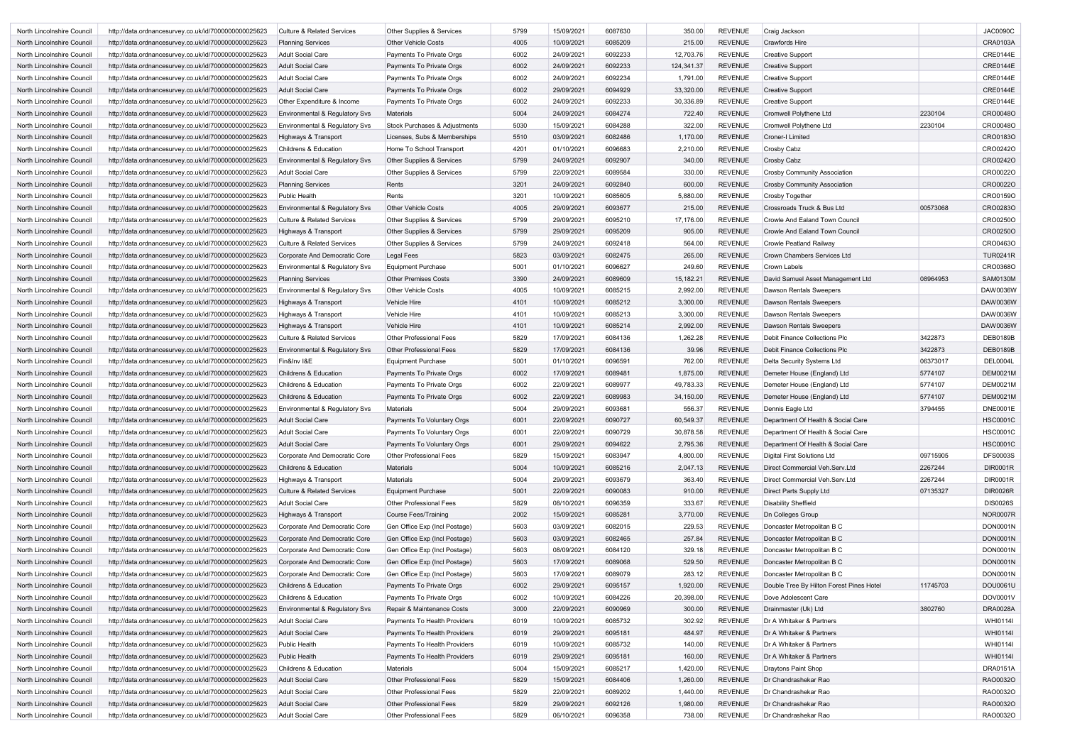| North Lincolnshire Council        | http://data.ordnancesurvey.co.uk/id/7000000000025623 | <b>Culture &amp; Related Services</b>     | Other Supplies & Services            | 5799 | 15/09/2021 | 6087630 | 350.00     | <b>REVENUE</b> | Craig Jackson                            |          | <b>JAC0090C</b> |
|-----------------------------------|------------------------------------------------------|-------------------------------------------|--------------------------------------|------|------------|---------|------------|----------------|------------------------------------------|----------|-----------------|
| North Lincolnshire Council        | http://data.ordnancesurvey.co.uk/id/7000000000025623 | <b>Planning Services</b>                  | <b>Other Vehicle Costs</b>           | 4005 | 10/09/2021 | 6085209 | 215.00     | <b>REVENUE</b> | <b>Crawfords Hire</b>                    |          | <b>CRA0103A</b> |
| North Lincolnshire Council        | http://data.ordnancesurvey.co.uk/id/7000000000025623 | Adult Social Care                         | Payments To Private Orgs             | 6002 | 24/09/2021 | 6092233 | 12,703.76  | <b>REVENUE</b> | <b>Creative Support</b>                  |          | <b>CRE0144E</b> |
| North Lincolnshire Council        | http://data.ordnancesurvey.co.uk/id/7000000000025623 | <b>Adult Social Care</b>                  | Payments To Private Orgs             | 6002 | 24/09/2021 | 6092233 | 124,341.37 | <b>REVENUE</b> | <b>Creative Support</b>                  |          | <b>CRE0144E</b> |
| North Lincolnshire Council        | http://data.ordnancesurvey.co.uk/id/7000000000025623 | Adult Social Care                         | Payments To Private Orgs             | 6002 | 24/09/2021 | 6092234 | 1,791.00   | <b>REVENUE</b> | <b>Creative Support</b>                  |          | <b>CRE0144E</b> |
| North Lincolnshire Council        | http://data.ordnancesurvey.co.uk/id/7000000000025623 | <b>Adult Social Care</b>                  | Payments To Private Orgs             | 6002 | 29/09/2021 | 6094929 | 33,320.00  | <b>REVENUE</b> | <b>Creative Support</b>                  |          | <b>CRE0144E</b> |
| North Lincolnshire Council        | http://data.ordnancesurvey.co.uk/id/7000000000025623 | Other Expenditure & Income                | Payments To Private Orgs             | 6002 | 24/09/2021 | 6092233 | 30,336.89  | <b>REVENUE</b> | <b>Creative Support</b>                  |          | <b>CRE0144E</b> |
| North Lincolnshire Council        | http://data.ordnancesurvey.co.uk/id/7000000000025623 | Environmental & Regulatory Svs            | Materials                            | 5004 | 24/09/2021 | 6084274 | 722.40     | <b>REVENUE</b> | Cromwell Polythene Ltd                   | 2230104  | CRO0048O        |
| North Lincolnshire Council        | http://data.ordnancesurvey.co.uk/id/7000000000025623 | Environmental & Regulatory Svs            | Stock Purchases & Adjustments        | 5030 | 15/09/2021 | 6084288 | 322.00     | <b>REVENUE</b> | Cromwell Polythene Ltd                   | 2230104  | CRO0048O        |
| <b>North Lincolnshire Council</b> | http://data.ordnancesurvey.co.uk/id/7000000000025623 | Highways & Transport                      | Licenses, Subs & Memberships         | 5510 | 03/09/2021 | 6082486 | 1,170.00   | <b>REVENUE</b> | <b>Croner-I Limited</b>                  |          | CRO0183O        |
| North Lincolnshire Council        | http://data.ordnancesurvey.co.uk/id/7000000000025623 | <b>Childrens &amp; Education</b>          | Home To School Transport             | 4201 | 01/10/2021 | 6096683 | 2,210.00   | <b>REVENUE</b> | Crosby Cabz                              |          | CRO0242O        |
| North Lincolnshire Council        | http://data.ordnancesurvey.co.uk/id/7000000000025623 | Environmental & Regulatory Svs            | Other Supplies & Services            | 5799 | 24/09/2021 | 6092907 | 340.00     | <b>REVENUE</b> | Crosby Cabz                              |          | CRO0242O        |
| North Lincolnshire Council        | http://data.ordnancesurvey.co.uk/id/7000000000025623 | Adult Social Care                         | <b>Other Supplies &amp; Services</b> | 5799 | 22/09/2021 | 6089584 | 330.00     | <b>REVENUE</b> | <b>Crosby Community Association</b>      |          | CRO0022O        |
| North Lincolnshire Council        | http://data.ordnancesurvey.co.uk/id/7000000000025623 | <b>Planning Services</b>                  | Rents                                | 3201 | 24/09/2021 | 6092840 | 600.00     | <b>REVENUE</b> | <b>Crosby Community Association</b>      |          | CRO0022O        |
| North Lincolnshire Council        | http://data.ordnancesurvey.co.uk/id/7000000000025623 | <b>Public Health</b>                      | Rents                                | 3201 | 10/09/2021 | 6085605 | 5,880.00   | <b>REVENUE</b> | Crosby Together                          |          | CRO0159O        |
| North Lincolnshire Council        | http://data.ordnancesurvey.co.uk/id/7000000000025623 | Environmental & Regulatory Svs            | <b>Other Vehicle Costs</b>           | 4005 | 29/09/2021 | 6093677 | 215.00     | <b>REVENUE</b> | Crossroads Truck & Bus Ltd               | 00573068 | CRO0283O        |
| North Lincolnshire Council        | http://data.ordnancesurvey.co.uk/id/7000000000025623 | <b>Culture &amp; Related Services</b>     | Other Supplies & Services            | 5799 | 29/09/2021 | 6095210 | 17,176.00  | <b>REVENUE</b> | Crowle And Ealand Town Council           |          | CRO0250O        |
| North Lincolnshire Council        | http://data.ordnancesurvey.co.uk/id/7000000000025623 | Highways & Transport                      | Other Supplies & Services            | 5799 | 29/09/2021 | 6095209 | 905.00     | <b>REVENUE</b> | Crowle And Ealand Town Council           |          | CRO0250O        |
| North Lincolnshire Council        | http://data.ordnancesurvey.co.uk/id/7000000000025623 | <b>Culture &amp; Related Services</b>     | Other Supplies & Services            | 5799 | 24/09/2021 | 6092418 | 564.00     | <b>REVENUE</b> | Crowle Peatland Railway                  |          | CRO0463O        |
| North Lincolnshire Council        | http://data.ordnancesurvey.co.uk/id/7000000000025623 | Corporate And Democratic Core             | Legal Fees                           | 5823 | 03/09/2021 | 6082475 | 265.00     | <b>REVENUE</b> | Crown Chambers Services Ltd              |          | <b>TUR0241R</b> |
| North Lincolnshire Council        | http://data.ordnancesurvey.co.uk/id/7000000000025623 | Environmental & Regulatory Svs            | <b>Equipment Purchase</b>            | 5001 | 01/10/2021 | 6096627 | 249.60     | <b>REVENUE</b> | Crown Labels                             |          | CRO0368O        |
| North Lincolnshire Council        | http://data.ordnancesurvey.co.uk/id/7000000000025623 | <b>Planning Services</b>                  | <b>Other Premises Costs</b>          | 3390 | 24/09/2021 | 6089609 | 15,182.21  | <b>REVENUE</b> | David Samuel Asset Management Ltd        | 08964953 | <b>SAM0130M</b> |
| North Lincolnshire Council        | http://data.ordnancesurvey.co.uk/id/7000000000025623 | Environmental & Regulatory Svs            | <b>Other Vehicle Costs</b>           | 4005 | 10/09/2021 | 6085215 | 2,992.00   | <b>REVENUE</b> | Dawson Rentals Sweepers                  |          | DAW0036W        |
| North Lincolnshire Council        | http://data.ordnancesurvey.co.uk/id/7000000000025623 | Highways & Transport                      | Vehicle Hire                         | 4101 | 10/09/2021 | 6085212 | 3,300.00   | <b>REVENUE</b> | Dawson Rentals Sweepers                  |          | DAW0036W        |
| North Lincolnshire Council        | http://data.ordnancesurvey.co.uk/id/7000000000025623 | Highways & Transport                      | <b>Vehicle Hire</b>                  | 4101 | 10/09/2021 | 6085213 | 3,300.00   | <b>REVENUE</b> | <b>Dawson Rentals Sweepers</b>           |          | DAW0036W        |
| North Lincolnshire Council        | http://data.ordnancesurvey.co.uk/id/7000000000025623 | Highways & Transport                      | Vehicle Hire                         | 4101 | 10/09/2021 | 6085214 | 2,992.00   | <b>REVENUE</b> | <b>Dawson Rentals Sweepers</b>           |          | DAW0036W        |
| North Lincolnshire Council        | http://data.ordnancesurvey.co.uk/id/7000000000025623 | <b>Culture &amp; Related Services</b>     | <b>Other Professional Fees</b>       | 5829 | 17/09/2021 | 6084136 | 1,262.28   | <b>REVENUE</b> | Debit Finance Collections Plc            | 3422873  | <b>DEB0189B</b> |
| North Lincolnshire Council        | http://data.ordnancesurvey.co.uk/id/7000000000025623 | Environmental & Regulatory Svs            | <b>Other Professional Fees</b>       | 5829 | 17/09/2021 | 6084136 | 39.96      | <b>REVENUE</b> | <b>Debit Finance Collections Plc</b>     | 3422873  | <b>DEB0189B</b> |
| North Lincolnshire Council        | http://data.ordnancesurvey.co.uk/id/7000000000025623 | Fin&Inv I&E                               | <b>Equipment Purchase</b>            | 5001 | 01/10/2021 | 6096591 | 762.00     | <b>REVENUE</b> | Delta Security Systems Ltd               | 06373017 | <b>DEL0004L</b> |
| North Lincolnshire Council        | http://data.ordnancesurvey.co.uk/id/7000000000025623 | <b>Childrens &amp; Education</b>          | Payments To Private Orgs             | 6002 | 17/09/2021 | 6089481 | 1,875.00   | <b>REVENUE</b> | Demeter House (England) Ltd              | 5774107  | <b>DEM0021M</b> |
| North Lincolnshire Council        | http://data.ordnancesurvey.co.uk/id/7000000000025623 | <b>Childrens &amp; Education</b>          | Payments To Private Orgs             | 6002 | 22/09/2021 | 6089977 | 49,783.33  | <b>REVENUE</b> | Demeter House (England) Ltd              | 5774107  | <b>DEM0021M</b> |
| North Lincolnshire Council        | http://data.ordnancesurvey.co.uk/id/7000000000025623 | <b>Childrens &amp; Education</b>          | Payments To Private Orgs             | 6002 | 22/09/2021 | 6089983 | 34,150.00  | <b>REVENUE</b> | Demeter House (England) Ltd              | 5774107  | <b>DEM0021M</b> |
| North Lincolnshire Council        | http://data.ordnancesurvey.co.uk/id/7000000000025623 | Environmental & Regulatory Svs            | Materials                            | 5004 | 29/09/2021 | 6093681 | 556.37     | <b>REVENUE</b> | Dennis Eagle Ltd                         | 3794455  | <b>DNE0001E</b> |
| North Lincolnshire Council        | http://data.ordnancesurvey.co.uk/id/7000000000025623 | <b>Adult Social Care</b>                  | Payments To Voluntary Orgs           | 6001 | 22/09/2021 | 6090727 | 60,549.37  | <b>REVENUE</b> | Department Of Health & Social Care       |          | <b>HSC0001C</b> |
| North Lincolnshire Council        | http://data.ordnancesurvey.co.uk/id/7000000000025623 | <b>Adult Social Care</b>                  | Payments To Voluntary Orgs           | 6001 | 22/09/2021 | 6090729 | 30,878.58  | <b>REVENUE</b> | Department Of Health & Social Care       |          | <b>HSC0001C</b> |
| North Lincolnshire Council        | http://data.ordnancesurvey.co.uk/id/7000000000025623 | <b>Adult Social Care</b>                  | Payments To Voluntary Orgs           | 6001 | 29/09/2021 | 6094622 | 2,795.36   | <b>REVENUE</b> | Department Of Health & Social Care       |          | <b>HSC0001C</b> |
| North Lincolnshire Council        | http://data.ordnancesurvey.co.uk/id/7000000000025623 | Corporate And Democratic Core             | Other Professional Fees              | 5829 | 15/09/2021 | 6083947 | 4,800.00   | <b>REVENUE</b> | Digital First Solutions Ltd              | 09715905 | <b>DFS0003S</b> |
| North Lincolnshire Council        | http://data.ordnancesurvey.co.uk/id/7000000000025623 | <b>Childrens &amp; Education</b>          | <b>Materials</b>                     | 5004 | 10/09/2021 | 6085216 | 2,047.13   | <b>REVENUE</b> | Direct Commercial Veh.Serv.Ltd           | 2267244  | <b>DIR0001R</b> |
| North Lincolnshire Council        | http://data.ordnancesurvey.co.uk/id/7000000000025623 | Highways & Transport                      | Materials                            | 5004 | 29/09/2021 | 6093679 | 363.40     | <b>REVENUE</b> | Direct Commercial Veh.Serv.Ltd           | 2267244  | DIR0001R        |
| North Lincolnshire Council        | http://data.ordnancesurvey.co.uk/id/7000000000025623 | <b>Culture &amp; Related Services</b>     | <b>Equipment Purchase</b>            | 5001 | 22/09/2021 | 6090083 | 910.00     | <b>REVENUE</b> | Direct Parts Supply Ltd                  | 07135327 | <b>DIR0026R</b> |
| North Lincolnshire Council        | http://data.ordnancesurvey.co.uk/id/7000000000025623 | <b>Adult Social Care</b>                  | <b>Other Professional Fees</b>       | 5829 | 08/10/2021 | 6096359 | 333.67     | <b>REVENUE</b> | <b>Disability Sheffield</b>              |          | <b>DIS0026S</b> |
| North Lincolnshire Council        | http://data.ordnancesurvey.co.uk/id/7000000000025623 | Highways & Transport                      | Course Fees/Training                 | 2002 | 15/09/2021 | 6085281 | 3,770.00   | <b>REVENUE</b> | <b>Dn Colleges Group</b>                 |          | <b>NOR0007R</b> |
| North Lincolnshire Council        | http://data.ordnancesurvey.co.uk/id/7000000000025623 | Corporate And Democratic Core             | Gen Office Exp (Incl Postage)        | 5603 | 03/09/2021 | 6082015 | 229.53     | <b>REVENUE</b> | Doncaster Metropolitan B C               |          | <b>DON0001N</b> |
| North Lincolnshire Council        | http://data.ordnancesurvey.co.uk/id/7000000000025623 | Corporate And Democratic Core             | Gen Office Exp (Incl Postage)        | 5603 | 03/09/2021 | 6082465 | 257.84     | <b>REVENUE</b> | Doncaster Metropolitan B C               |          | <b>DON0001N</b> |
| North Lincolnshire Council        | http://data.ordnancesurvey.co.uk/id/7000000000025623 | Corporate And Democratic Core             | Gen Office Exp (Incl Postage)        | 5603 | 08/09/2021 | 6084120 | 329.18     | <b>REVENUE</b> | Doncaster Metropolitan B C               |          | <b>DON0001N</b> |
| North Lincolnshire Council        | http://data.ordnancesurvey.co.uk/id/7000000000025623 | Corporate And Democratic Core             | Gen Office Exp (Incl Postage)        | 5603 | 17/09/2021 | 6089068 | 529.50     | <b>REVENUE</b> | Doncaster Metropolitan B C               |          | <b>DON0001N</b> |
| North Lincolnshire Council        | http://data.ordnancesurvey.co.uk/id/7000000000025623 | Corporate And Democratic Core             | Gen Office Exp (Incl Postage)        | 5603 | 17/09/2021 | 6089079 | 283.12     | <b>REVENUE</b> | Doncaster Metropolitan B C               |          | <b>DON0001N</b> |
| North Lincolnshire Council        | http://data.ordnancesurvey.co.uk/id/7000000000025623 | Childrens & Education                     | Payments To Private Orgs             | 6002 | 29/09/2021 | 6095157 | 1,920.00   | <b>REVENUE</b> | Double Tree By Hilton Forest Pines Hotel | 11745703 | DOU0061U        |
| North Lincolnshire Council        | http://data.ordnancesurvey.co.uk/id/7000000000025623 | Childrens & Education                     | Payments To Private Orgs             | 6002 | 10/09/2021 | 6084226 | 20,398.00  | <b>REVENUE</b> | Dove Adolescent Care                     |          | DOV0001V        |
| North Lincolnshire Council        | http://data.ordnancesurvey.co.uk/id/7000000000025623 | <b>Environmental &amp; Regulatory Svs</b> | Repair & Maintenance Costs           | 3000 | 22/09/2021 | 6090969 | 300.00     | <b>REVENUE</b> | Drainmaster (Uk) Ltd                     | 3802760  | <b>DRA0028A</b> |
| North Lincolnshire Council        | http://data.ordnancesurvey.co.uk/id/7000000000025623 | <b>Adult Social Care</b>                  | Payments To Health Providers         | 6019 | 10/09/2021 | 6085732 | 302.92     | <b>REVENUE</b> | Dr A Whitaker & Partners                 |          | <b>WHI0114I</b> |
| North Lincolnshire Council        | http://data.ordnancesurvey.co.uk/id/7000000000025623 | <b>Adult Social Care</b>                  | Payments To Health Providers         | 6019 | 29/09/2021 | 6095181 | 484.97     | <b>REVENUE</b> | Dr A Whitaker & Partners                 |          | <b>WHI0114I</b> |
| North Lincolnshire Council        | http://data.ordnancesurvey.co.uk/id/7000000000025623 | Public Health                             | Payments To Health Providers         | 6019 | 10/09/2021 | 6085732 | 140.00     | <b>REVENUE</b> | Dr A Whitaker & Partners                 |          | WHI0114I        |
| North Lincolnshire Council        | http://data.ordnancesurvey.co.uk/id/7000000000025623 | <b>Public Health</b>                      | Payments To Health Providers         | 6019 | 29/09/2021 | 6095181 | 160.00     | <b>REVENUE</b> | Dr A Whitaker & Partners                 |          | <b>WHI0114I</b> |
| North Lincolnshire Council        | http://data.ordnancesurvey.co.uk/id/7000000000025623 | Childrens & Education                     | <b>Materials</b>                     | 5004 | 15/09/2021 | 6085217 | 1,420.00   | <b>REVENUE</b> | Draytons Paint Shop                      |          | <b>DRA0151A</b> |
| North Lincolnshire Council        | http://data.ordnancesurvey.co.uk/id/7000000000025623 | <b>Adult Social Care</b>                  | <b>Other Professional Fees</b>       | 5829 | 15/09/2021 | 6084406 | 1,260.00   | <b>REVENUE</b> | Dr Chandrashekar Rao                     |          | RAO0032O        |
| North Lincolnshire Council        | http://data.ordnancesurvey.co.uk/id/7000000000025623 | Adult Social Care                         | Other Professional Fees              | 5829 | 22/09/2021 | 6089202 | 1,440.00   | <b>REVENUE</b> | Dr Chandrashekar Rao                     |          | RAO0032O        |
| North Lincolnshire Council        | http://data.ordnancesurvey.co.uk/id/7000000000025623 | <b>Adult Social Care</b>                  | Other Professional Fees              | 5829 | 29/09/2021 | 6092126 | 1,980.00   | <b>REVENUE</b> | Dr Chandrashekar Rao                     |          | RAO0032O        |
| North Lincolnshire Council        | http://data.ordnancesurvey.co.uk/id/7000000000025623 | Adult Social Care                         | Other Professional Fees              | 5829 | 06/10/2021 | 6096358 | 738.00     | <b>REVENUE</b> | Dr Chandrashekar Rao                     |          | RAO0032O        |
|                                   |                                                      |                                           |                                      |      |            |         |            |                |                                          |          |                 |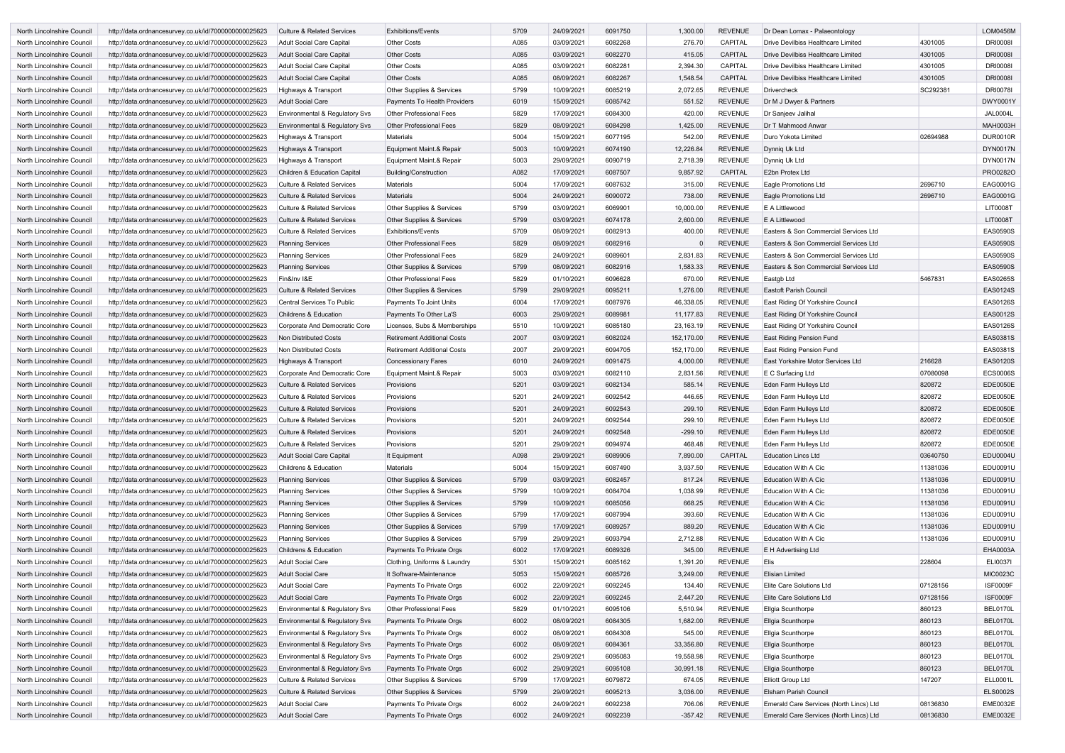| North Lincolnshire Council | http://data.ordnancesurvey.co.uk/id/7000000000025623 | <b>Culture &amp; Related Services</b>     | <b>Exhibitions/Events</b>            | 5709 | 24/09/2021 | 6091750 | 1,300.00    | <b>REVENUE</b> | Dr Dean Lomax - Palaeontology           |          | <b>LOM0456M</b> |
|----------------------------|------------------------------------------------------|-------------------------------------------|--------------------------------------|------|------------|---------|-------------|----------------|-----------------------------------------|----------|-----------------|
| North Lincolnshire Council | http://data.ordnancesurvey.co.uk/id/7000000000025623 | <b>Adult Social Care Capital</b>          | <b>Other Costs</b>                   | A085 | 03/09/2021 | 6082268 | 276.70      | <b>CAPITAL</b> | Drive Devilbiss Healthcare Limited      | 4301005  | <b>DRI0008I</b> |
| North Lincolnshire Council | http://data.ordnancesurvey.co.uk/id/7000000000025623 | <b>Adult Social Care Capital</b>          | <b>Other Costs</b>                   | A085 | 03/09/2021 | 6082270 | 415.05      | <b>CAPITAL</b> | Drive Devilbiss Healthcare Limited      | 4301005  | <b>DRI0008I</b> |
| North Lincolnshire Council | http://data.ordnancesurvey.co.uk/id/7000000000025623 | <b>Adult Social Care Capital</b>          | <b>Other Costs</b>                   | A085 | 03/09/2021 | 6082281 | 2,394.30    | <b>CAPITAL</b> | Drive Devilbiss Healthcare Limited      | 4301005  | <b>DRI0008I</b> |
| North Lincolnshire Council | http://data.ordnancesurvey.co.uk/id/7000000000025623 | <b>Adult Social Care Capital</b>          | <b>Other Costs</b>                   | A085 | 08/09/2021 | 6082267 | 1,548.54    | <b>CAPITAL</b> | Drive Devilbiss Healthcare Limited      | 4301005  | <b>DRI0008I</b> |
| North Lincolnshire Council | http://data.ordnancesurvey.co.uk/id/7000000000025623 | Highways & Transport                      | Other Supplies & Services            | 5799 | 10/09/2021 | 6085219 | 2,072.65    | <b>REVENUE</b> | <b>Drivercheck</b>                      | SC292381 | <b>DRI0078I</b> |
| North Lincolnshire Council | http://data.ordnancesurvey.co.uk/id/7000000000025623 | <b>Adult Social Care</b>                  | Payments To Health Providers         | 6019 | 15/09/2021 | 6085742 | 551.52      | REVENUE        | Dr M J Dwyer & Partners                 |          | DWY0001Y        |
| North Lincolnshire Council | http://data.ordnancesurvey.co.uk/id/7000000000025623 | <b>Environmental &amp; Regulatory Svs</b> | <b>Other Professional Fees</b>       | 5829 | 17/09/2021 | 6084300 | 420.00      | REVENUE        | Dr Sanjeev Jalihal                      |          | <b>JAL0004L</b> |
| North Lincolnshire Council | http://data.ordnancesurvey.co.uk/id/7000000000025623 | Environmental & Regulatory Svs            | <b>Other Professional Fees</b>       | 5829 | 08/09/2021 | 6084298 | 1,425.00    | <b>REVENUE</b> | Dr T Mahmood Anwar                      |          | <b>MAH0003H</b> |
| North Lincolnshire Council | http://data.ordnancesurvey.co.uk/id/7000000000025623 | Highways & Transport                      | <b>Materials</b>                     | 5004 | 15/09/2021 | 6077195 | 542.00      | <b>REVENUE</b> | Duro Yokota Limited                     | 02694988 | <b>DUR0010R</b> |
| North Lincolnshire Council | http://data.ordnancesurvey.co.uk/id/7000000000025623 | Highways & Transport                      | Equipment Maint.& Repair             | 5003 | 10/09/2021 | 6074190 | 12,226.84   | <b>REVENUE</b> | Dynnig Uk Ltd                           |          | <b>DYN0017N</b> |
| North Lincolnshire Council | http://data.ordnancesurvey.co.uk/id/7000000000025623 | Highways & Transport                      | Equipment Maint.& Repair             | 5003 | 29/09/2021 | 6090719 | 2,718.39    | REVENUE        | Dynnig Uk Ltd                           |          | <b>DYN0017N</b> |
| North Lincolnshire Council | http://data.ordnancesurvey.co.uk/id/7000000000025623 | Children & Education Capital              | Building/Construction                | A082 | 17/09/2021 | 6087507 | 9,857.92    | <b>CAPITAL</b> | E2bn Protex Ltd                         |          | PRO0282O        |
|                            |                                                      | <b>Culture &amp; Related Services</b>     | <b>Materials</b>                     | 5004 | 17/09/2021 | 6087632 | 315.00      | <b>REVENUE</b> | Eagle Promotions Ltd                    | 2696710  | EAG0001G        |
| North Lincolnshire Council | http://data.ordnancesurvey.co.uk/id/7000000000025623 |                                           |                                      |      |            |         |             |                |                                         |          |                 |
| North Lincolnshire Council | http://data.ordnancesurvey.co.uk/id/7000000000025623 | <b>Culture &amp; Related Services</b>     | <b>Materials</b>                     | 5004 | 24/09/2021 | 6090072 | 738.00      | <b>REVENUE</b> | Eagle Promotions Ltd                    | 2696710  | EAG0001G        |
| North Lincolnshire Council | http://data.ordnancesurvey.co.uk/id/7000000000025623 | <b>Culture &amp; Related Services</b>     | <b>Other Supplies &amp; Services</b> | 5799 | 03/09/2021 | 6069901 | 10,000.00   | <b>REVENUE</b> | E A Littlewood                          |          | <b>LIT0008T</b> |
| North Lincolnshire Council | http://data.ordnancesurvey.co.uk/id/7000000000025623 | <b>Culture &amp; Related Services</b>     | <b>Other Supplies &amp; Services</b> | 5799 | 03/09/2021 | 6074178 | 2,600.00    | <b>REVENUE</b> | E A Littlewood                          |          | <b>LIT0008T</b> |
| North Lincolnshire Council | http://data.ordnancesurvey.co.uk/id/7000000000025623 | <b>Culture &amp; Related Services</b>     | <b>Exhibitions/Events</b>            | 5709 | 08/09/2021 | 6082913 | 400.00      | <b>REVENUE</b> | Easters & Son Commercial Services Ltd   |          | <b>EAS0590S</b> |
| North Lincolnshire Council | http://data.ordnancesurvey.co.uk/id/7000000000025623 | <b>Planning Services</b>                  | <b>Other Professional Fees</b>       | 5829 | 08/09/2021 | 6082916 |             | <b>REVENUE</b> | Easters & Son Commercial Services Ltd   |          | <b>EAS0590S</b> |
| North Lincolnshire Council | http://data.ordnancesurvey.co.uk/id/7000000000025623 | <b>Planning Services</b>                  | <b>Other Professional Fees</b>       | 5829 | 24/09/2021 | 6089601 | 2,831.83    | <b>REVENUE</b> | Easters & Son Commercial Services Ltd   |          | <b>EAS0590S</b> |
| North Lincolnshire Council | http://data.ordnancesurvey.co.uk/id/7000000000025623 | <b>Planning Services</b>                  | Other Supplies & Services            | 5799 | 08/09/2021 | 6082916 | 1,583.33    | <b>REVENUE</b> | Easters & Son Commercial Services Ltd   |          | <b>EAS0590S</b> |
| North Lincolnshire Council | http://data.ordnancesurvey.co.uk/id/7000000000025623 | Fin&Inv I&E                               | <b>Other Professional Fees</b>       | 5829 | 01/10/2021 | 6096628 | 670.00      | REVENUE        | Eastgb Ltd                              | 5467831  | <b>EAS0265S</b> |
| North Lincolnshire Council | http://data.ordnancesurvey.co.uk/id/7000000000025623 | <b>Culture &amp; Related Services</b>     | Other Supplies & Services            | 5799 | 29/09/2021 | 6095211 | 1,276.00    | <b>REVENUE</b> | <b>Eastoft Parish Council</b>           |          | <b>EAS0124S</b> |
| North Lincolnshire Council | http://data.ordnancesurvey.co.uk/id/7000000000025623 | <b>Central Services To Public</b>         | Payments To Joint Units              | 6004 | 17/09/2021 | 6087976 | 46,338.05   | <b>REVENUE</b> | East Riding Of Yorkshire Council        |          | <b>EAS0126S</b> |
| North Lincolnshire Council | http://data.ordnancesurvey.co.uk/id/7000000000025623 | <b>Childrens &amp; Education</b>          | Payments To Other La'S               | 6003 | 29/09/2021 | 6089981 | 11,177.83   | <b>REVENUE</b> | East Riding Of Yorkshire Council        |          | <b>EAS0012S</b> |
| North Lincolnshire Council | http://data.ordnancesurvey.co.uk/id/7000000000025623 | Corporate And Democratic Core             | Licenses, Subs & Memberships         | 5510 | 10/09/2021 | 6085180 | 23, 163. 19 | <b>REVENUE</b> | East Riding Of Yorkshire Council        |          | <b>EAS0126S</b> |
| North Lincolnshire Council | http://data.ordnancesurvey.co.uk/id/7000000000025623 | Non Distributed Costs                     | <b>Retirement Additional Costs</b>   | 2007 | 03/09/2021 | 6082024 | 152,170.00  | <b>REVENUE</b> | East Riding Pension Fund                |          | EAS0381S        |
| North Lincolnshire Council | http://data.ordnancesurvey.co.uk/id/7000000000025623 | Non Distributed Costs                     | <b>Retirement Additional Costs</b>   | 2007 | 29/09/2021 | 6094705 | 152,170.00  | <b>REVENUE</b> | East Riding Pension Fund                |          | EAS0381S        |
| North Lincolnshire Council | http://data.ordnancesurvey.co.uk/id/7000000000025623 | Highways & Transport                      | <b>Concessionary Fares</b>           | 6010 | 24/09/2021 | 6091475 | 4,000.00    | <b>REVENUE</b> | East Yorkshire Motor Services Ltd       | 216628   | <b>EAS0120S</b> |
| North Lincolnshire Council | http://data.ordnancesurvey.co.uk/id/7000000000025623 | Corporate And Democratic Core             | Equipment Maint.& Repair             | 5003 | 03/09/2021 | 6082110 | 2,831.56    | <b>REVENUE</b> | E C Surfacing Ltd                       | 07080098 | <b>ECS0006S</b> |
| North Lincolnshire Council | http://data.ordnancesurvey.co.uk/id/7000000000025623 | <b>Culture &amp; Related Services</b>     | Provisions                           | 5201 | 03/09/2021 | 6082134 | 585.14      | REVENUE        | Eden Farm Hulleys Ltd                   | 820872   | <b>EDE0050E</b> |
| North Lincolnshire Council | http://data.ordnancesurvey.co.uk/id/7000000000025623 | <b>Culture &amp; Related Services</b>     | Provisions                           | 5201 | 24/09/2021 | 6092542 | 446.65      | REVENUE        | Eden Farm Hulleys Ltd                   | 820872   | <b>EDE0050E</b> |
| North Lincolnshire Council | http://data.ordnancesurvey.co.uk/id/7000000000025623 | <b>Culture &amp; Related Services</b>     | Provisions                           | 5201 | 24/09/2021 | 6092543 | 299.10      | <b>REVENUE</b> | Eden Farm Hulleys Ltd                   | 820872   | <b>EDE0050E</b> |
|                            |                                                      |                                           |                                      | 5201 |            | 6092544 | 299.10      |                |                                         |          |                 |
| North Lincolnshire Council | http://data.ordnancesurvey.co.uk/id/7000000000025623 | <b>Culture &amp; Related Services</b>     | Provisions                           |      | 24/09/2021 |         |             | <b>REVENUE</b> | Eden Farm Hullevs Ltd                   | 820872   | <b>EDE0050E</b> |
| North Lincolnshire Council | http://data.ordnancesurvey.co.uk/id/7000000000025623 | <b>Culture &amp; Related Services</b>     | Provisions                           | 5201 | 24/09/2021 | 6092548 | $-299.10$   | REVENUE        | Eden Farm Hulleys Ltd                   | 820872   | <b>EDE0050E</b> |
| North Lincolnshire Council | http://data.ordnancesurvey.co.uk/id/7000000000025623 | <b>Culture &amp; Related Services</b>     | Provisions                           | 5201 | 29/09/2021 | 6094974 | 468.48      | <b>REVENUE</b> | Eden Farm Hulleys Ltd                   | 820872   | EDE0050E        |
| North Lincolnshire Council | http://data.ordnancesurvey.co.uk/id/7000000000025623 | <b>Adult Social Care Capital</b>          | It Equipment                         | A098 | 29/09/2021 | 6089906 | 7,890.00    | CAPITAL        | <b>Education Lincs Ltd</b>              | 03640750 | EDU0004U        |
| North Lincolnshire Council | http://data.ordnancesurvey.co.uk/id/7000000000025623 | Childrens & Education                     | Materials                            | 5004 | 15/09/2021 | 6087490 | 3,937.50    | REVENUE        | <b>Education With A Cic</b>             | 11381036 | EDU0091U        |
| North Lincolnshire Council | http://data.ordnancesurvey.co.uk/id/7000000000025623 | <b>Planning Services</b>                  | <b>Other Supplies &amp; Services</b> | 5799 | 03/09/2021 | 6082457 | 817.24      | REVENUE        | <b>Education With A Cic</b>             | 11381036 | EDU0091U        |
| North Lincolnshire Council | http://data.ordnancesurvey.co.uk/id/7000000000025623 | <b>Planning Services</b>                  | Other Supplies & Services            | 5799 | 10/09/2021 | 6084704 | 1,038.99    | <b>REVENUE</b> | <b>Education With A Cic</b>             | 11381036 | EDU0091U        |
| North Lincolnshire Council | http://data.ordnancesurvey.co.uk/id/7000000000025623 | <b>Planning Services</b>                  | <b>Other Supplies &amp; Services</b> | 5799 | 10/09/2021 | 6085056 | 668.25      | <b>REVENUE</b> | <b>Education With A Cic</b>             | 11381036 | EDU0091U        |
| North Lincolnshire Council | http://data.ordnancesurvey.co.uk/id/7000000000025623 | <b>Planning Services</b>                  | Other Supplies & Services            | 5799 | 17/09/2021 | 6087994 | 393.60      | REVENUE        | <b>Education With A Cic</b>             | 11381036 | EDU0091U        |
| North Lincolnshire Council | http://data.ordnancesurvey.co.uk/id/7000000000025623 | <b>Planning Services</b>                  | Other Supplies & Services            | 5799 | 17/09/2021 | 6089257 | 889.20      | <b>REVENUE</b> | <b>Education With A Cic</b>             | 11381036 | EDU0091U        |
| North Lincolnshire Council | http://data.ordnancesurvey.co.uk/id/7000000000025623 | <b>Planning Services</b>                  | Other Supplies & Services            | 5799 | 29/09/2021 | 6093794 | 2,712.88    | <b>REVENUE</b> | Education With A Cic                    | 11381036 | EDU0091U        |
| North Lincolnshire Council | http://data.ordnancesurvey.co.uk/id/7000000000025623 | Childrens & Education                     | Payments To Private Orgs             | 6002 | 17/09/2021 | 6089326 | 345.00      | <b>REVENUE</b> | <b>E</b> H Advertising Ltd              |          | EHA0003A        |
| North Lincolnshire Council | http://data.ordnancesurvey.co.uk/id/7000000000025623 | <b>Adult Social Care</b>                  | Clothing, Uniforms & Laundry         | 5301 | 15/09/2021 | 6085162 | 1,391.20    | <b>REVENUE</b> | Elis                                    | 228604   | <b>ELI0037I</b> |
| North Lincolnshire Council | http://data.ordnancesurvey.co.uk/id/7000000000025623 | <b>Adult Social Care</b>                  | It Software-Maintenance              | 5053 | 15/09/2021 | 6085726 | 3,249.00    | REVENUE        | <b>Elisian Limited</b>                  |          | <b>MIC0023C</b> |
| North Lincolnshire Council | http://data.ordnancesurvey.co.uk/id/7000000000025623 | <b>Adult Social Care</b>                  | Payments To Private Orgs             | 6002 | 22/09/2021 | 6092245 | 134.40      | REVENUE        | Elite Care Solutions Ltd                | 07128156 | <b>ISF0009F</b> |
| North Lincolnshire Council | http://data.ordnancesurvey.co.uk/id/7000000000025623 | <b>Adult Social Care</b>                  | Payments To Private Orgs             | 6002 | 22/09/2021 | 6092245 | 2,447.20    | REVENUE        | Elite Care Solutions Ltd                | 07128156 | <b>ISF0009F</b> |
| North Lincolnshire Council | http://data.ordnancesurvey.co.uk/id/7000000000025623 | Environmental & Regulatory Svs            | Other Professional Fees              | 5829 | 01/10/2021 | 6095106 | 5,510.94    | <b>REVENUE</b> | Ellgia Scunthorpe                       | 860123   | <b>BEL0170L</b> |
| North Lincolnshire Council | http://data.ordnancesurvey.co.uk/id/7000000000025623 | Environmental & Regulatory Svs            | Payments To Private Orgs             | 6002 | 08/09/2021 | 6084305 | 1,682.00    | <b>REVENUE</b> | Ellgia Scunthorpe                       | 860123   | <b>BEL0170L</b> |
| North Lincolnshire Council | http://data.ordnancesurvey.co.uk/id/7000000000025623 | Environmental & Regulatory Svs            | Payments To Private Orgs             | 6002 | 08/09/2021 | 6084308 | 545.00      | REVENUE        | Ellgia Scunthorpe                       | 860123   | BEL0170L        |
| North Lincolnshire Council | http://data.ordnancesurvey.co.uk/id/7000000000025623 | Environmental & Regulatory Svs            | Payments To Private Orgs             | 6002 | 08/09/2021 | 6084361 | 33,356.80   | <b>REVENUE</b> | Ellgia Scunthorpe                       | 860123   | BEL0170L        |
|                            |                                                      |                                           |                                      | 6002 | 29/09/2021 | 6095083 | 19,558.98   | <b>REVENUE</b> | Ellgia Scunthorpe                       | 860123   | BEL0170L        |
| North Lincolnshire Council | http://data.ordnancesurvey.co.uk/id/7000000000025623 | Environmental & Regulatory Svs            | Payments To Private Orgs             |      |            |         |             |                |                                         |          | <b>BEL0170L</b> |
| North Lincolnshire Council | http://data.ordnancesurvey.co.uk/id/7000000000025623 | Environmental & Regulatory Svs            | Payments To Private Orgs             | 6002 | 29/09/2021 | 6095108 | 30,991.18   | <b>REVENUE</b> | Ellgia Scunthorpe                       | 860123   |                 |
| North Lincolnshire Council | http://data.ordnancesurvey.co.uk/id/7000000000025623 | <b>Culture &amp; Related Services</b>     | Other Supplies & Services            | 5799 | 17/09/2021 | 6079872 | 674.05      | <b>REVENUE</b> | <b>Elliott Group Ltd</b>                | 147207   | <b>ELL0001L</b> |
| North Lincolnshire Council | http://data.ordnancesurvey.co.uk/id/7000000000025623 | <b>Culture &amp; Related Services</b>     | Other Supplies & Services            | 5799 | 29/09/2021 | 6095213 | 3,036.00    | <b>REVENUE</b> | <b>Elsham Parish Council</b>            |          | <b>ELS0002S</b> |
| North Lincolnshire Council | http://data.ordnancesurvey.co.uk/id/7000000000025623 | <b>Adult Social Care</b>                  | Payments To Private Orgs             | 6002 | 24/09/2021 | 6092238 | 706.06      | REVENUE        | Emerald Care Services (North Lincs) Ltd | 08136830 | <b>EME0032E</b> |
| North Lincolnshire Council | http://data.ordnancesurvey.co.uk/id/7000000000025623 | <b>Adult Social Care</b>                  | Payments To Private Orgs             | 6002 | 24/09/2021 | 6092239 | $-357.42$   | REVENUE        | Emerald Care Services (North Lincs) Ltd | 08136830 | <b>EME0032E</b> |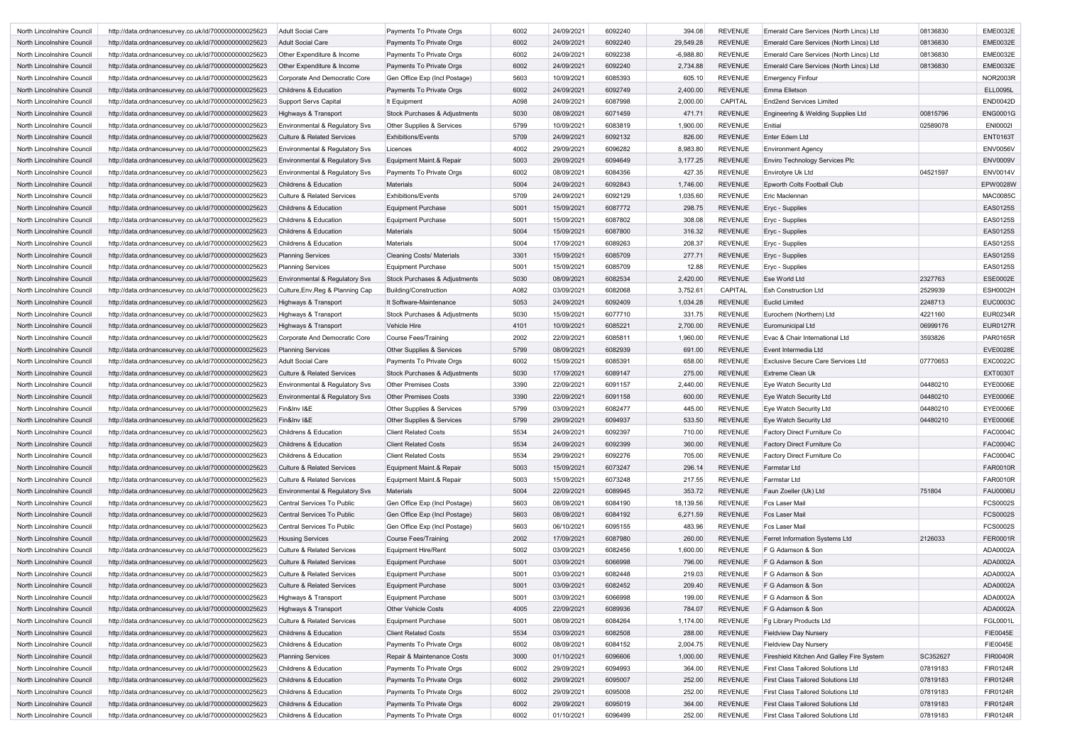| North Lincolnshire Council | http://data.ordnancesurvey.co.uk/id/7000000000025623 | <b>Adult Social Care</b>              | Payments To Private Orgs                 | 6002 | 24/09/2021 | 6092240 | 394.08      | <b>REVENUE</b> | Emerald Care Services (North Lincs) Ltd   | 08136830 | <b>EME0032E</b> |
|----------------------------|------------------------------------------------------|---------------------------------------|------------------------------------------|------|------------|---------|-------------|----------------|-------------------------------------------|----------|-----------------|
| North Lincolnshire Council | http://data.ordnancesurvey.co.uk/id/7000000000025623 | <b>Adult Social Care</b>              | Payments To Private Orgs                 | 6002 | 24/09/2021 | 6092240 | 29,549.28   | REVENUE        | Emerald Care Services (North Lincs) Ltd   | 08136830 | <b>EME0032E</b> |
| North Lincolnshire Council | http://data.ordnancesurvey.co.uk/id/7000000000025623 | Other Expenditure & Income            | Payments To Private Orgs                 | 6002 | 24/09/2021 | 6092238 | $-6,988.80$ | <b>REVENUE</b> | Emerald Care Services (North Lincs) Ltd   | 08136830 | <b>EME0032E</b> |
| North Lincolnshire Council | http://data.ordnancesurvey.co.uk/id/7000000000025623 | Other Expenditure & Income            | Payments To Private Orgs                 | 6002 | 24/09/2021 | 6092240 | 2,734.88    | <b>REVENUE</b> | Emerald Care Services (North Lincs) Ltd   | 08136830 | <b>EME0032E</b> |
| North Lincolnshire Council | http://data.ordnancesurvey.co.uk/id/7000000000025623 | Corporate And Democratic Core         | Gen Office Exp (Incl Postage)            | 5603 | 10/09/2021 | 6085393 | 605.10      | REVENUE        | <b>Emergency Finfour</b>                  |          | <b>NOR2003R</b> |
| North Lincolnshire Council | http://data.ordnancesurvey.co.uk/id/7000000000025623 | <b>Childrens &amp; Education</b>      | Payments To Private Orgs                 | 6002 | 24/09/2021 | 6092749 | 2,400.00    | <b>REVENUE</b> | Emma Elletson                             |          | <b>ELL0095L</b> |
| North Lincolnshire Council | http://data.ordnancesurvey.co.uk/id/7000000000025623 | Support Servs Capital                 | It Equipment                             | A098 | 24/09/2021 | 6087998 | 2,000.00    | CAPITAL        | <b>End2end Services Limited</b>           |          | <b>END0042D</b> |
| North Lincolnshire Council | http://data.ordnancesurvey.co.uk/id/7000000000025623 | Highways & Transport                  | <b>Stock Purchases &amp; Adjustments</b> | 5030 | 08/09/2021 | 6071459 | 471.71      | <b>REVENUE</b> | Engineering & Welding Supplies Ltd        | 00815796 | <b>ENG0001G</b> |
| North Lincolnshire Council | http://data.ordnancesurvey.co.uk/id/7000000000025623 | Environmental & Regulatory Svs        | <b>Other Supplies &amp; Services</b>     | 5799 | 10/09/2021 | 6083819 | 1,900.00    | <b>REVENUE</b> | Enitial                                   | 02589078 | <b>ENI0002I</b> |
| North Lincolnshire Council | http://data.ordnancesurvey.co.uk/id/7000000000025623 | <b>Culture &amp; Related Services</b> | <b>Exhibitions/Events</b>                | 5709 | 24/09/2021 | 6092132 | 826.00      | <b>REVENUE</b> | Enter Edem Ltd                            |          | <b>ENT0163T</b> |
| North Lincolnshire Council | http://data.ordnancesurvey.co.uk/id/7000000000025623 | Environmental & Regulatory Svs        | Licences                                 | 4002 | 29/09/2021 | 6096282 | 8,983.80    | <b>REVENUE</b> | <b>Environment Agency</b>                 |          | <b>ENV0056V</b> |
| North Lincolnshire Council | http://data.ordnancesurvey.co.uk/id/7000000000025623 | Environmental & Regulatory Svs        | Equipment Maint.& Repair                 | 5003 | 29/09/2021 | 6094649 | 3,177.25    | <b>REVENUE</b> | <b>Enviro Technology Services Plc</b>     |          | <b>ENV0009V</b> |
| North Lincolnshire Council | http://data.ordnancesurvey.co.uk/id/7000000000025623 | Environmental & Regulatory Svs        | Payments To Private Orgs                 | 6002 | 08/09/2021 | 6084356 | 427.35      | <b>REVENUE</b> | Envirotyre Uk Ltd                         | 04521597 | <b>ENV0014V</b> |
| North Lincolnshire Council | http://data.ordnancesurvey.co.uk/id/7000000000025623 | <b>Childrens &amp; Education</b>      | Materials                                | 5004 | 24/09/2021 | 6092843 | 1,746.00    | <b>REVENUE</b> | Epworth Colts Football Club               |          | EPW0028W        |
| North Lincolnshire Council | http://data.ordnancesurvey.co.uk/id/7000000000025623 | <b>Culture &amp; Related Services</b> | <b>Exhibitions/Events</b>                | 5709 | 24/09/2021 | 6092129 | 1,035.60    | <b>REVENUE</b> | Eric Maclennan                            |          | <b>MAC0085C</b> |
|                            |                                                      |                                       |                                          |      |            |         |             |                |                                           |          | <b>EAS0125S</b> |
| North Lincolnshire Council | http://data.ordnancesurvey.co.uk/id/7000000000025623 | <b>Childrens &amp; Education</b>      | <b>Equipment Purchase</b>                | 5001 | 15/09/2021 | 6087772 | 298.75      | <b>REVENUE</b> | <b>Ervc - Supplies</b>                    |          |                 |
| North Lincolnshire Council | http://data.ordnancesurvey.co.uk/id/7000000000025623 | Childrens & Education                 | <b>Equipment Purchase</b>                | 5001 | 15/09/2021 | 6087802 | 308.08      | REVENUE        | Eryc - Supplies                           |          | EAS0125S        |
| North Lincolnshire Council | http://data.ordnancesurvey.co.uk/id/7000000000025623 | <b>Childrens &amp; Education</b>      | <b>Materials</b>                         | 5004 | 15/09/2021 | 6087800 | 316.32      | <b>REVENUE</b> | Eryc - Supplies                           |          | <b>EAS0125S</b> |
| North Lincolnshire Council | http://data.ordnancesurvey.co.uk/id/7000000000025623 | <b>Childrens &amp; Education</b>      | <b>Materials</b>                         | 5004 | 17/09/2021 | 6089263 | 208.37      | <b>REVENUE</b> | Eryc - Supplies                           |          | <b>EAS0125S</b> |
| North Lincolnshire Council | http://data.ordnancesurvey.co.uk/id/7000000000025623 | <b>Planning Services</b>              | <b>Cleaning Costs/ Materials</b>         | 3301 | 15/09/2021 | 6085709 | 277.71      | <b>REVENUE</b> | Eryc - Supplies                           |          | <b>EAS0125S</b> |
| North Lincolnshire Council | http://data.ordnancesurvey.co.uk/id/7000000000025623 | <b>Planning Services</b>              | <b>Equipment Purchase</b>                | 5001 | 15/09/2021 | 6085709 | 12.88       | REVENUE        | Eryc - Supplies                           |          | <b>EAS0125S</b> |
| North Lincolnshire Council | http://data.ordnancesurvey.co.uk/id/7000000000025623 | Environmental & Regulatory Svs        | Stock Purchases & Adjustments            | 5030 | 08/09/2021 | 6082534 | 2,420.00    | <b>REVENUE</b> | Ese World Ltd                             | 2327763  | <b>ESE0002E</b> |
| North Lincolnshire Council | http://data.ordnancesurvey.co.uk/id/7000000000025623 | Culture, Env, Reg & Planning Cap      | Building/Construction                    | A082 | 03/09/2021 | 6082068 | 3,752.61    | <b>CAPITAL</b> | <b>Esh Construction Ltd</b>               | 2529939  | <b>ESH0002H</b> |
| North Lincolnshire Council | http://data.ordnancesurvey.co.uk/id/7000000000025623 | Highways & Transport                  | It Software-Maintenance                  | 5053 | 24/09/2021 | 6092409 | 1,034.28    | <b>REVENUE</b> | <b>Euclid Limited</b>                     | 2248713  | <b>EUC0003C</b> |
| North Lincolnshire Council | http://data.ordnancesurvey.co.uk/id/7000000000025623 | Highways & Transport                  | Stock Purchases & Adjustments            | 5030 | 15/09/2021 | 6077710 | 331.75      | <b>REVENUE</b> | Eurochem (Northern) Ltd                   | 4221160  | <b>EUR0234R</b> |
| North Lincolnshire Council | http://data.ordnancesurvey.co.uk/id/7000000000025623 | Highways & Transport                  | <b>Vehicle Hire</b>                      | 4101 | 10/09/2021 | 6085221 | 2,700.00    | <b>REVENUE</b> | Euromunicipal Ltd                         | 06999176 | <b>EUR0127R</b> |
| North Lincolnshire Council | http://data.ordnancesurvey.co.uk/id/7000000000025623 | Corporate And Democratic Core         | <b>Course Fees/Training</b>              | 2002 | 22/09/2021 | 6085811 | 1,960.00    | <b>REVENUE</b> | Evac & Chair International Ltd            | 3593826  | <b>PAR0165R</b> |
| North Lincolnshire Council | http://data.ordnancesurvey.co.uk/id/7000000000025623 | <b>Planning Services</b>              | Other Supplies & Services                | 5799 | 08/09/2021 | 6082939 | 691.00      | <b>REVENUE</b> | Event Intermedia Ltd                      |          | <b>EVE0028E</b> |
| North Lincolnshire Council | http://data.ordnancesurvey.co.uk/id/7000000000025623 | <b>Adult Social Care</b>              | Payments To Private Orgs                 | 6002 | 15/09/2021 | 6085391 | 658.00      | <b>REVENUE</b> | <b>Exclusive Secure Care Services Ltd</b> | 07770653 | <b>EXC0022C</b> |
| North Lincolnshire Council | http://data.ordnancesurvey.co.uk/id/7000000000025623 | <b>Culture &amp; Related Services</b> | Stock Purchases & Adjustments            | 5030 | 17/09/2021 | 6089147 | 275.00      | <b>REVENUE</b> | <b>Extreme Clean Uk</b>                   |          | <b>EXT0030T</b> |
| North Lincolnshire Council | http://data.ordnancesurvey.co.uk/id/7000000000025623 | Environmental & Regulatory Svs        | <b>Other Premises Costs</b>              | 3390 | 22/09/2021 | 6091157 | 2,440.00    | <b>REVENUE</b> | Eye Watch Security Ltd                    | 04480210 | <b>EYE0006E</b> |
| North Lincolnshire Council | http://data.ordnancesurvey.co.uk/id/7000000000025623 | Environmental & Regulatory Svs        | <b>Other Premises Costs</b>              | 3390 | 22/09/2021 | 6091158 | 600.00      | <b>REVENUE</b> | Eye Watch Security Ltd                    | 04480210 | EYE0006E        |
| North Lincolnshire Council | http://data.ordnancesurvey.co.uk/id/7000000000025623 | Fin&Inv I&E                           | <b>Other Supplies &amp; Services</b>     | 5799 | 03/09/2021 | 6082477 | 445.00      | <b>REVENUE</b> | Eye Watch Security Ltd                    | 04480210 | EYE0006E        |
| North Lincolnshire Council | http://data.ordnancesurvey.co.uk/id/7000000000025623 | Fin&Inv I&E                           | <b>Other Supplies &amp; Services</b>     | 5799 | 29/09/2021 | 6094937 | 533.50      | REVENUE        | Eye Watch Security Ltd                    | 04480210 | EYE0006E        |
| North Lincolnshire Council | http://data.ordnancesurvey.co.uk/id/7000000000025623 | Childrens & Education                 | <b>Client Related Costs</b>              | 5534 | 24/09/2021 | 6092397 | 710.00      | REVENUE        | Factory Direct Furniture Co               |          | <b>FAC0004C</b> |
| North Lincolnshire Council | http://data.ordnancesurvey.co.uk/id/7000000000025623 | Childrens & Education                 | <b>Client Related Costs</b>              | 5534 | 24/09/2021 | 6092399 | 360.00      | <b>REVENUE</b> | Factory Direct Furniture Co               |          | <b>FAC0004C</b> |
| North Lincolnshire Council | http://data.ordnancesurvey.co.uk/id/7000000000025623 | Childrens & Education                 | <b>Client Related Costs</b>              | 5534 | 29/09/2021 | 6092276 | 705.00      | REVENUE        | Factory Direct Furniture Co               |          | <b>FAC0004C</b> |
| North Lincolnshire Council | http://data.ordnancesurvey.co.uk/id/7000000000025623 | <b>Culture &amp; Related Services</b> | Equipment Maint.& Repair                 | 5003 | 15/09/2021 | 6073247 | 296.14      | <b>REVENUE</b> | Farmstar Ltd                              |          | <b>FAR0010R</b> |
| North Lincolnshire Council | http://data.ordnancesurvey.co.uk/id/7000000000025623 | <b>Culture &amp; Related Services</b> | Equipment Maint.& Repair                 | 5003 | 15/09/2021 | 6073248 | 217.55      | <b>REVENUE</b> | Farmstar Ltd                              |          | <b>FAR0010R</b> |
| North Lincolnshire Council | http://data.ordnancesurvey.co.uk/id/7000000000025623 | Environmental & Regulatory Svs        | <b>Materials</b>                         | 5004 | 22/09/2021 | 6089945 | 353.72      | <b>REVENUE</b> | Faun Zoeller (Uk) Ltd                     | 751804   | <b>FAU0006U</b> |
| North Lincolnshire Council | http://data.ordnancesurvey.co.uk/id/7000000000025623 | <b>Central Services To Public</b>     | Gen Office Exp (Incl Postage)            | 5603 | 08/09/2021 | 6084190 | 18,139.56   | REVENUE        | <b>Fcs Laser Mail</b>                     |          | FCS0002S        |
| North Lincolnshire Council | http://data.ordnancesurvey.co.uk/id/7000000000025623 | <b>Central Services To Public</b>     | Gen Office Exp (Incl Postage)            | 5603 | 08/09/2021 | 6084192 | 6,271.59    | <b>REVENUE</b> | <b>Fcs Laser Mail</b>                     |          | <b>FCS0002S</b> |
| North Lincolnshire Council | http://data.ordnancesurvey.co.uk/id/7000000000025623 | Central Services To Public            | Gen Office Exp (Incl Postage)            | 5603 | 06/10/2021 | 6095155 | 483.96      | <b>REVENUE</b> | <b>Fcs Laser Mail</b>                     |          | FCS0002S        |
| North Lincolnshire Council | http://data.ordnancesurvey.co.uk/id/7000000000025623 | <b>Housing Services</b>               | <b>Course Fees/Training</b>              | 2002 | 17/09/2021 | 6087980 | 260.00      | <b>REVENUE</b> | Ferret Information Systems Ltd            | 2126033  | <b>FER0001R</b> |
| North Lincolnshire Council | http://data.ordnancesurvey.co.uk/id/7000000000025623 | <b>Culture &amp; Related Services</b> | <b>Equipment Hire/Rent</b>               | 5002 | 03/09/2021 | 6082456 | 1,600.00    | <b>REVENUE</b> | F G Adamson & Son                         |          | ADA0002A        |
| North Lincolnshire Council | http://data.ordnancesurvey.co.uk/id/7000000000025623 | <b>Culture &amp; Related Services</b> | <b>Equipment Purchase</b>                | 5001 | 03/09/2021 | 6066998 | 796.00      | REVENUE        | F G Adamson & Son                         |          | ADA0002A        |
| North Lincolnshire Council | http://data.ordnancesurvey.co.uk/id/7000000000025623 | <b>Culture &amp; Related Services</b> | <b>Equipment Purchase</b>                | 5001 | 03/09/2021 | 6082448 | 219.03      | REVENUE        | F G Adamson & Son                         |          | ADA0002A        |
| North Lincolnshire Council | http://data.ordnancesurvey.co.uk/id/7000000000025623 | <b>Culture &amp; Related Services</b> | <b>Equipment Purchase</b>                | 5001 | 03/09/2021 | 6082452 | 209.40      | REVENUE        | F G Adamson & Son                         |          | ADA0002A        |
| North Lincolnshire Council | http://data.ordnancesurvey.co.uk/id/7000000000025623 | Highways & Transport                  | Equipment Purchase                       | 5001 | 03/09/2021 | 6066998 | 199.00      | <b>REVENUE</b> | F G Adamson & Son                         |          | ADA0002A        |
| North Lincolnshire Council | http://data.ordnancesurvey.co.uk/id/7000000000025623 | Highways & Transport                  | <b>Other Vehicle Costs</b>               | 4005 | 22/09/2021 | 6089936 | 784.07      | <b>REVENUE</b> | F G Adamson & Son                         |          | ADA0002A        |
| North Lincolnshire Council | http://data.ordnancesurvey.co.uk/id/7000000000025623 | <b>Culture &amp; Related Services</b> | <b>Equipment Purchase</b>                | 5001 | 08/09/2021 | 6084264 | 1,174.00    | REVENUE        | Fg Library Products Ltd                   |          | FGL0001L        |
| North Lincolnshire Council | http://data.ordnancesurvey.co.uk/id/7000000000025623 | <b>Childrens &amp; Education</b>      | <b>Client Related Costs</b>              | 5534 | 03/09/2021 | 6082508 | 288.00      | <b>REVENUE</b> | <b>Fieldview Day Nursery</b>              |          | <b>FIE0045E</b> |
| North Lincolnshire Council | http://data.ordnancesurvey.co.uk/id/7000000000025623 | Childrens & Education                 | Payments To Private Orgs                 | 6002 | 08/09/2021 | 6084152 | 2,004.75    | <b>REVENUE</b> | <b>Fieldview Day Nursery</b>              |          | <b>FIE0045E</b> |
| North Lincolnshire Council | http://data.ordnancesurvey.co.uk/id/7000000000025623 | <b>Planning Services</b>              | Repair & Maintenance Costs               | 3000 | 01/10/2021 | 6096606 | 1,000.00    | <b>REVENUE</b> | Fireshield Kitchen And Galley Fire System | SC352627 | <b>FIR0040R</b> |
|                            |                                                      |                                       |                                          |      |            |         |             | <b>REVENUE</b> | <b>First Class Tailored Solutions Ltd</b> |          | <b>FIR0124R</b> |
| North Lincolnshire Council | http://data.ordnancesurvey.co.uk/id/7000000000025623 | Childrens & Education                 | Payments To Private Orgs                 | 6002 | 29/09/2021 | 6094993 | 364.00      |                |                                           | 07819183 |                 |
| North Lincolnshire Council | http://data.ordnancesurvey.co.uk/id/7000000000025623 | <b>Childrens &amp; Education</b>      | Payments To Private Orgs                 | 6002 | 29/09/2021 | 6095007 | 252.00      | REVENUE        | <b>First Class Tailored Solutions Ltd</b> | 07819183 | <b>FIR0124R</b> |
| North Lincolnshire Council | http://data.ordnancesurvey.co.uk/id/7000000000025623 | <b>Childrens &amp; Education</b>      | Payments To Private Orgs                 | 6002 | 29/09/2021 | 6095008 | 252.00      | REVENUE        | <b>First Class Tailored Solutions Ltd</b> | 07819183 | <b>FIR0124R</b> |
| North Lincolnshire Council | http://data.ordnancesurvey.co.uk/id/7000000000025623 | Childrens & Education                 | Payments To Private Orgs                 | 6002 | 29/09/2021 | 6095019 | 364.00      | REVENUE        | <b>First Class Tailored Solutions Ltd</b> | 07819183 | <b>FIR0124R</b> |
| North Lincolnshire Council | http://data.ordnancesurvey.co.uk/id/7000000000025623 | Childrens & Education                 | Payments To Private Orgs                 | 6002 | 01/10/2021 | 6096499 | 252.00      | REVENUE        | <b>First Class Tailored Solutions Ltd</b> | 07819183 | <b>FIR0124R</b> |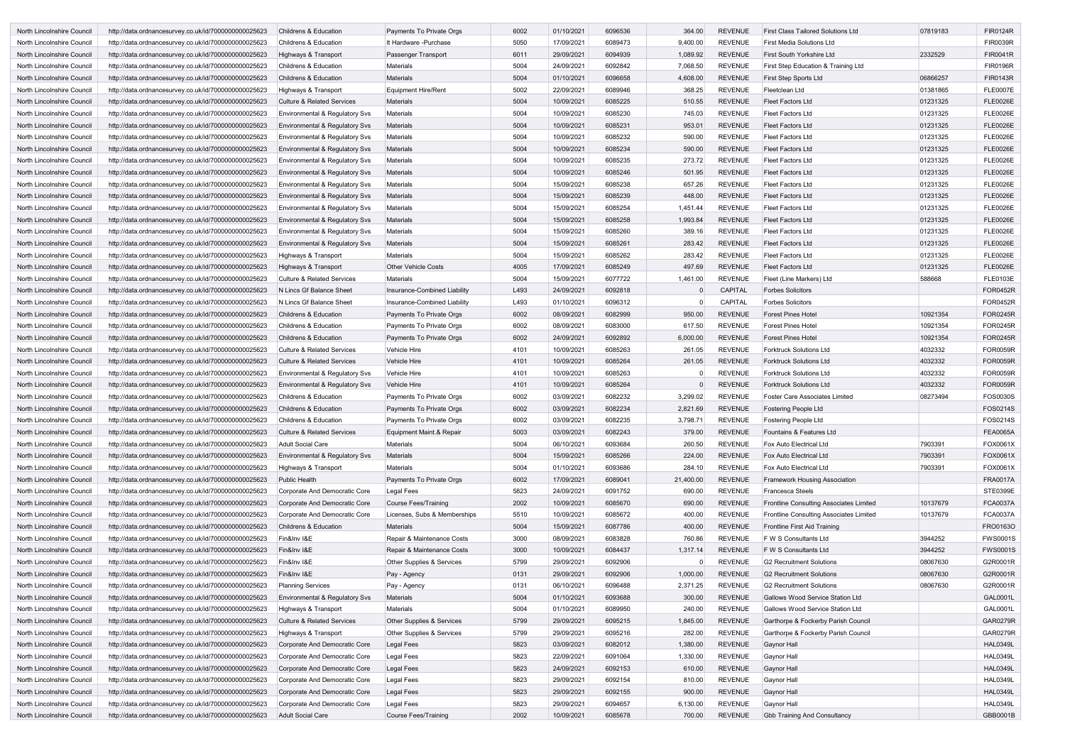| North Lincolnshire Council | http://data.ordnancesurvey.co.uk/id/7000000000025623 | <b>Childrens &amp; Education</b>          | Payments To Private Orgs     | 6002 | 01/10/2021 | 6096536 | 364.00    | <b>REVENUE</b> | <b>First Class Tailored Solutions Ltd</b> | 07819183 | <b>FIR0124R</b> |
|----------------------------|------------------------------------------------------|-------------------------------------------|------------------------------|------|------------|---------|-----------|----------------|-------------------------------------------|----------|-----------------|
|                            |                                                      |                                           |                              | 5050 |            |         | 9,400.00  | <b>REVENUE</b> |                                           |          | <b>FIR0039R</b> |
| North Lincolnshire Council | http://data.ordnancesurvey.co.uk/id/7000000000025623 | <b>Childrens &amp; Education</b>          | It Hardware - Purchase       |      | 17/09/2021 | 6089473 |           |                | <b>First Media Solutions Ltd</b>          |          |                 |
| North Lincolnshire Council | http://data.ordnancesurvey.co.uk/id/7000000000025623 | Highways & Transport                      | Passenger Transport          | 6011 | 29/09/2021 | 6094939 | 1,089.92  | <b>REVENUE</b> | <b>First South Yorkshire Ltd</b>          | 2332529  | <b>FIR0041R</b> |
| North Lincolnshire Council | http://data.ordnancesurvey.co.uk/id/7000000000025623 | <b>Childrens &amp; Education</b>          | Materials                    | 5004 | 24/09/2021 | 6092842 | 7,068.50  | <b>REVENUE</b> | First Step Education & Training Ltd       |          | <b>FIR0196R</b> |
| North Lincolnshire Council | http://data.ordnancesurvey.co.uk/id/7000000000025623 | <b>Childrens &amp; Education</b>          | <b>Materials</b>             | 5004 | 01/10/2021 | 6096658 | 4,608.00  | <b>REVENUE</b> | <b>First Step Sports Ltd</b>              | 06866257 | <b>FIR0143R</b> |
| North Lincolnshire Council | http://data.ordnancesurvey.co.uk/id/7000000000025623 | Highways & Transport                      | <b>Equipment Hire/Rent</b>   | 5002 | 22/09/2021 | 6089946 | 368.25    | <b>REVENUE</b> | Fleetclean Ltd                            | 01381865 | <b>FLE0007E</b> |
| North Lincolnshire Council | http://data.ordnancesurvey.co.uk/id/7000000000025623 | <b>Culture &amp; Related Services</b>     | <b>Materials</b>             | 5004 | 10/09/2021 | 6085225 | 510.55    | <b>REVENUE</b> | <b>Fleet Factors Ltd</b>                  | 01231325 | <b>FLE0026E</b> |
| North Lincolnshire Council | http://data.ordnancesurvey.co.uk/id/7000000000025623 | Environmental & Regulatory Svs            | <b>Materials</b>             | 5004 | 10/09/2021 | 6085230 | 745.03    | <b>REVENUE</b> | <b>Fleet Factors Ltd</b>                  | 01231325 | <b>FLE0026E</b> |
| North Lincolnshire Council | http://data.ordnancesurvey.co.uk/id/7000000000025623 | Environmental & Regulatory Svs            | <b>Materials</b>             | 5004 | 10/09/2021 | 6085231 | 953.01    | <b>REVENUE</b> | <b>Fleet Factors Ltd</b>                  | 01231325 | <b>FLE0026E</b> |
| North Lincolnshire Council | http://data.ordnancesurvey.co.uk/id/7000000000025623 | Environmental & Regulatory Svs            | <b>Materials</b>             | 5004 | 10/09/2021 | 6085232 | 590.00    | <b>REVENUE</b> | <b>Fleet Factors Ltd</b>                  | 01231325 | <b>FLE0026E</b> |
| North Lincolnshire Council | http://data.ordnancesurvey.co.uk/id/7000000000025623 | Environmental & Regulatory Svs            | <b>Materials</b>             | 5004 | 10/09/2021 | 6085234 | 590.00    | <b>REVENUE</b> | <b>Fleet Factors Ltd</b>                  | 01231325 | <b>FLE0026E</b> |
| North Lincolnshire Council | http://data.ordnancesurvey.co.uk/id/7000000000025623 | Environmental & Regulatory Svs            | <b>Materials</b>             | 5004 | 10/09/2021 | 6085235 | 273.72    | <b>REVENUE</b> | <b>Fleet Factors Ltd</b>                  | 01231325 | <b>FLE0026E</b> |
|                            |                                                      |                                           |                              |      |            |         |           |                |                                           |          |                 |
| North Lincolnshire Council | http://data.ordnancesurvey.co.uk/id/7000000000025623 | Environmental & Regulatory Svs            | <b>Materials</b>             | 5004 | 10/09/2021 | 6085246 | 501.95    | <b>REVENUE</b> | <b>Fleet Factors Ltd</b>                  | 01231325 | <b>FLE0026E</b> |
| North Lincolnshire Council | http://data.ordnancesurvey.co.uk/id/7000000000025623 | Environmental & Regulatory Svs            | <b>Materials</b>             | 5004 | 15/09/2021 | 6085238 | 657.26    | <b>REVENUE</b> | <b>Fleet Factors Ltd</b>                  | 01231325 | <b>FLE0026E</b> |
| North Lincolnshire Council | http://data.ordnancesurvey.co.uk/id/7000000000025623 | Environmental & Regulatory Svs            | <b>Materials</b>             | 5004 | 15/09/2021 | 6085239 | 448.00    | <b>REVENUE</b> | <b>Fleet Factors Ltd</b>                  | 01231325 | <b>FLE0026E</b> |
| North Lincolnshire Council | http://data.ordnancesurvey.co.uk/id/7000000000025623 | Environmental & Regulatory Svs            | <b>Materials</b>             | 5004 | 15/09/2021 | 6085254 | 1,451.44  | <b>REVENUE</b> | <b>Fleet Factors Ltd</b>                  | 01231325 | <b>FLE0026E</b> |
| North Lincolnshire Council | http://data.ordnancesurvey.co.uk/id/7000000000025623 | Environmental & Regulatory Svs            | <b>Materials</b>             | 5004 | 15/09/2021 | 6085258 | 1,993.84  | <b>REVENUE</b> | <b>Fleet Factors Ltd</b>                  | 01231325 | <b>FLE0026E</b> |
| North Lincolnshire Council | http://data.ordnancesurvey.co.uk/id/7000000000025623 | Environmental & Regulatory Svs            | <b>Materials</b>             | 5004 | 15/09/2021 | 6085260 | 389.16    | <b>REVENUE</b> | <b>Fleet Factors Ltd</b>                  | 01231325 | <b>FLE0026E</b> |
| North Lincolnshire Council | http://data.ordnancesurvey.co.uk/id/7000000000025623 | Environmental & Regulatory Svs            | <b>Materials</b>             | 5004 | 15/09/2021 | 6085261 | 283.42    | <b>REVENUE</b> | <b>Fleet Factors Ltd</b>                  | 01231325 | <b>FLE0026E</b> |
| North Lincolnshire Council | http://data.ordnancesurvey.co.uk/id/7000000000025623 | Highways & Transport                      | Materials                    | 5004 | 15/09/2021 | 6085262 | 283.42    | <b>REVENUE</b> | <b>Fleet Factors Ltd</b>                  | 01231325 | <b>FLE0026E</b> |
| North Lincolnshire Council | http://data.ordnancesurvey.co.uk/id/7000000000025623 | Highways & Transport                      | <b>Other Vehicle Costs</b>   | 4005 | 17/09/2021 | 6085249 | 497.69    | <b>REVENUE</b> | <b>Fleet Factors Ltd</b>                  | 01231325 | <b>FLE0026E</b> |
| North Lincolnshire Council | http://data.ordnancesurvey.co.uk/id/7000000000025623 | <b>Culture &amp; Related Services</b>     | Materials                    | 5004 | 15/09/2021 | 6077722 | 1,461.00  | REVENUE        | Fleet (Line Markers) Ltd                  | 588668   | <b>FLE0103E</b> |
| North Lincolnshire Council | http://data.ordnancesurvey.co.uk/id/7000000000025623 | N Lincs Gf Balance Sheet                  | Insurance-Combined Liability | L493 | 24/09/2021 | 6092818 |           | <b>CAPITAL</b> | <b>Forbes Solicitors</b>                  |          | <b>FOR0452R</b> |
|                            |                                                      |                                           |                              |      |            |         |           |                |                                           |          |                 |
| North Lincolnshire Council | http://data.ordnancesurvey.co.uk/id/7000000000025623 | N Lincs Gf Balance Sheet                  | Insurance-Combined Liability | L493 | 01/10/2021 | 6096312 | $\Omega$  | <b>CAPITAL</b> | <b>Forbes Solicitors</b>                  |          | <b>FOR0452R</b> |
| North Lincolnshire Council | http://data.ordnancesurvey.co.uk/id/7000000000025623 | <b>Childrens &amp; Education</b>          | Payments To Private Orgs     | 6002 | 08/09/2021 | 6082999 | 950.00    | <b>REVENUE</b> | <b>Forest Pines Hotel</b>                 | 10921354 | <b>FOR0245R</b> |
| North Lincolnshire Council | http://data.ordnancesurvey.co.uk/id/7000000000025623 | <b>Childrens &amp; Education</b>          | Payments To Private Orgs     | 6002 | 08/09/2021 | 6083000 | 617.50    | <b>REVENUE</b> | <b>Forest Pines Hotel</b>                 | 10921354 | <b>FOR0245R</b> |
| North Lincolnshire Council | http://data.ordnancesurvey.co.uk/id/7000000000025623 | <b>Childrens &amp; Education</b>          | Payments To Private Orgs     | 6002 | 24/09/2021 | 6092892 | 6,000.00  | <b>REVENUE</b> | <b>Forest Pines Hotel</b>                 | 10921354 | <b>FOR0245R</b> |
| North Lincolnshire Council | http://data.ordnancesurvey.co.uk/id/7000000000025623 | <b>Culture &amp; Related Services</b>     | <b>Vehicle Hire</b>          | 4101 | 10/09/2021 | 6085263 | 261.05    | <b>REVENUE</b> | <b>Forktruck Solutions Ltd</b>            | 4032332  | <b>FOR0059R</b> |
| North Lincolnshire Council | http://data.ordnancesurvey.co.uk/id/7000000000025623 | <b>Culture &amp; Related Services</b>     | <b>Vehicle Hire</b>          | 4101 | 10/09/2021 | 6085264 | 261.05    | <b>REVENUE</b> | <b>Forktruck Solutions Ltd</b>            | 4032332  | <b>FOR0059R</b> |
| North Lincolnshire Council | http://data.ordnancesurvey.co.uk/id/7000000000025623 | Environmental & Regulatory Svs            | Vehicle Hire                 | 4101 | 10/09/2021 | 6085263 |           | <b>REVENUE</b> | <b>Forktruck Solutions Ltd</b>            | 4032332  | FOR0059R        |
| North Lincolnshire Council | http://data.ordnancesurvey.co.uk/id/7000000000025623 | Environmental & Regulatory Svs            | <b>Vehicle Hire</b>          | 4101 | 10/09/2021 | 6085264 |           | <b>REVENUE</b> | <b>Forktruck Solutions Ltd</b>            | 4032332  | <b>FOR0059R</b> |
| North Lincolnshire Council | http://data.ordnancesurvey.co.uk/id/7000000000025623 | <b>Childrens &amp; Education</b>          | Payments To Private Orgs     | 6002 | 03/09/2021 | 6082232 | 3,299.02  | <b>REVENUE</b> | <b>Foster Care Associates Limited</b>     | 08273494 | FOS0030S        |
| North Lincolnshire Council | http://data.ordnancesurvey.co.uk/id/7000000000025623 | <b>Childrens &amp; Education</b>          | Payments To Private Orgs     | 6002 | 03/09/2021 | 6082234 | 2,821.69  | <b>REVENUE</b> | <b>Fostering People Ltd</b>               |          | FOS0214S        |
| North Lincolnshire Council | http://data.ordnancesurvey.co.uk/id/7000000000025623 | <b>Childrens &amp; Education</b>          | Payments To Private Orgs     | 6002 | 03/09/2021 | 6082235 | 3,798.71  | <b>REVENUE</b> | <b>Fostering People Ltd</b>               |          | FOS0214S        |
| North Lincolnshire Council | http://data.ordnancesurvey.co.uk/id/7000000000025623 | <b>Culture &amp; Related Services</b>     | Equipment Maint.& Repair     |      | 03/09/2021 | 6082243 | 379.00    |                | Fountains & Features Ltd                  |          | <b>FEA0065A</b> |
|                            |                                                      |                                           |                              | 5003 |            |         |           | <b>REVENUE</b> |                                           |          |                 |
| North Lincolnshire Council | http://data.ordnancesurvey.co.uk/id/7000000000025623 | <b>Adult Social Care</b>                  | <b>Materials</b>             | 5004 | 06/10/2021 | 6093684 | 260.50    | <b>REVENUE</b> | Fox Auto Electrical Ltd                   | 7903391  | FOX0061X        |
| North Lincolnshire Council | http://data.ordnancesurvey.co.uk/id/7000000000025623 | <b>Environmental &amp; Regulatory Svs</b> | <b>Materials</b>             | 5004 | 15/09/2021 | 6085266 | 224.00    | <b>REVENUE</b> | Fox Auto Electrical Ltd                   | 7903391  | FOX0061X        |
| North Lincolnshire Council | http://data.ordnancesurvey.co.uk/id/7000000000025623 | Highways & Transport                      | <b>Materials</b>             | 5004 | 01/10/2021 | 6093686 | 284.10    | <b>REVENUE</b> | Fox Auto Electrical Ltd                   | 7903391  | FOX0061X        |
| North Lincolnshire Council | http://data.ordnancesurvey.co.uk/id/7000000000025623 | <b>Public Health</b>                      | Payments To Private Orgs     | 6002 | 17/09/2021 | 6089041 | 21,400.00 | <b>REVENUE</b> | <b>Framework Housing Association</b>      |          | <b>FRA0017A</b> |
| North Lincolnshire Council | http://data.ordnancesurvey.co.uk/id/7000000000025623 | Corporate And Democratic Core             | Legal Fees                   | 5823 | 24/09/2021 | 6091752 | 690.00    | <b>REVENUE</b> | Francesca Steels                          |          | STE0399E        |
| North Lincolnshire Council | http://data.ordnancesurvey.co.uk/id/7000000000025623 | Corporate And Democratic Core             | <b>Course Fees/Training</b>  | 2002 | 10/09/2021 | 6085670 | 690.00    | <b>REVENUE</b> | Frontline Consulting Associates Limited   | 10137679 | <b>FCA0037A</b> |
| North Lincolnshire Council | http://data.ordnancesurvey.co.uk/id/7000000000025623 | Corporate And Democratic Core             | Licenses, Subs & Memberships | 5510 | 10/09/2021 | 6085672 | 400.00    | <b>REVENUE</b> | Frontline Consulting Associates Limited   | 10137679 | <b>FCA0037A</b> |
| North Lincolnshire Council | http://data.ordnancesurvey.co.uk/id/7000000000025623 | Childrens & Education                     | <b>Materials</b>             | 5004 | 15/09/2021 | 6087786 | 400.00    | <b>REVENUE</b> | Frontline First Aid Training              |          | FRO0163O        |
| North Lincolnshire Council | http://data.ordnancesurvey.co.uk/id/7000000000025623 | Fin&Inv I&E                               | Repair & Maintenance Costs   | 3000 | 08/09/2021 | 6083828 | 760.86    | <b>REVENUE</b> | F W S Consultants Ltd                     | 3944252  | <b>FWS0001S</b> |
| North Lincolnshire Council | http://data.ordnancesurvey.co.uk/id/7000000000025623 | Fin&Inv I&E                               | Repair & Maintenance Costs   | 3000 | 10/09/2021 | 6084437 | 1,317.14  | <b>REVENUE</b> | F W S Consultants Ltd                     | 3944252  | <b>FWS0001S</b> |
| North Lincolnshire Council | http://data.ordnancesurvey.co.uk/id/7000000000025623 | Fin&Inv I&E                               | Other Supplies & Services    | 5799 | 29/09/2021 | 6092906 | 0         | <b>REVENUE</b> | <b>G2 Recruitment Solutions</b>           | 08067630 | G2R0001R        |
| North Lincolnshire Council | http://data.ordnancesurvey.co.uk/id/7000000000025623 | Fin&Inv I&E                               |                              | 0131 | 29/09/2021 | 6092906 | 1,000.00  | <b>REVENUE</b> | <b>G2 Recruitment Solutions</b>           | 08067630 | G2R0001R        |
|                            |                                                      |                                           | Pay - Agency                 |      |            |         |           |                |                                           |          |                 |
| North Lincolnshire Council | http://data.ordnancesurvey.co.uk/id/7000000000025623 | <b>Planning Services</b>                  | Pay - Agency                 | 0131 | 06/10/2021 | 6096488 | 2,371.25  | <b>REVENUE</b> | <b>G2 Recruitment Solutions</b>           | 08067630 | G2R0001R        |
| North Lincolnshire Council | http://data.ordnancesurvey.co.uk/id/7000000000025623 | Environmental & Regulatory Svs            | <b>Materials</b>             | 5004 | 01/10/2021 | 6093688 | 300.00    | <b>REVENUE</b> | Gallows Wood Service Station Ltd          |          | GAL0001L        |
| North Lincolnshire Council | http://data.ordnancesurvey.co.uk/id/7000000000025623 | Highways & Transport                      | <b>Materials</b>             | 5004 | 01/10/2021 | 6089950 | 240.00    | <b>REVENUE</b> | Gallows Wood Service Station Ltd          |          | GAL0001L        |
| North Lincolnshire Council | http://data.ordnancesurvey.co.uk/id/7000000000025623 | <b>Culture &amp; Related Services</b>     | Other Supplies & Services    | 5799 | 29/09/2021 | 6095215 | 1,845.00  | <b>REVENUE</b> | Garthorpe & Fockerby Parish Council       |          | GAR0279R        |
| North Lincolnshire Council | http://data.ordnancesurvey.co.uk/id/7000000000025623 | Highways & Transport                      | Other Supplies & Services    | 5799 | 29/09/2021 | 6095216 | 282.00    | <b>REVENUE</b> | Garthorpe & Fockerby Parish Council       |          | <b>GAR0279R</b> |
| North Lincolnshire Council | http://data.ordnancesurvey.co.uk/id/7000000000025623 | Corporate And Democratic Core             | <b>Legal Fees</b>            | 5823 | 03/09/2021 | 6082012 | 1,380.00  | <b>REVENUE</b> | <b>Gaynor Hall</b>                        |          | <b>HAL0349L</b> |
| North Lincolnshire Council | http://data.ordnancesurvey.co.uk/id/7000000000025623 | Corporate And Democratic Core             | Legal Fees                   | 5823 | 22/09/2021 | 6091064 | 1,330.00  | <b>REVENUE</b> | Gaynor Hall                               |          | <b>HAL0349L</b> |
| North Lincolnshire Council | http://data.ordnancesurvey.co.uk/id/7000000000025623 | Corporate And Democratic Core             | Legal Fees                   | 5823 | 24/09/2021 | 6092153 | 610.00    | <b>REVENUE</b> | <b>Gaynor Hall</b>                        |          | <b>HAL0349L</b> |
| North Lincolnshire Council | http://data.ordnancesurvey.co.uk/id/7000000000025623 | Corporate And Democratic Core             | Legal Fees                   | 5823 | 29/09/2021 | 6092154 | 810.00    | <b>REVENUE</b> | Gaynor Hall                               |          | <b>HAL0349L</b> |
| North Lincolnshire Council | http://data.ordnancesurvey.co.uk/id/7000000000025623 | Corporate And Democratic Core             | Legal Fees                   | 5823 | 29/09/2021 | 6092155 | 900.00    | <b>REVENUE</b> | <b>Gaynor Hall</b>                        |          | <b>HAL0349L</b> |
|                            |                                                      |                                           | Legal Fees                   | 5823 |            | 6094657 | 6,130.00  | <b>REVENUE</b> |                                           |          | <b>HAL0349L</b> |
| North Lincolnshire Council | http://data.ordnancesurvey.co.uk/id/7000000000025623 | Corporate And Democratic Core             |                              |      | 29/09/2021 |         |           |                | <b>Gaynor Hall</b>                        |          |                 |
| North Lincolnshire Council | http://data.ordnancesurvey.co.uk/id/7000000000025623 | <b>Adult Social Care</b>                  | Course Fees/Training         | 2002 | 10/09/2021 | 6085678 | 700.00    | <b>REVENUE</b> | <b>Gbb Training And Consultancy</b>       |          | GBB0001B        |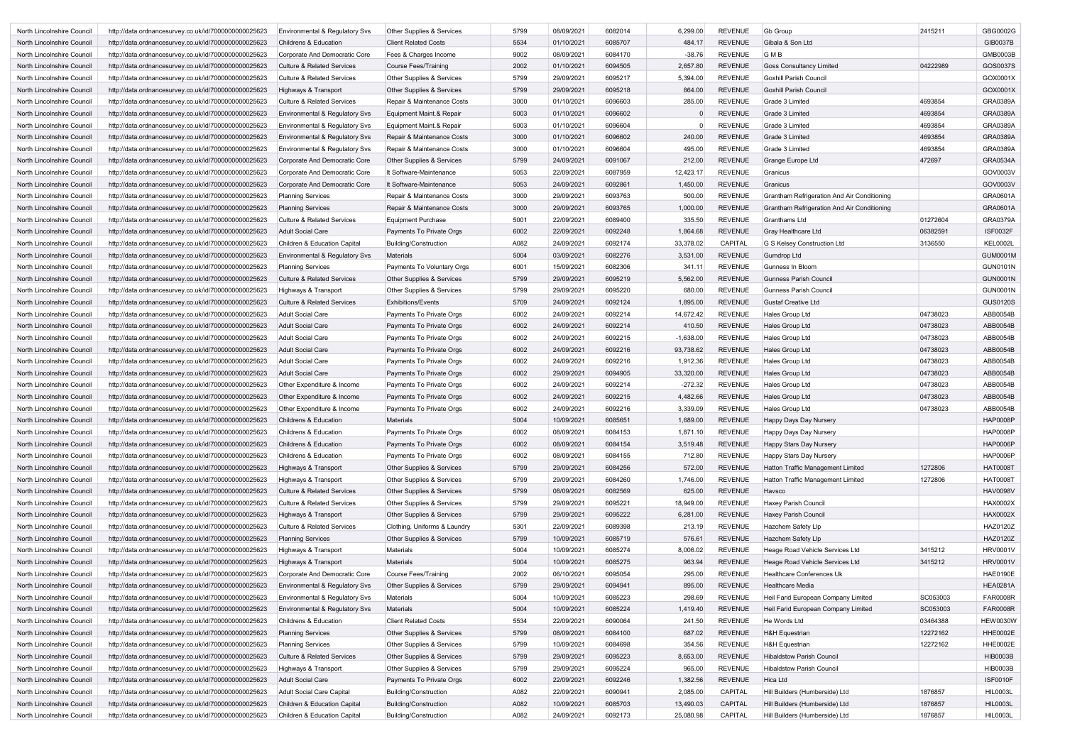| North Lincolnshire Council | http://data.ordnancesurvey.co.uk/id/7000000000025623 | <b>Environmental &amp; Regulatory Sys</b> | <b>Other Supplies &amp; Services</b> | 5799 | 08/09/2021 | 6082014 | 6,299.00    | REVENUE        | <b>Gb Group</b>                             | 2415211  | GBG0002G        |
|----------------------------|------------------------------------------------------|-------------------------------------------|--------------------------------------|------|------------|---------|-------------|----------------|---------------------------------------------|----------|-----------------|
| North Lincolnshire Council | http://data.ordnancesurvey.co.uk/id/7000000000025623 | Childrens & Education                     | <b>Client Related Costs</b>          | 5534 | 01/10/2021 | 6085707 | 484.17      | <b>REVENUE</b> | Gibala & Son Ltd                            |          | GIB0037B        |
| North Lincolnshire Council | http://data.ordnancesurvey.co.uk/id/7000000000025623 | Corporate And Democratic Core             | Fees & Charges Income                | 9002 | 08/09/2021 | 6084170 | $-38.76$    | <b>REVENUE</b> | <b>GMB</b>                                  |          | GMB0003B        |
| North Lincolnshire Council | http://data.ordnancesurvey.co.uk/id/7000000000025623 | <b>Culture &amp; Related Services</b>     | <b>Course Fees/Training</b>          | 2002 | 01/10/2021 | 6094505 | 2,657.80    | <b>REVENUE</b> | <b>Goss Consultancy Limited</b>             | 04222989 | GOS0037S        |
| North Lincolnshire Council | http://data.ordnancesurvey.co.uk/id/7000000000025623 | <b>Culture &amp; Related Services</b>     | Other Supplies & Services            | 5799 | 29/09/2021 | 6095217 | 5,394.00    | <b>REVENUE</b> | <b>Goxhill Parish Council</b>               |          | GOX0001X        |
| North Lincolnshire Council | http://data.ordnancesurvey.co.uk/id/7000000000025623 | Highways & Transport                      | Other Supplies & Services            | 5799 | 29/09/2021 | 6095218 | 864.00      | <b>REVENUE</b> | <b>Goxhill Parish Council</b>               |          | GOX0001X        |
| North Lincolnshire Council | http://data.ordnancesurvey.co.uk/id/7000000000025623 | <b>Culture &amp; Related Services</b>     | Repair & Maintenance Costs           | 3000 | 01/10/2021 | 6096603 | 285.00      | <b>REVENUE</b> | Grade 3 Limited                             | 4693854  | GRA0389A        |
| North Lincolnshire Council | http://data.ordnancesurvey.co.uk/id/7000000000025623 | Environmental & Regulatory Svs            | Equipment Maint.& Repair             | 5003 | 01/10/2021 | 6096602 |             | <b>REVENUE</b> | Grade 3 Limited                             | 4693854  | <b>GRA0389A</b> |
| North Lincolnshire Council | http://data.ordnancesurvey.co.uk/id/7000000000025623 | Environmental & Regulatory Svs            | Equipment Maint.& Repair             | 5003 | 01/10/2021 | 6096604 |             | <b>REVENUE</b> | Grade 3 Limited                             | 4693854  | GRA0389A        |
| North Lincolnshire Council | http://data.ordnancesurvey.co.uk/id/7000000000025623 | Environmental & Regulatory Svs            | Repair & Maintenance Costs           | 3000 | 01/10/2021 | 6096602 | 240.00      | <b>REVENUE</b> | Grade 3 Limited                             | 4693854  | <b>GRA0389A</b> |
| North Lincolnshire Council | http://data.ordnancesurvey.co.uk/id/7000000000025623 | Environmental & Regulatory Svs            | Repair & Maintenance Costs           | 3000 | 01/10/2021 | 6096604 | 495.00      | <b>REVENUE</b> | Grade 3 Limited                             | 4693854  | GRA0389A        |
| North Lincolnshire Council | http://data.ordnancesurvey.co.uk/id/7000000000025623 | Corporate And Democratic Core             | Other Supplies & Services            | 5799 | 24/09/2021 | 6091067 | 212.00      | <b>REVENUE</b> | Grange Europe Ltd                           | 472697   | <b>GRA0534A</b> |
| North Lincolnshire Council | http://data.ordnancesurvey.co.uk/id/7000000000025623 | Corporate And Democratic Core             | It Software-Maintenance              | 5053 | 22/09/2021 | 6087959 | 12,423.17   | REVENUE        | Granicus                                    |          | GOV0003V        |
| North Lincolnshire Council | http://data.ordnancesurvey.co.uk/id/7000000000025623 | Corporate And Democratic Core             | It Software-Maintenance              | 5053 | 24/09/2021 | 6092861 | 1,450.00    | <b>REVENUE</b> | Granicus                                    |          | GOV0003V        |
|                            |                                                      |                                           |                                      | 3000 | 29/09/2021 | 6093763 | 500.00      | <b>REVENUE</b> |                                             |          | GRA0601A        |
| North Lincolnshire Council | http://data.ordnancesurvey.co.uk/id/7000000000025623 | <b>Planning Services</b>                  | Repair & Maintenance Costs           |      |            |         |             |                | Grantham Refrigeration And Air Conditioning |          |                 |
| North Lincolnshire Council | http://data.ordnancesurvey.co.uk/id/7000000000025623 | <b>Planning Services</b>                  | Repair & Maintenance Costs           | 3000 | 29/09/2021 | 6093765 | 1,000.00    | <b>REVENUE</b> | Grantham Refrigeration And Air Conditioning |          | GRA0601A        |
| North Lincolnshire Council | http://data.ordnancesurvey.co.uk/id/7000000000025623 | <b>Culture &amp; Related Services</b>     | <b>Equipment Purchase</b>            | 5001 | 22/09/2021 | 6089400 | 335.50      | REVENUE        | Granthams Ltd                               | 01272604 | GRA0379A        |
| North Lincolnshire Council | http://data.ordnancesurvey.co.uk/id/7000000000025623 | <b>Adult Social Care</b>                  | Payments To Private Orgs             | 6002 | 22/09/2021 | 6092248 | 1,864.68    | <b>REVENUE</b> | Gray Healthcare Ltd                         | 06382591 | <b>ISF0032F</b> |
| North Lincolnshire Council | http://data.ordnancesurvey.co.uk/id/7000000000025623 | <b>Children &amp; Education Capital</b>   | Building/Construction                | A082 | 24/09/2021 | 6092174 | 33,378.02   | CAPITAL        | G S Kelsey Construction Ltd                 | 3136550  | <b>KEL0002L</b> |
| North Lincolnshire Council | http://data.ordnancesurvey.co.uk/id/7000000000025623 | Environmental & Regulatory Svs            | <b>Materials</b>                     | 5004 | 03/09/2021 | 6082276 | 3,531.00    | <b>REVENUE</b> | <b>Gumdrop Ltd</b>                          |          | <b>GUM0001M</b> |
| North Lincolnshire Council | http://data.ordnancesurvey.co.uk/id/7000000000025623 | <b>Planning Services</b>                  | Payments To Voluntary Orgs           | 6001 | 15/09/2021 | 6082306 | 341.11      | <b>REVENUE</b> | Gunness In Bloom                            |          | <b>GUN0101N</b> |
| North Lincolnshire Council | http://data.ordnancesurvey.co.uk/id/7000000000025623 | <b>Culture &amp; Related Services</b>     | <b>Other Supplies &amp; Services</b> | 5799 | 29/09/2021 | 6095219 | 5,562.00    | <b>REVENUE</b> | <b>Gunness Parish Council</b>               |          | <b>GUN0001N</b> |
| North Lincolnshire Council | http://data.ordnancesurvey.co.uk/id/7000000000025623 | Highways & Transport                      | Other Supplies & Services            | 5799 | 29/09/2021 | 6095220 | 680.00      | <b>REVENUE</b> | <b>Gunness Parish Council</b>               |          | <b>GUN0001N</b> |
| North Lincolnshire Council | http://data.ordnancesurvey.co.uk/id/7000000000025623 | <b>Culture &amp; Related Services</b>     | <b>Exhibitions/Events</b>            | 5709 | 24/09/2021 | 6092124 | 1,895.00    | <b>REVENUE</b> | Gustaf Creative Ltd                         |          | <b>GUS0120S</b> |
| North Lincolnshire Council | http://data.ordnancesurvey.co.uk/id/7000000000025623 | <b>Adult Social Care</b>                  | Payments To Private Orgs             | 6002 | 24/09/2021 | 6092214 | 14,672.42   | <b>REVENUE</b> | Hales Group Ltd                             | 04738023 | ABB0054B        |
| North Lincolnshire Council | http://data.ordnancesurvey.co.uk/id/7000000000025623 | <b>Adult Social Care</b>                  | Payments To Private Orgs             | 6002 | 24/09/2021 | 6092214 | 410.50      | <b>REVENUE</b> | Hales Group Ltd                             | 04738023 | ABB0054B        |
| North Lincolnshire Council | http://data.ordnancesurvey.co.uk/id/7000000000025623 | <b>Adult Social Care</b>                  | Payments To Private Orgs             | 6002 | 24/09/2021 | 6092215 | $-1,638.00$ | REVENUE        | Hales Group Ltd                             | 04738023 | ABB0054B        |
| North Lincolnshire Council | http://data.ordnancesurvey.co.uk/id/7000000000025623 | <b>Adult Social Care</b>                  | Payments To Private Orgs             | 6002 | 24/09/2021 | 6092216 | 93,738.62   | <b>REVENUE</b> | Hales Group Ltd                             | 04738023 | ABB0054B        |
| North Lincolnshire Council | http://data.ordnancesurvey.co.uk/id/7000000000025623 | <b>Adult Social Care</b>                  | Payments To Private Orgs             | 6002 | 24/09/2021 | 6092216 | 1,912.36    | <b>REVENUE</b> | Hales Group Ltd                             | 04738023 | ABB0054B        |
| North Lincolnshire Council | http://data.ordnancesurvey.co.uk/id/7000000000025623 | <b>Adult Social Care</b>                  | Payments To Private Orgs             | 6002 | 29/09/2021 | 6094905 | 33,320.00   | <b>REVENUE</b> | Hales Group Ltd                             | 04738023 | ABB0054B        |
| North Lincolnshire Council | http://data.ordnancesurvey.co.uk/id/7000000000025623 | Other Expenditure & Income                | Payments To Private Orgs             | 6002 | 24/09/2021 | 6092214 | $-272.32$   | <b>REVENUE</b> | Hales Group Ltd                             | 04738023 | ABB0054B        |
| North Lincolnshire Council | http://data.ordnancesurvey.co.uk/id/7000000000025623 | Other Expenditure & Income                | Payments To Private Orgs             | 6002 | 24/09/2021 | 6092215 | 4,482.66    | <b>REVENUE</b> | Hales Group Ltd                             | 04738023 | ABB0054B        |
| North Lincolnshire Council | http://data.ordnancesurvey.co.uk/id/7000000000025623 | Other Expenditure & Income                | Payments To Private Orgs             | 6002 | 24/09/2021 | 6092216 | 3,339.09    | <b>REVENUE</b> | Hales Group Ltd                             | 04738023 | ABB0054B        |
| North Lincolnshire Council | http://data.ordnancesurvey.co.uk/id/7000000000025623 | <b>Childrens &amp; Education</b>          | <b>Materials</b>                     | 5004 | 10/09/2021 | 6085651 | 1,689.00    | <b>REVENUE</b> | Happy Days Day Nursery                      |          | <b>HAP0008P</b> |
| North Lincolnshire Council | http://data.ordnancesurvey.co.uk/id/7000000000025623 | Childrens & Education                     | Payments To Private Orgs             | 6002 | 08/09/2021 | 6084153 | 1,871.10    | REVENUE        | Happy Days Day Nursery                      |          | <b>HAP0008P</b> |
| North Lincolnshire Council | http://data.ordnancesurvey.co.uk/id/7000000000025623 | Childrens & Education                     | Payments To Private Orgs             | 6002 | 08/09/2021 | 6084154 | 3,519.48    | <b>REVENUE</b> | <b>Happy Stars Day Nursery</b>              |          | <b>HAP0006P</b> |
| North Lincolnshire Council | http://data.ordnancesurvey.co.uk/id/7000000000025623 | Childrens & Education                     | Payments To Private Orgs             | 6002 | 08/09/2021 | 6084155 | 712.80      | REVENUE        | Happy Stars Day Nursery                     |          | <b>HAP0006P</b> |
| North Lincolnshire Council | http://data.ordnancesurvey.co.uk/id/7000000000025623 | Highways & Transport                      | Other Supplies & Services            | 5799 | 29/09/2021 | 6084256 | 572.00      | <b>REVENUE</b> | Hatton Traffic Management Limited           | 1272806  | <b>HAT0008T</b> |
| North Lincolnshire Council | http://data.ordnancesurvey.co.uk/id/7000000000025623 | Highways & Transport                      | <b>Other Supplies &amp; Services</b> | 5799 | 29/09/2021 | 6084260 | 1,746.00    | <b>REVENUE</b> | Hatton Traffic Management Limited           | 1272806  | <b>HAT0008T</b> |
| North Lincolnshire Council | http://data.ordnancesurvey.co.uk/id/7000000000025623 | <b>Culture &amp; Related Services</b>     | <b>Other Supplies &amp; Services</b> | 5799 | 08/09/2021 | 6082569 | 625.00      | <b>REVENUE</b> | Havsco                                      |          | <b>HAV0098V</b> |
| North Lincolnshire Council | http://data.ordnancesurvey.co.uk/id/7000000000025623 | <b>Culture &amp; Related Services</b>     | Other Supplies & Services            | 5799 | 29/09/2021 | 6095221 | 18,949.00   | <b>REVENUE</b> | Haxey Parish Council                        |          | <b>HAX0002X</b> |
| North Lincolnshire Council | http://data.ordnancesurvey.co.uk/id/7000000000025623 | Highways & Transport                      | Other Supplies & Services            | 5799 | 29/09/2021 | 6095222 | 6,281.00    | REVENUE        | <b>Haxey Parish Council</b>                 |          | <b>HAX0002X</b> |
| North Lincolnshire Council | http://data.ordnancesurvey.co.uk/id/7000000000025623 | <b>Culture &amp; Related Services</b>     | Clothing, Uniforms & Laundry         | 5301 | 22/09/2021 | 6089398 | 213.19      | <b>REVENUE</b> | Hazchem Safety Llp                          |          | HAZ0120Z        |
| North Lincolnshire Council | http://data.ordnancesurvey.co.uk/id/7000000000025623 | <b>Planning Services</b>                  | <b>Other Supplies &amp; Services</b> | 5799 | 10/09/2021 | 6085719 | 576.61      | <b>REVENUE</b> | Hazchem Safety Llp                          |          | HAZ0120Z        |
| North Lincolnshire Council | http://data.ordnancesurvey.co.uk/id/7000000000025623 | Highways & Transport                      | <b>Materials</b>                     | 5004 | 10/09/2021 | 6085274 | 8,006.02    | <b>REVENUE</b> | Heage Road Vehicle Services Ltd             | 3415212  | <b>HRV0001V</b> |
| North Lincolnshire Council | http://data.ordnancesurvey.co.uk/id/7000000000025623 | Highways & Transport                      | Materials                            | 5004 | 10/09/2021 | 6085275 | 963.94      | REVENUE        | Heage Road Vehicle Services Ltd             | 3415212  | <b>HRV0001V</b> |
| North Lincolnshire Council | http://data.ordnancesurvey.co.uk/id/7000000000025623 | Corporate And Democratic Core             | Course Fees/Training                 | 2002 | 06/10/2021 | 6095054 | 295.00      | <b>REVENUE</b> | Healthcare Conferences Uk                   |          | <b>HAE0190E</b> |
| North Lincolnshire Council |                                                      | Environmental & Regulatory Svs            | <b>Other Supplies &amp; Services</b> | 5799 | 29/09/2021 | 6094941 | 895.00      | <b>REVENUE</b> | <b>Healthcare Media</b>                     |          | <b>HEA0281A</b> |
|                            | http://data.ordnancesurvey.co.uk/id/7000000000025623 |                                           |                                      |      |            |         |             |                |                                             |          |                 |
| North Lincolnshire Council | http://data.ordnancesurvey.co.uk/id/7000000000025623 | Environmental & Regulatory Svs            | <b>Materials</b>                     | 5004 | 10/09/2021 | 6085223 | 298.69      | <b>REVENUE</b> | Heil Farid European Company Limited         | SC053003 | <b>FAR0008R</b> |
| North Lincolnshire Council | http://data.ordnancesurvey.co.uk/id/7000000000025623 | Environmental & Regulatory Svs            | <b>Materials</b>                     | 5004 | 10/09/2021 | 6085224 | 1,419.40    | <b>REVENUE</b> | Heil Farid European Company Limited         | SC053003 | <b>FAR0008R</b> |
| North Lincolnshire Council | http://data.ordnancesurvey.co.uk/id/7000000000025623 | Childrens & Education                     | <b>Client Related Costs</b>          | 5534 | 22/09/2021 | 6090064 | 241.50      | <b>REVENUE</b> | He Words Ltd                                | 03464388 | <b>HEW0030W</b> |
| North Lincolnshire Council | http://data.ordnancesurvey.co.uk/id/7000000000025623 | <b>Planning Services</b>                  | Other Supplies & Services            | 5799 | 08/09/2021 | 6084100 | 687.02      | <b>REVENUE</b> | H&H Equestrian                              | 12272162 | <b>HHE0002E</b> |
| North Lincolnshire Council | http://data.ordnancesurvey.co.uk/id/7000000000025623 | <b>Planning Services</b>                  | Other Supplies & Services            | 5799 | 10/09/2021 | 6084698 | 354.56      | <b>REVENUE</b> | <b>H&amp;H Equestrian</b>                   | 12272162 | <b>HHE0002E</b> |
| North Lincolnshire Council | http://data.ordnancesurvey.co.uk/id/7000000000025623 | <b>Culture &amp; Related Services</b>     | Other Supplies & Services            | 5799 | 29/09/2021 | 6095223 | 8,653.00    | <b>REVENUE</b> | <b>Hibaldstow Parish Council</b>            |          | <b>HIB0003B</b> |
| North Lincolnshire Council | http://data.ordnancesurvey.co.uk/id/7000000000025623 | Highways & Transport                      | <b>Other Supplies &amp; Services</b> | 5799 | 29/09/2021 | 6095224 | 965.00      | <b>REVENUE</b> | <b>Hibaldstow Parish Council</b>            |          | <b>HIB0003B</b> |
| North Lincolnshire Council | http://data.ordnancesurvey.co.uk/id/7000000000025623 | <b>Adult Social Care</b>                  | Payments To Private Orgs             | 6002 | 22/09/2021 | 6092246 | 1,382.56    | REVENUE        | Hica Ltd                                    |          | <b>ISF0010F</b> |
| North Lincolnshire Council | http://data.ordnancesurvey.co.uk/id/7000000000025623 | <b>Adult Social Care Capital</b>          | Building/Construction                | A082 | 22/09/2021 | 6090941 | 2,085.00    | CAPITAL        | Hill Builders (Humberside) Ltd              | 1876857  | HIL0003L        |
| North Lincolnshire Council | http://data.ordnancesurvey.co.uk/id/7000000000025623 | <b>Children &amp; Education Capital</b>   | Building/Construction                | A082 | 10/09/2021 | 6085703 | 13,490.03   | CAPITAL        | Hill Builders (Humberside) Ltd              | 1876857  | <b>HIL0003L</b> |
| North Lincolnshire Council | http://data.ordnancesurvey.co.uk/id/7000000000025623 | Children & Education Capital              | Building/Construction                | A082 | 24/09/2021 | 6092173 | 25,080.98   | CAPITAL        | Hill Builders (Humberside) Ltd              | 1876857  | <b>HIL0003L</b> |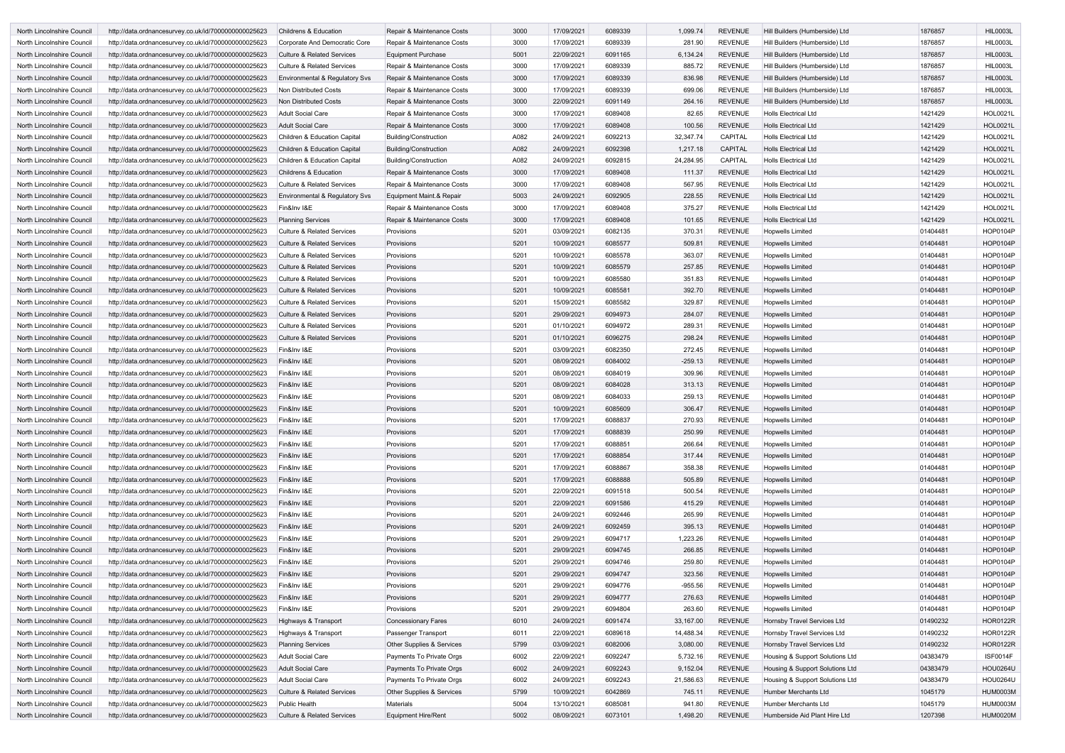| North Lincolnshire Council | http://data.ordnancesurvey.co.uk/id/7000000000025623 | <b>Childrens &amp; Education</b>      | Repair & Maintenance Costs   | 3000 | 17/09/2021 | 6089339 | 1,099.74  | <b>REVENUE</b> | Hill Builders (Humberside) Ltd  | 1876857  | <b>HIL0003L</b> |
|----------------------------|------------------------------------------------------|---------------------------------------|------------------------------|------|------------|---------|-----------|----------------|---------------------------------|----------|-----------------|
| North Lincolnshire Council | http://data.ordnancesurvey.co.uk/id/7000000000025623 | Corporate And Democratic Core         | Repair & Maintenance Costs   | 3000 | 17/09/2021 | 6089339 | 281.90    | <b>REVENUE</b> | Hill Builders (Humberside) Ltd  | 1876857  | <b>HIL0003L</b> |
| North Lincolnshire Council | http://data.ordnancesurvey.co.uk/id/7000000000025623 | <b>Culture &amp; Related Services</b> | <b>Equipment Purchase</b>    | 5001 | 22/09/2021 | 6091165 | 6,134.24  | <b>REVENUE</b> | Hill Builders (Humberside) Ltd  | 1876857  | <b>HIL0003L</b> |
|                            |                                                      |                                       |                              |      |            |         |           |                |                                 |          | <b>HIL0003L</b> |
| North Lincolnshire Council | http://data.ordnancesurvey.co.uk/id/7000000000025623 | <b>Culture &amp; Related Services</b> | Repair & Maintenance Costs   | 3000 | 17/09/2021 | 6089339 | 885.72    | <b>REVENUE</b> | Hill Builders (Humberside) Ltd  | 1876857  |                 |
| North Lincolnshire Council | http://data.ordnancesurvey.co.uk/id/7000000000025623 | Environmental & Regulatory Svs        | Repair & Maintenance Costs   | 3000 | 17/09/2021 | 6089339 | 836.98    | <b>REVENUE</b> | Hill Builders (Humberside) Ltd  | 1876857  | <b>HIL0003L</b> |
| North Lincolnshire Council | http://data.ordnancesurvey.co.uk/id/7000000000025623 | <b>Non Distributed Costs</b>          | Repair & Maintenance Costs   | 3000 | 17/09/2021 | 6089339 | 699.06    | <b>REVENUE</b> | Hill Builders (Humberside) Ltd  | 1876857  | <b>HIL0003L</b> |
| North Lincolnshire Council | http://data.ordnancesurvey.co.uk/id/7000000000025623 | <b>Non Distributed Costs</b>          | Repair & Maintenance Costs   | 3000 | 22/09/2021 | 6091149 | 264.16    | <b>REVENUE</b> | Hill Builders (Humberside) Ltd  | 1876857  | <b>HIL0003L</b> |
| North Lincolnshire Council | http://data.ordnancesurvey.co.uk/id/7000000000025623 | <b>Adult Social Care</b>              | Repair & Maintenance Costs   | 3000 | 17/09/2021 | 6089408 | 82.65     | <b>REVENUE</b> | <b>Holls Electrical Ltd</b>     | 1421429  | <b>HOL0021L</b> |
| North Lincolnshire Council | http://data.ordnancesurvey.co.uk/id/7000000000025623 | <b>Adult Social Care</b>              | Repair & Maintenance Costs   | 3000 | 17/09/2021 | 6089408 | 100.56    | <b>REVENUE</b> | <b>Holls Electrical Ltd</b>     | 1421429  | <b>HOL0021L</b> |
| North Lincolnshire Council | http://data.ordnancesurvey.co.uk/id/7000000000025623 | Children & Education Capital          | <b>Building/Construction</b> | A082 | 24/09/2021 | 6092213 | 32,347.74 | <b>CAPITAL</b> | <b>Holls Electrical Ltd</b>     | 1421429  | <b>HOL0021L</b> |
| North Lincolnshire Council | http://data.ordnancesurvey.co.uk/id/7000000000025623 | Children & Education Capital          | Building/Construction        | A082 | 24/09/2021 | 6092398 | 1,217.18  | <b>CAPITAL</b> | <b>Holls Electrical Ltd</b>     | 1421429  | <b>HOL0021L</b> |
| North Lincolnshire Council | http://data.ordnancesurvey.co.uk/id/7000000000025623 | Children & Education Capital          | <b>Building/Construction</b> | A082 | 24/09/2021 | 6092815 | 24,284.95 | <b>CAPITAL</b> | Holls Electrical Ltd            | 1421429  | <b>HOL0021L</b> |
| North Lincolnshire Council | http://data.ordnancesurvey.co.uk/id/7000000000025623 | Childrens & Education                 | Repair & Maintenance Costs   | 3000 | 17/09/2021 | 6089408 | 111.37    | <b>REVENUE</b> | <b>Holls Electrical Ltd</b>     | 1421429  | <b>HOL0021L</b> |
| North Lincolnshire Council | http://data.ordnancesurvey.co.uk/id/7000000000025623 | <b>Culture &amp; Related Services</b> | Repair & Maintenance Costs   | 3000 | 17/09/2021 | 6089408 | 567.95    | <b>REVENUE</b> | <b>Holls Electrical Ltd</b>     | 1421429  | <b>HOL0021L</b> |
| North Lincolnshire Council | http://data.ordnancesurvey.co.uk/id/7000000000025623 | Environmental & Regulatory Svs        | Equipment Maint.& Repair     | 5003 | 24/09/2021 | 6092905 | 228.55    | <b>REVENUE</b> | <b>Holls Electrical Ltd</b>     | 1421429  | <b>HOL0021L</b> |
| North Lincolnshire Council |                                                      |                                       | Repair & Maintenance Costs   | 3000 | 17/09/2021 | 6089408 | 375.27    | <b>REVENUE</b> | <b>Holls Electrical Ltd</b>     | 1421429  | <b>HOL0021L</b> |
|                            | http://data.ordnancesurvey.co.uk/id/7000000000025623 | Fin&Inv I&E                           |                              |      |            |         |           |                |                                 |          |                 |
| North Lincolnshire Council | http://data.ordnancesurvey.co.uk/id/7000000000025623 | <b>Planning Services</b>              | Repair & Maintenance Costs   | 3000 | 17/09/2021 | 6089408 | 101.65    | <b>REVENUE</b> | <b>Holls Electrical Ltd</b>     | 1421429  | <b>HOL0021L</b> |
| North Lincolnshire Council | http://data.ordnancesurvey.co.uk/id/7000000000025623 | <b>Culture &amp; Related Services</b> | Provisions                   | 5201 | 03/09/2021 | 6082135 | 370.31    | <b>REVENUE</b> | <b>Hopwells Limited</b>         | 01404481 | <b>HOP0104P</b> |
| North Lincolnshire Council | http://data.ordnancesurvey.co.uk/id/7000000000025623 | <b>Culture &amp; Related Services</b> | Provisions                   | 5201 | 10/09/2021 | 6085577 | 509.81    | <b>REVENUE</b> | <b>Hopwells Limited</b>         | 01404481 | <b>HOP0104P</b> |
| North Lincolnshire Council | http://data.ordnancesurvey.co.uk/id/7000000000025623 | <b>Culture &amp; Related Services</b> | Provisions                   | 5201 | 10/09/2021 | 6085578 | 363.07    | <b>REVENUE</b> | <b>Hopwells Limited</b>         | 01404481 | <b>HOP0104P</b> |
| North Lincolnshire Council | http://data.ordnancesurvey.co.uk/id/7000000000025623 | <b>Culture &amp; Related Services</b> | Provisions                   | 5201 | 10/09/2021 | 6085579 | 257.85    | <b>REVENUE</b> | <b>Hopwells Limited</b>         | 01404481 | <b>HOP0104P</b> |
| North Lincolnshire Council | http://data.ordnancesurvey.co.uk/id/7000000000025623 | <b>Culture &amp; Related Services</b> | Provisions                   | 5201 | 10/09/2021 | 6085580 | 351.83    | <b>REVENUE</b> | <b>Hopwells Limited</b>         | 01404481 | <b>HOP0104P</b> |
| North Lincolnshire Council | http://data.ordnancesurvey.co.uk/id/7000000000025623 | <b>Culture &amp; Related Services</b> | Provisions                   | 5201 | 10/09/2021 | 6085581 | 392.70    | <b>REVENUE</b> | <b>Hopwells Limited</b>         | 01404481 | <b>HOP0104P</b> |
| North Lincolnshire Council | http://data.ordnancesurvey.co.uk/id/7000000000025623 | <b>Culture &amp; Related Services</b> | Provisions                   | 5201 | 15/09/2021 | 6085582 | 329.87    | <b>REVENUE</b> | <b>Hopwells Limited</b>         | 01404481 | <b>HOP0104P</b> |
| North Lincolnshire Council | http://data.ordnancesurvey.co.uk/id/7000000000025623 | <b>Culture &amp; Related Services</b> | Provisions                   | 5201 | 29/09/2021 | 6094973 | 284.07    | <b>REVENUE</b> | <b>Hopwells Limited</b>         | 01404481 | <b>HOP0104P</b> |
| North Lincolnshire Council | http://data.ordnancesurvey.co.uk/id/7000000000025623 | <b>Culture &amp; Related Services</b> | Provisions                   | 5201 | 01/10/2021 | 6094972 | 289.31    | <b>REVENUE</b> | <b>Hopwells Limited</b>         | 01404481 | <b>HOP0104P</b> |
| North Lincolnshire Council | http://data.ordnancesurvey.co.uk/id/7000000000025623 | <b>Culture &amp; Related Services</b> | Provisions                   | 5201 | 01/10/2021 | 6096275 | 298.24    | <b>REVENUE</b> | <b>Hopwells Limited</b>         | 01404481 | <b>HOP0104P</b> |
| North Lincolnshire Council | http://data.ordnancesurvey.co.uk/id/7000000000025623 | Fin&Inv I&E                           | Provisions                   | 5201 | 03/09/2021 | 6082350 | 272.45    | <b>REVENUE</b> | <b>Hopwells Limited</b>         | 01404481 | <b>HOP0104P</b> |
|                            |                                                      |                                       |                              |      |            |         |           |                |                                 |          |                 |
| North Lincolnshire Council | http://data.ordnancesurvey.co.uk/id/7000000000025623 | Fin&Inv I&E                           | Provisions                   | 5201 | 08/09/2021 | 6084002 | $-259.13$ | <b>REVENUE</b> | <b>Hopwells Limited</b>         | 01404481 | <b>HOP0104P</b> |
| North Lincolnshire Council | http://data.ordnancesurvey.co.uk/id/7000000000025623 | Fin&Inv I&E                           | Provisions                   | 5201 | 08/09/2021 | 6084019 | 309.96    | <b>REVENUE</b> | <b>Hopwells Limited</b>         | 01404481 | <b>HOP0104P</b> |
| North Lincolnshire Council | http://data.ordnancesurvey.co.uk/id/7000000000025623 | Fin&Inv I&E                           | Provisions                   | 5201 | 08/09/2021 | 6084028 | 313.13    | <b>REVENUE</b> | <b>Hopwells Limited</b>         | 01404481 | <b>HOP0104P</b> |
| North Lincolnshire Council | http://data.ordnancesurvey.co.uk/id/7000000000025623 | Fin&Inv I&E                           | Provisions                   | 5201 | 08/09/2021 | 6084033 | 259.13    | <b>REVENUE</b> | <b>Hopwells Limited</b>         | 01404481 | <b>HOP0104P</b> |
| North Lincolnshire Council | http://data.ordnancesurvey.co.uk/id/7000000000025623 | Fin&Inv I&E                           | Provisions                   | 5201 | 10/09/2021 | 6085609 | 306.47    | <b>REVENUE</b> | <b>Hopwells Limited</b>         | 01404481 | <b>HOP0104P</b> |
| North Lincolnshire Council | http://data.ordnancesurvey.co.uk/id/7000000000025623 | Fin&Inv I&E                           | Provisions                   | 5201 | 17/09/2021 | 6088837 | 270.93    | <b>REVENUE</b> | <b>Hopwells Limited</b>         | 01404481 | <b>HOP0104P</b> |
| North Lincolnshire Council | http://data.ordnancesurvey.co.uk/id/7000000000025623 | Fin&Inv I&E                           | Provisions                   | 5201 | 17/09/2021 | 6088839 | 250.99    | <b>REVENUE</b> | <b>Hopwells Limited</b>         | 01404481 | <b>HOP0104P</b> |
| North Lincolnshire Council | http://data.ordnancesurvey.co.uk/id/7000000000025623 | Fin&Inv I&E                           | Provisions                   | 5201 | 17/09/2021 | 6088851 | 266.64    | <b>REVENUE</b> | Hopwells Limited                | 01404481 | HOP0104P        |
| North Lincolnshire Council | http://data.ordnancesurvey.co.uk/id/7000000000025623 | Fin&Inv I&E                           | Provisions                   | 5201 | 17/09/2021 | 6088854 | 317.44    | <b>REVENUE</b> | <b>Hopwells Limited</b>         | 01404481 | <b>HOP0104P</b> |
| North Lincolnshire Council | http://data.ordnancesurvey.co.uk/id/7000000000025623 | Fin&Inv I&E                           | Provisions                   | 5201 | 17/09/2021 | 6088867 | 358.38    | <b>REVENUE</b> | <b>Hopwells Limited</b>         | 01404481 | HOP0104P        |
| North Lincolnshire Council | http://data.ordnancesurvey.co.uk/id/7000000000025623 | Fin&Inv I&E                           | Provisions                   | 5201 | 17/09/2021 | 6088888 | 505.89    | <b>REVENUE</b> | <b>Hopwells Limited</b>         | 01404481 | <b>HOP0104P</b> |
| North Lincolnshire Council | http://data.ordnancesurvey.co.uk/id/7000000000025623 | Fin&Inv I&E                           | Provisions                   | 5201 | 22/09/2021 | 6091518 | 500.54    | <b>REVENUE</b> | <b>Hopwells Limited</b>         | 01404481 | HOP0104P        |
|                            |                                                      |                                       |                              |      |            |         |           |                |                                 |          |                 |
| North Lincolnshire Council | http://data.ordnancesurvey.co.uk/id/7000000000025623 | Fin&Inv I&E                           | Provisions                   | 5201 | 22/09/2021 | 6091586 | 415.29    | <b>REVENUE</b> | <b>Hopwells Limited</b>         | 01404481 | <b>HOP0104P</b> |
| North Lincolnshire Council | http://data.ordnancesurvey.co.uk/id/7000000000025623 | Fin&Inv I&E                           | Provisions                   | 5201 | 24/09/2021 | 6092446 | 265.99    | <b>REVENUE</b> | <b>Hopwells Limited</b>         | 01404481 | <b>HOP0104P</b> |
| North Lincolnshire Council | http://data.ordnancesurvey.co.uk/id/7000000000025623 | Fin&Inv I&E                           | Provisions                   | 5201 | 24/09/2021 | 6092459 | 395.13    | <b>REVENUE</b> | <b>Hopwells Limited</b>         | 01404481 | <b>HOP0104P</b> |
| North Lincolnshire Council | http://data.ordnancesurvey.co.uk/id/7000000000025623 | Fin&Inv I&E                           | Provisions                   | 5201 | 29/09/2021 | 6094717 | 1,223.26  | <b>REVENUE</b> | Hopwells Limited                | 01404481 | <b>HOP0104P</b> |
| North Lincolnshire Council | http://data.ordnancesurvey.co.uk/id/7000000000025623 | Fin&Inv I&E                           | Provisions                   | 5201 | 29/09/2021 | 6094745 | 266.85    | <b>REVENUE</b> | <b>Hopwells Limited</b>         | 01404481 | <b>HOP0104P</b> |
| North Lincolnshire Council | http://data.ordnancesurvey.co.uk/id/7000000000025623 | Fin&Inv I&E                           | Provisions                   | 5201 | 29/09/2021 | 6094746 | 259.80    | <b>REVENUE</b> | Hopwells Limited                | 01404481 | <b>HOP0104P</b> |
| North Lincolnshire Council | http://data.ordnancesurvey.co.uk/id/7000000000025623 | Fin&Inv I&E                           | Provisions                   | 5201 | 29/09/2021 | 6094747 | 323.56    | <b>REVENUE</b> | <b>Hopwells Limited</b>         | 01404481 | <b>HOP0104P</b> |
| North Lincolnshire Council | http://data.ordnancesurvey.co.uk/id/7000000000025623 | Fin&Inv I&E                           | Provisions                   | 5201 | 29/09/2021 | 6094776 | $-955.56$ | <b>REVENUE</b> | <b>Hopwells Limited</b>         | 01404481 | <b>HOP0104P</b> |
| North Lincolnshire Council | http://data.ordnancesurvey.co.uk/id/7000000000025623 | Fin&Inv I&E                           | Provisions                   | 5201 | 29/09/2021 | 6094777 | 276.63    | <b>REVENUE</b> | <b>Hopwells Limited</b>         | 01404481 | <b>HOP0104P</b> |
| North Lincolnshire Council | http://data.ordnancesurvey.co.uk/id/7000000000025623 | Fin&Inv I&E                           | Provisions                   | 5201 | 29/09/2021 | 6094804 | 263.60    | <b>REVENUE</b> | <b>Hopwells Limited</b>         | 01404481 | <b>HOP0104P</b> |
| North Lincolnshire Council | http://data.ordnancesurvey.co.uk/id/7000000000025623 | Highways & Transport                  | <b>Concessionary Fares</b>   | 6010 | 24/09/2021 | 6091474 | 33,167.00 | <b>REVENUE</b> | Hornsby Travel Services Ltd     | 01490232 | <b>HOR0122R</b> |
| North Lincolnshire Council |                                                      | Highways & Transport                  | Passenger Transport          | 6011 | 22/09/2021 | 6089618 | 14,488.34 | <b>REVENUE</b> | Hornsby Travel Services Ltd     | 01490232 | <b>HOR0122R</b> |
|                            | http://data.ordnancesurvey.co.uk/id/7000000000025623 |                                       |                              |      |            |         |           |                |                                 |          |                 |
| North Lincolnshire Council | http://data.ordnancesurvey.co.uk/id/7000000000025623 | <b>Planning Services</b>              | Other Supplies & Services    | 5799 | 03/09/2021 | 6082006 | 3,080.00  | <b>REVENUE</b> | Hornsby Travel Services Ltd     | 01490232 | <b>HOR0122R</b> |
| North Lincolnshire Council | http://data.ordnancesurvey.co.uk/id/7000000000025623 | <b>Adult Social Care</b>              | Payments To Private Orgs     | 6002 | 22/09/2021 | 6092247 | 5,732.16  | <b>REVENUE</b> | Housing & Support Solutions Ltd | 04383479 | <b>ISF0014F</b> |
| North Lincolnshire Council | http://data.ordnancesurvey.co.uk/id/7000000000025623 | <b>Adult Social Care</b>              | Payments To Private Orgs     | 6002 | 24/09/2021 | 6092243 | 9,152.04  | <b>REVENUE</b> | Housing & Support Solutions Ltd | 04383479 | <b>HOU0264U</b> |
| North Lincolnshire Council | http://data.ordnancesurvey.co.uk/id/7000000000025623 | <b>Adult Social Care</b>              | Payments To Private Orgs     | 6002 | 24/09/2021 | 6092243 | 21,586.63 | <b>REVENUE</b> | Housing & Support Solutions Ltd | 04383479 | <b>HOU0264U</b> |
| North Lincolnshire Council | http://data.ordnancesurvey.co.uk/id/7000000000025623 | <b>Culture &amp; Related Services</b> | Other Supplies & Services    | 5799 | 10/09/2021 | 6042869 | 745.11    | <b>REVENUE</b> | Humber Merchants Ltd            | 1045179  | <b>HUM0003M</b> |
| North Lincolnshire Council | http://data.ordnancesurvey.co.uk/id/7000000000025623 | <b>Public Health</b>                  | Materials                    | 5004 | 13/10/2021 | 6085081 | 941.80    | <b>REVENUE</b> | Humber Merchants Ltd            | 1045179  | <b>HUM0003M</b> |
| North Lincolnshire Council | http://data.ordnancesurvey.co.uk/id/7000000000025623 | <b>Culture &amp; Related Services</b> | <b>Equipment Hire/Rent</b>   | 5002 | 08/09/2021 | 6073101 | 1,498.20  | <b>REVENUE</b> | Humberside Aid Plant Hire Ltd   | 1207398  | <b>HUM0020M</b> |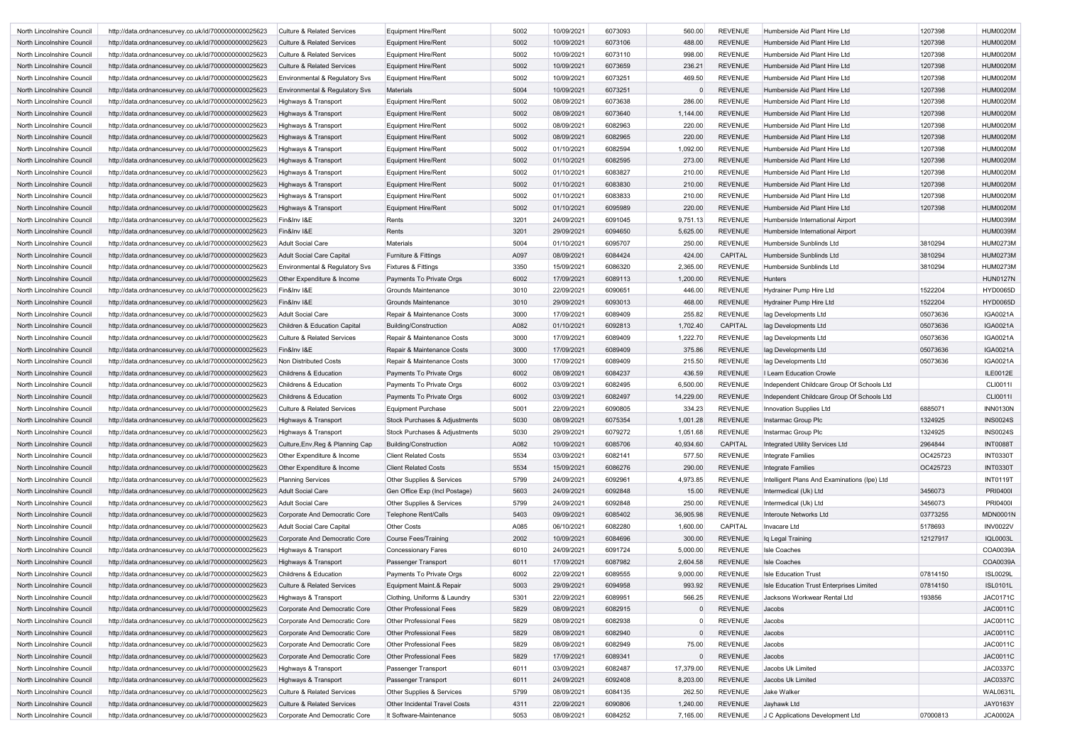| North Lincolnshire Council | http://data.ordnancesurvey.co.uk/id/7000000000025623 | <b>Culture &amp; Related Services</b>     | Equipment Hire/Rent                  | 5002 | 10/09/2021 | 6073093 | 560.00    | <b>REVENUE</b> | Humberside Aid Plant Hire Ltd                | 1207398  | <b>HUM0020M</b> |
|----------------------------|------------------------------------------------------|-------------------------------------------|--------------------------------------|------|------------|---------|-----------|----------------|----------------------------------------------|----------|-----------------|
| North Lincolnshire Council | http://data.ordnancesurvey.co.uk/id/7000000000025623 | <b>Culture &amp; Related Services</b>     | <b>Equipment Hire/Rent</b>           | 5002 | 10/09/2021 | 6073106 | 488.00    | <b>REVENUE</b> | Humberside Aid Plant Hire Ltd                | 1207398  | <b>HUM0020M</b> |
| North Lincolnshire Council | http://data.ordnancesurvey.co.uk/id/7000000000025623 | <b>Culture &amp; Related Services</b>     | Equipment Hire/Rent                  | 5002 | 10/09/2021 | 6073110 | 998.00    | <b>REVENUE</b> | Humberside Aid Plant Hire Ltd                | 1207398  | <b>HUM0020M</b> |
| North Lincolnshire Council | http://data.ordnancesurvey.co.uk/id/7000000000025623 | <b>Culture &amp; Related Services</b>     | <b>Equipment Hire/Rent</b>           | 5002 | 10/09/2021 | 6073659 | 236.21    | <b>REVENUE</b> | Humberside Aid Plant Hire Ltd                | 1207398  | <b>HUM0020M</b> |
| North Lincolnshire Council | http://data.ordnancesurvey.co.uk/id/7000000000025623 | Environmental & Regulatory Svs            | Equipment Hire/Rent                  | 5002 | 10/09/2021 | 6073251 | 469.50    | <b>REVENUE</b> | Humberside Aid Plant Hire Ltd                | 1207398  | <b>HUM0020M</b> |
| North Lincolnshire Council | http://data.ordnancesurvey.co.uk/id/7000000000025623 | Environmental & Regulatory Svs            | <b>Materials</b>                     | 5004 | 10/09/2021 | 6073251 |           | <b>REVENUE</b> | Humberside Aid Plant Hire Ltd                | 1207398  | <b>HUM0020M</b> |
| North Lincolnshire Council | http://data.ordnancesurvey.co.uk/id/7000000000025623 | Highways & Transport                      | <b>Equipment Hire/Rent</b>           | 5002 | 08/09/2021 | 6073638 | 286.00    | <b>REVENUE</b> | Humberside Aid Plant Hire Ltd                | 1207398  | <b>HUM0020M</b> |
| North Lincolnshire Council | http://data.ordnancesurvey.co.uk/id/7000000000025623 | Highways & Transport                      | <b>Equipment Hire/Rent</b>           | 5002 | 08/09/2021 | 6073640 | 1,144.00  | <b>REVENUE</b> | Humberside Aid Plant Hire Ltd                | 1207398  | <b>HUM0020M</b> |
| North Lincolnshire Council | http://data.ordnancesurvey.co.uk/id/7000000000025623 | Highways & Transport                      | Equipment Hire/Rent                  | 5002 | 08/09/2021 | 6082963 | 220.00    | <b>REVENUE</b> | Humberside Aid Plant Hire Ltd                | 1207398  | <b>HUM0020M</b> |
| North Lincolnshire Council | http://data.ordnancesurvey.co.uk/id/7000000000025623 | Highways & Transport                      | <b>Equipment Hire/Rent</b>           | 5002 | 08/09/2021 | 6082965 | 220.00    | <b>REVENUE</b> | Humberside Aid Plant Hire Ltd                | 1207398  | <b>HUM0020M</b> |
| North Lincolnshire Council | http://data.ordnancesurvey.co.uk/id/7000000000025623 | Highways & Transport                      | Equipment Hire/Rent                  | 5002 | 01/10/2021 | 6082594 | 1,092.00  | <b>REVENUE</b> | Humberside Aid Plant Hire Ltd                | 1207398  | <b>HUM0020M</b> |
|                            |                                                      |                                           |                                      |      |            |         |           |                |                                              |          |                 |
| North Lincolnshire Council | http://data.ordnancesurvey.co.uk/id/7000000000025623 | Highways & Transport                      | <b>Equipment Hire/Rent</b>           | 5002 | 01/10/2021 | 6082595 | 273.00    | <b>REVENUE</b> | Humberside Aid Plant Hire Ltd                | 1207398  | <b>HUM0020M</b> |
| North Lincolnshire Council | http://data.ordnancesurvey.co.uk/id/7000000000025623 | Highways & Transport                      | Equipment Hire/Rent                  | 5002 | 01/10/2021 | 6083827 | 210.00    | <b>REVENUE</b> | Humberside Aid Plant Hire Ltd                | 1207398  | <b>HUM0020M</b> |
| North Lincolnshire Council | http://data.ordnancesurvey.co.uk/id/7000000000025623 | Highways & Transport                      | <b>Equipment Hire/Rent</b>           | 5002 | 01/10/2021 | 6083830 | 210.00    | <b>REVENUE</b> | Humberside Aid Plant Hire Ltd                | 1207398  | <b>HUM0020M</b> |
| North Lincolnshire Council | http://data.ordnancesurvey.co.uk/id/7000000000025623 | Highways & Transport                      | Equipment Hire/Rent                  | 5002 | 01/10/2021 | 6083833 | 210.00    | <b>REVENUE</b> | Humberside Aid Plant Hire Ltd                | 1207398  | <b>HUM0020M</b> |
| North Lincolnshire Council | http://data.ordnancesurvey.co.uk/id/7000000000025623 | Highways & Transport                      | <b>Equipment Hire/Rent</b>           | 5002 | 01/10/2021 | 6095989 | 220.00    | <b>REVENUE</b> | Humberside Aid Plant Hire Ltd                | 1207398  | <b>HUM0020M</b> |
| North Lincolnshire Council | http://data.ordnancesurvey.co.uk/id/7000000000025623 | Fin&Inv I&E                               | Rents                                | 3201 | 24/09/2021 | 6091045 | 9,751.13  | <b>REVENUE</b> | Humberside International Airport             |          | <b>HUM0039M</b> |
| North Lincolnshire Council | http://data.ordnancesurvey.co.uk/id/7000000000025623 | Fin&Inv I&E                               | Rents                                | 3201 | 29/09/2021 | 6094650 | 5,625.00  | <b>REVENUE</b> | Humberside International Airport             |          | <b>HUM0039M</b> |
| North Lincolnshire Council | http://data.ordnancesurvey.co.uk/id/7000000000025623 | Adult Social Care                         | <b>Materials</b>                     | 5004 | 01/10/2021 | 6095707 | 250.00    | <b>REVENUE</b> | Humberside Sunblinds Ltd                     | 3810294  | <b>HUM0273M</b> |
| North Lincolnshire Council | http://data.ordnancesurvey.co.uk/id/7000000000025623 | <b>Adult Social Care Capital</b>          | <b>Furniture &amp; Fittings</b>      | A097 | 08/09/2021 | 6084424 | 424.00    | CAPITAL        | Humberside Sunblinds Ltd                     | 3810294  | <b>HUM0273M</b> |
| North Lincolnshire Council | http://data.ordnancesurvey.co.uk/id/7000000000025623 | <b>Environmental &amp; Regulatory Svs</b> | Fixtures & Fittings                  | 3350 | 15/09/2021 | 6086320 | 2,365.00  | <b>REVENUE</b> | Humberside Sunblinds Ltd                     | 3810294  | <b>HUM0273M</b> |
| North Lincolnshire Council | http://data.ordnancesurvey.co.uk/id/7000000000025623 | Other Expenditure & Income                | Payments To Private Orgs             | 6002 | 17/09/2021 | 6089113 | 1,200.00  | <b>REVENUE</b> | Hunters                                      |          | <b>HUN0127N</b> |
| North Lincolnshire Council | http://data.ordnancesurvey.co.uk/id/7000000000025623 | Fin&Inv I&E                               | Grounds Maintenance                  | 3010 | 22/09/2021 | 6090651 | 446.00    | <b>REVENUE</b> | Hydrainer Pump Hire Ltd                      | 1522204  | <b>HYD0065D</b> |
| North Lincolnshire Council | http://data.ordnancesurvey.co.uk/id/7000000000025623 | Fin&Inv I&E                               | Grounds Maintenance                  | 3010 | 29/09/2021 | 6093013 | 468.00    | <b>REVENUE</b> | Hydrainer Pump Hire Ltd                      | 1522204  | <b>HYD0065D</b> |
| North Lincolnshire Council | http://data.ordnancesurvey.co.uk/id/7000000000025623 | Adult Social Care                         | Repair & Maintenance Costs           | 3000 | 17/09/2021 | 6089409 | 255.82    | <b>REVENUE</b> | lag Developments Ltd                         | 05073636 | <b>IGA0021A</b> |
| North Lincolnshire Council | http://data.ordnancesurvey.co.uk/id/7000000000025623 | Children & Education Capital              | <b>Building/Construction</b>         | A082 | 01/10/2021 | 6092813 | 1,702.40  | CAPITAL        | lag Developments Ltd                         | 05073636 | <b>IGA0021A</b> |
| North Lincolnshire Council | http://data.ordnancesurvey.co.uk/id/7000000000025623 | <b>Culture &amp; Related Services</b>     | Repair & Maintenance Costs           | 3000 | 17/09/2021 | 6089409 | 1,222.70  | <b>REVENUE</b> | lag Developments Ltd                         | 05073636 | <b>IGA0021A</b> |
| North Lincolnshire Council | http://data.ordnancesurvey.co.uk/id/7000000000025623 | Fin&Inv I&E                               | Repair & Maintenance Costs           | 3000 | 17/09/2021 | 6089409 | 375.86    | <b>REVENUE</b> | lag Developments Ltd                         | 05073636 | <b>IGA0021A</b> |
| North Lincolnshire Council | http://data.ordnancesurvey.co.uk/id/7000000000025623 | Non Distributed Costs                     | Repair & Maintenance Costs           | 3000 | 17/09/2021 | 6089409 | 215.50    | <b>REVENUE</b> | lag Developments Ltd                         | 05073636 | <b>IGA0021A</b> |
| North Lincolnshire Council | http://data.ordnancesurvey.co.uk/id/7000000000025623 | <b>Childrens &amp; Education</b>          | Payments To Private Orgs             | 6002 | 08/09/2021 | 6084237 | 436.59    | <b>REVENUE</b> | I Learn Education Crowle                     |          | ILE0012E        |
| North Lincolnshire Council | http://data.ordnancesurvey.co.uk/id/7000000000025623 | <b>Childrens &amp; Education</b>          | Payments To Private Orgs             | 6002 | 03/09/2021 | 6082495 | 6,500.00  | <b>REVENUE</b> | Independent Childcare Group Of Schools Ltd   |          | <b>CLI0011I</b> |
|                            |                                                      |                                           | Payments To Private Orgs             | 6002 | 03/09/2021 | 6082497 | 14,229.00 | <b>REVENUE</b> | Independent Childcare Group Of Schools Ltd   |          | <b>CLI0011I</b> |
| North Lincolnshire Council | http://data.ordnancesurvey.co.uk/id/7000000000025623 | <b>Childrens &amp; Education</b>          |                                      |      |            |         |           |                |                                              |          |                 |
| North Lincolnshire Council | http://data.ordnancesurvey.co.uk/id/7000000000025623 | <b>Culture &amp; Related Services</b>     | <b>Equipment Purchase</b>            | 5001 | 22/09/2021 | 6090805 | 334.23    | REVENUE        | Innovation Supplies Ltd                      | 6885071  | <b>INN0130N</b> |
| North Lincolnshire Council | http://data.ordnancesurvey.co.uk/id/7000000000025623 | <b>Highways &amp; Transport</b>           | Stock Purchases & Adjustments        | 5030 | 08/09/2021 | 6075354 | 1,001.28  | <b>REVENUE</b> | Instarmac Group Plc                          | 1324925  | <b>INS0024S</b> |
| North Lincolnshire Council | http://data.ordnancesurvey.co.uk/id/7000000000025623 | Highways & Transport                      | Stock Purchases & Adjustments        | 5030 | 29/09/2021 | 6079272 | 1,051.68  | <b>REVENUE</b> | Instarmac Group Plc                          | 1324925  | <b>INS0024S</b> |
| North Lincolnshire Council | http://data.ordnancesurvey.co.uk/id/7000000000025623 | Culture, Env, Reg & Planning Cap          | <b>Building/Construction</b>         | A082 | 10/09/2021 | 6085706 | 40,934.60 | CAPITAL        | <b>Integrated Utility Services Ltd</b>       | 2964844  | <b>INT0088T</b> |
| North Lincolnshire Council | http://data.ordnancesurvey.co.uk/id/7000000000025623 | Other Expenditure & Income                | <b>Client Related Costs</b>          | 5534 | 03/09/2021 | 6082141 | 577.50    | <b>REVENUE</b> | Integrate Families                           | OC425723 | INT0330T        |
| North Lincolnshire Council | http://data.ordnancesurvey.co.uk/id/7000000000025623 | Other Expenditure & Income                | <b>Client Related Costs</b>          | 5534 | 15/09/2021 | 6086276 | 290.00    | <b>REVENUE</b> | <b>Integrate Families</b>                    | OC425723 | INT0330T        |
| North Lincolnshire Council | http://data.ordnancesurvey.co.uk/id/7000000000025623 | <b>Planning Services</b>                  | Other Supplies & Services            | 5799 | 24/09/2021 | 6092961 | 4,973.85  | <b>REVENUE</b> | Intelligent Plans And Examinations (Ipe) Ltd |          | <b>INT0119T</b> |
| North Lincolnshire Council | http://data.ordnancesurvey.co.uk/id/7000000000025623 | <b>Adult Social Care</b>                  | Gen Office Exp (Incl Postage)        | 5603 | 24/09/2021 | 6092848 | 15.00     | <b>REVENUE</b> | Intermedical (Uk) Ltd                        | 3456073  | <b>PRI04001</b> |
| North Lincolnshire Council | http://data.ordnancesurvey.co.uk/id/7000000000025623 | <b>Adult Social Care</b>                  | Other Supplies & Services            | 5799 | 24/09/2021 | 6092848 | 250.00    | <b>REVENUE</b> | Intermedical (Uk) Ltd                        | 3456073  | <b>PRI0400I</b> |
| North Lincolnshire Council | http://data.ordnancesurvey.co.uk/id/7000000000025623 | Corporate And Democratic Core             | <b>Telephone Rent/Calls</b>          | 5403 | 09/09/2021 | 6085402 | 36,905.98 | <b>REVENUE</b> | Interoute Networks Ltd                       | 03773255 | <b>MDN0001N</b> |
| North Lincolnshire Council | http://data.ordnancesurvey.co.uk/id/7000000000025623 | <b>Adult Social Care Capital</b>          | <b>Other Costs</b>                   | A085 | 06/10/2021 | 6082280 | 1,600.00  | CAPITAL        | Invacare Ltd                                 | 5178693  | <b>INV0022V</b> |
| North Lincolnshire Council | http://data.ordnancesurvey.co.uk/id/7000000000025623 | Corporate And Democratic Core             | <b>Course Fees/Training</b>          | 2002 | 10/09/2021 | 6084696 | 300.00    | <b>REVENUE</b> | Iq Legal Training                            | 12127917 | <b>IQL0003L</b> |
| North Lincolnshire Council | http://data.ordnancesurvey.co.uk/id/7000000000025623 | Highways & Transport                      | <b>Concessionary Fares</b>           | 6010 | 24/09/2021 | 6091724 | 5,000.00  | <b>REVENUE</b> | Isle Coaches                                 |          | COA0039A        |
| North Lincolnshire Council | http://data.ordnancesurvey.co.uk/id/7000000000025623 | Highways & Transport                      | Passenger Transport                  | 6011 | 17/09/2021 | 6087982 | 2,604.58  | <b>REVENUE</b> | <b>Isle Coaches</b>                          |          | COA0039A        |
| North Lincolnshire Council | http://data.ordnancesurvey.co.uk/id/7000000000025623 | Childrens & Education                     | Payments To Private Orgs             | 6002 | 22/09/2021 | 6089555 | 9,000.00  | <b>REVENUE</b> | <b>Isle Education Trust</b>                  | 07814150 | <b>ISL0029L</b> |
| North Lincolnshire Council | http://data.ordnancesurvey.co.uk/id/7000000000025623 | <b>Culture &amp; Related Services</b>     | Equipment Maint.& Repair             | 5003 | 29/09/2021 | 6094958 | 993.92    | <b>REVENUE</b> | Isle Education Trust Enterprises Limited     | 07814150 | <b>ISL0101L</b> |
| North Lincolnshire Council | http://data.ordnancesurvey.co.uk/id/7000000000025623 | Highways & Transport                      | Clothing, Uniforms & Laundry         | 5301 | 22/09/2021 | 6089951 | 566.25    | <b>REVENUE</b> | Jacksons Workwear Rental Ltd                 | 193856   | <b>JAC0171C</b> |
| North Lincolnshire Council | http://data.ordnancesurvey.co.uk/id/7000000000025623 | Corporate And Democratic Core             | <b>Other Professional Fees</b>       | 5829 | 08/09/2021 | 6082915 |           | <b>REVENUE</b> | Jacobs                                       |          | <b>JAC0011C</b> |
| North Lincolnshire Council | http://data.ordnancesurvey.co.uk/id/7000000000025623 | Corporate And Democratic Core             | <b>Other Professional Fees</b>       | 5829 | 08/09/2021 | 6082938 |           | <b>REVENUE</b> | Jacobs                                       |          | <b>JAC0011C</b> |
| North Lincolnshire Council | http://data.ordnancesurvey.co.uk/id/7000000000025623 | Corporate And Democratic Core             | <b>Other Professional Fees</b>       | 5829 | 08/09/2021 | 6082940 |           | <b>REVENUE</b> | Jacobs                                       |          | <b>JAC0011C</b> |
| North Lincolnshire Council | http://data.ordnancesurvey.co.uk/id/7000000000025623 | Corporate And Democratic Core             | Other Professional Fees              | 5829 | 08/09/2021 | 6082949 | 75.00     | <b>REVENUE</b> | Jacobs                                       |          | <b>JAC0011C</b> |
| North Lincolnshire Council | http://data.ordnancesurvey.co.uk/id/7000000000025623 | Corporate And Democratic Core             | <b>Other Professional Fees</b>       | 5829 | 17/09/2021 | 6089341 |           | <b>REVENUE</b> | Jacobs                                       |          | <b>JAC0011C</b> |
| North Lincolnshire Council | http://data.ordnancesurvey.co.uk/id/7000000000025623 | Highways & Transport                      | Passenger Transport                  | 6011 | 03/09/2021 | 6082487 | 17,379.00 | <b>REVENUE</b> | Jacobs Uk Limited                            |          | <b>JAC0337C</b> |
|                            |                                                      |                                           |                                      | 6011 | 24/09/2021 | 6092408 | 8,203.00  | <b>REVENUE</b> | Jacobs Uk Limited                            |          | <b>JAC0337C</b> |
| North Lincolnshire Council | http://data.ordnancesurvey.co.uk/id/7000000000025623 | Highways & Transport                      | Passenger Transport                  |      |            |         |           |                |                                              |          |                 |
| North Lincolnshire Council | http://data.ordnancesurvey.co.uk/id/7000000000025623 | <b>Culture &amp; Related Services</b>     | Other Supplies & Services            | 5799 | 08/09/2021 | 6084135 | 262.50    | <b>REVENUE</b> | Jake Walker                                  |          | <b>WAL0631L</b> |
| North Lincolnshire Council | http://data.ordnancesurvey.co.uk/id/7000000000025623 | <b>Culture &amp; Related Services</b>     | <b>Other Incidental Travel Costs</b> | 4311 | 22/09/2021 | 6090806 | 1,240.00  | <b>REVENUE</b> | Jayhawk Ltd                                  |          | JAY0163Y        |
| North Lincolnshire Council | http://data.ordnancesurvey.co.uk/id/7000000000025623 | Corporate And Democratic Core             | It Software-Maintenance              | 5053 | 08/09/2021 | 6084252 | 7,165.00  | <b>REVENUE</b> | J C Applications Development Ltd             | 07000813 | <b>JCA0002A</b> |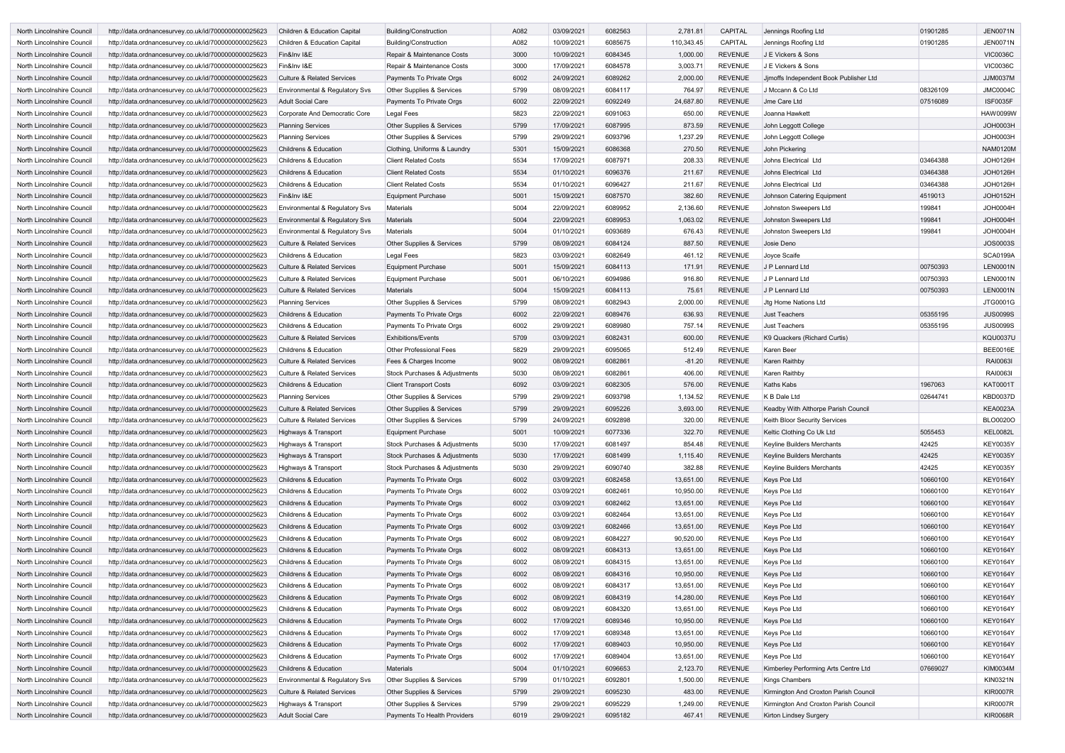| North Lincolnshire Council | http://data.ordnancesurvey.co.uk/id/7000000000025623 | Children & Education Capital              | Building/Construction                | A082 | 03/09/2021 | 6082563 | 2,781.81   | <b>CAPITAL</b> | Jennings Roofing Ltd                   | 01901285 | <b>JEN0071N</b> |
|----------------------------|------------------------------------------------------|-------------------------------------------|--------------------------------------|------|------------|---------|------------|----------------|----------------------------------------|----------|-----------------|
| North Lincolnshire Council | http://data.ordnancesurvey.co.uk/id/7000000000025623 | Children & Education Capital              | <b>Building/Construction</b>         | A082 | 10/09/2021 | 6085675 | 110,343.45 | CAPITAL        | Jennings Roofing Ltd                   | 01901285 | <b>JEN0071N</b> |
| North Lincolnshire Council | http://data.ordnancesurvey.co.uk/id/7000000000025623 | Fin&Inv I&E                               | Repair & Maintenance Costs           | 3000 | 10/09/2021 | 6084345 | 1,000.00   | <b>REVENUE</b> | J E Vickers & Sons                     |          | <b>VIC0036C</b> |
| North Lincolnshire Council | http://data.ordnancesurvey.co.uk/id/7000000000025623 | Fin&Inv I&E                               | Repair & Maintenance Costs           | 3000 | 17/09/2021 | 6084578 | 3,003.71   | <b>REVENUE</b> | J E Vickers & Sons                     |          | <b>VIC0036C</b> |
| North Lincolnshire Council | http://data.ordnancesurvey.co.uk/id/7000000000025623 | <b>Culture &amp; Related Services</b>     | Payments To Private Orgs             | 6002 | 24/09/2021 | 6089262 | 2,000.00   | <b>REVENUE</b> | Jjmoffs Independent Book Publisher Ltd |          | <b>JJM0037M</b> |
| North Lincolnshire Council | http://data.ordnancesurvey.co.uk/id/7000000000025623 | Environmental & Regulatory Svs            | Other Supplies & Services            | 5799 | 08/09/2021 | 6084117 | 764.97     | <b>REVENUE</b> | J Mccann & Co Ltd                      | 08326109 | <b>JMC0004C</b> |
| North Lincolnshire Council | http://data.ordnancesurvey.co.uk/id/7000000000025623 | <b>Adult Social Care</b>                  | Payments To Private Orgs             | 6002 | 22/09/2021 | 6092249 | 24,687.80  | <b>REVENUE</b> | <b>Jme Care Ltd</b>                    | 07516089 | <b>ISF0035F</b> |
| North Lincolnshire Council | http://data.ordnancesurvey.co.uk/id/7000000000025623 | Corporate And Democratic Core             | Legal Fees                           | 5823 | 22/09/2021 | 6091063 | 650.00     | <b>REVENUE</b> | Joanna Hawkett                         |          | <b>HAW0099W</b> |
| North Lincolnshire Council | http://data.ordnancesurvey.co.uk/id/7000000000025623 | <b>Planning Services</b>                  | Other Supplies & Services            | 5799 | 17/09/2021 | 6087995 | 873.59     | <b>REVENUE</b> | John Leggott College                   |          | JOH0003H        |
| North Lincolnshire Council | http://data.ordnancesurvey.co.uk/id/7000000000025623 | <b>Planning Services</b>                  | Other Supplies & Services            | 5799 | 29/09/2021 | 6093796 | 1,237.29   | <b>REVENUE</b> | John Leggott College                   |          | JOH0003H        |
| North Lincolnshire Council |                                                      | <b>Childrens &amp; Education</b>          | Clothing, Uniforms & Laundry         | 5301 | 15/09/2021 | 6086368 | 270.50     | <b>REVENUE</b> | John Pickering                         |          | <b>NAM0120M</b> |
|                            | http://data.ordnancesurvey.co.uk/id/7000000000025623 |                                           |                                      | 5534 |            |         |            | <b>REVENUE</b> |                                        |          | <b>JOH0126H</b> |
| North Lincolnshire Council | http://data.ordnancesurvey.co.uk/id/7000000000025623 | <b>Childrens &amp; Education</b>          | <b>Client Related Costs</b>          |      | 17/09/2021 | 6087971 | 208.33     |                | Johns Electrical Ltd                   | 03464388 |                 |
| North Lincolnshire Council | http://data.ordnancesurvey.co.uk/id/7000000000025623 | <b>Childrens &amp; Education</b>          | <b>Client Related Costs</b>          | 5534 | 01/10/2021 | 6096376 | 211.67     | <b>REVENUE</b> | Johns Electrical Ltd                   | 03464388 | <b>JOH0126H</b> |
| North Lincolnshire Council | http://data.ordnancesurvey.co.uk/id/7000000000025623 | <b>Childrens &amp; Education</b>          | <b>Client Related Costs</b>          | 5534 | 01/10/2021 | 6096427 | 211.67     | <b>REVENUE</b> | Johns Electrical Ltd                   | 03464388 | JOH0126H        |
| North Lincolnshire Council | http://data.ordnancesurvey.co.uk/id/7000000000025623 | Fin&Inv I&E                               | <b>Equipment Purchase</b>            | 5001 | 15/09/2021 | 6087570 | 382.60     | <b>REVENUE</b> | Johnson Catering Equipment             | 4519013  | <b>JOH0152H</b> |
| North Lincolnshire Council | http://data.ordnancesurvey.co.uk/id/7000000000025623 | <b>Environmental &amp; Regulatory Svs</b> | <b>Materials</b>                     | 5004 | 22/09/2021 | 6089952 | 2,136.60   | <b>REVENUE</b> | Johnston Sweepers Ltd                  | 199841   | JOH0004H        |
| North Lincolnshire Council | http://data.ordnancesurvey.co.uk/id/7000000000025623 | Environmental & Regulatory Svs            | <b>Materials</b>                     | 5004 | 22/09/2021 | 6089953 | 1,063.02   | <b>REVENUE</b> | Johnston Sweepers Ltd                  | 199841   | JOH0004H        |
| North Lincolnshire Council | http://data.ordnancesurvey.co.uk/id/7000000000025623 | Environmental & Regulatory Svs            | <b>Materials</b>                     | 5004 | 01/10/2021 | 6093689 | 676.43     | <b>REVENUE</b> | Johnston Sweepers Ltd                  | 199841   | JOH0004H        |
| North Lincolnshire Council | http://data.ordnancesurvey.co.uk/id/7000000000025623 | <b>Culture &amp; Related Services</b>     | Other Supplies & Services            | 5799 | 08/09/2021 | 6084124 | 887.50     | <b>REVENUE</b> | Josie Deno                             |          | <b>JOS0003S</b> |
| North Lincolnshire Council | http://data.ordnancesurvey.co.uk/id/7000000000025623 | <b>Childrens &amp; Education</b>          | Legal Fees                           | 5823 | 03/09/2021 | 6082649 | 461.12     | <b>REVENUE</b> | Joyce Scaife                           |          | <b>SCA0199A</b> |
| North Lincolnshire Council | http://data.ordnancesurvey.co.uk/id/7000000000025623 | <b>Culture &amp; Related Services</b>     | <b>Equipment Purchase</b>            | 5001 | 15/09/2021 | 6084113 | 171.91     | <b>REVENUE</b> | J P Lennard Ltd                        | 00750393 | <b>LEN0001N</b> |
| North Lincolnshire Council | http://data.ordnancesurvey.co.uk/id/7000000000025623 | <b>Culture &amp; Related Services</b>     | Equipment Purchase                   | 5001 | 06/10/2021 | 6094986 | 916.80     | <b>REVENUE</b> | J P Lennard Ltd                        | 00750393 | <b>LEN0001N</b> |
| North Lincolnshire Council | http://data.ordnancesurvey.co.uk/id/7000000000025623 | <b>Culture &amp; Related Services</b>     | Materials                            | 5004 | 15/09/2021 | 6084113 | 75.61      | <b>REVENUE</b> | J P Lennard Ltd                        | 00750393 | <b>LEN0001N</b> |
| North Lincolnshire Council | http://data.ordnancesurvey.co.uk/id/7000000000025623 | <b>Planning Services</b>                  | Other Supplies & Services            | 5799 | 08/09/2021 | 6082943 | 2,000.00   | <b>REVENUE</b> | Jtg Home Nations Ltd                   |          | JTG0001G        |
| North Lincolnshire Council | http://data.ordnancesurvey.co.uk/id/7000000000025623 | <b>Childrens &amp; Education</b>          | Payments To Private Orgs             | 6002 | 22/09/2021 | 6089476 | 636.93     | <b>REVENUE</b> | <b>Just Teachers</b>                   | 05355195 | <b>JUS0099S</b> |
| North Lincolnshire Council | http://data.ordnancesurvey.co.uk/id/7000000000025623 | <b>Childrens &amp; Education</b>          | Payments To Private Orgs             | 6002 | 29/09/2021 | 6089980 | 757.14     | <b>REVENUE</b> | <b>Just Teachers</b>                   | 05355195 | <b>JUS0099S</b> |
| North Lincolnshire Council | http://data.ordnancesurvey.co.uk/id/7000000000025623 | <b>Culture &amp; Related Services</b>     | <b>Exhibitions/Events</b>            | 5709 | 03/09/2021 | 6082431 | 600.00     | <b>REVENUE</b> | K9 Quackers (Richard Curtis)           |          | <b>KQU0037U</b> |
| North Lincolnshire Council | http://data.ordnancesurvey.co.uk/id/7000000000025623 | <b>Childrens &amp; Education</b>          | <b>Other Professional Fees</b>       | 5829 | 29/09/2021 | 6095065 | 512.49     | <b>REVENUE</b> | Karen Beer                             |          | <b>BEE0016E</b> |
| North Lincolnshire Council | http://data.ordnancesurvey.co.uk/id/7000000000025623 | <b>Culture &amp; Related Services</b>     | Fees & Charges Income                | 9002 | 08/09/2021 | 6082861 | $-81.20$   | <b>REVENUE</b> | Karen Raithbv                          |          | RAI0063I        |
| North Lincolnshire Council | http://data.ordnancesurvey.co.uk/id/7000000000025623 | <b>Culture &amp; Related Services</b>     | Stock Purchases & Adjustments        | 5030 | 08/09/2021 | 6082861 | 406.00     | <b>REVENUE</b> | <b>Karen Raithby</b>                   |          | RAI0063I        |
| North Lincolnshire Council | http://data.ordnancesurvey.co.uk/id/7000000000025623 | <b>Childrens &amp; Education</b>          | <b>Client Transport Costs</b>        | 6092 | 03/09/2021 | 6082305 | 576.00     | <b>REVENUE</b> | Kaths Kabs                             | 1967063  | <b>KAT0001T</b> |
| North Lincolnshire Council | http://data.ordnancesurvey.co.uk/id/7000000000025623 | <b>Planning Services</b>                  | Other Supplies & Services            | 5799 | 29/09/2021 | 6093798 | 1,134.52   | <b>REVENUE</b> | K B Dale Ltd                           | 02644741 | <b>KBD0037D</b> |
| North Lincolnshire Council | http://data.ordnancesurvey.co.uk/id/7000000000025623 | <b>Culture &amp; Related Services</b>     | <b>Other Supplies &amp; Services</b> | 5799 | 29/09/2021 | 6095226 | 3,693.00   | <b>REVENUE</b> | Keadby With Althorpe Parish Council    |          | <b>KEA0023A</b> |
| North Lincolnshire Council | http://data.ordnancesurvey.co.uk/id/7000000000025623 | Culture & Related Services                | Other Supplies & Services            | 5799 | 24/09/2021 | 6092898 | 320.00     | <b>REVENUE</b> | Keith Bloor Security Services          |          | <b>BLO0020O</b> |
| North Lincolnshire Council | http://data.ordnancesurvey.co.uk/id/7000000000025623 | Highways & Transport                      | <b>Equipment Purchase</b>            | 5001 | 10/09/2021 | 6077336 | 322.70     | <b>REVENUE</b> | Keltic Clothing Co Uk Ltd              | 5055453  | <b>KEL0082L</b> |
| North Lincolnshire Council | http://data.ordnancesurvey.co.uk/id/7000000000025623 | Highways & Transport                      | Stock Purchases & Adjustments        | 5030 | 17/09/2021 | 6081497 | 854.48     | <b>REVENUE</b> | Keyline Builders Merchants             | 42425    | <b>KEY0035Y</b> |
| North Lincolnshire Council | http://data.ordnancesurvey.co.uk/id/7000000000025623 | Highways & Transport                      | Stock Purchases & Adjustments        | 5030 | 17/09/2021 | 6081499 | 1,115.40   | <b>REVENUE</b> | Keyline Builders Merchants             | 42425    | <b>KEY0035Y</b> |
| North Lincolnshire Council | http://data.ordnancesurvey.co.uk/id/7000000000025623 | Highways & Transport                      | Stock Purchases & Adjustments        | 5030 | 29/09/2021 | 6090740 | 382.88     | <b>REVENUE</b> | Keyline Builders Merchants             | 42425    | <b>KEY0035Y</b> |
| North Lincolnshire Council | http://data.ordnancesurvey.co.uk/id/7000000000025623 | Childrens & Education                     | Payments To Private Orgs             | 6002 | 03/09/2021 | 6082458 | 13,651.00  | <b>REVENUE</b> | Keys Pce Ltd                           | 10660100 | <b>KEY0164Y</b> |
| North Lincolnshire Council |                                                      |                                           | Payments To Private Orgs             | 6002 | 03/09/2021 | 6082461 | 10,950.00  | <b>REVENUE</b> | Keys Pce Ltd                           | 10660100 | <b>KEY0164Y</b> |
|                            | http://data.ordnancesurvey.co.uk/id/7000000000025623 | Childrens & Education                     |                                      |      |            |         |            |                |                                        |          |                 |
| North Lincolnshire Council | http://data.ordnancesurvey.co.uk/id/7000000000025623 | <b>Childrens &amp; Education</b>          | Payments To Private Orgs             | 6002 | 03/09/2021 | 6082462 | 13,651.00  | <b>REVENUE</b> | Keys Pce Ltd                           | 10660100 | <b>KEY0164Y</b> |
| North Lincolnshire Council | http://data.ordnancesurvey.co.uk/id/7000000000025623 | Childrens & Education                     | Payments To Private Orgs             | 6002 | 03/09/2021 | 6082464 | 13,651.00  | <b>REVENUE</b> | Keys Pce Ltd                           | 10660100 | <b>KEY0164Y</b> |
| North Lincolnshire Council | http://data.ordnancesurvey.co.uk/id/7000000000025623 | Childrens & Education                     | Payments To Private Orgs             | 6002 | 03/09/2021 | 6082466 | 13,651.00  | <b>REVENUE</b> | Keys Pce Ltd                           | 10660100 | <b>KEY0164Y</b> |
| North Lincolnshire Council | http://data.ordnancesurvey.co.uk/id/7000000000025623 | Childrens & Education                     | Payments To Private Orgs             | 6002 | 08/09/2021 | 6084227 | 90,520.00  | <b>REVENUE</b> | Keys Pce Ltd                           | 10660100 | <b>KEY0164Y</b> |
| North Lincolnshire Council | http://data.ordnancesurvey.co.uk/id/7000000000025623 | Childrens & Education                     | Payments To Private Orgs             | 6002 | 08/09/2021 | 6084313 | 13,651.00  | <b>REVENUE</b> | Keys Pce Ltd                           | 10660100 | <b>KEY0164Y</b> |
| North Lincolnshire Council | http://data.ordnancesurvey.co.uk/id/7000000000025623 | Childrens & Education                     | Payments To Private Orgs             | 6002 | 08/09/2021 | 6084315 | 13,651.00  | <b>REVENUE</b> | Keys Pce Ltd                           | 10660100 | <b>KEY0164Y</b> |
| North Lincolnshire Council | http://data.ordnancesurvey.co.uk/id/7000000000025623 | Childrens & Education                     | Payments To Private Orgs             | 6002 | 08/09/2021 | 6084316 | 10,950.00  | <b>REVENUE</b> | Keys Pce Ltd                           | 10660100 | <b>KEY0164Y</b> |
| North Lincolnshire Council | http://data.ordnancesurvey.co.uk/id/7000000000025623 | Childrens & Education                     | Payments To Private Orgs             | 6002 | 08/09/2021 | 6084317 | 13,651.00  | <b>REVENUE</b> | Keys Pce Ltd                           | 10660100 | <b>KEY0164Y</b> |
| North Lincolnshire Council | http://data.ordnancesurvey.co.uk/id/7000000000025623 | Childrens & Education                     | Payments To Private Orgs             | 6002 | 08/09/2021 | 6084319 | 14,280.00  | <b>REVENUE</b> | Keys Pce Ltd                           | 10660100 | <b>KEY0164Y</b> |
| North Lincolnshire Council | http://data.ordnancesurvey.co.uk/id/7000000000025623 | Childrens & Education                     | Payments To Private Orgs             | 6002 | 08/09/2021 | 6084320 | 13,651.00  | <b>REVENUE</b> | Keys Pce Ltd                           | 10660100 | <b>KEY0164Y</b> |
| North Lincolnshire Council | http://data.ordnancesurvey.co.uk/id/7000000000025623 | Childrens & Education                     | Payments To Private Orgs             | 6002 | 17/09/2021 | 6089346 | 10,950.00  | <b>REVENUE</b> | Keys Pce Ltd                           | 10660100 | <b>KEY0164Y</b> |
| North Lincolnshire Council | http://data.ordnancesurvey.co.uk/id/7000000000025623 | Childrens & Education                     | Payments To Private Orgs             | 6002 | 17/09/2021 | 6089348 | 13,651.00  | <b>REVENUE</b> | Keys Pce Ltd                           | 10660100 | <b>KEY0164Y</b> |
| North Lincolnshire Council | http://data.ordnancesurvey.co.uk/id/7000000000025623 | Childrens & Education                     | Payments To Private Orgs             | 6002 | 17/09/2021 | 6089403 | 10,950.00  | <b>REVENUE</b> | Keys Pce Ltd                           | 10660100 | <b>KEY0164Y</b> |
| North Lincolnshire Council | http://data.ordnancesurvey.co.uk/id/7000000000025623 | Childrens & Education                     | Payments To Private Orgs             | 6002 | 17/09/2021 | 6089404 | 13,651.00  | <b>REVENUE</b> | Keys Pce Ltd                           | 10660100 | <b>KEY0164Y</b> |
| North Lincolnshire Council | http://data.ordnancesurvey.co.uk/id/7000000000025623 | Childrens & Education                     | Materials                            | 5004 | 01/10/2021 | 6096653 | 2,123.70   | <b>REVENUE</b> | Kimberley Performing Arts Centre Ltd   | 07669027 | <b>KIM0034M</b> |
| North Lincolnshire Council | http://data.ordnancesurvey.co.uk/id/7000000000025623 | Environmental & Regulatory Svs            | Other Supplies & Services            | 5799 | 01/10/2021 | 6092801 | 1,500.00   | <b>REVENUE</b> | <b>Kings Chambers</b>                  |          | <b>KIN0321N</b> |
| North Lincolnshire Council | http://data.ordnancesurvey.co.uk/id/7000000000025623 | <b>Culture &amp; Related Services</b>     | Other Supplies & Services            | 5799 | 29/09/2021 | 6095230 | 483.00     | <b>REVENUE</b> | Kirmington And Croxton Parish Council  |          | <b>KIR0007R</b> |
| North Lincolnshire Council | http://data.ordnancesurvey.co.uk/id/7000000000025623 | Highways & Transport                      | Other Supplies & Services            | 5799 | 29/09/2021 | 6095229 | 1,249.00   | <b>REVENUE</b> | Kirmington And Croxton Parish Council  |          | <b>KIR0007R</b> |
| North Lincolnshire Council | http://data.ordnancesurvey.co.uk/id/7000000000025623 | <b>Adult Social Care</b>                  | Payments To Health Providers         | 6019 | 29/09/2021 | 6095182 | 467.41     | <b>REVENUE</b> | Kirton Lindsey Surgery                 |          | <b>KIR0068R</b> |
|                            |                                                      |                                           |                                      |      |            |         |            |                |                                        |          |                 |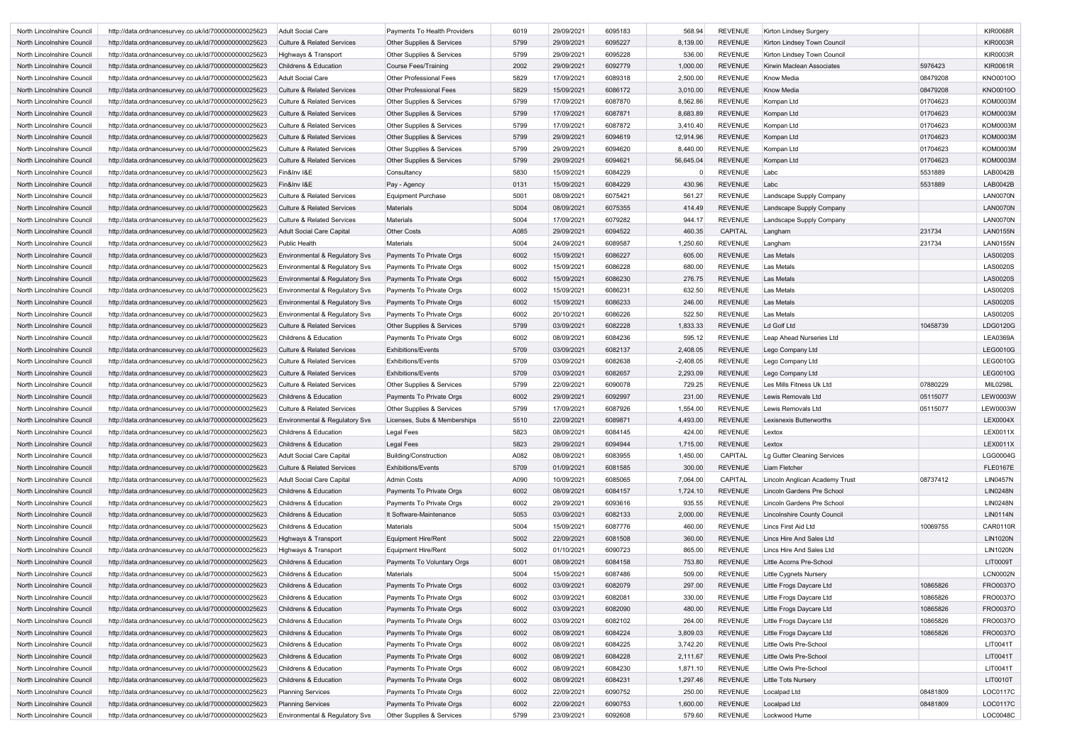| North Lincolnshire Council | http://data.ordnancesurvey.co.uk/id/7000000000025623 | <b>Adult Social Care</b>              | Payments To Health Providers         | 6019 | 29/09/2021 | 6095183 | 568.94      | <b>REVENUE</b> | Kirton Lindsey Surgery         |          | <b>KIR0068R</b>                    |
|----------------------------|------------------------------------------------------|---------------------------------------|--------------------------------------|------|------------|---------|-------------|----------------|--------------------------------|----------|------------------------------------|
| North Lincolnshire Council | http://data.ordnancesurvey.co.uk/id/7000000000025623 | <b>Culture &amp; Related Services</b> | <b>Other Supplies &amp; Services</b> | 5799 | 29/09/2021 | 6095227 | 8,139.00    | <b>REVENUE</b> | Kirton Lindsey Town Council    |          | <b>KIR0003R</b>                    |
| North Lincolnshire Council | http://data.ordnancesurvey.co.uk/id/7000000000025623 | Highways & Transport                  | <b>Other Supplies &amp; Services</b> | 5799 | 29/09/2021 | 6095228 | 536.00      | <b>REVENUE</b> | Kirton Lindsey Town Council    |          | <b>KIR0003R</b>                    |
| North Lincolnshire Council | http://data.ordnancesurvey.co.uk/id/7000000000025623 | <b>Childrens &amp; Education</b>      | <b>Course Fees/Training</b>          | 2002 | 29/09/2021 | 6092779 | 1,000.00    | <b>REVENUE</b> | Kirwin Maclean Associates      | 5976423  | <b>KIR0061R</b>                    |
| North Lincolnshire Council | http://data.ordnancesurvey.co.uk/id/7000000000025623 | <b>Adult Social Care</b>              | <b>Other Professional Fees</b>       | 5829 | 17/09/2021 | 6089318 | 2,500.00    | <b>REVENUE</b> | <b>Know Media</b>              | 08479208 | <b>KNO0010O</b>                    |
| North Lincolnshire Council | http://data.ordnancesurvey.co.uk/id/7000000000025623 | <b>Culture &amp; Related Services</b> | <b>Other Professional Fees</b>       | 5829 | 15/09/2021 | 6086172 | 3,010.00    | <b>REVENUE</b> | <b>Know Media</b>              | 08479208 | <b>KNO0010O</b>                    |
| North Lincolnshire Council | http://data.ordnancesurvey.co.uk/id/7000000000025623 | <b>Culture &amp; Related Services</b> | Other Supplies & Services            | 5799 | 17/09/2021 | 6087870 | 8,562.86    | <b>REVENUE</b> | Kompan Ltd                     | 01704623 | <b>KOM0003M</b>                    |
| North Lincolnshire Council | http://data.ordnancesurvey.co.uk/id/7000000000025623 | <b>Culture &amp; Related Services</b> | Other Supplies & Services            | 5799 | 17/09/2021 | 6087871 | 8,683.89    | REVENUE        | Kompan Ltd                     | 01704623 | <b>KOM0003M</b>                    |
| North Lincolnshire Council | http://data.ordnancesurvey.co.uk/id/7000000000025623 | <b>Culture &amp; Related Services</b> | Other Supplies & Services            | 5799 | 17/09/2021 | 6087872 | 3,410.40    | <b>REVENUE</b> | Kompan Ltd                     | 01704623 | <b>KOM0003M</b>                    |
| North Lincolnshire Council | http://data.ordnancesurvey.co.uk/id/7000000000025623 | <b>Culture &amp; Related Services</b> | Other Supplies & Services            | 5799 | 29/09/2021 | 6094619 | 12,914.96   | <b>REVENUE</b> | Kompan Ltd                     | 01704623 | <b>KOM0003M</b>                    |
| North Lincolnshire Council | http://data.ordnancesurvey.co.uk/id/7000000000025623 | <b>Culture &amp; Related Services</b> | Other Supplies & Services            | 5799 | 29/09/2021 | 6094620 | 8,440.00    | <b>REVENUE</b> | Kompan Ltd                     | 01704623 | <b>KOM0003M</b>                    |
| North Lincolnshire Council | http://data.ordnancesurvey.co.uk/id/7000000000025623 | <b>Culture &amp; Related Services</b> | <b>Other Supplies &amp; Services</b> | 5799 | 29/09/2021 | 6094621 | 56,645.04   | <b>REVENUE</b> | Kompan Ltd                     | 01704623 | <b>KOM0003M</b>                    |
| North Lincolnshire Council | http://data.ordnancesurvey.co.uk/id/7000000000025623 | Fin&Inv I&E                           | Consultancy                          | 5830 | 15/09/2021 | 6084229 |             | <b>REVENUE</b> | Labc                           | 5531889  | LAB0042B                           |
| North Lincolnshire Council | http://data.ordnancesurvey.co.uk/id/7000000000025623 | Fin&Inv I&E                           | Pay - Agency                         | 0131 | 15/09/2021 | 6084229 | 430.96      | <b>REVENUE</b> | Labc                           | 5531889  | LAB0042B                           |
| North Lincolnshire Council | http://data.ordnancesurvey.co.uk/id/7000000000025623 | <b>Culture &amp; Related Services</b> | <b>Equipment Purchase</b>            | 5001 | 08/09/2021 | 6075421 | 561.27      | <b>REVENUE</b> | Landscape Supply Company       |          | LAN0070N                           |
| North Lincolnshire Council | http://data.ordnancesurvey.co.uk/id/7000000000025623 | <b>Culture &amp; Related Services</b> | <b>Materials</b>                     | 5004 | 08/09/2021 | 6075355 | 414.49      | <b>REVENUE</b> | Landscape Supply Company       |          | LAN0070N                           |
| North Lincolnshire Council | http://data.ordnancesurvey.co.uk/id/7000000000025623 | <b>Culture &amp; Related Services</b> | Materials                            | 5004 | 17/09/2021 | 6079282 | 944.17      | <b>REVENUE</b> | Landscape Supply Company       |          | <b>LAN0070N</b>                    |
| North Lincolnshire Council | http://data.ordnancesurvey.co.uk/id/7000000000025623 | <b>Adult Social Care Capital</b>      | <b>Other Costs</b>                   | A085 | 29/09/2021 | 6094522 | 460.35      | CAPITAL        | Langham                        | 231734   | <b>LAN0155N</b>                    |
| North Lincolnshire Council | http://data.ordnancesurvey.co.uk/id/7000000000025623 | <b>Public Health</b>                  | <b>Materials</b>                     | 5004 | 24/09/2021 | 6089587 | 1,250.60    | <b>REVENUE</b> | Langham                        | 231734   | <b>LAN0155N</b>                    |
|                            |                                                      |                                       |                                      |      |            | 6086227 |             | REVENUE        | Las Metals                     |          | <b>LAS0020S</b>                    |
| North Lincolnshire Council | http://data.ordnancesurvey.co.uk/id/7000000000025623 | Environmental & Regulatory Svs        | Payments To Private Orgs             | 6002 | 15/09/2021 |         | 605.00      | <b>REVENUE</b> | Las Metals                     |          |                                    |
| North Lincolnshire Council | http://data.ordnancesurvey.co.uk/id/7000000000025623 | Environmental & Regulatory Svs        | Payments To Private Orgs             | 6002 | 15/09/2021 | 6086228 | 680.00      |                | <b>Las Metals</b>              |          | <b>LAS0020S</b><br><b>LAS0020S</b> |
| North Lincolnshire Council | http://data.ordnancesurvey.co.uk/id/7000000000025623 | Environmental & Regulatory Svs        | Payments To Private Orgs             | 6002 | 15/09/2021 | 6086230 | 276.75      | <b>REVENUE</b> |                                |          |                                    |
| North Lincolnshire Council | http://data.ordnancesurvey.co.uk/id/7000000000025623 | Environmental & Regulatory Svs        | Payments To Private Orgs             | 6002 | 15/09/2021 | 6086231 | 632.50      | <b>REVENUE</b> | Las Metals                     |          | <b>LAS0020S</b>                    |
| North Lincolnshire Council | http://data.ordnancesurvey.co.uk/id/7000000000025623 | Environmental & Regulatory Svs        | Payments To Private Orgs             | 6002 | 15/09/2021 | 6086233 | 246.00      | <b>REVENUE</b> | Las Metals                     |          | <b>LAS0020S</b>                    |
| North Lincolnshire Council | http://data.ordnancesurvey.co.uk/id/7000000000025623 | Environmental & Regulatory Svs        | Payments To Private Orgs             | 6002 | 20/10/2021 | 6086226 | 522.50      | <b>REVENUE</b> | Las Metals                     |          | <b>LAS0020S</b>                    |
| North Lincolnshire Council | http://data.ordnancesurvey.co.uk/id/7000000000025623 | <b>Culture &amp; Related Services</b> | <b>Other Supplies &amp; Services</b> | 5799 | 03/09/2021 | 6082228 | 1,833.33    | <b>REVENUE</b> | Ld Golf Ltd                    | 10458739 | LDG0120G                           |
| North Lincolnshire Council | http://data.ordnancesurvey.co.uk/id/7000000000025623 | <b>Childrens &amp; Education</b>      | Payments To Private Orgs             | 6002 | 08/09/2021 | 6084236 | 595.12      | <b>REVENUE</b> | Leap Ahead Nurseries Ltd       |          | <b>LEA0369A</b>                    |
| North Lincolnshire Council | http://data.ordnancesurvey.co.uk/id/7000000000025623 | <b>Culture &amp; Related Services</b> | <b>Exhibitions/Events</b>            | 5709 | 03/09/2021 | 6082137 | 2,408.05    | <b>REVENUE</b> | Lego Company Ltd               |          | <b>LEG0010G</b>                    |
| North Lincolnshire Council | http://data.ordnancesurvey.co.uk/id/7000000000025623 | <b>Culture &amp; Related Services</b> | <b>Exhibitions/Events</b>            | 5709 | 03/09/2021 | 6082638 | $-2,408.05$ | <b>REVENUE</b> | Lego Company Ltd               |          | <b>LEG0010G</b>                    |
| North Lincolnshire Council | http://data.ordnancesurvey.co.uk/id/7000000000025623 | <b>Culture &amp; Related Services</b> | <b>Exhibitions/Events</b>            | 5709 | 03/09/2021 | 6082657 | 2,293.09    | <b>REVENUE</b> | Lego Company Ltd               |          | <b>LEG0010G</b>                    |
| North Lincolnshire Council | http://data.ordnancesurvey.co.uk/id/7000000000025623 | <b>Culture &amp; Related Services</b> | Other Supplies & Services            | 5799 | 22/09/2021 | 6090078 | 729.25      | <b>REVENUE</b> | Les Mills Fitness Uk Ltd       | 07880229 | MIL0298L                           |
| North Lincolnshire Council | http://data.ordnancesurvey.co.uk/id/7000000000025623 | <b>Childrens &amp; Education</b>      | Payments To Private Orgs             | 6002 | 29/09/2021 | 6092997 | 231.00      | <b>REVENUE</b> | Lewis Removals Ltd             | 05115077 | <b>LEW0003W</b>                    |
| North Lincolnshire Council | http://data.ordnancesurvey.co.uk/id/7000000000025623 | <b>Culture &amp; Related Services</b> | <b>Other Supplies &amp; Services</b> | 5799 | 17/09/2021 | 6087926 | 1,554.00    | <b>REVENUE</b> | Lewis Removals Ltd             | 05115077 | <b>LEW0003W</b>                    |
| North Lincolnshire Council | http://data.ordnancesurvey.co.uk/id/7000000000025623 | Environmental & Regulatory Svs        | Licenses, Subs & Memberships         | 5510 | 22/09/2021 | 6089871 | 4,493.00    | <b>REVENUE</b> | Lexisnexis Butterworths        |          | LEX0004X                           |
| North Lincolnshire Council | http://data.ordnancesurvey.co.uk/id/7000000000025623 | Childrens & Education                 | Legal Fees                           | 5823 | 08/09/2021 | 6084145 | 424.00      | REVENUE        | Lextox                         |          | LEX0011X                           |
| North Lincolnshire Council | http://data.ordnancesurvey.co.uk/id/7000000000025623 | Childrens & Education                 | Legal Fees                           | 5823 | 29/09/2021 | 6094944 | 1,715.00    | REVENUE        | Lextox                         |          | LEX0011X                           |
| North Lincolnshire Council | http://data.ordnancesurvey.co.uk/id/7000000000025623 | <b>Adult Social Care Capital</b>      | <b>Building/Construction</b>         | A082 | 08/09/2021 | 6083955 | 1,450.00    | CAPITAL        | Lg Gutter Cleaning Services    |          | LGG0004G                           |
| North Lincolnshire Council | http://data.ordnancesurvey.co.uk/id/7000000000025623 | <b>Culture &amp; Related Services</b> | <b>Exhibitions/Events</b>            | 5709 | 01/09/2021 | 6081585 | 300.00      | <b>REVENUE</b> | Liam Fletcher                  |          | <b>FLE0167E</b>                    |
| North Lincolnshire Council | http://data.ordnancesurvey.co.uk/id/7000000000025623 | <b>Adult Social Care Capital</b>      | <b>Admin Costs</b>                   | A090 | 10/09/2021 | 6085065 | 7,064.00    | CAPITAL        | Lincoln Anglican Academy Trust | 08737412 | <b>LIN0457N</b>                    |
| North Lincolnshire Council | http://data.ordnancesurvey.co.uk/id/7000000000025623 | Childrens & Education                 | Payments To Private Orgs             | 6002 | 08/09/2021 | 6084157 | 1,724.10    | <b>REVENUE</b> | Lincoln Gardens Pre School     |          | <b>LIN0248N</b>                    |
| North Lincolnshire Council | http://data.ordnancesurvey.co.uk/id/7000000000025623 | Childrens & Education                 | Payments To Private Orgs             | 6002 | 29/09/2021 | 6093616 | 935.55      | REVENUE        | Lincoln Gardens Pre School     |          | <b>LIN0248N</b>                    |
| North Lincolnshire Council | http://data.ordnancesurvey.co.uk/id/7000000000025623 | Childrens & Education                 | It Software-Maintenance              | 5053 | 03/09/2021 | 6082133 | 2,000.00    | REVENUE        | Lincolnshire County Council    |          | <b>LIN0114N</b>                    |
| North Lincolnshire Council | http://data.ordnancesurvey.co.uk/id/7000000000025623 | <b>Childrens &amp; Education</b>      | Materials                            | 5004 | 15/09/2021 | 6087776 | 460.00      | <b>REVENUE</b> | Lincs First Aid Ltd            | 10069755 | <b>CAR0110R</b>                    |
| North Lincolnshire Council | http://data.ordnancesurvey.co.uk/id/7000000000025623 | Highways & Transport                  | Equipment Hire/Rent                  | 5002 | 22/09/2021 | 6081508 | 360.00      | REVENUE        | Lincs Hire And Sales Ltd       |          | <b>LIN1020N</b>                    |
| North Lincolnshire Council | http://data.ordnancesurvey.co.uk/id/7000000000025623 | Highways & Transport                  | <b>Equipment Hire/Rent</b>           | 5002 | 01/10/2021 | 6090723 | 865.00      | <b>REVENUE</b> | Lincs Hire And Sales Ltd       |          | <b>LIN1020N</b>                    |
| North Lincolnshire Council | http://data.ordnancesurvey.co.uk/id/7000000000025623 | Childrens & Education                 | Payments To Voluntary Orgs           | 6001 | 08/09/2021 | 6084158 | 753.80      | <b>REVENUE</b> | Little Acorns Pre-School       |          | <b>LIT0009T</b>                    |
| North Lincolnshire Council | http://data.ordnancesurvey.co.uk/id/7000000000025623 | Childrens & Education                 | Materials                            | 5004 | 15/09/2021 | 6087486 | 509.00      | <b>REVENUE</b> | <b>Little Cygnets Nursery</b>  |          | <b>LCN0002N</b>                    |
| North Lincolnshire Council | http://data.ordnancesurvey.co.uk/id/7000000000025623 | Childrens & Education                 | Payments To Private Orgs             | 6002 | 03/09/2021 | 6082079 | 297.00      | <b>REVENUE</b> | Little Frogs Daycare Ltd       | 10865826 | FRO0037O                           |
| North Lincolnshire Council | http://data.ordnancesurvey.co.uk/id/7000000000025623 | Childrens & Education                 | Payments To Private Orgs             | 6002 | 03/09/2021 | 6082081 | 330.00      | <b>REVENUE</b> | Little Frogs Daycare Ltd       | 10865826 | FRO0037O                           |
| North Lincolnshire Council | http://data.ordnancesurvey.co.uk/id/7000000000025623 | Childrens & Education                 | Payments To Private Orgs             | 6002 | 03/09/2021 | 6082090 | 480.00      | REVENUE        | Little Frogs Daycare Ltd       | 10865826 | FRO0037O                           |
| North Lincolnshire Council | http://data.ordnancesurvey.co.uk/id/7000000000025623 | Childrens & Education                 | Payments To Private Orgs             | 6002 | 03/09/2021 | 6082102 | 264.00      | REVENUE        | Little Frogs Daycare Ltd       | 10865826 | FRO0037O                           |
| North Lincolnshire Council | http://data.ordnancesurvey.co.uk/id/7000000000025623 | Childrens & Education                 | Payments To Private Orgs             | 6002 | 08/09/2021 | 6084224 | 3,809.03    | <b>REVENUE</b> | Little Frogs Daycare Ltd       | 10865826 | FRO0037O                           |
| North Lincolnshire Council | http://data.ordnancesurvey.co.uk/id/7000000000025623 | Childrens & Education                 | Payments To Private Orgs             | 6002 | 08/09/2021 | 6084225 | 3,742.20    | <b>REVENUE</b> | Little Owls Pre-School         |          | LIT0041T                           |
| North Lincolnshire Council | http://data.ordnancesurvey.co.uk/id/7000000000025623 | Childrens & Education                 | Payments To Private Orgs             | 6002 | 08/09/2021 | 6084228 | 2,111.67    | REVENUE        | Little Owls Pre-School         |          | LIT0041T                           |
| North Lincolnshire Council | http://data.ordnancesurvey.co.uk/id/7000000000025623 | Childrens & Education                 | Payments To Private Orgs             | 6002 | 08/09/2021 | 6084230 | 1,871.10    | <b>REVENUE</b> | Little Owls Pre-School         |          | LIT0041T                           |
| North Lincolnshire Council | http://data.ordnancesurvey.co.uk/id/7000000000025623 | Childrens & Education                 | Payments To Private Orgs             | 6002 | 08/09/2021 | 6084231 | 1,297.46    | <b>REVENUE</b> | <b>Little Tots Nursery</b>     |          | LIT0010T                           |
| North Lincolnshire Council | http://data.ordnancesurvey.co.uk/id/7000000000025623 | <b>Planning Services</b>              | Payments To Private Orgs             | 6002 | 22/09/2021 | 6090752 | 250.00      | <b>REVENUE</b> | Localpad Ltd                   | 08481809 | LOC0117C                           |
| North Lincolnshire Council | http://data.ordnancesurvey.co.uk/id/7000000000025623 | <b>Planning Services</b>              | Payments To Private Orgs             | 6002 | 22/09/2021 | 6090753 | 1,600.00    | <b>REVENUE</b> | Localpad Ltd                   | 08481809 | LOC0117C                           |
| North Lincolnshire Council | http://data.ordnancesurvey.co.uk/id/7000000000025623 | Environmental & Regulatory Svs        | Other Supplies & Services            | 5799 | 23/09/2021 | 6092608 | 579.60      | REVENUE        | Lockwood Hume                  |          | LOC0048C                           |
|                            |                                                      |                                       |                                      |      |            |         |             |                |                                |          |                                    |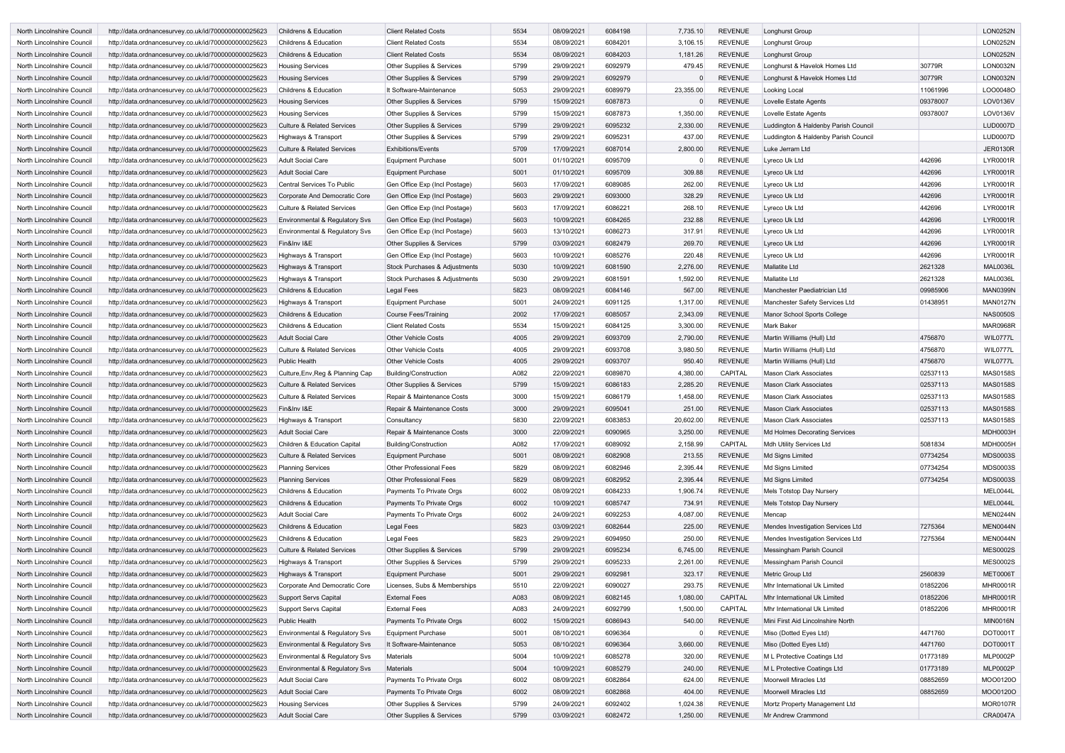| North Lincolnshire Council | http://data.ordnancesurvey.co.uk/id/7000000000025623 | <b>Childrens &amp; Education</b>          | <b>Client Related Costs</b>          | 5534 | 08/09/2021 | 6084198 | 7,735.10     | REVENUE        | Longhurst Group                      |          | <b>LON0252N</b> |
|----------------------------|------------------------------------------------------|-------------------------------------------|--------------------------------------|------|------------|---------|--------------|----------------|--------------------------------------|----------|-----------------|
| North Lincolnshire Council | http://data.ordnancesurvey.co.uk/id/7000000000025623 | <b>Childrens &amp; Education</b>          | <b>Client Related Costs</b>          | 5534 | 08/09/2021 | 6084201 | 3,106.15     | <b>REVENUE</b> | Longhurst Group                      |          | <b>LON0252N</b> |
| North Lincolnshire Council | http://data.ordnancesurvey.co.uk/id/7000000000025623 | <b>Childrens &amp; Education</b>          | <b>Client Related Costs</b>          | 5534 | 08/09/2021 | 6084203 | 1,181.26     | <b>REVENUE</b> | <b>Longhurst Group</b>               |          | <b>LON0252N</b> |
| North Lincolnshire Council | http://data.ordnancesurvey.co.uk/id/7000000000025623 | <b>Housing Services</b>                   | Other Supplies & Services            | 5799 | 29/09/2021 | 6092979 | 479.45       | <b>REVENUE</b> | Longhurst & Havelok Homes Ltd        | 30779R   | <b>LON0032N</b> |
| North Lincolnshire Council | http://data.ordnancesurvey.co.uk/id/7000000000025623 | <b>Housing Services</b>                   | <b>Other Supplies &amp; Services</b> | 5799 | 29/09/2021 | 6092979 |              | <b>REVENUE</b> | Longhurst & Havelok Homes Ltd        | 30779R   | <b>LON0032N</b> |
| North Lincolnshire Council | http://data.ordnancesurvey.co.uk/id/7000000000025623 | Childrens & Education                     | It Software-Maintenance              | 5053 | 29/09/2021 | 6089979 | 23,355.00    | <b>REVENUE</b> | Looking Local                        | 11061996 | LOO0048O        |
| North Lincolnshire Council | http://data.ordnancesurvey.co.uk/id/7000000000025623 | <b>Housing Services</b>                   | Other Supplies & Services            | 5799 | 15/09/2021 | 6087873 | $\Omega$     | <b>REVENUE</b> | Lovelle Estate Agents                | 09378007 | LOV0136V        |
| North Lincolnshire Council | http://data.ordnancesurvey.co.uk/id/7000000000025623 | <b>Housing Services</b>                   | Other Supplies & Services            | 5799 | 15/09/2021 | 6087873 | 1,350.00     | <b>REVENUE</b> | Lovelle Estate Agents                | 09378007 | LOV0136V        |
| North Lincolnshire Council | http://data.ordnancesurvey.co.uk/id/7000000000025623 | <b>Culture &amp; Related Services</b>     | <b>Other Supplies &amp; Services</b> | 5799 | 29/09/2021 | 6095232 | 2,330.00     | <b>REVENUE</b> | Luddington & Haldenby Parish Council |          | <b>LUD0007D</b> |
| North Lincolnshire Council | http://data.ordnancesurvey.co.uk/id/7000000000025623 | Highways & Transport                      | <b>Other Supplies &amp; Services</b> | 5799 | 29/09/2021 | 6095231 | 437.00       | <b>REVENUE</b> | Luddington & Haldenby Parish Council |          | <b>LUD0007D</b> |
| North Lincolnshire Council | http://data.ordnancesurvey.co.uk/id/7000000000025623 | <b>Culture &amp; Related Services</b>     | <b>Exhibitions/Events</b>            | 5709 | 17/09/2021 | 6087014 | 2,800.00     | <b>REVENUE</b> | Luke Jerram Ltd                      |          | <b>JER0130R</b> |
| North Lincolnshire Council | http://data.ordnancesurvey.co.uk/id/7000000000025623 | <b>Adult Social Care</b>                  | <b>Equipment Purchase</b>            | 5001 | 01/10/2021 | 6095709 |              | <b>REVENUE</b> | Lyreco Uk Ltd                        | 442696   | <b>LYR0001R</b> |
| North Lincolnshire Council | http://data.ordnancesurvey.co.uk/id/7000000000025623 | <b>Adult Social Care</b>                  | <b>Equipment Purchase</b>            | 5001 | 01/10/2021 | 6095709 | 309.88       | <b>REVENUE</b> | Lyreco Uk Ltd                        | 442696   | <b>LYR0001R</b> |
|                            |                                                      |                                           |                                      |      |            | 6089085 |              | <b>REVENUE</b> | Lyreco Uk Ltd                        |          | <b>LYR0001R</b> |
| North Lincolnshire Council | http://data.ordnancesurvey.co.uk/id/7000000000025623 | Central Services To Public                | Gen Office Exp (Incl Postage)        | 5603 | 17/09/2021 |         | 262.00       |                |                                      | 442696   |                 |
| North Lincolnshire Council | http://data.ordnancesurvey.co.uk/id/7000000000025623 | Corporate And Democratic Core             | Gen Office Exp (Incl Postage)        | 5603 | 29/09/2021 | 6093000 | 328.29       | REVENUE        | Lyreco Uk Ltd                        | 442696   | <b>LYR0001R</b> |
| North Lincolnshire Council | http://data.ordnancesurvey.co.uk/id/7000000000025623 | <b>Culture &amp; Related Services</b>     | Gen Office Exp (Incl Postage)        | 5603 | 17/09/2021 | 6086221 | 268.10       | REVENUE        | Lyreco Uk Ltd                        | 442696   | <b>LYR0001R</b> |
| North Lincolnshire Council | http://data.ordnancesurvey.co.uk/id/7000000000025623 | Environmental & Regulatory Svs            | Gen Office Exp (Incl Postage)        | 5603 | 10/09/2021 | 6084265 | 232.88       | <b>REVENUE</b> | Lyreco Uk Ltd                        | 442696   | <b>LYR0001R</b> |
| North Lincolnshire Council | http://data.ordnancesurvey.co.uk/id/7000000000025623 | Environmental & Regulatory Svs            | Gen Office Exp (Incl Postage)        | 5603 | 13/10/2021 | 6086273 | 317.91       | <b>REVENUE</b> | Lyreco Uk Ltd                        | 442696   | <b>LYR0001R</b> |
| North Lincolnshire Council | http://data.ordnancesurvey.co.uk/id/7000000000025623 | Fin&Inv I&E                               | Other Supplies & Services            | 5799 | 03/09/2021 | 6082479 | 269.70       | <b>REVENUE</b> | Lyreco Uk Ltd                        | 442696   | <b>LYR0001R</b> |
| North Lincolnshire Council | http://data.ordnancesurvey.co.uk/id/7000000000025623 | Highways & Transport                      | Gen Office Exp (Incl Postage)        | 5603 | 10/09/2021 | 6085276 | 220.48       | <b>REVENUE</b> | Lyreco Uk Ltd                        | 442696   | <b>LYR0001R</b> |
| North Lincolnshire Council | http://data.ordnancesurvey.co.uk/id/7000000000025623 | Highways & Transport                      | Stock Purchases & Adjustments        | 5030 | 10/09/2021 | 6081590 | 2,276.00     | REVENUE        | <b>Mallatite Ltd</b>                 | 2621328  | <b>MAL0036L</b> |
| North Lincolnshire Council | http://data.ordnancesurvey.co.uk/id/7000000000025623 | Highways & Transport                      | Stock Purchases & Adjustments        | 5030 | 29/09/2021 | 6081591 | 1,592.00     | <b>REVENUE</b> | <b>Mallatite Ltd</b>                 | 2621328  | <b>MAL0036L</b> |
| North Lincolnshire Council | http://data.ordnancesurvey.co.uk/id/7000000000025623 | Childrens & Education                     | Legal Fees                           | 5823 | 08/09/2021 | 6084146 | 567.00       | <b>REVENUE</b> | Manchester Paediatrician Ltd         | 09985906 | <b>MAN0399N</b> |
| North Lincolnshire Council | http://data.ordnancesurvey.co.uk/id/7000000000025623 | Highways & Transport                      | <b>Equipment Purchase</b>            | 5001 | 24/09/2021 | 6091125 | 1,317.00     | <b>REVENUE</b> | Manchester Safety Services Ltd       | 01438951 | <b>MAN0127N</b> |
| North Lincolnshire Council | http://data.ordnancesurvey.co.uk/id/7000000000025623 | <b>Childrens &amp; Education</b>          | <b>Course Fees/Training</b>          | 2002 | 17/09/2021 | 6085057 | 2,343.09     | REVENUE        | Manor School Sports College          |          | <b>NAS0050S</b> |
| North Lincolnshire Council | http://data.ordnancesurvey.co.uk/id/7000000000025623 | <b>Childrens &amp; Education</b>          | <b>Client Related Costs</b>          | 5534 | 15/09/2021 | 6084125 | 3,300.00     | REVENUE        | <b>Mark Baker</b>                    |          | <b>MAR0968R</b> |
| North Lincolnshire Council | http://data.ordnancesurvey.co.uk/id/7000000000025623 | <b>Adult Social Care</b>                  | <b>Other Vehicle Costs</b>           | 4005 | 29/09/2021 | 6093709 | 2,790.00     | <b>REVENUE</b> | Martin Williams (Hull) Ltd           | 4756870  | WIL0777L        |
| North Lincolnshire Council | http://data.ordnancesurvey.co.uk/id/7000000000025623 | <b>Culture &amp; Related Services</b>     | <b>Other Vehicle Costs</b>           | 4005 | 29/09/2021 | 6093708 | 3,980.50     | <b>REVENUE</b> | Martin Williams (Hull) Ltd           | 4756870  | WIL0777L        |
| North Lincolnshire Council | http://data.ordnancesurvey.co.uk/id/7000000000025623 | <b>Public Health</b>                      | <b>Other Vehicle Costs</b>           | 4005 | 29/09/2021 | 6093707 | 950.40       | <b>REVENUE</b> | Martin Williams (Hull) Ltd           | 4756870  | WIL0777L        |
| North Lincolnshire Council | http://data.ordnancesurvey.co.uk/id/7000000000025623 | Culture, Env, Reg & Planning Cap          | Building/Construction                | A082 | 22/09/2021 | 6089870 | 4,380.00     | <b>CAPITAL</b> | <b>Mason Clark Associates</b>        | 02537113 | <b>MAS0158S</b> |
| North Lincolnshire Council | http://data.ordnancesurvey.co.uk/id/7000000000025623 | <b>Culture &amp; Related Services</b>     | Other Supplies & Services            | 5799 | 15/09/2021 | 6086183 | 2,285.20     | <b>REVENUE</b> | <b>Mason Clark Associates</b>        | 02537113 | <b>MAS0158S</b> |
| North Lincolnshire Council | http://data.ordnancesurvey.co.uk/id/7000000000025623 | <b>Culture &amp; Related Services</b>     | Repair & Maintenance Costs           | 3000 | 15/09/2021 | 6086179 | 1,458.00     | <b>REVENUE</b> | <b>Mason Clark Associates</b>        | 02537113 | <b>MAS0158S</b> |
| North Lincolnshire Council | http://data.ordnancesurvey.co.uk/id/7000000000025623 | Fin&Inv I&E                               | Repair & Maintenance Costs           | 3000 | 29/09/2021 | 6095041 | 251.00       | <b>REVENUE</b> | <b>Mason Clark Associates</b>        | 02537113 | <b>MAS0158S</b> |
| North Lincolnshire Council | http://data.ordnancesurvey.co.uk/id/7000000000025623 | Highways & Transport                      | Consultancy                          | 5830 | 22/09/2021 | 6083853 | 20,602.00    | <b>REVENUE</b> | <b>Mason Clark Associates</b>        | 02537113 | <b>MAS0158S</b> |
| North Lincolnshire Council | http://data.ordnancesurvey.co.uk/id/7000000000025623 | <b>Adult Social Care</b>                  | Repair & Maintenance Costs           | 3000 | 22/09/2021 | 6090965 | 3,250.00     | REVENUE        | Md Holmes Decorating Services        |          | <b>MDH0003H</b> |
| North Lincolnshire Council | http://data.ordnancesurvey.co.uk/id/7000000000025623 | <b>Children &amp; Education Capital</b>   | Building/Construction                | A082 | 17/09/2021 | 6089092 | 2,158.99     | CAPITAL        | <b>Mdh Utility Services Ltd</b>      | 5081834  | <b>MDH0005H</b> |
| North Lincolnshire Council | http://data.ordnancesurvey.co.uk/id/7000000000025623 | <b>Culture &amp; Related Services</b>     | <b>Equipment Purchase</b>            | 5001 | 08/09/2021 | 6082908 | 213.55       | <b>REVENUE</b> | Md Signs Limited                     | 07734254 | MDS0003S        |
| North Lincolnshire Council | http://data.ordnancesurvey.co.uk/id/7000000000025623 | <b>Planning Services</b>                  | <b>Other Professional Fees</b>       | 5829 | 08/09/2021 | 6082946 | 2,395.44     | REVENUE        | Md Signs Limited                     | 07734254 | MDS0003S        |
| North Lincolnshire Council | http://data.ordnancesurvey.co.uk/id/7000000000025623 | <b>Planning Services</b>                  | <b>Other Professional Fees</b>       | 5829 | 08/09/2021 | 6082952 | 2,395.44     | REVENUE        | <b>Md Signs Limited</b>              | 07734254 | <b>MDS0003S</b> |
| North Lincolnshire Council | http://data.ordnancesurvey.co.uk/id/7000000000025623 | Childrens & Education                     | Payments To Private Orgs             | 6002 | 08/09/2021 | 6084233 | 1,906.74     | <b>REVENUE</b> | Mels Totstop Day Nursery             |          | MEL0044L        |
| North Lincolnshire Council | http://data.ordnancesurvey.co.uk/id/7000000000025623 | <b>Childrens &amp; Education</b>          | Payments To Private Orgs             | 6002 | 10/09/2021 | 6085747 | 734.91       | REVENUE        | Mels Totstop Day Nursery             |          | MEL0044L        |
| North Lincolnshire Council | http://data.ordnancesurvey.co.uk/id/7000000000025623 | <b>Adult Social Care</b>                  | Payments To Private Orgs             | 6002 | 24/09/2021 | 6092253 | 4,087.00     | <b>REVENUE</b> | Mencap                               |          | <b>MEN0244N</b> |
| North Lincolnshire Council | http://data.ordnancesurvey.co.uk/id/7000000000025623 | Childrens & Education                     | Legal Fees                           | 5823 | 03/09/2021 | 6082644 | 225.00       | <b>REVENUE</b> | Mendes Investigation Services Ltd    | 7275364  | MEN0044N        |
|                            |                                                      |                                           | Legal Fees                           |      |            |         |              | <b>REVENUE</b> |                                      | 7275364  | <b>MEN0044N</b> |
| North Lincolnshire Council | http://data.ordnancesurvey.co.uk/id/7000000000025623 | Childrens & Education                     |                                      | 5823 | 29/09/2021 | 6094950 | 250.00       |                | Mendes Investigation Services Ltd    |          |                 |
| North Lincolnshire Council | http://data.ordnancesurvey.co.uk/id/7000000000025623 | <b>Culture &amp; Related Services</b>     | Other Supplies & Services            | 5799 | 29/09/2021 | 6095234 | 6,745.00     | REVENUE        | Messingham Parish Council            |          | <b>MES0002S</b> |
| North Lincolnshire Council | http://data.ordnancesurvey.co.uk/id/7000000000025623 | Highways & Transport                      | Other Supplies & Services            | 5799 | 29/09/2021 | 6095233 | 2,261.00     | REVENUE        | Messingham Parish Council            |          | <b>MES0002S</b> |
| North Lincolnshire Council | http://data.ordnancesurvey.co.uk/id/7000000000025623 | Highways & Transport                      | <b>Equipment Purchase</b>            | 5001 | 29/09/2021 | 6092981 | 323.17       | <b>REVENUE</b> | Metric Group Ltd                     | 2560839  | <b>MET0006T</b> |
| North Lincolnshire Council | http://data.ordnancesurvey.co.uk/id/7000000000025623 | Corporate And Democratic Core             | Licenses, Subs & Memberships         | 5510 | 22/09/2021 | 6090027 | 293.75       | <b>REVENUE</b> | Mhr International Uk Limited         | 01852206 | <b>MHR0001R</b> |
| North Lincolnshire Council | http://data.ordnancesurvey.co.uk/id/7000000000025623 | <b>Support Servs Capital</b>              | <b>External Fees</b>                 | A083 | 08/09/2021 | 6082145 | 1,080.00     | <b>CAPITAL</b> | Mhr International Uk Limited         | 01852206 | <b>MHR0001R</b> |
| North Lincolnshire Council | http://data.ordnancesurvey.co.uk/id/7000000000025623 | <b>Support Servs Capital</b>              | <b>External Fees</b>                 | A083 | 24/09/2021 | 6092799 | 1,500.00     | CAPITAL        | Mhr International Uk Limited         | 01852206 | <b>MHR0001R</b> |
| North Lincolnshire Council | http://data.ordnancesurvey.co.uk/id/7000000000025623 | <b>Public Health</b>                      | Payments To Private Orgs             | 6002 | 15/09/2021 | 6086943 | 540.00       | REVENUE        | Mini First Aid Lincolnshire North    |          | <b>MIN0016N</b> |
| North Lincolnshire Council | http://data.ordnancesurvey.co.uk/id/7000000000025623 | Environmental & Regulatory Svs            | <b>Equipment Purchase</b>            | 5001 | 08/10/2021 | 6096364 | <sup>0</sup> | <b>REVENUE</b> | Miso (Dotted Eyes Ltd)               | 4471760  | DOT0001T        |
| North Lincolnshire Council | http://data.ordnancesurvey.co.uk/id/7000000000025623 | <b>Environmental &amp; Regulatory Svs</b> | It Software-Maintenance              | 5053 | 08/10/2021 | 6096364 | 3,660.00     | <b>REVENUE</b> | Miso (Dotted Eyes Ltd)               | 4471760  | DOT0001T        |
| North Lincolnshire Council | http://data.ordnancesurvey.co.uk/id/7000000000025623 | Environmental & Regulatory Svs            | Materials                            | 5004 | 10/09/2021 | 6085278 | 320.00       | <b>REVENUE</b> | M L Protective Coatings Ltd          | 01773189 | <b>MLP0002P</b> |
| North Lincolnshire Council | http://data.ordnancesurvey.co.uk/id/7000000000025623 | Environmental & Regulatory Svs            | <b>Materials</b>                     | 5004 | 10/09/2021 | 6085279 | 240.00       | <b>REVENUE</b> | M L Protective Coatings Ltd          | 01773189 | <b>MLP0002P</b> |
| North Lincolnshire Council | http://data.ordnancesurvey.co.uk/id/7000000000025623 | <b>Adult Social Care</b>                  | Payments To Private Orgs             | 6002 | 08/09/2021 | 6082864 | 624.00       | REVENUE        | <b>Moorwell Miracles Ltd</b>         | 08852659 | MOO0120O        |
| North Lincolnshire Council | http://data.ordnancesurvey.co.uk/id/7000000000025623 | <b>Adult Social Care</b>                  | Payments To Private Orgs             | 6002 | 08/09/2021 | 6082868 | 404.00       | <b>REVENUE</b> | <b>Moorwell Miracles Ltd</b>         | 08852659 | MOO0120O        |
| North Lincolnshire Council | http://data.ordnancesurvey.co.uk/id/7000000000025623 | <b>Housing Services</b>                   | Other Supplies & Services            | 5799 | 24/09/2021 | 6092402 | 1,024.38     | <b>REVENUE</b> | Mortz Property Management Ltd        |          | <b>MOR0107R</b> |
| North Lincolnshire Council | http://data.ordnancesurvey.co.uk/id/7000000000025623 | <b>Adult Social Care</b>                  | Other Supplies & Services            | 5799 | 03/09/2021 | 6082472 | 1,250.00     | REVENUE        | Mr Andrew Crammond                   |          | <b>CRA0047A</b> |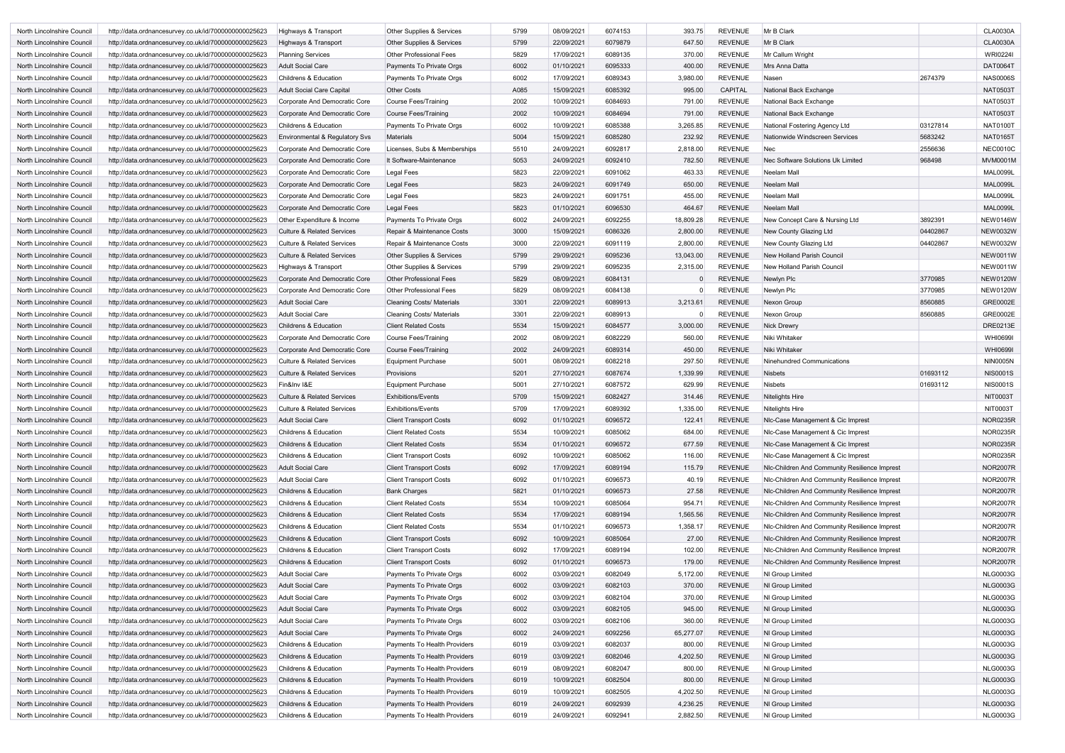| North Lincolnshire Council | http://data.ordnancesurvey.co.uk/id/7000000000025623 | Highways & Transport                  | <b>Other Supplies &amp; Services</b> | 5799 | 08/09/2021 | 6074153 | 393.75    | <b>REVENUE</b> | Mr B Clark                                    |          | <b>CLA0030A</b> |
|----------------------------|------------------------------------------------------|---------------------------------------|--------------------------------------|------|------------|---------|-----------|----------------|-----------------------------------------------|----------|-----------------|
|                            |                                                      |                                       |                                      | 5799 |            | 6079879 |           | <b>REVENUE</b> | Mr B Clark                                    |          | <b>CLA0030A</b> |
| North Lincolnshire Council | http://data.ordnancesurvey.co.uk/id/7000000000025623 | Highways & Transport                  | <b>Other Supplies &amp; Services</b> |      | 22/09/2021 |         | 647.50    |                |                                               |          |                 |
| North Lincolnshire Council | http://data.ordnancesurvey.co.uk/id/7000000000025623 | <b>Planning Services</b>              | <b>Other Professional Fees</b>       | 5829 | 17/09/2021 | 6089135 | 370.00    | <b>REVENUE</b> | Mr Callum Wright                              |          | <b>WRI0224I</b> |
| North Lincolnshire Council | http://data.ordnancesurvey.co.uk/id/7000000000025623 | <b>Adult Social Care</b>              | Payments To Private Orgs             | 6002 | 01/10/2021 | 6095333 | 400.00    | <b>REVENUE</b> | Mrs Anna Datta                                |          | <b>DAT0064T</b> |
| North Lincolnshire Council | http://data.ordnancesurvey.co.uk/id/7000000000025623 | <b>Childrens &amp; Education</b>      | Payments To Private Orgs             | 6002 | 17/09/2021 | 6089343 | 3,980.00  | <b>REVENUE</b> | Nasen                                         | 2674379  | <b>NAS0006S</b> |
| North Lincolnshire Council | http://data.ordnancesurvey.co.uk/id/7000000000025623 | <b>Adult Social Care Capital</b>      | <b>Other Costs</b>                   | A085 | 15/09/2021 | 6085392 | 995.00    | <b>CAPITAL</b> | National Back Exchange                        |          | <b>NAT0503T</b> |
| North Lincolnshire Council | http://data.ordnancesurvey.co.uk/id/7000000000025623 | Corporate And Democratic Core         | Course Fees/Training                 | 2002 | 10/09/2021 | 6084693 | 791.00    | <b>REVENUE</b> | National Back Exchange                        |          | <b>NAT0503T</b> |
| North Lincolnshire Council | http://data.ordnancesurvey.co.uk/id/7000000000025623 | Corporate And Democratic Core         | Course Fees/Training                 | 2002 | 10/09/2021 | 6084694 | 791.00    | <b>REVENUE</b> | National Back Exchange                        |          | <b>NAT0503T</b> |
| North Lincolnshire Council | http://data.ordnancesurvey.co.uk/id/7000000000025623 | <b>Childrens &amp; Education</b>      | Payments To Private Orgs             | 6002 | 10/09/2021 | 6085388 | 3,265.85  | <b>REVENUE</b> | National Fostering Agency Ltd                 | 03127814 | <b>NAT0100T</b> |
| North Lincolnshire Council | http://data.ordnancesurvey.co.uk/id/7000000000025623 | Environmental & Regulatory Svs        | <b>Materials</b>                     | 5004 | 15/09/2021 | 6085280 | 232.92    | <b>REVENUE</b> | Nationwide Windscreen Services                | 5683242  | <b>NAT0165T</b> |
| North Lincolnshire Council | http://data.ordnancesurvey.co.uk/id/7000000000025623 | Corporate And Democratic Core         | Licenses, Subs & Memberships         | 5510 | 24/09/2021 | 6092817 | 2,818.00  | <b>REVENUE</b> | Nec                                           | 2556636  | <b>NEC0010C</b> |
| North Lincolnshire Council | http://data.ordnancesurvey.co.uk/id/7000000000025623 | Corporate And Democratic Core         | It Software-Maintenance              | 5053 | 24/09/2021 | 6092410 | 782.50    | <b>REVENUE</b> | Nec Software Solutions Uk Limited             | 968498   | <b>MVM0001M</b> |
| North Lincolnshire Council | http://data.ordnancesurvey.co.uk/id/7000000000025623 | Corporate And Democratic Core         | Legal Fees                           | 5823 | 22/09/2021 | 6091062 | 463.33    | <b>REVENUE</b> | Neelam Mall                                   |          | <b>MAL0099L</b> |
| North Lincolnshire Council | http://data.ordnancesurvey.co.uk/id/7000000000025623 | Corporate And Democratic Core         | <b>Legal Fees</b>                    | 5823 | 24/09/2021 | 6091749 | 650.00    | <b>REVENUE</b> | <b>Neelam Mall</b>                            |          | <b>MAL0099L</b> |
| North Lincolnshire Council | http://data.ordnancesurvey.co.uk/id/7000000000025623 | Corporate And Democratic Core         | Legal Fees                           | 5823 | 24/09/2021 | 6091751 | 455.00    | <b>REVENUE</b> | Neelam Mall                                   |          | <b>MAL0099L</b> |
| North Lincolnshire Council | http://data.ordnancesurvey.co.uk/id/7000000000025623 | Corporate And Democratic Core         | Legal Fees                           | 5823 | 01/10/2021 | 6096530 | 464.67    | <b>REVENUE</b> | <b>Neelam Mall</b>                            |          | <b>MAL0099L</b> |
| North Lincolnshire Council | http://data.ordnancesurvey.co.uk/id/7000000000025623 | Other Expenditure & Income            | Payments To Private Orgs             | 6002 | 24/09/2021 | 6092255 | 18,809.28 | <b>REVENUE</b> | New Concept Care & Nursing Ltd                | 3892391  | <b>NEW0146W</b> |
| North Lincolnshire Council | http://data.ordnancesurvey.co.uk/id/7000000000025623 | <b>Culture &amp; Related Services</b> | Repair & Maintenance Costs           | 3000 | 15/09/2021 | 6086326 | 2,800.00  | <b>REVENUE</b> | New County Glazing Ltd                        | 04402867 | <b>NEW0032W</b> |
| North Lincolnshire Council | http://data.ordnancesurvey.co.uk/id/7000000000025623 | <b>Culture &amp; Related Services</b> | Repair & Maintenance Costs           | 3000 | 22/09/2021 | 6091119 | 2,800.00  | <b>REVENUE</b> | New County Glazing Ltd                        | 04402867 | <b>NEW0032W</b> |
| North Lincolnshire Council | http://data.ordnancesurvey.co.uk/id/7000000000025623 | <b>Culture &amp; Related Services</b> | Other Supplies & Services            | 5799 | 29/09/2021 | 6095236 | 13,043.00 | <b>REVENUE</b> | New Holland Parish Council                    |          | <b>NEW0011W</b> |
| North Lincolnshire Council | http://data.ordnancesurvey.co.uk/id/7000000000025623 | Highways & Transport                  | <b>Other Supplies &amp; Services</b> | 5799 | 29/09/2021 | 6095235 | 2,315.00  | <b>REVENUE</b> | New Holland Parish Council                    |          | <b>NEW0011W</b> |
| North Lincolnshire Council | http://data.ordnancesurvey.co.uk/id/7000000000025623 | Corporate And Democratic Core         | <b>Other Professional Fees</b>       | 5829 | 08/09/2021 | 6084131 |           | <b>REVENUE</b> | Newlyn Plc                                    | 3770985  | <b>NEW0120W</b> |
| North Lincolnshire Council | http://data.ordnancesurvey.co.uk/id/7000000000025623 | Corporate And Democratic Core         | <b>Other Professional Fees</b>       | 5829 | 08/09/2021 | 6084138 |           | <b>REVENUE</b> | Newlyn Plc                                    | 3770985  | <b>NEW0120W</b> |
|                            |                                                      | <b>Adult Social Care</b>              |                                      | 3301 | 22/09/2021 | 6089913 | 3,213.61  | <b>REVENUE</b> |                                               | 8560885  | <b>GRE0002E</b> |
| North Lincolnshire Council | http://data.ordnancesurvey.co.uk/id/7000000000025623 |                                       | <b>Cleaning Costs/ Materials</b>     |      |            |         |           |                | Nexon Group                                   |          |                 |
| North Lincolnshire Council | http://data.ordnancesurvey.co.uk/id/7000000000025623 | <b>Adult Social Care</b>              | <b>Cleaning Costs/ Materials</b>     | 3301 | 22/09/2021 | 6089913 |           | <b>REVENUE</b> | Nexon Group                                   | 8560885  | GRE0002E        |
| North Lincolnshire Council | http://data.ordnancesurvey.co.uk/id/7000000000025623 | <b>Childrens &amp; Education</b>      | <b>Client Related Costs</b>          | 5534 | 15/09/2021 | 6084577 | 3,000.00  | <b>REVENUE</b> | <b>Nick Drewry</b>                            |          | <b>DRE0213E</b> |
| North Lincolnshire Council | http://data.ordnancesurvey.co.uk/id/7000000000025623 | Corporate And Democratic Core         | <b>Course Fees/Training</b>          | 2002 | 08/09/2021 | 6082229 | 560.00    | <b>REVENUE</b> | Niki Whitaker                                 |          | <b>WHI0699I</b> |
| North Lincolnshire Council | http://data.ordnancesurvey.co.uk/id/7000000000025623 | Corporate And Democratic Core         | Course Fees/Training                 | 2002 | 24/09/2021 | 6089314 | 450.00    | <b>REVENUE</b> | Niki Whitaker                                 |          | <b>WHI0699I</b> |
| North Lincolnshire Council | http://data.ordnancesurvey.co.uk/id/7000000000025623 | <b>Culture &amp; Related Services</b> | <b>Equipment Purchase</b>            | 5001 | 08/09/2021 | 6082218 | 297.50    | <b>REVENUE</b> | Ninehundred Communications                    |          | <b>NIN0005N</b> |
| North Lincolnshire Council | http://data.ordnancesurvey.co.uk/id/7000000000025623 | <b>Culture &amp; Related Services</b> | Provisions                           | 5201 | 27/10/2021 | 6087674 | 1,339.99  | <b>REVENUE</b> | <b>Nisbets</b>                                | 01693112 | <b>NIS0001S</b> |
| North Lincolnshire Council | http://data.ordnancesurvey.co.uk/id/7000000000025623 | Fin&Inv I&E                           | <b>Equipment Purchase</b>            | 5001 | 27/10/2021 | 6087572 | 629.99    | <b>REVENUE</b> | <b>Nisbets</b>                                | 01693112 | <b>NIS0001S</b> |
| North Lincolnshire Council | http://data.ordnancesurvey.co.uk/id/7000000000025623 | <b>Culture &amp; Related Services</b> | <b>Exhibitions/Events</b>            | 5709 | 15/09/2021 | 6082427 | 314.46    | <b>REVENUE</b> | <b>Nitelights Hire</b>                        |          | <b>NIT0003T</b> |
| North Lincolnshire Council | http://data.ordnancesurvey.co.uk/id/7000000000025623 | <b>Culture &amp; Related Services</b> | <b>Exhibitions/Events</b>            | 5709 | 17/09/2021 | 6089392 | 1,335.00  | <b>REVENUE</b> | <b>Nitelights Hire</b>                        |          | NIT0003T        |
| North Lincolnshire Council | http://data.ordnancesurvey.co.uk/id/7000000000025623 | <b>Adult Social Care</b>              | <b>Client Transport Costs</b>        | 6092 | 01/10/2021 | 6096572 | 122.41    | REVENUE        | NIc-Case Management & Cic Imprest             |          | <b>NOR0235R</b> |
| North Lincolnshire Council | http://data.ordnancesurvey.co.uk/id/7000000000025623 | Childrens & Education                 | <b>Client Related Costs</b>          | 5534 | 10/09/2021 | 6085062 | 684.00    | <b>REVENUE</b> | NIc-Case Management & Cic Imprest             |          | <b>NOR0235R</b> |
| North Lincolnshire Council | http://data.ordnancesurvey.co.uk/id/7000000000025623 | Childrens & Education                 | <b>Client Related Costs</b>          | 5534 | 01/10/2021 | 6096572 | 677.59    | <b>REVENUE</b> | NIc-Case Management & Cic Imprest             |          | <b>NOR0235R</b> |
| North Lincolnshire Council | http://data.ordnancesurvey.co.uk/id/7000000000025623 | Childrens & Education                 | <b>Client Transport Costs</b>        | 6092 | 10/09/2021 | 6085062 | 116.00    | <b>REVENUE</b> | NIc-Case Management & Cic Imprest             |          | <b>NOR0235R</b> |
| North Lincolnshire Council | http://data.ordnancesurvey.co.uk/id/7000000000025623 | <b>Adult Social Care</b>              | <b>Client Transport Costs</b>        | 6092 | 17/09/2021 | 6089194 | 115.79    | <b>REVENUE</b> | NIc-Children And Community Resilience Imprest |          | <b>NOR2007R</b> |
| North Lincolnshire Council | http://data.ordnancesurvey.co.uk/id/7000000000025623 | <b>Adult Social Care</b>              | <b>Client Transport Costs</b>        | 6092 | 01/10/2021 | 6096573 | 40.19     | <b>REVENUE</b> | NIc-Children And Community Resilience Imprest |          | <b>NOR2007R</b> |
| North Lincolnshire Council | http://data.ordnancesurvey.co.uk/id/7000000000025623 | Childrens & Education                 | <b>Bank Charges</b>                  | 5821 | 01/10/2021 | 6096573 | 27.58     | <b>REVENUE</b> | NIc-Children And Community Resilience Imprest |          | <b>NOR2007R</b> |
| North Lincolnshire Council | http://data.ordnancesurvey.co.uk/id/7000000000025623 | Childrens & Education                 | <b>Client Related Costs</b>          | 5534 | 10/09/2021 | 6085064 | 954.71    | <b>REVENUE</b> | NIc-Children And Community Resilience Imprest |          | <b>NOR2007R</b> |
| North Lincolnshire Council | http://data.ordnancesurvey.co.uk/id/7000000000025623 | Childrens & Education                 | <b>Client Related Costs</b>          | 5534 | 17/09/2021 | 6089194 | 1,565.56  | <b>REVENUE</b> | NIc-Children And Community Resilience Imprest |          | <b>NOR2007R</b> |
| North Lincolnshire Council | http://data.ordnancesurvey.co.uk/id/7000000000025623 | Childrens & Education                 | <b>Client Related Costs</b>          | 5534 | 01/10/2021 | 6096573 | 1,358.17  | <b>REVENUE</b> | NIc-Children And Community Resilience Imprest |          | <b>NOR2007R</b> |
| North Lincolnshire Council | http://data.ordnancesurvey.co.uk/id/7000000000025623 | Childrens & Education                 | <b>Client Transport Costs</b>        | 6092 | 10/09/2021 | 6085064 | 27.00     | <b>REVENUE</b> | Nic-Children And Community Resilience Imprest |          | <b>NOR2007R</b> |
| North Lincolnshire Council | http://data.ordnancesurvey.co.uk/id/7000000000025623 | Childrens & Education                 | <b>Client Transport Costs</b>        | 6092 | 17/09/2021 | 6089194 | 102.00    | <b>REVENUE</b> | Nic-Children And Community Resilience Imprest |          | <b>NOR2007R</b> |
| North Lincolnshire Council | http://data.ordnancesurvey.co.uk/id/7000000000025623 | Childrens & Education                 | <b>Client Transport Costs</b>        | 6092 | 01/10/2021 | 6096573 | 179.00    | <b>REVENUE</b> |                                               |          | <b>NOR2007R</b> |
|                            |                                                      |                                       |                                      | 6002 | 03/09/2021 | 6082049 |           | <b>REVENUE</b> | NIc-Children And Community Resilience Imprest |          | <b>NLG0003G</b> |
| North Lincolnshire Council | http://data.ordnancesurvey.co.uk/id/7000000000025623 | <b>Adult Social Care</b>              | Payments To Private Orgs             |      |            |         | 5,172.00  |                | NI Group Limited                              |          |                 |
| North Lincolnshire Council | http://data.ordnancesurvey.co.uk/id/7000000000025623 | <b>Adult Social Care</b>              | Payments To Private Orgs             | 6002 | 03/09/2021 | 6082103 | 370.00    | <b>REVENUE</b> | NI Group Limited                              |          | <b>NLG0003G</b> |
| North Lincolnshire Council | http://data.ordnancesurvey.co.uk/id/7000000000025623 | <b>Adult Social Care</b>              | Payments To Private Orgs             | 6002 | 03/09/2021 | 6082104 | 370.00    | <b>REVENUE</b> | NI Group Limited                              |          | <b>NLG0003G</b> |
| North Lincolnshire Council | http://data.ordnancesurvey.co.uk/id/7000000000025623 | <b>Adult Social Care</b>              | Payments To Private Orgs             | 6002 | 03/09/2021 | 6082105 | 945.00    | <b>REVENUE</b> | NI Group Limited                              |          | <b>NLG0003G</b> |
| North Lincolnshire Council | http://data.ordnancesurvey.co.uk/id/7000000000025623 | <b>Adult Social Care</b>              | Payments To Private Orgs             | 6002 | 03/09/2021 | 6082106 | 360.00    | <b>REVENUE</b> | NI Group Limited                              |          | <b>NLG0003G</b> |
| North Lincolnshire Council | http://data.ordnancesurvey.co.uk/id/7000000000025623 | <b>Adult Social Care</b>              | Payments To Private Orgs             | 6002 | 24/09/2021 | 6092256 | 65,277.07 | <b>REVENUE</b> | NI Group Limited                              |          | <b>NLG0003G</b> |
| North Lincolnshire Council | http://data.ordnancesurvey.co.uk/id/7000000000025623 | Childrens & Education                 | Payments To Health Providers         | 6019 | 03/09/2021 | 6082037 | 800.00    | <b>REVENUE</b> | NI Group Limited                              |          | <b>NLG0003G</b> |
| North Lincolnshire Council | http://data.ordnancesurvey.co.uk/id/7000000000025623 | Childrens & Education                 | Payments To Health Providers         | 6019 | 03/09/2021 | 6082046 | 4,202.50  | <b>REVENUE</b> | NI Group Limited                              |          | <b>NLG0003G</b> |
| North Lincolnshire Council | http://data.ordnancesurvey.co.uk/id/7000000000025623 | Childrens & Education                 | Payments To Health Providers         | 6019 | 08/09/2021 | 6082047 | 800.00    | <b>REVENUE</b> | NI Group Limited                              |          | <b>NLG0003G</b> |
| North Lincolnshire Council | http://data.ordnancesurvey.co.uk/id/7000000000025623 | Childrens & Education                 | Payments To Health Providers         | 6019 | 10/09/2021 | 6082504 | 800.00    | <b>REVENUE</b> | NI Group Limited                              |          | <b>NLG0003G</b> |
| North Lincolnshire Council | http://data.ordnancesurvey.co.uk/id/7000000000025623 | Childrens & Education                 | Payments To Health Providers         | 6019 | 10/09/2021 | 6082505 | 4,202.50  | <b>REVENUE</b> | NI Group Limited                              |          | <b>NLG0003G</b> |
| North Lincolnshire Council | http://data.ordnancesurvey.co.uk/id/7000000000025623 | Childrens & Education                 | Payments To Health Providers         | 6019 | 24/09/2021 | 6092939 | 4,236.25  | <b>REVENUE</b> | NI Group Limited                              |          | <b>NLG0003G</b> |
| North Lincolnshire Council | http://data.ordnancesurvey.co.uk/id/7000000000025623 | Childrens & Education                 | Payments To Health Providers         | 6019 | 24/09/2021 | 6092941 | 2,882.50  | REVENUE        | NI Group Limited                              |          | <b>NLG0003G</b> |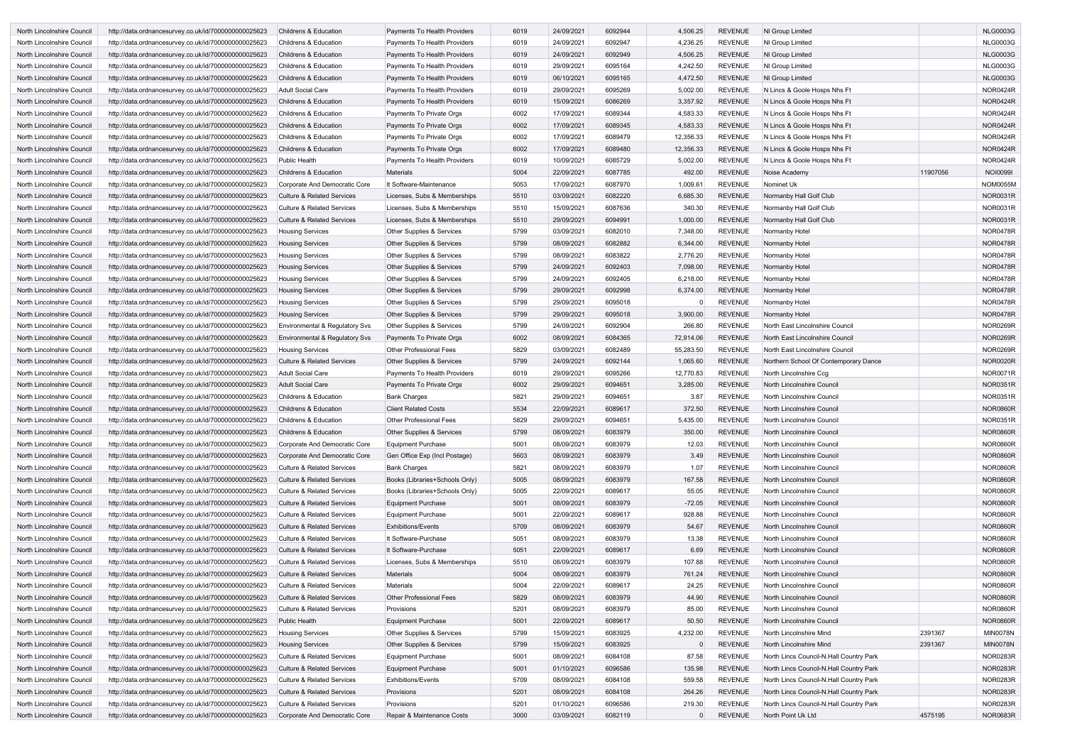| North Lincolnshire Council | http://data.ordnancesurvey.co.uk/id/7000000000025623 | <b>Childrens &amp; Education</b>      | <b>Payments To Health Providers</b>  | 6019 | 24/09/2021 | 6092944 | 4,506.25  | <b>REVENUE</b> | NI Group Limited                         |          | <b>NLG0003G</b> |
|----------------------------|------------------------------------------------------|---------------------------------------|--------------------------------------|------|------------|---------|-----------|----------------|------------------------------------------|----------|-----------------|
| North Lincolnshire Council | http://data.ordnancesurvey.co.uk/id/7000000000025623 | <b>Childrens &amp; Education</b>      | Payments To Health Providers         | 6019 | 24/09/2021 | 6092947 | 4,236.25  | <b>REVENUE</b> | NI Group Limited                         |          | <b>NLG0003G</b> |
| North Lincolnshire Council | http://data.ordnancesurvey.co.uk/id/7000000000025623 | <b>Childrens &amp; Education</b>      | Payments To Health Providers         | 6019 | 24/09/2021 | 6092949 | 4,506.25  | <b>REVENUE</b> | NI Group Limited                         |          | <b>NLG0003G</b> |
| North Lincolnshire Council | http://data.ordnancesurvey.co.uk/id/7000000000025623 | Childrens & Education                 | Payments To Health Providers         | 6019 | 29/09/2021 | 6095164 | 4,242.50  | <b>REVENUE</b> | NI Group Limited                         |          | <b>NLG0003G</b> |
| North Lincolnshire Council | http://data.ordnancesurvey.co.uk/id/7000000000025623 | <b>Childrens &amp; Education</b>      | Payments To Health Providers         | 6019 | 06/10/2021 | 6095165 | 4,472.50  | <b>REVENUE</b> | NI Group Limited                         |          | <b>NLG0003G</b> |
| North Lincolnshire Council | http://data.ordnancesurvey.co.uk/id/7000000000025623 | <b>Adult Social Care</b>              | Payments To Health Providers         | 6019 | 29/09/2021 | 6095269 | 5,002.00  | <b>REVENUE</b> | N Lincs & Goole Hosps Nhs Ft             |          | <b>NOR0424R</b> |
| North Lincolnshire Council | http://data.ordnancesurvey.co.uk/id/7000000000025623 | <b>Childrens &amp; Education</b>      | Payments To Health Providers         | 6019 | 15/09/2021 | 6086269 | 3,357.92  | <b>REVENUE</b> | N Lincs & Goole Hosps Nhs Ft             |          | <b>NOR0424R</b> |
| North Lincolnshire Council | http://data.ordnancesurvey.co.uk/id/7000000000025623 | <b>Childrens &amp; Education</b>      | Payments To Private Orgs             | 6002 | 17/09/2021 | 6089344 | 4,583.33  | <b>REVENUE</b> | N Lincs & Goole Hosps Nhs Ft             |          | <b>NOR0424R</b> |
| North Lincolnshire Council | http://data.ordnancesurvey.co.uk/id/7000000000025623 | Childrens & Education                 | Payments To Private Orgs             | 6002 | 17/09/2021 | 6089345 | 4,583.33  | <b>REVENUE</b> | N Lincs & Goole Hosps Nhs Ft             |          | <b>NOR0424R</b> |
| North Lincolnshire Council | http://data.ordnancesurvey.co.uk/id/7000000000025623 | Childrens & Education                 | Payments To Private Orgs             | 6002 | 17/09/2021 | 6089479 | 12,356.33 | <b>REVENUE</b> | N Lincs & Goole Hosps Nhs Ft             |          | NOR0424R        |
| North Lincolnshire Council | http://data.ordnancesurvey.co.uk/id/7000000000025623 | <b>Childrens &amp; Education</b>      | Payments To Private Orgs             | 6002 | 17/09/2021 | 6089480 | 12,356.33 | <b>REVENUE</b> | N Lincs & Goole Hosps Nhs Ft             |          | <b>NOR0424R</b> |
| North Lincolnshire Council | http://data.ordnancesurvey.co.uk/id/7000000000025623 | <b>Public Health</b>                  | Payments To Health Providers         | 6019 | 10/09/2021 | 6085729 | 5,002.00  | <b>REVENUE</b> | N Lincs & Goole Hosps Nhs Ft             |          | <b>NOR0424R</b> |
| North Lincolnshire Council | http://data.ordnancesurvey.co.uk/id/7000000000025623 | <b>Childrens &amp; Education</b>      | <b>Materials</b>                     | 5004 | 22/09/2021 | 6087785 | 492.00    | <b>REVENUE</b> | Noise Academy                            | 11907056 | <b>NOI0099I</b> |
| North Lincolnshire Council | http://data.ordnancesurvey.co.uk/id/7000000000025623 | Corporate And Democratic Core         | It Software-Maintenance              | 5053 | 17/09/2021 | 6087970 | 1,009.6   | <b>REVENUE</b> | Nominet Uk                               |          | <b>NOM0055M</b> |
| North Lincolnshire Council | http://data.ordnancesurvey.co.uk/id/7000000000025623 | <b>Culture &amp; Related Services</b> | Licenses. Subs & Memberships         | 5510 | 03/09/2021 | 6082220 | 6,685.30  | <b>REVENUE</b> | Normanby Hall Golf Club                  |          | <b>NOR0031R</b> |
| North Lincolnshire Council | http://data.ordnancesurvey.co.uk/id/7000000000025623 | <b>Culture &amp; Related Services</b> | Licenses, Subs & Memberships         | 5510 | 15/09/2021 | 6087636 | 340.30    | <b>REVENUE</b> | Normanby Hall Golf Club                  |          | <b>NOR0031R</b> |
| North Lincolnshire Council | http://data.ordnancesurvey.co.uk/id/7000000000025623 | <b>Culture &amp; Related Services</b> | Licenses, Subs & Memberships         | 5510 | 29/09/2021 | 6094991 | 1,000.00  | REVENUE        | Normanby Hall Golf Club                  |          | <b>NOR0031R</b> |
| North Lincolnshire Council | http://data.ordnancesurvey.co.uk/id/7000000000025623 | <b>Housing Services</b>               | <b>Other Supplies &amp; Services</b> | 5799 | 03/09/2021 | 6082010 | 7,348.00  | <b>REVENUE</b> | Normanby Hotel                           |          | <b>NOR0478R</b> |
| North Lincolnshire Council | http://data.ordnancesurvey.co.uk/id/7000000000025623 | <b>Housing Services</b>               | Other Supplies & Services            | 5799 | 08/09/2021 | 6082882 | 6,344.00  | <b>REVENUE</b> | Normanby Hotel                           |          | <b>NOR0478R</b> |
| North Lincolnshire Council | http://data.ordnancesurvey.co.uk/id/7000000000025623 | <b>Housing Services</b>               | <b>Other Supplies &amp; Services</b> | 5799 | 08/09/2021 | 6083822 | 2,776.20  | <b>REVENUE</b> | Normanby Hotel                           |          | <b>NOR0478R</b> |
| North Lincolnshire Council |                                                      |                                       |                                      | 5799 | 24/09/2021 | 6092403 | 7,098.00  | <b>REVENUE</b> | Normanby Hotel                           |          | <b>NOR0478R</b> |
| North Lincolnshire Council | http://data.ordnancesurvey.co.uk/id/7000000000025623 | <b>Housing Services</b>               | Other Supplies & Services            |      |            | 6092405 |           |                |                                          |          | <b>NOR0478R</b> |
|                            | http://data.ordnancesurvey.co.uk/id/7000000000025623 | <b>Housing Services</b>               | Other Supplies & Services            | 5799 | 24/09/2021 |         | 6,218.00  | <b>REVENUE</b> | Normanby Hotel                           |          |                 |
| North Lincolnshire Council | http://data.ordnancesurvey.co.uk/id/7000000000025623 | <b>Housing Services</b>               | Other Supplies & Services            | 5799 | 29/09/2021 | 6092998 | 6,374.00  | <b>REVENUE</b> | Normanby Hotel                           |          | <b>NOR0478R</b> |
| North Lincolnshire Council | http://data.ordnancesurvey.co.uk/id/7000000000025623 | <b>Housing Services</b>               | Other Supplies & Services            | 5799 | 29/09/2021 | 6095018 |           | <b>REVENUE</b> | Normanby Hotel                           |          | <b>NOR0478R</b> |
| North Lincolnshire Council | http://data.ordnancesurvey.co.uk/id/7000000000025623 | <b>Housing Services</b>               | Other Supplies & Services            | 5799 | 29/09/2021 | 6095018 | 3,900.00  | REVENUE        | Normanby Hotel                           |          | <b>NOR0478R</b> |
| North Lincolnshire Council | http://data.ordnancesurvey.co.uk/id/7000000000025623 | Environmental & Regulatory Svs        | Other Supplies & Services            | 5799 | 24/09/2021 | 6092904 | 266.80    | <b>REVENUE</b> | North East Lincolnshire Council          |          | <b>NOR0269R</b> |
| North Lincolnshire Council | http://data.ordnancesurvey.co.uk/id/7000000000025623 | Environmental & Regulatory Svs        | Payments To Private Orgs             | 6002 | 08/09/2021 | 6084365 | 72,914.06 | <b>REVENUE</b> | North East Lincolnshire Council          |          | <b>NOR0269R</b> |
| North Lincolnshire Council | http://data.ordnancesurvey.co.uk/id/7000000000025623 | <b>Housing Services</b>               | <b>Other Professional Fees</b>       | 5829 | 03/09/2021 | 6082489 | 55,283.50 | <b>REVENUE</b> | North East Lincolnshire Council          |          | <b>NOR0269R</b> |
| North Lincolnshire Council | http://data.ordnancesurvey.co.uk/id/7000000000025623 | <b>Culture &amp; Related Services</b> | Other Supplies & Services            | 5799 | 24/09/2021 | 6092144 | 1,065.60  | <b>REVENUE</b> | Northern School Of Contemporary Dance    |          | <b>NOR0020R</b> |
| North Lincolnshire Council | http://data.ordnancesurvey.co.uk/id/7000000000025623 | Adult Social Care                     | Payments To Health Providers         | 6019 | 29/09/2021 | 6095266 | 12,770.83 | <b>REVENUE</b> | North Lincolnshire Ccg                   |          | <b>NOR0071R</b> |
| North Lincolnshire Council | http://data.ordnancesurvey.co.uk/id/7000000000025623 | <b>Adult Social Care</b>              | Payments To Private Orgs             | 6002 | 29/09/2021 | 6094651 | 3,285.00  | <b>REVENUE</b> | North Lincolnshire Council               |          | <b>NOR0351R</b> |
| North Lincolnshire Council | http://data.ordnancesurvey.co.uk/id/7000000000025623 | <b>Childrens &amp; Education</b>      | <b>Bank Charges</b>                  | 5821 | 29/09/2021 | 6094651 | 3.87      | <b>REVENUE</b> | North Lincolnshire Council               |          | <b>NOR0351R</b> |
| North Lincolnshire Council | http://data.ordnancesurvey.co.uk/id/7000000000025623 | Childrens & Education                 | <b>Client Related Costs</b>          | 5534 | 22/09/2021 | 6089617 | 372.50    | <b>REVENUE</b> | North Lincolnshire Council               |          | <b>NOR0860R</b> |
| North Lincolnshire Council | http://data.ordnancesurvey.co.uk/id/7000000000025623 | Childrens & Education                 | <b>Other Professional Fees</b>       | 5829 | 29/09/2021 | 6094651 | 5,435.00  | <b>REVENUE</b> | North Lincolnshire Council               |          | <b>NOR0351R</b> |
| North Lincolnshire Council | http://data.ordnancesurvey.co.uk/id/7000000000025623 | Childrens & Education                 | <b>Other Supplies &amp; Services</b> | 5799 | 08/09/2021 | 6083979 | 350.00    | REVENUE        | North Lincolnshire Council               |          | <b>NOR0860R</b> |
| North Lincolnshire Council | http://data.ordnancesurvey.co.uk/id/7000000000025623 | Corporate And Democratic Core         | <b>Equipment Purchase</b>            | 5001 | 08/09/2021 | 6083979 | 12.03     | <b>REVENUE</b> | North Lincolnshire Council               |          | <b>NOR0860R</b> |
| North Lincolnshire Council | http://data.ordnancesurvey.co.uk/id/7000000000025623 | Corporate And Democratic Core         | Gen Office Exp (Incl Postage)        | 5603 | 08/09/2021 | 6083979 | 3.49      | REVENUE        | North Lincolnshire Council               |          | <b>NOR0860R</b> |
| North Lincolnshire Council | http://data.ordnancesurvey.co.uk/id/7000000000025623 | <b>Culture &amp; Related Services</b> | <b>Bank Charges</b>                  | 5821 | 08/09/2021 | 6083979 | 1.07      | REVENUE        | North Lincolnshire Council               |          | <b>NOR0860R</b> |
| North Lincolnshire Council | http://data.ordnancesurvey.co.uk/id/7000000000025623 | <b>Culture &amp; Related Services</b> | Books (Libraries+Schools Only)       | 5005 | 08/09/2021 | 6083979 | 167.58    | REVENUE        | North Lincolnshire Council               |          | <b>NOR0860R</b> |
| North Lincolnshire Council | http://data.ordnancesurvey.co.uk/id/7000000000025623 | <b>Culture &amp; Related Services</b> | Books (Libraries+Schools Only)       | 5005 | 22/09/2021 | 6089617 | 55.05     | <b>REVENUE</b> | North Lincolnshire Council               |          | <b>NOR0860R</b> |
| North Lincolnshire Council | http://data.ordnancesurvey.co.uk/id/7000000000025623 | <b>Culture &amp; Related Services</b> | <b>Equipment Purchase</b>            | 5001 | 08/09/2021 | 6083979 | $-72.05$  | <b>REVENUE</b> | North Lincolnshire Council               |          | <b>NOR0860R</b> |
| North Lincolnshire Council | http://data.ordnancesurvey.co.uk/id/7000000000025623 | <b>Culture &amp; Related Services</b> | <b>Equipment Purchase</b>            | 5001 | 22/09/2021 | 6089617 | 928.88    | REVENUE        | North Lincolnshire Council               |          | <b>NOR0860R</b> |
| North Lincolnshire Council | http://data.ordnancesurvey.co.uk/id/7000000000025623 | <b>Culture &amp; Related Services</b> | <b>Exhibitions/Events</b>            | 5709 | 08/09/2021 | 6083979 | 54.67     | <b>REVENUE</b> | North Lincolnshire Council               |          | <b>NOR0860R</b> |
| North Lincolnshire Council | http://data.ordnancesurvey.co.uk/id/7000000000025623 | <b>Culture &amp; Related Services</b> | It Software-Purchase                 | 5051 | 08/09/2021 | 6083979 | 13.38     | REVENUE        | North Lincolnshire Council               |          | <b>NOR0860R</b> |
| North Lincolnshire Council | http://data.ordnancesurvey.co.uk/id/7000000000025623 | <b>Culture &amp; Related Services</b> | It Software-Purchase                 | 5051 | 22/09/2021 | 6089617 | 6.69      | <b>REVENUE</b> | North Lincolnshire Council               |          | <b>NOR0860R</b> |
| North Lincolnshire Council | http://data.ordnancesurvey.co.uk/id/7000000000025623 | <b>Culture &amp; Related Services</b> | Licenses, Subs & Memberships         | 5510 | 08/09/2021 | 6083979 | 107.88    | <b>REVENUE</b> | North Lincolnshire Council               |          | <b>NOR0860R</b> |
| North Lincolnshire Council | http://data.ordnancesurvey.co.uk/id/7000000000025623 | <b>Culture &amp; Related Services</b> | <b>Materials</b>                     | 5004 | 08/09/2021 | 6083979 | 761.24    | REVENUE        | North Lincolnshire Council               |          | <b>NOR0860R</b> |
| North Lincolnshire Council | http://data.ordnancesurvey.co.uk/id/7000000000025623 | <b>Culture &amp; Related Services</b> | <b>Materials</b>                     | 5004 | 22/09/2021 | 6089617 | 24.25     | REVENUE        | North Lincolnshire Council               |          | <b>NOR0860R</b> |
| North Lincolnshire Council | http://data.ordnancesurvey.co.uk/id/7000000000025623 | <b>Culture &amp; Related Services</b> | <b>Other Professional Fees</b>       | 5829 | 08/09/2021 | 6083979 | 44.90     | REVENUE        | North Lincolnshire Council               |          | <b>NOR0860R</b> |
| North Lincolnshire Council | http://data.ordnancesurvey.co.uk/id/7000000000025623 | <b>Culture &amp; Related Services</b> | Provisions                           | 5201 | 08/09/2021 | 6083979 | 85.00     | <b>REVENUE</b> | North Lincolnshire Council               |          | <b>NOR0860R</b> |
| North Lincolnshire Council | http://data.ordnancesurvey.co.uk/id/7000000000025623 | <b>Public Health</b>                  | <b>Equipment Purchase</b>            | 5001 | 22/09/2021 | 6089617 | 50.50     | <b>REVENUE</b> | North Lincolnshire Council               |          | <b>NOR0860R</b> |
| North Lincolnshire Council | http://data.ordnancesurvey.co.uk/id/7000000000025623 | <b>Housing Services</b>               | Other Supplies & Services            | 5799 | 15/09/2021 | 6083925 | 4,232.00  | REVENUE        | North Lincolnshire Mind                  | 2391367  | <b>MIN0078N</b> |
| North Lincolnshire Council | http://data.ordnancesurvey.co.uk/id/7000000000025623 | <b>Housing Services</b>               | Other Supplies & Services            | 5799 | 15/09/2021 | 6083925 | $\Omega$  | REVENUE        | North Lincolnshire Mind                  | 2391367  | <b>MIN0078N</b> |
| North Lincolnshire Council | http://data.ordnancesurvey.co.uk/id/7000000000025623 | <b>Culture &amp; Related Services</b> | <b>Equipment Purchase</b>            | 5001 | 08/09/2021 | 6084108 | 87.58     | REVENUE        | North Lincs Council-N. Hall Country Park |          | <b>NOR0283R</b> |
| North Lincolnshire Council | http://data.ordnancesurvey.co.uk/id/7000000000025623 | <b>Culture &amp; Related Services</b> | <b>Equipment Purchase</b>            | 5001 | 01/10/2021 | 6096586 | 135.98    | REVENUE        | North Lincs Council-N. Hall Country Park |          | <b>NOR0283R</b> |
| North Lincolnshire Council | http://data.ordnancesurvey.co.uk/id/7000000000025623 | <b>Culture &amp; Related Services</b> | <b>Exhibitions/Events</b>            | 5709 | 08/09/2021 | 6084108 | 559.58    | <b>REVENUE</b> | North Lincs Council-N. Hall Country Park |          | <b>NOR0283R</b> |
| North Lincolnshire Council |                                                      | <b>Culture &amp; Related Services</b> | Provisions                           | 5201 | 08/09/2021 | 6084108 | 264.26    | <b>REVENUE</b> |                                          |          | <b>NOR0283R</b> |
|                            | http://data.ordnancesurvey.co.uk/id/7000000000025623 |                                       |                                      |      |            |         |           |                | North Lincs Council-N. Hall Country Park |          |                 |
| North Lincolnshire Council | http://data.ordnancesurvey.co.uk/id/7000000000025623 | <b>Culture &amp; Related Services</b> | Provisions                           | 5201 | 01/10/2021 | 6096586 | 219.30    | <b>REVENUE</b> | North Lincs Council-N. Hall Country Park |          | <b>NOR0283R</b> |
| North Lincolnshire Council | http://data.ordnancesurvey.co.uk/id/7000000000025623 | Corporate And Democratic Core         | Repair & Maintenance Costs           | 3000 | 03/09/2021 | 6082119 | $\Omega$  | <b>REVENUE</b> | North Point Uk Ltd                       | 4575195  | <b>NOR0683R</b> |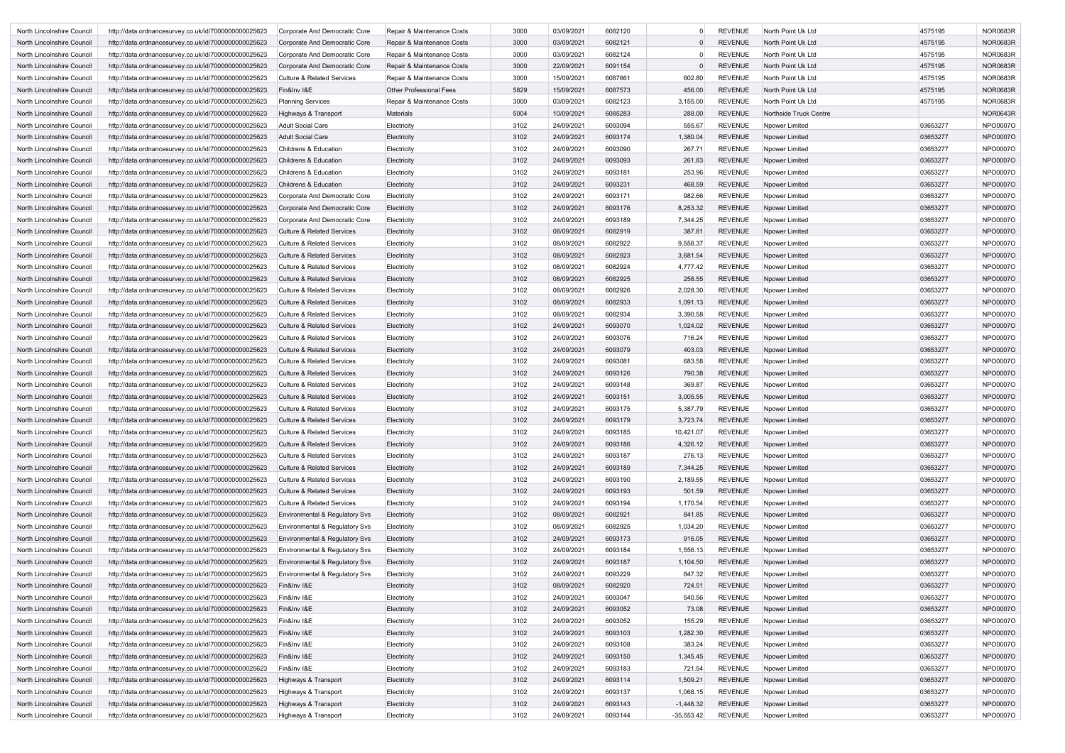| North Lincolnshire Council | http://data.ordnancesurvey.co.uk/id/7000000000025623 | Corporate And Democratic Core         | Repair & Maintenance Costs     | 3000 | 03/09/2021 | 6082120 | $\Omega$     | <b>REVENUE</b> | North Point Uk Ltd     | 4575195  | <b>NOR0683R</b> |
|----------------------------|------------------------------------------------------|---------------------------------------|--------------------------------|------|------------|---------|--------------|----------------|------------------------|----------|-----------------|
| North Lincolnshire Council | http://data.ordnancesurvey.co.uk/id/7000000000025623 | Corporate And Democratic Core         | Repair & Maintenance Costs     | 3000 | 03/09/2021 | 6082121 | $\Omega$     | <b>REVENUE</b> | North Point Uk Ltd     | 4575195  | <b>NOR0683R</b> |
| North Lincolnshire Council | http://data.ordnancesurvey.co.uk/id/7000000000025623 | Corporate And Democratic Core         | Repair & Maintenance Costs     | 3000 | 03/09/2021 | 6082124 |              | <b>REVENUE</b> | North Point Uk Ltd     | 4575195  | <b>NOR0683R</b> |
| North Lincolnshire Council | http://data.ordnancesurvey.co.uk/id/7000000000025623 | Corporate And Democratic Core         | Repair & Maintenance Costs     | 3000 | 22/09/2021 | 6091154 | $\Omega$     | <b>REVENUE</b> | North Point Uk Ltd     | 4575195  | <b>NOR0683R</b> |
| North Lincolnshire Council | http://data.ordnancesurvey.co.uk/id/7000000000025623 | <b>Culture &amp; Related Services</b> | Repair & Maintenance Costs     | 3000 | 15/09/2021 | 6087661 | 602.80       | <b>REVENUE</b> | North Point Uk Ltd     | 4575195  | <b>NOR0683R</b> |
| North Lincolnshire Council | http://data.ordnancesurvey.co.uk/id/7000000000025623 | Fin&Inv I&E                           | <b>Other Professional Fees</b> | 5829 | 15/09/2021 | 6087573 | 456.00       | <b>REVENUE</b> | North Point Uk Ltd     | 4575195  | <b>NOR0683R</b> |
| North Lincolnshire Council | http://data.ordnancesurvey.co.uk/id/7000000000025623 | <b>Planning Services</b>              | Repair & Maintenance Costs     | 3000 | 03/09/2021 | 6082123 | 3,155.00     | <b>REVENUE</b> | North Point Uk Ltd     | 4575195  | <b>NOR0683R</b> |
| North Lincolnshire Council | http://data.ordnancesurvey.co.uk/id/7000000000025623 | Highways & Transport                  | <b>Materials</b>               | 5004 | 10/09/2021 | 6085283 | 288.00       | <b>REVENUE</b> | Northside Truck Centre |          | <b>NOR0643R</b> |
| North Lincolnshire Council | http://data.ordnancesurvey.co.uk/id/7000000000025623 | <b>Adult Social Care</b>              | Electricity                    | 3102 | 24/09/2021 | 6093094 | 555.67       | <b>REVENUE</b> | Npower Limited         | 03653277 | <b>NPO0007C</b> |
| North Lincolnshire Council | http://data.ordnancesurvey.co.uk/id/7000000000025623 | <b>Adult Social Care</b>              | Electricity                    | 3102 | 24/09/2021 | 6093174 | 1,380.04     | <b>REVENUE</b> | Npower Limited         | 03653277 | <b>NPO0007O</b> |
| North Lincolnshire Council | http://data.ordnancesurvey.co.uk/id/7000000000025623 | <b>Childrens &amp; Education</b>      | Electricity                    | 3102 | 24/09/2021 | 6093090 | 267.71       | <b>REVENUE</b> | Npower Limited         | 03653277 | <b>NPO0007O</b> |
| North Lincolnshire Council | http://data.ordnancesurvey.co.uk/id/7000000000025623 | Childrens & Education                 | Electricity                    | 3102 | 24/09/2021 | 6093093 | 261.83       | <b>REVENUE</b> | <b>Npower Limited</b>  | 03653277 | <b>NPO0007O</b> |
| North Lincolnshire Council | http://data.ordnancesurvey.co.uk/id/7000000000025623 | <b>Childrens &amp; Education</b>      | Electricity                    | 3102 | 24/09/2021 | 6093181 | 253.96       | <b>REVENUE</b> | Npower Limited         | 03653277 | <b>NPO0007O</b> |
| North Lincolnshire Council | http://data.ordnancesurvey.co.uk/id/7000000000025623 | <b>Childrens &amp; Education</b>      | Electricity                    | 3102 | 24/09/2021 | 6093231 | 468.59       | <b>REVENUE</b> | <b>Npower Limited</b>  | 03653277 | <b>NPO0007C</b> |
| North Lincolnshire Council | http://data.ordnancesurvey.co.uk/id/7000000000025623 | Corporate And Democratic Core         | Electricity                    | 3102 | 24/09/2021 | 6093171 | 982.66       | <b>REVENUE</b> | Npower Limited         | 03653277 | <b>NPO0007O</b> |
| North Lincolnshire Council | http://data.ordnancesurvey.co.uk/id/7000000000025623 | Corporate And Democratic Core         | Electricity                    | 3102 | 24/09/2021 | 6093176 | 8,253.32     | <b>REVENUE</b> | <b>Npower Limited</b>  | 03653277 | <b>NPO0007O</b> |
| North Lincolnshire Council | http://data.ordnancesurvey.co.uk/id/7000000000025623 | Corporate And Democratic Core         | Electricity                    | 3102 | 24/09/2021 | 6093189 | 7,344.25     | <b>REVENUE</b> | Npower Limited         | 03653277 | <b>NPO0007O</b> |
| North Lincolnshire Council | http://data.ordnancesurvey.co.uk/id/7000000000025623 | <b>Culture &amp; Related Services</b> | Electricity                    | 3102 | 08/09/2021 | 6082919 | 387.81       | <b>REVENUE</b> | <b>Npower Limited</b>  | 03653277 | <b>NPO0007O</b> |
| North Lincolnshire Council | http://data.ordnancesurvey.co.uk/id/7000000000025623 | <b>Culture &amp; Related Services</b> | Electricity                    | 3102 | 08/09/2021 | 6082922 | 9,558.37     | <b>REVENUE</b> | Npower Limited         | 03653277 | <b>NPO0007C</b> |
| North Lincolnshire Council | http://data.ordnancesurvey.co.uk/id/7000000000025623 | <b>Culture &amp; Related Services</b> | Electricity                    | 3102 | 08/09/2021 | 6082923 | 3,681.54     | <b>REVENUE</b> | <b>Npower Limited</b>  | 03653277 | <b>NPO0007O</b> |
| North Lincolnshire Council | http://data.ordnancesurvey.co.uk/id/7000000000025623 | <b>Culture &amp; Related Services</b> | Electricity                    | 3102 | 08/09/2021 | 6082924 | 4,777.42     | <b>REVENUE</b> | Npower Limited         | 03653277 | <b>NPO0007O</b> |
| North Lincolnshire Council | http://data.ordnancesurvey.co.uk/id/7000000000025623 | <b>Culture &amp; Related Services</b> | Electricity                    | 3102 | 08/09/2021 | 6082925 | 258.55       | <b>REVENUE</b> | <b>Npower Limited</b>  | 03653277 | <b>NPO0007O</b> |
| North Lincolnshire Council | http://data.ordnancesurvey.co.uk/id/7000000000025623 | <b>Culture &amp; Related Services</b> | Electricity                    | 3102 | 08/09/2021 | 6082926 | 2,028.30     | <b>REVENUE</b> | Npower Limited         | 03653277 | <b>NPO0007O</b> |
| North Lincolnshire Council | http://data.ordnancesurvey.co.uk/id/7000000000025623 | <b>Culture &amp; Related Services</b> | Electricity                    | 3102 | 08/09/2021 | 6082933 | 1,091.13     | <b>REVENUE</b> | <b>Npower Limited</b>  | 03653277 | <b>NPO0007C</b> |
| North Lincolnshire Council | http://data.ordnancesurvey.co.uk/id/7000000000025623 | <b>Culture &amp; Related Services</b> | Electricity                    | 3102 | 08/09/2021 | 6082934 | 3,390.58     | <b>REVENUE</b> | Npower Limited         | 03653277 | <b>NPO0007O</b> |
| North Lincolnshire Council | http://data.ordnancesurvey.co.uk/id/7000000000025623 | <b>Culture &amp; Related Services</b> | Electricity                    | 3102 | 24/09/2021 | 6093070 | 1,024.02     | <b>REVENUE</b> | <b>Npower Limited</b>  | 03653277 | <b>NPO0007O</b> |
| North Lincolnshire Council | http://data.ordnancesurvey.co.uk/id/7000000000025623 | Culture & Related Services            | Electricity                    | 3102 | 24/09/2021 | 6093076 | 716.24       | <b>REVENUE</b> | Npower Limited         | 03653277 | <b>NPO0007O</b> |
| North Lincolnshire Council | http://data.ordnancesurvey.co.uk/id/7000000000025623 | <b>Culture &amp; Related Services</b> | Electricity                    | 3102 | 24/09/2021 | 6093079 | 403.03       | <b>REVENUE</b> | <b>Npower Limited</b>  | 03653277 | <b>NPO0007O</b> |
| North Lincolnshire Council | http://data.ordnancesurvey.co.uk/id/7000000000025623 | <b>Culture &amp; Related Services</b> | Electricity                    | 3102 | 24/09/2021 | 6093081 | 683.58       | <b>REVENUE</b> | Npower Limited         | 03653277 | <b>NPO0007O</b> |
| North Lincolnshire Council | http://data.ordnancesurvey.co.uk/id/7000000000025623 | <b>Culture &amp; Related Services</b> | Electricity                    | 3102 | 24/09/2021 | 6093126 | 790.38       | <b>REVENUE</b> | <b>Npower Limited</b>  | 03653277 | <b>NPO0007O</b> |
| North Lincolnshire Council | http://data.ordnancesurvey.co.uk/id/7000000000025623 | <b>Culture &amp; Related Services</b> | Electricity                    | 3102 | 24/09/2021 | 6093148 | 369.87       | <b>REVENUE</b> | Npower Limited         | 03653277 | <b>NPO0007C</b> |
| North Lincolnshire Council | http://data.ordnancesurvey.co.uk/id/7000000000025623 | <b>Culture &amp; Related Services</b> | Electricity                    | 3102 | 24/09/2021 | 6093151 | 3,005.55     | <b>REVENUE</b> | <b>Npower Limited</b>  | 03653277 | <b>NPO0007O</b> |
| North Lincolnshire Council | http://data.ordnancesurvey.co.uk/id/7000000000025623 | <b>Culture &amp; Related Services</b> | Electricity                    | 3102 | 24/09/2021 | 6093175 | 5,387.79     | <b>REVENUE</b> | Npower Limited         | 03653277 | <b>NPO0007O</b> |
| North Lincolnshire Council | http://data.ordnancesurvey.co.uk/id/7000000000025623 | <b>Culture &amp; Related Services</b> | Electricity                    | 3102 | 24/09/2021 | 6093179 | 3,723.74     | <b>REVENUE</b> | Npower Limited         | 03653277 | NPO0007O        |
| North Lincolnshire Council | http://data.ordnancesurvey.co.uk/id/7000000000025623 | <b>Culture &amp; Related Services</b> | Electricity                    | 3102 | 24/09/2021 | 6093185 | 10,421.07    | <b>REVENUE</b> | Npower Limited         | 03653277 | NPO0007O        |
| North Lincolnshire Council | http://data.ordnancesurvey.co.uk/id/7000000000025623 | <b>Culture &amp; Related Services</b> | Electricity                    | 3102 | 24/09/2021 | 6093186 | 4,326.12     | <b>REVENUE</b> | <b>Npower Limited</b>  | 03653277 | NPO0007O        |
| North Lincolnshire Council | http://data.ordnancesurvey.co.uk/id/7000000000025623 | <b>Culture &amp; Related Services</b> | Electricity                    | 3102 | 24/09/2021 | 6093187 | 276.13       | <b>REVENUE</b> | <b>Npower Limited</b>  | 03653277 | NPO0007O        |
| North Lincolnshire Council | http://data.ordnancesurvey.co.uk/id/7000000000025623 | <b>Culture &amp; Related Services</b> | Electricity                    | 3102 | 24/09/2021 | 6093189 | 7,344.25     | <b>REVENUE</b> | <b>Npower Limited</b>  | 03653277 | NPO0007O        |
| North Lincolnshire Council | http://data.ordnancesurvey.co.uk/id/7000000000025623 | <b>Culture &amp; Related Services</b> | Electricity                    | 3102 | 24/09/2021 | 6093190 | 2,189.55     | <b>REVENUE</b> | Noower Limited         | 03653277 | <b>NPO0007O</b> |
| North Lincolnshire Council | http://data.ordnancesurvey.co.uk/id/7000000000025623 | <b>Culture &amp; Related Services</b> | Electricity                    | 3102 | 24/09/2021 | 6093193 | 501.59       | <b>REVENUE</b> | <b>Npower Limited</b>  | 03653277 | NPO0007O        |
| North Lincolnshire Council | http://data.ordnancesurvey.co.uk/id/7000000000025623 | <b>Culture &amp; Related Services</b> | Electricity                    | 3102 | 24/09/2021 | 6093194 | 1,170.54     | <b>REVENUE</b> | Npower Limited         | 03653277 | NPO0007O        |
| North Lincolnshire Council | http://data.ordnancesurvey.co.uk/id/7000000000025623 | Environmental & Regulatory Svs        | Electricity                    | 3102 | 08/09/2021 | 6082921 | 841.85       | <b>REVENUE</b> | Npower Limited         | 03653277 | NPO0007O        |
| North Lincolnshire Council | http://data.ordnancesurvey.co.uk/id/7000000000025623 | Environmental & Regulatory Svs        | Electricity                    | 3102 | 08/09/2021 | 6082925 | 1,034.20     | <b>REVENUE</b> | <b>Npower Limited</b>  | 03653277 | NPO0007O        |
| North Lincolnshire Council | http://data.ordnancesurvey.co.uk/id/7000000000025623 | Environmental & Regulatory Svs        | Electricity                    | 3102 | 24/09/2021 | 6093173 | 916.05       | <b>REVENUE</b> | <b>Npower Limited</b>  | 03653277 | NPO0007O        |
| North Lincolnshire Council | http://data.ordnancesurvey.co.uk/id/7000000000025623 | Environmental & Regulatory Svs        | Electricity                    | 3102 | 24/09/2021 | 6093184 | 1,556.13     | <b>REVENUE</b> | <b>Npower Limited</b>  | 03653277 | NPO0007O        |
| North Lincolnshire Council | http://data.ordnancesurvey.co.uk/id/7000000000025623 | Environmental & Regulatory Svs        | Electricity                    | 3102 | 24/09/2021 | 6093187 | 1,104.50     | <b>REVENUE</b> | <b>Npower Limited</b>  | 03653277 | NPO0007O        |
| North Lincolnshire Council | http://data.ordnancesurvey.co.uk/id/7000000000025623 | Environmental & Regulatory Svs        | Electricity                    | 3102 | 24/09/2021 | 6093229 | 847.32       | <b>REVENUE</b> | <b>Npower Limited</b>  | 03653277 | NPO0007O        |
| North Lincolnshire Council | http://data.ordnancesurvey.co.uk/id/7000000000025623 | Fin&Inv I&E                           | Electricity                    | 3102 | 08/09/2021 | 6082920 | 724.51       | <b>REVENUE</b> | <b>Npower Limited</b>  | 03653277 | NPO0007O        |
| North Lincolnshire Council | http://data.ordnancesurvey.co.uk/id/7000000000025623 | Fin&Inv I&E                           | Electricity                    | 3102 | 24/09/2021 | 6093047 | 540.56       | <b>REVENUE</b> | Npower Limited         | 03653277 | NPO0007O        |
| North Lincolnshire Council | http://data.ordnancesurvey.co.uk/id/7000000000025623 | Fin&Inv I&E                           | Electricity                    | 3102 | 24/09/2021 | 6093052 | 73.08        | <b>REVENUE</b> | <b>Npower Limited</b>  | 03653277 | NPO0007O        |
| North Lincolnshire Council | http://data.ordnancesurvey.co.uk/id/7000000000025623 | Fin&Inv I&E                           | Electricity                    | 3102 | 24/09/2021 | 6093052 | 155.29       | <b>REVENUE</b> | <b>Npower Limited</b>  | 03653277 | NPO0007O        |
| North Lincolnshire Council | http://data.ordnancesurvey.co.uk/id/7000000000025623 | Fin&Inv I&E                           | Electricity                    | 3102 | 24/09/2021 | 6093103 | 1,282.30     | <b>REVENUE</b> | <b>Npower Limited</b>  | 03653277 | NPO0007O        |
| North Lincolnshire Council | http://data.ordnancesurvey.co.uk/id/7000000000025623 | Fin&Inv I&E                           | Electricity                    | 3102 | 24/09/2021 | 6093108 | 383.24       | <b>REVENUE</b> | Npower Limited         | 03653277 | NPO0007O        |
| North Lincolnshire Council | http://data.ordnancesurvey.co.uk/id/7000000000025623 | Fin&Inv I&E                           | Electricity                    | 3102 | 24/09/2021 | 6093150 | 1,345.45     | <b>REVENUE</b> | <b>Npower Limited</b>  | 03653277 | NPO0007O        |
| North Lincolnshire Council | http://data.ordnancesurvey.co.uk/id/7000000000025623 | Fin&Inv I&E                           | Electricity                    | 3102 | 24/09/2021 | 6093183 | 721.54       | <b>REVENUE</b> | Npower Limited         | 03653277 | NPO0007O        |
| North Lincolnshire Council | http://data.ordnancesurvey.co.uk/id/7000000000025623 | Highways & Transport                  | Electricity                    | 3102 | 24/09/2021 | 6093114 | 1,509.21     | <b>REVENUE</b> | <b>Npower Limited</b>  | 03653277 | NPO0007O        |
| North Lincolnshire Council | http://data.ordnancesurvey.co.uk/id/7000000000025623 | Highways & Transport                  | Electricity                    | 3102 | 24/09/2021 | 6093137 | 1,068.15     | <b>REVENUE</b> | Npower Limited         | 03653277 | NPO0007O        |
| North Lincolnshire Council | http://data.ordnancesurvey.co.uk/id/7000000000025623 | Highways & Transport                  | Electricity                    | 3102 | 24/09/2021 | 6093143 | $-1,448.32$  | <b>REVENUE</b> | <b>Npower Limited</b>  | 03653277 | NPO0007O        |
| North Lincolnshire Council | http://data.ordnancesurvey.co.uk/id/7000000000025623 | Highways & Transport                  | Electricity                    | 3102 | 24/09/2021 | 6093144 | $-35,553.42$ | <b>REVENUE</b> | Npower Limited         | 03653277 | <b>NPO0007O</b> |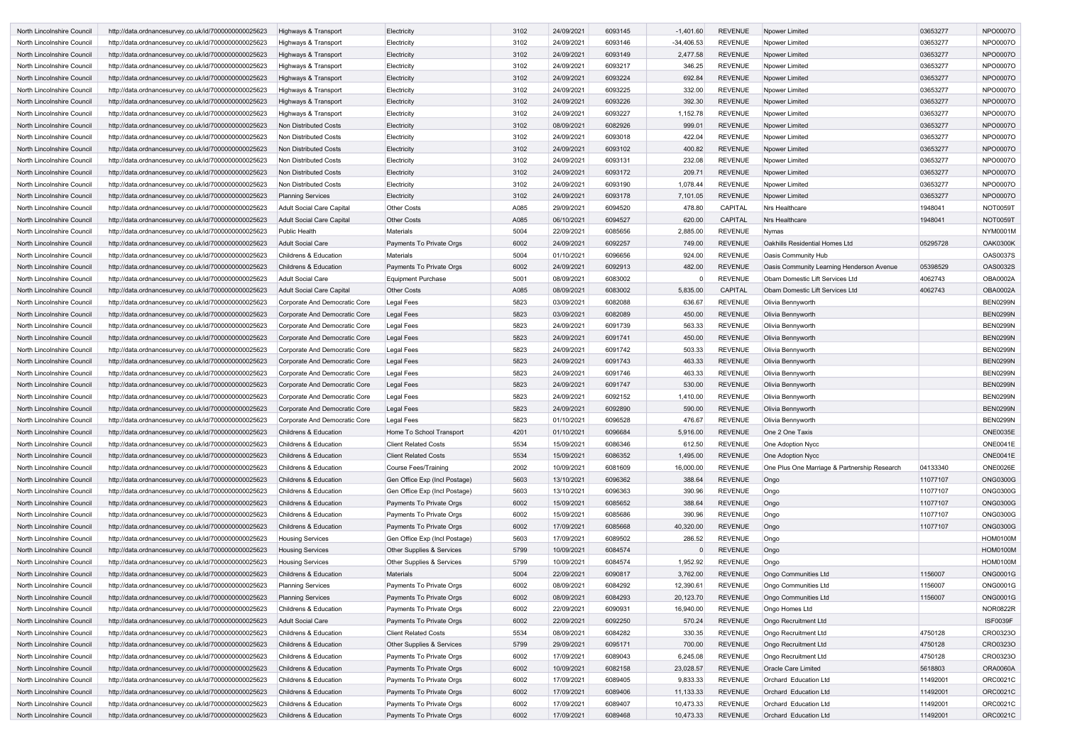| North Lincolnshire Council                               | http://data.ordnancesurvey.co.uk/id/7000000000025623 | Highways & Transport             | Electricity                   | 3102 | 24/09/2021 | 6093145 | $-1,401.60$  | <b>REVENUE</b> | Npower Limited                               | 03653277 | <b>NPO0007O</b> |
|----------------------------------------------------------|------------------------------------------------------|----------------------------------|-------------------------------|------|------------|---------|--------------|----------------|----------------------------------------------|----------|-----------------|
| North Lincolnshire Council                               | http://data.ordnancesurvey.co.uk/id/7000000000025623 | Highways & Transport             | Electricity                   | 3102 | 24/09/2021 | 6093146 | $-34,406.53$ | <b>REVENUE</b> | Npower Limited                               | 03653277 | NPO0007O        |
| North Lincolnshire Council                               | http://data.ordnancesurvey.co.uk/id/7000000000025623 | Highways & Transport             | Electricity                   | 3102 | 24/09/2021 | 6093149 | 2,477.58     | <b>REVENUE</b> | Npower Limited                               | 03653277 | <b>NPO0007O</b> |
| North Lincolnshire Council                               | http://data.ordnancesurvey.co.uk/id/7000000000025623 | Highways & Transport             | Electricity                   | 3102 | 24/09/2021 | 6093217 | 346.25       | <b>REVENUE</b> | Npower Limited                               | 03653277 | <b>NPO0007O</b> |
| North Lincolnshire Council                               | http://data.ordnancesurvey.co.uk/id/7000000000025623 | Highways & Transport             | Electricity                   | 3102 | 24/09/2021 | 6093224 | 692.84       | <b>REVENUE</b> | Npower Limited                               | 03653277 | <b>NPO0007O</b> |
| North Lincolnshire Council                               | http://data.ordnancesurvey.co.uk/id/7000000000025623 | Highways & Transport             | Electricity                   | 3102 | 24/09/2021 | 6093225 | 332.00       | <b>REVENUE</b> | Npower Limited                               | 03653277 | <b>NPO0007O</b> |
| North Lincolnshire Council                               | http://data.ordnancesurvey.co.uk/id/7000000000025623 | Highways & Transport             | Electricity                   | 3102 | 24/09/2021 | 6093226 | 392.30       | <b>REVENUE</b> | Npower Limited                               | 03653277 | <b>NPO0007O</b> |
| North Lincolnshire Council                               | http://data.ordnancesurvey.co.uk/id/7000000000025623 | Highways & Transport             | Electricity                   | 3102 | 24/09/2021 | 6093227 | 1,152.78     | <b>REVENUE</b> | Npower Limited                               | 03653277 | NPO0007O        |
| North Lincolnshire Council                               | http://data.ordnancesurvey.co.uk/id/7000000000025623 | Non Distributed Costs            | Electricity                   | 3102 | 08/09/2021 | 6082926 | 999.01       | <b>REVENUE</b> | Npower Limited                               | 03653277 | <b>NPO0007O</b> |
| North Lincolnshire Council                               | http://data.ordnancesurvey.co.uk/id/7000000000025623 | Non Distributed Costs            | Electricity                   | 3102 | 24/09/2021 | 6093018 | 422.04       | <b>REVENUE</b> | Npower Limited                               | 03653277 | <b>NPO0007O</b> |
| North Lincolnshire Council                               | http://data.ordnancesurvey.co.uk/id/7000000000025623 | Non Distributed Costs            | Electricity                   | 3102 | 24/09/2021 | 6093102 | 400.82       | <b>REVENUE</b> | <b>Npower Limited</b>                        | 03653277 | <b>NPO0007O</b> |
| North Lincolnshire Council                               | http://data.ordnancesurvey.co.uk/id/7000000000025623 | Non Distributed Costs            | Electricity                   | 3102 | 24/09/2021 | 6093131 | 232.08       | <b>REVENUE</b> | Npower Limited                               | 03653277 | NPO0007O        |
| North Lincolnshire Council                               | http://data.ordnancesurvey.co.uk/id/7000000000025623 | Non Distributed Costs            | Electricity                   | 3102 | 24/09/2021 | 6093172 | 209.7'       | <b>REVENUE</b> | Npower Limited                               | 03653277 | <b>NPO0007O</b> |
| North Lincolnshire Council                               | http://data.ordnancesurvey.co.uk/id/7000000000025623 | Non Distributed Costs            | Electricity                   | 3102 | 24/09/2021 | 6093190 | 1,078.44     | <b>REVENUE</b> | Npower Limited                               | 03653277 | <b>NPO0007O</b> |
| North Lincolnshire Council                               | http://data.ordnancesurvey.co.uk/id/7000000000025623 | <b>Planning Services</b>         | Electricity                   | 3102 | 24/09/2021 | 6093178 | 7,101.05     | <b>REVENUE</b> | <b>Npower Limited</b>                        | 03653277 | <b>NPO0007C</b> |
| North Lincolnshire Council                               | http://data.ordnancesurvey.co.uk/id/7000000000025623 | Adult Social Care Capital        | <b>Other Costs</b>            | A085 | 29/09/2021 | 6094520 | 478.80       | <b>CAPITAL</b> | Nrs Healthcare                               | 1948041  | <b>NOT0059T</b> |
| North Lincolnshire Council                               | http://data.ordnancesurvey.co.uk/id/7000000000025623 | Adult Social Care Capital        | <b>Other Costs</b>            | A085 | 06/10/2021 | 6094527 | 620.00       | CAPITAL        | <b>Nrs Healthcare</b>                        | 1948041  | NOT0059T        |
|                                                          |                                                      | <b>Public Health</b>             | <b>Materials</b>              | 5004 | 22/09/2021 | 6085656 | 2,885.00     | <b>REVENUE</b> | Nymas                                        |          | <b>NYM0001M</b> |
| North Lincolnshire Council<br>North Lincolnshire Council | http://data.ordnancesurvey.co.uk/id/7000000000025623 | <b>Adult Social Care</b>         | Payments To Private Orgs      | 6002 | 24/09/2021 | 6092257 | 749.00       | <b>REVENUE</b> | Oakhills Residential Homes Ltd               | 05295728 | <b>OAK0300K</b> |
|                                                          | http://data.ordnancesurvey.co.uk/id/7000000000025623 |                                  |                               |      |            |         |              |                |                                              |          |                 |
| North Lincolnshire Council                               | http://data.ordnancesurvey.co.uk/id/7000000000025623 | <b>Childrens &amp; Education</b> | <b>Materials</b>              | 5004 | 01/10/2021 | 6096656 | 924.00       | <b>REVENUE</b> | Oasis Community Hub                          |          | <b>OAS0037S</b> |
| North Lincolnshire Council                               | http://data.ordnancesurvey.co.uk/id/7000000000025623 | <b>Childrens &amp; Education</b> | Payments To Private Orgs      | 6002 | 24/09/2021 | 6092913 | 482.00       | <b>REVENUE</b> | Oasis Community Learning Henderson Avenue    | 05398529 | <b>OAS0032S</b> |
| North Lincolnshire Council                               | http://data.ordnancesurvey.co.uk/id/7000000000025623 | Adult Social Care                | Equipment Purchase            | 5001 | 08/09/2021 | 6083002 |              | REVENUE        | Obam Domestic Lift Services Ltd              | 4062743  | <b>OBA0002A</b> |
| North Lincolnshire Council                               | http://data.ordnancesurvey.co.uk/id/7000000000025623 | Adult Social Care Capital        | <b>Other Costs</b>            | A085 | 08/09/2021 | 6083002 | 5,835.00     | <b>CAPITAL</b> | Obam Domestic Lift Services Ltd              | 4062743  | <b>OBA0002A</b> |
| North Lincolnshire Council                               | http://data.ordnancesurvey.co.uk/id/7000000000025623 | Corporate And Democratic Core    | Legal Fees                    | 5823 | 03/09/2021 | 6082088 | 636.67       | <b>REVENUE</b> | Olivia Bennyworth                            |          | <b>BEN0299N</b> |
| North Lincolnshire Council                               | http://data.ordnancesurvey.co.uk/id/7000000000025623 | Corporate And Democratic Core    | Legal Fees                    | 5823 | 03/09/2021 | 6082089 | 450.00       | <b>REVENUE</b> | Olivia Bennyworth                            |          | <b>BEN0299N</b> |
| North Lincolnshire Council                               | http://data.ordnancesurvey.co.uk/id/7000000000025623 | Corporate And Democratic Core    | Legal Fees                    | 5823 | 24/09/2021 | 6091739 | 563.33       | <b>REVENUE</b> | Olivia Bennyworth                            |          | <b>BEN0299N</b> |
| North Lincolnshire Council                               | http://data.ordnancesurvey.co.uk/id/7000000000025623 | Corporate And Democratic Core    | <b>Legal Fees</b>             | 5823 | 24/09/2021 | 6091741 | 450.00       | <b>REVENUE</b> | Olivia Bennyworth                            |          | <b>BEN0299N</b> |
| North Lincolnshire Council                               | http://data.ordnancesurvey.co.uk/id/7000000000025623 | Corporate And Democratic Core    | Legal Fees                    | 5823 | 24/09/2021 | 6091742 | 503.33       | <b>REVENUE</b> | Olivia Bennyworth                            |          | <b>BEN0299N</b> |
| North Lincolnshire Council                               | http://data.ordnancesurvey.co.uk/id/7000000000025623 | Corporate And Democratic Core    | Legal Fees                    | 5823 | 24/09/2021 | 6091743 | 463.33       | <b>REVENUE</b> | Olivia Bennyworth                            |          | <b>BEN0299N</b> |
| North Lincolnshire Council                               | http://data.ordnancesurvey.co.uk/id/7000000000025623 | Corporate And Democratic Core    | Legal Fees                    | 5823 | 24/09/2021 | 6091746 | 463.33       | <b>REVENUE</b> | Olivia Bennyworth                            |          | <b>BEN0299N</b> |
| North Lincolnshire Council                               | http://data.ordnancesurvey.co.uk/id/7000000000025623 | Corporate And Democratic Core    | Legal Fees                    | 5823 | 24/09/2021 | 6091747 | 530.00       | <b>REVENUE</b> | Olivia Bennyworth                            |          | <b>BEN0299N</b> |
| North Lincolnshire Council                               | http://data.ordnancesurvey.co.uk/id/7000000000025623 | Corporate And Democratic Core    | Legal Fees                    | 5823 | 24/09/2021 | 6092152 | 1,410.00     | <b>REVENUE</b> | Olivia Bennyworth                            |          | <b>BEN0299N</b> |
| North Lincolnshire Council                               | http://data.ordnancesurvey.co.uk/id/7000000000025623 | Corporate And Democratic Core    | Legal Fees                    | 5823 | 24/09/2021 | 6092890 | 590.00       | <b>REVENUE</b> | Olivia Bennyworth                            |          | <b>BEN0299N</b> |
| North Lincolnshire Council                               | http://data.ordnancesurvey.co.uk/id/7000000000025623 | Corporate And Democratic Core    | Legal Fees                    | 5823 | 01/10/2021 | 6096528 | 476.67       | <b>REVENUE</b> | Olivia Bennyworth                            |          | <b>BEN0299N</b> |
| North Lincolnshire Council                               | http://data.ordnancesurvey.co.uk/id/7000000000025623 | Childrens & Education            | Home To School Transport      | 4201 | 01/10/2021 | 6096684 | 5,916.00     | <b>REVENUE</b> | One 2 One Taxis                              |          | <b>ONE0035E</b> |
| North Lincolnshire Council                               | http://data.ordnancesurvey.co.uk/id/7000000000025623 | Childrens & Education            | <b>Client Related Costs</b>   | 5534 | 15/09/2021 | 6086346 | 612.50       | <b>REVENUE</b> | One Adoption Nycc                            |          | <b>ONE0041E</b> |
| North Lincolnshire Council                               | http://data.ordnancesurvey.co.uk/id/7000000000025623 | <b>Childrens &amp; Education</b> | <b>Client Related Costs</b>   | 5534 | 15/09/2021 | 6086352 | 1,495.00     | <b>REVENUE</b> | One Adoption Nycc                            |          | <b>ONE0041E</b> |
| North Lincolnshire Council                               | http://data.ordnancesurvey.co.uk/id/7000000000025623 | Childrens & Education            | Course Fees/Training          | 2002 | 10/09/2021 | 6081609 | 16,000.00    | <b>REVENUE</b> | One Plus One Marriage & Partnership Research | 04133340 | <b>ONE0026E</b> |
| North Lincolnshire Council                               | http://data.ordnancesurvey.co.uk/id/7000000000025623 | Childrens & Education            | Gen Office Exp (Incl Postage) | 5603 | 13/10/2021 | 6096362 | 388.64       | <b>REVENUE</b> | Ongo                                         | 11077107 | <b>ONG0300G</b> |
| North Lincolnshire Council                               | http://data.ordnancesurvey.co.uk/id/7000000000025623 | Childrens & Education            | Gen Office Exp (Incl Postage) | 5603 | 13/10/2021 | 6096363 | 390.96       | <b>REVENUE</b> | Ongo                                         | 11077107 | <b>ONG0300G</b> |
| North Lincolnshire Council                               | http://data.ordnancesurvey.co.uk/id/7000000000025623 | Childrens & Education            | Payments To Private Orgs      | 6002 | 15/09/2021 | 6085652 | 388.64       | <b>REVENUE</b> | Ongo                                         | 11077107 | <b>ONG0300G</b> |
| North Lincolnshire Council                               | http://data.ordnancesurvey.co.uk/id/7000000000025623 | Childrens & Education            | Payments To Private Orgs      | 6002 | 15/09/2021 | 6085686 | 390.96       | <b>REVENUE</b> | Ongo                                         | 11077107 | <b>ONG0300G</b> |
| North Lincolnshire Council                               | http://data.ordnancesurvey.co.uk/id/7000000000025623 | Childrens & Education            | Payments To Private Orgs      | 6002 | 17/09/2021 | 6085668 | 40,320.00    | <b>REVENUE</b> | Ongo                                         | 11077107 | <b>ONG0300G</b> |
| North Lincolnshire Council                               | http://data.ordnancesurvey.co.uk/id/7000000000025623 | <b>Housing Services</b>          | Gen Office Exp (Incl Postage) | 5603 | 17/09/2021 | 6089502 | 286.52       | <b>REVENUE</b> | Ongo                                         |          | <b>HOM0100M</b> |
| North Lincolnshire Council                               | http://data.ordnancesurvey.co.uk/id/7000000000025623 | <b>Housing Services</b>          | Other Supplies & Services     | 5799 | 10/09/2021 | 6084574 | $\Omega$     | <b>REVENUE</b> | Ongo                                         |          | <b>HOM0100M</b> |
| North Lincolnshire Council                               | http://data.ordnancesurvey.co.uk/id/7000000000025623 | <b>Housing Services</b>          | Other Supplies & Services     | 5799 | 10/09/2021 | 6084574 | 1,952.92     | <b>REVENUE</b> | Ongo                                         |          | <b>HOM0100M</b> |
| North Lincolnshire Council                               | http://data.ordnancesurvey.co.uk/id/7000000000025623 | Childrens & Education            | Materials                     | 5004 | 22/09/2021 | 6090817 | 3,762.00     | <b>REVENUE</b> | <b>Ongo Communities Ltd</b>                  | 1156007  | <b>ONG0001G</b> |
| North Lincolnshire Council                               | http://data.ordnancesurvey.co.uk/id/7000000000025623 | <b>Planning Services</b>         | Payments To Private Orgs      | 6002 | 08/09/2021 | 6084292 | 12,390.61    | <b>REVENUE</b> | Ongo Communities Ltd                         | 1156007  | <b>ONG0001G</b> |
| North Lincolnshire Council                               | http://data.ordnancesurvey.co.uk/id/7000000000025623 | <b>Planning Services</b>         | Payments To Private Orgs      | 6002 | 08/09/2021 | 6084293 | 20,123.70    | <b>REVENUE</b> | <b>Ongo Communities Ltd</b>                  | 1156007  | <b>ONG0001G</b> |
| North Lincolnshire Council                               | http://data.ordnancesurvey.co.uk/id/7000000000025623 | Childrens & Education            | Payments To Private Orgs      | 6002 | 22/09/2021 | 6090931 | 16,940.00    | <b>REVENUE</b> | Ongo Homes Ltd                               |          | <b>NOR0822R</b> |
| North Lincolnshire Council                               | http://data.ordnancesurvey.co.uk/id/7000000000025623 | <b>Adult Social Care</b>         | Payments To Private Orgs      | 6002 | 22/09/2021 | 6092250 | 570.24       | <b>REVENUE</b> | Ongo Recruitment Ltd                         |          | <b>ISF0039F</b> |
| North Lincolnshire Council                               | http://data.ordnancesurvey.co.uk/id/7000000000025623 | Childrens & Education            | <b>Client Related Costs</b>   | 5534 | 08/09/2021 | 6084282 | 330.35       | <b>REVENUE</b> | Ongo Recruitment Ltd                         | 4750128  | CRO0323O        |
| North Lincolnshire Council                               | http://data.ordnancesurvey.co.uk/id/7000000000025623 | Childrens & Education            | Other Supplies & Services     | 5799 | 29/09/2021 | 6095171 | 700.00       | <b>REVENUE</b> | Ongo Recruitment Ltd                         | 4750128  | CRO0323O        |
| North Lincolnshire Council                               | http://data.ordnancesurvey.co.uk/id/7000000000025623 | Childrens & Education            | Payments To Private Orgs      | 6002 | 17/09/2021 | 6089043 | 6,245.08     | <b>REVENUE</b> | Ongo Recruitment Ltd                         | 4750128  | CRO0323O        |
| North Lincolnshire Council                               | http://data.ordnancesurvey.co.uk/id/7000000000025623 | Childrens & Education            | Payments To Private Orgs      | 6002 | 10/09/2021 | 6082158 | 23,028.57    | <b>REVENUE</b> | Oracle Care Limited                          | 5618803  | <b>ORA0060A</b> |
| North Lincolnshire Council                               | http://data.ordnancesurvey.co.uk/id/7000000000025623 | Childrens & Education            | Payments To Private Orgs      | 6002 | 17/09/2021 | 6089405 | 9,833.33     | <b>REVENUE</b> | Orchard Education Ltd                        | 11492001 | ORC0021C        |
| North Lincolnshire Council                               | http://data.ordnancesurvey.co.uk/id/7000000000025623 | <b>Childrens &amp; Education</b> | Payments To Private Orgs      | 6002 | 17/09/2021 | 6089406 | 11,133.33    | <b>REVENUE</b> | Orchard Education Ltd                        | 11492001 | ORC0021C        |
| North Lincolnshire Council                               | http://data.ordnancesurvey.co.uk/id/7000000000025623 | Childrens & Education            | Payments To Private Orgs      | 6002 | 17/09/2021 | 6089407 | 10,473.33    | <b>REVENUE</b> | Orchard Education Ltd                        | 11492001 | ORC0021C        |
| North Lincolnshire Council                               | http://data.ordnancesurvey.co.uk/id/7000000000025623 | Childrens & Education            | Payments To Private Orgs      | 6002 | 17/09/2021 | 6089468 | 10,473.33    | <b>REVENUE</b> | Orchard Education Ltd                        | 11492001 | ORC0021C        |
|                                                          |                                                      |                                  |                               |      |            |         |              |                |                                              |          |                 |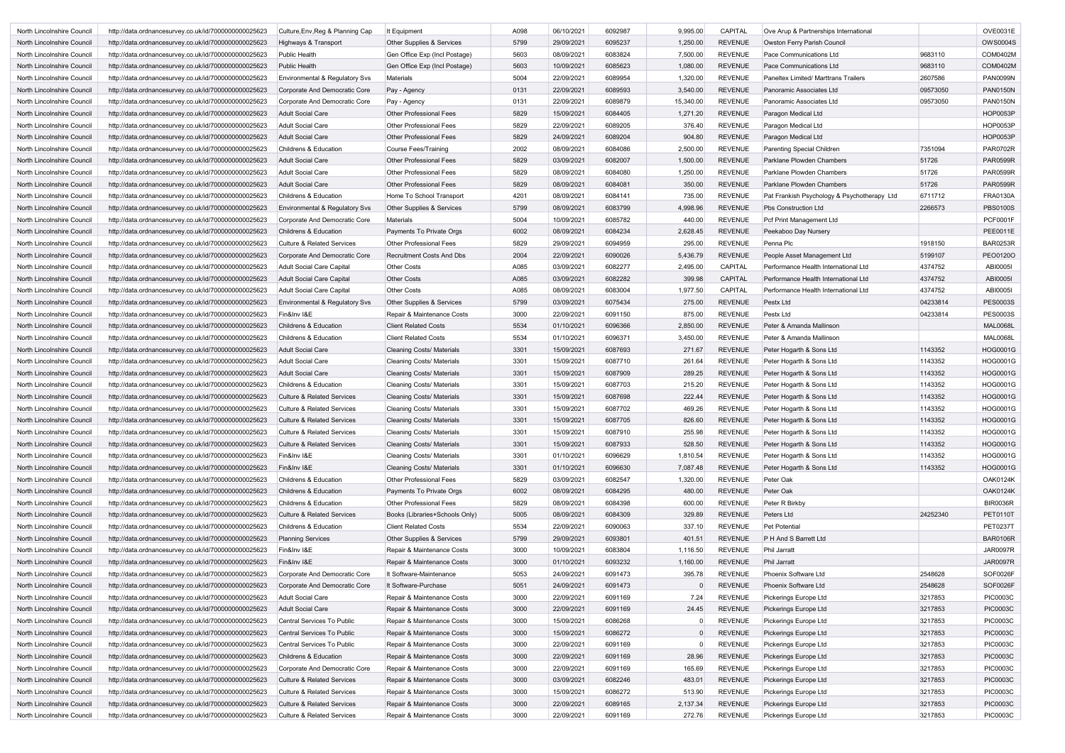| North Lincolnshire Council        | http://data.ordnancesurvey.co.uk/id/7000000000025623 | Culture, Env, Reg & Planning Cap      | It Equipment                     | A098 | 06/10/2021 | 6092987 | 9,995.00  | <b>CAPITAL</b> | Ove Arup & Partnerships International       |          | OVE0031E        |
|-----------------------------------|------------------------------------------------------|---------------------------------------|----------------------------------|------|------------|---------|-----------|----------------|---------------------------------------------|----------|-----------------|
| North Lincolnshire Council        | http://data.ordnancesurvey.co.uk/id/7000000000025623 | Highways & Transport                  | Other Supplies & Services        | 5799 | 29/09/2021 | 6095237 | 1,250.00  | <b>REVENUE</b> | Owston Ferry Parish Council                 |          | <b>OWS0004S</b> |
| North Lincolnshire Council        | http://data.ordnancesurvey.co.uk/id/7000000000025623 | <b>Public Health</b>                  | Gen Office Exp (Incl Postage)    | 5603 | 08/09/2021 | 6083824 | 7,500.00  | <b>REVENUE</b> | Pace Communications Ltd                     | 9683110  | COM0402M        |
| North Lincolnshire Council        | http://data.ordnancesurvey.co.uk/id/7000000000025623 | <b>Public Health</b>                  | Gen Office Exp (Incl Postage)    | 5603 | 10/09/2021 | 6085623 | 1,080.00  | <b>REVENUE</b> | Pace Communications Ltd                     | 9683110  | COM0402M        |
| North Lincolnshire Council        | http://data.ordnancesurvey.co.uk/id/7000000000025623 | Environmental & Regulatory Svs        | Materials                        | 5004 | 22/09/2021 | 6089954 | 1,320.00  | <b>REVENUE</b> | <b>Paneltex Limited/ Marttrans Trailers</b> | 2607586  | <b>PAN0099N</b> |
| North Lincolnshire Council        | http://data.ordnancesurvey.co.uk/id/7000000000025623 | Corporate And Democratic Core         | Pay - Agency                     | 0131 | 22/09/2021 | 6089593 | 3,540.00  | <b>REVENUE</b> | Panoramic Associates Ltd                    | 09573050 | <b>PAN0150N</b> |
| North Lincolnshire Council        | http://data.ordnancesurvey.co.uk/id/7000000000025623 | Corporate And Democratic Core         | Pay - Agency                     | 0131 | 22/09/2021 | 6089879 | 15,340.00 | <b>REVENUE</b> | Panoramic Associates Ltd                    | 09573050 | <b>PAN0150N</b> |
| North Lincolnshire Council        | http://data.ordnancesurvey.co.uk/id/7000000000025623 | <b>Adult Social Care</b>              | <b>Other Professional Fees</b>   | 5829 | 15/09/2021 | 6084405 | 1,271.20  | <b>REVENUE</b> | Paragon Medical Ltd                         |          | <b>HOP0053P</b> |
| North Lincolnshire Council        | http://data.ordnancesurvey.co.uk/id/7000000000025623 | <b>Adult Social Care</b>              | <b>Other Professional Fees</b>   | 5829 | 22/09/2021 | 6089205 | 376.40    | <b>REVENUE</b> | Paragon Medical Ltd                         |          | <b>HOP0053P</b> |
| North Lincolnshire Council        | http://data.ordnancesurvey.co.uk/id/7000000000025623 | <b>Adult Social Care</b>              | <b>Other Professional Fees</b>   | 5829 | 24/09/2021 | 6089204 | 904.80    | <b>REVENUE</b> | Paragon Medical Ltd                         |          | <b>HOP0053P</b> |
|                                   | http://data.ordnancesurvey.co.uk/id/7000000000025623 | <b>Childrens &amp; Education</b>      |                                  | 2002 | 08/09/2021 | 6084086 | 2,500.00  | REVENUE        |                                             | 7351094  | <b>PAR0702R</b> |
| North Lincolnshire Council        |                                                      |                                       | <b>Course Fees/Training</b>      |      |            |         |           |                | <b>Parenting Special Children</b>           |          |                 |
| North Lincolnshire Council        | http://data.ordnancesurvey.co.uk/id/7000000000025623 | <b>Adult Social Care</b>              | <b>Other Professional Fees</b>   | 5829 | 03/09/2021 | 6082007 | 1,500.00  | <b>REVENUE</b> | Parklane Plowden Chambers                   | 51726    | <b>PAR0599R</b> |
| North Lincolnshire Council        | http://data.ordnancesurvey.co.uk/id/7000000000025623 | <b>Adult Social Care</b>              | <b>Other Professional Fees</b>   | 5829 | 08/09/2021 | 6084080 | 1,250.00  | <b>REVENUE</b> | Parklane Plowden Chambers                   | 51726    | <b>PAR0599R</b> |
| North Lincolnshire Council        | http://data.ordnancesurvey.co.uk/id/7000000000025623 | <b>Adult Social Care</b>              | <b>Other Professional Fees</b>   | 5829 | 08/09/2021 | 6084081 | 350.00    | <b>REVENUE</b> | Parklane Plowden Chambers                   | 51726    | <b>PAR0599R</b> |
| North Lincolnshire Council        | http://data.ordnancesurvey.co.uk/id/7000000000025623 | <b>Childrens &amp; Education</b>      | Home To School Transport         | 4201 | 08/09/2021 | 6084141 | 735.00    | <b>REVENUE</b> | Pat Frankish Psychology & Psychotherapy Ltd | 6711712  | <b>FRA0130A</b> |
| North Lincolnshire Council        | http://data.ordnancesurvey.co.uk/id/7000000000025623 | Environmental & Regulatory Svs        | Other Supplies & Services        | 5799 | 08/09/2021 | 6083799 | 4,998.96  | <b>REVENUE</b> | Pbs Construction Ltd                        | 2266573  | <b>PBS0100S</b> |
| North Lincolnshire Council        | http://data.ordnancesurvey.co.uk/id/7000000000025623 | Corporate And Democratic Core         | <b>Materials</b>                 | 5004 | 10/09/2021 | 6085782 | 440.00    | <b>REVENUE</b> | Pcf Print Management Ltd                    |          | <b>PCF0001F</b> |
| North Lincolnshire Council        | http://data.ordnancesurvey.co.uk/id/7000000000025623 | Childrens & Education                 | Payments To Private Orgs         | 6002 | 08/09/2021 | 6084234 | 2,628.45  | <b>REVENUE</b> | Peekaboo Day Nursery                        |          | <b>PEE0011E</b> |
| North Lincolnshire Council        | http://data.ordnancesurvey.co.uk/id/7000000000025623 | <b>Culture &amp; Related Services</b> | <b>Other Professional Fees</b>   | 5829 | 29/09/2021 | 6094959 | 295.00    | <b>REVENUE</b> | Penna Plc                                   | 1918150  | <b>BAR0253R</b> |
| <b>North Lincolnshire Council</b> | http://data.ordnancesurvey.co.uk/id/7000000000025623 | Corporate And Democratic Core         | <b>Recruitment Costs And Dbs</b> | 2004 | 22/09/2021 | 6090026 | 5,436.79  | <b>REVENUE</b> | People Asset Management Ltd                 | 5199107  | PEO0120O        |
| North Lincolnshire Council        | http://data.ordnancesurvey.co.uk/id/7000000000025623 | <b>Adult Social Care Capital</b>      | <b>Other Costs</b>               | A085 | 03/09/2021 | 6082277 | 2,495.00  | CAPITAL        | Performance Health International Ltd        | 4374752  | ABI00051        |
| North Lincolnshire Council        | http://data.ordnancesurvey.co.uk/id/7000000000025623 | <b>Adult Social Care Capital</b>      | <b>Other Costs</b>               | A085 | 03/09/2021 | 6082282 | 399.98    | <b>CAPITAL</b> | Performance Health International Ltd        | 4374752  | ABI00051        |
| North Lincolnshire Council        | http://data.ordnancesurvey.co.uk/id/7000000000025623 | <b>Adult Social Care Capital</b>      | <b>Other Costs</b>               | A085 | 08/09/2021 | 6083004 | 1,977.50  | <b>CAPITAL</b> | Performance Health International Ltd        | 4374752  | ABI00051        |
| North Lincolnshire Council        | http://data.ordnancesurvey.co.uk/id/7000000000025623 | Environmental & Regulatory Svs        | Other Supplies & Services        | 5799 | 03/09/2021 | 6075434 | 275.00    | <b>REVENUE</b> | Pestx Ltd                                   | 04233814 | <b>PES0003S</b> |
| North Lincolnshire Council        | http://data.ordnancesurvey.co.uk/id/7000000000025623 | Fin&Inv I&E                           | Repair & Maintenance Costs       | 3000 | 22/09/2021 | 6091150 | 875.00    | <b>REVENUE</b> | Pestx Ltd                                   | 04233814 | <b>PES0003S</b> |
| North Lincolnshire Council        | http://data.ordnancesurvey.co.uk/id/7000000000025623 | <b>Childrens &amp; Education</b>      | <b>Client Related Costs</b>      | 5534 | 01/10/2021 | 6096366 | 2,850.00  | <b>REVENUE</b> | Peter & Amanda Mallinson                    |          | <b>MAL0068L</b> |
| North Lincolnshire Council        | http://data.ordnancesurvey.co.uk/id/7000000000025623 | <b>Childrens &amp; Education</b>      | <b>Client Related Costs</b>      | 5534 | 01/10/2021 | 6096371 | 3,450.00  | <b>REVENUE</b> | Peter & Amanda Mallinson                    |          | <b>MAL0068L</b> |
| North Lincolnshire Council        | http://data.ordnancesurvey.co.uk/id/7000000000025623 | <b>Adult Social Care</b>              | <b>Cleaning Costs/ Materials</b> | 3301 | 15/09/2021 | 6087693 | 271.67    | <b>REVENUE</b> | Peter Hogarth & Sons Ltd                    | 1143352  | <b>HOG0001G</b> |
| North Lincolnshire Council        | http://data.ordnancesurvey.co.uk/id/7000000000025623 | <b>Adult Social Care</b>              | <b>Cleaning Costs/ Materials</b> | 3301 | 15/09/2021 | 6087710 | 261.64    | <b>REVENUE</b> | Peter Hogarth & Sons Ltd                    | 1143352  | HOG0001G        |
| North Lincolnshire Council        | http://data.ordnancesurvey.co.uk/id/7000000000025623 | <b>Adult Social Care</b>              | <b>Cleaning Costs/ Materials</b> | 3301 | 15/09/2021 | 6087909 | 289.25    | <b>REVENUE</b> | Peter Hogarth & Sons Ltd                    | 1143352  | <b>HOG0001G</b> |
| North Lincolnshire Council        | http://data.ordnancesurvey.co.uk/id/7000000000025623 | <b>Childrens &amp; Education</b>      | <b>Cleaning Costs/ Materials</b> | 3301 | 15/09/2021 | 6087703 | 215.20    | <b>REVENUE</b> | Peter Hogarth & Sons Ltd                    | 1143352  | <b>HOG0001G</b> |
|                                   | http://data.ordnancesurvey.co.uk/id/7000000000025623 | <b>Culture &amp; Related Services</b> | <b>Cleaning Costs/ Materials</b> | 3301 | 15/09/2021 | 6087698 | 222.44    | <b>REVENUE</b> | Peter Hogarth & Sons Ltd                    | 1143352  | HOG0001G        |
| North Lincolnshire Council        | http://data.ordnancesurvey.co.uk/id/7000000000025623 | <b>Culture &amp; Related Services</b> |                                  | 3301 | 15/09/2021 | 6087702 | 469.26    | REVENUE        |                                             | 1143352  | <b>HOG0001G</b> |
| North Lincolnshire Council        |                                                      |                                       | <b>Cleaning Costs/ Materials</b> |      |            |         |           |                | Peter Hogarth & Sons Ltd                    |          |                 |
| North Lincolnshire Council        | http://data.ordnancesurvey.co.uk/id/7000000000025623 | Culture & Related Services            | <b>Cleaning Costs/ Materials</b> | 3301 | 15/09/2021 | 6087705 | 826.60    | <b>REVENUE</b> | Peter Hogarth & Sons Ltd                    | 1143352  | HOG0001G        |
| North Lincolnshire Council        | http://data.ordnancesurvey.co.uk/id/7000000000025623 | <b>Culture &amp; Related Services</b> | <b>Cleaning Costs/ Materials</b> | 3301 | 15/09/2021 | 6087910 | 255.98    | <b>REVENUE</b> | Peter Hogarth & Sons Ltd                    | 1143352  | HOG0001G        |
| North Lincolnshire Council        | http://data.ordnancesurvey.co.uk/id/7000000000025623 | <b>Culture &amp; Related Services</b> | <b>Cleaning Costs/ Materials</b> | 3301 | 15/09/2021 | 6087933 | 528.50    | <b>REVENUE</b> | Peter Hogarth & Sons Ltd                    | 1143352  | <b>HOG0001G</b> |
| North Lincolnshire Council        | http://data.ordnancesurvey.co.uk/id/7000000000025623 | Fin&Inv I&E                           | <b>Cleaning Costs/ Materials</b> | 3301 | 01/10/2021 | 6096629 | 1,810.54  | <b>REVENUE</b> | Peter Hogarth & Sons Ltd                    | 1143352  | HOG0001G        |
| North Lincolnshire Council        | http://data.ordnancesurvey.co.uk/id/7000000000025623 | Fin&Inv I&E                           | <b>Cleaning Costs/ Materials</b> | 3301 | 01/10/2021 | 6096630 | 7,087.48  | <b>REVENUE</b> | Peter Hogarth & Sons Ltd                    | 1143352  | <b>HOG0001G</b> |
| North Lincolnshire Council        | http://data.ordnancesurvey.co.uk/id/7000000000025623 | Childrens & Education                 | <b>Other Professional Fees</b>   | 5829 | 03/09/2021 | 6082547 | 1,320.00  | <b>REVENUE</b> | Peter Oak                                   |          | <b>OAK0124K</b> |
| North Lincolnshire Council        | http://data.ordnancesurvey.co.uk/id/7000000000025623 | Childrens & Education                 | Payments To Private Orgs         | 6002 | 08/09/2021 | 6084295 | 480.00    | <b>REVENUE</b> | Peter Oak                                   |          | <b>OAK0124K</b> |
| North Lincolnshire Council        | http://data.ordnancesurvey.co.uk/id/7000000000025623 | Childrens & Education                 | <b>Other Professional Fees</b>   | 5829 | 08/09/2021 | 6084398 | 600.00    | <b>REVENUE</b> | Peter R Birkby                              |          | <b>BIR0036R</b> |
| North Lincolnshire Council        | http://data.ordnancesurvey.co.uk/id/7000000000025623 | <b>Culture &amp; Related Services</b> | Books (Libraries+Schools Only)   | 5005 | 08/09/2021 | 6084309 | 329.89    | <b>REVENUE</b> | Peters Ltd                                  | 24252340 | <b>PET0110T</b> |
| North Lincolnshire Council        | http://data.ordnancesurvey.co.uk/id/7000000000025623 | Childrens & Education                 | <b>Client Related Costs</b>      | 5534 | 22/09/2021 | 6090063 | 337.10    | <b>REVENUE</b> | Pet Potential                               |          | <b>PET0237T</b> |
| North Lincolnshire Council        | http://data.ordnancesurvey.co.uk/id/7000000000025623 | <b>Planning Services</b>              | Other Supplies & Services        | 5799 | 29/09/2021 | 6093801 | 401.51    | <b>REVENUE</b> | P H And S Barrett Ltd                       |          | <b>BAR0106R</b> |
| North Lincolnshire Council        | http://data.ordnancesurvey.co.uk/id/7000000000025623 | Fin&Inv I&E                           | Repair & Maintenance Costs       | 3000 | 10/09/2021 | 6083804 | 1,116.50  | <b>REVENUE</b> | Phil Jarratt                                |          | <b>JAR0097R</b> |
| North Lincolnshire Council        | http://data.ordnancesurvey.co.uk/id/7000000000025623 | Fin&Inv I&E                           | Repair & Maintenance Costs       | 3000 | 01/10/2021 | 6093232 | 1,160.00  | <b>REVENUE</b> | Phil Jarratt                                |          | <b>JAR0097R</b> |
| North Lincolnshire Council        | http://data.ordnancesurvey.co.uk/id/7000000000025623 | Corporate And Democratic Core         | It Software-Maintenance          | 5053 | 24/09/2021 | 6091473 | 395.78    | <b>REVENUE</b> | Phoenix Software Ltd                        | 2548628  | SOF0026F        |
| North Lincolnshire Council        | http://data.ordnancesurvey.co.uk/id/7000000000025623 | Corporate And Democratic Core         | It Software-Purchase             | 5051 | 24/09/2021 | 6091473 |           | <b>REVENUE</b> | Phoenix Software Ltd                        | 2548628  | <b>SOF0026F</b> |
| North Lincolnshire Council        | http://data.ordnancesurvey.co.uk/id/7000000000025623 | <b>Adult Social Care</b>              | Repair & Maintenance Costs       | 3000 | 22/09/2021 | 6091169 | 7.24      | <b>REVENUE</b> | Pickerings Europe Ltd                       | 3217853  | <b>PIC0003C</b> |
| North Lincolnshire Council        | http://data.ordnancesurvey.co.uk/id/7000000000025623 | <b>Adult Social Care</b>              | Repair & Maintenance Costs       | 3000 | 22/09/2021 | 6091169 | 24.45     | <b>REVENUE</b> | Pickerings Europe Ltd                       | 3217853  | <b>PIC0003C</b> |
| North Lincolnshire Council        | http://data.ordnancesurvey.co.uk/id/7000000000025623 | Central Services To Public            | Repair & Maintenance Costs       | 3000 | 15/09/2021 | 6086268 | 0         | <b>REVENUE</b> | Pickerings Europe Ltd                       | 3217853  | <b>PIC0003C</b> |
| North Lincolnshire Council        | http://data.ordnancesurvey.co.uk/id/7000000000025623 | Central Services To Public            | Repair & Maintenance Costs       | 3000 | 15/09/2021 | 6086272 |           | <b>REVENUE</b> | Pickerings Europe Ltd                       | 3217853  | <b>PIC0003C</b> |
| North Lincolnshire Council        | http://data.ordnancesurvey.co.uk/id/7000000000025623 | Central Services To Public            | Repair & Maintenance Costs       | 3000 | 22/09/2021 | 6091169 |           | <b>REVENUE</b> | Pickerings Europe Ltd                       | 3217853  | <b>PIC0003C</b> |
| North Lincolnshire Council        | http://data.ordnancesurvey.co.uk/id/7000000000025623 | Childrens & Education                 | Repair & Maintenance Costs       | 3000 | 22/09/2021 | 6091169 | 28.96     | <b>REVENUE</b> | Pickerings Europe Ltd                       | 3217853  | <b>PIC0003C</b> |
| North Lincolnshire Council        | http://data.ordnancesurvey.co.uk/id/7000000000025623 | Corporate And Democratic Core         | Repair & Maintenance Costs       | 3000 | 22/09/2021 | 6091169 | 165.69    | <b>REVENUE</b> | Pickerings Europe Ltd                       | 3217853  | <b>PIC0003C</b> |
| North Lincolnshire Council        | http://data.ordnancesurvey.co.uk/id/7000000000025623 | <b>Culture &amp; Related Services</b> | Repair & Maintenance Costs       | 3000 | 03/09/2021 | 6082246 | 483.01    | <b>REVENUE</b> | Pickerings Europe Ltd                       | 3217853  | <b>PIC0003C</b> |
|                                   |                                                      | <b>Culture &amp; Related Services</b> | Repair & Maintenance Costs       |      |            |         | 513.90    | <b>REVENUE</b> |                                             | 3217853  | <b>PIC0003C</b> |
| North Lincolnshire Council        | http://data.ordnancesurvey.co.uk/id/7000000000025623 |                                       |                                  | 3000 | 15/09/2021 | 6086272 |           |                | Pickerings Europe Ltd                       |          |                 |
| North Lincolnshire Council        | http://data.ordnancesurvey.co.uk/id/7000000000025623 | <b>Culture &amp; Related Services</b> | Repair & Maintenance Costs       | 3000 | 22/09/2021 | 6089165 | 2,137.34  | <b>REVENUE</b> | Pickerings Europe Ltd                       | 3217853  | <b>PIC0003C</b> |
| North Lincolnshire Council        | http://data.ordnancesurvey.co.uk/id/7000000000025623 | <b>Culture &amp; Related Services</b> | Repair & Maintenance Costs       | 3000 | 22/09/2021 | 6091169 | 272.76    | <b>REVENUE</b> | Pickerings Europe Ltd                       | 3217853  | <b>PIC0003C</b> |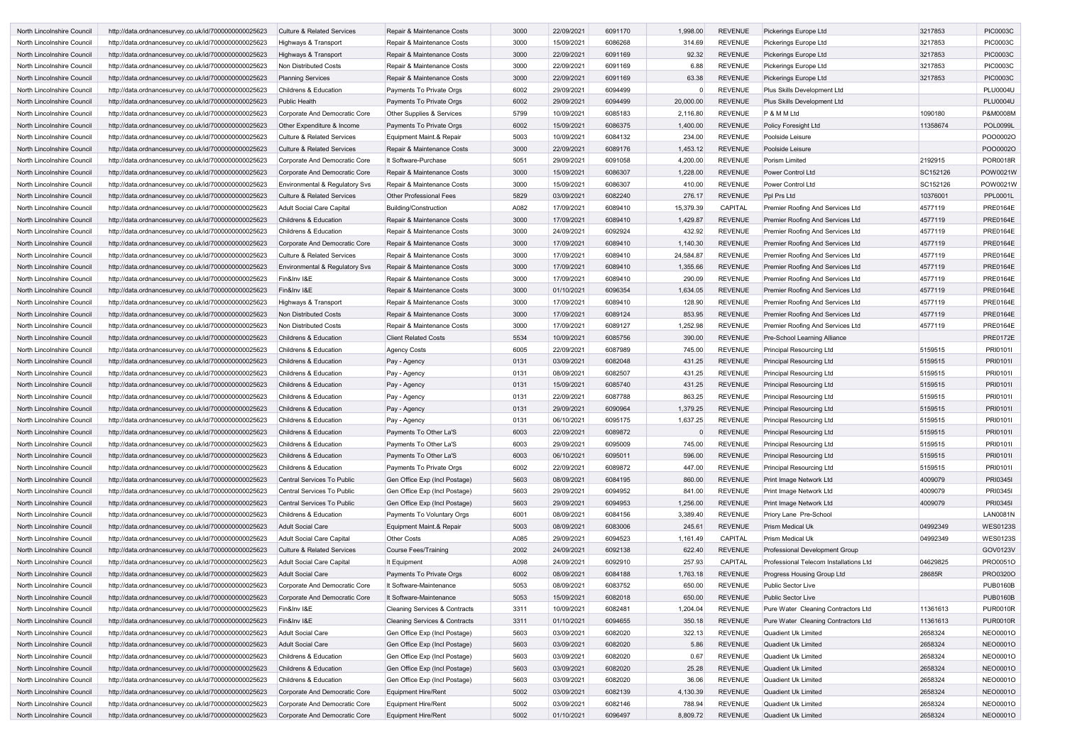| North Lincolnshire Council | http://data.ordnancesurvey.co.uk/id/7000000000025623 | <b>Culture &amp; Related Services</b> | Repair & Maintenance Costs               | 3000 | 22/09/2021 | 6091170 | 1,998.00       | REVENUE        | Pickerings Europe Ltd                  | 3217853  | <b>PIC0003C</b> |
|----------------------------|------------------------------------------------------|---------------------------------------|------------------------------------------|------|------------|---------|----------------|----------------|----------------------------------------|----------|-----------------|
| North Lincolnshire Council | http://data.ordnancesurvey.co.uk/id/7000000000025623 | Highways & Transport                  | Repair & Maintenance Costs               | 3000 | 15/09/2021 | 6086268 | 314.69         | <b>REVENUE</b> | Pickerings Europe Ltd                  | 3217853  | <b>PIC0003C</b> |
| North Lincolnshire Council | http://data.ordnancesurvey.co.uk/id/7000000000025623 | Highways & Transport                  | Repair & Maintenance Costs               | 3000 | 22/09/2021 | 6091169 | 92.32          | <b>REVENUE</b> | Pickerings Europe Ltd                  | 3217853  | <b>PIC0003C</b> |
| North Lincolnshire Council | http://data.ordnancesurvey.co.uk/id/7000000000025623 | Non Distributed Costs                 | Repair & Maintenance Costs               | 3000 | 22/09/2021 | 6091169 | 6.88           | <b>REVENUE</b> | Pickerings Europe Ltd                  | 3217853  | <b>PIC0003C</b> |
| North Lincolnshire Council | http://data.ordnancesurvey.co.uk/id/7000000000025623 | <b>Planning Services</b>              | Repair & Maintenance Costs               | 3000 | 22/09/2021 | 6091169 | 63.38          | <b>REVENUE</b> | Pickerings Europe Ltd                  | 3217853  | <b>PIC0003C</b> |
| North Lincolnshire Council | http://data.ordnancesurvey.co.uk/id/7000000000025623 | <b>Childrens &amp; Education</b>      | Payments To Private Orgs                 | 6002 | 29/09/2021 | 6094499 | $\Omega$       | REVENUE        | Plus Skills Development Ltd            |          | <b>PLU0004U</b> |
| North Lincolnshire Council | http://data.ordnancesurvey.co.uk/id/7000000000025623 | <b>Public Health</b>                  | Payments To Private Orgs                 | 6002 | 29/09/2021 | 6094499 | 20,000.00      | REVENUE        | Plus Skills Development Ltd            |          | <b>PLU0004U</b> |
| North Lincolnshire Council | http://data.ordnancesurvey.co.uk/id/7000000000025623 | Corporate And Democratic Core         | Other Supplies & Services                | 5799 | 10/09/2021 | 6085183 | 2,116.80       | REVENUE        | P & M M Ltd                            | 1090180  | P&M0008M        |
| North Lincolnshire Council | http://data.ordnancesurvey.co.uk/id/7000000000025623 | Other Expenditure & Income            | Payments To Private Orgs                 | 6002 | 15/09/2021 | 6086375 | 1,400.00       | REVENUE        | Policy Foresight Ltd                   | 11358674 | <b>POL0099L</b> |
| North Lincolnshire Council | http://data.ordnancesurvey.co.uk/id/7000000000025623 | <b>Culture &amp; Related Services</b> | Equipment Maint.& Repair                 | 5003 | 10/09/2021 | 6084132 | 234.00         | <b>REVENUE</b> | Poolside Leisure                       |          | POO0002C        |
| North Lincolnshire Council | http://data.ordnancesurvey.co.uk/id/7000000000025623 | <b>Culture &amp; Related Services</b> | Repair & Maintenance Costs               | 3000 | 22/09/2021 | 6089176 | 1,453.12       | <b>REVENUE</b> | Poolside Leisure                       |          | POO0002O        |
| North Lincolnshire Council | http://data.ordnancesurvey.co.uk/id/7000000000025623 | Corporate And Democratic Core         | It Software-Purchase                     | 5051 | 29/09/2021 | 6091058 | 4,200.00       | <b>REVENUE</b> | Porism Limited                         | 2192915  | <b>POR0018R</b> |
| North Lincolnshire Council | http://data.ordnancesurvey.co.uk/id/7000000000025623 | Corporate And Democratic Core         | Repair & Maintenance Costs               | 3000 | 15/09/2021 | 6086307 | 1,228.00       | <b>REVENUE</b> | <b>Power Control Ltd</b>               | SC152126 | POW0021W        |
| North Lincolnshire Council | http://data.ordnancesurvey.co.uk/id/7000000000025623 | Environmental & Regulatory Svs        | Repair & Maintenance Costs               | 3000 | 15/09/2021 | 6086307 | 410.00         | <b>REVENUE</b> | <b>Power Control Ltd</b>               | SC152126 | POW0021W        |
| North Lincolnshire Council | http://data.ordnancesurvey.co.uk/id/7000000000025623 | <b>Culture &amp; Related Services</b> | <b>Other Professional Fees</b>           | 5829 | 03/09/2021 | 6082240 | 276.17         | <b>REVENUE</b> | Ppl Prs Ltd                            | 10376001 | <b>PPL0001L</b> |
| North Lincolnshire Council | http://data.ordnancesurvey.co.uk/id/7000000000025623 | Adult Social Care Capital             | Building/Construction                    | A082 | 17/09/2021 | 6089410 | 15,379.39      | <b>CAPITAL</b> | Premier Roofing And Services Ltd       | 4577119  | <b>PRE0164E</b> |
| North Lincolnshire Council | http://data.ordnancesurvey.co.uk/id/7000000000025623 | <b>Childrens &amp; Education</b>      | Repair & Maintenance Costs               | 3000 | 17/09/2021 | 6089410 | 1,429.87       | <b>REVENUE</b> | Premier Roofing And Services Ltd       | 4577119  | <b>PRE0164E</b> |
| North Lincolnshire Council | http://data.ordnancesurvey.co.uk/id/7000000000025623 | <b>Childrens &amp; Education</b>      | Repair & Maintenance Costs               | 3000 | 24/09/2021 | 6092924 | 432.92         | <b>REVENUE</b> | Premier Roofing And Services Ltd       | 4577119  | <b>PRE0164E</b> |
| North Lincolnshire Council | http://data.ordnancesurvey.co.uk/id/7000000000025623 | Corporate And Democratic Core         | Repair & Maintenance Costs               | 3000 | 17/09/2021 | 6089410 | 1,140.30       | <b>REVENUE</b> | Premier Roofing And Services Ltd       | 4577119  | <b>PRE0164E</b> |
| North Lincolnshire Council | http://data.ordnancesurvey.co.uk/id/7000000000025623 | <b>Culture &amp; Related Services</b> | Repair & Maintenance Costs               | 3000 | 17/09/2021 | 6089410 | 24,584.87      | <b>REVENUE</b> | Premier Roofing And Services Ltd       | 4577119  | <b>PRE0164E</b> |
| North Lincolnshire Council | http://data.ordnancesurvey.co.uk/id/7000000000025623 | Environmental & Regulatory Svs        | Repair & Maintenance Costs               | 3000 | 17/09/2021 | 6089410 | 1,355.66       | REVENUE        | Premier Roofing And Services Ltd       | 4577119  | <b>PRE0164E</b> |
| North Lincolnshire Council | http://data.ordnancesurvey.co.uk/id/7000000000025623 | Fin&Inv I&E                           | Repair & Maintenance Costs               | 3000 | 17/09/2021 | 6089410 | 290.09         | <b>REVENUE</b> | Premier Roofing And Services Ltd       | 4577119  | <b>PRE0164E</b> |
| North Lincolnshire Council | http://data.ordnancesurvey.co.uk/id/7000000000025623 | Fin&Inv I&E                           | Repair & Maintenance Costs               | 3000 | 01/10/2021 | 6096354 | 1,634.05       | <b>REVENUE</b> | Premier Roofing And Services Ltd       | 4577119  | <b>PRE0164E</b> |
| North Lincolnshire Council | http://data.ordnancesurvey.co.uk/id/7000000000025623 | Highways & Transport                  | Repair & Maintenance Costs               | 3000 | 17/09/2021 | 6089410 | 128.90         | <b>REVENUE</b> | Premier Roofing And Services Ltd       | 4577119  | <b>PRE0164E</b> |
| North Lincolnshire Council | http://data.ordnancesurvey.co.uk/id/7000000000025623 | Non Distributed Costs                 | Repair & Maintenance Costs               | 3000 | 17/09/2021 | 6089124 | 853.95         | <b>REVENUE</b> | Premier Roofing And Services Ltd       | 4577119  | <b>PRE0164E</b> |
| North Lincolnshire Council | http://data.ordnancesurvey.co.uk/id/7000000000025623 | Non Distributed Costs                 | Repair & Maintenance Costs               | 3000 | 17/09/2021 | 6089127 | 1,252.98       | <b>REVENUE</b> | Premier Roofing And Services Ltd       | 4577119  | <b>PRE0164E</b> |
| North Lincolnshire Council | http://data.ordnancesurvey.co.uk/id/7000000000025623 | <b>Childrens &amp; Education</b>      | <b>Client Related Costs</b>              | 5534 | 10/09/2021 | 6085756 | 390.00         | <b>REVENUE</b> | Pre-School Learning Alliance           |          | <b>PRE0172E</b> |
| North Lincolnshire Council | http://data.ordnancesurvey.co.uk/id/7000000000025623 | <b>Childrens &amp; Education</b>      | <b>Agency Costs</b>                      | 6005 | 22/09/2021 | 6087989 | 745.00         | <b>REVENUE</b> | <b>Principal Resourcing Ltd</b>        | 5159515  | PRI0101I        |
| North Lincolnshire Council | http://data.ordnancesurvey.co.uk/id/7000000000025623 | <b>Childrens &amp; Education</b>      | Pay - Agency                             | 0131 | 03/09/2021 | 6082048 | 431.25         | <b>REVENUE</b> | <b>Principal Resourcing Ltd</b>        | 5159515  | PRI0101I        |
| North Lincolnshire Council | http://data.ordnancesurvey.co.uk/id/7000000000025623 | <b>Childrens &amp; Education</b>      | Pay - Agency                             | 0131 | 08/09/2021 | 6082507 | 431.25         | <b>REVENUE</b> | <b>Principal Resourcing Ltd</b>        | 5159515  | PRI0101         |
| North Lincolnshire Council | http://data.ordnancesurvey.co.uk/id/7000000000025623 | <b>Childrens &amp; Education</b>      | Pay - Agency                             | 0131 | 15/09/2021 | 6085740 | 431.25         | <b>REVENUE</b> | <b>Principal Resourcing Ltd</b>        | 5159515  | PRI0101I        |
| North Lincolnshire Council | http://data.ordnancesurvey.co.uk/id/7000000000025623 | Childrens & Education                 |                                          | 0131 | 22/09/2021 | 6087788 | 863.25         | REVENUE        | <b>Principal Resourcing Ltd</b>        | 5159515  | PRI0101I        |
| North Lincolnshire Council | http://data.ordnancesurvey.co.uk/id/7000000000025623 | <b>Childrens &amp; Education</b>      | Pay - Agency                             | 0131 | 29/09/2021 | 6090964 | 1,379.25       | <b>REVENUE</b> | <b>Principal Resourcing Ltd</b>        | 5159515  | PRI0101I        |
|                            |                                                      |                                       | Pay - Agency                             |      | 06/10/2021 |         |                |                |                                        |          | PRI0101I        |
| North Lincolnshire Council | http://data.ordnancesurvey.co.uk/id/7000000000025623 | Childrens & Education                 | Pay - Agency                             | 0131 |            | 6095175 | 1,637.25       | <b>REVENUE</b> | <b>Principal Resourcing Ltd</b>        | 5159515  |                 |
| North Lincolnshire Council | http://data.ordnancesurvey.co.uk/id/7000000000025623 | Childrens & Education                 | Payments To Other La'S                   | 6003 | 22/09/2021 | 6089872 | $\overline{0}$ | REVENUE        | <b>Principal Resourcing Ltd</b>        | 5159515  | PRI01011        |
| North Lincolnshire Council | http://data.ordnancesurvey.co.uk/id/7000000000025623 | Childrens & Education                 | Payments To Other La'S                   | 6003 | 29/09/2021 | 6095009 | 745.00         | REVENUE        | <b>Principal Resourcing Ltd</b>        | 5159515  | PRI01011        |
| North Lincolnshire Council | http://data.ordnancesurvey.co.uk/id/7000000000025623 | Childrens & Education                 | Payments To Other La'S                   | 6003 | 06/10/2021 | 6095011 | 596.00         | REVENUE        | <b>Principal Resourcing Ltd</b>        | 5159515  | PRI01011        |
| North Lincolnshire Council | http://data.ordnancesurvey.co.uk/id/7000000000025623 | Childrens & Education                 | Payments To Private Orgs                 | 6002 | 22/09/2021 | 6089872 | 447.00         | REVENUE        | Principal Resourcing Ltd               | 5159515  | PRI01011        |
| North Lincolnshire Council | http://data.ordnancesurvey.co.uk/id/7000000000025623 | Central Services To Public            | Gen Office Exp (Incl Postage)            | 5603 | 08/09/2021 | 6084195 | 860.00         | REVENUE        | Print Image Network Ltd                | 4009079  | <b>PRI03451</b> |
| North Lincolnshire Council | http://data.ordnancesurvey.co.uk/id/7000000000025623 | Central Services To Public            | Gen Office Exp (Incl Postage)            | 5603 | 29/09/2021 | 6094952 | 841.00         | REVENUE        | Print Image Network Ltd                | 4009079  | <b>PRI03451</b> |
| North Lincolnshire Council | http://data.ordnancesurvey.co.uk/id/7000000000025623 | Central Services To Public            | Gen Office Exp (Incl Postage)            | 5603 | 29/09/2021 | 6094953 | 1,256.00       | REVENUE        | Print Image Network Ltd                | 4009079  | <b>PRI03451</b> |
| North Lincolnshire Council | http://data.ordnancesurvey.co.uk/id/7000000000025623 | Childrens & Education                 | Payments To Voluntary Orgs               | 6001 | 08/09/2021 | 6084156 | 3,389.40       | REVENUE        | Priory Lane Pre-School                 |          | <b>LAN0081N</b> |
| North Lincolnshire Council | http://data.ordnancesurvey.co.uk/id/7000000000025623 | <b>Adult Social Care</b>              | Equipment Maint.& Repair                 | 5003 | 08/09/2021 | 6083006 | 245.61         | <b>REVENUE</b> | <b>Prism Medical Uk</b>                | 04992349 | <b>WES0123S</b> |
| North Lincolnshire Council | http://data.ordnancesurvey.co.uk/id/7000000000025623 | <b>Adult Social Care Capital</b>      | <b>Other Costs</b>                       | A085 | 29/09/2021 | 6094523 | 1,161.49       | CAPITAL        | <b>Prism Medical Uk</b>                | 04992349 | <b>WES0123S</b> |
| North Lincolnshire Council | http://data.ordnancesurvey.co.uk/id/7000000000025623 | <b>Culture &amp; Related Services</b> | <b>Course Fees/Training</b>              | 2002 | 24/09/2021 | 6092138 | 622.40         | REVENUE        | Professional Development Group         |          | GOV0123V        |
| North Lincolnshire Council | http://data.ordnancesurvey.co.uk/id/7000000000025623 | Adult Social Care Capital             | It Equipment                             | A098 | 24/09/2021 | 6092910 | 257.93         | CAPITAL        | Professional Telecom Installations Ltd | 04629825 | PRO0051O        |
| North Lincolnshire Council | http://data.ordnancesurvey.co.uk/id/7000000000025623 | <b>Adult Social Care</b>              | Payments To Private Orgs                 | 6002 | 08/09/2021 | 6084188 | 1,763.18       | REVENUE        | Progress Housing Group Ltd             | 28685R   | PRO0320O        |
| North Lincolnshire Council | http://data.ordnancesurvey.co.uk/id/7000000000025623 | Corporate And Democratic Core         | It Software-Maintenance                  | 5053 | 08/09/2021 | 6083752 | 650.00         | <b>REVENUE</b> | Public Sector Live                     |          | <b>PUB0160B</b> |
| North Lincolnshire Council | http://data.ordnancesurvey.co.uk/id/7000000000025623 | Corporate And Democratic Core         | It Software-Maintenance                  | 5053 | 15/09/2021 | 6082018 | 650.00         | <b>REVENUE</b> | <b>Public Sector Live</b>              |          | <b>PUB0160B</b> |
| North Lincolnshire Council | http://data.ordnancesurvey.co.uk/id/7000000000025623 | Fin&Inv I&E                           | <b>Cleaning Services &amp; Contracts</b> | 3311 | 10/09/2021 | 6082481 | 1,204.04       | <b>REVENUE</b> | Pure Water Cleaning Contractors Ltd    | 11361613 | <b>PUR0010R</b> |
| North Lincolnshire Council | http://data.ordnancesurvey.co.uk/id/7000000000025623 | Fin&Inv I&E                           | <b>Cleaning Services &amp; Contracts</b> | 3311 | 01/10/2021 | 6094655 | 350.18         | REVENUE        | Pure Water Cleaning Contractors Ltd    | 11361613 | <b>PUR0010R</b> |
| North Lincolnshire Council | http://data.ordnancesurvey.co.uk/id/7000000000025623 | Adult Social Care                     | Gen Office Exp (Incl Postage)            | 5603 | 03/09/2021 | 6082020 | 322.13         | <b>REVENUE</b> | Quadient Uk Limited                    | 2658324  | <b>NEO0001O</b> |
| North Lincolnshire Council | http://data.ordnancesurvey.co.uk/id/7000000000025623 | <b>Adult Social Care</b>              | Gen Office Exp (Incl Postage)            | 5603 | 03/09/2021 | 6082020 | 5.86           | <b>REVENUE</b> | Quadient Uk Limited                    | 2658324  | <b>NEO0001O</b> |
| North Lincolnshire Council | http://data.ordnancesurvey.co.uk/id/7000000000025623 | Childrens & Education                 | Gen Office Exp (Incl Postage)            | 5603 | 03/09/2021 | 6082020 | 0.67           | <b>REVENUE</b> | <b>Quadient Uk Limited</b>             | 2658324  | <b>NEO0001O</b> |
| North Lincolnshire Council | http://data.ordnancesurvey.co.uk/id/7000000000025623 | Childrens & Education                 | Gen Office Exp (Incl Postage)            | 5603 | 03/09/2021 | 6082020 | 25.28          | REVENUE        | <b>Quadient Uk Limited</b>             | 2658324  | <b>NEO0001O</b> |
| North Lincolnshire Council | http://data.ordnancesurvey.co.uk/id/7000000000025623 | Childrens & Education                 | Gen Office Exp (Incl Postage)            | 5603 | 03/09/2021 | 6082020 | 36.06          | REVENUE        | <b>Quadient Uk Limited</b>             | 2658324  | <b>NEO0001O</b> |
| North Lincolnshire Council | http://data.ordnancesurvey.co.uk/id/7000000000025623 | Corporate And Democratic Core         | <b>Equipment Hire/Rent</b>               | 5002 | 03/09/2021 | 6082139 | 4,130.39       | REVENUE        | <b>Quadient Uk Limited</b>             | 2658324  | <b>NEO0001O</b> |
| North Lincolnshire Council | http://data.ordnancesurvey.co.uk/id/7000000000025623 | Corporate And Democratic Core         | Equipment Hire/Rent                      | 5002 | 03/09/2021 | 6082146 | 788.94         | REVENUE        | Quadient Uk Limited                    | 2658324  | NEO0001O        |
| North Lincolnshire Council | http://data.ordnancesurvey.co.uk/id/7000000000025623 | Corporate And Democratic Core         | <b>Equipment Hire/Rent</b>               | 5002 | 01/10/2021 | 6096497 | 8,809.72       | REVENUE        | Quadient Uk Limited                    | 2658324  | <b>NEO0001O</b> |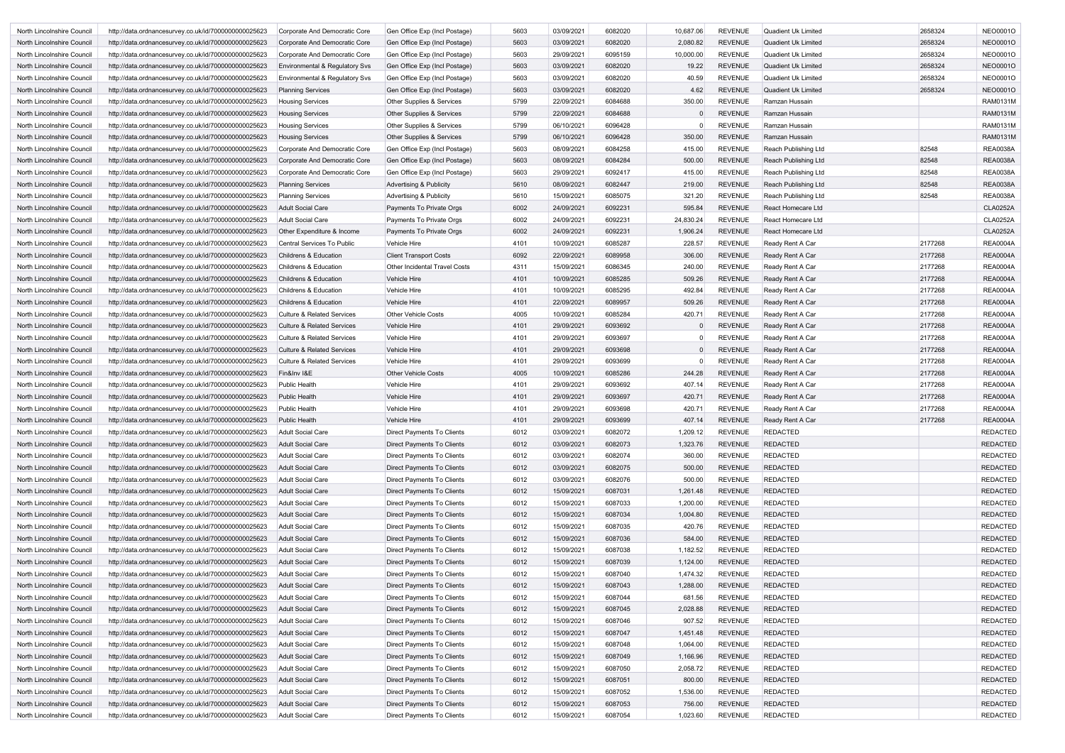| North Lincolnshire Council        | http://data.ordnancesurvey.co.uk/id/7000000000025623 | Corporate And Democratic Core             | Gen Office Exp (Incl Postage)        | 5603 | 03/09/2021 | 6082020 | 10,687.06 | <b>REVENUE</b> | Quadient Uk Limited        | 2658324 | <b>NEO0001O</b> |
|-----------------------------------|------------------------------------------------------|-------------------------------------------|--------------------------------------|------|------------|---------|-----------|----------------|----------------------------|---------|-----------------|
| North Lincolnshire Council        | http://data.ordnancesurvey.co.uk/id/7000000000025623 | Corporate And Democratic Core             | Gen Office Exp (Incl Postage)        | 5603 | 03/09/2021 | 6082020 | 2,080.82  | <b>REVENUE</b> | <b>Quadient Uk Limited</b> | 2658324 | <b>NEO0001O</b> |
| North Lincolnshire Council        | http://data.ordnancesurvey.co.uk/id/7000000000025623 | Corporate And Democratic Core             | Gen Office Exp (Incl Postage)        | 5603 | 29/09/2021 | 6095159 | 10,000.00 | <b>REVENUE</b> | Quadient Uk Limited        | 2658324 | <b>NEO0001O</b> |
| North Lincolnshire Council        | http://data.ordnancesurvey.co.uk/id/7000000000025623 | <b>Environmental &amp; Regulatory Svs</b> | Gen Office Exp (Incl Postage)        | 5603 | 03/09/2021 | 6082020 | 19.22     | <b>REVENUE</b> | Quadient Uk Limited        | 2658324 | <b>NEO0001O</b> |
| North Lincolnshire Council        | http://data.ordnancesurvey.co.uk/id/7000000000025623 | Environmental & Regulatory Svs            | Gen Office Exp (Incl Postage)        | 5603 | 03/09/2021 | 6082020 | 40.59     | <b>REVENUE</b> | <b>Quadient Uk Limited</b> | 2658324 | <b>NEO0001O</b> |
| North Lincolnshire Council        | http://data.ordnancesurvey.co.uk/id/7000000000025623 | <b>Planning Services</b>                  | Gen Office Exp (Incl Postage)        | 5603 | 03/09/2021 | 6082020 | 4.62      | <b>REVENUE</b> | Quadient Uk Limited        | 2658324 | <b>NEO0001O</b> |
| North Lincolnshire Council        | http://data.ordnancesurvey.co.uk/id/7000000000025623 | <b>Housing Services</b>                   | Other Supplies & Services            | 5799 | 22/09/2021 | 6084688 | 350.00    | <b>REVENUE</b> | Ramzan Hussain             |         | <b>RAM0131M</b> |
| North Lincolnshire Council        | http://data.ordnancesurvey.co.uk/id/7000000000025623 | <b>Housing Services</b>                   | Other Supplies & Services            | 5799 | 22/09/2021 | 6084688 |           | <b>REVENUE</b> | Ramzan Hussain             |         | <b>RAM0131M</b> |
| North Lincolnshire Council        | http://data.ordnancesurvey.co.uk/id/7000000000025623 | <b>Housing Services</b>                   | Other Supplies & Services            | 5799 | 06/10/2021 | 6096428 |           | <b>REVENUE</b> | Ramzan Hussain             |         | <b>RAM0131M</b> |
|                                   |                                                      |                                           |                                      |      |            |         |           |                |                            |         |                 |
| North Lincolnshire Council        | http://data.ordnancesurvey.co.uk/id/7000000000025623 | <b>Housing Services</b>                   | Other Supplies & Services            | 5799 | 06/10/2021 | 6096428 | 350.00    | <b>REVENUE</b> | Ramzan Hussain             |         | <b>RAM0131M</b> |
| North Lincolnshire Council        | http://data.ordnancesurvey.co.uk/id/7000000000025623 | Corporate And Democratic Core             | Gen Office Exp (Incl Postage)        | 5603 | 08/09/2021 | 6084258 | 415.00    | <b>REVENUE</b> | Reach Publishing Ltd       | 82548   | <b>REA0038A</b> |
| North Lincolnshire Council        | http://data.ordnancesurvey.co.uk/id/7000000000025623 | Corporate And Democratic Core             | Gen Office Exp (Incl Postage)        | 5603 | 08/09/2021 | 6084284 | 500.00    | <b>REVENUE</b> | Reach Publishing Ltd       | 82548   | <b>REA0038A</b> |
| North Lincolnshire Council        | http://data.ordnancesurvey.co.uk/id/7000000000025623 | Corporate And Democratic Core             | Gen Office Exp (Incl Postage)        | 5603 | 29/09/2021 | 6092417 | 415.00    | <b>REVENUE</b> | Reach Publishing Ltd       | 82548   | <b>REA0038A</b> |
| North Lincolnshire Council        | http://data.ordnancesurvey.co.uk/id/7000000000025623 | <b>Planning Services</b>                  | <b>Advertising &amp; Publicity</b>   | 5610 | 08/09/2021 | 6082447 | 219.00    | <b>REVENUE</b> | Reach Publishing Ltd       | 82548   | <b>REA0038A</b> |
| North Lincolnshire Council        | http://data.ordnancesurvey.co.uk/id/7000000000025623 | <b>Planning Services</b>                  | Advertising & Publicity              | 5610 | 15/09/2021 | 6085075 | 321.20    | <b>REVENUE</b> | Reach Publishing Ltd       | 82548   | <b>REA0038A</b> |
| North Lincolnshire Council        | http://data.ordnancesurvey.co.uk/id/7000000000025623 | <b>Adult Social Care</b>                  | Payments To Private Orgs             | 6002 | 24/09/2021 | 6092231 | 595.84    | <b>REVENUE</b> | React Homecare Ltd         |         | <b>CLA0252A</b> |
| North Lincolnshire Council        | http://data.ordnancesurvey.co.uk/id/7000000000025623 | Adult Social Care                         | Payments To Private Orgs             | 6002 | 24/09/2021 | 6092231 | 24,830.24 | <b>REVENUE</b> | React Homecare Ltd         |         | <b>CLA0252A</b> |
| North Lincolnshire Council        | http://data.ordnancesurvey.co.uk/id/7000000000025623 | Other Expenditure & Income                | Payments To Private Orgs             | 6002 | 24/09/2021 | 6092231 | 1,906.24  | <b>REVENUE</b> | <b>React Homecare Ltd</b>  |         | <b>CLA0252A</b> |
| North Lincolnshire Council        | http://data.ordnancesurvey.co.uk/id/7000000000025623 | <b>Central Services To Public</b>         | Vehicle Hire                         | 4101 | 10/09/2021 | 6085287 | 228.57    | <b>REVENUE</b> | Ready Rent A Car           | 2177268 | <b>REA0004A</b> |
| North Lincolnshire Council        | http://data.ordnancesurvey.co.uk/id/7000000000025623 | <b>Childrens &amp; Education</b>          | <b>Client Transport Costs</b>        | 6092 | 22/09/2021 | 6089958 | 306.00    | <b>REVENUE</b> | Ready Rent A Car           | 2177268 | <b>REA0004A</b> |
| North Lincolnshire Council        | http://data.ordnancesurvey.co.uk/id/7000000000025623 | <b>Childrens &amp; Education</b>          | <b>Other Incidental Travel Costs</b> | 4311 | 15/09/2021 | 6086345 | 240.00    | <b>REVENUE</b> | Ready Rent A Car           | 2177268 | <b>REA0004A</b> |
| <b>North Lincolnshire Council</b> |                                                      | <b>Childrens &amp; Education</b>          | Vehicle Hire                         | 4101 | 10/09/2021 | 6085285 | 509.26    | <b>REVENUE</b> | Ready Rent A Car           | 2177268 | <b>REA0004A</b> |
|                                   | http://data.ordnancesurvey.co.uk/id/7000000000025623 |                                           |                                      |      |            |         |           |                |                            |         |                 |
| North Lincolnshire Council        | http://data.ordnancesurvey.co.uk/id/7000000000025623 | Childrens & Education                     | <b>Vehicle Hire</b>                  | 4101 | 10/09/2021 | 6085295 | 492.84    | <b>REVENUE</b> | Ready Rent A Car           | 2177268 | <b>REA0004A</b> |
| North Lincolnshire Council        | http://data.ordnancesurvey.co.uk/id/7000000000025623 | <b>Childrens &amp; Education</b>          | Vehicle Hire                         | 4101 | 22/09/2021 | 6089957 | 509.26    | <b>REVENUE</b> | Ready Rent A Car           | 2177268 | <b>REA0004A</b> |
| North Lincolnshire Council        | http://data.ordnancesurvey.co.uk/id/7000000000025623 | <b>Culture &amp; Related Services</b>     | <b>Other Vehicle Costs</b>           | 4005 | 10/09/2021 | 6085284 | 420.71    | <b>REVENUE</b> | Ready Rent A Car           | 2177268 | <b>REA0004A</b> |
| North Lincolnshire Council        | http://data.ordnancesurvey.co.uk/id/7000000000025623 | <b>Culture &amp; Related Services</b>     | Vehicle Hire                         | 4101 | 29/09/2021 | 6093692 |           | REVENUE        | Ready Rent A Car           | 2177268 | <b>REA0004A</b> |
| North Lincolnshire Council        | http://data.ordnancesurvey.co.uk/id/7000000000025623 | <b>Culture &amp; Related Services</b>     | <b>Vehicle Hire</b>                  | 4101 | 29/09/2021 | 6093697 | $\Omega$  | <b>REVENUE</b> | Ready Rent A Car           | 2177268 | <b>REA0004A</b> |
| North Lincolnshire Council        | http://data.ordnancesurvey.co.uk/id/7000000000025623 | <b>Culture &amp; Related Services</b>     | <b>Vehicle Hire</b>                  | 4101 | 29/09/2021 | 6093698 | $\Omega$  | REVENUE        | Ready Rent A Car           | 2177268 | <b>REA0004A</b> |
| North Lincolnshire Council        | http://data.ordnancesurvey.co.uk/id/7000000000025623 | <b>Culture &amp; Related Services</b>     | Vehicle Hire                         | 4101 | 29/09/2021 | 6093699 |           | <b>REVENUE</b> | Ready Rent A Car           | 2177268 | <b>REA0004A</b> |
| North Lincolnshire Council        | http://data.ordnancesurvey.co.uk/id/7000000000025623 | Fin&Inv I&E                               | <b>Other Vehicle Costs</b>           | 4005 | 10/09/2021 | 6085286 | 244.28    | REVENUE        | Ready Rent A Car           | 2177268 | <b>REA0004A</b> |
| North Lincolnshire Council        | http://data.ordnancesurvey.co.uk/id/7000000000025623 | <b>Public Health</b>                      | <b>Vehicle Hire</b>                  | 4101 | 29/09/2021 | 6093692 | 407.14    | <b>REVENUE</b> | Ready Rent A Car           | 2177268 | <b>REA0004A</b> |
| North Lincolnshire Council        | http://data.ordnancesurvey.co.uk/id/7000000000025623 | <b>Public Health</b>                      | <b>Vehicle Hire</b>                  | 4101 | 29/09/2021 | 6093697 | 420.71    | <b>REVENUE</b> | Ready Rent A Car           | 2177268 | <b>REA0004A</b> |
| North Lincolnshire Council        | http://data.ordnancesurvey.co.uk/id/7000000000025623 | <b>Public Health</b>                      | <b>Vehicle Hire</b>                  | 4101 | 29/09/2021 | 6093698 | 420.71    | <b>REVENUE</b> | Ready Rent A Car           | 2177268 | <b>REA0004A</b> |
| North Lincolnshire Council        | http://data.ordnancesurvey.co.uk/id/7000000000025623 | <b>Public Health</b>                      | <b>Vehicle Hire</b>                  | 4101 | 29/09/2021 | 6093699 | 407.14    | <b>REVENUE</b> | Ready Rent A Car           | 2177268 | <b>REA0004A</b> |
| North Lincolnshire Council        | http://data.ordnancesurvey.co.uk/id/7000000000025623 | <b>Adult Social Care</b>                  | Direct Payments To Clients           | 6012 | 03/09/2021 | 6082072 | 1,209.12  | <b>REVENUE</b> | <b>REDACTED</b>            |         | <b>REDACTED</b> |
| North Lincolnshire Council        | http://data.ordnancesurvey.co.uk/id/7000000000025623 | <b>Adult Social Care</b>                  | <b>Direct Payments To Clients</b>    | 6012 | 03/09/2021 | 6082073 | 1,323.76  | <b>REVENUE</b> | <b>REDACTED</b>            |         | <b>REDACTED</b> |
| North Lincolnshire Council        | http://data.ordnancesurvey.co.uk/id/7000000000025623 | <b>Adult Social Care</b>                  | Direct Payments To Clients           | 6012 | 03/09/2021 | 6082074 | 360.00    | REVENUE        | <b>REDACTED</b>            |         | <b>REDACTED</b> |
| North Lincolnshire Council        | http://data.ordnancesurvey.co.uk/id/7000000000025623 | <b>Adult Social Care</b>                  | <b>Direct Payments To Clients</b>    | 6012 | 03/09/2021 | 6082075 | 500.00    | <b>REVENUE</b> | <b>REDACTED</b>            |         | <b>REDACTED</b> |
|                                   |                                                      |                                           |                                      |      |            |         |           |                |                            |         |                 |
| North Lincolnshire Council        | http://data.ordnancesurvey.co.uk/id/7000000000025623 | <b>Adult Social Care</b>                  | Direct Payments To Clients           | 6012 | 03/09/2021 | 6082076 | 500.00    | <b>REVENUE</b> | <b>REDACTED</b>            |         | <b>REDACTED</b> |
| North Lincolnshire Council        | http://data.ordnancesurvey.co.uk/id/7000000000025623 | <b>Adult Social Care</b>                  | <b>Direct Payments To Clients</b>    | 6012 | 15/09/2021 | 6087031 | 1,261.48  | <b>REVENUE</b> | <b>REDACTED</b>            |         | <b>REDACTED</b> |
| North Lincolnshire Council        | http://data.ordnancesurvey.co.uk/id/7000000000025623 | <b>Adult Social Care</b>                  | Direct Payments To Clients           | 6012 | 15/09/2021 | 6087033 | 1,200.00  | <b>REVENUE</b> | <b>REDACTED</b>            |         | <b>REDACTED</b> |
| North Lincolnshire Council        | http://data.ordnancesurvey.co.uk/id/7000000000025623 | <b>Adult Social Care</b>                  | <b>Direct Payments To Clients</b>    | 6012 | 15/09/2021 | 6087034 | 1,004.80  | REVENUE        | <b>REDACTED</b>            |         | <b>REDACTED</b> |
| North Lincolnshire Council        | http://data.ordnancesurvey.co.uk/id/7000000000025623 | <b>Adult Social Care</b>                  | Direct Payments To Clients           | 6012 | 15/09/2021 | 6087035 | 420.76    | <b>REVENUE</b> | REDACTED                   |         | <b>REDACTED</b> |
| North Lincolnshire Council        | http://data.ordnancesurvey.co.uk/id/7000000000025623 | <b>Adult Social Care</b>                  | <b>Direct Payments To Clients</b>    | 6012 | 15/09/2021 | 6087036 | 584.00    | <b>REVENUE</b> | <b>REDACTED</b>            |         | <b>REDACTED</b> |
| North Lincolnshire Council        | http://data.ordnancesurvey.co.uk/id/7000000000025623 | <b>Adult Social Care</b>                  | Direct Payments To Clients           | 6012 | 15/09/2021 | 6087038 | 1,182.52  | <b>REVENUE</b> | <b>REDACTED</b>            |         | <b>REDACTED</b> |
| North Lincolnshire Council        | http://data.ordnancesurvey.co.uk/id/7000000000025623 | <b>Adult Social Care</b>                  | <b>Direct Payments To Clients</b>    | 6012 | 15/09/2021 | 6087039 | 1,124.00  | <b>REVENUE</b> | <b>REDACTED</b>            |         | <b>REDACTED</b> |
| North Lincolnshire Council        | http://data.ordnancesurvey.co.uk/id/7000000000025623 | <b>Adult Social Care</b>                  | Direct Payments To Clients           | 6012 | 15/09/2021 | 6087040 | 1,474.32  | REVENUE        | <b>REDACTED</b>            |         | <b>REDACTED</b> |
| North Lincolnshire Council        | http://data.ordnancesurvey.co.uk/id/7000000000025623 | <b>Adult Social Care</b>                  | <b>Direct Payments To Clients</b>    | 6012 | 15/09/2021 | 6087043 | 1,288.00  | <b>REVENUE</b> | <b>REDACTED</b>            |         | <b>REDACTED</b> |
| North Lincolnshire Council        | http://data.ordnancesurvey.co.uk/id/7000000000025623 | Adult Social Care                         | Direct Payments To Clients           | 6012 | 15/09/2021 | 6087044 | 681.56    | <b>REVENUE</b> | <b>REDACTED</b>            |         | <b>REDACTED</b> |
| North Lincolnshire Council        | http://data.ordnancesurvey.co.uk/id/7000000000025623 | <b>Adult Social Care</b>                  | <b>Direct Payments To Clients</b>    | 6012 | 15/09/2021 | 6087045 | 2,028.88  | <b>REVENUE</b> | <b>REDACTED</b>            |         | <b>REDACTED</b> |
| North Lincolnshire Council        | http://data.ordnancesurvey.co.uk/id/7000000000025623 | <b>Adult Social Care</b>                  | Direct Payments To Clients           | 6012 | 15/09/2021 | 6087046 | 907.52    | <b>REVENUE</b> | <b>REDACTED</b>            |         | <b>REDACTED</b> |
| North Lincolnshire Council        | http://data.ordnancesurvey.co.uk/id/7000000000025623 | <b>Adult Social Care</b>                  | <b>Direct Payments To Clients</b>    | 6012 | 15/09/2021 | 6087047 | 1,451.48  | REVENUE        | <b>REDACTED</b>            |         | <b>REDACTED</b> |
| North Lincolnshire Council        | http://data.ordnancesurvey.co.uk/id/7000000000025623 | <b>Adult Social Care</b>                  | Direct Payments To Clients           | 6012 | 15/09/2021 | 6087048 | 1,064.00  | <b>REVENUE</b> | <b>REDACTED</b>            |         | <b>REDACTED</b> |
|                                   |                                                      |                                           |                                      | 6012 |            | 6087049 |           | <b>REVENUE</b> | <b>REDACTED</b>            |         | <b>REDACTED</b> |
| North Lincolnshire Council        | http://data.ordnancesurvey.co.uk/id/7000000000025623 | <b>Adult Social Care</b>                  | <b>Direct Payments To Clients</b>    |      | 15/09/2021 |         | 1,166.96  |                |                            |         |                 |
| North Lincolnshire Council        | http://data.ordnancesurvey.co.uk/id/7000000000025623 | <b>Adult Social Care</b>                  | Direct Payments To Clients           | 6012 | 15/09/2021 | 6087050 | 2,058.72  | <b>REVENUE</b> | <b>REDACTED</b>            |         | <b>REDACTED</b> |
| North Lincolnshire Council        | http://data.ordnancesurvey.co.uk/id/7000000000025623 | <b>Adult Social Care</b>                  | <b>Direct Payments To Clients</b>    | 6012 | 15/09/2021 | 6087051 | 800.00    | REVENUE        | <b>REDACTED</b>            |         | <b>REDACTED</b> |
| North Lincolnshire Council        | http://data.ordnancesurvey.co.uk/id/7000000000025623 | <b>Adult Social Care</b>                  | Direct Payments To Clients           | 6012 | 15/09/2021 | 6087052 | 1,536.00  | <b>REVENUE</b> | <b>REDACTED</b>            |         | <b>REDACTED</b> |
| North Lincolnshire Council        | http://data.ordnancesurvey.co.uk/id/7000000000025623 | <b>Adult Social Care</b>                  | <b>Direct Payments To Clients</b>    | 6012 | 15/09/2021 | 6087053 | 756.00    | <b>REVENUE</b> | <b>REDACTED</b>            |         | <b>REDACTED</b> |
| North Lincolnshire Council        | http://data.ordnancesurvey.co.uk/id/7000000000025623 | Adult Social Care                         | Direct Payments To Clients           | 6012 | 15/09/2021 | 6087054 | 1,023.60  | <b>REVENUE</b> | <b>REDACTED</b>            |         | <b>REDACTED</b> |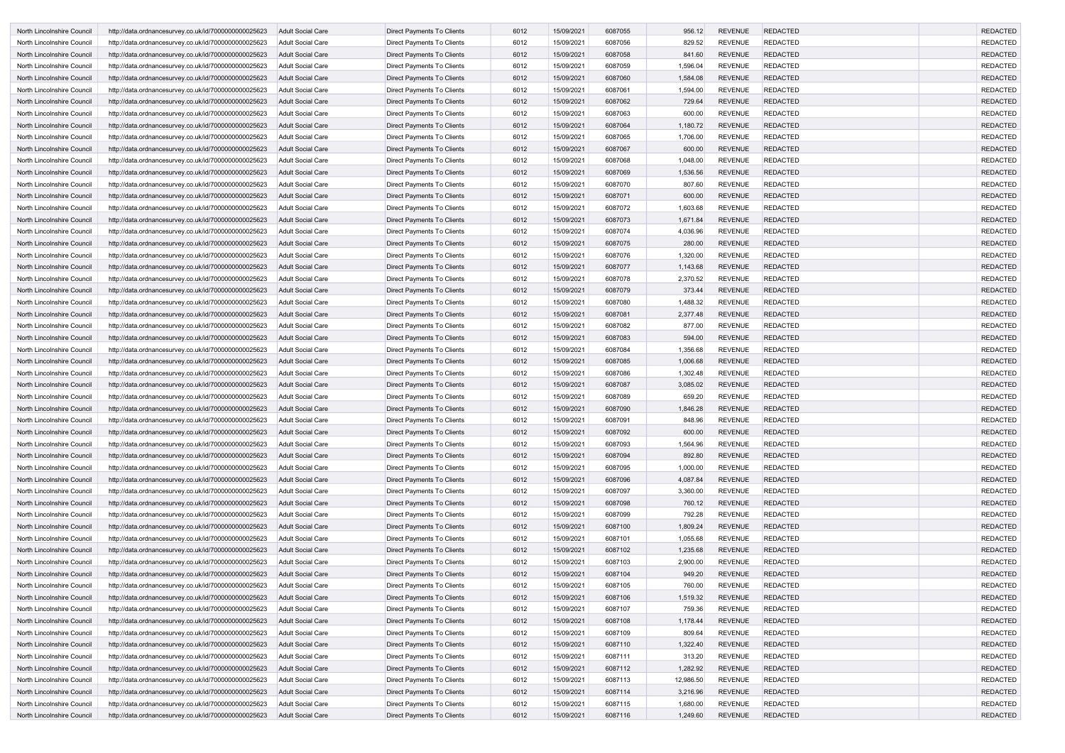| North Lincolnshire Council        | http://data.ordnancesurvey.co.uk/id/7000000000025623 | <b>Adult Social Care</b> | Direct Payments To Clients        | 6012 | 15/09/2021 | 6087055 | 956.12    | <b>REVENUE</b> | <b>REDACTED</b> | <b>REDACTED</b> |
|-----------------------------------|------------------------------------------------------|--------------------------|-----------------------------------|------|------------|---------|-----------|----------------|-----------------|-----------------|
| North Lincolnshire Council        | http://data.ordnancesurvey.co.uk/id/7000000000025623 | Adult Social Care        | Direct Payments To Clients        | 6012 | 15/09/2021 | 6087056 | 829.52    | <b>REVENUE</b> | <b>REDACTED</b> | <b>REDACTED</b> |
| North Lincolnshire Council        | http://data.ordnancesurvey.co.uk/id/7000000000025623 | Adult Social Care        | Direct Payments To Clients        | 6012 | 15/09/2021 | 6087058 | 841.60    | <b>REVENUE</b> | <b>REDACTED</b> | <b>REDACTED</b> |
| North Lincolnshire Council        | http://data.ordnancesurvey.co.uk/id/7000000000025623 | <b>Adult Social Care</b> | <b>Direct Payments To Clients</b> | 6012 | 15/09/2021 | 6087059 | 1,596.04  | <b>REVENUE</b> | <b>REDACTED</b> | <b>REDACTED</b> |
| North Lincolnshire Council        | http://data.ordnancesurvey.co.uk/id/7000000000025623 | <b>Adult Social Care</b> | Direct Payments To Clients        | 6012 | 15/09/2021 | 6087060 | 1,584.08  | <b>REVENUE</b> | <b>REDACTED</b> | <b>REDACTED</b> |
| North Lincolnshire Council        | http://data.ordnancesurvey.co.uk/id/7000000000025623 | <b>Adult Social Care</b> | Direct Payments To Clients        | 6012 | 15/09/2021 | 6087061 | 1,594.00  | <b>REVENUE</b> | <b>REDACTED</b> | <b>REDACTED</b> |
| North Lincolnshire Council        | http://data.ordnancesurvey.co.uk/id/7000000000025623 | Adult Social Care        | Direct Payments To Clients        | 6012 | 15/09/2021 | 6087062 | 729.64    | <b>REVENUE</b> | <b>REDACTED</b> | <b>REDACTED</b> |
| North Lincolnshire Council        | http://data.ordnancesurvey.co.uk/id/7000000000025623 | Adult Social Care        | Direct Payments To Clients        | 6012 | 15/09/2021 | 6087063 | 600.00    | <b>REVENUE</b> | <b>REDACTED</b> | <b>REDACTED</b> |
| North Lincolnshire Council        | http://data.ordnancesurvey.co.uk/id/7000000000025623 | <b>Adult Social Care</b> | Direct Payments To Clients        | 6012 | 15/09/2021 | 6087064 | 1,180.72  | <b>REVENUE</b> | <b>REDACTED</b> | <b>REDACTED</b> |
| North Lincolnshire Council        | http://data.ordnancesurvey.co.uk/id/7000000000025623 | Adult Social Care        | Direct Payments To Clients        | 6012 | 15/09/2021 | 6087065 | 1,706.00  | <b>REVENUE</b> | <b>REDACTED</b> | <b>REDACTED</b> |
| North Lincolnshire Council        | http://data.ordnancesurvey.co.uk/id/7000000000025623 | <b>Adult Social Care</b> | <b>Direct Payments To Clients</b> | 6012 | 15/09/2021 | 6087067 | 600.00    | <b>REVENUE</b> | <b>REDACTED</b> | <b>REDACTED</b> |
| North Lincolnshire Council        | http://data.ordnancesurvey.co.uk/id/7000000000025623 | Adult Social Care        | Direct Payments To Clients        | 6012 | 15/09/2021 | 6087068 | 1,048.00  | <b>REVENUE</b> | <b>REDACTED</b> | <b>REDACTED</b> |
| North Lincolnshire Council        | http://data.ordnancesurvey.co.uk/id/7000000000025623 | Adult Social Care        | Direct Payments To Clients        | 6012 | 15/09/2021 | 6087069 | 1,536.56  | <b>REVENUE</b> | <b>REDACTED</b> | <b>REDACTED</b> |
| North Lincolnshire Council        | http://data.ordnancesurvey.co.uk/id/7000000000025623 | <b>Adult Social Care</b> | Direct Payments To Clients        | 6012 | 15/09/2021 | 6087070 | 807.60    | <b>REVENUE</b> | <b>REDACTED</b> | <b>REDACTED</b> |
| North Lincolnshire Council        | http://data.ordnancesurvey.co.uk/id/7000000000025623 | Adult Social Care        | Direct Payments To Clients        | 6012 | 15/09/2021 | 6087071 | 600.00    | <b>REVENUE</b> | <b>REDACTED</b> | <b>REDACTED</b> |
| North Lincolnshire Council        | http://data.ordnancesurvey.co.uk/id/7000000000025623 | <b>Adult Social Care</b> | Direct Payments To Clients        | 6012 | 15/09/2021 | 6087072 | 1,603.68  | <b>REVENUE</b> | <b>REDACTED</b> | <b>REDACTED</b> |
| North Lincolnshire Council        | http://data.ordnancesurvey.co.uk/id/7000000000025623 | Adult Social Care        | Direct Payments To Clients        | 6012 | 15/09/2021 | 6087073 | 1,671.84  | <b>REVENUE</b> | <b>REDACTED</b> | <b>REDACTED</b> |
| North Lincolnshire Council        | http://data.ordnancesurvey.co.uk/id/7000000000025623 | <b>Adult Social Care</b> | Direct Payments To Clients        | 6012 | 15/09/2021 | 6087074 | 4,036.96  | <b>REVENUE</b> | <b>REDACTED</b> | <b>REDACTED</b> |
| North Lincolnshire Council        | http://data.ordnancesurvey.co.uk/id/7000000000025623 | <b>Adult Social Care</b> | Direct Payments To Clients        | 6012 | 15/09/2021 | 6087075 | 280.00    | <b>REVENUE</b> | <b>REDACTED</b> | <b>REDACTED</b> |
| North Lincolnshire Council        | http://data.ordnancesurvey.co.uk/id/7000000000025623 | Adult Social Care        | Direct Payments To Clients        | 6012 | 15/09/2021 | 6087076 | 1,320.00  | <b>REVENUE</b> | <b>REDACTED</b> | <b>REDACTED</b> |
| North Lincolnshire Council        | http://data.ordnancesurvey.co.uk/id/7000000000025623 | <b>Adult Social Care</b> | <b>Direct Payments To Clients</b> | 6012 | 15/09/2021 | 6087077 | 1,143.68  | <b>REVENUE</b> | <b>REDACTED</b> | <b>REDACTED</b> |
| North Lincolnshire Council        | http://data.ordnancesurvey.co.uk/id/7000000000025623 | Adult Social Care        | Direct Payments To Clients        | 6012 | 15/09/2021 | 6087078 | 2,370.52  | <b>REVENUE</b> | <b>REDACTED</b> | <b>REDACTED</b> |
| North Lincolnshire Council        | http://data.ordnancesurvey.co.uk/id/7000000000025623 | <b>Adult Social Care</b> | Direct Payments To Clients        | 6012 | 15/09/2021 | 6087079 | 373.44    | <b>REVENUE</b> | <b>REDACTED</b> | <b>REDACTED</b> |
| North Lincolnshire Council        | http://data.ordnancesurvey.co.uk/id/7000000000025623 | <b>Adult Social Care</b> | Direct Payments To Clients        | 6012 | 15/09/2021 | 6087080 | 1,488.32  | <b>REVENUE</b> | <b>REDACTED</b> | <b>REDACTED</b> |
| North Lincolnshire Council        | http://data.ordnancesurvey.co.uk/id/7000000000025623 | <b>Adult Social Care</b> | Direct Payments To Clients        | 6012 | 15/09/2021 | 6087081 | 2,377.48  | <b>REVENUE</b> | <b>REDACTED</b> | <b>REDACTED</b> |
| North Lincolnshire Council        | http://data.ordnancesurvey.co.uk/id/7000000000025623 | <b>Adult Social Care</b> | Direct Payments To Clients        | 6012 | 15/09/2021 | 6087082 | 877.00    | <b>REVENUE</b> | <b>REDACTED</b> | <b>REDACTED</b> |
| North Lincolnshire Council        | http://data.ordnancesurvey.co.uk/id/7000000000025623 | Adult Social Care        | Direct Payments To Clients        | 6012 | 15/09/2021 | 6087083 | 594.00    | <b>REVENUE</b> | <b>REDACTED</b> | <b>REDACTED</b> |
| North Lincolnshire Council        | http://data.ordnancesurvey.co.uk/id/7000000000025623 | Adult Social Care        | Direct Payments To Clients        | 6012 | 15/09/2021 | 6087084 | 1,356.68  | <b>REVENUE</b> | <b>REDACTED</b> | <b>REDACTED</b> |
| North Lincolnshire Council        | http://data.ordnancesurvey.co.uk/id/7000000000025623 | Adult Social Care        | Direct Payments To Clients        | 6012 | 15/09/2021 | 6087085 | 1,006.68  | <b>REVENUE</b> | <b>REDACTED</b> | <b>REDACTED</b> |
| North Lincolnshire Council        | http://data.ordnancesurvey.co.uk/id/7000000000025623 | Adult Social Care        | Direct Payments To Clients        | 6012 | 15/09/2021 | 6087086 | 1,302.48  | <b>REVENUE</b> | <b>REDACTED</b> | <b>REDACTED</b> |
| North Lincolnshire Council        | http://data.ordnancesurvey.co.uk/id/7000000000025623 | <b>Adult Social Care</b> | <b>Direct Payments To Clients</b> | 6012 | 15/09/2021 | 6087087 | 3,085.02  | <b>REVENUE</b> | <b>REDACTED</b> | <b>REDACTED</b> |
| North Lincolnshire Council        | http://data.ordnancesurvey.co.uk/id/7000000000025623 | Adult Social Care        | Direct Payments To Clients        | 6012 | 15/09/2021 | 6087089 | 659.20    | <b>REVENUE</b> | <b>REDACTED</b> | <b>REDACTED</b> |
| North Lincolnshire Council        | http://data.ordnancesurvey.co.uk/id/7000000000025623 | <b>Adult Social Care</b> | Direct Payments To Clients        | 6012 | 15/09/2021 | 6087090 | 1,846.28  | <b>REVENUE</b> | <b>REDACTED</b> | <b>REDACTED</b> |
| North Lincolnshire Council        | http://data.ordnancesurvey.co.uk/id/7000000000025623 | <b>Adult Social Care</b> | Direct Payments To Clients        | 6012 | 15/09/2021 | 6087091 | 848.96    | <b>REVENUE</b> | <b>REDACTED</b> | <b>REDACTED</b> |
| North Lincolnshire Council        | http://data.ordnancesurvey.co.uk/id/7000000000025623 | <b>Adult Social Care</b> | Direct Payments To Clients        | 6012 | 15/09/2021 | 6087092 | 600.00    | <b>REVENUE</b> | <b>REDACTED</b> | <b>REDACTED</b> |
| North Lincolnshire Council        | http://data.ordnancesurvey.co.uk/id/7000000000025623 | Adult Social Care        | Direct Payments To Clients        | 6012 | 15/09/2021 | 6087093 | 1,564.96  | <b>REVENUE</b> | <b>REDACTED</b> | <b>REDACTED</b> |
| North Lincolnshire Council        | http://data.ordnancesurvey.co.uk/id/7000000000025623 | <b>Adult Social Care</b> | Direct Payments To Clients        | 6012 | 15/09/2021 | 6087094 | 892.80    | <b>REVENUE</b> | <b>REDACTED</b> | <b>REDACTED</b> |
| North Lincolnshire Council        | http://data.ordnancesurvey.co.uk/id/7000000000025623 | Adult Social Care        | Direct Payments To Clients        | 6012 | 15/09/2021 | 6087095 | 1,000.00  | <b>REVENUE</b> | <b>REDACTED</b> | <b>REDACTED</b> |
| North Lincolnshire Council        | http://data.ordnancesurvey.co.uk/id/7000000000025623 | <b>Adult Social Care</b> | Direct Payments To Clients        | 6012 | 15/09/2021 | 6087096 | 4,087.84  | <b>REVENUE</b> | <b>REDACTED</b> | <b>REDACTED</b> |
| North Lincolnshire Council        | http://data.ordnancesurvey.co.uk/id/7000000000025623 | Adult Social Care        | Direct Payments To Clients        | 6012 | 15/09/2021 | 6087097 | 3,360.00  | <b>REVENUE</b> | <b>REDACTED</b> | <b>REDACTED</b> |
| North Lincolnshire Council        | http://data.ordnancesurvey.co.uk/id/7000000000025623 | <b>Adult Social Care</b> | Direct Payments To Clients        | 6012 | 15/09/2021 | 6087098 | 760.12    | <b>REVENUE</b> | <b>REDACTED</b> | <b>REDACTED</b> |
| North Lincolnshire Council        | http://data.ordnancesurvey.co.uk/id/7000000000025623 | Adult Social Care        | Direct Payments To Clients        | 6012 | 15/09/2021 | 6087099 | 792.28    | <b>REVENUE</b> | <b>REDACTED</b> | <b>REDACTED</b> |
| <b>North Lincolnshire Council</b> | http://data.ordnancesurvey.co.uk/id/7000000000025623 | <b>Adult Social Care</b> | <b>Direct Payments To Clients</b> | 6012 | 15/09/2021 | 6087100 | 1,809.24  | <b>REVENUE</b> | <b>REDACTED</b> | <b>REDACTED</b> |
| North Lincolnshire Council        | http://data.ordnancesurvey.co.uk/id/7000000000025623 | Adult Social Care        | Direct Payments To Clients        | 6012 | 15/09/2021 | 6087101 | 1,055.68  | <b>REVENUE</b> | <b>REDACTED</b> | <b>REDACTED</b> |
| North Lincolnshire Council        | http://data.ordnancesurvey.co.uk/id/7000000000025623 | <b>Adult Social Care</b> | Direct Payments To Clients        | 6012 | 15/09/2021 | 6087102 | 1,235.68  | <b>REVENUE</b> | <b>REDACTED</b> | <b>REDACTED</b> |
| North Lincolnshire Council        | http://data.ordnancesurvey.co.uk/id/7000000000025623 | Adult Social Care        | Direct Payments To Clients        | 6012 | 15/09/2021 | 6087103 | 2,900.00  | <b>REVENUE</b> | <b>REDACTED</b> | <b>REDACTED</b> |
| North Lincolnshire Council        | http://data.ordnancesurvey.co.uk/id/7000000000025623 | <b>Adult Social Care</b> | Direct Payments To Clients        | 6012 | 15/09/2021 | 6087104 | 949.20    | <b>REVENUE</b> | REDACTED        | <b>REDACTED</b> |
| North Lincolnshire Council        | http://data.ordnancesurvey.co.uk/id/7000000000025623 | <b>Adult Social Care</b> | Direct Payments To Clients        | 6012 | 15/09/2021 | 6087105 | 760.00    | <b>REVENUE</b> | <b>REDACTED</b> | <b>REDACTED</b> |
| North Lincolnshire Council        | http://data.ordnancesurvey.co.uk/id/7000000000025623 | <b>Adult Social Care</b> | Direct Payments To Clients        | 6012 | 15/09/2021 | 6087106 | 1,519.32  | <b>REVENUE</b> | <b>REDACTED</b> | <b>REDACTED</b> |
| North Lincolnshire Council        | http://data.ordnancesurvey.co.uk/id/7000000000025623 | Adult Social Care        | Direct Payments To Clients        | 6012 | 15/09/2021 | 6087107 | 759.36    | <b>REVENUE</b> | <b>REDACTED</b> | <b>REDACTED</b> |
| North Lincolnshire Council        | http://data.ordnancesurvey.co.uk/id/7000000000025623 | <b>Adult Social Care</b> | Direct Payments To Clients        | 6012 | 15/09/2021 | 6087108 | 1,178.44  | <b>REVENUE</b> | <b>REDACTED</b> | <b>REDACTED</b> |
| North Lincolnshire Council        | http://data.ordnancesurvey.co.uk/id/7000000000025623 | Adult Social Care        | Direct Payments To Clients        | 6012 | 15/09/2021 | 6087109 | 809.64    | <b>REVENUE</b> | <b>REDACTED</b> | <b>REDACTED</b> |
| North Lincolnshire Council        | http://data.ordnancesurvey.co.uk/id/7000000000025623 | <b>Adult Social Care</b> | Direct Payments To Clients        | 6012 | 15/09/2021 | 6087110 | 1,322.40  | <b>REVENUE</b> | <b>REDACTED</b> | <b>REDACTED</b> |
| North Lincolnshire Council        | http://data.ordnancesurvey.co.uk/id/7000000000025623 | Adult Social Care        | Direct Payments To Clients        | 6012 | 15/09/2021 | 6087111 | 313.20    | <b>REVENUE</b> | <b>REDACTED</b> | <b>REDACTED</b> |
| North Lincolnshire Council        | http://data.ordnancesurvey.co.uk/id/7000000000025623 | <b>Adult Social Care</b> | Direct Payments To Clients        | 6012 | 15/09/2021 | 6087112 | 1,282.92  | <b>REVENUE</b> | <b>REDACTED</b> | <b>REDACTED</b> |
| North Lincolnshire Council        | http://data.ordnancesurvey.co.uk/id/7000000000025623 | Adult Social Care        | Direct Payments To Clients        | 6012 | 15/09/2021 | 6087113 | 12,986.50 | <b>REVENUE</b> | <b>REDACTED</b> | <b>REDACTED</b> |
| North Lincolnshire Council        | http://data.ordnancesurvey.co.uk/id/7000000000025623 | <b>Adult Social Care</b> | Direct Payments To Clients        | 6012 | 15/09/2021 | 6087114 | 3,216.96  | <b>REVENUE</b> | <b>REDACTED</b> | <b>REDACTED</b> |
| North Lincolnshire Council        | http://data.ordnancesurvey.co.uk/id/7000000000025623 | <b>Adult Social Care</b> | Direct Payments To Clients        | 6012 | 15/09/2021 | 6087115 | 1,680.00  | <b>REVENUE</b> | <b>REDACTED</b> | <b>REDACTED</b> |
| North Lincolnshire Council        | http://data.ordnancesurvey.co.uk/id/7000000000025623 | Adult Social Care        | Direct Payments To Clients        | 6012 | 15/09/2021 | 6087116 | 1,249.60  | <b>REVENUE</b> | <b>REDACTED</b> | <b>REDACTED</b> |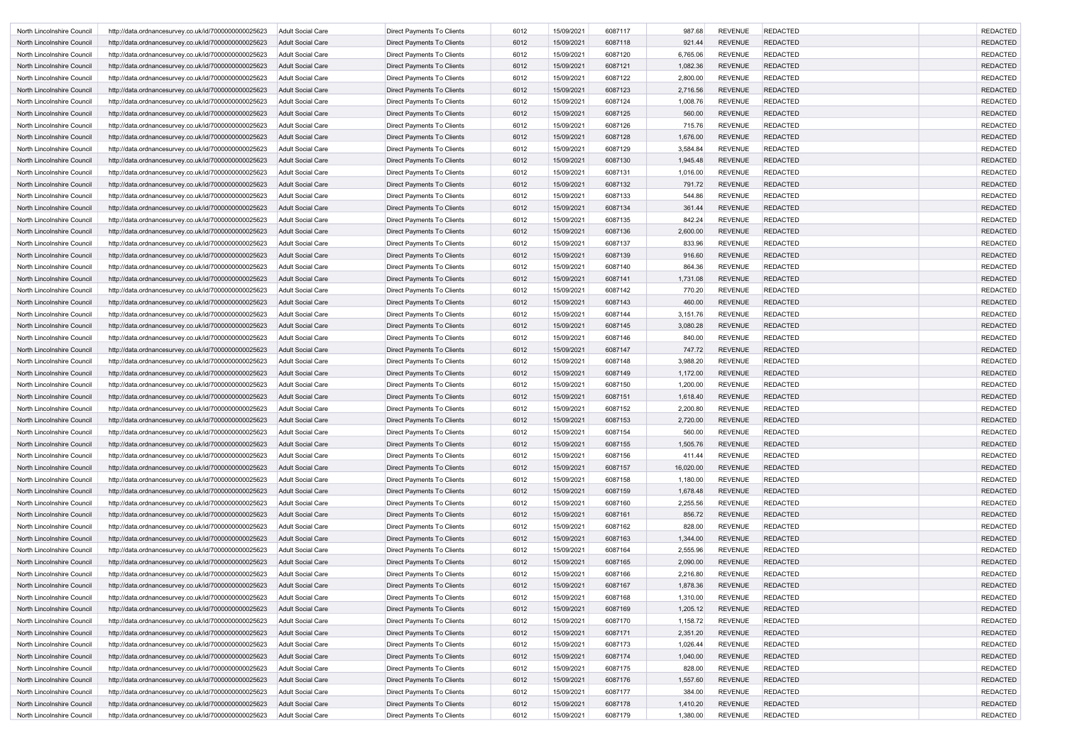| North Lincolnshire Council                               | http://data.ordnancesurvey.co.uk/id/7000000000025623                                                         | Adult Social Care                      | Direct Payments To Clients                                      | 6012         | 15/09/2021               | 6087117            | 987.68             | <b>REVENUE</b>                   | <b>REDACTED</b>                    | <b>REDACTED</b>                    |
|----------------------------------------------------------|--------------------------------------------------------------------------------------------------------------|----------------------------------------|-----------------------------------------------------------------|--------------|--------------------------|--------------------|--------------------|----------------------------------|------------------------------------|------------------------------------|
| North Lincolnshire Council                               | http://data.ordnancesurvey.co.uk/id/7000000000025623                                                         | <b>Adult Social Care</b>               | <b>Direct Payments To Clients</b>                               | 6012         | 15/09/2021               | 6087118            | 921.44             | <b>REVENUE</b>                   | <b>REDACTED</b>                    | <b>REDACTED</b>                    |
| North Lincolnshire Council                               | http://data.ordnancesurvey.co.uk/id/7000000000025623                                                         | <b>Adult Social Care</b>               | Direct Payments To Clients                                      | 6012         | 15/09/2021               | 6087120            | 6,765.06           | <b>REVENUE</b>                   | <b>REDACTED</b>                    | <b>REDACTED</b>                    |
| North Lincolnshire Council                               | http://data.ordnancesurvey.co.uk/id/7000000000025623                                                         | <b>Adult Social Care</b>               | Direct Payments To Clients                                      | 6012         | 15/09/2021               | 6087121            | 1,082.36           | <b>REVENUE</b>                   | <b>REDACTED</b>                    | <b>REDACTED</b>                    |
| North Lincolnshire Council                               | http://data.ordnancesurvey.co.uk/id/7000000000025623                                                         | Adult Social Care                      | Direct Payments To Clients                                      | 6012         | 15/09/2021               | 6087122            | 2,800.00           | <b>REVENUE</b>                   | <b>REDACTED</b>                    | <b>REDACTED</b>                    |
| North Lincolnshire Council                               | http://data.ordnancesurvey.co.uk/id/7000000000025623                                                         | <b>Adult Social Care</b>               | Direct Payments To Clients                                      | 6012         | 15/09/2021               | 6087123            | 2,716.56           | <b>REVENUE</b>                   | <b>REDACTED</b>                    | <b>REDACTED</b>                    |
| North Lincolnshire Council                               | http://data.ordnancesurvey.co.uk/id/7000000000025623                                                         | <b>Adult Social Care</b>               | Direct Payments To Clients                                      | 6012         | 15/09/2021               | 6087124            | 1,008.76           | <b>REVENUE</b>                   | <b>REDACTED</b>                    | <b>REDACTED</b>                    |
| North Lincolnshire Council                               | http://data.ordnancesurvey.co.uk/id/7000000000025623                                                         | <b>Adult Social Care</b>               | Direct Payments To Clients                                      | 6012         | 15/09/2021               | 6087125            | 560.00             | <b>REVENUE</b>                   | <b>REDACTED</b>                    | <b>REDACTED</b>                    |
| North Lincolnshire Council                               | http://data.ordnancesurvey.co.uk/id/7000000000025623                                                         | <b>Adult Social Care</b>               | Direct Payments To Clients                                      | 6012         | 15/09/2021               | 6087126            | 715.76             | <b>REVENUE</b>                   | <b>REDACTED</b>                    | <b>REDACTED</b>                    |
| North Lincolnshire Council                               | http://data.ordnancesurvey.co.uk/id/7000000000025623                                                         | <b>Adult Social Care</b>               | Direct Payments To Clients                                      | 6012         | 15/09/2021               | 6087128            | 1,676.00           | <b>REVENUE</b>                   | <b>REDACTED</b>                    | <b>REDACTED</b>                    |
| North Lincolnshire Council                               | http://data.ordnancesurvey.co.uk/id/7000000000025623                                                         | Adult Social Care                      | Direct Payments To Clients                                      | 6012         | 15/09/2021               | 6087129            | 3,584.84           | <b>REVENUE</b>                   | <b>REDACTED</b>                    | <b>REDACTED</b>                    |
| North Lincolnshire Council                               | http://data.ordnancesurvey.co.uk/id/7000000000025623                                                         | <b>Adult Social Care</b>               | Direct Payments To Clients                                      | 6012         | 15/09/2021               | 6087130            | 1,945.48           | <b>REVENUE</b>                   | <b>REDACTED</b>                    | <b>REDACTED</b>                    |
| North Lincolnshire Council                               | http://data.ordnancesurvey.co.uk/id/7000000000025623                                                         | <b>Adult Social Care</b>               | Direct Payments To Clients                                      | 6012         | 15/09/2021               | 6087131            | 1,016.00           | <b>REVENUE</b>                   | <b>REDACTED</b>                    | <b>REDACTED</b>                    |
| North Lincolnshire Council                               | http://data.ordnancesurvey.co.uk/id/7000000000025623                                                         | <b>Adult Social Care</b>               | Direct Payments To Clients                                      | 6012         | 15/09/2021               | 6087132            | 791.72             | <b>REVENUE</b>                   | <b>REDACTED</b>                    | <b>REDACTED</b>                    |
| North Lincolnshire Council                               | http://data.ordnancesurvey.co.uk/id/7000000000025623                                                         | <b>Adult Social Care</b>               | <b>Direct Payments To Clients</b>                               | 6012         | 15/09/2021               | 6087133            | 544.86             | <b>REVENUE</b>                   | <b>REDACTED</b>                    | <b>REDACTED</b>                    |
| North Lincolnshire Council                               | http://data.ordnancesurvey.co.uk/id/7000000000025623                                                         | Adult Social Care                      | Direct Payments To Clients                                      | 6012         | 15/09/2021               | 6087134            | 361.44             | <b>REVENUE</b>                   | <b>REDACTED</b>                    | <b>REDACTED</b>                    |
| North Lincolnshire Council                               | http://data.ordnancesurvey.co.uk/id/7000000000025623                                                         | <b>Adult Social Care</b>               | Direct Payments To Clients                                      | 6012         | 15/09/2021               | 6087135            | 842.24             | <b>REVENUE</b>                   | <b>REDACTED</b>                    | <b>REDACTED</b>                    |
| North Lincolnshire Council                               | http://data.ordnancesurvey.co.uk/id/7000000000025623                                                         | <b>Adult Social Care</b>               | Direct Payments To Clients                                      | 6012         | 15/09/2021               | 6087136            | 2,600.00           | <b>REVENUE</b>                   | <b>REDACTED</b>                    | <b>REDACTED</b>                    |
| North Lincolnshire Council                               | http://data.ordnancesurvey.co.uk/id/7000000000025623                                                         | Adult Social Care                      | Direct Payments To Clients                                      | 6012         | 15/09/2021               | 6087137            | 833.96             | <b>REVENUE</b>                   | <b>REDACTED</b>                    | <b>REDACTED</b>                    |
| North Lincolnshire Council                               | http://data.ordnancesurvey.co.uk/id/7000000000025623                                                         | <b>Adult Social Care</b>               | Direct Payments To Clients                                      | 6012         | 15/09/2021               | 6087139            | 916.60             | <b>REVENUE</b>                   | <b>REDACTED</b>                    | <b>REDACTED</b>                    |
| North Lincolnshire Council                               | http://data.ordnancesurvey.co.uk/id/7000000000025623                                                         | Adult Social Care                      | <b>Direct Payments To Clients</b>                               | 6012         | 15/09/2021               | 6087140            | 864.36             | <b>REVENUE</b>                   | <b>REDACTED</b>                    | <b>REDACTED</b>                    |
| North Lincolnshire Council                               | http://data.ordnancesurvey.co.uk/id/7000000000025623                                                         | <b>Adult Social Care</b>               | Direct Payments To Clients                                      | 6012         | 15/09/2021               | 6087141            | 1,731.08           | <b>REVENUE</b>                   | <b>REDACTED</b>                    | <b>REDACTED</b>                    |
| North Lincolnshire Council                               | http://data.ordnancesurvey.co.uk/id/7000000000025623                                                         | Adult Social Care                      | Direct Payments To Clients                                      | 6012         | 15/09/2021               | 6087142            | 770.20             | <b>REVENUE</b>                   | <b>REDACTED</b>                    | <b>REDACTED</b>                    |
| North Lincolnshire Council                               | http://data.ordnancesurvey.co.uk/id/7000000000025623                                                         | <b>Adult Social Care</b>               | Direct Payments To Clients                                      | 6012         | 15/09/2021               | 6087143            | 460.00             | <b>REVENUE</b>                   | <b>REDACTED</b>                    | <b>REDACTED</b>                    |
| North Lincolnshire Council                               | http://data.ordnancesurvey.co.uk/id/7000000000025623                                                         | <b>Adult Social Care</b>               | Direct Payments To Clients                                      | 6012         | 15/09/2021               | 6087144            | 3,151.76           | <b>REVENUE</b>                   | <b>REDACTED</b>                    | <b>REDACTED</b>                    |
| North Lincolnshire Council                               | http://data.ordnancesurvey.co.uk/id/7000000000025623                                                         | Adult Social Care                      | Direct Payments To Clients                                      | 6012         | 15/09/2021               | 6087145            | 3,080.28           | <b>REVENUE</b>                   | <b>REDACTED</b>                    | <b>REDACTED</b>                    |
| North Lincolnshire Council                               | http://data.ordnancesurvey.co.uk/id/7000000000025623                                                         | Adult Social Care                      | Direct Payments To Clients                                      | 6012         | 15/09/2021               | 6087146            | 840.00             | <b>REVENUE</b>                   | <b>REDACTED</b>                    | <b>REDACTED</b>                    |
| North Lincolnshire Council                               | http://data.ordnancesurvey.co.uk/id/7000000000025623                                                         | <b>Adult Social Care</b>               | Direct Payments To Clients                                      | 6012         | 15/09/2021               | 6087147            | 747.72             | <b>REVENUE</b>                   | <b>REDACTED</b>                    | <b>REDACTED</b>                    |
| North Lincolnshire Council                               | http://data.ordnancesurvey.co.uk/id/7000000000025623                                                         | Adult Social Care                      | Direct Payments To Clients                                      | 6012         | 15/09/2021               | 6087148            | 3,988.20           | <b>REVENUE</b>                   | <b>REDACTED</b>                    | <b>REDACTED</b>                    |
| North Lincolnshire Council                               | http://data.ordnancesurvey.co.uk/id/7000000000025623                                                         | <b>Adult Social Care</b>               | Direct Payments To Clients                                      | 6012         | 15/09/2021               | 6087149            | 1,172.00           | <b>REVENUE</b>                   | <b>REDACTED</b>                    | <b>REDACTED</b>                    |
| North Lincolnshire Council                               | http://data.ordnancesurvey.co.uk/id/7000000000025623                                                         | Adult Social Care                      | Direct Payments To Clients                                      | 6012         | 15/09/2021               | 6087150            | 1,200.00           | <b>REVENUE</b>                   | <b>REDACTED</b>                    | <b>REDACTED</b>                    |
| North Lincolnshire Council                               |                                                                                                              | <b>Adult Social Care</b>               |                                                                 | 6012         | 15/09/2021               | 6087151            | 1,618.40           | <b>REVENUE</b>                   | <b>REDACTED</b>                    | <b>REDACTED</b>                    |
|                                                          | http://data.ordnancesurvey.co.uk/id/7000000000025623                                                         |                                        | Direct Payments To Clients                                      |              | 15/09/2021               | 6087152            |                    | <b>REVENUE</b>                   | <b>REDACTED</b>                    | <b>REDACTED</b>                    |
| North Lincolnshire Council                               | http://data.ordnancesurvey.co.uk/id/7000000000025623<br>http://data.ordnancesurvey.co.uk/id/7000000000025623 | Adult Social Care<br>Adult Social Care | Direct Payments To Clients<br>Direct Payments To Clients        | 6012         |                          |                    | 2,200.80           |                                  |                                    | <b>REDACTED</b>                    |
| North Lincolnshire Council                               |                                                                                                              | Adult Social Care                      |                                                                 | 6012<br>6012 | 15/09/2021<br>15/09/2021 | 6087153<br>6087154 | 2,720.00<br>560.00 | <b>REVENUE</b><br><b>REVENUE</b> | <b>REDACTED</b><br><b>REDACTED</b> | <b>REDACTED</b>                    |
| North Lincolnshire Council                               | http://data.ordnancesurvey.co.uk/id/7000000000025623                                                         |                                        | Direct Payments To Clients                                      |              |                          |                    |                    |                                  |                                    |                                    |
| North Lincolnshire Council                               | http://data.ordnancesurvey.co.uk/id/7000000000025623                                                         | Adult Social Care                      | <b>Direct Payments To Clients</b><br>Direct Payments To Clients | 6012<br>6012 | 15/09/2021<br>15/09/2021 | 6087155<br>6087156 | 1,505.76<br>411.44 | <b>REVENUE</b><br><b>REVENUE</b> | <b>REDACTED</b><br><b>REDACTED</b> | <b>REDACTED</b><br><b>REDACTED</b> |
| North Lincolnshire Council<br>North Lincolnshire Council | http://data.ordnancesurvey.co.uk/id/7000000000025623                                                         | Adult Social Care                      |                                                                 | 6012         | 15/09/2021               |                    |                    | <b>REVENUE</b>                   | <b>REDACTED</b>                    | <b>REDACTED</b>                    |
|                                                          | http://data.ordnancesurvey.co.uk/id/7000000000025623                                                         | Adult Social Care                      | Direct Payments To Clients                                      |              |                          | 6087157            | 16,020.00          |                                  |                                    |                                    |
| North Lincolnshire Council                               | http://data.ordnancesurvey.co.uk/id/7000000000025623                                                         | Adult Social Care                      | Direct Payments To Clients                                      | 6012         | 15/09/2021               | 6087158            | 1,180.00           | <b>REVENUE</b>                   | <b>REDACTED</b>                    | <b>REDACTED</b>                    |
| North Lincolnshire Council                               | http://data.ordnancesurvey.co.uk/id/7000000000025623                                                         | <b>Adult Social Care</b>               | Direct Payments To Clients                                      | 6012         | 15/09/2021               | 6087159            | 1,678.48           | <b>REVENUE</b>                   | <b>REDACTED</b>                    | <b>REDACTED</b>                    |
| North Lincolnshire Council                               | http://data.ordnancesurvey.co.uk/id/7000000000025623                                                         | Adult Social Care                      | Direct Payments To Clients                                      | 6012         | 15/09/2021               | 6087160            | 2,255.56           | <b>REVENUE</b>                   | <b>REDACTED</b>                    | <b>REDACTED</b>                    |
| North Lincolnshire Council                               | http://data.ordnancesurvey.co.uk/id/7000000000025623                                                         | <b>Adult Social Care</b>               | Direct Payments To Clients                                      | 6012         | 15/09/2021               | 6087161            | 856.72             | <b>REVENUE</b>                   | <b>REDACTED</b>                    | <b>REDACTED</b>                    |
| North Lincolnshire Council                               | http://data.ordnancesurvey.co.uk/id/7000000000025623                                                         | <b>Adult Social Care</b>               | <b>Direct Payments To Clients</b>                               | 6012         | 15/09/2021               | 6087162            | 828.00             | <b>REVENUE</b>                   | <b>REDACTED</b>                    | <b>REDACTED</b>                    |
| North Lincolnshire Council                               | http://data.ordnancesurvey.co.uk/id/7000000000025623                                                         | <b>Adult Social Care</b>               | Direct Payments To Clients                                      | 6012         | 15/09/2021               | 6087163            | 1,344.00           | <b>REVENUE</b>                   | <b>REDACTED</b>                    | <b>REDACTED</b>                    |
| North Lincolnshire Council                               | http://data.ordnancesurvey.co.uk/id/7000000000025623                                                         | Adult Social Care                      | Direct Payments To Clients                                      | 6012         | 15/09/2021               | 6087164            | 2,555.96           | <b>REVENUE</b>                   | REDACTED                           | <b>REDACTED</b>                    |
| North Lincolnshire Council                               | http://data.ordnancesurvey.co.uk/id/7000000000025623                                                         | Adult Social Care                      | Direct Payments To Clients                                      | 6012         | 15/09/2021               | 6087165            | 2,090.00           | <b>REVENUE</b>                   | <b>REDACTED</b>                    | <b>REDACTED</b>                    |
| North Lincolnshire Council                               | http://data.ordnancesurvey.co.uk/id/7000000000025623                                                         | Adult Social Care                      | Direct Payments To Clients                                      | 6012         | 15/09/2021               | 6087166            | 2,216.80           | <b>REVENUE</b>                   | <b>REDACTED</b>                    | <b>REDACTED</b>                    |
| North Lincolnshire Council                               | http://data.ordnancesurvey.co.uk/id/7000000000025623                                                         | Adult Social Care                      | Direct Payments To Clients                                      | 6012         | 15/09/2021               | 6087167            | 1,878.36           | <b>REVENUE</b>                   | <b>REDACTED</b>                    | <b>REDACTED</b>                    |
| North Lincolnshire Council                               | http://data.ordnancesurvey.co.uk/id/7000000000025623                                                         | Adult Social Care                      | Direct Payments To Clients                                      | 6012         | 15/09/2021               | 6087168            | 1,310.00           | <b>REVENUE</b>                   | <b>REDACTED</b>                    | <b>REDACTED</b>                    |
| North Lincolnshire Council                               | http://data.ordnancesurvey.co.uk/id/7000000000025623                                                         | <b>Adult Social Care</b>               | Direct Payments To Clients                                      | 6012         | 15/09/2021               | 6087169            | 1,205.12           | <b>REVENUE</b>                   | <b>REDACTED</b>                    | <b>REDACTED</b>                    |
| North Lincolnshire Council                               | http://data.ordnancesurvey.co.uk/id/7000000000025623                                                         | Adult Social Care                      | Direct Payments To Clients                                      | 6012         | 15/09/2021               | 6087170            | 1,158.72           | <b>REVENUE</b>                   | <b>REDACTED</b>                    | <b>REDACTED</b>                    |
| North Lincolnshire Council                               | http://data.ordnancesurvey.co.uk/id/7000000000025623                                                         | <b>Adult Social Care</b>               | Direct Payments To Clients                                      | 6012         | 15/09/2021               | 6087171            | 2,351.20           | <b>REVENUE</b>                   | <b>REDACTED</b>                    | <b>REDACTED</b>                    |
| North Lincolnshire Council                               | http://data.ordnancesurvey.co.uk/id/7000000000025623                                                         | <b>Adult Social Care</b>               | <b>Direct Payments To Clients</b>                               | 6012         | 15/09/2021               | 6087173            | 1,026.44           | <b>REVENUE</b>                   | <b>REDACTED</b>                    | <b>REDACTED</b>                    |
| North Lincolnshire Council                               | http://data.ordnancesurvey.co.uk/id/7000000000025623                                                         | <b>Adult Social Care</b>               | Direct Payments To Clients                                      | 6012         | 15/09/2021               | 6087174            | 1,040.00           | <b>REVENUE</b>                   | <b>REDACTED</b>                    | <b>REDACTED</b>                    |
| North Lincolnshire Council                               | http://data.ordnancesurvey.co.uk/id/7000000000025623                                                         | Adult Social Care                      | Direct Payments To Clients                                      | 6012         | 15/09/2021               | 6087175            | 828.00             | <b>REVENUE</b>                   | REDACTED                           | <b>REDACTED</b>                    |
| North Lincolnshire Council                               | http://data.ordnancesurvey.co.uk/id/7000000000025623                                                         | Adult Social Care                      | Direct Payments To Clients                                      | 6012         | 15/09/2021               | 6087176            | 1,557.60           | <b>REVENUE</b>                   | <b>REDACTED</b>                    | <b>REDACTED</b>                    |
| North Lincolnshire Council                               | http://data.ordnancesurvey.co.uk/id/7000000000025623                                                         | Adult Social Care                      | Direct Payments To Clients                                      | 6012         | 15/09/2021               | 6087177            | 384.00             | <b>REVENUE</b>                   | <b>REDACTED</b>                    | <b>REDACTED</b>                    |
| North Lincolnshire Council                               | http://data.ordnancesurvey.co.uk/id/7000000000025623                                                         | Adult Social Care                      | Direct Payments To Clients                                      | 6012         | 15/09/2021               | 6087178            | 1,410.20           | <b>REVENUE</b>                   | <b>REDACTED</b>                    | <b>REDACTED</b>                    |
| North Lincolnshire Council                               | http://data.ordnancesurvey.co.uk/id/7000000000025623                                                         | Adult Social Care                      | Direct Payments To Clients                                      | 6012         | 15/09/2021               | 6087179            | 1,380.00           | <b>REVENUE</b>                   | <b>REDACTED</b>                    | <b>REDACTED</b>                    |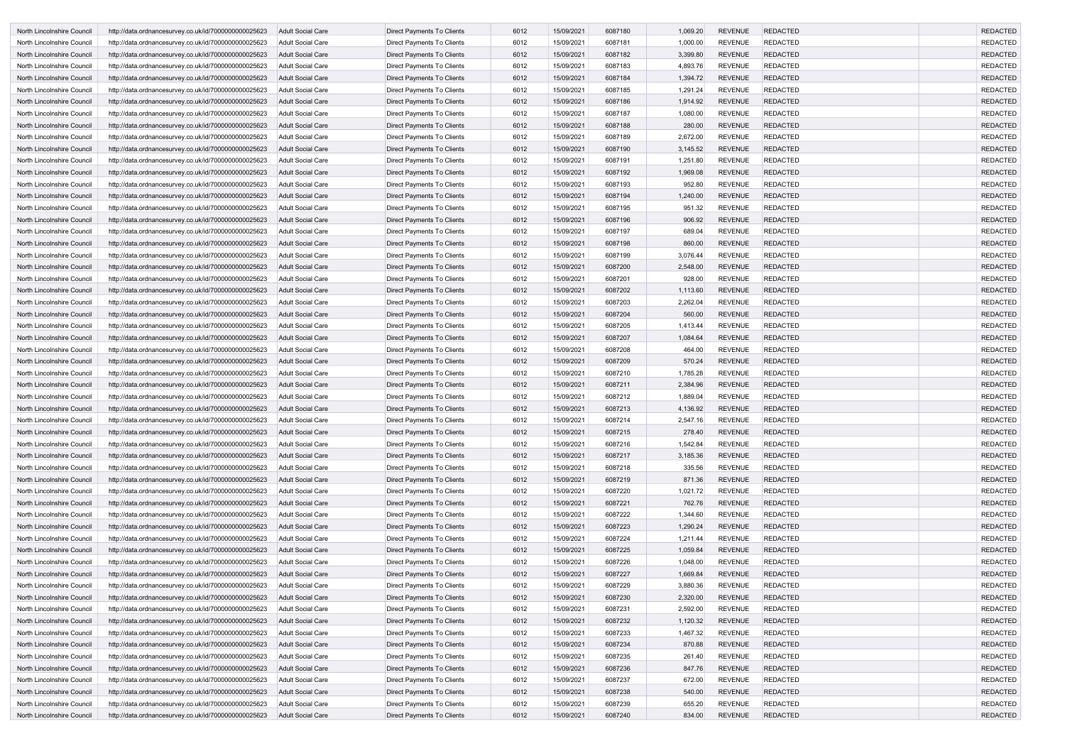| North Lincolnshire Council | http://data.ordnancesurvey.co.uk/id/7000000000025623 | <b>Adult Social Care</b> | Direct Payments To Clients        | 6012 | 15/09/2021 | 6087180 | 1,069.20 | <b>REVENUE</b> | <b>REDACTED</b> | <b>REDACTED</b> |
|----------------------------|------------------------------------------------------|--------------------------|-----------------------------------|------|------------|---------|----------|----------------|-----------------|-----------------|
| North Lincolnshire Council | http://data.ordnancesurvey.co.uk/id/7000000000025623 | Adult Social Care        | Direct Payments To Clients        | 6012 | 15/09/2021 | 6087181 | 1,000.00 | <b>REVENUE</b> | <b>REDACTED</b> | <b>REDACTED</b> |
| North Lincolnshire Council | http://data.ordnancesurvey.co.uk/id/7000000000025623 | Adult Social Care        | Direct Payments To Clients        | 6012 | 15/09/2021 | 6087182 | 3,399.80 | <b>REVENUE</b> | <b>REDACTED</b> | <b>REDACTED</b> |
| North Lincolnshire Council | http://data.ordnancesurvey.co.uk/id/7000000000025623 | <b>Adult Social Care</b> | <b>Direct Payments To Clients</b> | 6012 | 15/09/2021 | 6087183 | 4,893.76 | <b>REVENUE</b> | <b>REDACTED</b> | <b>REDACTED</b> |
| North Lincolnshire Council | http://data.ordnancesurvey.co.uk/id/7000000000025623 | <b>Adult Social Care</b> | Direct Payments To Clients        | 6012 | 15/09/2021 | 6087184 | 1,394.72 | <b>REVENUE</b> | <b>REDACTED</b> | <b>REDACTED</b> |
| North Lincolnshire Council | http://data.ordnancesurvey.co.uk/id/7000000000025623 | <b>Adult Social Care</b> | Direct Payments To Clients        | 6012 | 15/09/2021 | 6087185 | 1,291.24 | <b>REVENUE</b> | <b>REDACTED</b> | <b>REDACTED</b> |
| North Lincolnshire Council | http://data.ordnancesurvey.co.uk/id/7000000000025623 | Adult Social Care        | Direct Payments To Clients        | 6012 | 15/09/2021 | 6087186 | 1,914.92 | <b>REVENUE</b> | <b>REDACTED</b> | <b>REDACTED</b> |
| North Lincolnshire Council | http://data.ordnancesurvey.co.uk/id/7000000000025623 | Adult Social Care        | Direct Payments To Clients        | 6012 | 15/09/2021 | 6087187 | 1,080.00 | <b>REVENUE</b> | <b>REDACTED</b> | <b>REDACTED</b> |
| North Lincolnshire Council | http://data.ordnancesurvey.co.uk/id/7000000000025623 | <b>Adult Social Care</b> | Direct Payments To Clients        | 6012 | 15/09/2021 | 6087188 | 280.00   | <b>REVENUE</b> | <b>REDACTED</b> | <b>REDACTED</b> |
| North Lincolnshire Council | http://data.ordnancesurvey.co.uk/id/7000000000025623 | Adult Social Care        | Direct Payments To Clients        | 6012 | 15/09/2021 | 6087189 | 2,672.00 | <b>REVENUE</b> | <b>REDACTED</b> | <b>REDACTED</b> |
| North Lincolnshire Council | http://data.ordnancesurvey.co.uk/id/7000000000025623 | <b>Adult Social Care</b> | <b>Direct Payments To Clients</b> | 6012 | 15/09/2021 | 6087190 | 3,145.52 | <b>REVENUE</b> | <b>REDACTED</b> | <b>REDACTED</b> |
| North Lincolnshire Council | http://data.ordnancesurvey.co.uk/id/7000000000025623 | Adult Social Care        | Direct Payments To Clients        | 6012 | 15/09/2021 | 6087191 | 1,251.80 | <b>REVENUE</b> | <b>REDACTED</b> | <b>REDACTED</b> |
| North Lincolnshire Council | http://data.ordnancesurvey.co.uk/id/7000000000025623 | <b>Adult Social Care</b> | Direct Payments To Clients        | 6012 | 15/09/2021 | 6087192 | 1,969.08 | <b>REVENUE</b> | <b>REDACTED</b> | <b>REDACTED</b> |
| North Lincolnshire Council | http://data.ordnancesurvey.co.uk/id/7000000000025623 | <b>Adult Social Care</b> | Direct Payments To Clients        | 6012 | 15/09/2021 | 6087193 | 952.80   | <b>REVENUE</b> | <b>REDACTED</b> | <b>REDACTED</b> |
| North Lincolnshire Council | http://data.ordnancesurvey.co.uk/id/7000000000025623 | <b>Adult Social Care</b> | Direct Payments To Clients        | 6012 | 15/09/2021 | 6087194 | 1,240.00 | <b>REVENUE</b> | <b>REDACTED</b> | <b>REDACTED</b> |
| North Lincolnshire Council | http://data.ordnancesurvey.co.uk/id/7000000000025623 | <b>Adult Social Care</b> | Direct Payments To Clients        | 6012 | 15/09/2021 | 6087195 | 951.32   | <b>REVENUE</b> | <b>REDACTED</b> | <b>REDACTED</b> |
| North Lincolnshire Council | http://data.ordnancesurvey.co.uk/id/7000000000025623 | <b>Adult Social Care</b> | Direct Payments To Clients        | 6012 | 15/09/2021 | 6087196 | 906.92   | <b>REVENUE</b> | <b>REDACTED</b> | <b>REDACTED</b> |
| North Lincolnshire Council | http://data.ordnancesurvey.co.uk/id/7000000000025623 | <b>Adult Social Care</b> | Direct Payments To Clients        | 6012 | 15/09/2021 | 6087197 | 689.04   | <b>REVENUE</b> | <b>REDACTED</b> | <b>REDACTED</b> |
| North Lincolnshire Council | http://data.ordnancesurvey.co.uk/id/7000000000025623 | <b>Adult Social Care</b> | Direct Payments To Clients        | 6012 | 15/09/2021 | 6087198 | 860.00   | <b>REVENUE</b> | <b>REDACTED</b> | <b>REDACTED</b> |
| North Lincolnshire Council | http://data.ordnancesurvey.co.uk/id/7000000000025623 | Adult Social Care        | Direct Payments To Clients        | 6012 | 15/09/2021 | 6087199 | 3,076.44 | <b>REVENUE</b> | <b>REDACTED</b> | <b>REDACTED</b> |
| North Lincolnshire Council | http://data.ordnancesurvey.co.uk/id/7000000000025623 | <b>Adult Social Care</b> | <b>Direct Payments To Clients</b> | 6012 | 15/09/2021 | 6087200 | 2,548.00 | <b>REVENUE</b> | <b>REDACTED</b> | <b>REDACTED</b> |
| North Lincolnshire Council | http://data.ordnancesurvey.co.uk/id/7000000000025623 | Adult Social Care        | Direct Payments To Clients        | 6012 | 15/09/2021 | 6087201 | 928.00   | <b>REVENUE</b> | <b>REDACTED</b> | <b>REDACTED</b> |
| North Lincolnshire Council | http://data.ordnancesurvey.co.uk/id/7000000000025623 | <b>Adult Social Care</b> | Direct Payments To Clients        | 6012 | 15/09/2021 | 6087202 | 1,113.60 | <b>REVENUE</b> | <b>REDACTED</b> | <b>REDACTED</b> |
| North Lincolnshire Council | http://data.ordnancesurvey.co.uk/id/7000000000025623 | <b>Adult Social Care</b> | Direct Payments To Clients        | 6012 | 15/09/2021 | 6087203 | 2,262.04 | <b>REVENUE</b> | <b>REDACTED</b> | <b>REDACTED</b> |
| North Lincolnshire Council | http://data.ordnancesurvey.co.uk/id/7000000000025623 | <b>Adult Social Care</b> | Direct Payments To Clients        | 6012 | 15/09/2021 | 6087204 | 560.00   | <b>REVENUE</b> | <b>REDACTED</b> | <b>REDACTED</b> |
| North Lincolnshire Council | http://data.ordnancesurvey.co.uk/id/7000000000025623 | <b>Adult Social Care</b> | Direct Payments To Clients        | 6012 | 15/09/2021 | 6087205 | 1,413.44 | <b>REVENUE</b> | <b>REDACTED</b> | <b>REDACTED</b> |
| North Lincolnshire Council | http://data.ordnancesurvey.co.uk/id/7000000000025623 | <b>Adult Social Care</b> | Direct Payments To Clients        | 6012 | 15/09/2021 | 6087207 | 1,084.64 | <b>REVENUE</b> | <b>REDACTED</b> | <b>REDACTED</b> |
| North Lincolnshire Council | http://data.ordnancesurvey.co.uk/id/7000000000025623 | Adult Social Care        | Direct Payments To Clients        | 6012 | 15/09/2021 | 6087208 | 464.00   | <b>REVENUE</b> | <b>REDACTED</b> | <b>REDACTED</b> |
| North Lincolnshire Council | http://data.ordnancesurvey.co.uk/id/7000000000025623 | <b>Adult Social Care</b> | Direct Payments To Clients        | 6012 | 15/09/2021 | 6087209 | 570.24   | <b>REVENUE</b> | <b>REDACTED</b> | <b>REDACTED</b> |
| North Lincolnshire Council | http://data.ordnancesurvey.co.uk/id/7000000000025623 | Adult Social Care        | Direct Payments To Clients        | 6012 | 15/09/2021 | 6087210 | 1,785.28 | <b>REVENUE</b> | <b>REDACTED</b> | <b>REDACTED</b> |
| North Lincolnshire Council | http://data.ordnancesurvey.co.uk/id/7000000000025623 | <b>Adult Social Care</b> | Direct Payments To Clients        | 6012 | 15/09/2021 | 6087211 | 2,384.96 | <b>REVENUE</b> | <b>REDACTED</b> | <b>REDACTED</b> |
| North Lincolnshire Council | http://data.ordnancesurvey.co.uk/id/7000000000025623 | Adult Social Care        | Direct Payments To Clients        | 6012 | 15/09/2021 | 6087212 | 1,889.04 | <b>REVENUE</b> | <b>REDACTED</b> | <b>REDACTED</b> |
| North Lincolnshire Council | http://data.ordnancesurvey.co.uk/id/7000000000025623 | <b>Adult Social Care</b> | Direct Payments To Clients        | 6012 | 15/09/2021 | 6087213 | 4,136.92 | <b>REVENUE</b> | <b>REDACTED</b> | <b>REDACTED</b> |
| North Lincolnshire Council | http://data.ordnancesurvey.co.uk/id/7000000000025623 | <b>Adult Social Care</b> | Direct Payments To Clients        | 6012 | 15/09/2021 | 6087214 | 2,547.16 | <b>REVENUE</b> | <b>REDACTED</b> | <b>REDACTED</b> |
| North Lincolnshire Council | http://data.ordnancesurvey.co.uk/id/7000000000025623 | <b>Adult Social Care</b> | <b>Direct Payments To Clients</b> | 6012 | 15/09/2021 | 6087215 | 278.40   | <b>REVENUE</b> | <b>REDACTED</b> | <b>REDACTED</b> |
| North Lincolnshire Council | http://data.ordnancesurvey.co.uk/id/7000000000025623 | Adult Social Care        | Direct Payments To Clients        | 6012 | 15/09/2021 | 6087216 | 1,542.84 | <b>REVENUE</b> | <b>REDACTED</b> | <b>REDACTED</b> |
| North Lincolnshire Council | http://data.ordnancesurvey.co.uk/id/7000000000025623 | <b>Adult Social Care</b> | <b>Direct Payments To Clients</b> | 6012 | 15/09/2021 | 6087217 | 3,185.36 | <b>REVENUE</b> | <b>REDACTED</b> | <b>REDACTED</b> |
| North Lincolnshire Council | http://data.ordnancesurvey.co.uk/id/7000000000025623 | Adult Social Care        | Direct Payments To Clients        | 6012 | 15/09/2021 | 6087218 | 335.56   | <b>REVENUE</b> | <b>REDACTED</b> | <b>REDACTED</b> |
| North Lincolnshire Council | http://data.ordnancesurvey.co.uk/id/7000000000025623 | <b>Adult Social Care</b> | Direct Payments To Clients        | 6012 | 15/09/2021 | 6087219 | 871.36   | <b>REVENUE</b> | <b>REDACTED</b> | <b>REDACTED</b> |
| North Lincolnshire Council | http://data.ordnancesurvey.co.uk/id/7000000000025623 | Adult Social Care        | Direct Payments To Clients        | 6012 | 15/09/2021 | 6087220 | 1,021.72 | <b>REVENUE</b> | <b>REDACTED</b> | <b>REDACTED</b> |
| North Lincolnshire Council | http://data.ordnancesurvey.co.uk/id/7000000000025623 | <b>Adult Social Care</b> | Direct Payments To Clients        | 6012 | 15/09/2021 | 6087221 | 762.76   | <b>REVENUE</b> | <b>REDACTED</b> | <b>REDACTED</b> |
| North Lincolnshire Council | http://data.ordnancesurvey.co.uk/id/7000000000025623 | Adult Social Care        | Direct Payments To Clients        | 6012 | 15/09/2021 | 6087222 | 1,344.60 | <b>REVENUE</b> | <b>REDACTED</b> | <b>REDACTED</b> |
| North Lincolnshire Council | http://data.ordnancesurvey.co.uk/id/7000000000025623 | <b>Adult Social Care</b> | <b>Direct Payments To Clients</b> | 6012 | 15/09/2021 | 6087223 | 1,290.24 | <b>REVENUE</b> | <b>REDACTED</b> | <b>REDACTED</b> |
| North Lincolnshire Council | http://data.ordnancesurvey.co.uk/id/7000000000025623 | Adult Social Care        | Direct Payments To Clients        | 6012 | 15/09/2021 | 6087224 | 1,211.44 | <b>REVENUE</b> | <b>REDACTED</b> | <b>REDACTED</b> |
| North Lincolnshire Council | http://data.ordnancesurvey.co.uk/id/7000000000025623 | <b>Adult Social Care</b> | Direct Payments To Clients        | 6012 | 15/09/2021 | 6087225 | 1,059.84 | <b>REVENUE</b> | <b>REDACTED</b> | <b>REDACTED</b> |
| North Lincolnshire Council | http://data.ordnancesurvey.co.uk/id/7000000000025623 | Adult Social Care        | Direct Payments To Clients        | 6012 | 15/09/2021 | 6087226 | 1,048.00 | <b>REVENUE</b> | <b>REDACTED</b> | <b>REDACTED</b> |
| North Lincolnshire Council | http://data.ordnancesurvey.co.uk/id/7000000000025623 | <b>Adult Social Care</b> | Direct Payments To Clients        | 6012 | 15/09/2021 | 6087227 | 1,669.84 | <b>REVENUE</b> | REDACTED        | <b>REDACTED</b> |
| North Lincolnshire Council | http://data.ordnancesurvey.co.uk/id/7000000000025623 | <b>Adult Social Care</b> | Direct Payments To Clients        | 6012 | 15/09/2021 | 6087229 | 3,880.36 | <b>REVENUE</b> | <b>REDACTED</b> | <b>REDACTED</b> |
| North Lincolnshire Council | http://data.ordnancesurvey.co.uk/id/7000000000025623 | <b>Adult Social Care</b> | Direct Payments To Clients        | 6012 | 15/09/2021 | 6087230 | 2,320.00 | <b>REVENUE</b> | <b>REDACTED</b> | <b>REDACTED</b> |
| North Lincolnshire Council | http://data.ordnancesurvey.co.uk/id/7000000000025623 | Adult Social Care        | Direct Payments To Clients        | 6012 | 15/09/2021 | 6087231 | 2,592.00 | <b>REVENUE</b> | <b>REDACTED</b> | <b>REDACTED</b> |
| North Lincolnshire Council | http://data.ordnancesurvey.co.uk/id/7000000000025623 | <b>Adult Social Care</b> | Direct Payments To Clients        | 6012 | 15/09/2021 | 6087232 | 1,120.32 | <b>REVENUE</b> | <b>REDACTED</b> | <b>REDACTED</b> |
| North Lincolnshire Council | http://data.ordnancesurvey.co.uk/id/7000000000025623 | Adult Social Care        | Direct Payments To Clients        | 6012 | 15/09/2021 | 6087233 | 1,467.32 | <b>REVENUE</b> | <b>REDACTED</b> | <b>REDACTED</b> |
| North Lincolnshire Council | http://data.ordnancesurvey.co.uk/id/7000000000025623 | <b>Adult Social Care</b> | Direct Payments To Clients        | 6012 | 15/09/2021 | 6087234 | 870.88   | <b>REVENUE</b> | <b>REDACTED</b> | <b>REDACTED</b> |
| North Lincolnshire Council | http://data.ordnancesurvey.co.uk/id/7000000000025623 | Adult Social Care        | Direct Payments To Clients        | 6012 | 15/09/2021 | 6087235 | 261.40   | <b>REVENUE</b> | <b>REDACTED</b> | <b>REDACTED</b> |
| North Lincolnshire Council | http://data.ordnancesurvey.co.uk/id/7000000000025623 | <b>Adult Social Care</b> | Direct Payments To Clients        | 6012 | 15/09/2021 | 6087236 | 847.76   | <b>REVENUE</b> | <b>REDACTED</b> | <b>REDACTED</b> |
| North Lincolnshire Council | http://data.ordnancesurvey.co.uk/id/7000000000025623 | Adult Social Care        | Direct Payments To Clients        | 6012 | 15/09/2021 | 6087237 | 672.00   | <b>REVENUE</b> | <b>REDACTED</b> | <b>REDACTED</b> |
| North Lincolnshire Council | http://data.ordnancesurvey.co.uk/id/7000000000025623 | <b>Adult Social Care</b> | Direct Payments To Clients        | 6012 | 15/09/2021 | 6087238 | 540.00   | <b>REVENUE</b> | <b>REDACTED</b> | <b>REDACTED</b> |
| North Lincolnshire Council | http://data.ordnancesurvey.co.uk/id/7000000000025623 | <b>Adult Social Care</b> | Direct Payments To Clients        | 6012 | 15/09/2021 | 6087239 | 655.20   | <b>REVENUE</b> | <b>REDACTED</b> | <b>REDACTED</b> |
| North Lincolnshire Council | http://data.ordnancesurvey.co.uk/id/7000000000025623 | Adult Social Care        | <b>Direct Payments To Clients</b> | 6012 | 15/09/2021 | 6087240 | 834.00   | <b>REVENUE</b> | <b>REDACTED</b> | <b>REDACTED</b> |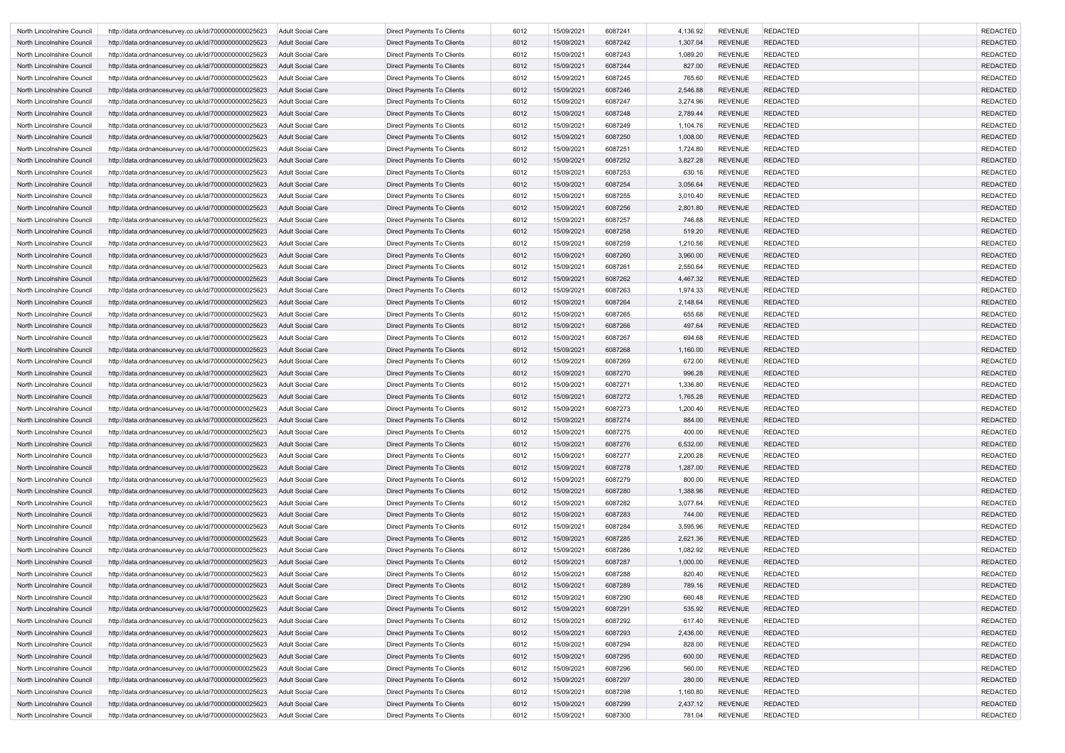| North Lincolnshire Council | http://data.ordnancesurvey.co.uk/id/7000000000025623 | Adult Social Care        | Direct Payments To Clients        | 6012 | 15/09/2021 | 6087241 | 4,136.92 | <b>REVENUE</b> | <b>REDACTED</b> | <b>REDACTED</b> |
|----------------------------|------------------------------------------------------|--------------------------|-----------------------------------|------|------------|---------|----------|----------------|-----------------|-----------------|
| North Lincolnshire Council | http://data.ordnancesurvey.co.uk/id/7000000000025623 | <b>Adult Social Care</b> | <b>Direct Payments To Clients</b> | 6012 | 15/09/2021 | 6087242 | 1,307.04 | <b>REVENUE</b> | <b>REDACTED</b> | <b>REDACTED</b> |
| North Lincolnshire Council | http://data.ordnancesurvey.co.uk/id/7000000000025623 | <b>Adult Social Care</b> | Direct Payments To Clients        | 6012 | 15/09/2021 | 6087243 | 1,089.20 | <b>REVENUE</b> | <b>REDACTED</b> | <b>REDACTED</b> |
| North Lincolnshire Council | http://data.ordnancesurvey.co.uk/id/7000000000025623 | <b>Adult Social Care</b> | Direct Payments To Clients        | 6012 | 15/09/2021 | 6087244 | 827.00   | <b>REVENUE</b> | <b>REDACTED</b> | <b>REDACTED</b> |
| North Lincolnshire Council | http://data.ordnancesurvey.co.uk/id/7000000000025623 | Adult Social Care        | Direct Payments To Clients        | 6012 | 15/09/2021 | 6087245 | 765.60   | <b>REVENUE</b> | <b>REDACTED</b> | <b>REDACTED</b> |
| North Lincolnshire Council | http://data.ordnancesurvey.co.uk/id/7000000000025623 | <b>Adult Social Care</b> | Direct Payments To Clients        | 6012 | 15/09/2021 | 6087246 | 2,546.88 | <b>REVENUE</b> | <b>REDACTED</b> | <b>REDACTED</b> |
| North Lincolnshire Council | http://data.ordnancesurvey.co.uk/id/7000000000025623 | <b>Adult Social Care</b> | Direct Payments To Clients        | 6012 | 15/09/2021 | 6087247 | 3,274.96 | <b>REVENUE</b> | <b>REDACTED</b> | <b>REDACTED</b> |
| North Lincolnshire Council | http://data.ordnancesurvey.co.uk/id/7000000000025623 | <b>Adult Social Care</b> | Direct Payments To Clients        | 6012 | 15/09/2021 | 6087248 | 2,789.44 | <b>REVENUE</b> | <b>REDACTED</b> | <b>REDACTED</b> |
| North Lincolnshire Council | http://data.ordnancesurvey.co.uk/id/7000000000025623 | <b>Adult Social Care</b> | Direct Payments To Clients        | 6012 | 15/09/2021 | 6087249 | 1,104.76 | <b>REVENUE</b> | <b>REDACTED</b> | <b>REDACTED</b> |
| North Lincolnshire Council | http://data.ordnancesurvey.co.uk/id/7000000000025623 | <b>Adult Social Care</b> | Direct Payments To Clients        | 6012 | 15/09/2021 | 6087250 | 1,008.00 | <b>REVENUE</b> | <b>REDACTED</b> | <b>REDACTED</b> |
| North Lincolnshire Council | http://data.ordnancesurvey.co.uk/id/7000000000025623 | Adult Social Care        | Direct Payments To Clients        | 6012 | 15/09/2021 | 6087251 | 1,724.80 | <b>REVENUE</b> | <b>REDACTED</b> | <b>REDACTED</b> |
| North Lincolnshire Council | http://data.ordnancesurvey.co.uk/id/7000000000025623 | Adult Social Care        | Direct Payments To Clients        | 6012 | 15/09/2021 | 6087252 | 3,827.28 | <b>REVENUE</b> | <b>REDACTED</b> | <b>REDACTED</b> |
| North Lincolnshire Council | http://data.ordnancesurvey.co.uk/id/7000000000025623 | <b>Adult Social Care</b> | Direct Payments To Clients        | 6012 | 15/09/2021 | 6087253 | 630.16   | <b>REVENUE</b> | <b>REDACTED</b> | <b>REDACTED</b> |
| North Lincolnshire Council | http://data.ordnancesurvey.co.uk/id/7000000000025623 | Adult Social Care        | Direct Payments To Clients        | 6012 | 15/09/2021 | 6087254 | 3,056.64 | <b>REVENUE</b> | <b>REDACTED</b> | <b>REDACTED</b> |
| North Lincolnshire Council | http://data.ordnancesurvey.co.uk/id/7000000000025623 | <b>Adult Social Care</b> | <b>Direct Payments To Clients</b> | 6012 | 15/09/2021 | 6087255 | 3,010.40 | <b>REVENUE</b> | <b>REDACTED</b> | <b>REDACTED</b> |
| North Lincolnshire Council | http://data.ordnancesurvey.co.uk/id/7000000000025623 | Adult Social Care        | Direct Payments To Clients        | 6012 | 15/09/2021 | 6087256 | 2,801.80 | <b>REVENUE</b> | <b>REDACTED</b> | <b>REDACTED</b> |
| North Lincolnshire Council | http://data.ordnancesurvey.co.uk/id/7000000000025623 | <b>Adult Social Care</b> | Direct Payments To Clients        | 6012 | 15/09/2021 | 6087257 | 746.88   | <b>REVENUE</b> | <b>REDACTED</b> | <b>REDACTED</b> |
| North Lincolnshire Council | http://data.ordnancesurvey.co.uk/id/7000000000025623 | <b>Adult Social Care</b> | Direct Payments To Clients        | 6012 | 15/09/2021 | 6087258 | 519.20   | <b>REVENUE</b> | <b>REDACTED</b> | <b>REDACTED</b> |
| North Lincolnshire Council | http://data.ordnancesurvey.co.uk/id/7000000000025623 | Adult Social Care        | Direct Payments To Clients        | 6012 | 15/09/2021 | 6087259 | 1,210.56 | <b>REVENUE</b> | <b>REDACTED</b> | <b>REDACTED</b> |
| North Lincolnshire Council | http://data.ordnancesurvey.co.uk/id/7000000000025623 | Adult Social Care        | Direct Payments To Clients        | 6012 | 15/09/2021 | 6087260 | 3,960.00 | <b>REVENUE</b> | <b>REDACTED</b> | <b>REDACTED</b> |
| North Lincolnshire Council | http://data.ordnancesurvey.co.uk/id/7000000000025623 | Adult Social Care        | <b>Direct Payments To Clients</b> | 6012 | 15/09/2021 | 6087261 | 2,550.64 | <b>REVENUE</b> | <b>REDACTED</b> | <b>REDACTED</b> |
| North Lincolnshire Council | http://data.ordnancesurvey.co.uk/id/7000000000025623 | Adult Social Care        | Direct Payments To Clients        | 6012 | 15/09/2021 | 6087262 | 4,467.32 | <b>REVENUE</b> | <b>REDACTED</b> | <b>REDACTED</b> |
| North Lincolnshire Council | http://data.ordnancesurvey.co.uk/id/7000000000025623 | Adult Social Care        | Direct Payments To Clients        | 6012 | 15/09/2021 | 6087263 | 1,974.33 | <b>REVENUE</b> | <b>REDACTED</b> | <b>REDACTED</b> |
| North Lincolnshire Council | http://data.ordnancesurvey.co.uk/id/7000000000025623 | Adult Social Care        | Direct Payments To Clients        | 6012 | 15/09/2021 | 6087264 | 2,148.64 | <b>REVENUE</b> | <b>REDACTED</b> | <b>REDACTED</b> |
| North Lincolnshire Council | http://data.ordnancesurvey.co.uk/id/7000000000025623 | <b>Adult Social Care</b> | Direct Payments To Clients        | 6012 | 15/09/2021 | 6087265 | 655.68   | <b>REVENUE</b> | <b>REDACTED</b> | <b>REDACTED</b> |
| North Lincolnshire Council | http://data.ordnancesurvey.co.uk/id/7000000000025623 | Adult Social Care        | Direct Payments To Clients        | 6012 | 15/09/2021 | 6087266 | 497.64   | <b>REVENUE</b> | <b>REDACTED</b> | <b>REDACTED</b> |
| North Lincolnshire Council | http://data.ordnancesurvey.co.uk/id/7000000000025623 | Adult Social Care        | Direct Payments To Clients        | 6012 | 15/09/2021 | 6087267 | 694.68   | <b>REVENUE</b> | <b>REDACTED</b> | <b>REDACTED</b> |
| North Lincolnshire Council | http://data.ordnancesurvey.co.uk/id/7000000000025623 | <b>Adult Social Care</b> | Direct Payments To Clients        | 6012 | 15/09/2021 | 6087268 | 1,160.00 | <b>REVENUE</b> | <b>REDACTED</b> | <b>REDACTED</b> |
| North Lincolnshire Council | http://data.ordnancesurvey.co.uk/id/7000000000025623 | Adult Social Care        | Direct Payments To Clients        | 6012 | 15/09/2021 | 6087269 | 672.00   | <b>REVENUE</b> | <b>REDACTED</b> | <b>REDACTED</b> |
| North Lincolnshire Council | http://data.ordnancesurvey.co.uk/id/7000000000025623 | <b>Adult Social Care</b> | Direct Payments To Clients        | 6012 | 15/09/2021 | 6087270 | 996.28   | <b>REVENUE</b> | <b>REDACTED</b> | <b>REDACTED</b> |
| North Lincolnshire Council | http://data.ordnancesurvey.co.uk/id/7000000000025623 | Adult Social Care        | Direct Payments To Clients        | 6012 | 15/09/2021 | 6087271 | 1,336.80 | <b>REVENUE</b> | <b>REDACTED</b> | <b>REDACTED</b> |
| North Lincolnshire Council | http://data.ordnancesurvey.co.uk/id/7000000000025623 | <b>Adult Social Care</b> | Direct Payments To Clients        | 6012 | 15/09/2021 | 6087272 | 1,765.28 | <b>REVENUE</b> | <b>REDACTED</b> | <b>REDACTED</b> |
| North Lincolnshire Council | http://data.ordnancesurvey.co.uk/id/7000000000025623 | Adult Social Care        | Direct Payments To Clients        | 6012 | 15/09/2021 | 6087273 | 1,200.40 | <b>REVENUE</b> | <b>REDACTED</b> | <b>REDACTED</b> |
| North Lincolnshire Council | http://data.ordnancesurvey.co.uk/id/7000000000025623 | Adult Social Care        | Direct Payments To Clients        | 6012 | 15/09/2021 | 6087274 | 884.00   | <b>REVENUE</b> | <b>REDACTED</b> | <b>REDACTED</b> |
| North Lincolnshire Council | http://data.ordnancesurvey.co.uk/id/7000000000025623 | Adult Social Care        | Direct Payments To Clients        | 6012 | 15/09/2021 | 6087275 | 400.00   | <b>REVENUE</b> | <b>REDACTED</b> | <b>REDACTED</b> |
| North Lincolnshire Council | http://data.ordnancesurvey.co.uk/id/7000000000025623 | Adult Social Care        | Direct Payments To Clients        | 6012 | 15/09/2021 | 6087276 | 6,532.00 | <b>REVENUE</b> | <b>REDACTED</b> | <b>REDACTED</b> |
| North Lincolnshire Council | http://data.ordnancesurvey.co.uk/id/7000000000025623 | Adult Social Care        | Direct Payments To Clients        | 6012 | 15/09/2021 | 6087277 | 2,200.28 | <b>REVENUE</b> | <b>REDACTED</b> | <b>REDACTED</b> |
| North Lincolnshire Council | http://data.ordnancesurvey.co.uk/id/7000000000025623 | Adult Social Care        | Direct Payments To Clients        | 6012 | 15/09/2021 | 6087278 | 1,287.00 | <b>REVENUE</b> | <b>REDACTED</b> | <b>REDACTED</b> |
| North Lincolnshire Council | http://data.ordnancesurvey.co.uk/id/7000000000025623 | Adult Social Care        | Direct Payments To Clients        | 6012 | 15/09/2021 | 6087279 | 800.00   | <b>REVENUE</b> | <b>REDACTED</b> | <b>REDACTED</b> |
| North Lincolnshire Council | http://data.ordnancesurvey.co.uk/id/7000000000025623 | <b>Adult Social Care</b> | Direct Payments To Clients        | 6012 | 15/09/2021 | 6087280 | 1,388.96 | <b>REVENUE</b> | <b>REDACTED</b> | <b>REDACTED</b> |
| North Lincolnshire Council | http://data.ordnancesurvey.co.uk/id/7000000000025623 | Adult Social Care        | Direct Payments To Clients        | 6012 | 15/09/2021 | 6087282 | 3,077.64 | <b>REVENUE</b> | <b>REDACTED</b> | <b>REDACTED</b> |
| North Lincolnshire Council | http://data.ordnancesurvey.co.uk/id/7000000000025623 | <b>Adult Social Care</b> | Direct Payments To Clients        | 6012 | 15/09/2021 | 6087283 | 744.00   | <b>REVENUE</b> | <b>REDACTED</b> | <b>REDACTED</b> |
| North Lincolnshire Council | http://data.ordnancesurvey.co.uk/id/7000000000025623 | <b>Adult Social Care</b> | <b>Direct Payments To Clients</b> | 6012 | 15/09/2021 | 6087284 | 3,595.96 | <b>REVENUE</b> | <b>REDACTED</b> | <b>REDACTED</b> |
| North Lincolnshire Council | http://data.ordnancesurvey.co.uk/id/7000000000025623 | <b>Adult Social Care</b> | Direct Payments To Clients        | 6012 | 15/09/2021 | 6087285 | 2,621.36 | <b>REVENUE</b> | <b>REDACTED</b> | <b>REDACTED</b> |
| North Lincolnshire Council | http://data.ordnancesurvey.co.uk/id/7000000000025623 | Adult Social Care        | Direct Payments To Clients        | 6012 | 15/09/2021 | 6087286 | 1,082.92 | <b>REVENUE</b> | REDACTED        | <b>REDACTED</b> |
| North Lincolnshire Council | http://data.ordnancesurvey.co.uk/id/7000000000025623 | Adult Social Care        | Direct Payments To Clients        | 6012 | 15/09/2021 | 6087287 | 1,000.00 | <b>REVENUE</b> | <b>REDACTED</b> | <b>REDACTED</b> |
| North Lincolnshire Council | http://data.ordnancesurvey.co.uk/id/7000000000025623 | Adult Social Care        | Direct Payments To Clients        | 6012 | 15/09/2021 | 6087288 | 820.40   | <b>REVENUE</b> | <b>REDACTED</b> | <b>REDACTED</b> |
| North Lincolnshire Council | http://data.ordnancesurvey.co.uk/id/7000000000025623 | Adult Social Care        | Direct Payments To Clients        | 6012 | 15/09/2021 | 6087289 | 789.16   | <b>REVENUE</b> | <b>REDACTED</b> | <b>REDACTED</b> |
| North Lincolnshire Council | http://data.ordnancesurvey.co.uk/id/7000000000025623 | Adult Social Care        | Direct Payments To Clients        | 6012 | 15/09/2021 | 6087290 | 660.48   | <b>REVENUE</b> | <b>REDACTED</b> | <b>REDACTED</b> |
| North Lincolnshire Council | http://data.ordnancesurvey.co.uk/id/7000000000025623 | <b>Adult Social Care</b> | Direct Payments To Clients        | 6012 | 15/09/2021 | 6087291 | 535.92   | <b>REVENUE</b> | <b>REDACTED</b> | <b>REDACTED</b> |
| North Lincolnshire Council | http://data.ordnancesurvey.co.uk/id/7000000000025623 | Adult Social Care        | Direct Payments To Clients        | 6012 | 15/09/2021 | 6087292 | 617.40   | <b>REVENUE</b> | <b>REDACTED</b> | <b>REDACTED</b> |
| North Lincolnshire Council | http://data.ordnancesurvey.co.uk/id/7000000000025623 | <b>Adult Social Care</b> | Direct Payments To Clients        | 6012 | 15/09/2021 | 6087293 | 2,436.00 | <b>REVENUE</b> | <b>REDACTED</b> | <b>REDACTED</b> |
| North Lincolnshire Council | http://data.ordnancesurvey.co.uk/id/7000000000025623 | <b>Adult Social Care</b> | <b>Direct Payments To Clients</b> | 6012 | 15/09/2021 | 6087294 | 828.00   | <b>REVENUE</b> | <b>REDACTED</b> | <b>REDACTED</b> |
| North Lincolnshire Council | http://data.ordnancesurvey.co.uk/id/7000000000025623 | <b>Adult Social Care</b> | Direct Payments To Clients        | 6012 | 15/09/2021 | 6087295 | 600.00   | <b>REVENUE</b> | <b>REDACTED</b> | <b>REDACTED</b> |
| North Lincolnshire Council | http://data.ordnancesurvey.co.uk/id/7000000000025623 | Adult Social Care        | Direct Payments To Clients        | 6012 | 15/09/2021 | 6087296 | 560.00   | <b>REVENUE</b> | REDACTED        | <b>REDACTED</b> |
| North Lincolnshire Council | http://data.ordnancesurvey.co.uk/id/7000000000025623 | Adult Social Care        | Direct Payments To Clients        | 6012 | 15/09/2021 | 6087297 | 280.00   | <b>REVENUE</b> | <b>REDACTED</b> | <b>REDACTED</b> |
| North Lincolnshire Council | http://data.ordnancesurvey.co.uk/id/7000000000025623 | Adult Social Care        | Direct Payments To Clients        | 6012 | 15/09/2021 | 6087298 | 1,160.80 | <b>REVENUE</b> | <b>REDACTED</b> | <b>REDACTED</b> |
| North Lincolnshire Council | http://data.ordnancesurvey.co.uk/id/7000000000025623 | Adult Social Care        | Direct Payments To Clients        | 6012 | 15/09/2021 | 6087299 | 2,437.12 | <b>REVENUE</b> | <b>REDACTED</b> | <b>REDACTED</b> |
| North Lincolnshire Council | http://data.ordnancesurvey.co.uk/id/7000000000025623 | Adult Social Care        | Direct Payments To Clients        | 6012 | 15/09/2021 | 6087300 | 781.04   | <b>REVENUE</b> | <b>REDACTED</b> | <b>REDACTED</b> |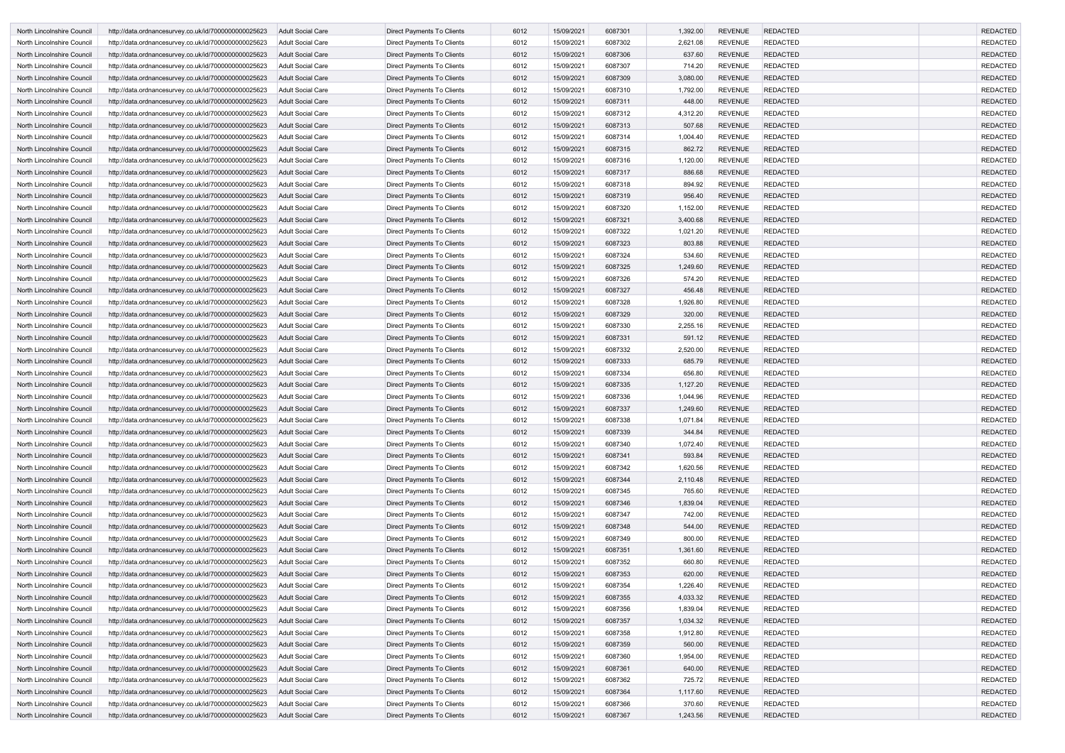| North Lincolnshire Council | http://data.ordnancesurvey.co.uk/id/7000000000025623 | <b>Adult Social Care</b> | Direct Payments To Clients        | 6012 | 15/09/2021 | 6087301 | 1,392.00 | <b>REVENUE</b> | <b>REDACTED</b> | <b>REDACTED</b> |
|----------------------------|------------------------------------------------------|--------------------------|-----------------------------------|------|------------|---------|----------|----------------|-----------------|-----------------|
| North Lincolnshire Council | http://data.ordnancesurvey.co.uk/id/7000000000025623 | Adult Social Care        | Direct Payments To Clients        | 6012 | 15/09/2021 | 6087302 | 2,621.08 | <b>REVENUE</b> | <b>REDACTED</b> | <b>REDACTED</b> |
| North Lincolnshire Council | http://data.ordnancesurvey.co.uk/id/7000000000025623 | <b>Adult Social Care</b> | Direct Payments To Clients        | 6012 | 15/09/2021 | 6087306 | 637.60   | <b>REVENUE</b> | <b>REDACTED</b> | <b>REDACTED</b> |
| North Lincolnshire Council | http://data.ordnancesurvey.co.uk/id/7000000000025623 | <b>Adult Social Care</b> | Direct Payments To Clients        | 6012 | 15/09/2021 | 6087307 | 714.20   | <b>REVENUE</b> | <b>REDACTED</b> | <b>REDACTED</b> |
| North Lincolnshire Council | http://data.ordnancesurvey.co.uk/id/7000000000025623 | <b>Adult Social Care</b> | Direct Payments To Clients        | 6012 | 15/09/2021 | 6087309 | 3,080.00 | <b>REVENUE</b> | <b>REDACTED</b> | <b>REDACTED</b> |
| North Lincolnshire Council | http://data.ordnancesurvey.co.uk/id/7000000000025623 | <b>Adult Social Care</b> | Direct Payments To Clients        | 6012 | 15/09/2021 | 6087310 | 1,792.00 | <b>REVENUE</b> | <b>REDACTED</b> | <b>REDACTED</b> |
| North Lincolnshire Council | http://data.ordnancesurvey.co.uk/id/7000000000025623 | <b>Adult Social Care</b> | Direct Payments To Clients        | 6012 | 15/09/2021 | 6087311 | 448.00   | <b>REVENUE</b> | <b>REDACTED</b> | <b>REDACTED</b> |
| North Lincolnshire Council | http://data.ordnancesurvey.co.uk/id/7000000000025623 | Adult Social Care        | Direct Payments To Clients        | 6012 | 15/09/2021 | 6087312 | 4,312.20 | <b>REVENUE</b> | <b>REDACTED</b> | <b>REDACTED</b> |
| North Lincolnshire Council | http://data.ordnancesurvey.co.uk/id/7000000000025623 | <b>Adult Social Care</b> | Direct Payments To Clients        | 6012 | 15/09/2021 | 6087313 | 507.68   | <b>REVENUE</b> | <b>REDACTED</b> | <b>REDACTED</b> |
| North Lincolnshire Council | http://data.ordnancesurvey.co.uk/id/7000000000025623 | Adult Social Care        | Direct Payments To Clients        | 6012 | 15/09/2021 | 6087314 | 1,004.40 | <b>REVENUE</b> | <b>REDACTED</b> | <b>REDACTED</b> |
| North Lincolnshire Council | http://data.ordnancesurvey.co.uk/id/7000000000025623 | <b>Adult Social Care</b> | <b>Direct Payments To Clients</b> | 6012 | 15/09/2021 | 6087315 | 862.72   | <b>REVENUE</b> | <b>REDACTED</b> | <b>REDACTED</b> |
| North Lincolnshire Council | http://data.ordnancesurvey.co.uk/id/7000000000025623 | Adult Social Care        | Direct Payments To Clients        | 6012 | 15/09/2021 | 6087316 | 1,120.00 | <b>REVENUE</b> | <b>REDACTED</b> | <b>REDACTED</b> |
| North Lincolnshire Council | http://data.ordnancesurvey.co.uk/id/7000000000025623 | <b>Adult Social Care</b> | Direct Payments To Clients        | 6012 | 15/09/2021 | 6087317 | 886.68   | <b>REVENUE</b> | <b>REDACTED</b> | <b>REDACTED</b> |
| North Lincolnshire Council | http://data.ordnancesurvey.co.uk/id/7000000000025623 | <b>Adult Social Care</b> | Direct Payments To Clients        | 6012 | 15/09/2021 | 6087318 | 894.92   | <b>REVENUE</b> | <b>REDACTED</b> | <b>REDACTED</b> |
| North Lincolnshire Council | http://data.ordnancesurvey.co.uk/id/7000000000025623 | <b>Adult Social Care</b> | Direct Payments To Clients        | 6012 | 15/09/2021 | 6087319 | 956.40   | <b>REVENUE</b> | <b>REDACTED</b> | <b>REDACTED</b> |
| North Lincolnshire Council | http://data.ordnancesurvey.co.uk/id/7000000000025623 | <b>Adult Social Care</b> | Direct Payments To Clients        | 6012 | 15/09/2021 | 6087320 | 1,152.00 | <b>REVENUE</b> | <b>REDACTED</b> | <b>REDACTED</b> |
| North Lincolnshire Council | http://data.ordnancesurvey.co.uk/id/7000000000025623 | <b>Adult Social Care</b> | Direct Payments To Clients        | 6012 | 15/09/2021 | 6087321 | 3,400.68 | <b>REVENUE</b> | <b>REDACTED</b> | <b>REDACTED</b> |
| North Lincolnshire Council | http://data.ordnancesurvey.co.uk/id/7000000000025623 | <b>Adult Social Care</b> | Direct Payments To Clients        | 6012 | 15/09/2021 | 6087322 | 1,021.20 | <b>REVENUE</b> | <b>REDACTED</b> | <b>REDACTED</b> |
| North Lincolnshire Council | http://data.ordnancesurvey.co.uk/id/7000000000025623 | <b>Adult Social Care</b> | Direct Payments To Clients        | 6012 | 15/09/2021 | 6087323 | 803.88   | <b>REVENUE</b> | <b>REDACTED</b> | <b>REDACTED</b> |
| North Lincolnshire Council | http://data.ordnancesurvey.co.uk/id/7000000000025623 | Adult Social Care        | Direct Payments To Clients        | 6012 | 15/09/2021 | 6087324 | 534.60   | <b>REVENUE</b> | <b>REDACTED</b> | <b>REDACTED</b> |
| North Lincolnshire Council | http://data.ordnancesurvey.co.uk/id/7000000000025623 | <b>Adult Social Care</b> | <b>Direct Payments To Clients</b> | 6012 | 15/09/2021 | 6087325 | 1,249.60 | <b>REVENUE</b> | <b>REDACTED</b> | <b>REDACTED</b> |
| North Lincolnshire Council | http://data.ordnancesurvey.co.uk/id/7000000000025623 | Adult Social Care        | Direct Payments To Clients        | 6012 | 15/09/2021 | 6087326 | 574.20   | <b>REVENUE</b> | <b>REDACTED</b> | <b>REDACTED</b> |
| North Lincolnshire Council | http://data.ordnancesurvey.co.uk/id/7000000000025623 | <b>Adult Social Care</b> | Direct Payments To Clients        | 6012 | 15/09/2021 | 6087327 | 456.48   | <b>REVENUE</b> | <b>REDACTED</b> | <b>REDACTED</b> |
| North Lincolnshire Council | http://data.ordnancesurvey.co.uk/id/7000000000025623 | <b>Adult Social Care</b> | Direct Payments To Clients        | 6012 | 15/09/2021 | 6087328 | 1,926.80 | <b>REVENUE</b> | <b>REDACTED</b> | <b>REDACTED</b> |
| North Lincolnshire Council | http://data.ordnancesurvey.co.uk/id/7000000000025623 | <b>Adult Social Care</b> | Direct Payments To Clients        | 6012 | 15/09/2021 | 6087329 | 320.00   | <b>REVENUE</b> | <b>REDACTED</b> | <b>REDACTED</b> |
| North Lincolnshire Council | http://data.ordnancesurvey.co.uk/id/7000000000025623 | <b>Adult Social Care</b> | Direct Payments To Clients        | 6012 | 15/09/2021 | 6087330 | 2,255.16 | <b>REVENUE</b> | <b>REDACTED</b> | <b>REDACTED</b> |
| North Lincolnshire Council | http://data.ordnancesurvey.co.uk/id/7000000000025623 | <b>Adult Social Care</b> | Direct Payments To Clients        | 6012 | 15/09/2021 | 6087331 | 591.12   | <b>REVENUE</b> | <b>REDACTED</b> | <b>REDACTED</b> |
| North Lincolnshire Council | http://data.ordnancesurvey.co.uk/id/7000000000025623 | Adult Social Care        | Direct Payments To Clients        | 6012 | 15/09/2021 | 6087332 | 2,520.00 | <b>REVENUE</b> | <b>REDACTED</b> | <b>REDACTED</b> |
| North Lincolnshire Council | http://data.ordnancesurvey.co.uk/id/7000000000025623 | <b>Adult Social Care</b> | Direct Payments To Clients        | 6012 | 15/09/2021 | 6087333 | 685.79   | <b>REVENUE</b> | <b>REDACTED</b> | <b>REDACTED</b> |
| North Lincolnshire Council | http://data.ordnancesurvey.co.uk/id/7000000000025623 | Adult Social Care        | Direct Payments To Clients        | 6012 | 15/09/2021 | 6087334 | 656.80   | <b>REVENUE</b> | <b>REDACTED</b> | <b>REDACTED</b> |
| North Lincolnshire Council | http://data.ordnancesurvey.co.uk/id/7000000000025623 | <b>Adult Social Care</b> | <b>Direct Payments To Clients</b> | 6012 | 15/09/2021 | 6087335 | 1,127.20 | <b>REVENUE</b> | <b>REDACTED</b> | <b>REDACTED</b> |
| North Lincolnshire Council | http://data.ordnancesurvey.co.uk/id/7000000000025623 | Adult Social Care        | Direct Payments To Clients        | 6012 | 15/09/2021 | 6087336 | 1,044.96 | <b>REVENUE</b> | <b>REDACTED</b> | <b>REDACTED</b> |
| North Lincolnshire Council | http://data.ordnancesurvey.co.uk/id/7000000000025623 | Adult Social Care        | Direct Payments To Clients        | 6012 | 15/09/2021 | 6087337 | 1,249.60 | <b>REVENUE</b> | <b>REDACTED</b> | <b>REDACTED</b> |
| North Lincolnshire Council | http://data.ordnancesurvey.co.uk/id/7000000000025623 | Adult Social Care        | Direct Payments To Clients        | 6012 | 15/09/2021 | 6087338 | 1,071.84 | <b>REVENUE</b> | <b>REDACTED</b> | <b>REDACTED</b> |
| North Lincolnshire Council | http://data.ordnancesurvey.co.uk/id/7000000000025623 | <b>Adult Social Care</b> | Direct Payments To Clients        | 6012 | 15/09/2021 | 6087339 | 344.84   | <b>REVENUE</b> | <b>REDACTED</b> | <b>REDACTED</b> |
| North Lincolnshire Council | http://data.ordnancesurvey.co.uk/id/7000000000025623 | Adult Social Care        | Direct Payments To Clients        | 6012 | 15/09/2021 | 6087340 | 1,072.40 | <b>REVENUE</b> | <b>REDACTED</b> | <b>REDACTED</b> |
| North Lincolnshire Council | http://data.ordnancesurvey.co.uk/id/7000000000025623 | <b>Adult Social Care</b> | <b>Direct Payments To Clients</b> | 6012 | 15/09/2021 | 6087341 | 593.84   | <b>REVENUE</b> | <b>REDACTED</b> | <b>REDACTED</b> |
| North Lincolnshire Council | http://data.ordnancesurvey.co.uk/id/7000000000025623 | Adult Social Care        | Direct Payments To Clients        | 6012 | 15/09/2021 | 6087342 | 1,620.56 | <b>REVENUE</b> | <b>REDACTED</b> | <b>REDACTED</b> |
| North Lincolnshire Council | http://data.ordnancesurvey.co.uk/id/7000000000025623 | <b>Adult Social Care</b> | Direct Payments To Clients        | 6012 | 15/09/2021 | 6087344 | 2,110.48 | <b>REVENUE</b> | <b>REDACTED</b> | <b>REDACTED</b> |
| North Lincolnshire Council | http://data.ordnancesurvey.co.uk/id/7000000000025623 | Adult Social Care        | Direct Payments To Clients        | 6012 | 15/09/2021 | 6087345 | 765.60   | <b>REVENUE</b> | <b>REDACTED</b> | <b>REDACTED</b> |
| North Lincolnshire Council | http://data.ordnancesurvey.co.uk/id/7000000000025623 | <b>Adult Social Care</b> | Direct Payments To Clients        | 6012 | 15/09/2021 | 6087346 | 1,839.04 | <b>REVENUE</b> | <b>REDACTED</b> | <b>REDACTED</b> |
| North Lincolnshire Council | http://data.ordnancesurvey.co.uk/id/7000000000025623 | Adult Social Care        | Direct Payments To Clients        | 6012 | 15/09/2021 | 6087347 | 742.00   | <b>REVENUE</b> | <b>REDACTED</b> | <b>REDACTED</b> |
| North Lincolnshire Council | http://data.ordnancesurvey.co.uk/id/7000000000025623 | <b>Adult Social Care</b> | Direct Payments To Clients        | 6012 | 15/09/2021 | 6087348 | 544.00   | <b>REVENUE</b> | <b>REDACTED</b> | <b>REDACTED</b> |
| North Lincolnshire Council | http://data.ordnancesurvey.co.uk/id/7000000000025623 | Adult Social Care        | Direct Payments To Clients        | 6012 | 15/09/2021 | 6087349 | 800.00   | <b>REVENUE</b> | <b>REDACTED</b> | <b>REDACTED</b> |
| North Lincolnshire Council | http://data.ordnancesurvey.co.uk/id/7000000000025623 | <b>Adult Social Care</b> | Direct Payments To Clients        | 6012 | 15/09/2021 | 6087351 | 1,361.60 | <b>REVENUE</b> | <b>REDACTED</b> | <b>REDACTED</b> |
| North Lincolnshire Council | http://data.ordnancesurvey.co.uk/id/7000000000025623 | Adult Social Care        | Direct Payments To Clients        | 6012 | 15/09/2021 | 6087352 | 660.80   | <b>REVENUE</b> | <b>REDACTED</b> | <b>REDACTED</b> |
| North Lincolnshire Council | http://data.ordnancesurvey.co.uk/id/7000000000025623 | <b>Adult Social Care</b> | Direct Payments To Clients        | 6012 | 15/09/2021 | 6087353 | 620.00   | <b>REVENUE</b> | REDACTED        | <b>REDACTED</b> |
| North Lincolnshire Council | http://data.ordnancesurvey.co.uk/id/7000000000025623 | <b>Adult Social Care</b> | Direct Payments To Clients        | 6012 | 15/09/2021 | 6087354 | 1,226.40 | <b>REVENUE</b> | <b>REDACTED</b> | <b>REDACTED</b> |
| North Lincolnshire Council | http://data.ordnancesurvey.co.uk/id/7000000000025623 | <b>Adult Social Care</b> | Direct Payments To Clients        | 6012 | 15/09/2021 | 6087355 | 4,033.32 | <b>REVENUE</b> | <b>REDACTED</b> | <b>REDACTED</b> |
| North Lincolnshire Council | http://data.ordnancesurvey.co.uk/id/7000000000025623 | Adult Social Care        | Direct Payments To Clients        | 6012 | 15/09/2021 | 6087356 | 1,839.04 | <b>REVENUE</b> | <b>REDACTED</b> | <b>REDACTED</b> |
| North Lincolnshire Council | http://data.ordnancesurvey.co.uk/id/7000000000025623 | <b>Adult Social Care</b> | Direct Payments To Clients        | 6012 | 15/09/2021 | 6087357 | 1,034.32 | <b>REVENUE</b> | <b>REDACTED</b> | <b>REDACTED</b> |
| North Lincolnshire Council | http://data.ordnancesurvey.co.uk/id/7000000000025623 | Adult Social Care        | Direct Payments To Clients        | 6012 | 15/09/2021 | 6087358 | 1,912.80 | <b>REVENUE</b> | <b>REDACTED</b> | <b>REDACTED</b> |
| North Lincolnshire Council | http://data.ordnancesurvey.co.uk/id/7000000000025623 | <b>Adult Social Care</b> | Direct Payments To Clients        | 6012 | 15/09/2021 | 6087359 | 560.00   | <b>REVENUE</b> | <b>REDACTED</b> | <b>REDACTED</b> |
| North Lincolnshire Council | http://data.ordnancesurvey.co.uk/id/7000000000025623 | Adult Social Care        | Direct Payments To Clients        | 6012 | 15/09/2021 | 6087360 | 1,954.00 | <b>REVENUE</b> | <b>REDACTED</b> | <b>REDACTED</b> |
| North Lincolnshire Council | http://data.ordnancesurvey.co.uk/id/7000000000025623 | <b>Adult Social Care</b> | Direct Payments To Clients        | 6012 | 15/09/2021 | 6087361 | 640.00   | <b>REVENUE</b> | <b>REDACTED</b> | <b>REDACTED</b> |
| North Lincolnshire Council | http://data.ordnancesurvey.co.uk/id/7000000000025623 | Adult Social Care        | Direct Payments To Clients        | 6012 | 15/09/2021 | 6087362 | 725.72   | <b>REVENUE</b> | <b>REDACTED</b> | <b>REDACTED</b> |
| North Lincolnshire Council | http://data.ordnancesurvey.co.uk/id/7000000000025623 | <b>Adult Social Care</b> | Direct Payments To Clients        | 6012 | 15/09/2021 | 6087364 | 1,117.60 | <b>REVENUE</b> | <b>REDACTED</b> | <b>REDACTED</b> |
| North Lincolnshire Council | http://data.ordnancesurvey.co.uk/id/7000000000025623 | <b>Adult Social Care</b> | Direct Payments To Clients        | 6012 | 15/09/2021 | 6087366 | 370.60   | <b>REVENUE</b> | <b>REDACTED</b> | <b>REDACTED</b> |
| North Lincolnshire Council | http://data.ordnancesurvey.co.uk/id/7000000000025623 | Adult Social Care        | Direct Payments To Clients        | 6012 | 15/09/2021 | 6087367 | 1,243.56 | <b>REVENUE</b> | <b>REDACTED</b> | <b>REDACTED</b> |
|                            |                                                      |                          |                                   |      |            |         |          |                |                 |                 |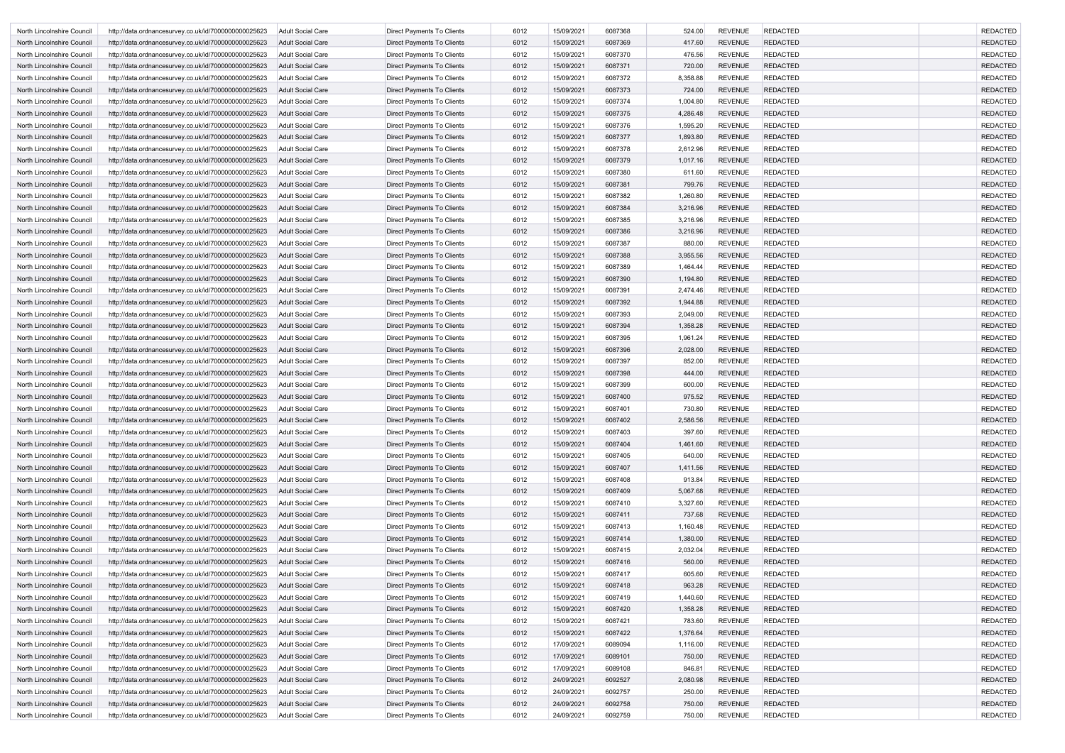| North Lincolnshire Council                               | http://data.ordnancesurvey.co.uk/id/7000000000025623                                                         | Adult Social Care        | Direct Payments To Clients                               | 6012 | 15/09/2021               | 6087368            | 524.00             | <b>REVENUE</b> | <b>REDACTED</b> | <b>REDACTED</b> |
|----------------------------------------------------------|--------------------------------------------------------------------------------------------------------------|--------------------------|----------------------------------------------------------|------|--------------------------|--------------------|--------------------|----------------|-----------------|-----------------|
| North Lincolnshire Council                               | http://data.ordnancesurvey.co.uk/id/7000000000025623                                                         | <b>Adult Social Care</b> | <b>Direct Payments To Clients</b>                        | 6012 | 15/09/2021               | 6087369            | 417.60             | <b>REVENUE</b> | <b>REDACTED</b> | <b>REDACTED</b> |
| North Lincolnshire Council                               | http://data.ordnancesurvey.co.uk/id/7000000000025623                                                         | <b>Adult Social Care</b> | Direct Payments To Clients                               | 6012 | 15/09/2021               | 6087370            | 476.56             | <b>REVENUE</b> | <b>REDACTED</b> | <b>REDACTED</b> |
| North Lincolnshire Council                               | http://data.ordnancesurvey.co.uk/id/7000000000025623                                                         | <b>Adult Social Care</b> | Direct Payments To Clients                               | 6012 | 15/09/2021               | 6087371            | 720.00             | <b>REVENUE</b> | <b>REDACTED</b> | <b>REDACTED</b> |
| North Lincolnshire Council                               | http://data.ordnancesurvey.co.uk/id/7000000000025623                                                         | Adult Social Care        | Direct Payments To Clients                               | 6012 | 15/09/2021               | 6087372            | 8,358.88           | <b>REVENUE</b> | <b>REDACTED</b> | <b>REDACTED</b> |
| North Lincolnshire Council                               | http://data.ordnancesurvey.co.uk/id/7000000000025623                                                         | <b>Adult Social Care</b> | Direct Payments To Clients                               | 6012 | 15/09/2021               | 6087373            | 724.00             | <b>REVENUE</b> | <b>REDACTED</b> | <b>REDACTED</b> |
| North Lincolnshire Council                               | http://data.ordnancesurvey.co.uk/id/7000000000025623                                                         | <b>Adult Social Care</b> | Direct Payments To Clients                               | 6012 | 15/09/2021               | 6087374            | 1,004.80           | <b>REVENUE</b> | <b>REDACTED</b> | <b>REDACTED</b> |
| North Lincolnshire Council                               | http://data.ordnancesurvey.co.uk/id/7000000000025623                                                         | <b>Adult Social Care</b> | Direct Payments To Clients                               | 6012 | 15/09/2021               | 6087375            | 4,286.48           | <b>REVENUE</b> | <b>REDACTED</b> | <b>REDACTED</b> |
| North Lincolnshire Council                               | http://data.ordnancesurvey.co.uk/id/7000000000025623                                                         | <b>Adult Social Care</b> | Direct Payments To Clients                               | 6012 | 15/09/2021               | 6087376            | 1,595.20           | <b>REVENUE</b> | <b>REDACTED</b> | <b>REDACTED</b> |
| North Lincolnshire Council                               | http://data.ordnancesurvey.co.uk/id/7000000000025623                                                         | <b>Adult Social Care</b> | Direct Payments To Clients                               | 6012 | 15/09/2021               | 6087377            | 1,893.80           | <b>REVENUE</b> | <b>REDACTED</b> | <b>REDACTED</b> |
| North Lincolnshire Council                               | http://data.ordnancesurvey.co.uk/id/7000000000025623                                                         | Adult Social Care        | Direct Payments To Clients                               | 6012 | 15/09/2021               | 6087378            | 2,612.96           | <b>REVENUE</b> | <b>REDACTED</b> | <b>REDACTED</b> |
| North Lincolnshire Council                               | http://data.ordnancesurvey.co.uk/id/7000000000025623                                                         | <b>Adult Social Care</b> | Direct Payments To Clients                               | 6012 | 15/09/2021               | 6087379            | 1,017.16           | <b>REVENUE</b> | <b>REDACTED</b> | <b>REDACTED</b> |
| North Lincolnshire Council                               | http://data.ordnancesurvey.co.uk/id/7000000000025623                                                         | <b>Adult Social Care</b> | Direct Payments To Clients                               | 6012 | 15/09/2021               | 6087380            | 611.60             | <b>REVENUE</b> | <b>REDACTED</b> | <b>REDACTED</b> |
| North Lincolnshire Council                               | http://data.ordnancesurvey.co.uk/id/7000000000025623                                                         | <b>Adult Social Care</b> | Direct Payments To Clients                               | 6012 | 15/09/2021               | 6087381            | 799.76             | <b>REVENUE</b> | <b>REDACTED</b> | <b>REDACTED</b> |
| North Lincolnshire Council                               | http://data.ordnancesurvey.co.uk/id/7000000000025623                                                         | <b>Adult Social Care</b> | <b>Direct Payments To Clients</b>                        | 6012 | 15/09/2021               | 6087382            | 1,260.80           | <b>REVENUE</b> | <b>REDACTED</b> | <b>REDACTED</b> |
| North Lincolnshire Council                               | http://data.ordnancesurvey.co.uk/id/7000000000025623                                                         | Adult Social Care        | Direct Payments To Clients                               | 6012 | 15/09/2021               | 6087384            | 3,216.96           | <b>REVENUE</b> | <b>REDACTED</b> | <b>REDACTED</b> |
| North Lincolnshire Council                               | http://data.ordnancesurvey.co.uk/id/7000000000025623                                                         | <b>Adult Social Care</b> | Direct Payments To Clients                               | 6012 | 15/09/2021               | 6087385            | 3,216.96           | <b>REVENUE</b> | <b>REDACTED</b> | <b>REDACTED</b> |
| North Lincolnshire Council                               | http://data.ordnancesurvey.co.uk/id/7000000000025623                                                         | <b>Adult Social Care</b> | Direct Payments To Clients                               | 6012 | 15/09/2021               | 6087386            | 3,216.96           | <b>REVENUE</b> | <b>REDACTED</b> | <b>REDACTED</b> |
| North Lincolnshire Council                               | http://data.ordnancesurvey.co.uk/id/7000000000025623                                                         | Adult Social Care        | Direct Payments To Clients                               | 6012 | 15/09/2021               | 6087387            | 880.00             | <b>REVENUE</b> | <b>REDACTED</b> | <b>REDACTED</b> |
| North Lincolnshire Council                               | http://data.ordnancesurvey.co.uk/id/7000000000025623                                                         | <b>Adult Social Care</b> | Direct Payments To Clients                               | 6012 | 15/09/2021               | 6087388            | 3,955.56           | <b>REVENUE</b> | <b>REDACTED</b> | <b>REDACTED</b> |
| North Lincolnshire Council                               | http://data.ordnancesurvey.co.uk/id/7000000000025623                                                         | Adult Social Care        | <b>Direct Payments To Clients</b>                        | 6012 | 15/09/2021               | 6087389            | 1,464.44           | <b>REVENUE</b> | <b>REDACTED</b> | <b>REDACTED</b> |
| North Lincolnshire Council                               | http://data.ordnancesurvey.co.uk/id/7000000000025623                                                         | <b>Adult Social Care</b> | Direct Payments To Clients                               | 6012 | 15/09/2021               | 6087390            | 1,194.80           | <b>REVENUE</b> | <b>REDACTED</b> | <b>REDACTED</b> |
| North Lincolnshire Council                               | http://data.ordnancesurvey.co.uk/id/7000000000025623                                                         | Adult Social Care        | Direct Payments To Clients                               | 6012 | 15/09/2021               | 6087391            | 2,474.46           | <b>REVENUE</b> | <b>REDACTED</b> | <b>REDACTED</b> |
| North Lincolnshire Council                               | http://data.ordnancesurvey.co.uk/id/7000000000025623                                                         | <b>Adult Social Care</b> | Direct Payments To Clients                               | 6012 | 15/09/2021               | 6087392            | 1,944.88           | <b>REVENUE</b> | <b>REDACTED</b> | <b>REDACTED</b> |
| North Lincolnshire Council                               | http://data.ordnancesurvey.co.uk/id/7000000000025623                                                         | <b>Adult Social Care</b> | Direct Payments To Clients                               | 6012 | 15/09/2021               | 6087393            | 2,049.00           | <b>REVENUE</b> | <b>REDACTED</b> | <b>REDACTED</b> |
| North Lincolnshire Council                               | http://data.ordnancesurvey.co.uk/id/7000000000025623                                                         | Adult Social Care        | Direct Payments To Clients                               | 6012 | 15/09/2021               | 6087394            | 1,358.28           | <b>REVENUE</b> | <b>REDACTED</b> | <b>REDACTED</b> |
| North Lincolnshire Council                               | http://data.ordnancesurvey.co.uk/id/7000000000025623                                                         | Adult Social Care        | Direct Payments To Clients                               | 6012 | 15/09/2021               | 6087395            | 1,961.24           | <b>REVENUE</b> | <b>REDACTED</b> | <b>REDACTED</b> |
| North Lincolnshire Council                               | http://data.ordnancesurvey.co.uk/id/7000000000025623                                                         | <b>Adult Social Care</b> | Direct Payments To Clients                               | 6012 | 15/09/2021               | 6087396            | 2,028.00           | <b>REVENUE</b> | <b>REDACTED</b> | <b>REDACTED</b> |
| North Lincolnshire Council                               | http://data.ordnancesurvey.co.uk/id/7000000000025623                                                         | Adult Social Care        | Direct Payments To Clients                               | 6012 | 15/09/2021               | 6087397            | 852.00             | <b>REVENUE</b> | <b>REDACTED</b> | <b>REDACTED</b> |
| North Lincolnshire Council                               | http://data.ordnancesurvey.co.uk/id/7000000000025623                                                         | <b>Adult Social Care</b> | Direct Payments To Clients                               | 6012 | 15/09/2021               | 6087398            | 444.00             | <b>REVENUE</b> | <b>REDACTED</b> | <b>REDACTED</b> |
| North Lincolnshire Council                               | http://data.ordnancesurvey.co.uk/id/7000000000025623                                                         | Adult Social Care        | Direct Payments To Clients                               | 6012 | 15/09/2021               | 6087399            | 600.00             | <b>REVENUE</b> | <b>REDACTED</b> | <b>REDACTED</b> |
| North Lincolnshire Council                               |                                                                                                              | <b>Adult Social Care</b> | Direct Payments To Clients                               | 6012 | 15/09/2021               | 6087400            | 975.52             | <b>REVENUE</b> | <b>REDACTED</b> | <b>REDACTED</b> |
| North Lincolnshire Council                               | http://data.ordnancesurvey.co.uk/id/7000000000025623<br>http://data.ordnancesurvey.co.uk/id/7000000000025623 | Adult Social Care        | Direct Payments To Clients                               | 6012 | 15/09/2021               | 6087401            | 730.80             | <b>REVENUE</b> | <b>REDACTED</b> | <b>REDACTED</b> |
| North Lincolnshire Council                               | http://data.ordnancesurvey.co.uk/id/7000000000025623                                                         | Adult Social Care        | Direct Payments To Clients                               | 6012 | 15/09/2021               |                    | 2,586.56           | <b>REVENUE</b> | <b>REDACTED</b> | <b>REDACTED</b> |
| North Lincolnshire Council                               |                                                                                                              | Adult Social Care        | Direct Payments To Clients                               | 6012 | 15/09/2021               | 6087402<br>6087403 | 397.60             | <b>REVENUE</b> | <b>REDACTED</b> | <b>REDACTED</b> |
|                                                          | http://data.ordnancesurvey.co.uk/id/7000000000025623                                                         |                          |                                                          | 6012 |                          | 6087404            |                    | <b>REVENUE</b> | <b>REDACTED</b> | <b>REDACTED</b> |
| North Lincolnshire Council                               | http://data.ordnancesurvey.co.uk/id/7000000000025623                                                         | Adult Social Care        | Direct Payments To Clients<br>Direct Payments To Clients | 6012 | 15/09/2021<br>15/09/2021 | 6087405            | 1,461.60<br>640.00 | <b>REVENUE</b> | <b>REDACTED</b> | <b>REDACTED</b> |
| North Lincolnshire Council<br>North Lincolnshire Council | http://data.ordnancesurvey.co.uk/id/7000000000025623                                                         | Adult Social Care        |                                                          | 6012 | 15/09/2021               |                    |                    | <b>REVENUE</b> | <b>REDACTED</b> | <b>REDACTED</b> |
|                                                          | http://data.ordnancesurvey.co.uk/id/7000000000025623                                                         | Adult Social Care        | Direct Payments To Clients                               | 6012 |                          | 6087407<br>6087408 | 1,411.56<br>913.84 | <b>REVENUE</b> | <b>REDACTED</b> | <b>REDACTED</b> |
| North Lincolnshire Council                               | http://data.ordnancesurvey.co.uk/id/7000000000025623                                                         | Adult Social Care        | Direct Payments To Clients                               |      | 15/09/2021               |                    |                    |                |                 |                 |
| North Lincolnshire Council                               | http://data.ordnancesurvey.co.uk/id/7000000000025623                                                         | <b>Adult Social Care</b> | Direct Payments To Clients                               | 6012 | 15/09/2021               | 6087409            | 5,067.68           | <b>REVENUE</b> | <b>REDACTED</b> | <b>REDACTED</b> |
| North Lincolnshire Council                               | http://data.ordnancesurvey.co.uk/id/7000000000025623                                                         | Adult Social Care        | Direct Payments To Clients                               | 6012 | 15/09/2021               | 6087410            | 3,327.60           | <b>REVENUE</b> | <b>REDACTED</b> | <b>REDACTED</b> |
| North Lincolnshire Council                               | http://data.ordnancesurvey.co.uk/id/7000000000025623                                                         | <b>Adult Social Care</b> | Direct Payments To Clients                               | 6012 | 15/09/2021               | 6087411            | 737.68             | <b>REVENUE</b> | <b>REDACTED</b> | <b>REDACTED</b> |
| North Lincolnshire Council                               | http://data.ordnancesurvey.co.uk/id/7000000000025623                                                         | <b>Adult Social Care</b> | <b>Direct Payments To Clients</b>                        | 6012 | 15/09/2021               | 6087413            | 1,160.48           | <b>REVENUE</b> | <b>REDACTED</b> | <b>REDACTED</b> |
| North Lincolnshire Council                               | http://data.ordnancesurvey.co.uk/id/7000000000025623                                                         | <b>Adult Social Care</b> | Direct Payments To Clients                               | 6012 | 15/09/2021               | 6087414            | 1,380.00           | <b>REVENUE</b> | <b>REDACTED</b> | <b>REDACTED</b> |
| North Lincolnshire Council                               | http://data.ordnancesurvey.co.uk/id/7000000000025623                                                         | Adult Social Care        | Direct Payments To Clients                               | 6012 | 15/09/2021               | 6087415            | 2,032.04           | <b>REVENUE</b> | REDACTED        | <b>REDACTED</b> |
| North Lincolnshire Council                               | http://data.ordnancesurvey.co.uk/id/7000000000025623                                                         | Adult Social Care        | Direct Payments To Clients                               | 6012 | 15/09/2021               | 6087416            | 560.00             | <b>REVENUE</b> | <b>REDACTED</b> | <b>REDACTED</b> |
| North Lincolnshire Council                               | http://data.ordnancesurvey.co.uk/id/7000000000025623                                                         | Adult Social Care        | Direct Payments To Clients                               | 6012 | 15/09/2021               | 6087417            | 605.60             | <b>REVENUE</b> | <b>REDACTED</b> | <b>REDACTED</b> |
| North Lincolnshire Council                               | http://data.ordnancesurvey.co.uk/id/7000000000025623                                                         | Adult Social Care        | Direct Payments To Clients                               | 6012 | 15/09/2021               | 6087418            | 963.28             | <b>REVENUE</b> | <b>REDACTED</b> | <b>REDACTED</b> |
| North Lincolnshire Council                               | http://data.ordnancesurvey.co.uk/id/7000000000025623                                                         | Adult Social Care        | Direct Payments To Clients                               | 6012 | 15/09/2021               | 6087419            | 1,440.60           | <b>REVENUE</b> | <b>REDACTED</b> | <b>REDACTED</b> |
| North Lincolnshire Council                               | http://data.ordnancesurvey.co.uk/id/7000000000025623                                                         | <b>Adult Social Care</b> | Direct Payments To Clients                               | 6012 | 15/09/2021               | 6087420            | 1,358.28           | <b>REVENUE</b> | <b>REDACTED</b> | <b>REDACTED</b> |
| North Lincolnshire Council                               | http://data.ordnancesurvey.co.uk/id/7000000000025623                                                         | Adult Social Care        | Direct Payments To Clients                               | 6012 | 15/09/2021               | 6087421            | 783.60             | <b>REVENUE</b> | <b>REDACTED</b> | <b>REDACTED</b> |
| North Lincolnshire Council                               | http://data.ordnancesurvey.co.uk/id/7000000000025623                                                         | <b>Adult Social Care</b> | Direct Payments To Clients                               | 6012 | 15/09/2021               | 6087422            | 1,376.64           | <b>REVENUE</b> | <b>REDACTED</b> | <b>REDACTED</b> |
| North Lincolnshire Council                               | http://data.ordnancesurvey.co.uk/id/7000000000025623                                                         | <b>Adult Social Care</b> | <b>Direct Payments To Clients</b>                        | 6012 | 17/09/2021               | 6089094            | 1,116.00           | <b>REVENUE</b> | <b>REDACTED</b> | <b>REDACTED</b> |
| North Lincolnshire Council                               | http://data.ordnancesurvey.co.uk/id/7000000000025623                                                         | <b>Adult Social Care</b> | Direct Payments To Clients                               | 6012 | 17/09/2021               | 6089101            | 750.00             | <b>REVENUE</b> | <b>REDACTED</b> | <b>REDACTED</b> |
| North Lincolnshire Council                               | http://data.ordnancesurvey.co.uk/id/7000000000025623                                                         | Adult Social Care        | Direct Payments To Clients                               | 6012 | 17/09/2021               | 6089108            | 846.81             | <b>REVENUE</b> | REDACTED        | <b>REDACTED</b> |
| North Lincolnshire Council                               | http://data.ordnancesurvey.co.uk/id/7000000000025623                                                         | Adult Social Care        | Direct Payments To Clients                               | 6012 | 24/09/2021               | 6092527            | 2,080.98           | <b>REVENUE</b> | <b>REDACTED</b> | <b>REDACTED</b> |
| North Lincolnshire Council                               | http://data.ordnancesurvey.co.uk/id/7000000000025623                                                         | Adult Social Care        | Direct Payments To Clients                               | 6012 | 24/09/2021               | 6092757            | 250.00             | <b>REVENUE</b> | <b>REDACTED</b> | <b>REDACTED</b> |
| North Lincolnshire Council                               | http://data.ordnancesurvey.co.uk/id/7000000000025623                                                         | Adult Social Care        | Direct Payments To Clients                               | 6012 | 24/09/2021               | 6092758            | 750.00             | <b>REVENUE</b> | <b>REDACTED</b> | <b>REDACTED</b> |
| North Lincolnshire Council                               | http://data.ordnancesurvey.co.uk/id/7000000000025623                                                         | Adult Social Care        | Direct Payments To Clients                               | 6012 | 24/09/2021               | 6092759            | 750.00             | <b>REVENUE</b> | <b>REDACTED</b> | <b>REDACTED</b> |
|                                                          |                                                                                                              |                          |                                                          |      |                          |                    |                    |                |                 |                 |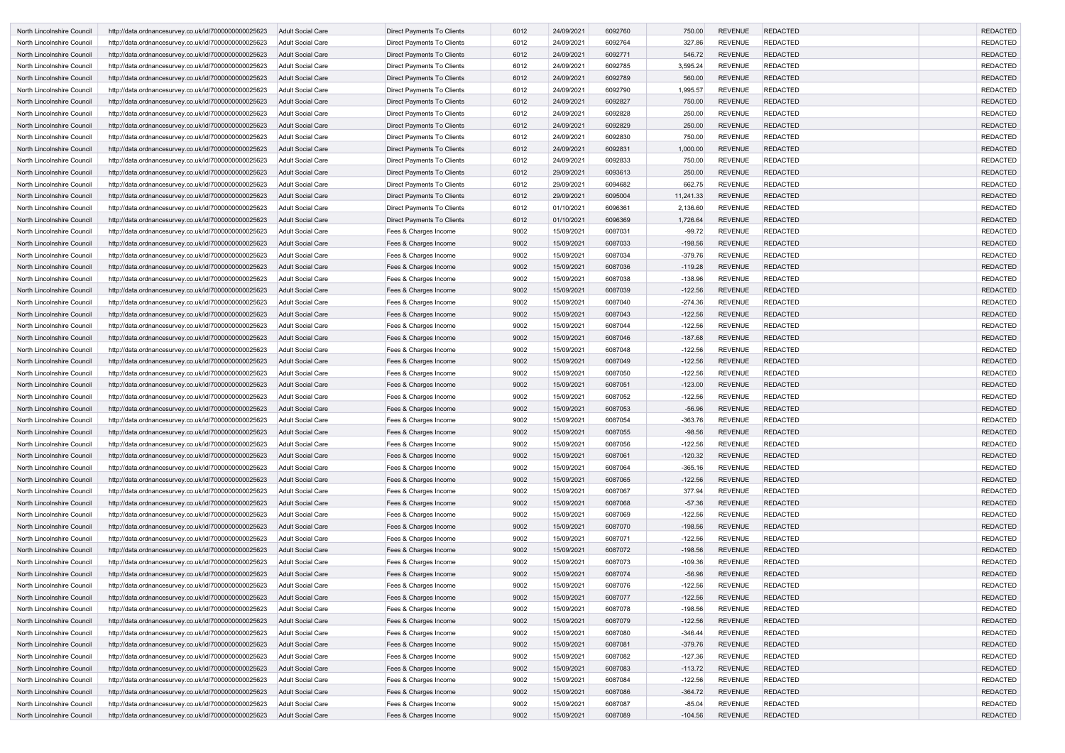| North Lincolnshire Council        | http://data.ordnancesurvey.co.uk/id/7000000000025623 | <b>Adult Social Care</b> | Direct Payments To Clients        | 6012 | 24/09/2021 | 6092760 | 750.00    | <b>REVENUE</b> | <b>REDACTED</b> | <b>REDACTED</b> |
|-----------------------------------|------------------------------------------------------|--------------------------|-----------------------------------|------|------------|---------|-----------|----------------|-----------------|-----------------|
| North Lincolnshire Council        | http://data.ordnancesurvey.co.uk/id/7000000000025623 | Adult Social Care        | Direct Payments To Clients        | 6012 | 24/09/2021 | 6092764 | 327.86    | <b>REVENUE</b> | <b>REDACTED</b> | <b>REDACTED</b> |
| North Lincolnshire Council        | http://data.ordnancesurvey.co.uk/id/7000000000025623 | Adult Social Care        | Direct Payments To Clients        | 6012 | 24/09/2021 | 6092771 | 546.72    | <b>REVENUE</b> | <b>REDACTED</b> | <b>REDACTED</b> |
| North Lincolnshire Council        | http://data.ordnancesurvey.co.uk/id/7000000000025623 | <b>Adult Social Care</b> | <b>Direct Payments To Clients</b> | 6012 | 24/09/2021 | 6092785 | 3,595.24  | <b>REVENUE</b> | <b>REDACTED</b> | <b>REDACTED</b> |
| North Lincolnshire Council        | http://data.ordnancesurvey.co.uk/id/7000000000025623 | <b>Adult Social Care</b> | <b>Direct Payments To Clients</b> | 6012 | 24/09/2021 | 6092789 | 560.00    | <b>REVENUE</b> | <b>REDACTED</b> | <b>REDACTED</b> |
| North Lincolnshire Council        | http://data.ordnancesurvey.co.uk/id/7000000000025623 | <b>Adult Social Care</b> | Direct Payments To Clients        | 6012 | 24/09/2021 | 6092790 | 1,995.57  | <b>REVENUE</b> | <b>REDACTED</b> | <b>REDACTED</b> |
| North Lincolnshire Council        | http://data.ordnancesurvey.co.uk/id/7000000000025623 | Adult Social Care        | Direct Payments To Clients        | 6012 | 24/09/2021 | 6092827 | 750.00    | <b>REVENUE</b> | <b>REDACTED</b> | <b>REDACTED</b> |
| North Lincolnshire Council        | http://data.ordnancesurvey.co.uk/id/7000000000025623 | Adult Social Care        | Direct Payments To Clients        | 6012 | 24/09/2021 | 6092828 | 250.00    | <b>REVENUE</b> | <b>REDACTED</b> | <b>REDACTED</b> |
| North Lincolnshire Council        | http://data.ordnancesurvey.co.uk/id/7000000000025623 | <b>Adult Social Care</b> | Direct Payments To Clients        | 6012 | 24/09/2021 | 6092829 | 250.00    | <b>REVENUE</b> | <b>REDACTED</b> | <b>REDACTED</b> |
| North Lincolnshire Council        | http://data.ordnancesurvey.co.uk/id/7000000000025623 | Adult Social Care        | Direct Payments To Clients        | 6012 | 24/09/2021 | 6092830 | 750.00    | <b>REVENUE</b> | <b>REDACTED</b> | <b>REDACTED</b> |
| North Lincolnshire Council        | http://data.ordnancesurvey.co.uk/id/7000000000025623 | <b>Adult Social Care</b> | Direct Payments To Clients        | 6012 | 24/09/2021 | 6092831 | 1,000.00  | <b>REVENUE</b> | <b>REDACTED</b> | <b>REDACTED</b> |
| North Lincolnshire Council        | http://data.ordnancesurvey.co.uk/id/7000000000025623 | Adult Social Care        | Direct Payments To Clients        | 6012 | 24/09/2021 | 6092833 | 750.00    | <b>REVENUE</b> | <b>REDACTED</b> | <b>REDACTED</b> |
| North Lincolnshire Council        | http://data.ordnancesurvey.co.uk/id/7000000000025623 | <b>Adult Social Care</b> | Direct Payments To Clients        | 6012 | 29/09/2021 | 6093613 | 250.00    | <b>REVENUE</b> | <b>REDACTED</b> | <b>REDACTED</b> |
| North Lincolnshire Council        | http://data.ordnancesurvey.co.uk/id/7000000000025623 | <b>Adult Social Care</b> | Direct Payments To Clients        | 6012 | 29/09/2021 | 6094682 | 662.75    | <b>REVENUE</b> | <b>REDACTED</b> | <b>REDACTED</b> |
| North Lincolnshire Council        | http://data.ordnancesurvey.co.uk/id/7000000000025623 | <b>Adult Social Care</b> | Direct Payments To Clients        | 6012 | 29/09/2021 | 6095004 | 11,241.33 | <b>REVENUE</b> | <b>REDACTED</b> | <b>REDACTED</b> |
| North Lincolnshire Council        | http://data.ordnancesurvey.co.uk/id/7000000000025623 | <b>Adult Social Care</b> | Direct Payments To Clients        | 6012 | 01/10/2021 | 6096361 | 2,136.60  | <b>REVENUE</b> | <b>REDACTED</b> | <b>REDACTED</b> |
| <b>North Lincolnshire Council</b> | http://data.ordnancesurvey.co.uk/id/7000000000025623 | <b>Adult Social Care</b> | Direct Payments To Clients        | 6012 | 01/10/2021 | 6096369 | 1,726.64  | <b>REVENUE</b> | <b>REDACTED</b> | <b>REDACTED</b> |
| North Lincolnshire Council        | http://data.ordnancesurvey.co.uk/id/7000000000025623 | <b>Adult Social Care</b> | Fees & Charges Income             | 9002 | 15/09/2021 | 6087031 | $-99.72$  | <b>REVENUE</b> | <b>REDACTED</b> | <b>REDACTED</b> |
| North Lincolnshire Council        | http://data.ordnancesurvey.co.uk/id/7000000000025623 | <b>Adult Social Care</b> | Fees & Charges Income             | 9002 | 15/09/2021 | 6087033 | $-198.56$ | <b>REVENUE</b> | <b>REDACTED</b> | <b>REDACTED</b> |
| North Lincolnshire Council        | http://data.ordnancesurvey.co.uk/id/7000000000025623 | Adult Social Care        | Fees & Charges Income             | 9002 | 15/09/2021 | 6087034 | $-379.76$ | <b>REVENUE</b> | <b>REDACTED</b> | <b>REDACTED</b> |
| North Lincolnshire Council        | http://data.ordnancesurvey.co.uk/id/7000000000025623 | <b>Adult Social Care</b> | Fees & Charges Income             | 9002 | 15/09/2021 | 6087036 | $-119.28$ | <b>REVENUE</b> | <b>REDACTED</b> | <b>REDACTED</b> |
| North Lincolnshire Council        | http://data.ordnancesurvey.co.uk/id/7000000000025623 | Adult Social Care        | Fees & Charges Income             | 9002 | 15/09/2021 | 6087038 | $-138.96$ | <b>REVENUE</b> | <b>REDACTED</b> | <b>REDACTED</b> |
| North Lincolnshire Council        | http://data.ordnancesurvey.co.uk/id/7000000000025623 | <b>Adult Social Care</b> | Fees & Charges Income             | 9002 | 15/09/2021 | 6087039 | $-122.56$ | <b>REVENUE</b> | <b>REDACTED</b> | <b>REDACTED</b> |
| North Lincolnshire Council        | http://data.ordnancesurvey.co.uk/id/7000000000025623 | <b>Adult Social Care</b> | Fees & Charges Income             | 9002 | 15/09/2021 | 6087040 | $-274.36$ | <b>REVENUE</b> | <b>REDACTED</b> | <b>REDACTED</b> |
| North Lincolnshire Council        | http://data.ordnancesurvey.co.uk/id/7000000000025623 | <b>Adult Social Care</b> | Fees & Charges Income             | 9002 | 15/09/2021 | 6087043 | $-122.56$ | <b>REVENUE</b> | <b>REDACTED</b> | <b>REDACTED</b> |
| North Lincolnshire Council        | http://data.ordnancesurvey.co.uk/id/7000000000025623 | <b>Adult Social Care</b> | Fees & Charges Income             | 9002 | 15/09/2021 | 6087044 | $-122.56$ | <b>REVENUE</b> | <b>REDACTED</b> | <b>REDACTED</b> |
| North Lincolnshire Council        | http://data.ordnancesurvey.co.uk/id/7000000000025623 | <b>Adult Social Care</b> | Fees & Charges Income             | 9002 | 15/09/2021 | 6087046 | $-187.68$ | <b>REVENUE</b> | <b>REDACTED</b> | <b>REDACTED</b> |
| North Lincolnshire Council        | http://data.ordnancesurvey.co.uk/id/7000000000025623 | Adult Social Care        | Fees & Charges Income             | 9002 | 15/09/2021 | 6087048 | $-122.56$ | <b>REVENUE</b> | <b>REDACTED</b> | <b>REDACTED</b> |
| North Lincolnshire Council        | http://data.ordnancesurvey.co.uk/id/7000000000025623 | <b>Adult Social Care</b> | Fees & Charges Income             | 9002 | 15/09/2021 | 6087049 | $-122.56$ | <b>REVENUE</b> | <b>REDACTED</b> | <b>REDACTED</b> |
| North Lincolnshire Council        | http://data.ordnancesurvey.co.uk/id/7000000000025623 | Adult Social Care        | Fees & Charges Income             | 9002 | 15/09/2021 | 6087050 | $-122.56$ | <b>REVENUE</b> | <b>REDACTED</b> | <b>REDACTED</b> |
| North Lincolnshire Council        | http://data.ordnancesurvey.co.uk/id/7000000000025623 | <b>Adult Social Care</b> | Fees & Charges Income             | 9002 | 15/09/2021 | 6087051 | $-123.00$ | <b>REVENUE</b> | <b>REDACTED</b> | <b>REDACTED</b> |
| North Lincolnshire Council        | http://data.ordnancesurvey.co.uk/id/7000000000025623 | Adult Social Care        | Fees & Charges Income             | 9002 | 15/09/2021 | 6087052 | $-122.56$ | <b>REVENUE</b> | <b>REDACTED</b> | <b>REDACTED</b> |
| North Lincolnshire Council        | http://data.ordnancesurvey.co.uk/id/7000000000025623 | <b>Adult Social Care</b> | Fees & Charges Income             | 9002 | 15/09/2021 | 6087053 | $-56.96$  | <b>REVENUE</b> | <b>REDACTED</b> | <b>REDACTED</b> |
| North Lincolnshire Council        | http://data.ordnancesurvey.co.uk/id/7000000000025623 | Adult Social Care        | Fees & Charges Income             | 9002 | 15/09/2021 | 6087054 | $-363.76$ | <b>REVENUE</b> | <b>REDACTED</b> | <b>REDACTED</b> |
| North Lincolnshire Council        | http://data.ordnancesurvey.co.uk/id/7000000000025623 | <b>Adult Social Care</b> | Fees & Charges Income             | 9002 | 15/09/2021 | 6087055 | $-98.56$  | <b>REVENUE</b> | <b>REDACTED</b> | <b>REDACTED</b> |
| North Lincolnshire Council        | http://data.ordnancesurvey.co.uk/id/7000000000025623 | Adult Social Care        | Fees & Charges Income             | 9002 | 15/09/2021 | 6087056 | $-122.56$ | <b>REVENUE</b> | <b>REDACTED</b> | <b>REDACTED</b> |
| North Lincolnshire Council        | http://data.ordnancesurvey.co.uk/id/7000000000025623 | <b>Adult Social Care</b> | Fees & Charges Income             | 9002 | 15/09/2021 | 6087061 | $-120.32$ | <b>REVENUE</b> | <b>REDACTED</b> | <b>REDACTED</b> |
| North Lincolnshire Council        | http://data.ordnancesurvey.co.uk/id/7000000000025623 | Adult Social Care        | Fees & Charges Income             | 9002 | 15/09/2021 | 6087064 | $-365.16$ | <b>REVENUE</b> | <b>REDACTED</b> | <b>REDACTED</b> |
| North Lincolnshire Council        | http://data.ordnancesurvey.co.uk/id/7000000000025623 | <b>Adult Social Care</b> | Fees & Charges Income             | 9002 | 15/09/2021 | 6087065 | $-122.56$ | <b>REVENUE</b> | <b>REDACTED</b> | <b>REDACTED</b> |
| North Lincolnshire Council        | http://data.ordnancesurvey.co.uk/id/7000000000025623 | Adult Social Care        | Fees & Charges Income             | 9002 | 15/09/2021 | 6087067 | 377.94    | <b>REVENUE</b> | <b>REDACTED</b> | <b>REDACTED</b> |
| North Lincolnshire Council        | http://data.ordnancesurvey.co.uk/id/7000000000025623 | <b>Adult Social Care</b> | Fees & Charges Income             | 9002 | 15/09/2021 | 6087068 | $-57.36$  | <b>REVENUE</b> | <b>REDACTED</b> | <b>REDACTED</b> |
| North Lincolnshire Council        | http://data.ordnancesurvey.co.uk/id/7000000000025623 | Adult Social Care        | Fees & Charges Income             | 9002 | 15/09/2021 | 6087069 | $-122.56$ | <b>REVENUE</b> | <b>REDACTED</b> | <b>REDACTED</b> |
| North Lincolnshire Council        | http://data.ordnancesurvey.co.uk/id/7000000000025623 | <b>Adult Social Care</b> | Fees & Charges Income             | 9002 | 15/09/2021 | 6087070 | $-198.56$ | <b>REVENUE</b> | <b>REDACTED</b> | <b>REDACTED</b> |
| North Lincolnshire Council        | http://data.ordnancesurvey.co.uk/id/7000000000025623 | <b>Adult Social Care</b> | Fees & Charges Income             | 9002 | 15/09/2021 | 6087071 | $-122.56$ | <b>REVENUE</b> | <b>REDACTED</b> | <b>REDACTED</b> |
| North Lincolnshire Council        | http://data.ordnancesurvey.co.uk/id/7000000000025623 | <b>Adult Social Care</b> | Fees & Charges Income             | 9002 | 15/09/2021 | 6087072 | $-198.56$ | <b>REVENUE</b> | <b>REDACTED</b> | <b>REDACTED</b> |
| North Lincolnshire Council        | http://data.ordnancesurvey.co.uk/id/7000000000025623 | Adult Social Care        | Fees & Charges Income             | 9002 | 15/09/2021 | 6087073 | $-109.36$ | <b>REVENUE</b> | <b>REDACTED</b> | <b>REDACTED</b> |
| North Lincolnshire Council        | http://data.ordnancesurvey.co.uk/id/7000000000025623 | <b>Adult Social Care</b> | Fees & Charges Income             | 9002 | 15/09/2021 | 6087074 | $-56.96$  | <b>REVENUE</b> | <b>REDACTED</b> | <b>REDACTED</b> |
| North Lincolnshire Council        | http://data.ordnancesurvey.co.uk/id/7000000000025623 | <b>Adult Social Care</b> | Fees & Charges Income             | 9002 | 15/09/2021 | 6087076 | $-122.56$ | <b>REVENUE</b> | <b>REDACTED</b> | <b>REDACTED</b> |
| North Lincolnshire Council        | http://data.ordnancesurvey.co.uk/id/7000000000025623 | <b>Adult Social Care</b> | Fees & Charges Income             | 9002 | 15/09/2021 | 6087077 | $-122.56$ | <b>REVENUE</b> | <b>REDACTED</b> | <b>REDACTED</b> |
| North Lincolnshire Council        | http://data.ordnancesurvey.co.uk/id/7000000000025623 | Adult Social Care        | Fees & Charges Income             | 9002 | 15/09/2021 | 6087078 | $-198.56$ | <b>REVENUE</b> | <b>REDACTED</b> | <b>REDACTED</b> |
| North Lincolnshire Council        | http://data.ordnancesurvey.co.uk/id/7000000000025623 | <b>Adult Social Care</b> | Fees & Charges Income             | 9002 | 15/09/2021 | 6087079 | $-122.56$ | <b>REVENUE</b> | <b>REDACTED</b> | <b>REDACTED</b> |
| North Lincolnshire Council        | http://data.ordnancesurvey.co.uk/id/7000000000025623 | Adult Social Care        | Fees & Charges Income             | 9002 | 15/09/2021 | 6087080 | $-346.44$ | <b>REVENUE</b> | <b>REDACTED</b> | <b>REDACTED</b> |
| North Lincolnshire Council        | http://data.ordnancesurvey.co.uk/id/7000000000025623 | <b>Adult Social Care</b> | Fees & Charges Income             | 9002 | 15/09/2021 | 6087081 | $-379.76$ | <b>REVENUE</b> | <b>REDACTED</b> | <b>REDACTED</b> |
| North Lincolnshire Council        | http://data.ordnancesurvey.co.uk/id/7000000000025623 | <b>Adult Social Care</b> | Fees & Charges Income             | 9002 | 15/09/2021 | 6087082 | $-127.36$ | <b>REVENUE</b> | <b>REDACTED</b> | <b>REDACTED</b> |
| North Lincolnshire Council        | http://data.ordnancesurvey.co.uk/id/7000000000025623 | <b>Adult Social Care</b> | Fees & Charges Income             | 9002 | 15/09/2021 | 6087083 | $-113.72$ | <b>REVENUE</b> | <b>REDACTED</b> | <b>REDACTED</b> |
| North Lincolnshire Council        | http://data.ordnancesurvey.co.uk/id/7000000000025623 | Adult Social Care        | Fees & Charges Income             | 9002 | 15/09/2021 | 6087084 | $-122.56$ | <b>REVENUE</b> | <b>REDACTED</b> | <b>REDACTED</b> |
| North Lincolnshire Council        | http://data.ordnancesurvey.co.uk/id/7000000000025623 | <b>Adult Social Care</b> | Fees & Charges Income             | 9002 | 15/09/2021 | 6087086 | $-364.72$ | <b>REVENUE</b> | <b>REDACTED</b> | <b>REDACTED</b> |
| North Lincolnshire Council        | http://data.ordnancesurvey.co.uk/id/7000000000025623 | <b>Adult Social Care</b> | Fees & Charges Income             | 9002 | 15/09/2021 | 6087087 | $-85.04$  | <b>REVENUE</b> | <b>REDACTED</b> | <b>REDACTED</b> |
| North Lincolnshire Council        | http://data.ordnancesurvey.co.uk/id/7000000000025623 | Adult Social Care        | Fees & Charges Income             | 9002 | 15/09/2021 | 6087089 | $-104.56$ | <b>REVENUE</b> | <b>REDACTED</b> | <b>REDACTED</b> |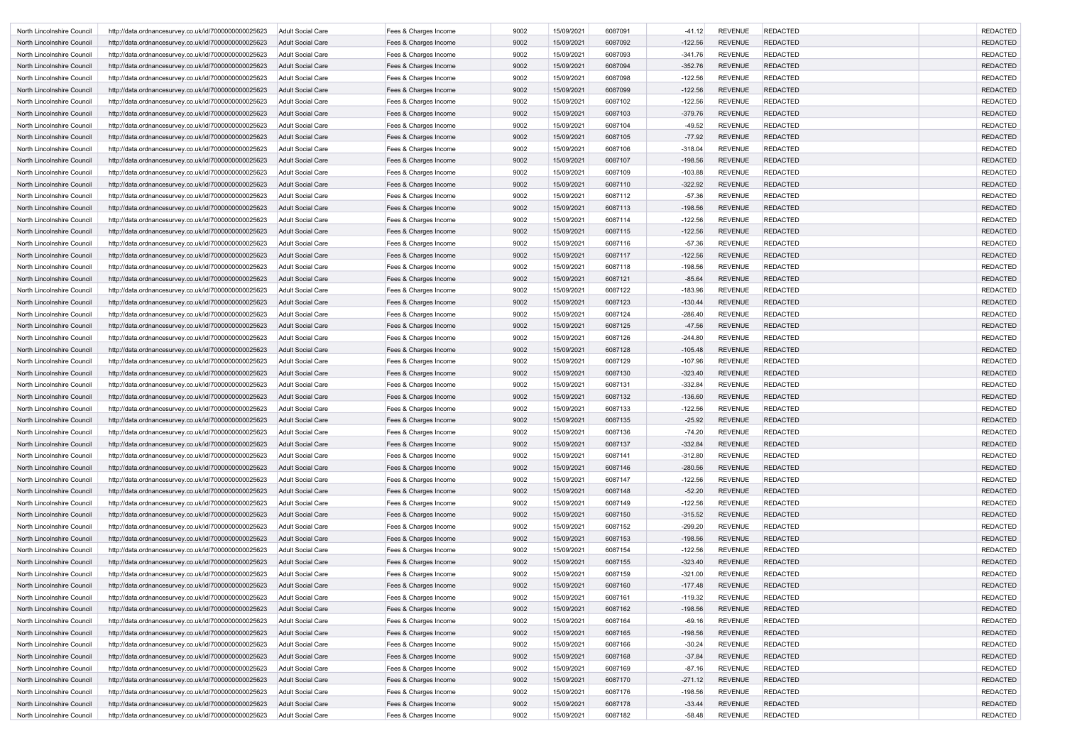| North Lincolnshire Council | http://data.ordnancesurvey.co.uk/id/7000000000025623 | Adult Social Care        | Fees & Charges Income | 9002 | 15/09/2021 | 6087091 | -41.12    | <b>REVENUE</b> | <b>REDACTED</b> | <b>REDACTED</b> |
|----------------------------|------------------------------------------------------|--------------------------|-----------------------|------|------------|---------|-----------|----------------|-----------------|-----------------|
| North Lincolnshire Council | http://data.ordnancesurvey.co.uk/id/7000000000025623 | <b>Adult Social Care</b> | Fees & Charges Income | 9002 | 15/09/2021 | 6087092 | $-122.56$ | <b>REVENUE</b> | <b>REDACTED</b> | <b>REDACTED</b> |
| North Lincolnshire Council | http://data.ordnancesurvey.co.uk/id/7000000000025623 | <b>Adult Social Care</b> | Fees & Charges Income | 9002 | 15/09/2021 | 6087093 | $-341.76$ | <b>REVENUE</b> | <b>REDACTED</b> | <b>REDACTED</b> |
| North Lincolnshire Council | http://data.ordnancesurvey.co.uk/id/7000000000025623 | <b>Adult Social Care</b> | Fees & Charges Income | 9002 | 15/09/2021 | 6087094 | $-352.76$ | <b>REVENUE</b> | <b>REDACTED</b> | <b>REDACTED</b> |
| North Lincolnshire Council | http://data.ordnancesurvey.co.uk/id/7000000000025623 | Adult Social Care        | Fees & Charges Income | 9002 | 15/09/2021 | 6087098 | $-122.56$ | <b>REVENUE</b> | <b>REDACTED</b> | <b>REDACTED</b> |
| North Lincolnshire Council | http://data.ordnancesurvey.co.uk/id/7000000000025623 | <b>Adult Social Care</b> | Fees & Charges Income | 9002 | 15/09/2021 | 6087099 | $-122.56$ | <b>REVENUE</b> | <b>REDACTED</b> | <b>REDACTED</b> |
| North Lincolnshire Council | http://data.ordnancesurvey.co.uk/id/7000000000025623 | <b>Adult Social Care</b> | Fees & Charges Income | 9002 | 15/09/2021 | 6087102 | $-122.56$ | <b>REVENUE</b> | <b>REDACTED</b> | <b>REDACTED</b> |
| North Lincolnshire Council | http://data.ordnancesurvey.co.uk/id/7000000000025623 | <b>Adult Social Care</b> | Fees & Charges Income | 9002 | 15/09/2021 | 6087103 | $-379.76$ | <b>REVENUE</b> | <b>REDACTED</b> | <b>REDACTED</b> |
| North Lincolnshire Council | http://data.ordnancesurvey.co.uk/id/7000000000025623 | Adult Social Care        | Fees & Charges Income | 9002 | 15/09/2021 | 6087104 | $-49.52$  | <b>REVENUE</b> | <b>REDACTED</b> | <b>REDACTED</b> |
| North Lincolnshire Council | http://data.ordnancesurvey.co.uk/id/7000000000025623 | <b>Adult Social Care</b> | Fees & Charges Income | 9002 | 15/09/2021 | 6087105 | $-77.92$  | <b>REVENUE</b> | <b>REDACTED</b> | <b>REDACTED</b> |
| North Lincolnshire Council | http://data.ordnancesurvey.co.uk/id/7000000000025623 | Adult Social Care        | Fees & Charges Income | 9002 | 15/09/2021 | 6087106 | $-318.04$ | <b>REVENUE</b> | <b>REDACTED</b> | <b>REDACTED</b> |
| North Lincolnshire Council | http://data.ordnancesurvey.co.uk/id/7000000000025623 | <b>Adult Social Care</b> | Fees & Charges Income | 9002 | 15/09/2021 | 6087107 | $-198.56$ | <b>REVENUE</b> | <b>REDACTED</b> | <b>REDACTED</b> |
| North Lincolnshire Council | http://data.ordnancesurvey.co.uk/id/7000000000025623 | <b>Adult Social Care</b> | Fees & Charges Income | 9002 | 15/09/2021 | 6087109 | $-103.88$ | <b>REVENUE</b> | <b>REDACTED</b> | <b>REDACTED</b> |
| North Lincolnshire Council | http://data.ordnancesurvey.co.uk/id/7000000000025623 | Adult Social Care        | Fees & Charges Income | 9002 | 15/09/2021 | 6087110 | $-322.92$ | <b>REVENUE</b> | <b>REDACTED</b> | <b>REDACTED</b> |
| North Lincolnshire Council | http://data.ordnancesurvey.co.uk/id/7000000000025623 | <b>Adult Social Care</b> | Fees & Charges Income | 9002 | 15/09/2021 | 6087112 | $-57.36$  | <b>REVENUE</b> | <b>REDACTED</b> | <b>REDACTED</b> |
| North Lincolnshire Council | http://data.ordnancesurvey.co.uk/id/7000000000025623 | Adult Social Care        | Fees & Charges Income | 9002 | 15/09/2021 | 6087113 | $-198.56$ | <b>REVENUE</b> | <b>REDACTED</b> | <b>REDACTED</b> |
| North Lincolnshire Council | http://data.ordnancesurvey.co.uk/id/7000000000025623 | <b>Adult Social Care</b> | Fees & Charges Income | 9002 | 15/09/2021 | 6087114 | $-122.56$ | <b>REVENUE</b> | <b>REDACTED</b> | <b>REDACTED</b> |
| North Lincolnshire Council | http://data.ordnancesurvey.co.uk/id/7000000000025623 | <b>Adult Social Care</b> | Fees & Charges Income | 9002 | 15/09/2021 | 6087115 | $-122.56$ | <b>REVENUE</b> | <b>REDACTED</b> | <b>REDACTED</b> |
| North Lincolnshire Council | http://data.ordnancesurvey.co.uk/id/7000000000025623 | Adult Social Care        | Fees & Charges Income | 9002 | 15/09/2021 | 6087116 | $-57.36$  | <b>REVENUE</b> | <b>REDACTED</b> | <b>REDACTED</b> |
| North Lincolnshire Council | http://data.ordnancesurvey.co.uk/id/7000000000025623 | Adult Social Care        | Fees & Charges Income | 9002 | 15/09/2021 | 6087117 | $-122.56$ | <b>REVENUE</b> | <b>REDACTED</b> | <b>REDACTED</b> |
| North Lincolnshire Council | http://data.ordnancesurvey.co.uk/id/7000000000025623 | Adult Social Care        | Fees & Charges Income | 9002 | 15/09/2021 | 6087118 | $-198.56$ | <b>REVENUE</b> | <b>REDACTED</b> | <b>REDACTED</b> |
| North Lincolnshire Council | http://data.ordnancesurvey.co.uk/id/7000000000025623 | <b>Adult Social Care</b> | Fees & Charges Income | 9002 | 15/09/2021 | 6087121 | $-85.64$  | <b>REVENUE</b> | <b>REDACTED</b> | <b>REDACTED</b> |
| North Lincolnshire Council | http://data.ordnancesurvey.co.uk/id/7000000000025623 | <b>Adult Social Care</b> | Fees & Charges Income | 9002 | 15/09/2021 | 6087122 | $-183.96$ | <b>REVENUE</b> | <b>REDACTED</b> | <b>REDACTED</b> |
| North Lincolnshire Council | http://data.ordnancesurvey.co.uk/id/7000000000025623 | Adult Social Care        | Fees & Charges Income | 9002 | 15/09/2021 | 6087123 | $-130.44$ | <b>REVENUE</b> | <b>REDACTED</b> | <b>REDACTED</b> |
| North Lincolnshire Council | http://data.ordnancesurvey.co.uk/id/7000000000025623 | <b>Adult Social Care</b> | Fees & Charges Income | 9002 | 15/09/2021 | 6087124 | $-286.40$ | <b>REVENUE</b> | <b>REDACTED</b> | <b>REDACTED</b> |
| North Lincolnshire Council | http://data.ordnancesurvey.co.uk/id/7000000000025623 | Adult Social Care        | Fees & Charges Income | 9002 | 15/09/2021 | 6087125 | $-47.56$  | <b>REVENUE</b> | <b>REDACTED</b> | <b>REDACTED</b> |
| North Lincolnshire Council | http://data.ordnancesurvey.co.uk/id/7000000000025623 | Adult Social Care        | Fees & Charges Income | 9002 | 15/09/2021 | 6087126 | $-244.80$ | <b>REVENUE</b> | <b>REDACTED</b> | <b>REDACTED</b> |
| North Lincolnshire Council | http://data.ordnancesurvey.co.uk/id/7000000000025623 | <b>Adult Social Care</b> | Fees & Charges Income | 9002 | 15/09/2021 | 6087128 | $-105.48$ | <b>REVENUE</b> | <b>REDACTED</b> | <b>REDACTED</b> |
| North Lincolnshire Council | http://data.ordnancesurvey.co.uk/id/7000000000025623 | <b>Adult Social Care</b> | Fees & Charges Income | 9002 | 15/09/2021 | 6087129 | $-107.96$ | <b>REVENUE</b> | <b>REDACTED</b> | <b>REDACTED</b> |
| North Lincolnshire Council | http://data.ordnancesurvey.co.uk/id/7000000000025623 | Adult Social Care        | Fees & Charges Income | 9002 | 15/09/2021 | 6087130 | $-323.40$ | <b>REVENUE</b> | <b>REDACTED</b> | <b>REDACTED</b> |
| North Lincolnshire Council | http://data.ordnancesurvey.co.uk/id/7000000000025623 | Adult Social Care        | Fees & Charges Income | 9002 | 15/09/2021 | 6087131 | $-332.84$ | <b>REVENUE</b> | <b>REDACTED</b> | <b>REDACTED</b> |
| North Lincolnshire Council | http://data.ordnancesurvey.co.uk/id/7000000000025623 | Adult Social Care        | Fees & Charges Income | 9002 | 15/09/2021 | 6087132 | $-136.60$ | <b>REVENUE</b> | <b>REDACTED</b> | <b>REDACTED</b> |
| North Lincolnshire Council | http://data.ordnancesurvey.co.uk/id/7000000000025623 | Adult Social Care        | Fees & Charges Income | 9002 | 15/09/2021 | 6087133 | $-122.56$ | <b>REVENUE</b> | <b>REDACTED</b> | <b>REDACTED</b> |
| North Lincolnshire Council | http://data.ordnancesurvey.co.uk/id/7000000000025623 | Adult Social Care        | Fees & Charges Income | 9002 | 15/09/2021 | 6087135 | $-25.92$  | <b>REVENUE</b> | <b>REDACTED</b> | <b>REDACTED</b> |
| North Lincolnshire Council | http://data.ordnancesurvey.co.uk/id/7000000000025623 | <b>Adult Social Care</b> | Fees & Charges Income | 9002 | 15/09/2021 | 6087136 | $-74.20$  | <b>REVENUE</b> | <b>REDACTED</b> | <b>REDACTED</b> |
| North Lincolnshire Council | http://data.ordnancesurvey.co.uk/id/7000000000025623 | Adult Social Care        | Fees & Charges Income | 9002 | 15/09/2021 | 6087137 | $-332.84$ | <b>REVENUE</b> | <b>REDACTED</b> | <b>REDACTED</b> |
| North Lincolnshire Council | http://data.ordnancesurvey.co.uk/id/7000000000025623 | Adult Social Care        | Fees & Charges Income | 9002 | 15/09/2021 | 6087141 | $-312.80$ | <b>REVENUE</b> | <b>REDACTED</b> | <b>REDACTED</b> |
| North Lincolnshire Council | http://data.ordnancesurvey.co.uk/id/7000000000025623 | Adult Social Care        | Fees & Charges Income | 9002 | 15/09/2021 | 6087146 | $-280.56$ | <b>REVENUE</b> | <b>REDACTED</b> | <b>REDACTED</b> |
| North Lincolnshire Council | http://data.ordnancesurvey.co.uk/id/7000000000025623 | <b>Adult Social Care</b> | Fees & Charges Income | 9002 | 15/09/2021 | 6087147 | $-122.56$ | <b>REVENUE</b> | <b>REDACTED</b> | <b>REDACTED</b> |
| North Lincolnshire Council | http://data.ordnancesurvey.co.uk/id/7000000000025623 | <b>Adult Social Care</b> | Fees & Charges Income | 9002 | 15/09/2021 | 6087148 | $-52.20$  | <b>REVENUE</b> | <b>REDACTED</b> | <b>REDACTED</b> |
| North Lincolnshire Council | http://data.ordnancesurvey.co.uk/id/7000000000025623 | Adult Social Care        | Fees & Charges Income | 9002 | 15/09/2021 | 6087149 | $-122.56$ | <b>REVENUE</b> | <b>REDACTED</b> | <b>REDACTED</b> |
| North Lincolnshire Council | http://data.ordnancesurvey.co.uk/id/7000000000025623 | <b>Adult Social Care</b> | Fees & Charges Income | 9002 | 15/09/2021 | 6087150 | $-315.52$ | <b>REVENUE</b> | <b>REDACTED</b> | <b>REDACTED</b> |
| North Lincolnshire Council | http://data.ordnancesurvey.co.uk/id/7000000000025623 | <b>Adult Social Care</b> | Fees & Charges Income | 9002 | 15/09/2021 | 6087152 | $-299.20$ | <b>REVENUE</b> | <b>REDACTED</b> | <b>REDACTED</b> |
| North Lincolnshire Council | http://data.ordnancesurvey.co.uk/id/7000000000025623 | <b>Adult Social Care</b> | Fees & Charges Income | 9002 | 15/09/2021 | 6087153 | $-198.56$ | <b>REVENUE</b> | <b>REDACTED</b> | <b>REDACTED</b> |
| North Lincolnshire Council | http://data.ordnancesurvey.co.uk/id/7000000000025623 | Adult Social Care        | Fees & Charges Income | 9002 | 15/09/2021 | 6087154 | $-122.56$ | <b>REVENUE</b> | <b>REDACTED</b> | <b>REDACTED</b> |
| North Lincolnshire Council | http://data.ordnancesurvey.co.uk/id/7000000000025623 | Adult Social Care        | Fees & Charges Income | 9002 | 15/09/2021 | 6087155 | $-323.40$ | <b>REVENUE</b> | <b>REDACTED</b> | <b>REDACTED</b> |
| North Lincolnshire Council | http://data.ordnancesurvey.co.uk/id/7000000000025623 | Adult Social Care        | Fees & Charges Income | 9002 | 15/09/2021 | 6087159 | $-321.00$ | <b>REVENUE</b> | <b>REDACTED</b> | <b>REDACTED</b> |
| North Lincolnshire Council | http://data.ordnancesurvey.co.uk/id/7000000000025623 | <b>Adult Social Care</b> | Fees & Charges Income | 9002 | 15/09/2021 | 6087160 | $-177.48$ | <b>REVENUE</b> | <b>REDACTED</b> | <b>REDACTED</b> |
| North Lincolnshire Council | http://data.ordnancesurvey.co.uk/id/7000000000025623 | Adult Social Care        | Fees & Charges Income | 9002 | 15/09/2021 | 6087161 | $-119.32$ | <b>REVENUE</b> | <b>REDACTED</b> | <b>REDACTED</b> |
| North Lincolnshire Council | http://data.ordnancesurvey.co.uk/id/7000000000025623 | <b>Adult Social Care</b> | Fees & Charges Income | 9002 | 15/09/2021 | 6087162 | $-198.56$ | <b>REVENUE</b> | <b>REDACTED</b> | <b>REDACTED</b> |
| North Lincolnshire Council | http://data.ordnancesurvey.co.uk/id/7000000000025623 | Adult Social Care        | Fees & Charges Income | 9002 | 15/09/2021 | 6087164 | $-69.16$  | <b>REVENUE</b> | <b>REDACTED</b> | <b>REDACTED</b> |
| North Lincolnshire Council | http://data.ordnancesurvey.co.uk/id/7000000000025623 | <b>Adult Social Care</b> | Fees & Charges Income | 9002 | 15/09/2021 | 6087165 | $-198.56$ | <b>REVENUE</b> | <b>REDACTED</b> | <b>REDACTED</b> |
| North Lincolnshire Council | http://data.ordnancesurvey.co.uk/id/7000000000025623 | <b>Adult Social Care</b> | Fees & Charges Income | 9002 | 15/09/2021 | 6087166 | $-30.24$  | <b>REVENUE</b> | <b>REDACTED</b> | <b>REDACTED</b> |
| North Lincolnshire Council | http://data.ordnancesurvey.co.uk/id/7000000000025623 | <b>Adult Social Care</b> | Fees & Charges Income | 9002 | 15/09/2021 | 6087168 | $-37.84$  | <b>REVENUE</b> | <b>REDACTED</b> | <b>REDACTED</b> |
| North Lincolnshire Council | http://data.ordnancesurvey.co.uk/id/7000000000025623 | Adult Social Care        | Fees & Charges Income | 9002 | 15/09/2021 | 6087169 | $-87.16$  | <b>REVENUE</b> | REDACTED        | <b>REDACTED</b> |
| North Lincolnshire Council | http://data.ordnancesurvey.co.uk/id/7000000000025623 | Adult Social Care        | Fees & Charges Income | 9002 | 15/09/2021 | 6087170 | $-271.12$ | <b>REVENUE</b> | <b>REDACTED</b> | <b>REDACTED</b> |
| North Lincolnshire Council | http://data.ordnancesurvey.co.uk/id/7000000000025623 | <b>Adult Social Care</b> | Fees & Charges Income | 9002 | 15/09/2021 | 6087176 | $-198.56$ | <b>REVENUE</b> | <b>REDACTED</b> | <b>REDACTED</b> |
| North Lincolnshire Council | http://data.ordnancesurvey.co.uk/id/7000000000025623 | Adult Social Care        | Fees & Charges Income | 9002 | 15/09/2021 | 6087178 | $-33.44$  | <b>REVENUE</b> | <b>REDACTED</b> | <b>REDACTED</b> |
| North Lincolnshire Council | http://data.ordnancesurvey.co.uk/id/7000000000025623 | Adult Social Care        | Fees & Charges Income | 9002 | 15/09/2021 | 6087182 | $-58.48$  | <b>REVENUE</b> | <b>REDACTED</b> | <b>REDACTED</b> |
|                            |                                                      |                          |                       |      |            |         |           |                |                 |                 |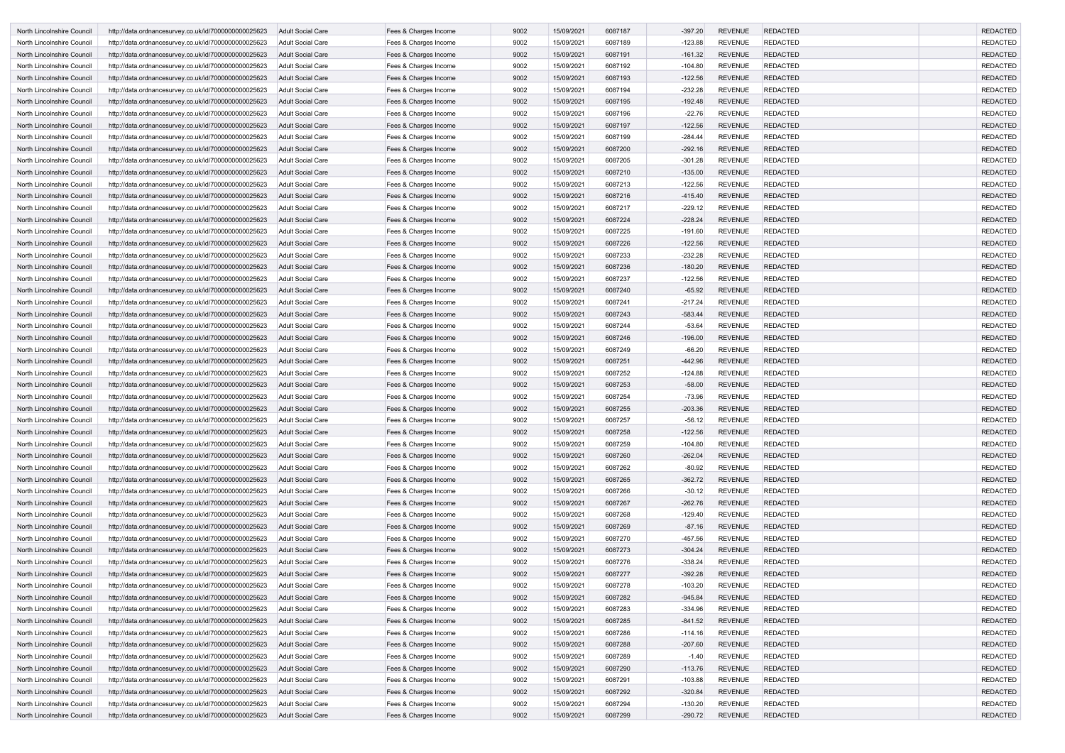| North Lincolnshire Council                               | http://data.ordnancesurvey.co.uk/id/7000000000025623                                                         | <b>Adult Social Care</b>                      | Fees & Charges Income                          | 9002         | 15/09/2021               | 6087187            | $-397.20$             | <b>REVENUE</b>                   | <b>REDACTED</b>                    | <b>REDACTED</b>                    |
|----------------------------------------------------------|--------------------------------------------------------------------------------------------------------------|-----------------------------------------------|------------------------------------------------|--------------|--------------------------|--------------------|-----------------------|----------------------------------|------------------------------------|------------------------------------|
| North Lincolnshire Council                               | http://data.ordnancesurvey.co.uk/id/7000000000025623                                                         | Adult Social Care                             | Fees & Charges Income                          | 9002         | 15/09/2021               | 6087189            | $-123.88$             | <b>REVENUE</b>                   | <b>REDACTED</b>                    | <b>REDACTED</b>                    |
| North Lincolnshire Council                               | http://data.ordnancesurvey.co.uk/id/7000000000025623                                                         | <b>Adult Social Care</b>                      | Fees & Charges Income                          | 9002         | 15/09/2021               | 6087191            | $-161.32$             | <b>REVENUE</b>                   | <b>REDACTED</b>                    | <b>REDACTED</b>                    |
| North Lincolnshire Council                               | http://data.ordnancesurvey.co.uk/id/7000000000025623                                                         | <b>Adult Social Care</b>                      | Fees & Charges Income                          | 9002         | 15/09/2021               | 6087192            | $-104.80$             | <b>REVENUE</b>                   | <b>REDACTED</b>                    | <b>REDACTED</b>                    |
| North Lincolnshire Council                               | http://data.ordnancesurvey.co.uk/id/7000000000025623                                                         | <b>Adult Social Care</b>                      | Fees & Charges Income                          | 9002         | 15/09/2021               | 6087193            | $-122.56$             | <b>REVENUE</b>                   | <b>REDACTED</b>                    | <b>REDACTED</b>                    |
| North Lincolnshire Council                               | http://data.ordnancesurvey.co.uk/id/7000000000025623                                                         | <b>Adult Social Care</b>                      | Fees & Charges Income                          | 9002         | 15/09/2021               | 6087194            | $-232.28$             | <b>REVENUE</b>                   | <b>REDACTED</b>                    | <b>REDACTED</b>                    |
| North Lincolnshire Council                               | http://data.ordnancesurvey.co.uk/id/7000000000025623                                                         | <b>Adult Social Care</b>                      | Fees & Charges Income                          | 9002         | 15/09/2021               | 6087195            | $-192.48$             | <b>REVENUE</b>                   | <b>REDACTED</b>                    | <b>REDACTED</b>                    |
| North Lincolnshire Council                               | http://data.ordnancesurvey.co.uk/id/7000000000025623                                                         | Adult Social Care                             | Fees & Charges Income                          | 9002         | 15/09/2021               | 6087196            | $-22.76$              | <b>REVENUE</b>                   | <b>REDACTED</b>                    | <b>REDACTED</b>                    |
| North Lincolnshire Council                               | http://data.ordnancesurvey.co.uk/id/7000000000025623                                                         | <b>Adult Social Care</b>                      | Fees & Charges Income                          | 9002         | 15/09/2021               | 6087197            | $-122.56$             | <b>REVENUE</b>                   | <b>REDACTED</b>                    | <b>REDACTED</b>                    |
| North Lincolnshire Council                               | http://data.ordnancesurvey.co.uk/id/7000000000025623                                                         | Adult Social Care                             | Fees & Charges Income                          | 9002         | 15/09/2021               | 6087199            | $-284.44$             | <b>REVENUE</b>                   | <b>REDACTED</b>                    | <b>REDACTED</b>                    |
| North Lincolnshire Council                               | http://data.ordnancesurvey.co.uk/id/7000000000025623                                                         | <b>Adult Social Care</b>                      | Fees & Charges Income                          | 9002         | 15/09/2021               | 6087200            | $-292.16$             | <b>REVENUE</b>                   | <b>REDACTED</b>                    | <b>REDACTED</b>                    |
| North Lincolnshire Council                               | http://data.ordnancesurvey.co.uk/id/7000000000025623                                                         | Adult Social Care                             | Fees & Charges Income                          | 9002         | 15/09/2021               | 6087205            | $-301.28$             | <b>REVENUE</b>                   | <b>REDACTED</b>                    | <b>REDACTED</b>                    |
| North Lincolnshire Council                               | http://data.ordnancesurvey.co.uk/id/7000000000025623                                                         | <b>Adult Social Care</b>                      | Fees & Charges Income                          | 9002         | 15/09/2021               | 6087210            | $-135.00$             | <b>REVENUE</b>                   | <b>REDACTED</b>                    | <b>REDACTED</b>                    |
| North Lincolnshire Council                               | http://data.ordnancesurvey.co.uk/id/7000000000025623                                                         | <b>Adult Social Care</b>                      | Fees & Charges Income                          | 9002         | 15/09/2021               | 6087213            | $-122.56$             | <b>REVENUE</b>                   | <b>REDACTED</b>                    | <b>REDACTED</b>                    |
| North Lincolnshire Council                               | http://data.ordnancesurvey.co.uk/id/7000000000025623                                                         | <b>Adult Social Care</b>                      | Fees & Charges Income                          | 9002         | 15/09/2021               | 6087216            | $-415.40$             | <b>REVENUE</b>                   | <b>REDACTED</b>                    | <b>REDACTED</b>                    |
| North Lincolnshire Council                               | http://data.ordnancesurvey.co.uk/id/7000000000025623                                                         | <b>Adult Social Care</b>                      | Fees & Charges Income                          | 9002         | 15/09/2021               | 6087217            | $-229.12$             | <b>REVENUE</b>                   | <b>REDACTED</b>                    | <b>REDACTED</b>                    |
| <b>North Lincolnshire Council</b>                        | http://data.ordnancesurvey.co.uk/id/7000000000025623                                                         | <b>Adult Social Care</b>                      | Fees & Charges Income                          | 9002         | 15/09/2021               | 6087224            | $-228.24$             | <b>REVENUE</b>                   | <b>REDACTED</b>                    | <b>REDACTED</b>                    |
| North Lincolnshire Council                               | http://data.ordnancesurvey.co.uk/id/7000000000025623                                                         | Adult Social Care                             | Fees & Charges Income                          | 9002         | 15/09/2021               | 6087225            | $-191.60$             | <b>REVENUE</b>                   | <b>REDACTED</b>                    | <b>REDACTED</b>                    |
| North Lincolnshire Council                               | http://data.ordnancesurvey.co.uk/id/7000000000025623                                                         | <b>Adult Social Care</b>                      | Fees & Charges Income                          | 9002         | 15/09/2021               | 6087226            | $-122.56$             | <b>REVENUE</b>                   | <b>REDACTED</b>                    | <b>REDACTED</b>                    |
| North Lincolnshire Council                               | http://data.ordnancesurvey.co.uk/id/7000000000025623                                                         | Adult Social Care                             | Fees & Charges Income                          | 9002         | 15/09/2021               | 6087233            | $-232.28$             | <b>REVENUE</b>                   | <b>REDACTED</b>                    | <b>REDACTED</b>                    |
| North Lincolnshire Council                               | http://data.ordnancesurvey.co.uk/id/7000000000025623                                                         | <b>Adult Social Care</b>                      | Fees & Charges Income                          | 9002         | 15/09/2021               | 6087236            | $-180.20$             | <b>REVENUE</b>                   | <b>REDACTED</b>                    | <b>REDACTED</b>                    |
| North Lincolnshire Council                               | http://data.ordnancesurvey.co.uk/id/7000000000025623                                                         | Adult Social Care                             | Fees & Charges Income                          | 9002         | 15/09/2021               | 6087237            | $-122.56$             | <b>REVENUE</b>                   | <b>REDACTED</b>                    | <b>REDACTED</b>                    |
| North Lincolnshire Council                               | http://data.ordnancesurvey.co.uk/id/7000000000025623                                                         | <b>Adult Social Care</b>                      | Fees & Charges Income                          | 9002         | 15/09/2021               | 6087240            | $-65.92$              | <b>REVENUE</b>                   | <b>REDACTED</b>                    | <b>REDACTED</b>                    |
| North Lincolnshire Council                               | http://data.ordnancesurvey.co.uk/id/7000000000025623                                                         | <b>Adult Social Care</b>                      | Fees & Charges Income                          | 9002         | 15/09/2021               | 6087241            | $-217.24$             | <b>REVENUE</b>                   | <b>REDACTED</b>                    | <b>REDACTED</b>                    |
| North Lincolnshire Council                               | http://data.ordnancesurvey.co.uk/id/7000000000025623                                                         | <b>Adult Social Care</b>                      | Fees & Charges Income                          | 9002         | 15/09/2021               | 6087243            | $-583.44$             | <b>REVENUE</b>                   | <b>REDACTED</b>                    | <b>REDACTED</b>                    |
| North Lincolnshire Council                               | http://data.ordnancesurvey.co.uk/id/7000000000025623                                                         | <b>Adult Social Care</b>                      | Fees & Charges Income                          | 9002         | 15/09/2021               | 6087244            | $-53.64$              | <b>REVENUE</b>                   | <b>REDACTED</b>                    | <b>REDACTED</b>                    |
| North Lincolnshire Council                               | http://data.ordnancesurvey.co.uk/id/7000000000025623                                                         | <b>Adult Social Care</b>                      | Fees & Charges Income                          | 9002         | 15/09/2021               | 6087246            | $-196.00$             | <b>REVENUE</b>                   | <b>REDACTED</b>                    | <b>REDACTED</b>                    |
| North Lincolnshire Council                               | http://data.ordnancesurvey.co.uk/id/7000000000025623                                                         | Adult Social Care                             | Fees & Charges Income                          | 9002         | 15/09/2021               | 6087249            | $-66.20$              | <b>REVENUE</b>                   | <b>REDACTED</b>                    | <b>REDACTED</b>                    |
| North Lincolnshire Council                               | http://data.ordnancesurvey.co.uk/id/7000000000025623                                                         | <b>Adult Social Care</b>                      | Fees & Charges Income                          | 9002         | 15/09/2021               | 6087251            | $-442.96$             | <b>REVENUE</b>                   | <b>REDACTED</b>                    | <b>REDACTED</b>                    |
| North Lincolnshire Council                               | http://data.ordnancesurvey.co.uk/id/7000000000025623                                                         | Adult Social Care                             | Fees & Charges Income                          | 9002         | 15/09/2021               | 6087252            | $-124.88$             | <b>REVENUE</b>                   | <b>REDACTED</b>                    | <b>REDACTED</b>                    |
| North Lincolnshire Council                               | http://data.ordnancesurvey.co.uk/id/7000000000025623                                                         | <b>Adult Social Care</b>                      | Fees & Charges Income                          | 9002         | 15/09/2021               | 6087253            | $-58.00$              | <b>REVENUE</b>                   | <b>REDACTED</b>                    | <b>REDACTED</b>                    |
| North Lincolnshire Council                               | http://data.ordnancesurvey.co.uk/id/7000000000025623                                                         | Adult Social Care                             | Fees & Charges Income                          | 9002         | 15/09/2021               | 6087254            | $-73.96$              | <b>REVENUE</b>                   | <b>REDACTED</b>                    | <b>REDACTED</b>                    |
| North Lincolnshire Council                               | http://data.ordnancesurvey.co.uk/id/7000000000025623                                                         | <b>Adult Social Care</b>                      | Fees & Charges Income                          | 9002         | 15/09/2021               | 6087255            | $-203.36$             | <b>REVENUE</b>                   | <b>REDACTED</b>                    | <b>REDACTED</b>                    |
| North Lincolnshire Council                               | http://data.ordnancesurvey.co.uk/id/7000000000025623                                                         | Adult Social Care                             | Fees & Charges Income                          | 9002         | 15/09/2021               | 6087257            | $-56.12$              | <b>REVENUE</b>                   | <b>REDACTED</b>                    | <b>REDACTED</b>                    |
| North Lincolnshire Council                               | http://data.ordnancesurvey.co.uk/id/7000000000025623                                                         | <b>Adult Social Care</b>                      | Fees & Charges Income                          | 9002         | 15/09/2021               | 6087258            | $-122.56$             | <b>REVENUE</b>                   | <b>REDACTED</b>                    | <b>REDACTED</b>                    |
| North Lincolnshire Council                               | http://data.ordnancesurvey.co.uk/id/7000000000025623                                                         | Adult Social Care                             | Fees & Charges Income                          | 9002         | 15/09/2021               | 6087259            | $-104.80$             | <b>REVENUE</b>                   | <b>REDACTED</b>                    | <b>REDACTED</b>                    |
| North Lincolnshire Council                               | http://data.ordnancesurvey.co.uk/id/7000000000025623                                                         | <b>Adult Social Care</b>                      | Fees & Charges Income<br>Fees & Charges Income | 9002         | 15/09/2021<br>15/09/2021 | 6087260<br>6087262 | $-262.04$             | <b>REVENUE</b><br><b>REVENUE</b> | <b>REDACTED</b><br><b>REDACTED</b> | <b>REDACTED</b><br><b>REDACTED</b> |
| North Lincolnshire Council<br>North Lincolnshire Council | http://data.ordnancesurvey.co.uk/id/7000000000025623                                                         | Adult Social Care                             | Fees & Charges Income                          | 9002         | 15/09/2021               | 6087265            | $-80.92$              | <b>REVENUE</b>                   | <b>REDACTED</b>                    | <b>REDACTED</b>                    |
|                                                          | http://data.ordnancesurvey.co.uk/id/7000000000025623<br>http://data.ordnancesurvey.co.uk/id/7000000000025623 | <b>Adult Social Care</b><br>Adult Social Care | Fees & Charges Income                          | 9002<br>9002 | 15/09/2021               | 6087266            | $-362.72$<br>$-30.12$ | <b>REVENUE</b>                   | <b>REDACTED</b>                    | <b>REDACTED</b>                    |
| North Lincolnshire Council<br>North Lincolnshire Council | http://data.ordnancesurvey.co.uk/id/7000000000025623                                                         | <b>Adult Social Care</b>                      | Fees & Charges Income                          | 9002         | 15/09/2021               | 6087267            | $-262.76$             | <b>REVENUE</b>                   | <b>REDACTED</b>                    | <b>REDACTED</b>                    |
| North Lincolnshire Council                               | http://data.ordnancesurvey.co.uk/id/7000000000025623                                                         | Adult Social Care                             | Fees & Charges Income                          | 9002         | 15/09/2021               | 6087268            | $-129.40$             | <b>REVENUE</b>                   | <b>REDACTED</b>                    | <b>REDACTED</b>                    |
| North Lincolnshire Council                               | http://data.ordnancesurvey.co.uk/id/7000000000025623                                                         | <b>Adult Social Care</b>                      | Fees & Charges Income                          | 9002         | 15/09/2021               | 6087269            | $-87.16$              | <b>REVENUE</b>                   | <b>REDACTED</b>                    | <b>REDACTED</b>                    |
| North Lincolnshire Council                               | http://data.ordnancesurvey.co.uk/id/7000000000025623                                                         | <b>Adult Social Care</b>                      | Fees & Charges Income                          | 9002         | 15/09/2021               | 6087270            | $-457.56$             | <b>REVENUE</b>                   | <b>REDACTED</b>                    | <b>REDACTED</b>                    |
| North Lincolnshire Council                               | http://data.ordnancesurvey.co.uk/id/7000000000025623                                                         | <b>Adult Social Care</b>                      | Fees & Charges Income                          | 9002         | 15/09/2021               | 6087273            | $-304.24$             | <b>REVENUE</b>                   | <b>REDACTED</b>                    | <b>REDACTED</b>                    |
| North Lincolnshire Council                               | http://data.ordnancesurvey.co.uk/id/7000000000025623                                                         | Adult Social Care                             | Fees & Charges Income                          | 9002         | 15/09/2021               | 6087276            | $-338.24$             | <b>REVENUE</b>                   | <b>REDACTED</b>                    | <b>REDACTED</b>                    |
| North Lincolnshire Council                               | http://data.ordnancesurvey.co.uk/id/7000000000025623                                                         | <b>Adult Social Care</b>                      | Fees & Charges Income                          | 9002         | 15/09/2021               | 6087277            | $-392.28$             | <b>REVENUE</b>                   | <b>REDACTED</b>                    | <b>REDACTED</b>                    |
| North Lincolnshire Council                               | http://data.ordnancesurvey.co.uk/id/7000000000025623                                                         | <b>Adult Social Care</b>                      | Fees & Charges Income                          | 9002         | 15/09/2021               | 6087278            | $-103.20$             | <b>REVENUE</b>                   | <b>REDACTED</b>                    | <b>REDACTED</b>                    |
| North Lincolnshire Council                               | http://data.ordnancesurvey.co.uk/id/7000000000025623                                                         | <b>Adult Social Care</b>                      | Fees & Charges Income                          | 9002         | 15/09/2021               | 6087282            | $-945.84$             | <b>REVENUE</b>                   | <b>REDACTED</b>                    | <b>REDACTED</b>                    |
| North Lincolnshire Council                               | http://data.ordnancesurvey.co.uk/id/7000000000025623                                                         | Adult Social Care                             | Fees & Charges Income                          | 9002         | 15/09/2021               | 6087283            | $-334.96$             | <b>REVENUE</b>                   | <b>REDACTED</b>                    | <b>REDACTED</b>                    |
| North Lincolnshire Council                               | http://data.ordnancesurvey.co.uk/id/7000000000025623                                                         | <b>Adult Social Care</b>                      | Fees & Charges Income                          | 9002         | 15/09/2021               | 6087285            | $-841.52$             | <b>REVENUE</b>                   | <b>REDACTED</b>                    | <b>REDACTED</b>                    |
| North Lincolnshire Council                               | http://data.ordnancesurvey.co.uk/id/7000000000025623                                                         | Adult Social Care                             | Fees & Charges Income                          | 9002         | 15/09/2021               | 6087286            | $-114.16$             | <b>REVENUE</b>                   | <b>REDACTED</b>                    | <b>REDACTED</b>                    |
| North Lincolnshire Council                               | http://data.ordnancesurvey.co.uk/id/7000000000025623                                                         | <b>Adult Social Care</b>                      | Fees & Charges Income                          | 9002         | 15/09/2021               | 6087288            | $-207.60$             | <b>REVENUE</b>                   | <b>REDACTED</b>                    | <b>REDACTED</b>                    |
| North Lincolnshire Council                               | http://data.ordnancesurvey.co.uk/id/7000000000025623                                                         | <b>Adult Social Care</b>                      | Fees & Charges Income                          | 9002         | 15/09/2021               | 6087289            | $-1.40$               | <b>REVENUE</b>                   | <b>REDACTED</b>                    | <b>REDACTED</b>                    |
| North Lincolnshire Council                               | http://data.ordnancesurvey.co.uk/id/7000000000025623                                                         | <b>Adult Social Care</b>                      | Fees & Charges Income                          | 9002         | 15/09/2021               | 6087290            | $-113.76$             | <b>REVENUE</b>                   | <b>REDACTED</b>                    | <b>REDACTED</b>                    |
| North Lincolnshire Council                               | http://data.ordnancesurvey.co.uk/id/7000000000025623                                                         | Adult Social Care                             | Fees & Charges Income                          | 9002         | 15/09/2021               | 6087291            | $-103.88$             | <b>REVENUE</b>                   | <b>REDACTED</b>                    | <b>REDACTED</b>                    |
| North Lincolnshire Council                               | http://data.ordnancesurvey.co.uk/id/7000000000025623                                                         | <b>Adult Social Care</b>                      | Fees & Charges Income                          | 9002         | 15/09/2021               | 6087292            | $-320.84$             | <b>REVENUE</b>                   | <b>REDACTED</b>                    | <b>REDACTED</b>                    |
| North Lincolnshire Council                               | http://data.ordnancesurvey.co.uk/id/7000000000025623                                                         | <b>Adult Social Care</b>                      | Fees & Charges Income                          | 9002         | 15/09/2021               | 6087294            | $-130.20$             | <b>REVENUE</b>                   | <b>REDACTED</b>                    | <b>REDACTED</b>                    |
| North Lincolnshire Council                               | http://data.ordnancesurvey.co.uk/id/7000000000025623                                                         | Adult Social Care                             | Fees & Charges Income                          | 9002         | 15/09/2021               | 6087299            | $-290.72$             | <b>REVENUE</b>                   | <b>REDACTED</b>                    | <b>REDACTED</b>                    |
|                                                          |                                                                                                              |                                               |                                                |              |                          |                    |                       |                                  |                                    |                                    |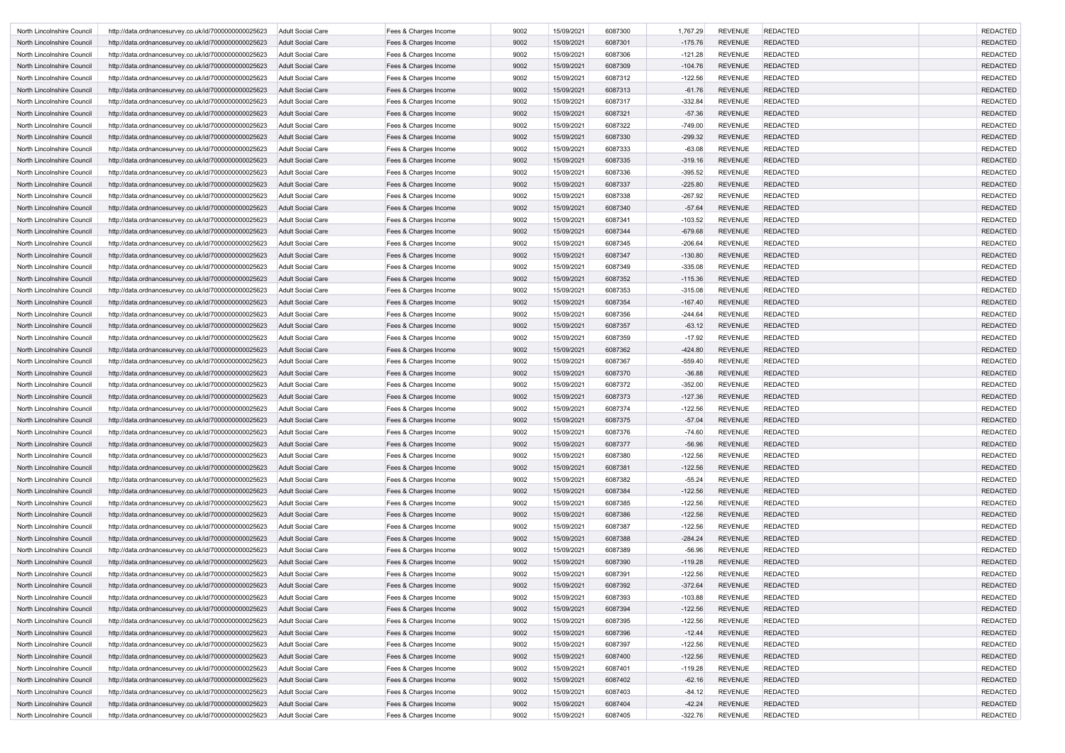| North Lincolnshire Council | http://data.ordnancesurvey.co.uk/id/7000000000025623 | Adult Social Care        | Fees & Charges Income | 9002 | 15/09/2021 | 6087300 | 1,767.29  | <b>REVENUE</b> | <b>REDACTED</b> | <b>REDACTED</b> |
|----------------------------|------------------------------------------------------|--------------------------|-----------------------|------|------------|---------|-----------|----------------|-----------------|-----------------|
| North Lincolnshire Council | http://data.ordnancesurvey.co.uk/id/7000000000025623 | <b>Adult Social Care</b> | Fees & Charges Income | 9002 | 15/09/2021 | 6087301 | $-175.76$ | <b>REVENUE</b> | <b>REDACTED</b> | <b>REDACTED</b> |
| North Lincolnshire Council | http://data.ordnancesurvey.co.uk/id/7000000000025623 | <b>Adult Social Care</b> | Fees & Charges Income | 9002 | 15/09/2021 | 6087306 | $-121.28$ | <b>REVENUE</b> | <b>REDACTED</b> | <b>REDACTED</b> |
| North Lincolnshire Council | http://data.ordnancesurvey.co.uk/id/7000000000025623 | <b>Adult Social Care</b> | Fees & Charges Income | 9002 | 15/09/2021 | 6087309 | $-104.76$ | <b>REVENUE</b> | <b>REDACTED</b> | <b>REDACTED</b> |
| North Lincolnshire Council | http://data.ordnancesurvey.co.uk/id/7000000000025623 | Adult Social Care        | Fees & Charges Income | 9002 | 15/09/2021 | 6087312 | $-122.56$ | <b>REVENUE</b> | <b>REDACTED</b> | <b>REDACTED</b> |
| North Lincolnshire Council | http://data.ordnancesurvey.co.uk/id/7000000000025623 | <b>Adult Social Care</b> | Fees & Charges Income | 9002 | 15/09/2021 | 6087313 | $-61.76$  | <b>REVENUE</b> | <b>REDACTED</b> | <b>REDACTED</b> |
| North Lincolnshire Council | http://data.ordnancesurvey.co.uk/id/7000000000025623 | <b>Adult Social Care</b> | Fees & Charges Income | 9002 | 15/09/2021 | 6087317 | $-332.84$ | <b>REVENUE</b> | <b>REDACTED</b> | <b>REDACTED</b> |
| North Lincolnshire Council | http://data.ordnancesurvey.co.uk/id/7000000000025623 | <b>Adult Social Care</b> | Fees & Charges Income | 9002 | 15/09/2021 | 6087321 | $-57.36$  | <b>REVENUE</b> | <b>REDACTED</b> | <b>REDACTED</b> |
| North Lincolnshire Council | http://data.ordnancesurvey.co.uk/id/7000000000025623 | Adult Social Care        | Fees & Charges Income | 9002 | 15/09/2021 | 6087322 | $-749.00$ | <b>REVENUE</b> | <b>REDACTED</b> | <b>REDACTED</b> |
| North Lincolnshire Council | http://data.ordnancesurvey.co.uk/id/7000000000025623 | <b>Adult Social Care</b> | Fees & Charges Income | 9002 | 15/09/2021 | 6087330 | $-299.32$ | <b>REVENUE</b> | <b>REDACTED</b> | <b>REDACTED</b> |
| North Lincolnshire Council | http://data.ordnancesurvey.co.uk/id/7000000000025623 | Adult Social Care        | Fees & Charges Income | 9002 | 15/09/2021 | 6087333 | $-63.08$  | <b>REVENUE</b> | <b>REDACTED</b> | <b>REDACTED</b> |
| North Lincolnshire Council | http://data.ordnancesurvey.co.uk/id/7000000000025623 | <b>Adult Social Care</b> | Fees & Charges Income | 9002 | 15/09/2021 | 6087335 | $-319.16$ | <b>REVENUE</b> | <b>REDACTED</b> | <b>REDACTED</b> |
| North Lincolnshire Council | http://data.ordnancesurvey.co.uk/id/7000000000025623 | <b>Adult Social Care</b> | Fees & Charges Income | 9002 | 15/09/2021 | 6087336 | $-395.52$ | <b>REVENUE</b> | <b>REDACTED</b> | <b>REDACTED</b> |
| North Lincolnshire Council | http://data.ordnancesurvey.co.uk/id/7000000000025623 | <b>Adult Social Care</b> | Fees & Charges Income | 9002 | 15/09/2021 | 6087337 | $-225.80$ | <b>REVENUE</b> | <b>REDACTED</b> | <b>REDACTED</b> |
| North Lincolnshire Council | http://data.ordnancesurvey.co.uk/id/7000000000025623 | <b>Adult Social Care</b> | Fees & Charges Income | 9002 | 15/09/2021 | 6087338 | $-267.92$ | <b>REVENUE</b> | <b>REDACTED</b> | <b>REDACTED</b> |
| North Lincolnshire Council | http://data.ordnancesurvey.co.uk/id/7000000000025623 | Adult Social Care        | Fees & Charges Income | 9002 | 15/09/2021 | 6087340 | $-57.64$  | <b>REVENUE</b> | <b>REDACTED</b> | <b>REDACTED</b> |
| North Lincolnshire Council | http://data.ordnancesurvey.co.uk/id/7000000000025623 | <b>Adult Social Care</b> | Fees & Charges Income | 9002 | 15/09/2021 | 6087341 | $-103.52$ | <b>REVENUE</b> | <b>REDACTED</b> | <b>REDACTED</b> |
| North Lincolnshire Council | http://data.ordnancesurvey.co.uk/id/7000000000025623 | <b>Adult Social Care</b> | Fees & Charges Income | 9002 | 15/09/2021 | 6087344 | $-679.68$ | <b>REVENUE</b> | <b>REDACTED</b> | <b>REDACTED</b> |
| North Lincolnshire Council | http://data.ordnancesurvey.co.uk/id/7000000000025623 | Adult Social Care        | Fees & Charges Income | 9002 | 15/09/2021 | 6087345 | $-206.64$ | <b>REVENUE</b> | <b>REDACTED</b> | <b>REDACTED</b> |
| North Lincolnshire Council | http://data.ordnancesurvey.co.uk/id/7000000000025623 | <b>Adult Social Care</b> | Fees & Charges Income | 9002 | 15/09/2021 | 6087347 | $-130.80$ | <b>REVENUE</b> | <b>REDACTED</b> | <b>REDACTED</b> |
| North Lincolnshire Council | http://data.ordnancesurvey.co.uk/id/7000000000025623 | Adult Social Care        | Fees & Charges Income | 9002 | 15/09/2021 | 6087349 | $-335.08$ | <b>REVENUE</b> | <b>REDACTED</b> | <b>REDACTED</b> |
| North Lincolnshire Council | http://data.ordnancesurvey.co.uk/id/7000000000025623 | <b>Adult Social Care</b> | Fees & Charges Income | 9002 | 15/09/2021 | 6087352 | $-115.36$ | <b>REVENUE</b> | <b>REDACTED</b> | <b>REDACTED</b> |
| North Lincolnshire Council | http://data.ordnancesurvey.co.uk/id/7000000000025623 | <b>Adult Social Care</b> | Fees & Charges Income | 9002 | 15/09/2021 | 6087353 | $-315.08$ | <b>REVENUE</b> | <b>REDACTED</b> | <b>REDACTED</b> |
| North Lincolnshire Council | http://data.ordnancesurvey.co.uk/id/7000000000025623 | <b>Adult Social Care</b> | Fees & Charges Income | 9002 | 15/09/2021 | 6087354 | $-167.40$ | <b>REVENUE</b> | <b>REDACTED</b> | <b>REDACTED</b> |
| North Lincolnshire Council | http://data.ordnancesurvey.co.uk/id/7000000000025623 | <b>Adult Social Care</b> | Fees & Charges Income | 9002 | 15/09/2021 | 6087356 | $-244.64$ | <b>REVENUE</b> | <b>REDACTED</b> | <b>REDACTED</b> |
| North Lincolnshire Council | http://data.ordnancesurvey.co.uk/id/7000000000025623 | Adult Social Care        | Fees & Charges Income | 9002 | 15/09/2021 | 6087357 | $-63.12$  | <b>REVENUE</b> | <b>REDACTED</b> | <b>REDACTED</b> |
| North Lincolnshire Council | http://data.ordnancesurvey.co.uk/id/7000000000025623 | Adult Social Care        | Fees & Charges Income | 9002 | 15/09/2021 | 6087359 | $-17.92$  | <b>REVENUE</b> | <b>REDACTED</b> | <b>REDACTED</b> |
| North Lincolnshire Council | http://data.ordnancesurvey.co.uk/id/7000000000025623 | <b>Adult Social Care</b> | Fees & Charges Income | 9002 | 15/09/2021 | 6087362 | $-424.80$ | <b>REVENUE</b> | <b>REDACTED</b> | <b>REDACTED</b> |
| North Lincolnshire Council | http://data.ordnancesurvey.co.uk/id/7000000000025623 | <b>Adult Social Care</b> | Fees & Charges Income | 9002 | 15/09/2021 | 6087367 | $-559.40$ | <b>REVENUE</b> | <b>REDACTED</b> | <b>REDACTED</b> |
| North Lincolnshire Council | http://data.ordnancesurvey.co.uk/id/7000000000025623 | <b>Adult Social Care</b> | Fees & Charges Income | 9002 | 15/09/2021 | 6087370 | $-36.88$  | <b>REVENUE</b> | <b>REDACTED</b> | <b>REDACTED</b> |
| North Lincolnshire Council | http://data.ordnancesurvey.co.uk/id/7000000000025623 | Adult Social Care        | Fees & Charges Income | 9002 | 15/09/2021 | 6087372 | $-352.00$ | <b>REVENUE</b> | <b>REDACTED</b> | <b>REDACTED</b> |
| North Lincolnshire Council | http://data.ordnancesurvey.co.uk/id/7000000000025623 | <b>Adult Social Care</b> | Fees & Charges Income | 9002 | 15/09/2021 | 6087373 | $-127.36$ | <b>REVENUE</b> | <b>REDACTED</b> | <b>REDACTED</b> |
| North Lincolnshire Council | http://data.ordnancesurvey.co.uk/id/7000000000025623 | Adult Social Care        | Fees & Charges Income | 9002 | 15/09/2021 | 6087374 | $-122.56$ | <b>REVENUE</b> | <b>REDACTED</b> | <b>REDACTED</b> |
| North Lincolnshire Council | http://data.ordnancesurvey.co.uk/id/7000000000025623 | Adult Social Care        | Fees & Charges Income | 9002 | 15/09/2021 | 6087375 | $-57.04$  | <b>REVENUE</b> | <b>REDACTED</b> | <b>REDACTED</b> |
| North Lincolnshire Council | http://data.ordnancesurvey.co.uk/id/7000000000025623 | <b>Adult Social Care</b> | Fees & Charges Income | 9002 | 15/09/2021 | 6087376 | $-74.60$  | <b>REVENUE</b> | <b>REDACTED</b> | <b>REDACTED</b> |
| North Lincolnshire Council | http://data.ordnancesurvey.co.uk/id/7000000000025623 | Adult Social Care        | Fees & Charges Income | 9002 | 15/09/2021 | 6087377 | $-56.96$  | <b>REVENUE</b> | <b>REDACTED</b> | <b>REDACTED</b> |
| North Lincolnshire Council | http://data.ordnancesurvey.co.uk/id/7000000000025623 | Adult Social Care        | Fees & Charges Income | 9002 | 15/09/2021 | 6087380 | $-122.56$ | <b>REVENUE</b> | <b>REDACTED</b> | <b>REDACTED</b> |
| North Lincolnshire Council | http://data.ordnancesurvey.co.uk/id/7000000000025623 | Adult Social Care        | Fees & Charges Income | 9002 | 15/09/2021 | 6087381 | $-122.56$ | <b>REVENUE</b> | <b>REDACTED</b> | <b>REDACTED</b> |
| North Lincolnshire Council | http://data.ordnancesurvey.co.uk/id/7000000000025623 | <b>Adult Social Care</b> | Fees & Charges Income | 9002 | 15/09/2021 | 6087382 | $-55.24$  | <b>REVENUE</b> | <b>REDACTED</b> | <b>REDACTED</b> |
| North Lincolnshire Council | http://data.ordnancesurvey.co.uk/id/7000000000025623 | <b>Adult Social Care</b> | Fees & Charges Income | 9002 | 15/09/2021 | 6087384 | $-122.56$ | <b>REVENUE</b> | <b>REDACTED</b> | <b>REDACTED</b> |
| North Lincolnshire Council | http://data.ordnancesurvey.co.uk/id/7000000000025623 | Adult Social Care        | Fees & Charges Income | 9002 | 15/09/2021 | 6087385 | $-122.56$ | <b>REVENUE</b> | <b>REDACTED</b> | <b>REDACTED</b> |
| North Lincolnshire Council | http://data.ordnancesurvey.co.uk/id/7000000000025623 | <b>Adult Social Care</b> | Fees & Charges Income | 9002 | 15/09/2021 | 6087386 | $-122.56$ | <b>REVENUE</b> | <b>REDACTED</b> | <b>REDACTED</b> |
| North Lincolnshire Council | http://data.ordnancesurvey.co.uk/id/7000000000025623 | <b>Adult Social Care</b> | Fees & Charges Income | 9002 | 15/09/2021 | 6087387 | $-122.56$ | <b>REVENUE</b> | <b>REDACTED</b> | <b>REDACTED</b> |
| North Lincolnshire Council | http://data.ordnancesurvey.co.uk/id/7000000000025623 | <b>Adult Social Care</b> | Fees & Charges Income | 9002 | 15/09/2021 | 6087388 | $-284.24$ | <b>REVENUE</b> | <b>REDACTED</b> | <b>REDACTED</b> |
| North Lincolnshire Council | http://data.ordnancesurvey.co.uk/id/7000000000025623 | Adult Social Care        | Fees & Charges Income | 9002 | 15/09/2021 | 6087389 | $-56.96$  | <b>REVENUE</b> | <b>REDACTED</b> | <b>REDACTED</b> |
| North Lincolnshire Council | http://data.ordnancesurvey.co.uk/id/7000000000025623 | Adult Social Care        | Fees & Charges Income | 9002 | 15/09/2021 | 6087390 | $-119.28$ | <b>REVENUE</b> | <b>REDACTED</b> | <b>REDACTED</b> |
| North Lincolnshire Council | http://data.ordnancesurvey.co.uk/id/7000000000025623 | Adult Social Care        | Fees & Charges Income | 9002 | 15/09/2021 | 6087391 | $-122.56$ | <b>REVENUE</b> | <b>REDACTED</b> | <b>REDACTED</b> |
| North Lincolnshire Council | http://data.ordnancesurvey.co.uk/id/7000000000025623 | <b>Adult Social Care</b> | Fees & Charges Income | 9002 | 15/09/2021 | 6087392 | $-372.64$ | <b>REVENUE</b> | <b>REDACTED</b> | <b>REDACTED</b> |
| North Lincolnshire Council | http://data.ordnancesurvey.co.uk/id/7000000000025623 | Adult Social Care        | Fees & Charges Income | 9002 | 15/09/2021 | 6087393 | $-103.88$ | <b>REVENUE</b> | <b>REDACTED</b> | <b>REDACTED</b> |
| North Lincolnshire Council | http://data.ordnancesurvey.co.uk/id/7000000000025623 | <b>Adult Social Care</b> | Fees & Charges Income | 9002 | 15/09/2021 | 6087394 | $-122.56$ | <b>REVENUE</b> | <b>REDACTED</b> | <b>REDACTED</b> |
| North Lincolnshire Council | http://data.ordnancesurvey.co.uk/id/7000000000025623 | Adult Social Care        | Fees & Charges Income | 9002 | 15/09/2021 | 6087395 | $-122.56$ | <b>REVENUE</b> | <b>REDACTED</b> | <b>REDACTED</b> |
| North Lincolnshire Council | http://data.ordnancesurvey.co.uk/id/7000000000025623 | <b>Adult Social Care</b> | Fees & Charges Income | 9002 | 15/09/2021 | 6087396 | $-12.44$  | <b>REVENUE</b> | <b>REDACTED</b> | <b>REDACTED</b> |
| North Lincolnshire Council | http://data.ordnancesurvey.co.uk/id/7000000000025623 | <b>Adult Social Care</b> | Fees & Charges Income | 9002 | 15/09/2021 | 6087397 | $-122.56$ | <b>REVENUE</b> | <b>REDACTED</b> | <b>REDACTED</b> |
| North Lincolnshire Council | http://data.ordnancesurvey.co.uk/id/7000000000025623 | <b>Adult Social Care</b> | Fees & Charges Income | 9002 | 15/09/2021 | 6087400 | $-122.56$ | <b>REVENUE</b> | <b>REDACTED</b> | <b>REDACTED</b> |
| North Lincolnshire Council | http://data.ordnancesurvey.co.uk/id/7000000000025623 | Adult Social Care        | Fees & Charges Income | 9002 | 15/09/2021 | 6087401 | $-119.28$ | <b>REVENUE</b> | REDACTED        | <b>REDACTED</b> |
| North Lincolnshire Council | http://data.ordnancesurvey.co.uk/id/7000000000025623 | Adult Social Care        | Fees & Charges Income | 9002 | 15/09/2021 | 6087402 | $-62.16$  | <b>REVENUE</b> | <b>REDACTED</b> | <b>REDACTED</b> |
| North Lincolnshire Council | http://data.ordnancesurvey.co.uk/id/7000000000025623 | <b>Adult Social Care</b> | Fees & Charges Income | 9002 | 15/09/2021 | 6087403 | $-84.12$  | <b>REVENUE</b> | <b>REDACTED</b> | <b>REDACTED</b> |
| North Lincolnshire Council | http://data.ordnancesurvey.co.uk/id/7000000000025623 | Adult Social Care        | Fees & Charges Income | 9002 | 15/09/2021 | 6087404 | $-42.24$  | <b>REVENUE</b> | <b>REDACTED</b> | <b>REDACTED</b> |
| North Lincolnshire Council | http://data.ordnancesurvey.co.uk/id/7000000000025623 | Adult Social Care        | Fees & Charges Income | 9002 | 15/09/2021 | 6087405 | $-322.76$ | <b>REVENUE</b> | <b>REDACTED</b> | <b>REDACTED</b> |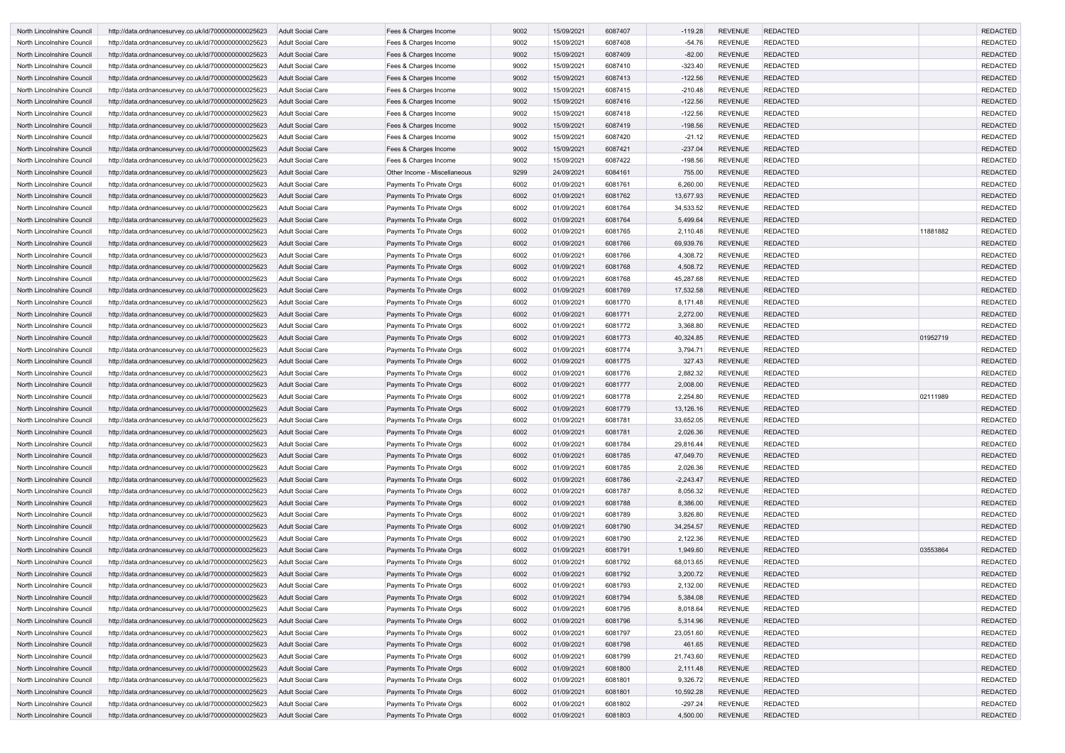| North Lincolnshire Council                               | http://data.ordnancesurvey.co.uk/id/7000000000025623                                                         | <b>Adult Social Care</b>                      | Fees & Charges Income                                | 9002         | 15/09/2021               | 6087407            | $-119.28$            | <b>REVENUE</b>                   | <b>REDACTED</b>                    |          | <b>REDACTED</b>                    |
|----------------------------------------------------------|--------------------------------------------------------------------------------------------------------------|-----------------------------------------------|------------------------------------------------------|--------------|--------------------------|--------------------|----------------------|----------------------------------|------------------------------------|----------|------------------------------------|
| North Lincolnshire Council                               | http://data.ordnancesurvey.co.uk/id/7000000000025623                                                         | Adult Social Care                             | Fees & Charges Income                                | 9002         | 15/09/2021               | 6087408            | $-54.76$             | <b>REVENUE</b>                   | <b>REDACTED</b>                    |          | <b>REDACTED</b>                    |
| North Lincolnshire Council                               | http://data.ordnancesurvey.co.uk/id/7000000000025623                                                         | Adult Social Care                             | Fees & Charges Income                                | 9002         | 15/09/2021               | 6087409            | $-82.00$             | <b>REVENUE</b>                   | <b>REDACTED</b>                    |          | <b>REDACTED</b>                    |
| North Lincolnshire Council                               | http://data.ordnancesurvey.co.uk/id/7000000000025623                                                         | <b>Adult Social Care</b>                      | Fees & Charges Income                                | 9002         | 15/09/2021               | 6087410            | $-323.40$            | <b>REVENUE</b>                   | <b>REDACTED</b>                    |          | <b>REDACTED</b>                    |
| North Lincolnshire Council                               | http://data.ordnancesurvey.co.uk/id/7000000000025623                                                         | <b>Adult Social Care</b>                      | Fees & Charges Income                                | 9002         | 15/09/2021               | 6087413            | $-122.56$            | <b>REVENUE</b>                   | <b>REDACTED</b>                    |          | <b>REDACTED</b>                    |
| North Lincolnshire Council                               | http://data.ordnancesurvey.co.uk/id/7000000000025623                                                         | <b>Adult Social Care</b>                      | Fees & Charges Income                                | 9002         | 15/09/2021               | 6087415            | $-210.48$            | <b>REVENUE</b>                   | <b>REDACTED</b>                    |          | <b>REDACTED</b>                    |
| North Lincolnshire Council                               | http://data.ordnancesurvey.co.uk/id/7000000000025623                                                         | Adult Social Care                             | Fees & Charges Income                                | 9002         | 15/09/2021               | 6087416            | $-122.56$            | <b>REVENUE</b>                   | <b>REDACTED</b>                    |          | <b>REDACTED</b>                    |
| North Lincolnshire Council                               | http://data.ordnancesurvey.co.uk/id/7000000000025623                                                         | Adult Social Care                             | Fees & Charges Income                                | 9002         | 15/09/2021               | 6087418            | $-122.56$            | <b>REVENUE</b>                   | <b>REDACTED</b>                    |          | <b>REDACTED</b>                    |
| North Lincolnshire Council                               | http://data.ordnancesurvey.co.uk/id/7000000000025623                                                         | Adult Social Care                             | Fees & Charges Income                                | 9002         | 15/09/2021               | 6087419            | $-198.56$            | <b>REVENUE</b>                   | <b>REDACTED</b>                    |          | <b>REDACTED</b>                    |
| North Lincolnshire Council                               | http://data.ordnancesurvey.co.uk/id/7000000000025623                                                         | Adult Social Care                             | Fees & Charges Income                                | 9002         | 15/09/2021               | 6087420            | $-21.12$             | <b>REVENUE</b>                   | <b>REDACTED</b>                    |          | <b>REDACTED</b>                    |
| North Lincolnshire Council                               | http://data.ordnancesurvey.co.uk/id/7000000000025623                                                         | <b>Adult Social Care</b>                      | Fees & Charges Income                                | 9002         | 15/09/2021               | 6087421            | $-237.04$            | <b>REVENUE</b>                   | <b>REDACTED</b>                    |          | <b>REDACTED</b>                    |
| North Lincolnshire Council                               | http://data.ordnancesurvey.co.uk/id/7000000000025623                                                         | Adult Social Care                             | Fees & Charges Income                                | 9002         | 15/09/2021               | 6087422            | $-198.56$            | <b>REVENUE</b>                   | <b>REDACTED</b>                    |          | <b>REDACTED</b>                    |
| North Lincolnshire Council                               | http://data.ordnancesurvey.co.uk/id/7000000000025623                                                         | Adult Social Care                             | Other Income - Miscellaneous                         | 9299         | 24/09/2021               | 6084161            | 755.00               | <b>REVENUE</b>                   | <b>REDACTED</b>                    |          | <b>REDACTED</b>                    |
| North Lincolnshire Council                               | http://data.ordnancesurvey.co.uk/id/7000000000025623                                                         | <b>Adult Social Care</b>                      | Payments To Private Orgs                             | 6002         | 01/09/2021               | 6081761            | 6,260.00             | <b>REVENUE</b>                   | <b>REDACTED</b>                    |          | <b>REDACTED</b>                    |
| North Lincolnshire Council                               | http://data.ordnancesurvey.co.uk/id/7000000000025623                                                         | <b>Adult Social Care</b>                      | Payments To Private Orgs                             | 6002         | 01/09/2021               | 6081762            | 13,677.93            | <b>REVENUE</b>                   | <b>REDACTED</b>                    |          | <b>REDACTED</b>                    |
| North Lincolnshire Council                               | http://data.ordnancesurvey.co.uk/id/7000000000025623                                                         | Adult Social Care                             | Payments To Private Orgs                             | 6002         | 01/09/2021               | 6081764            | 34,533.52            | <b>REVENUE</b>                   | <b>REDACTED</b>                    |          | <b>REDACTED</b>                    |
| North Lincolnshire Council                               | http://data.ordnancesurvey.co.uk/id/7000000000025623                                                         | Adult Social Care                             | Payments To Private Orgs                             | 6002         | 01/09/2021               | 6081764            | 5,499.64             | <b>REVENUE</b>                   | <b>REDACTED</b>                    |          | <b>REDACTED</b>                    |
| North Lincolnshire Council                               | http://data.ordnancesurvey.co.uk/id/7000000000025623                                                         | Adult Social Care                             | Payments To Private Orgs                             | 6002         | 01/09/2021               | 6081765            | 2,110.48             | <b>REVENUE</b>                   | <b>REDACTED</b>                    | 11881882 | <b>REDACTED</b>                    |
| North Lincolnshire Council                               | http://data.ordnancesurvey.co.uk/id/7000000000025623                                                         | <b>Adult Social Care</b>                      | Payments To Private Orgs                             | 6002         | 01/09/2021               | 6081766            | 69,939.76            | <b>REVENUE</b>                   | <b>REDACTED</b>                    |          | <b>REDACTED</b>                    |
| North Lincolnshire Council                               | http://data.ordnancesurvey.co.uk/id/7000000000025623                                                         | Adult Social Care                             | Payments To Private Orgs                             | 6002         | 01/09/2021               | 6081766            | 4,308.72             | <b>REVENUE</b>                   | <b>REDACTED</b>                    |          | <b>REDACTED</b>                    |
| North Lincolnshire Council                               | http://data.ordnancesurvey.co.uk/id/7000000000025623                                                         | Adult Social Care                             | Payments To Private Orgs                             | 6002         | 01/09/2021               | 6081768            | 4,508.72             | <b>REVENUE</b>                   | <b>REDACTED</b>                    |          | <b>REDACTED</b>                    |
| North Lincolnshire Council                               | http://data.ordnancesurvey.co.uk/id/7000000000025623                                                         | Adult Social Care                             | Payments To Private Orgs                             | 6002         | 01/09/2021               | 6081768            | 45,287.68            | <b>REVENUE</b>                   | <b>REDACTED</b>                    |          | <b>REDACTED</b>                    |
| North Lincolnshire Council                               | http://data.ordnancesurvey.co.uk/id/7000000000025623                                                         | Adult Social Care                             | Payments To Private Orgs                             | 6002         | 01/09/2021               | 6081769            | 17,532.58            | <b>REVENUE</b>                   | <b>REDACTED</b>                    |          | <b>REDACTED</b>                    |
| North Lincolnshire Council                               | http://data.ordnancesurvey.co.uk/id/7000000000025623                                                         | <b>Adult Social Care</b>                      | Payments To Private Orgs                             | 6002         | 01/09/2021               | 6081770            | 8,171.48             | <b>REVENUE</b>                   | <b>REDACTED</b>                    |          | <b>REDACTED</b>                    |
| North Lincolnshire Council                               | http://data.ordnancesurvey.co.uk/id/7000000000025623                                                         | <b>Adult Social Care</b>                      | Payments To Private Orgs                             | 6002         | 01/09/2021               | 6081771            | 2,272.00             | <b>REVENUE</b>                   | <b>REDACTED</b>                    |          | <b>REDACTED</b>                    |
| North Lincolnshire Council                               | http://data.ordnancesurvey.co.uk/id/7000000000025623                                                         | Adult Social Care                             | Payments To Private Orgs                             | 6002         | 01/09/2021               | 6081772            | 3,368.80             | <b>REVENUE</b>                   | <b>REDACTED</b>                    |          | <b>REDACTED</b>                    |
| North Lincolnshire Council                               | http://data.ordnancesurvey.co.uk/id/7000000000025623                                                         | <b>Adult Social Care</b>                      | Payments To Private Orgs                             | 6002         | 01/09/2021               | 6081773            | 40,324.85            | <b>REVENUE</b>                   | <b>REDACTED</b>                    | 01952719 | <b>REDACTED</b>                    |
| North Lincolnshire Council                               | http://data.ordnancesurvey.co.uk/id/7000000000025623                                                         | Adult Social Care                             | Payments To Private Orgs                             | 6002         | 01/09/2021               | 6081774            | 3,794.71             | <b>REVENUE</b>                   | <b>REDACTED</b>                    |          | <b>REDACTED</b>                    |
| North Lincolnshire Council                               | http://data.ordnancesurvey.co.uk/id/7000000000025623                                                         | <b>Adult Social Care</b>                      | Payments To Private Orgs                             | 6002         | 01/09/2021               | 6081775            | 327.43               | <b>REVENUE</b>                   | <b>REDACTED</b>                    |          | <b>REDACTED</b>                    |
| North Lincolnshire Council                               | http://data.ordnancesurvey.co.uk/id/7000000000025623                                                         | Adult Social Care                             | Payments To Private Orgs                             | 6002         | 01/09/2021               | 6081776            | 2,882.32             | <b>REVENUE</b>                   | <b>REDACTED</b>                    |          | <b>REDACTED</b>                    |
| North Lincolnshire Council                               | http://data.ordnancesurvey.co.uk/id/7000000000025623                                                         | <b>Adult Social Care</b>                      | Payments To Private Orgs                             | 6002         | 01/09/2021               | 6081777            | 2,008.00             | <b>REVENUE</b>                   | <b>REDACTED</b>                    |          | <b>REDACTED</b>                    |
| North Lincolnshire Council                               | http://data.ordnancesurvey.co.uk/id/7000000000025623                                                         | Adult Social Care                             | Payments To Private Orgs                             | 6002         | 01/09/2021               | 6081778            | 2,254.80             | <b>REVENUE</b>                   | <b>REDACTED</b>                    | 02111989 | <b>REDACTED</b>                    |
| North Lincolnshire Council                               | http://data.ordnancesurvey.co.uk/id/7000000000025623                                                         | <b>Adult Social Care</b>                      | Payments To Private Orgs                             | 6002         | 01/09/2021               | 6081779            | 13,126.16            | <b>REVENUE</b>                   | <b>REDACTED</b>                    |          | <b>REDACTED</b>                    |
| North Lincolnshire Council                               | http://data.ordnancesurvey.co.uk/id/7000000000025623                                                         | Adult Social Care                             | Payments To Private Orgs                             | 6002         | 01/09/2021               | 6081781            | 33,652.05            | <b>REVENUE</b>                   | <b>REDACTED</b>                    |          | <b>REDACTED</b>                    |
| North Lincolnshire Council                               | http://data.ordnancesurvey.co.uk/id/7000000000025623                                                         | Adult Social Care                             | Payments To Private Orgs                             | 6002         | 01/09/2021               | 6081781            | 2,026.36             | <b>REVENUE</b>                   | <b>REDACTED</b>                    |          | <b>REDACTED</b>                    |
| North Lincolnshire Council                               | http://data.ordnancesurvey.co.uk/id/7000000000025623                                                         | <b>Adult Social Care</b>                      | Payments To Private Orgs                             | 6002         | 01/09/2021               | 6081784            | 29,816.44            | <b>REVENUE</b>                   | <b>REDACTED</b>                    |          | <b>REDACTED</b>                    |
| North Lincolnshire Council                               | http://data.ordnancesurvey.co.uk/id/7000000000025623                                                         | <b>Adult Social Care</b>                      | Payments To Private Orgs                             | 6002         | 01/09/2021               | 6081785            | 47,049.70            | REVENUE                          | REDACTED                           |          | <b>REDACTED</b>                    |
| North Lincolnshire Council                               | http://data.ordnancesurvey.co.uk/id/7000000000025623                                                         | Adult Social Care                             | Payments To Private Orgs                             | 6002         | 01/09/2021               | 6081785            | 2,026.36             | <b>REVENUE</b>                   | <b>REDACTED</b>                    |          | <b>REDACTED</b>                    |
| North Lincolnshire Council                               | http://data.ordnancesurvey.co.uk/id/7000000000025623                                                         | <b>Adult Social Care</b>                      | Payments To Private Orgs                             | 6002         | 01/09/2021               | 6081786            | $-2,243.47$          | <b>REVENUE</b>                   | <b>REDACTED</b>                    |          | <b>REDACTED</b>                    |
| North Lincolnshire Council                               | http://data.ordnancesurvey.co.uk/id/7000000000025623                                                         | Adult Social Care                             | Payments To Private Orgs                             | 6002         | 01/09/2021               | 6081787            | 8,056.32             | <b>REVENUE</b>                   | <b>REDACTED</b>                    |          | <b>REDACTED</b>                    |
| North Lincolnshire Council                               | http://data.ordnancesurvey.co.uk/id/7000000000025623                                                         | <b>Adult Social Care</b>                      | Payments To Private Orgs                             | 6002         | 01/09/2021               | 6081788            | 8,386.00             | <b>REVENUE</b>                   | <b>REDACTED</b>                    |          | <b>REDACTED</b>                    |
| North Lincolnshire Council                               | http://data.ordnancesurvey.co.uk/id/7000000000025623                                                         | Adult Social Care                             | Payments To Private Orgs                             | 6002         | 01/09/2021               | 6081789            | 3,826.80             | REVENUE                          | <b>REDACTED</b>                    |          | <b>REDACTED</b>                    |
| North Lincolnshire Council                               | http://data.ordnancesurvey.co.uk/id/7000000000025623                                                         | <b>Adult Social Care</b>                      | Payments To Private Orgs                             | 6002         | 01/09/2021               | 6081790            | 34,254.57            | <b>REVENUE</b>                   | <b>REDACTED</b>                    |          | <b>REDACTED</b>                    |
| North Lincolnshire Council                               | http://data.ordnancesurvey.co.uk/id/7000000000025623                                                         | Adult Social Care<br><b>Adult Social Care</b> | Payments To Private Orgs                             | 6002<br>6002 | 01/09/2021<br>01/09/2021 | 6081790<br>6081791 | 2,122.36<br>1,949.60 | <b>REVENUE</b><br><b>REVENUE</b> | <b>REDACTED</b><br><b>REDACTED</b> | 03553864 | <b>REDACTED</b><br><b>REDACTED</b> |
| North Lincolnshire Council                               | http://data.ordnancesurvey.co.uk/id/7000000000025623                                                         |                                               | Payments To Private Orgs                             | 6002         | 01/09/2021               | 6081792            | 68,013.65            | <b>REVENUE</b>                   | <b>REDACTED</b>                    |          | <b>REDACTED</b>                    |
| North Lincolnshire Council<br>North Lincolnshire Council | http://data.ordnancesurvey.co.uk/id/7000000000025623<br>http://data.ordnancesurvey.co.uk/id/7000000000025623 | Adult Social Care<br><b>Adult Social Care</b> | Payments To Private Orgs<br>Payments To Private Orgs | 6002         | 01/09/2021               | 6081792            | 3,200.72             | REVENUE                          | REDACTED                           |          | <b>REDACTED</b>                    |
| North Lincolnshire Council                               | http://data.ordnancesurvey.co.uk/id/7000000000025623                                                         | Adult Social Care                             | Payments To Private Orgs                             | 6002         | 01/09/2021               | 6081793            | 2,132.00             | <b>REVENUE</b>                   | <b>REDACTED</b>                    |          | <b>REDACTED</b>                    |
|                                                          |                                                                                                              | <b>Adult Social Care</b>                      | Payments To Private Orgs                             | 6002         | 01/09/2021               | 6081794            | 5,384.08             | <b>REVENUE</b>                   | <b>REDACTED</b>                    |          | <b>REDACTED</b>                    |
| North Lincolnshire Council<br>North Lincolnshire Council | http://data.ordnancesurvey.co.uk/id/7000000000025623<br>http://data.ordnancesurvey.co.uk/id/7000000000025623 | Adult Social Care                             | Payments To Private Orgs                             | 6002         | 01/09/2021               | 6081795            | 8,018.64             | <b>REVENUE</b>                   | <b>REDACTED</b>                    |          | <b>REDACTED</b>                    |
| North Lincolnshire Council                               | http://data.ordnancesurvey.co.uk/id/7000000000025623                                                         | <b>Adult Social Care</b>                      | Payments To Private Orgs                             | 6002         | 01/09/2021               | 6081796            | 5,314.96             | <b>REVENUE</b>                   | <b>REDACTED</b>                    |          | <b>REDACTED</b>                    |
| North Lincolnshire Council                               | http://data.ordnancesurvey.co.uk/id/7000000000025623                                                         | Adult Social Care                             | Payments To Private Orgs                             | 6002         | 01/09/2021               | 6081797            | 23,051.60            | <b>REVENUE</b>                   | <b>REDACTED</b>                    |          | <b>REDACTED</b>                    |
| North Lincolnshire Council                               | http://data.ordnancesurvey.co.uk/id/7000000000025623                                                         | <b>Adult Social Care</b>                      | Payments To Private Orgs                             | 6002         | 01/09/2021               | 6081798            | 461.65               | <b>REVENUE</b>                   | <b>REDACTED</b>                    |          | <b>REDACTED</b>                    |
| North Lincolnshire Council                               | http://data.ordnancesurvey.co.uk/id/7000000000025623                                                         | Adult Social Care                             | Payments To Private Orgs                             | 6002         | 01/09/2021               | 6081799            | 21,743.60            | <b>REVENUE</b>                   | <b>REDACTED</b>                    |          | <b>REDACTED</b>                    |
| North Lincolnshire Council                               | http://data.ordnancesurvey.co.uk/id/7000000000025623                                                         | <b>Adult Social Care</b>                      | Payments To Private Orgs                             | 6002         | 01/09/2021               | 6081800            | 2,111.48             | <b>REVENUE</b>                   | <b>REDACTED</b>                    |          | <b>REDACTED</b>                    |
| North Lincolnshire Council                               | http://data.ordnancesurvey.co.uk/id/7000000000025623                                                         | Adult Social Care                             | Payments To Private Orgs                             | 6002         | 01/09/2021               | 6081801            | 9,326.72             | <b>REVENUE</b>                   | <b>REDACTED</b>                    |          | <b>REDACTED</b>                    |
| North Lincolnshire Council                               | http://data.ordnancesurvey.co.uk/id/7000000000025623                                                         | <b>Adult Social Care</b>                      | Payments To Private Orgs                             | 6002         | 01/09/2021               | 6081801            | 10,592.28            | <b>REVENUE</b>                   | <b>REDACTED</b>                    |          | <b>REDACTED</b>                    |
| North Lincolnshire Council                               | http://data.ordnancesurvey.co.uk/id/7000000000025623                                                         | Adult Social Care                             | Payments To Private Orgs                             | 6002         | 01/09/2021               | 6081802            | $-297.24$            | <b>REVENUE</b>                   | <b>REDACTED</b>                    |          | <b>REDACTED</b>                    |
| North Lincolnshire Council                               | http://data.ordnancesurvey.co.uk/id/7000000000025623                                                         | Adult Social Care                             | Payments To Private Orgs                             | 6002         | 01/09/2021               | 6081803            | 4,500.00             | <b>REVENUE</b>                   | <b>REDACTED</b>                    |          | <b>REDACTED</b>                    |
|                                                          |                                                                                                              |                                               |                                                      |              |                          |                    |                      |                                  |                                    |          |                                    |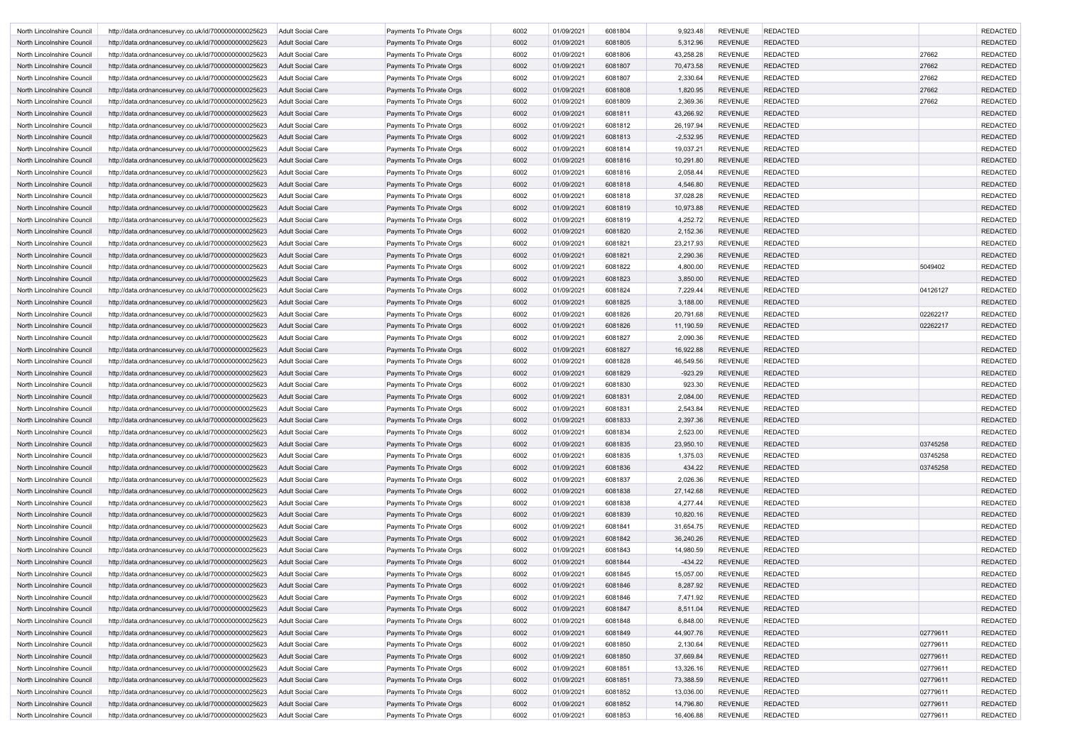| North Lincolnshire Council                               | http://data.ordnancesurvey.co.uk/id/7000000000025623                                                         | Adult Social Care                             | Payments To Private Orgs                             | 6002         | 01/09/2021               | 6081804            | 9,923.48              | <b>REVENUE</b>                   | <b>REDACTED</b>                    |          | <b>REDACTED</b>                    |
|----------------------------------------------------------|--------------------------------------------------------------------------------------------------------------|-----------------------------------------------|------------------------------------------------------|--------------|--------------------------|--------------------|-----------------------|----------------------------------|------------------------------------|----------|------------------------------------|
| North Lincolnshire Council                               | http://data.ordnancesurvey.co.uk/id/7000000000025623                                                         | <b>Adult Social Care</b>                      | Payments To Private Orgs                             | 6002         | 01/09/2021               | 6081805            | 5,312.96              | <b>REVENUE</b>                   | <b>REDACTED</b>                    |          | <b>REDACTED</b>                    |
| North Lincolnshire Council                               | http://data.ordnancesurvey.co.uk/id/7000000000025623                                                         | Adult Social Care                             | Payments To Private Orgs                             | 6002         | 01/09/2021               | 6081806            | 43,258.28             | <b>REVENUE</b>                   | <b>REDACTED</b>                    | 27662    | <b>REDACTED</b>                    |
| North Lincolnshire Council                               | http://data.ordnancesurvey.co.uk/id/7000000000025623                                                         | <b>Adult Social Care</b>                      | Payments To Private Orgs                             | 6002         | 01/09/2021               | 6081807            | 70,473.58             | <b>REVENUE</b>                   | <b>REDACTED</b>                    | 27662    | <b>REDACTED</b>                    |
| North Lincolnshire Council                               | http://data.ordnancesurvey.co.uk/id/7000000000025623                                                         | Adult Social Care                             | Payments To Private Orgs                             | 6002         | 01/09/2021               | 6081807            | 2,330.64              | <b>REVENUE</b>                   | <b>REDACTED</b>                    | 27662    | <b>REDACTED</b>                    |
| North Lincolnshire Council                               | http://data.ordnancesurvey.co.uk/id/7000000000025623                                                         | <b>Adult Social Care</b>                      | Payments To Private Orgs                             | 6002         | 01/09/2021               | 6081808            | 1,820.95              | <b>REVENUE</b>                   | <b>REDACTED</b>                    | 27662    | <b>REDACTED</b>                    |
| North Lincolnshire Council                               | http://data.ordnancesurvey.co.uk/id/7000000000025623                                                         | Adult Social Care                             | Payments To Private Orgs                             | 6002         | 01/09/2021               | 6081809            | 2,369.36              | <b>REVENUE</b>                   | <b>REDACTED</b>                    | 27662    | <b>REDACTED</b>                    |
| North Lincolnshire Council                               | http://data.ordnancesurvey.co.uk/id/7000000000025623                                                         | Adult Social Care                             | Payments To Private Orgs                             | 6002         | 01/09/2021               | 6081811            | 43,266.92             | <b>REVENUE</b>                   | <b>REDACTED</b>                    |          | <b>REDACTED</b>                    |
| North Lincolnshire Council                               | http://data.ordnancesurvey.co.uk/id/7000000000025623                                                         | Adult Social Care                             | Payments To Private Orgs                             | 6002         | 01/09/2021               | 6081812            | 26,197.94             | <b>REVENUE</b>                   | <b>REDACTED</b>                    |          | <b>REDACTED</b>                    |
| North Lincolnshire Council                               | http://data.ordnancesurvey.co.uk/id/7000000000025623                                                         | <b>Adult Social Care</b>                      | Payments To Private Orgs                             | 6002         | 01/09/2021               | 6081813            | $-2,532.95$           | <b>REVENUE</b>                   | <b>REDACTED</b>                    |          | <b>REDACTED</b>                    |
| North Lincolnshire Council                               | http://data.ordnancesurvey.co.uk/id/7000000000025623                                                         | Adult Social Care                             | Payments To Private Orgs                             | 6002         | 01/09/2021               | 6081814            | 19,037.21             | <b>REVENUE</b>                   | <b>REDACTED</b>                    |          | <b>REDACTED</b>                    |
| North Lincolnshire Council                               | http://data.ordnancesurvey.co.uk/id/7000000000025623                                                         | <b>Adult Social Care</b>                      | Payments To Private Orgs                             | 6002         | 01/09/2021               | 6081816            | 10,291.80             | <b>REVENUE</b>                   | <b>REDACTED</b>                    |          | <b>REDACTED</b>                    |
| North Lincolnshire Council                               | http://data.ordnancesurvey.co.uk/id/7000000000025623                                                         | Adult Social Care                             | Payments To Private Orgs                             | 6002         | 01/09/2021               | 6081816            | 2,058.44              | <b>REVENUE</b>                   | <b>REDACTED</b>                    |          | <b>REDACTED</b>                    |
| North Lincolnshire Council                               | http://data.ordnancesurvey.co.uk/id/7000000000025623                                                         | <b>Adult Social Care</b>                      | Payments To Private Orgs                             | 6002         | 01/09/2021               | 6081818            | 4,546.80              | <b>REVENUE</b>                   | <b>REDACTED</b>                    |          | <b>REDACTED</b>                    |
| North Lincolnshire Council                               | http://data.ordnancesurvey.co.uk/id/7000000000025623                                                         | <b>Adult Social Care</b>                      | Payments To Private Orgs                             | 6002         | 01/09/2021               | 6081818            | 37,028.28             | <b>REVENUE</b>                   | <b>REDACTED</b>                    |          | <b>REDACTED</b>                    |
| North Lincolnshire Council                               | http://data.ordnancesurvey.co.uk/id/7000000000025623                                                         | <b>Adult Social Care</b>                      | Payments To Private Orgs                             | 6002         | 01/09/2021               | 6081819            | 10,973.88             | <b>REVENUE</b>                   | <b>REDACTED</b>                    |          | <b>REDACTED</b>                    |
| North Lincolnshire Council                               | http://data.ordnancesurvey.co.uk/id/7000000000025623                                                         | Adult Social Care                             | Payments To Private Orgs                             | 6002         | 01/09/2021               | 6081819            | 4,252.72              | <b>REVENUE</b>                   | <b>REDACTED</b>                    |          | <b>REDACTED</b>                    |
| North Lincolnshire Council                               | http://data.ordnancesurvey.co.uk/id/7000000000025623                                                         | Adult Social Care                             | Payments To Private Orgs                             | 6002         | 01/09/2021               | 6081820            | 2,152.36              | <b>REVENUE</b>                   | <b>REDACTED</b>                    |          | <b>REDACTED</b>                    |
| North Lincolnshire Council                               | http://data.ordnancesurvey.co.uk/id/7000000000025623                                                         | Adult Social Care                             | Payments To Private Orgs                             | 6002         | 01/09/2021               | 6081821            | 23,217.93             | <b>REVENUE</b>                   | <b>REDACTED</b>                    |          | <b>REDACTED</b>                    |
| North Lincolnshire Council                               | http://data.ordnancesurvey.co.uk/id/7000000000025623                                                         | <b>Adult Social Care</b>                      | Payments To Private Orgs                             | 6002         | 01/09/2021               | 6081821            | 2,290.36              | <b>REVENUE</b>                   | <b>REDACTED</b>                    |          | <b>REDACTED</b>                    |
| North Lincolnshire Council                               | http://data.ordnancesurvey.co.uk/id/7000000000025623                                                         | Adult Social Care                             | Payments To Private Orgs                             | 6002         | 01/09/2021               | 6081822            | 4,800.00              | <b>REVENUE</b>                   | <b>REDACTED</b>                    | 5049402  | <b>REDACTED</b>                    |
| North Lincolnshire Council                               | http://data.ordnancesurvey.co.uk/id/7000000000025623                                                         | <b>Adult Social Care</b>                      | Payments To Private Orgs                             | 6002         | 01/09/2021               | 6081823            | 3,850.00              | <b>REVENUE</b>                   | <b>REDACTED</b>                    |          | <b>REDACTED</b>                    |
| North Lincolnshire Council                               | http://data.ordnancesurvey.co.uk/id/7000000000025623                                                         | Adult Social Care                             | Payments To Private Orgs                             | 6002         | 01/09/2021               | 6081824            | 7,229.44              | <b>REVENUE</b>                   | <b>REDACTED</b>                    | 04126127 | <b>REDACTED</b>                    |
| North Lincolnshire Council                               | http://data.ordnancesurvey.co.uk/id/7000000000025623                                                         | <b>Adult Social Care</b>                      | Payments To Private Orgs                             | 6002         | 01/09/2021               | 6081825            | 3,188.00              | <b>REVENUE</b>                   | <b>REDACTED</b>                    |          | <b>REDACTED</b>                    |
| North Lincolnshire Council                               | http://data.ordnancesurvey.co.uk/id/7000000000025623                                                         | <b>Adult Social Care</b>                      | Payments To Private Orgs                             | 6002         | 01/09/2021               | 6081826            | 20,791.68             | <b>REVENUE</b>                   | <b>REDACTED</b>                    | 02262217 | <b>REDACTED</b>                    |
| North Lincolnshire Council                               | http://data.ordnancesurvey.co.uk/id/7000000000025623                                                         | <b>Adult Social Care</b>                      | Payments To Private Orgs                             | 6002         | 01/09/2021               | 6081826            | 11,190.59             | <b>REVENUE</b>                   | <b>REDACTED</b>                    | 02262217 | <b>REDACTED</b>                    |
| North Lincolnshire Council                               | http://data.ordnancesurvey.co.uk/id/7000000000025623                                                         | Adult Social Care                             | Payments To Private Orgs                             | 6002         | 01/09/2021               | 6081827            | 2,090.36              | <b>REVENUE</b>                   | <b>REDACTED</b>                    |          | <b>REDACTED</b>                    |
| North Lincolnshire Council                               | http://data.ordnancesurvey.co.uk/id/7000000000025623                                                         | Adult Social Care                             | Payments To Private Orgs                             | 6002         | 01/09/2021               | 6081827            | 16,922.88             | <b>REVENUE</b>                   | <b>REDACTED</b>                    |          | <b>REDACTED</b>                    |
| North Lincolnshire Council                               | http://data.ordnancesurvey.co.uk/id/7000000000025623                                                         | Adult Social Care                             | Payments To Private Orgs                             | 6002         | 01/09/2021               | 6081828            | 46,549.56             | <b>REVENUE</b>                   | <b>REDACTED</b>                    |          | <b>REDACTED</b>                    |
| North Lincolnshire Council                               | http://data.ordnancesurvey.co.uk/id/7000000000025623                                                         | <b>Adult Social Care</b>                      | Payments To Private Orgs                             | 6002         | 01/09/2021               | 6081829            | $-923.29$             | <b>REVENUE</b>                   | <b>REDACTED</b>                    |          | <b>REDACTED</b>                    |
| North Lincolnshire Council                               | http://data.ordnancesurvey.co.uk/id/7000000000025623                                                         | Adult Social Care                             | Payments To Private Orgs                             | 6002         | 01/09/2021               | 6081830            | 923.30                | <b>REVENUE</b>                   | <b>REDACTED</b>                    |          | <b>REDACTED</b>                    |
| North Lincolnshire Council                               | http://data.ordnancesurvey.co.uk/id/7000000000025623                                                         | <b>Adult Social Care</b>                      | Payments To Private Orgs                             | 6002         | 01/09/2021               | 6081831            | 2,084.00              | <b>REVENUE</b>                   | <b>REDACTED</b>                    |          | <b>REDACTED</b>                    |
| North Lincolnshire Council                               | http://data.ordnancesurvey.co.uk/id/7000000000025623                                                         | Adult Social Care                             | Payments To Private Orgs                             | 6002         | 01/09/2021               | 6081831            | 2,543.84              | <b>REVENUE</b>                   | <b>REDACTED</b>                    |          | <b>REDACTED</b>                    |
| North Lincolnshire Council                               | http://data.ordnancesurvey.co.uk/id/7000000000025623                                                         | Adult Social Care                             | Payments To Private Orgs                             | 6002         | 01/09/2021               | 6081833            | 2,397.36              | <b>REVENUE</b>                   | <b>REDACTED</b>                    |          | <b>REDACTED</b>                    |
| North Lincolnshire Council                               | http://data.ordnancesurvey.co.uk/id/7000000000025623                                                         | Adult Social Care                             | Payments To Private Orgs                             | 6002         | 01/09/2021               | 6081834            | 2,523.00              | <b>REVENUE</b>                   | <b>REDACTED</b>                    |          | <b>REDACTED</b>                    |
| North Lincolnshire Council                               | http://data.ordnancesurvey.co.uk/id/7000000000025623                                                         | <b>Adult Social Care</b>                      | Payments To Private Orgs                             | 6002         | 01/09/2021               | 6081835            | 23,950.10             | <b>REVENUE</b>                   | <b>REDACTED</b>                    | 03745258 | <b>REDACTED</b>                    |
| North Lincolnshire Council                               | http://data.ordnancesurvey.co.uk/id/7000000000025623                                                         | Adult Social Care                             | Payments To Private Orgs                             | 6002         | 01/09/2021               | 6081835            | 1,375.03              | <b>REVENUE</b>                   | <b>REDACTED</b>                    | 03745258 | <b>REDACTED</b>                    |
| North Lincolnshire Council                               | http://data.ordnancesurvey.co.uk/id/7000000000025623                                                         | <b>Adult Social Care</b>                      | Payments To Private Orgs                             | 6002         | 01/09/2021               | 6081836            | 434.22                | <b>REVENUE</b>                   | <b>REDACTED</b>                    | 03745258 | <b>REDACTED</b>                    |
| North Lincolnshire Council                               | http://data.ordnancesurvey.co.uk/id/7000000000025623                                                         | Adult Social Care                             | Payments To Private Orgs                             | 6002         | 01/09/2021               | 6081837            | 2,026.36              | <b>REVENUE</b>                   | <b>REDACTED</b>                    |          | <b>REDACTED</b>                    |
| North Lincolnshire Council                               | http://data.ordnancesurvey.co.uk/id/7000000000025623                                                         | Adult Social Care                             | Payments To Private Orgs                             | 6002         | 01/09/2021               | 6081838            | 27,142.68             | <b>REVENUE</b>                   | <b>REDACTED</b>                    |          | <b>REDACTED</b>                    |
| North Lincolnshire Council                               | http://data.ordnancesurvey.co.uk/id/7000000000025623                                                         | Adult Social Care                             | Payments To Private Orgs                             | 6002         | 01/09/2021               | 6081838            | 4,277.44              | <b>REVENUE</b>                   | <b>REDACTED</b>                    |          | <b>REDACTED</b>                    |
| North Lincolnshire Council                               | http://data.ordnancesurvey.co.uk/id/7000000000025623                                                         | <b>Adult Social Care</b>                      | Payments To Private Orgs                             | 6002         | 01/09/2021               | 6081839            | 10,820.16             | REVENUE                          | <b>REDACTED</b>                    |          | <b>REDACTED</b>                    |
| North Lincolnshire Council                               | http://data.ordnancesurvey.co.uk/id/7000000000025623                                                         | Adult Social Care                             | Payments To Private Orgs                             | 6002         | 01/09/2021               | 6081841            | 31,654.75             | <b>REVENUE</b>                   | <b>REDACTED</b>                    |          | <b>REDACTED</b>                    |
| North Lincolnshire Council                               | http://data.ordnancesurvey.co.uk/id/7000000000025623                                                         | <b>Adult Social Care</b>                      | Payments To Private Orgs                             | 6002         | 01/09/2021               | 6081842            | 36,240.26             | REVENUE                          | <b>REDACTED</b>                    |          | <b>REDACTED</b>                    |
| North Lincolnshire Council                               | http://data.ordnancesurvey.co.uk/id/7000000000025623                                                         | Adult Social Care                             | Payments To Private Orgs                             | 6002         | 01/09/2021               | 6081843            | 14,980.59             | <b>REVENUE</b>                   | <b>REDACTED</b>                    |          | <b>REDACTED</b>                    |
| North Lincolnshire Council                               | http://data.ordnancesurvey.co.uk/id/7000000000025623                                                         | <b>Adult Social Care</b>                      | Payments To Private Orgs                             | 6002         | 01/09/2021               | 6081844            | $-434.22$             | <b>REVENUE</b>                   | <b>REDACTED</b>                    |          | <b>REDACTED</b>                    |
| North Lincolnshire Council                               | http://data.ordnancesurvey.co.uk/id/7000000000025623                                                         | Adult Social Care                             | Payments To Private Orgs                             | 6002         | 01/09/2021               | 6081845            | 15,057.00             | <b>REVENUE</b>                   | <b>REDACTED</b>                    |          | <b>REDACTED</b>                    |
| North Lincolnshire Council                               | http://data.ordnancesurvey.co.uk/id/7000000000025623                                                         | <b>Adult Social Care</b>                      | Payments To Private Orgs                             | 6002         | 01/09/2021               | 6081846            | 8,287.92              | <b>REVENUE</b>                   | <b>REDACTED</b>                    |          | <b>REDACTED</b>                    |
| North Lincolnshire Council                               | http://data.ordnancesurvey.co.uk/id/7000000000025623                                                         | Adult Social Care                             | Payments To Private Orgs                             | 6002         | 01/09/2021               | 6081846            | 7,471.92              | <b>REVENUE</b>                   | <b>REDACTED</b>                    |          | <b>REDACTED</b>                    |
| North Lincolnshire Council                               | http://data.ordnancesurvey.co.uk/id/7000000000025623                                                         | <b>Adult Social Care</b>                      | Payments To Private Orgs                             | 6002         | 01/09/2021               | 6081847            | 8,511.04              | <b>REVENUE</b><br><b>REVENUE</b> | <b>REDACTED</b><br><b>REDACTED</b> |          | <b>REDACTED</b><br><b>REDACTED</b> |
| North Lincolnshire Council<br>North Lincolnshire Council | http://data.ordnancesurvey.co.uk/id/7000000000025623                                                         | Adult Social Care<br><b>Adult Social Care</b> | Payments To Private Orgs<br>Payments To Private Orgs | 6002<br>6002 | 01/09/2021<br>01/09/2021 | 6081848<br>6081849 | 6,848.00<br>44,907.76 | REVENUE                          | <b>REDACTED</b>                    | 02779611 | <b>REDACTED</b>                    |
|                                                          | http://data.ordnancesurvey.co.uk/id/7000000000025623                                                         |                                               |                                                      |              |                          |                    |                       | <b>REVENUE</b>                   | <b>REDACTED</b>                    | 02779611 | <b>REDACTED</b>                    |
| North Lincolnshire Council                               | http://data.ordnancesurvey.co.uk/id/7000000000025623                                                         | Adult Social Care<br><b>Adult Social Care</b> | Payments To Private Orgs<br>Payments To Private Orgs | 6002<br>6002 | 01/09/2021<br>01/09/2021 | 6081850<br>6081850 | 2,130.64<br>37,669.84 | REVENUE                          | <b>REDACTED</b>                    | 02779611 | <b>REDACTED</b>                    |
| North Lincolnshire Council<br>North Lincolnshire Council | http://data.ordnancesurvey.co.uk/id/7000000000025623<br>http://data.ordnancesurvey.co.uk/id/7000000000025623 | Adult Social Care                             | Payments To Private Orgs                             | 6002         | 01/09/2021               | 6081851            | 13,326.16             | <b>REVENUE</b>                   | <b>REDACTED</b>                    | 02779611 | <b>REDACTED</b>                    |
| North Lincolnshire Council                               | http://data.ordnancesurvey.co.uk/id/7000000000025623                                                         | <b>Adult Social Care</b>                      | Payments To Private Orgs                             | 6002         | 01/09/2021               | 6081851            | 73,388.59             | <b>REVENUE</b>                   | <b>REDACTED</b>                    | 02779611 | <b>REDACTED</b>                    |
| North Lincolnshire Council                               | http://data.ordnancesurvey.co.uk/id/7000000000025623                                                         | Adult Social Care                             | Payments To Private Orgs                             | 6002         | 01/09/2021               | 6081852            | 13,036.00             | <b>REVENUE</b>                   | <b>REDACTED</b>                    | 02779611 | <b>REDACTED</b>                    |
| North Lincolnshire Council                               | http://data.ordnancesurvey.co.uk/id/7000000000025623                                                         | <b>Adult Social Care</b>                      | Payments To Private Orgs                             | 6002         | 01/09/2021               | 6081852            | 14,796.80             | <b>REVENUE</b>                   | <b>REDACTED</b>                    | 02779611 | <b>REDACTED</b>                    |
| North Lincolnshire Council                               | http://data.ordnancesurvey.co.uk/id/7000000000025623                                                         | <b>Adult Social Care</b>                      | Payments To Private Orgs                             | 6002         | 01/09/2021               | 6081853            | 16,406.88             | <b>REVENUE</b>                   | <b>REDACTED</b>                    | 02779611 | <b>REDACTED</b>                    |
|                                                          |                                                                                                              |                                               |                                                      |              |                          |                    |                       |                                  |                                    |          |                                    |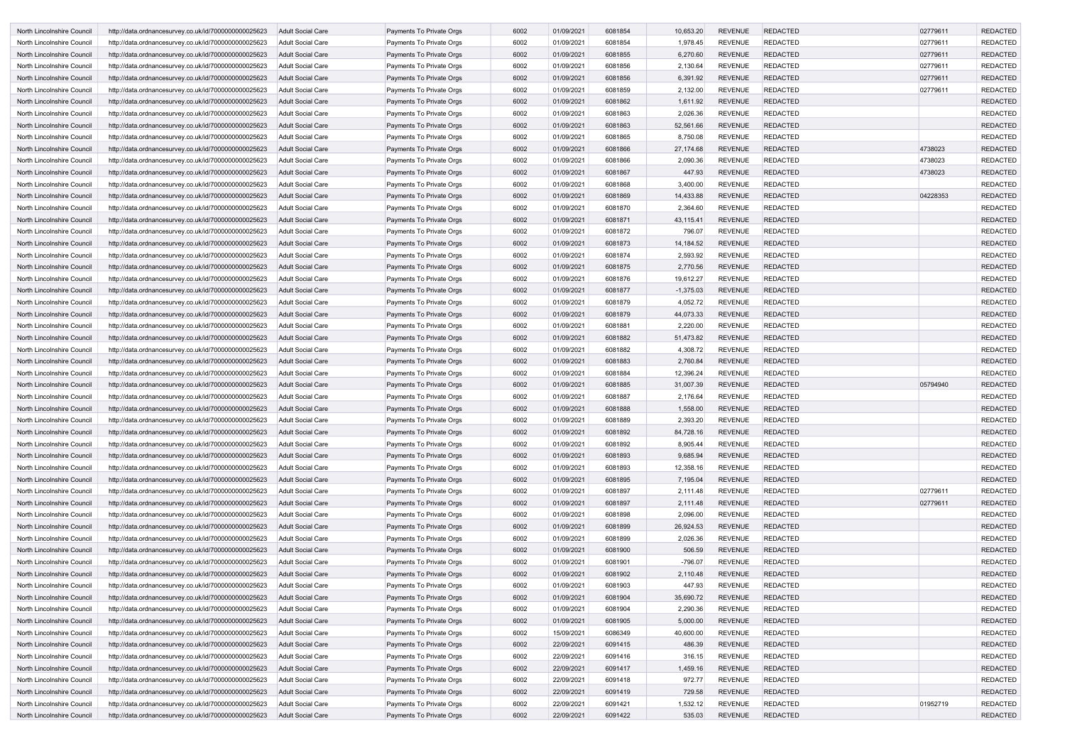| North Lincolnshire Council        | http://data.ordnancesurvey.co.uk/id/7000000000025623 | <b>Adult Social Care</b> | <b>Payments To Private Orgs</b> | 6002 | 01/09/2021 | 6081854 | 10,653.20   | <b>REVENUE</b> | <b>REDACTED</b> | 02779611 | <b>REDACTED</b> |
|-----------------------------------|------------------------------------------------------|--------------------------|---------------------------------|------|------------|---------|-------------|----------------|-----------------|----------|-----------------|
| North Lincolnshire Council        | http://data.ordnancesurvey.co.uk/id/7000000000025623 | Adult Social Care        | Payments To Private Orgs        | 6002 | 01/09/2021 | 6081854 | 1,978.45    | <b>REVENUE</b> | <b>REDACTED</b> | 02779611 | <b>REDACTED</b> |
| North Lincolnshire Council        | http://data.ordnancesurvey.co.uk/id/7000000000025623 | <b>Adult Social Care</b> | Payments To Private Orgs        | 6002 | 01/09/2021 | 6081855 | 6,270.60    | <b>REVENUE</b> | <b>REDACTED</b> | 02779611 | <b>REDACTED</b> |
| North Lincolnshire Council        | http://data.ordnancesurvey.co.uk/id/7000000000025623 | <b>Adult Social Care</b> | Payments To Private Orgs        | 6002 | 01/09/2021 | 6081856 | 2,130.64    | <b>REVENUE</b> | <b>REDACTED</b> | 02779611 | <b>REDACTED</b> |
| North Lincolnshire Council        | http://data.ordnancesurvey.co.uk/id/7000000000025623 | <b>Adult Social Care</b> | Payments To Private Orgs        | 6002 | 01/09/2021 | 6081856 | 6,391.92    | <b>REVENUE</b> | <b>REDACTED</b> | 02779611 | <b>REDACTED</b> |
| North Lincolnshire Council        | http://data.ordnancesurvey.co.uk/id/7000000000025623 | <b>Adult Social Care</b> | Payments To Private Orgs        | 6002 | 01/09/2021 | 6081859 | 2,132.00    | <b>REVENUE</b> | <b>REDACTED</b> | 02779611 | <b>REDACTED</b> |
| North Lincolnshire Council        | http://data.ordnancesurvey.co.uk/id/7000000000025623 | Adult Social Care        | Payments To Private Orgs        | 6002 | 01/09/2021 | 6081862 | 1,611.92    | <b>REVENUE</b> | <b>REDACTED</b> |          | <b>REDACTED</b> |
| North Lincolnshire Council        | http://data.ordnancesurvey.co.uk/id/7000000000025623 | <b>Adult Social Care</b> | Payments To Private Orgs        | 6002 | 01/09/2021 | 6081863 | 2,026.36    | <b>REVENUE</b> | <b>REDACTED</b> |          | <b>REDACTED</b> |
| North Lincolnshire Council        | http://data.ordnancesurvey.co.uk/id/7000000000025623 | Adult Social Care        | Payments To Private Orgs        | 6002 | 01/09/2021 | 6081863 | 52,561.66   | <b>REVENUE</b> | <b>REDACTED</b> |          | <b>REDACTED</b> |
| North Lincolnshire Council        | http://data.ordnancesurvey.co.uk/id/7000000000025623 | <b>Adult Social Care</b> | Payments To Private Orgs        | 6002 | 01/09/2021 | 6081865 | 8,750.08    | <b>REVENUE</b> | <b>REDACTED</b> |          | <b>REDACTED</b> |
| North Lincolnshire Council        | http://data.ordnancesurvey.co.uk/id/7000000000025623 | <b>Adult Social Care</b> | Payments To Private Orgs        | 6002 | 01/09/2021 | 6081866 | 27,174.68   | <b>REVENUE</b> | <b>REDACTED</b> | 4738023  | <b>REDACTED</b> |
| North Lincolnshire Council        | http://data.ordnancesurvey.co.uk/id/7000000000025623 | Adult Social Care        | Payments To Private Orgs        | 6002 | 01/09/2021 | 6081866 | 2,090.36    | <b>REVENUE</b> | <b>REDACTED</b> | 4738023  | <b>REDACTED</b> |
| North Lincolnshire Council        | http://data.ordnancesurvey.co.uk/id/7000000000025623 | <b>Adult Social Care</b> | Payments To Private Orgs        | 6002 | 01/09/2021 | 6081867 | 447.93      | <b>REVENUE</b> | <b>REDACTED</b> | 4738023  | <b>REDACTED</b> |
| North Lincolnshire Council        | http://data.ordnancesurvey.co.uk/id/7000000000025623 | Adult Social Care        | Payments To Private Orgs        | 6002 | 01/09/2021 | 6081868 | 3,400.00    | <b>REVENUE</b> | <b>REDACTED</b> |          | <b>REDACTED</b> |
| North Lincolnshire Council        | http://data.ordnancesurvey.co.uk/id/7000000000025623 | <b>Adult Social Care</b> | Payments To Private Orgs        | 6002 | 01/09/2021 | 6081869 | 14,433.88   | <b>REVENUE</b> | <b>REDACTED</b> | 04228353 | <b>REDACTED</b> |
| North Lincolnshire Council        | http://data.ordnancesurvey.co.uk/id/7000000000025623 | <b>Adult Social Care</b> | Payments To Private Orgs        | 6002 | 01/09/2021 | 6081870 | 2,364.60    | <b>REVENUE</b> | <b>REDACTED</b> |          | <b>REDACTED</b> |
| <b>North Lincolnshire Council</b> | http://data.ordnancesurvey.co.uk/id/7000000000025623 | Adult Social Care        | Payments To Private Orgs        | 6002 | 01/09/2021 | 6081871 | 43,115.41   | <b>REVENUE</b> | <b>REDACTED</b> |          | <b>REDACTED</b> |
| North Lincolnshire Council        | http://data.ordnancesurvey.co.uk/id/7000000000025623 | Adult Social Care        | Payments To Private Orgs        | 6002 | 01/09/2021 | 6081872 | 796.07      | <b>REVENUE</b> | <b>REDACTED</b> |          | <b>REDACTED</b> |
| North Lincolnshire Council        | http://data.ordnancesurvey.co.uk/id/7000000000025623 | Adult Social Care        | Payments To Private Orgs        | 6002 | 01/09/2021 | 6081873 | 14,184.52   | <b>REVENUE</b> | <b>REDACTED</b> |          | <b>REDACTED</b> |
| North Lincolnshire Council        |                                                      | <b>Adult Social Care</b> |                                 | 6002 | 01/09/2021 | 6081874 | 2,593.92    | <b>REVENUE</b> | <b>REDACTED</b> |          | <b>REDACTED</b> |
|                                   | http://data.ordnancesurvey.co.uk/id/7000000000025623 |                          | Payments To Private Orgs        |      |            |         |             | <b>REVENUE</b> |                 |          | <b>REDACTED</b> |
| North Lincolnshire Council        | http://data.ordnancesurvey.co.uk/id/7000000000025623 | <b>Adult Social Care</b> | Payments To Private Orgs        | 6002 | 01/09/2021 | 6081875 | 2,770.56    |                | <b>REDACTED</b> |          |                 |
| North Lincolnshire Council        | http://data.ordnancesurvey.co.uk/id/7000000000025623 | <b>Adult Social Care</b> | Payments To Private Orgs        | 6002 | 01/09/2021 | 6081876 | 19,612.27   | <b>REVENUE</b> | <b>REDACTED</b> |          | <b>REDACTED</b> |
| North Lincolnshire Council        | http://data.ordnancesurvey.co.uk/id/7000000000025623 | <b>Adult Social Care</b> | Payments To Private Orgs        | 6002 | 01/09/2021 | 6081877 | $-1,375.03$ | <b>REVENUE</b> | <b>REDACTED</b> |          | <b>REDACTED</b> |
| North Lincolnshire Council        | http://data.ordnancesurvey.co.uk/id/7000000000025623 | Adult Social Care        | Payments To Private Orgs        | 6002 | 01/09/2021 | 6081879 | 4,052.72    | <b>REVENUE</b> | <b>REDACTED</b> |          | <b>REDACTED</b> |
| North Lincolnshire Council        | http://data.ordnancesurvey.co.uk/id/7000000000025623 | <b>Adult Social Care</b> | Payments To Private Orgs        | 6002 | 01/09/2021 | 6081879 | 44,073.33   | <b>REVENUE</b> | <b>REDACTED</b> |          | <b>REDACTED</b> |
| North Lincolnshire Council        | http://data.ordnancesurvey.co.uk/id/7000000000025623 | <b>Adult Social Care</b> | Payments To Private Orgs        | 6002 | 01/09/2021 | 6081881 | 2,220.00    | <b>REVENUE</b> | <b>REDACTED</b> |          | <b>REDACTED</b> |
| North Lincolnshire Council        | http://data.ordnancesurvey.co.uk/id/7000000000025623 | Adult Social Care        | Payments To Private Orgs        | 6002 | 01/09/2021 | 6081882 | 51,473.82   | <b>REVENUE</b> | <b>REDACTED</b> |          | <b>REDACTED</b> |
| North Lincolnshire Council        | http://data.ordnancesurvey.co.uk/id/7000000000025623 | Adult Social Care        | Payments To Private Orgs        | 6002 | 01/09/2021 | 6081882 | 4,308.72    | <b>REVENUE</b> | <b>REDACTED</b> |          | <b>REDACTED</b> |
| North Lincolnshire Council        | http://data.ordnancesurvey.co.uk/id/7000000000025623 | Adult Social Care        | Payments To Private Orgs        | 6002 | 01/09/2021 | 6081883 | 2,760.84    | <b>REVENUE</b> | <b>REDACTED</b> |          | <b>REDACTED</b> |
| North Lincolnshire Council        | http://data.ordnancesurvey.co.uk/id/7000000000025623 | <b>Adult Social Care</b> | Payments To Private Orgs        | 6002 | 01/09/2021 | 6081884 | 12,396.24   | <b>REVENUE</b> | <b>REDACTED</b> |          | <b>REDACTED</b> |
| North Lincolnshire Council        | http://data.ordnancesurvey.co.uk/id/7000000000025623 | <b>Adult Social Care</b> | Payments To Private Orgs        | 6002 | 01/09/2021 | 6081885 | 31,007.39   | <b>REVENUE</b> | <b>REDACTED</b> | 05794940 | <b>REDACTED</b> |
| North Lincolnshire Council        | http://data.ordnancesurvey.co.uk/id/7000000000025623 | <b>Adult Social Care</b> | Payments To Private Orgs        | 6002 | 01/09/2021 | 6081887 | 2,176.64    | <b>REVENUE</b> | <b>REDACTED</b> |          | <b>REDACTED</b> |
| North Lincolnshire Council        | http://data.ordnancesurvey.co.uk/id/7000000000025623 | <b>Adult Social Care</b> | Payments To Private Orgs        | 6002 | 01/09/2021 | 6081888 | 1,558.00    | <b>REVENUE</b> | <b>REDACTED</b> |          | <b>REDACTED</b> |
| North Lincolnshire Council        | http://data.ordnancesurvey.co.uk/id/7000000000025623 | <b>Adult Social Care</b> | Payments To Private Orgs        | 6002 | 01/09/2021 | 6081889 | 2,393.20    | <b>REVENUE</b> | <b>REDACTED</b> |          | <b>REDACTED</b> |
| North Lincolnshire Council        | http://data.ordnancesurvey.co.uk/id/7000000000025623 | <b>Adult Social Care</b> | Payments To Private Orgs        | 6002 | 01/09/2021 | 6081892 | 84,728.16   | <b>REVENUE</b> | <b>REDACTED</b> |          | <b>REDACTED</b> |
| North Lincolnshire Council        | http://data.ordnancesurvey.co.uk/id/7000000000025623 | <b>Adult Social Care</b> | Payments To Private Orgs        | 6002 | 01/09/2021 | 6081892 | 8,905.44    | <b>REVENUE</b> | <b>REDACTED</b> |          | <b>REDACTED</b> |
| North Lincolnshire Council        | http://data.ordnancesurvey.co.uk/id/7000000000025623 | Adult Social Care        | Payments To Private Orgs        | 6002 | 01/09/2021 | 6081893 | 9,685.94    | <b>REVENUE</b> | <b>REDACTED</b> |          | <b>REDACTED</b> |
| North Lincolnshire Council        | http://data.ordnancesurvey.co.uk/id/7000000000025623 | <b>Adult Social Care</b> | Payments To Private Orgs        | 6002 | 01/09/2021 | 6081893 | 12,358.16   | REVENUE        | <b>REDACTED</b> |          | <b>REDACTED</b> |
| North Lincolnshire Council        | http://data.ordnancesurvey.co.uk/id/7000000000025623 | <b>Adult Social Care</b> | Payments To Private Orgs        | 6002 | 01/09/2021 | 6081895 | 7,195.04    | <b>REVENUE</b> | <b>REDACTED</b> |          | <b>REDACTED</b> |
| North Lincolnshire Council        | http://data.ordnancesurvey.co.uk/id/7000000000025623 | <b>Adult Social Care</b> | Payments To Private Orgs        | 6002 | 01/09/2021 | 6081897 | 2,111.48    | <b>REVENUE</b> | <b>REDACTED</b> | 02779611 | <b>REDACTED</b> |
| North Lincolnshire Council        | http://data.ordnancesurvey.co.uk/id/7000000000025623 | <b>Adult Social Care</b> | Payments To Private Orgs        | 6002 | 01/09/2021 | 6081897 | 2,111.48    | <b>REVENUE</b> | <b>REDACTED</b> | 02779611 | <b>REDACTED</b> |
| North Lincolnshire Council        | http://data.ordnancesurvey.co.uk/id/7000000000025623 | <b>Adult Social Care</b> | Payments To Private Orgs        | 6002 | 01/09/2021 | 6081898 | 2,096.00    | REVENUE        | <b>REDACTED</b> |          | <b>REDACTED</b> |
| North Lincolnshire Council        | http://data.ordnancesurvey.co.uk/id/7000000000025623 | <b>Adult Social Care</b> | Payments To Private Orgs        | 6002 | 01/09/2021 | 6081899 | 26,924.53   | <b>REVENUE</b> | <b>REDACTED</b> |          | <b>REDACTED</b> |
| North Lincolnshire Council        | http://data.ordnancesurvey.co.uk/id/7000000000025623 | Adult Social Care        | Payments To Private Orgs        | 6002 | 01/09/2021 | 6081899 | 2,026.36    | <b>REVENUE</b> | <b>REDACTED</b> |          | <b>REDACTED</b> |
| North Lincolnshire Council        | http://data.ordnancesurvey.co.uk/id/7000000000025623 | <b>Adult Social Care</b> | Payments To Private Orgs        | 6002 | 01/09/2021 | 6081900 | 506.59      | <b>REVENUE</b> | <b>REDACTED</b> |          | <b>REDACTED</b> |
| North Lincolnshire Council        | http://data.ordnancesurvey.co.uk/id/7000000000025623 | <b>Adult Social Care</b> | Payments To Private Orgs        | 6002 | 01/09/2021 | 6081901 | -796.07     | <b>REVENUE</b> | <b>REDACTED</b> |          | <b>REDACTED</b> |
| North Lincolnshire Council        | http://data.ordnancesurvey.co.uk/id/7000000000025623 | <b>Adult Social Care</b> | Payments To Private Orgs        | 6002 | 01/09/2021 | 6081902 | 2,110.48    | <b>REVENUE</b> | <b>REDACTED</b> |          | <b>REDACTED</b> |
| North Lincolnshire Council        | http://data.ordnancesurvey.co.uk/id/7000000000025623 | <b>Adult Social Care</b> | Payments To Private Orgs        | 6002 | 01/09/2021 | 6081903 | 447.93      | <b>REVENUE</b> | <b>REDACTED</b> |          | <b>REDACTED</b> |
| North Lincolnshire Council        | http://data.ordnancesurvey.co.uk/id/7000000000025623 | <b>Adult Social Care</b> | Payments To Private Orgs        | 6002 | 01/09/2021 | 6081904 | 35,690.72   | <b>REVENUE</b> | <b>REDACTED</b> |          | <b>REDACTED</b> |
| North Lincolnshire Council        | http://data.ordnancesurvey.co.uk/id/7000000000025623 | <b>Adult Social Care</b> | Payments To Private Orgs        | 6002 | 01/09/2021 | 6081904 | 2,290.36    | <b>REVENUE</b> | <b>REDACTED</b> |          | <b>REDACTED</b> |
| North Lincolnshire Council        | http://data.ordnancesurvey.co.uk/id/7000000000025623 | <b>Adult Social Care</b> | Payments To Private Orgs        | 6002 | 01/09/2021 | 6081905 | 5,000.00    | <b>REVENUE</b> | <b>REDACTED</b> |          | <b>REDACTED</b> |
| North Lincolnshire Council        | http://data.ordnancesurvey.co.uk/id/7000000000025623 | Adult Social Care        | Payments To Private Orgs        | 6002 | 15/09/2021 | 6086349 | 40,600.00   | REVENUE        | <b>REDACTED</b> |          | <b>REDACTED</b> |
| North Lincolnshire Council        | http://data.ordnancesurvey.co.uk/id/7000000000025623 | <b>Adult Social Care</b> | Payments To Private Orgs        | 6002 | 22/09/2021 | 6091415 | 486.39      | <b>REVENUE</b> | <b>REDACTED</b> |          | <b>REDACTED</b> |
| North Lincolnshire Council        | http://data.ordnancesurvey.co.uk/id/7000000000025623 | Adult Social Care        | Payments To Private Orgs        | 6002 | 22/09/2021 | 6091416 | 316.15      | <b>REVENUE</b> | <b>REDACTED</b> |          | <b>REDACTED</b> |
| North Lincolnshire Council        | http://data.ordnancesurvey.co.uk/id/7000000000025623 | <b>Adult Social Care</b> | Payments To Private Orgs        | 6002 | 22/09/2021 | 6091417 | 1,459.16    | <b>REVENUE</b> | <b>REDACTED</b> |          | <b>REDACTED</b> |
| North Lincolnshire Council        | http://data.ordnancesurvey.co.uk/id/7000000000025623 | <b>Adult Social Care</b> | Payments To Private Orgs        | 6002 | 22/09/2021 | 6091418 | 972.77      | REVENUE        | <b>REDACTED</b> |          | <b>REDACTED</b> |
| North Lincolnshire Council        | http://data.ordnancesurvey.co.uk/id/7000000000025623 | <b>Adult Social Care</b> | Payments To Private Orgs        | 6002 | 22/09/2021 | 6091419 | 729.58      | <b>REVENUE</b> | <b>REDACTED</b> |          | <b>REDACTED</b> |
| North Lincolnshire Council        | http://data.ordnancesurvey.co.uk/id/7000000000025623 | Adult Social Care        | Payments To Private Orgs        | 6002 | 22/09/2021 | 6091421 | 1,532.12    | <b>REVENUE</b> | <b>REDACTED</b> | 01952719 | <b>REDACTED</b> |
| North Lincolnshire Council        | http://data.ordnancesurvey.co.uk/id/7000000000025623 | Adult Social Care        | Payments To Private Orgs        | 6002 | 22/09/2021 | 6091422 | 535.03      | REVENUE        | REDACTED        |          | <b>REDACTED</b> |
|                                   |                                                      |                          |                                 |      |            |         |             |                |                 |          |                 |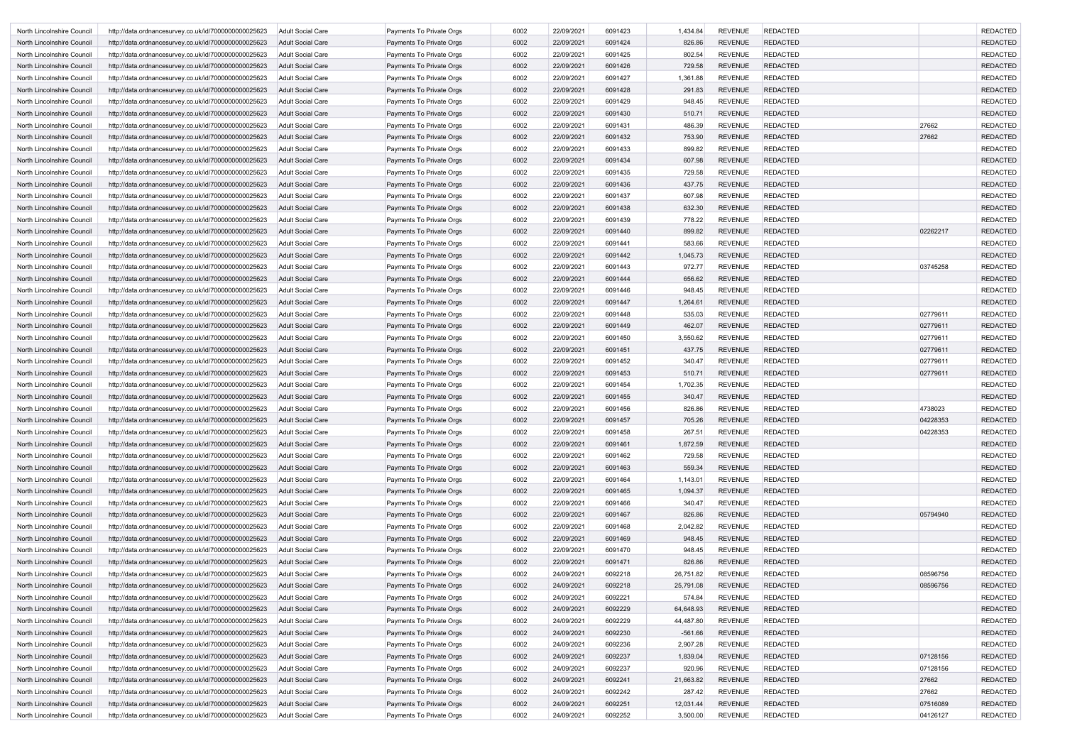| North Lincolnshire Council                               | http://data.ordnancesurvey.co.uk/id/7000000000025623                                                         | Adult Social Care                             | Payments To Private Orgs                                    | 6002         | 22/09/2021               | 6091423            | 1,434.84               | <b>REVENUE</b>                   | <b>REDACTED</b>                    |          | <b>REDACTED</b>                    |
|----------------------------------------------------------|--------------------------------------------------------------------------------------------------------------|-----------------------------------------------|-------------------------------------------------------------|--------------|--------------------------|--------------------|------------------------|----------------------------------|------------------------------------|----------|------------------------------------|
| North Lincolnshire Council                               | http://data.ordnancesurvey.co.uk/id/7000000000025623                                                         | Adult Social Care                             | Payments To Private Orgs                                    | 6002         | 22/09/2021               | 6091424            | 826.86                 | <b>REVENUE</b>                   | <b>REDACTED</b>                    |          | <b>REDACTED</b>                    |
| North Lincolnshire Council                               | http://data.ordnancesurvey.co.uk/id/7000000000025623                                                         | Adult Social Care                             | Payments To Private Orgs                                    | 6002         | 22/09/2021               | 6091425            | 802.54                 | <b>REVENUE</b>                   | <b>REDACTED</b>                    |          | <b>REDACTED</b>                    |
| North Lincolnshire Council                               | http://data.ordnancesurvey.co.uk/id/7000000000025623                                                         | <b>Adult Social Care</b>                      | Payments To Private Orgs                                    | 6002         | 22/09/2021               | 6091426            | 729.58                 | <b>REVENUE</b>                   | <b>REDACTED</b>                    |          | <b>REDACTED</b>                    |
| North Lincolnshire Council                               | http://data.ordnancesurvey.co.uk/id/7000000000025623                                                         | Adult Social Care                             | Payments To Private Orgs                                    | 6002         | 22/09/2021               | 6091427            | 1,361.88               | <b>REVENUE</b>                   | <b>REDACTED</b>                    |          | <b>REDACTED</b>                    |
| North Lincolnshire Council                               | http://data.ordnancesurvey.co.uk/id/7000000000025623                                                         | <b>Adult Social Care</b>                      | Payments To Private Orgs                                    | 6002         | 22/09/2021               | 6091428            | 291.83                 | <b>REVENUE</b>                   | <b>REDACTED</b>                    |          | <b>REDACTED</b>                    |
| North Lincolnshire Council                               | http://data.ordnancesurvey.co.uk/id/7000000000025623                                                         | Adult Social Care                             | Payments To Private Orgs                                    | 6002         | 22/09/2021               | 6091429            | 948.45                 | <b>REVENUE</b>                   | <b>REDACTED</b>                    |          | <b>REDACTED</b>                    |
| North Lincolnshire Council                               | http://data.ordnancesurvey.co.uk/id/7000000000025623                                                         | <b>Adult Social Care</b>                      | Payments To Private Orgs                                    | 6002         | 22/09/2021               | 6091430            | 510.71                 | <b>REVENUE</b>                   | <b>REDACTED</b>                    |          | <b>REDACTED</b>                    |
| North Lincolnshire Council                               | http://data.ordnancesurvey.co.uk/id/7000000000025623                                                         | Adult Social Care                             | Payments To Private Orgs                                    | 6002         | 22/09/2021               | 6091431            | 486.39                 | <b>REVENUE</b>                   | <b>REDACTED</b>                    | 27662    | <b>REDACTED</b>                    |
| North Lincolnshire Council                               | http://data.ordnancesurvey.co.uk/id/7000000000025623                                                         | <b>Adult Social Care</b>                      | Payments To Private Orgs                                    | 6002         | 22/09/2021               | 6091432            | 753.90                 | <b>REVENUE</b>                   | <b>REDACTED</b>                    | 27662    | <b>REDACTED</b>                    |
| North Lincolnshire Council                               | http://data.ordnancesurvey.co.uk/id/7000000000025623                                                         | Adult Social Care                             | Payments To Private Orgs                                    | 6002         | 22/09/2021               | 6091433            | 899.82                 | <b>REVENUE</b>                   | <b>REDACTED</b>                    |          | <b>REDACTED</b>                    |
| North Lincolnshire Council                               | http://data.ordnancesurvey.co.uk/id/7000000000025623                                                         | <b>Adult Social Care</b>                      | Payments To Private Orgs                                    | 6002         | 22/09/2021               | 6091434            | 607.98                 | <b>REVENUE</b>                   | <b>REDACTED</b>                    |          | <b>REDACTED</b>                    |
| North Lincolnshire Council                               | http://data.ordnancesurvey.co.uk/id/7000000000025623                                                         | Adult Social Care                             | Payments To Private Orgs                                    | 6002         | 22/09/2021               | 6091435            | 729.58                 | <b>REVENUE</b>                   | <b>REDACTED</b>                    |          | <b>REDACTED</b>                    |
| North Lincolnshire Council                               | http://data.ordnancesurvey.co.uk/id/7000000000025623                                                         | <b>Adult Social Care</b>                      | Payments To Private Orgs                                    | 6002         | 22/09/2021               | 6091436            | 437.75                 | <b>REVENUE</b>                   | <b>REDACTED</b>                    |          | <b>REDACTED</b>                    |
| North Lincolnshire Council                               | http://data.ordnancesurvey.co.uk/id/7000000000025623                                                         | Adult Social Care                             | Payments To Private Orgs                                    | 6002         | 22/09/2021               | 6091437            | 607.98                 | <b>REVENUE</b>                   | <b>REDACTED</b>                    |          | <b>REDACTED</b>                    |
| North Lincolnshire Council                               | http://data.ordnancesurvey.co.uk/id/7000000000025623                                                         | <b>Adult Social Care</b>                      | Payments To Private Orgs                                    | 6002         | 22/09/2021               | 6091438            | 632.30                 | <b>REVENUE</b>                   | <b>REDACTED</b>                    |          | <b>REDACTED</b>                    |
| North Lincolnshire Council                               | http://data.ordnancesurvey.co.uk/id/7000000000025623                                                         | Adult Social Care                             | Payments To Private Orgs                                    | 6002         | 22/09/2021               | 6091439            | 778.22                 | <b>REVENUE</b>                   | <b>REDACTED</b>                    |          | <b>REDACTED</b>                    |
| North Lincolnshire Council                               | http://data.ordnancesurvey.co.uk/id/7000000000025623                                                         | <b>Adult Social Care</b>                      | Payments To Private Orgs                                    | 6002         | 22/09/2021               | 6091440            | 899.82<br>583.66       | <b>REVENUE</b><br><b>REVENUE</b> | <b>REDACTED</b><br><b>REDACTED</b> | 02262217 | <b>REDACTED</b><br><b>REDACTED</b> |
| North Lincolnshire Council                               | http://data.ordnancesurvey.co.uk/id/7000000000025623                                                         | Adult Social Care<br>Adult Social Care        | Payments To Private Orgs<br><b>Payments To Private Orgs</b> | 6002         | 22/09/2021               | 6091441            |                        | <b>REVENUE</b>                   | <b>REDACTED</b>                    |          | <b>REDACTED</b>                    |
| North Lincolnshire Council<br>North Lincolnshire Council | http://data.ordnancesurvey.co.uk/id/7000000000025623<br>http://data.ordnancesurvey.co.uk/id/7000000000025623 | Adult Social Care                             | Payments To Private Orgs                                    | 6002<br>6002 | 22/09/2021<br>22/09/2021 | 6091442<br>6091443 | 1,045.73<br>972.77     | <b>REVENUE</b>                   | <b>REDACTED</b>                    | 03745258 | <b>REDACTED</b>                    |
| North Lincolnshire Council                               | http://data.ordnancesurvey.co.uk/id/7000000000025623                                                         | Adult Social Care                             | Payments To Private Orgs                                    | 6002         | 22/09/2021               | 6091444            | 656.62                 | <b>REVENUE</b>                   | <b>REDACTED</b>                    |          | <b>REDACTED</b>                    |
| North Lincolnshire Council                               | http://data.ordnancesurvey.co.uk/id/7000000000025623                                                         | Adult Social Care                             | Payments To Private Orgs                                    | 6002         | 22/09/2021               | 6091446            | 948.45                 | <b>REVENUE</b>                   | <b>REDACTED</b>                    |          | <b>REDACTED</b>                    |
| North Lincolnshire Council                               | http://data.ordnancesurvey.co.uk/id/7000000000025623                                                         | Adult Social Care                             | Payments To Private Orgs                                    | 6002         | 22/09/2021               | 6091447            | 1,264.61               | <b>REVENUE</b>                   | <b>REDACTED</b>                    |          | <b>REDACTED</b>                    |
| North Lincolnshire Council                               | http://data.ordnancesurvey.co.uk/id/7000000000025623                                                         | Adult Social Care                             | Payments To Private Orgs                                    | 6002         | 22/09/2021               | 6091448            | 535.03                 | <b>REVENUE</b>                   | <b>REDACTED</b>                    | 02779611 | <b>REDACTED</b>                    |
| North Lincolnshire Council                               | http://data.ordnancesurvey.co.uk/id/7000000000025623                                                         | <b>Adult Social Care</b>                      | Payments To Private Orgs                                    | 6002         | 22/09/2021               | 6091449            | 462.07                 | <b>REVENUE</b>                   | <b>REDACTED</b>                    | 02779611 | <b>REDACTED</b>                    |
| North Lincolnshire Council                               | http://data.ordnancesurvey.co.uk/id/7000000000025623                                                         | Adult Social Care                             | Payments To Private Orgs                                    | 6002         | 22/09/2021               | 6091450            | 3,550.62               | <b>REVENUE</b>                   | <b>REDACTED</b>                    | 02779611 | <b>REDACTED</b>                    |
| North Lincolnshire Council                               | http://data.ordnancesurvey.co.uk/id/7000000000025623                                                         | <b>Adult Social Care</b>                      | Payments To Private Orgs                                    | 6002         | 22/09/2021               | 6091451            | 437.75                 | <b>REVENUE</b>                   | <b>REDACTED</b>                    | 02779611 | <b>REDACTED</b>                    |
| North Lincolnshire Council                               | http://data.ordnancesurvey.co.uk/id/7000000000025623                                                         | Adult Social Care                             | Payments To Private Orgs                                    | 6002         | 22/09/2021               | 6091452            | 340.47                 | <b>REVENUE</b>                   | <b>REDACTED</b>                    | 02779611 | <b>REDACTED</b>                    |
| North Lincolnshire Council                               | http://data.ordnancesurvey.co.uk/id/7000000000025623                                                         | <b>Adult Social Care</b>                      | Payments To Private Orgs                                    | 6002         | 22/09/2021               | 6091453            | 510.71                 | <b>REVENUE</b>                   | <b>REDACTED</b>                    | 02779611 | <b>REDACTED</b>                    |
| North Lincolnshire Council                               | http://data.ordnancesurvey.co.uk/id/7000000000025623                                                         | Adult Social Care                             | Payments To Private Orgs                                    | 6002         | 22/09/2021               | 6091454            | 1,702.35               | <b>REVENUE</b>                   | <b>REDACTED</b>                    |          | <b>REDACTED</b>                    |
| North Lincolnshire Council                               | http://data.ordnancesurvey.co.uk/id/7000000000025623                                                         | Adult Social Care                             | Payments To Private Orgs                                    | 6002         | 22/09/2021               | 6091455            | 340.47                 | <b>REVENUE</b>                   | <b>REDACTED</b>                    |          | <b>REDACTED</b>                    |
| North Lincolnshire Council                               | http://data.ordnancesurvey.co.uk/id/7000000000025623                                                         | Adult Social Care                             | Payments To Private Orgs                                    | 6002         | 22/09/2021               | 6091456            | 826.86                 | <b>REVENUE</b>                   | <b>REDACTED</b>                    | 4738023  | <b>REDACTED</b>                    |
| North Lincolnshire Council                               | http://data.ordnancesurvey.co.uk/id/7000000000025623 Adult Social Care                                       |                                               | Payments To Private Orgs                                    | 6002         | 22/09/2021               | 6091457            | 705.26                 | REVENUE                          | <b>REDACTED</b>                    | 04228353 | <b>REDACTED</b>                    |
| North Lincolnshire Council                               | http://data.ordnancesurvey.co.uk/id/7000000000025623                                                         | Adult Social Care                             | Payments To Private Orgs                                    | 6002         | 22/09/2021               | 6091458            | 267.51                 | <b>REVENUE</b>                   | <b>REDACTED</b>                    | 04228353 | <b>REDACTED</b>                    |
| North Lincolnshire Council                               | http://data.ordnancesurvey.co.uk/id/7000000000025623                                                         | <b>Adult Social Care</b>                      | Payments To Private Orgs                                    | 6002         | 22/09/2021               | 6091461            | 1,872.59               | <b>REVENUE</b>                   | <b>REDACTED</b>                    |          | <b>REDACTED</b>                    |
| North Lincolnshire Council                               | http://data.ordnancesurvey.co.uk/id/7000000000025623                                                         | Adult Social Care                             | Payments To Private Orgs                                    | 6002         | 22/09/2021               | 6091462            | 729.58                 | <b>REVENUE</b>                   | <b>REDACTED</b>                    |          | <b>REDACTED</b>                    |
| North Lincolnshire Council                               | http://data.ordnancesurvey.co.uk/id/7000000000025623                                                         | <b>Adult Social Care</b>                      | Payments To Private Orgs                                    | 6002         | 22/09/2021               | 6091463            | 559.34                 | <b>REVENUE</b>                   | <b>REDACTED</b>                    |          | <b>REDACTED</b>                    |
| North Lincolnshire Council                               | http://data.ordnancesurvey.co.uk/id/7000000000025623                                                         | Adult Social Care                             | Payments To Private Orgs                                    | 6002         | 22/09/2021               | 6091464            | 1,143.01               | <b>REVENUE</b>                   | <b>REDACTED</b>                    |          | <b>REDACTED</b>                    |
| North Lincolnshire Council                               | http://data.ordnancesurvey.co.uk/id/7000000000025623                                                         | <b>Adult Social Care</b>                      | Payments To Private Orgs                                    | 6002         | 22/09/2021               | 6091465            | 1,094.37               | <b>REVENUE</b>                   | <b>REDACTED</b>                    |          | <b>REDACTED</b>                    |
| North Lincolnshire Council                               | http://data.ordnancesurvey.co.uk/id/7000000000025623                                                         | <b>Adult Social Care</b>                      | Payments To Private Orgs                                    | 6002         | 22/09/2021               | 6091466            | 340.47                 | <b>REVENUE</b>                   | <b>REDACTED</b>                    |          | <b>REDACTED</b>                    |
| North Lincolnshire Council                               | http://data.ordnancesurvey.co.uk/id/7000000000025623                                                         | <b>Adult Social Care</b>                      | Payments To Private Orgs                                    | 6002         | 22/09/2021               | 6091467            | 826.86                 | <b>REVENUE</b>                   | <b>REDACTED</b>                    | 05794940 | <b>REDACTED</b>                    |
| North Lincolnshire Council                               | http://data.ordnancesurvey.co.uk/id/7000000000025623                                                         | <b>Adult Social Care</b>                      | Payments To Private Orgs                                    | 6002         | 22/09/2021               | 6091468            | 2,042.82               | <b>REVENUE</b>                   | <b>REDACTED</b>                    |          | <b>REDACTED</b>                    |
| North Lincolnshire Council                               | http://data.ordnancesurvey.co.uk/id/7000000000025623                                                         | <b>Adult Social Care</b>                      | Payments To Private Orgs                                    | 6002         | 22/09/2021               | 6091469            | 948.45                 | <b>REVENUE</b>                   | <b>REDACTED</b>                    |          | <b>REDACTED</b>                    |
| North Lincolnshire Council                               | http://data.ordnancesurvey.co.uk/id/7000000000025623                                                         | <b>Adult Social Care</b>                      | Payments To Private Orgs                                    | 6002         | 22/09/2021               | 6091470            | 948.45                 | <b>REVENUE</b>                   | <b>REDACTED</b>                    |          | <b>REDACTED</b>                    |
| North Lincolnshire Council                               | http://data.ordnancesurvey.co.uk/id/7000000000025623                                                         | <b>Adult Social Care</b>                      | Payments To Private Orgs                                    | 6002         | 22/09/2021               | 6091471            | 826.86                 | <b>REVENUE</b>                   | <b>REDACTED</b>                    |          | <b>REDACTED</b>                    |
| North Lincolnshire Council                               | http://data.ordnancesurvey.co.uk/id/7000000000025623                                                         | <b>Adult Social Care</b>                      | Payments To Private Orgs                                    | 6002         | 24/09/2021               | 6092218            | 26,751.82              | <b>REVENUE</b>                   | <b>REDACTED</b>                    | 08596756 | <b>REDACTED</b>                    |
| North Lincolnshire Council                               | http://data.ordnancesurvey.co.uk/id/7000000000025623                                                         | <b>Adult Social Care</b>                      | Payments To Private Orgs                                    | 6002         | 24/09/2021               | 6092218            | 25,791.08              | <b>REVENUE</b>                   | <b>REDACTED</b>                    | 08596756 | <b>REDACTED</b>                    |
| North Lincolnshire Council                               | http://data.ordnancesurvey.co.uk/id/7000000000025623                                                         | Adult Social Care                             | Payments To Private Orgs                                    | 6002         | 24/09/2021               | 6092221            | 574.84                 | <b>REVENUE</b>                   | <b>REDACTED</b>                    |          | <b>REDACTED</b>                    |
| North Lincolnshire Council<br>North Lincolnshire Council | http://data.ordnancesurvey.co.uk/id/7000000000025623                                                         | <b>Adult Social Care</b>                      | Payments To Private Orgs                                    | 6002<br>6002 | 24/09/2021<br>24/09/2021 | 6092229<br>6092229 | 64,648.93              | <b>REVENUE</b><br><b>REVENUE</b> | <b>REDACTED</b><br><b>REDACTED</b> |          | <b>REDACTED</b><br><b>REDACTED</b> |
| North Lincolnshire Council                               | http://data.ordnancesurvey.co.uk/id/7000000000025623<br>http://data.ordnancesurvey.co.uk/id/7000000000025623 | Adult Social Care<br><b>Adult Social Care</b> | Payments To Private Orgs<br>Payments To Private Orgs        | 6002         | 24/09/2021               | 6092230            | 44,487.80<br>$-561.66$ | <b>REVENUE</b>                   | <b>REDACTED</b>                    |          | <b>REDACTED</b>                    |
| North Lincolnshire Council                               | http://data.ordnancesurvey.co.uk/id/7000000000025623                                                         | Adult Social Care                             | Payments To Private Orgs                                    | 6002         | 24/09/2021               | 6092236            | 2,907.28               | <b>REVENUE</b>                   | <b>REDACTED</b>                    |          | <b>REDACTED</b>                    |
| North Lincolnshire Council                               | http://data.ordnancesurvey.co.uk/id/7000000000025623                                                         | <b>Adult Social Care</b>                      | Payments To Private Orgs                                    | 6002         | 24/09/2021               | 6092237            | 1,839.04               | <b>REVENUE</b>                   | <b>REDACTED</b>                    | 07128156 | <b>REDACTED</b>                    |
| North Lincolnshire Council                               | http://data.ordnancesurvey.co.uk/id/7000000000025623                                                         | Adult Social Care                             | Payments To Private Orgs                                    | 6002         | 24/09/2021               | 6092237            | 920.96                 | <b>REVENUE</b>                   | <b>REDACTED</b>                    | 07128156 | <b>REDACTED</b>                    |
| North Lincolnshire Council                               | http://data.ordnancesurvey.co.uk/id/7000000000025623                                                         | <b>Adult Social Care</b>                      | Payments To Private Orgs                                    | 6002         | 24/09/2021               | 6092241            | 21,663.82              | <b>REVENUE</b>                   | <b>REDACTED</b>                    | 27662    | <b>REDACTED</b>                    |
| North Lincolnshire Council                               | http://data.ordnancesurvey.co.uk/id/7000000000025623                                                         | Adult Social Care                             | Payments To Private Orgs                                    | 6002         | 24/09/2021               | 6092242            | 287.42                 | <b>REVENUE</b>                   | <b>REDACTED</b>                    | 27662    | <b>REDACTED</b>                    |
| North Lincolnshire Council                               | http://data.ordnancesurvey.co.uk/id/7000000000025623                                                         | <b>Adult Social Care</b>                      | Payments To Private Orgs                                    | 6002         | 24/09/2021               | 6092251            | 12,031.44              | <b>REVENUE</b>                   | <b>REDACTED</b>                    | 07516089 | <b>REDACTED</b>                    |
| North Lincolnshire Council                               | http://data.ordnancesurvey.co.uk/id/7000000000025623                                                         | Adult Social Care                             | Payments To Private Orgs                                    | 6002         | 24/09/2021               | 6092252            | 3,500.00               | <b>REVENUE</b>                   | <b>REDACTED</b>                    | 04126127 | <b>REDACTED</b>                    |
|                                                          |                                                                                                              |                                               |                                                             |              |                          |                    |                        |                                  |                                    |          |                                    |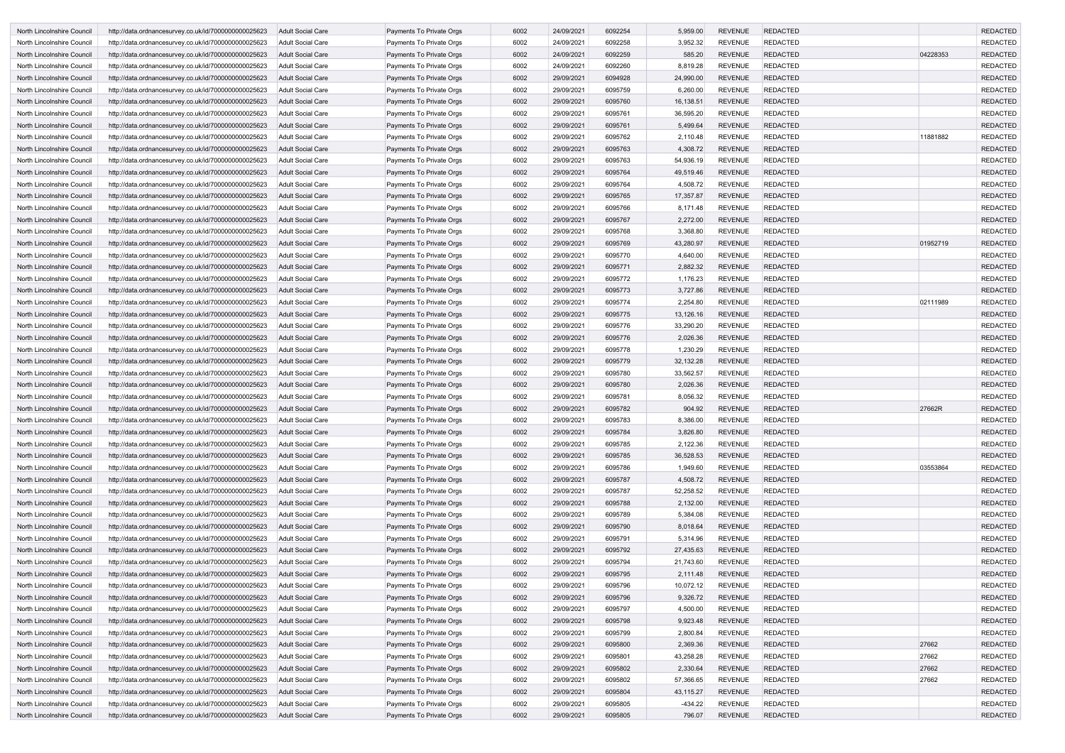| North Lincolnshire Council                               | http://data.ordnancesurvey.co.uk/id/7000000000025623                                                         | <b>Adult Social Care</b>                             | Payments To Private Orgs                             | 6002         | 24/09/2021               | 6092254            | 5,959.00               | <b>REVENUE</b>                   | <b>REDACTED</b>                    |          | <b>REDACTED</b>                    |
|----------------------------------------------------------|--------------------------------------------------------------------------------------------------------------|------------------------------------------------------|------------------------------------------------------|--------------|--------------------------|--------------------|------------------------|----------------------------------|------------------------------------|----------|------------------------------------|
| North Lincolnshire Council                               | http://data.ordnancesurvey.co.uk/id/7000000000025623                                                         | <b>Adult Social Care</b>                             | Payments To Private Orgs                             | 6002         | 24/09/2021               | 6092258            | 3,952.32               | <b>REVENUE</b>                   | <b>REDACTED</b>                    |          | <b>REDACTED</b>                    |
| North Lincolnshire Council                               | http://data.ordnancesurvey.co.uk/id/7000000000025623                                                         | <b>Adult Social Care</b>                             | Payments To Private Orgs                             | 6002         | 24/09/2021               | 6092259            | 585.20                 | <b>REVENUE</b>                   | <b>REDACTED</b>                    | 04228353 | <b>REDACTED</b>                    |
| North Lincolnshire Council                               | http://data.ordnancesurvey.co.uk/id/7000000000025623                                                         | <b>Adult Social Care</b>                             | Payments To Private Orgs                             | 6002         | 24/09/2021               | 6092260            | 8,819.28               | <b>REVENUE</b>                   | <b>REDACTED</b>                    |          | <b>REDACTED</b>                    |
| North Lincolnshire Council                               | http://data.ordnancesurvey.co.uk/id/7000000000025623                                                         | Adult Social Care                                    | Payments To Private Orgs                             | 6002         | 29/09/2021               | 6094928            | 24,990.00              | <b>REVENUE</b>                   | <b>REDACTED</b>                    |          | <b>REDACTED</b>                    |
| North Lincolnshire Council                               | http://data.ordnancesurvey.co.uk/id/7000000000025623                                                         | <b>Adult Social Care</b>                             | Payments To Private Orgs                             | 6002         | 29/09/2021               | 6095759            | 6,260.00               | <b>REVENUE</b>                   | <b>REDACTED</b>                    |          | <b>REDACTED</b>                    |
| North Lincolnshire Council                               | http://data.ordnancesurvey.co.uk/id/7000000000025623                                                         | <b>Adult Social Care</b>                             | Payments To Private Orgs                             | 6002         | 29/09/2021               | 6095760            | 16,138.51              | <b>REVENUE</b>                   | <b>REDACTED</b>                    |          | <b>REDACTED</b>                    |
| North Lincolnshire Council                               | http://data.ordnancesurvey.co.uk/id/7000000000025623                                                         | Adult Social Care                                    | Payments To Private Orgs                             | 6002         | 29/09/2021               | 6095761            | 36,595.20              | <b>REVENUE</b>                   | <b>REDACTED</b>                    |          | <b>REDACTED</b>                    |
| North Lincolnshire Council                               | http://data.ordnancesurvey.co.uk/id/7000000000025623                                                         | <b>Adult Social Care</b>                             | Payments To Private Orgs                             | 6002         | 29/09/2021               | 6095761            | 5,499.64               | <b>REVENUE</b>                   | <b>REDACTED</b>                    |          | <b>REDACTED</b>                    |
| North Lincolnshire Council                               | http://data.ordnancesurvey.co.uk/id/7000000000025623                                                         | <b>Adult Social Care</b>                             | Payments To Private Orgs                             | 6002         | 29/09/2021               | 6095762            | 2,110.48               | <b>REVENUE</b>                   | REDACTED                           | 11881882 | <b>REDACTED</b>                    |
| North Lincolnshire Council                               | http://data.ordnancesurvey.co.uk/id/7000000000025623                                                         | <b>Adult Social Care</b>                             | Payments To Private Orgs                             | 6002         | 29/09/2021               | 6095763            | 4,308.72               | <b>REVENUE</b>                   | <b>REDACTED</b>                    |          | <b>REDACTED</b>                    |
| North Lincolnshire Council                               | http://data.ordnancesurvey.co.uk/id/7000000000025623                                                         | <b>Adult Social Care</b>                             | Payments To Private Orgs                             | 6002         | 29/09/2021               | 6095763            | 54,936.19              | <b>REVENUE</b>                   | <b>REDACTED</b>                    |          | <b>REDACTED</b>                    |
| North Lincolnshire Council                               | http://data.ordnancesurvey.co.uk/id/7000000000025623                                                         | Adult Social Care                                    | Payments To Private Orgs                             | 6002         | 29/09/2021               | 6095764            | 49,519.46              | <b>REVENUE</b>                   | <b>REDACTED</b>                    |          | <b>REDACTED</b>                    |
| North Lincolnshire Council                               | http://data.ordnancesurvey.co.uk/id/7000000000025623                                                         | Adult Social Care                                    | Payments To Private Orgs                             | 6002         | 29/09/2021               | 6095764            | 4,508.72               | <b>REVENUE</b>                   | <b>REDACTED</b>                    |          | <b>REDACTED</b>                    |
| North Lincolnshire Council                               | http://data.ordnancesurvey.co.uk/id/7000000000025623                                                         | Adult Social Care                                    | Payments To Private Orgs                             | 6002         | 29/09/2021               | 6095765            | 17,357.87              | <b>REVENUE</b>                   | <b>REDACTED</b>                    |          | <b>REDACTED</b>                    |
| North Lincolnshire Council                               | http://data.ordnancesurvey.co.uk/id/7000000000025623                                                         | <b>Adult Social Care</b>                             | Payments To Private Orgs                             | 6002         | 29/09/2021               | 6095766            | 8,171.48               | <b>REVENUE</b>                   | <b>REDACTED</b>                    |          | <b>REDACTED</b>                    |
| North Lincolnshire Council                               | http://data.ordnancesurvey.co.uk/id/7000000000025623                                                         | <b>Adult Social Care</b>                             | Payments To Private Orgs                             | 6002         | 29/09/2021               | 6095767            | 2,272.00               | <b>REVENUE</b>                   | <b>REDACTED</b>                    |          | <b>REDACTED</b>                    |
| North Lincolnshire Council                               | http://data.ordnancesurvey.co.uk/id/7000000000025623                                                         | Adult Social Care                                    | Payments To Private Orgs                             | 6002         | 29/09/2021               | 6095768            | 3,368.80               | <b>REVENUE</b>                   | <b>REDACTED</b>                    |          | <b>REDACTED</b>                    |
| North Lincolnshire Council                               | http://data.ordnancesurvey.co.uk/id/7000000000025623                                                         | <b>Adult Social Care</b>                             | Payments To Private Orgs                             | 6002         | 29/09/2021               | 6095769            | 43,280.97              | <b>REVENUE</b>                   | <b>REDACTED</b>                    | 01952719 | <b>REDACTED</b>                    |
| North Lincolnshire Council                               | http://data.ordnancesurvey.co.uk/id/7000000000025623                                                         | Adult Social Care                                    | Payments To Private Orgs                             | 6002         | 29/09/2021               | 6095770            | 4,640.00               | <b>REVENUE</b>                   | <b>REDACTED</b>                    |          | <b>REDACTED</b>                    |
| North Lincolnshire Council                               | http://data.ordnancesurvey.co.uk/id/7000000000025623                                                         | <b>Adult Social Care</b>                             | Payments To Private Orgs                             | 6002         | 29/09/2021               | 6095771            | 2,882.32               | <b>REVENUE</b>                   | <b>REDACTED</b>                    |          | <b>REDACTED</b>                    |
| North Lincolnshire Council                               | http://data.ordnancesurvey.co.uk/id/7000000000025623                                                         | Adult Social Care                                    | Payments To Private Orgs                             | 6002         | 29/09/2021               | 6095772            | 1,176.23               | <b>REVENUE</b>                   | <b>REDACTED</b>                    |          | <b>REDACTED</b>                    |
| North Lincolnshire Council                               | http://data.ordnancesurvey.co.uk/id/7000000000025623                                                         | Adult Social Care                                    | Payments To Private Orgs                             | 6002         | 29/09/2021               | 6095773            | 3,727.86               | <b>REVENUE</b>                   | <b>REDACTED</b>                    |          | <b>REDACTED</b>                    |
| North Lincolnshire Council                               | http://data.ordnancesurvey.co.uk/id/7000000000025623                                                         | <b>Adult Social Care</b>                             | Payments To Private Orgs                             | 6002         | 29/09/2021               | 6095774            | 2,254.80               | <b>REVENUE</b>                   | <b>REDACTED</b>                    | 02111989 | <b>REDACTED</b>                    |
| North Lincolnshire Council                               | http://data.ordnancesurvey.co.uk/id/7000000000025623                                                         | Adult Social Care                                    | Payments To Private Orgs                             | 6002         | 29/09/2021               | 6095775<br>6095776 | 13,126.16<br>33,290.20 | <b>REVENUE</b><br><b>REVENUE</b> | <b>REDACTED</b><br><b>REDACTED</b> |          | <b>REDACTED</b>                    |
| North Lincolnshire Council<br>North Lincolnshire Council | http://data.ordnancesurvey.co.uk/id/7000000000025623<br>http://data.ordnancesurvey.co.uk/id/7000000000025623 | <b>Adult Social Care</b><br><b>Adult Social Care</b> | Payments To Private Orgs<br>Payments To Private Orgs | 6002<br>6002 | 29/09/2021<br>29/09/2021 | 6095776            | 2,026.36               | <b>REVENUE</b>                   | <b>REDACTED</b>                    |          | <b>REDACTED</b><br><b>REDACTED</b> |
| North Lincolnshire Council                               | http://data.ordnancesurvey.co.uk/id/7000000000025623                                                         | Adult Social Care                                    | Payments To Private Orgs                             | 6002         | 29/09/2021               | 6095778            | 1,230.29               | <b>REVENUE</b>                   | <b>REDACTED</b>                    |          | <b>REDACTED</b>                    |
| North Lincolnshire Council                               | http://data.ordnancesurvey.co.uk/id/7000000000025623                                                         | <b>Adult Social Care</b>                             | Payments To Private Orgs                             | 6002         | 29/09/2021               | 6095779            | 32,132.28              | <b>REVENUE</b>                   | <b>REDACTED</b>                    |          | <b>REDACTED</b>                    |
| North Lincolnshire Council                               | http://data.ordnancesurvey.co.uk/id/7000000000025623                                                         | Adult Social Care                                    | Payments To Private Orgs                             | 6002         | 29/09/2021               | 6095780            | 33,562.57              | <b>REVENUE</b>                   | <b>REDACTED</b>                    |          | <b>REDACTED</b>                    |
| North Lincolnshire Council                               | http://data.ordnancesurvey.co.uk/id/7000000000025623                                                         | <b>Adult Social Care</b>                             | Payments To Private Orgs                             | 6002         | 29/09/2021               | 6095780            | 2,026.36               | <b>REVENUE</b>                   | <b>REDACTED</b>                    |          | <b>REDACTED</b>                    |
| North Lincolnshire Council                               | http://data.ordnancesurvey.co.uk/id/7000000000025623                                                         | Adult Social Care                                    | Payments To Private Orgs                             | 6002         | 29/09/2021               | 6095781            | 8,056.32               | <b>REVENUE</b>                   | <b>REDACTED</b>                    |          | <b>REDACTED</b>                    |
| North Lincolnshire Council                               | http://data.ordnancesurvey.co.uk/id/7000000000025623                                                         | <b>Adult Social Care</b>                             | Payments To Private Orgs                             | 6002         | 29/09/2021               | 6095782            | 904.92                 | <b>REVENUE</b>                   | <b>REDACTED</b>                    | 27662R   | <b>REDACTED</b>                    |
| North Lincolnshire Council                               | http://data.ordnancesurvey.co.uk/id/7000000000025623                                                         | Adult Social Care                                    | Payments To Private Orgs                             | 6002         | 29/09/2021               | 6095783            | 8,386.00               | <b>REVENUE</b>                   | <b>REDACTED</b>                    |          | REDACTED                           |
| North Lincolnshire Council                               | http://data.ordnancesurvey.co.uk/id/7000000000025623                                                         | Adult Social Care                                    | Payments To Private Orgs                             | 6002         | 29/09/2021               | 6095784            | 3,826.80               | <b>REVENUE</b>                   | <b>REDACTED</b>                    |          | <b>REDACTED</b>                    |
| North Lincolnshire Council                               | http://data.ordnancesurvey.co.uk/id/7000000000025623                                                         | <b>Adult Social Care</b>                             | Payments To Private Orgs                             | 6002         | 29/09/2021               | 6095785            | 2,122.36               | <b>REVENUE</b>                   | <b>REDACTED</b>                    |          | <b>REDACTED</b>                    |
| North Lincolnshire Council                               | http://data.ordnancesurvey.co.uk/id/7000000000025623                                                         | <b>Adult Social Care</b>                             | Payments To Private Orgs                             | 6002         | 29/09/2021               | 6095785            | 36,528.53              | <b>REVENUE</b>                   | <b>REDACTED</b>                    |          | <b>REDACTED</b>                    |
| North Lincolnshire Council                               | http://data.ordnancesurvey.co.uk/id/7000000000025623                                                         | Adult Social Care                                    | Payments To Private Orgs                             | 6002         | 29/09/2021               | 6095786            | 1,949.60               | REVENUE                          | <b>REDACTED</b>                    | 03553864 | <b>REDACTED</b>                    |
| North Lincolnshire Council                               | http://data.ordnancesurvey.co.uk/id/7000000000025623                                                         | <b>Adult Social Care</b>                             | Payments To Private Orgs                             | 6002         | 29/09/2021               | 6095787            | 4,508.72               | <b>REVENUE</b>                   | <b>REDACTED</b>                    |          | <b>REDACTED</b>                    |
| North Lincolnshire Council                               | http://data.ordnancesurvey.co.uk/id/7000000000025623                                                         | Adult Social Care                                    | Payments To Private Orgs                             | 6002         | 29/09/2021               | 6095787            | 52,258.52              | <b>REVENUE</b>                   | <b>REDACTED</b>                    |          | <b>REDACTED</b>                    |
| North Lincolnshire Council                               | http://data.ordnancesurvey.co.uk/id/7000000000025623                                                         | <b>Adult Social Care</b>                             | Payments To Private Orgs                             | 6002         | 29/09/2021               | 6095788            | 2,132.00               | <b>REVENUE</b>                   | <b>REDACTED</b>                    |          | <b>REDACTED</b>                    |
| North Lincolnshire Council                               | http://data.ordnancesurvey.co.uk/id/7000000000025623                                                         | <b>Adult Social Care</b>                             | Payments To Private Orgs                             | 6002         | 29/09/2021               | 6095789            | 5,384.08               | <b>REVENUE</b>                   | <b>REDACTED</b>                    |          | <b>REDACTED</b>                    |
| North Lincolnshire Council                               | http://data.ordnancesurvey.co.uk/id/7000000000025623                                                         | <b>Adult Social Care</b>                             | Payments To Private Orgs                             | 6002         | 29/09/2021               | 6095790            | 8,018.64               | <b>REVENUE</b>                   | <b>REDACTED</b>                    |          | <b>REDACTED</b>                    |
| North Lincolnshire Council                               | http://data.ordnancesurvey.co.uk/id/7000000000025623                                                         | <b>Adult Social Care</b>                             | Payments To Private Orgs                             | 6002         | 29/09/2021               | 6095791            | 5,314.96               | <b>REVENUE</b>                   | <b>REDACTED</b>                    |          | <b>REDACTED</b>                    |
| North Lincolnshire Council                               | http://data.ordnancesurvey.co.uk/id/7000000000025623                                                         | Adult Social Care                                    | Payments To Private Orgs                             | 6002         | 29/09/2021               | 6095792            | 27,435.63              | <b>REVENUE</b>                   | <b>REDACTED</b>                    |          | <b>REDACTED</b>                    |
| North Lincolnshire Council                               | http://data.ordnancesurvey.co.uk/id/7000000000025623                                                         | <b>Adult Social Care</b>                             | Payments To Private Orgs                             | 6002         | 29/09/2021               | 6095794            | 21,743.60              | <b>REVENUE</b>                   | <b>REDACTED</b>                    |          | <b>REDACTED</b>                    |
| North Lincolnshire Council                               | http://data.ordnancesurvey.co.uk/id/7000000000025623                                                         | <b>Adult Social Care</b>                             | Payments To Private Orgs                             | 6002         | 29/09/2021               | 6095795            | 2,111.48               | <b>REVENUE</b>                   | <b>REDACTED</b>                    |          | <b>REDACTED</b>                    |
| North Lincolnshire Council                               | http://data.ordnancesurvey.co.uk/id/7000000000025623                                                         | <b>Adult Social Care</b>                             | Payments To Private Orgs                             | 6002         | 29/09/2021               | 6095796            | 10,072.12              | <b>REVENUE</b>                   | <b>REDACTED</b>                    |          | <b>REDACTED</b>                    |
| North Lincolnshire Council                               | http://data.ordnancesurvey.co.uk/id/7000000000025623                                                         | <b>Adult Social Care</b>                             | Payments To Private Orgs                             | 6002         | 29/09/2021               | 6095796            | 9,326.72               | <b>REVENUE</b>                   | <b>REDACTED</b>                    |          | <b>REDACTED</b>                    |
| North Lincolnshire Council                               | http://data.ordnancesurvey.co.uk/id/7000000000025623                                                         | Adult Social Care                                    | Payments To Private Orgs                             | 6002         | 29/09/2021               | 6095797            | 4,500.00               | <b>REVENUE</b>                   | <b>REDACTED</b>                    |          | <b>REDACTED</b>                    |
| North Lincolnshire Council                               | http://data.ordnancesurvey.co.uk/id/7000000000025623                                                         | <b>Adult Social Care</b>                             | Payments To Private Orgs                             | 6002         | 29/09/2021               | 6095798            | 9,923.48               | <b>REVENUE</b>                   | <b>REDACTED</b>                    |          | <b>REDACTED</b>                    |
| North Lincolnshire Council                               | http://data.ordnancesurvey.co.uk/id/7000000000025623                                                         | <b>Adult Social Care</b>                             | Payments To Private Orgs                             | 6002         | 29/09/2021               | 6095799            | 2,800.84               | <b>REVENUE</b>                   | <b>REDACTED</b>                    |          | <b>REDACTED</b>                    |
| North Lincolnshire Council                               | http://data.ordnancesurvey.co.uk/id/7000000000025623                                                         | <b>Adult Social Care</b>                             | Payments To Private Orgs                             | 6002         | 29/09/2021               | 6095800            | 2,369.36               | <b>REVENUE</b>                   | <b>REDACTED</b>                    | 27662    | <b>REDACTED</b>                    |
| North Lincolnshire Council                               | http://data.ordnancesurvey.co.uk/id/7000000000025623                                                         | <b>Adult Social Care</b>                             | Payments To Private Orgs                             | 6002         | 29/09/2021               | 6095801            | 43,258.28              | <b>REVENUE</b>                   | <b>REDACTED</b>                    | 27662    | <b>REDACTED</b>                    |
| North Lincolnshire Council                               | http://data.ordnancesurvey.co.uk/id/7000000000025623                                                         | Adult Social Care                                    | Payments To Private Orgs                             | 6002         | 29/09/2021               | 6095802            | 2,330.64               | <b>REVENUE</b>                   | <b>REDACTED</b>                    | 27662    | <b>REDACTED</b>                    |
| North Lincolnshire Council                               | http://data.ordnancesurvey.co.uk/id/7000000000025623                                                         | <b>Adult Social Care</b>                             | Payments To Private Orgs                             | 6002         | 29/09/2021               | 6095802            | 57,366.65              | REVENUE                          | <b>REDACTED</b>                    | 27662    | <b>REDACTED</b>                    |
| North Lincolnshire Council                               | http://data.ordnancesurvey.co.uk/id/7000000000025623                                                         | <b>Adult Social Care</b>                             | Payments To Private Orgs                             | 6002         | 29/09/2021               | 6095804            | 43,115.27              | <b>REVENUE</b>                   | <b>REDACTED</b>                    |          | <b>REDACTED</b>                    |
| North Lincolnshire Council                               | http://data.ordnancesurvey.co.uk/id/7000000000025623                                                         | <b>Adult Social Care</b>                             | Payments To Private Orgs                             | 6002         | 29/09/2021               | 6095805            | $-434.22$              | <b>REVENUE</b>                   | <b>REDACTED</b>                    |          | <b>REDACTED</b>                    |
| North Lincolnshire Council                               | http://data.ordnancesurvey.co.uk/id/7000000000025623                                                         | Adult Social Care                                    | Payments To Private Orgs                             | 6002         | 29/09/2021               | 6095805            | 796.07                 | REVENUE                          | REDACTED                           |          | <b>REDACTED</b>                    |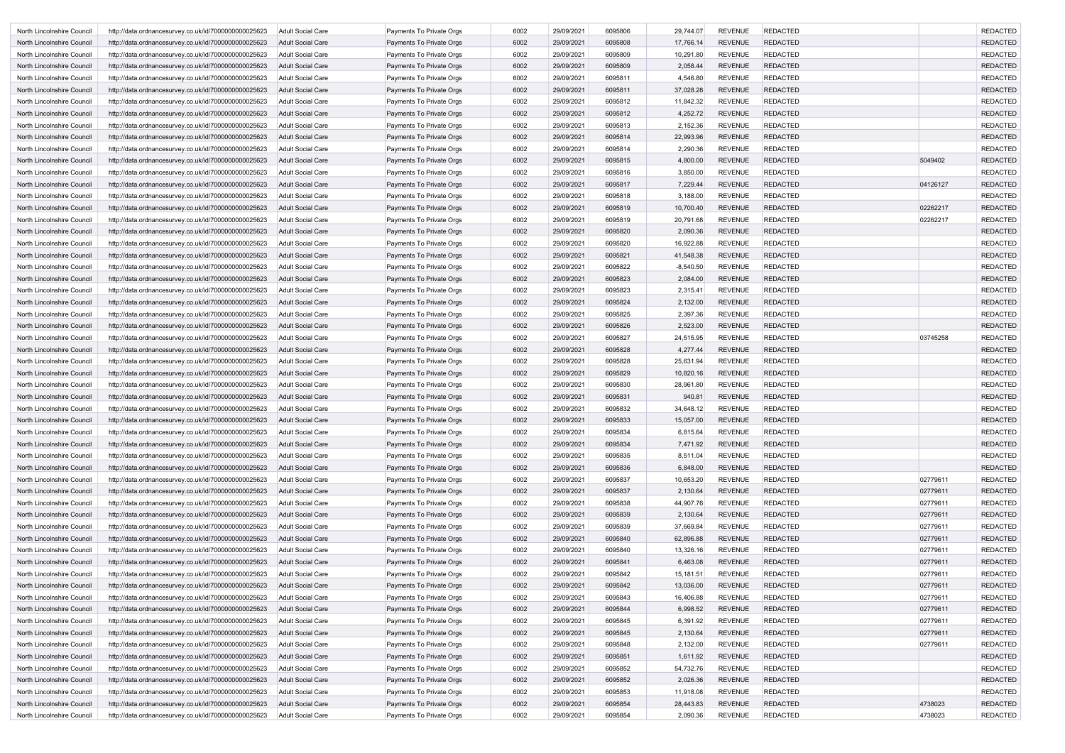| North Lincolnshire Council                               | http://data.ordnancesurvey.co.uk/id/7000000000025623                                                         | Adult Social Care                      | Payments To Private Orgs                             | 6002         | 29/09/2021               | 6095806            | 29,744.07          | <b>REVENUE</b>                   | <b>REDACTED</b>                    |          | <b>REDACTED</b>                    |
|----------------------------------------------------------|--------------------------------------------------------------------------------------------------------------|----------------------------------------|------------------------------------------------------|--------------|--------------------------|--------------------|--------------------|----------------------------------|------------------------------------|----------|------------------------------------|
| North Lincolnshire Council                               | http://data.ordnancesurvey.co.uk/id/7000000000025623                                                         | <b>Adult Social Care</b>               | Payments To Private Orgs                             | 6002         | 29/09/2021               | 6095808            | 17,766.14          | <b>REVENUE</b>                   | <b>REDACTED</b>                    |          | <b>REDACTED</b>                    |
| North Lincolnshire Council                               | http://data.ordnancesurvey.co.uk/id/7000000000025623                                                         | Adult Social Care                      | Payments To Private Orgs                             | 6002         | 29/09/2021               | 6095809            | 10,291.80          | <b>REVENUE</b>                   | <b>REDACTED</b>                    |          | <b>REDACTED</b>                    |
| North Lincolnshire Council                               | http://data.ordnancesurvey.co.uk/id/7000000000025623                                                         | <b>Adult Social Care</b>               | Payments To Private Orgs                             | 6002         | 29/09/2021               | 6095809            | 2,058.44           | <b>REVENUE</b>                   | <b>REDACTED</b>                    |          | <b>REDACTED</b>                    |
| North Lincolnshire Council                               | http://data.ordnancesurvey.co.uk/id/7000000000025623                                                         | Adult Social Care                      | Payments To Private Orgs                             | 6002         | 29/09/2021               | 6095811            | 4,546.80           | <b>REVENUE</b>                   | <b>REDACTED</b>                    |          | <b>REDACTED</b>                    |
| North Lincolnshire Council                               | http://data.ordnancesurvey.co.uk/id/7000000000025623                                                         | <b>Adult Social Care</b>               | Payments To Private Orgs                             | 6002         | 29/09/2021               | 6095811            | 37,028.28          | <b>REVENUE</b>                   | <b>REDACTED</b>                    |          | <b>REDACTED</b>                    |
| North Lincolnshire Council                               | http://data.ordnancesurvey.co.uk/id/7000000000025623                                                         | Adult Social Care                      | Payments To Private Orgs                             | 6002         | 29/09/2021               | 6095812            | 11,842.32          | <b>REVENUE</b>                   | <b>REDACTED</b>                    |          | <b>REDACTED</b>                    |
| North Lincolnshire Council                               | http://data.ordnancesurvey.co.uk/id/7000000000025623                                                         | <b>Adult Social Care</b>               | Payments To Private Orgs                             | 6002         | 29/09/2021               | 6095812            | 4,252.72           | <b>REVENUE</b>                   | <b>REDACTED</b>                    |          | <b>REDACTED</b>                    |
| North Lincolnshire Council                               | http://data.ordnancesurvey.co.uk/id/7000000000025623                                                         | Adult Social Care                      | Payments To Private Orgs                             | 6002         | 29/09/2021               | 6095813            | 2,152.36           | <b>REVENUE</b>                   | <b>REDACTED</b>                    |          | <b>REDACTED</b>                    |
| North Lincolnshire Council                               | http://data.ordnancesurvey.co.uk/id/7000000000025623                                                         | <b>Adult Social Care</b>               | Payments To Private Orgs                             | 6002         | 29/09/2021               | 6095814            | 22,993.96          | <b>REVENUE</b>                   | <b>REDACTED</b>                    |          | <b>REDACTED</b>                    |
| North Lincolnshire Council                               | http://data.ordnancesurvey.co.uk/id/7000000000025623                                                         | Adult Social Care                      | Payments To Private Orgs                             | 6002         | 29/09/2021               | 6095814            | 2,290.36           | <b>REVENUE</b>                   | <b>REDACTED</b>                    |          | <b>REDACTED</b>                    |
| North Lincolnshire Council                               | http://data.ordnancesurvey.co.uk/id/7000000000025623                                                         | <b>Adult Social Care</b>               | Payments To Private Orgs                             | 6002         | 29/09/2021               | 6095815            | 4,800.00           | <b>REVENUE</b>                   | <b>REDACTED</b>                    | 5049402  | <b>REDACTED</b>                    |
| North Lincolnshire Council                               | http://data.ordnancesurvey.co.uk/id/7000000000025623                                                         | <b>Adult Social Care</b>               | Payments To Private Orgs                             | 6002         | 29/09/2021               | 6095816            | 3,850.00           | <b>REVENUE</b>                   | <b>REDACTED</b>                    |          | <b>REDACTED</b>                    |
| North Lincolnshire Council                               | http://data.ordnancesurvey.co.uk/id/7000000000025623                                                         | <b>Adult Social Care</b>               | Payments To Private Orgs                             | 6002         | 29/09/2021               | 6095817            | 7,229.44           | <b>REVENUE</b>                   | <b>REDACTED</b>                    | 04126127 | <b>REDACTED</b>                    |
| North Lincolnshire Council                               | http://data.ordnancesurvey.co.uk/id/7000000000025623                                                         | Adult Social Care                      | Payments To Private Orgs                             | 6002         | 29/09/2021               | 6095818            | 3,188.00           | <b>REVENUE</b>                   | <b>REDACTED</b>                    |          | <b>REDACTED</b>                    |
| North Lincolnshire Council                               | http://data.ordnancesurvey.co.uk/id/7000000000025623                                                         | <b>Adult Social Care</b>               | Payments To Private Orgs                             | 6002         | 29/09/2021               | 6095819            | 10,700.40          | <b>REVENUE</b>                   | <b>REDACTED</b>                    | 02262217 | <b>REDACTED</b>                    |
| North Lincolnshire Council                               | http://data.ordnancesurvey.co.uk/id/7000000000025623                                                         | Adult Social Care                      | Payments To Private Orgs                             | 6002         | 29/09/2021               | 6095819            | 20,791.68          | <b>REVENUE</b>                   | <b>REDACTED</b>                    | 02262217 | <b>REDACTED</b>                    |
| North Lincolnshire Council                               | http://data.ordnancesurvey.co.uk/id/7000000000025623                                                         | <b>Adult Social Care</b>               | Payments To Private Orgs                             | 6002         | 29/09/2021               | 6095820            | 2,090.36           | <b>REVENUE</b>                   | <b>REDACTED</b>                    |          | <b>REDACTED</b>                    |
| North Lincolnshire Council                               | http://data.ordnancesurvey.co.uk/id/7000000000025623                                                         | Adult Social Care                      | Payments To Private Orgs                             | 6002         | 29/09/2021               | 6095820            | 16,922.88          | <b>REVENUE</b>                   | <b>REDACTED</b>                    |          | <b>REDACTED</b>                    |
| North Lincolnshire Council                               | http://data.ordnancesurvey.co.uk/id/7000000000025623                                                         | <b>Adult Social Care</b>               | Payments To Private Orgs                             | 6002         | 29/09/2021               | 609582             | 41,548.38          | <b>REVENUE</b>                   | <b>REDACTED</b>                    |          | <b>REDACTED</b>                    |
| North Lincolnshire Council                               | http://data.ordnancesurvey.co.uk/id/7000000000025623                                                         | Adult Social Care                      | Payments To Private Orgs                             | 6002         | 29/09/2021               | 6095822            | $-8,540.50$        | <b>REVENUE</b>                   | <b>REDACTED</b>                    |          | <b>REDACTED</b>                    |
| North Lincolnshire Council                               | http://data.ordnancesurvey.co.uk/id/7000000000025623                                                         | <b>Adult Social Care</b>               | Payments To Private Orgs                             | 6002         | 29/09/2021               | 6095823            | 2,084.00           | <b>REVENUE</b>                   | <b>REDACTED</b>                    |          | <b>REDACTED</b>                    |
| North Lincolnshire Council                               | http://data.ordnancesurvey.co.uk/id/7000000000025623                                                         | <b>Adult Social Care</b>               | Payments To Private Orgs                             | 6002         | 29/09/2021               | 6095823            | 2,315.41           | <b>REVENUE</b>                   | <b>REDACTED</b>                    |          | <b>REDACTED</b>                    |
| North Lincolnshire Council                               | http://data.ordnancesurvey.co.uk/id/7000000000025623                                                         | <b>Adult Social Care</b>               | Payments To Private Orgs                             | 6002         | 29/09/2021               | 6095824            | 2,132.00           | <b>REVENUE</b>                   | <b>REDACTED</b>                    |          | <b>REDACTED</b>                    |
| North Lincolnshire Council                               | http://data.ordnancesurvey.co.uk/id/7000000000025623                                                         | Adult Social Care                      | Payments To Private Orgs                             | 6002         | 29/09/2021               | 6095825            | 2,397.36           | <b>REVENUE</b>                   | <b>REDACTED</b>                    |          | <b>REDACTED</b>                    |
| North Lincolnshire Council                               | http://data.ordnancesurvey.co.uk/id/7000000000025623                                                         | <b>Adult Social Care</b>               | Payments To Private Orgs                             | 6002         | 29/09/2021               | 6095826            | 2,523.00           | <b>REVENUE</b>                   | <b>REDACTED</b>                    |          | <b>REDACTED</b>                    |
| North Lincolnshire Council                               | http://data.ordnancesurvey.co.uk/id/7000000000025623                                                         | <b>Adult Social Care</b>               | Payments To Private Orgs                             | 6002         | 29/09/2021               | 6095827            | 24,515.95          | <b>REVENUE</b>                   | <b>REDACTED</b>                    | 03745258 | <b>REDACTED</b>                    |
| North Lincolnshire Council                               | http://data.ordnancesurvey.co.uk/id/7000000000025623                                                         | Adult Social Care                      | Payments To Private Orgs                             | 6002         | 29/09/2021               | 6095828            | 4,277.44           | <b>REVENUE</b>                   | <b>REDACTED</b>                    |          | <b>REDACTED</b>                    |
| North Lincolnshire Council                               | http://data.ordnancesurvey.co.uk/id/7000000000025623                                                         | Adult Social Care                      | Payments To Private Orgs                             | 6002         | 29/09/2021               | 6095828            | 25,631.94          | <b>REVENUE</b>                   | <b>REDACTED</b>                    |          | <b>REDACTED</b>                    |
| North Lincolnshire Council                               | http://data.ordnancesurvey.co.uk/id/7000000000025623                                                         | Adult Social Care                      | Payments To Private Orgs                             | 6002         | 29/09/2021               | 6095829            | 10,820.16          | <b>REVENUE</b><br><b>REVENUE</b> | <b>REDACTED</b><br><b>REDACTED</b> |          | <b>REDACTED</b><br><b>REDACTED</b> |
| North Lincolnshire Council<br>North Lincolnshire Council | http://data.ordnancesurvey.co.uk/id/7000000000025623<br>http://data.ordnancesurvey.co.uk/id/7000000000025623 | Adult Social Care<br>Adult Social Care | Payments To Private Orgs<br>Payments To Private Orgs | 6002<br>6002 | 29/09/2021<br>29/09/2021 | 6095830<br>6095831 | 28,961.80<br>940.8 | <b>REVENUE</b>                   | <b>REDACTED</b>                    |          | <b>REDACTED</b>                    |
| North Lincolnshire Council                               | http://data.ordnancesurvey.co.uk/id/7000000000025623                                                         | <b>Adult Social Care</b>               | Payments To Private Orgs                             | 6002         | 29/09/2021               | 6095832            | 34,648.12          | <b>REVENUE</b>                   | <b>REDACTED</b>                    |          | <b>REDACTED</b>                    |
| North Lincolnshire Council                               | http://data.ordnancesurvey.co.uk/id/7000000000025623                                                         | <b>Adult Social Care</b>               | Payments To Private Orgs                             | 6002         | 29/09/2021               | 6095833            | 15,057.00          | REVENUE                          | <b>REDACTED</b>                    |          | <b>REDACTED</b>                    |
| North Lincolnshire Council                               | http://data.ordnancesurvey.co.uk/id/7000000000025623                                                         | Adult Social Care                      | Payments To Private Orgs                             | 6002         | 29/09/2021               | 6095834            | 6,815.64           | <b>REVENUE</b>                   | REDACTED                           |          | <b>REDACTED</b>                    |
| North Lincolnshire Council                               | http://data.ordnancesurvey.co.uk/id/7000000000025623                                                         | <b>Adult Social Care</b>               | Payments To Private Orgs                             | 6002         | 29/09/2021               | 6095834            | 7,471.92           | <b>REVENUE</b>                   | <b>REDACTED</b>                    |          | <b>REDACTED</b>                    |
| North Lincolnshire Council                               | http://data.ordnancesurvey.co.uk/id/7000000000025623                                                         | Adult Social Care                      | Payments To Private Orgs                             | 6002         | 29/09/2021               | 6095835            | 8,511.04           | <b>REVENUE</b>                   | <b>REDACTED</b>                    |          | <b>REDACTED</b>                    |
| North Lincolnshire Council                               | http://data.ordnancesurvey.co.uk/id/7000000000025623                                                         | <b>Adult Social Care</b>               | Payments To Private Orgs                             | 6002         | 29/09/2021               | 6095836            | 6,848.00           | <b>REVENUE</b>                   | <b>REDACTED</b>                    |          | <b>REDACTED</b>                    |
| North Lincolnshire Council                               | http://data.ordnancesurvey.co.uk/id/7000000000025623                                                         | <b>Adult Social Care</b>               | Payments To Private Orgs                             | 6002         | 29/09/2021               | 6095837            | 10,653.20          | <b>REVENUE</b>                   | <b>REDACTED</b>                    | 02779611 | <b>REDACTED</b>                    |
| North Lincolnshire Council                               | http://data.ordnancesurvey.co.uk/id/7000000000025623                                                         | <b>Adult Social Care</b>               | Payments To Private Orgs                             | 6002         | 29/09/2021               | 6095837            | 2,130.64           | <b>REVENUE</b>                   | <b>REDACTED</b>                    | 02779611 | <b>REDACTED</b>                    |
| North Lincolnshire Council                               | http://data.ordnancesurvey.co.uk/id/7000000000025623                                                         | Adult Social Care                      | Payments To Private Orgs                             | 6002         | 29/09/2021               | 6095838            | 44,907.76          | <b>REVENUE</b>                   | <b>REDACTED</b>                    | 02779611 | <b>REDACTED</b>                    |
| North Lincolnshire Council                               | http://data.ordnancesurvey.co.uk/id/7000000000025623                                                         | Adult Social Care                      | Payments To Private Orgs                             | 6002         | 29/09/2021               | 6095839            | 2,130.64           | <b>REVENUE</b>                   | <b>REDACTED</b>                    | 02779611 | <b>REDACTED</b>                    |
| North Lincolnshire Council                               | http://data.ordnancesurvey.co.uk/id/7000000000025623                                                         | Adult Social Care                      | Payments To Private Orgs                             | 6002         | 29/09/2021               | 6095839            | 37,669.84          | <b>REVENUE</b>                   | <b>REDACTED</b>                    | 02779611 | <b>REDACTED</b>                    |
| North Lincolnshire Council                               | http://data.ordnancesurvey.co.uk/id/7000000000025623                                                         | <b>Adult Social Care</b>               | Payments To Private Orgs                             | 6002         | 29/09/2021               | 6095840            | 62,896.88          | <b>REVENUE</b>                   | <b>REDACTED</b>                    | 02779611 | <b>REDACTED</b>                    |
| North Lincolnshire Council                               | http://data.ordnancesurvey.co.uk/id/7000000000025623                                                         | Adult Social Care                      | Payments To Private Orgs                             | 6002         | 29/09/2021               | 6095840            | 13,326.16          | <b>REVENUE</b>                   | <b>REDACTED</b>                    | 02779611 | <b>REDACTED</b>                    |
| North Lincolnshire Council                               | http://data.ordnancesurvey.co.uk/id/7000000000025623                                                         | <b>Adult Social Care</b>               | Payments To Private Orgs                             | 6002         | 29/09/2021               | 6095841            | 6,463.08           | <b>REVENUE</b>                   | <b>REDACTED</b>                    | 02779611 | <b>REDACTED</b>                    |
| North Lincolnshire Council                               | http://data.ordnancesurvey.co.uk/id/7000000000025623                                                         | Adult Social Care                      | Payments To Private Orgs                             | 6002         | 29/09/2021               | 6095842            | 15,181.51          | <b>REVENUE</b>                   | <b>REDACTED</b>                    | 02779611 | <b>REDACTED</b>                    |
| North Lincolnshire Council                               | http://data.ordnancesurvey.co.uk/id/7000000000025623                                                         | <b>Adult Social Care</b>               | Payments To Private Orgs                             | 6002         | 29/09/2021               | 6095842            | 13,036.00          | <b>REVENUE</b>                   | <b>REDACTED</b>                    | 02779611 | <b>REDACTED</b>                    |
| North Lincolnshire Council                               | http://data.ordnancesurvey.co.uk/id/7000000000025623                                                         | Adult Social Care                      | Payments To Private Orgs                             | 6002         | 29/09/2021               | 6095843            | 16,406.88          | <b>REVENUE</b>                   | <b>REDACTED</b>                    | 02779611 | <b>REDACTED</b>                    |
| North Lincolnshire Council                               | http://data.ordnancesurvey.co.uk/id/7000000000025623                                                         | <b>Adult Social Care</b>               | Payments To Private Orgs                             | 6002         | 29/09/2021               | 6095844            | 6,998.52           | <b>REVENUE</b>                   | <b>REDACTED</b>                    | 02779611 | <b>REDACTED</b>                    |
| North Lincolnshire Council                               | http://data.ordnancesurvey.co.uk/id/7000000000025623                                                         | Adult Social Care                      | Payments To Private Orgs                             | 6002         | 29/09/2021               | 6095845            | 6,391.92           | <b>REVENUE</b>                   | <b>REDACTED</b>                    | 02779611 | <b>REDACTED</b>                    |
| North Lincolnshire Council                               | http://data.ordnancesurvey.co.uk/id/7000000000025623                                                         | Adult Social Care                      | Payments To Private Orgs                             | 6002         | 29/09/2021               | 6095845            | 2,130.64           | <b>REVENUE</b>                   | <b>REDACTED</b>                    | 02779611 | <b>REDACTED</b>                    |
| North Lincolnshire Council                               | http://data.ordnancesurvey.co.uk/id/7000000000025623                                                         | Adult Social Care                      | Payments To Private Orgs                             | 6002         | 29/09/2021               | 6095848            | 2,132.00           | <b>REVENUE</b>                   | <b>REDACTED</b>                    | 02779611 | <b>REDACTED</b>                    |
| North Lincolnshire Council                               | http://data.ordnancesurvey.co.uk/id/7000000000025623                                                         | <b>Adult Social Care</b>               | Payments To Private Orgs                             | 6002         | 29/09/2021               | 6095851            | 1,611.92           | <b>REVENUE</b>                   | <b>REDACTED</b>                    |          | <b>REDACTED</b>                    |
| North Lincolnshire Council                               | http://data.ordnancesurvey.co.uk/id/7000000000025623                                                         | Adult Social Care                      | Payments To Private Orgs                             | 6002         | 29/09/2021               | 6095852            | 54,732.76          | REVENUE                          | <b>REDACTED</b>                    |          | <b>REDACTED</b>                    |
| North Lincolnshire Council                               | http://data.ordnancesurvey.co.uk/id/7000000000025623                                                         | <b>Adult Social Care</b>               | Payments To Private Orgs                             | 6002         | 29/09/2021               | 6095852            | 2,026.36           | <b>REVENUE</b>                   | <b>REDACTED</b>                    |          | <b>REDACTED</b>                    |
| North Lincolnshire Council                               | http://data.ordnancesurvey.co.uk/id/7000000000025623                                                         | Adult Social Care                      | Payments To Private Orgs                             | 6002         | 29/09/2021               | 6095853            | 11,918.08          | <b>REVENUE</b>                   | <b>REDACTED</b>                    |          | <b>REDACTED</b>                    |
| North Lincolnshire Council                               | http://data.ordnancesurvey.co.uk/id/7000000000025623                                                         | <b>Adult Social Care</b>               | Payments To Private Orgs                             | 6002         | 29/09/2021               | 6095854            | 28,443.83          | <b>REVENUE</b>                   | <b>REDACTED</b>                    | 4738023  | <b>REDACTED</b>                    |
| North Lincolnshire Council                               | http://data.ordnancesurvey.co.uk/id/7000000000025623                                                         | Adult Social Care                      | Payments To Private Orgs                             | 6002         | 29/09/2021               | 6095854            | 2,090.36           | <b>REVENUE</b>                   | <b>REDACTED</b>                    | 4738023  | <b>REDACTED</b>                    |
|                                                          |                                                                                                              |                                        |                                                      |              |                          |                    |                    |                                  |                                    |          |                                    |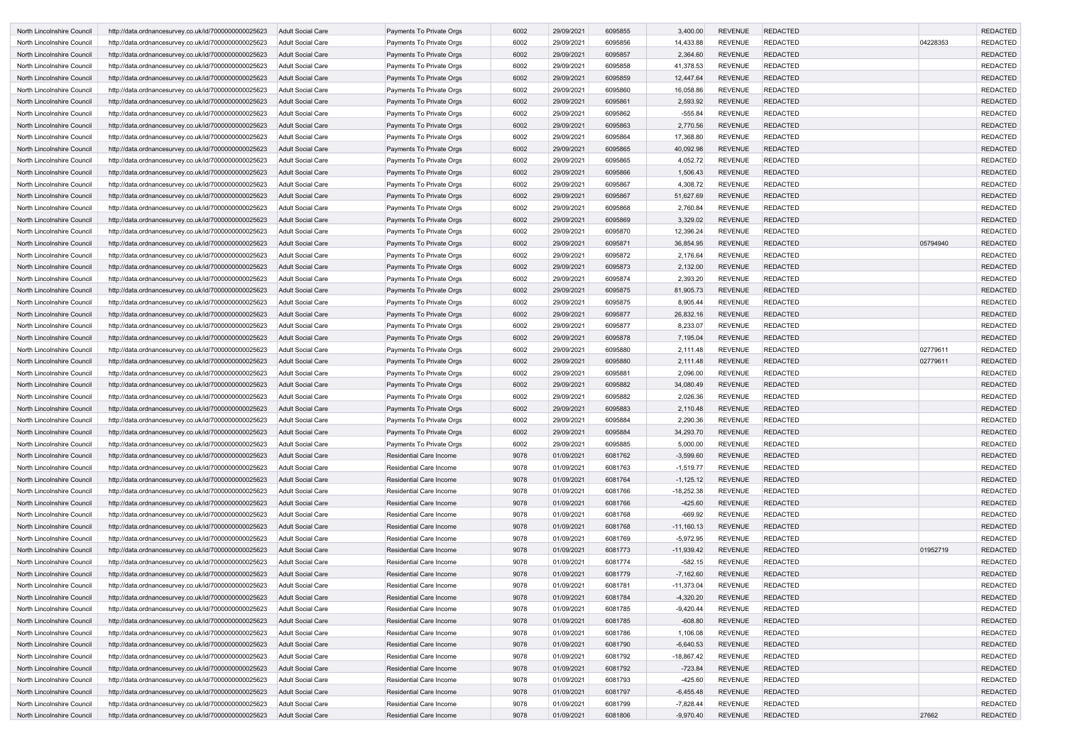| North Lincolnshire Council | http://data.ordnancesurvey.co.uk/id/7000000000025623 | <b>Adult Social Care</b> | Payments To Private Orgs       | 6002 | 29/09/2021 | 6095855 | 3,400.00     | <b>REVENUE</b> | <b>REDACTED</b> |          | <b>REDACTED</b> |
|----------------------------|------------------------------------------------------|--------------------------|--------------------------------|------|------------|---------|--------------|----------------|-----------------|----------|-----------------|
| North Lincolnshire Council | http://data.ordnancesurvey.co.uk/id/7000000000025623 | Adult Social Care        | Payments To Private Orgs       | 6002 | 29/09/2021 | 6095856 | 14,433.88    | <b>REVENUE</b> | <b>REDACTED</b> | 04228353 | <b>REDACTED</b> |
| North Lincolnshire Council | http://data.ordnancesurvey.co.uk/id/7000000000025623 | <b>Adult Social Care</b> | Payments To Private Orgs       | 6002 | 29/09/2021 | 6095857 | 2,364.60     | <b>REVENUE</b> | <b>REDACTED</b> |          | <b>REDACTED</b> |
| North Lincolnshire Council | http://data.ordnancesurvey.co.uk/id/7000000000025623 | Adult Social Care        | Payments To Private Orgs       | 6002 | 29/09/2021 | 6095858 | 41,378.53    | <b>REVENUE</b> | <b>REDACTED</b> |          | <b>REDACTED</b> |
| North Lincolnshire Council | http://data.ordnancesurvey.co.uk/id/7000000000025623 | <b>Adult Social Care</b> | Payments To Private Orgs       | 6002 | 29/09/2021 | 6095859 | 12,447.64    | <b>REVENUE</b> | <b>REDACTED</b> |          | <b>REDACTED</b> |
| North Lincolnshire Council | http://data.ordnancesurvey.co.uk/id/7000000000025623 | <b>Adult Social Care</b> | Payments To Private Orgs       | 6002 | 29/09/2021 | 6095860 | 16,058.86    | <b>REVENUE</b> | <b>REDACTED</b> |          | <b>REDACTED</b> |
| North Lincolnshire Council | http://data.ordnancesurvey.co.uk/id/7000000000025623 | <b>Adult Social Care</b> | Payments To Private Orgs       | 6002 | 29/09/2021 | 6095861 | 2,593.92     | <b>REVENUE</b> | <b>REDACTED</b> |          | <b>REDACTED</b> |
| North Lincolnshire Council | http://data.ordnancesurvey.co.uk/id/7000000000025623 | Adult Social Care        | Payments To Private Orgs       | 6002 | 29/09/2021 | 6095862 | $-555.84$    | <b>REVENUE</b> | <b>REDACTED</b> |          | <b>REDACTED</b> |
| North Lincolnshire Council | http://data.ordnancesurvey.co.uk/id/7000000000025623 | <b>Adult Social Care</b> | Payments To Private Orgs       | 6002 | 29/09/2021 | 6095863 | 2,770.56     | <b>REVENUE</b> | <b>REDACTED</b> |          | <b>REDACTED</b> |
| North Lincolnshire Council | http://data.ordnancesurvey.co.uk/id/7000000000025623 | <b>Adult Social Care</b> | Payments To Private Orgs       | 6002 | 29/09/2021 | 6095864 | 17,368.80    | <b>REVENUE</b> | <b>REDACTED</b> |          | <b>REDACTED</b> |
| North Lincolnshire Council | http://data.ordnancesurvey.co.uk/id/7000000000025623 | <b>Adult Social Care</b> | Payments To Private Orgs       | 6002 | 29/09/2021 | 6095865 | 40,092.98    | <b>REVENUE</b> | <b>REDACTED</b> |          | <b>REDACTED</b> |
| North Lincolnshire Council | http://data.ordnancesurvey.co.uk/id/7000000000025623 | Adult Social Care        | Payments To Private Orgs       | 6002 | 29/09/2021 | 6095865 | 4,052.72     | <b>REVENUE</b> | <b>REDACTED</b> |          | <b>REDACTED</b> |
| North Lincolnshire Council | http://data.ordnancesurvey.co.uk/id/7000000000025623 | <b>Adult Social Care</b> | Payments To Private Orgs       | 6002 | 29/09/2021 | 6095866 | 1,506.43     | <b>REVENUE</b> | <b>REDACTED</b> |          | <b>REDACTED</b> |
| North Lincolnshire Council | http://data.ordnancesurvey.co.uk/id/7000000000025623 | Adult Social Care        | Payments To Private Orgs       | 6002 | 29/09/2021 | 6095867 | 4,308.72     | <b>REVENUE</b> | <b>REDACTED</b> |          | <b>REDACTED</b> |
| North Lincolnshire Council | http://data.ordnancesurvey.co.uk/id/7000000000025623 | <b>Adult Social Care</b> | Payments To Private Orgs       | 6002 | 29/09/2021 | 6095867 | 51,627.69    | <b>REVENUE</b> | <b>REDACTED</b> |          | <b>REDACTED</b> |
| North Lincolnshire Council | http://data.ordnancesurvey.co.uk/id/7000000000025623 | Adult Social Care        | Payments To Private Orgs       | 6002 | 29/09/2021 | 6095868 | 2,760.84     | <b>REVENUE</b> | <b>REDACTED</b> |          | <b>REDACTED</b> |
| North Lincolnshire Council | http://data.ordnancesurvey.co.uk/id/7000000000025623 | <b>Adult Social Care</b> | Payments To Private Orgs       | 6002 | 29/09/2021 | 6095869 | 3,329.02     | <b>REVENUE</b> | <b>REDACTED</b> |          | <b>REDACTED</b> |
| North Lincolnshire Council | http://data.ordnancesurvey.co.uk/id/7000000000025623 | Adult Social Care        | Payments To Private Orgs       | 6002 | 29/09/2021 | 6095870 | 12,396.24    | <b>REVENUE</b> | <b>REDACTED</b> |          | <b>REDACTED</b> |
| North Lincolnshire Council | http://data.ordnancesurvey.co.uk/id/7000000000025623 | Adult Social Care        | Payments To Private Orgs       | 6002 | 29/09/2021 | 6095871 | 36,854.95    | <b>REVENUE</b> | <b>REDACTED</b> | 05794940 | <b>REDACTED</b> |
| North Lincolnshire Council | http://data.ordnancesurvey.co.uk/id/7000000000025623 | Adult Social Care        | Payments To Private Orgs       | 6002 | 29/09/2021 | 6095872 | 2,176.64     | <b>REVENUE</b> | <b>REDACTED</b> |          | <b>REDACTED</b> |
| North Lincolnshire Council | http://data.ordnancesurvey.co.uk/id/7000000000025623 | <b>Adult Social Care</b> | Payments To Private Orgs       | 6002 | 29/09/2021 | 6095873 | 2,132.00     | <b>REVENUE</b> | <b>REDACTED</b> |          | <b>REDACTED</b> |
| North Lincolnshire Council | http://data.ordnancesurvey.co.uk/id/7000000000025623 | Adult Social Care        | Payments To Private Orgs       | 6002 | 29/09/2021 | 6095874 | 2,393.20     | <b>REVENUE</b> | <b>REDACTED</b> |          | <b>REDACTED</b> |
| North Lincolnshire Council | http://data.ordnancesurvey.co.uk/id/7000000000025623 | <b>Adult Social Care</b> | Payments To Private Orgs       | 6002 | 29/09/2021 | 6095875 | 81,905.73    | <b>REVENUE</b> | <b>REDACTED</b> |          | <b>REDACTED</b> |
| North Lincolnshire Council | http://data.ordnancesurvey.co.uk/id/7000000000025623 | Adult Social Care        | Payments To Private Orgs       | 6002 | 29/09/2021 | 6095875 | 8,905.44     | <b>REVENUE</b> | <b>REDACTED</b> |          | <b>REDACTED</b> |
| North Lincolnshire Council | http://data.ordnancesurvey.co.uk/id/7000000000025623 | <b>Adult Social Care</b> | Payments To Private Orgs       | 6002 | 29/09/2021 | 6095877 | 26,832.16    | <b>REVENUE</b> | <b>REDACTED</b> |          | <b>REDACTED</b> |
| North Lincolnshire Council | http://data.ordnancesurvey.co.uk/id/7000000000025623 | <b>Adult Social Care</b> | Payments To Private Orgs       | 6002 | 29/09/2021 | 6095877 | 8,233.07     | <b>REVENUE</b> | <b>REDACTED</b> |          | <b>REDACTED</b> |
| North Lincolnshire Council | http://data.ordnancesurvey.co.uk/id/7000000000025623 | <b>Adult Social Care</b> | Payments To Private Orgs       | 6002 | 29/09/2021 | 6095878 | 7,195.04     | <b>REVENUE</b> | <b>REDACTED</b> |          | <b>REDACTED</b> |
| North Lincolnshire Council | http://data.ordnancesurvey.co.uk/id/7000000000025623 | Adult Social Care        | Payments To Private Orgs       | 6002 | 29/09/2021 | 6095880 | 2,111.48     | <b>REVENUE</b> | <b>REDACTED</b> | 02779611 | <b>REDACTED</b> |
| North Lincolnshire Council | http://data.ordnancesurvey.co.uk/id/7000000000025623 | <b>Adult Social Care</b> | Payments To Private Orgs       | 6002 | 29/09/2021 | 6095880 | 2,111.48     | <b>REVENUE</b> | <b>REDACTED</b> | 02779611 | <b>REDACTED</b> |
| North Lincolnshire Council | http://data.ordnancesurvey.co.uk/id/7000000000025623 | Adult Social Care        | Payments To Private Orgs       | 6002 | 29/09/2021 | 6095881 | 2,096.00     | <b>REVENUE</b> | <b>REDACTED</b> |          | <b>REDACTED</b> |
| North Lincolnshire Council | http://data.ordnancesurvey.co.uk/id/7000000000025623 | <b>Adult Social Care</b> | Payments To Private Orgs       | 6002 | 29/09/2021 | 6095882 | 34,080.49    | <b>REVENUE</b> | <b>REDACTED</b> |          | <b>REDACTED</b> |
| North Lincolnshire Council | http://data.ordnancesurvey.co.uk/id/7000000000025623 | Adult Social Care        | Payments To Private Orgs       | 6002 | 29/09/2021 | 6095882 | 2,026.36     | <b>REVENUE</b> | <b>REDACTED</b> |          | <b>REDACTED</b> |
| North Lincolnshire Council | http://data.ordnancesurvey.co.uk/id/7000000000025623 | <b>Adult Social Care</b> | Payments To Private Orgs       | 6002 | 29/09/2021 | 6095883 | 2,110.48     | <b>REVENUE</b> | <b>REDACTED</b> |          | <b>REDACTED</b> |
| North Lincolnshire Council | http://data.ordnancesurvey.co.uk/id/7000000000025623 | <b>Adult Social Care</b> | Payments To Private Orgs       | 6002 | 29/09/2021 | 6095884 | 2,290.36     | <b>REVENUE</b> | <b>REDACTED</b> |          | <b>REDACTED</b> |
| North Lincolnshire Council | http://data.ordnancesurvey.co.uk/id/7000000000025623 | Adult Social Care        | Payments To Private Orgs       | 6002 | 29/09/2021 | 6095884 | 34,293.70    | REVENUE        | <b>REDACTED</b> |          | <b>REDACTED</b> |
| North Lincolnshire Council | http://data.ordnancesurvey.co.uk/id/7000000000025623 | Adult Social Care        | Payments To Private Orgs       | 6002 | 29/09/2021 | 6095885 | 5,000.00     | <b>REVENUE</b> | <b>REDACTED</b> |          | <b>REDACTED</b> |
| North Lincolnshire Council | http://data.ordnancesurvey.co.uk/id/7000000000025623 | <b>Adult Social Care</b> | <b>Residential Care Income</b> | 9078 | 01/09/2021 | 6081762 | $-3,599.60$  | <b>REVENUE</b> | <b>REDACTED</b> |          | <b>REDACTED</b> |
| North Lincolnshire Council | http://data.ordnancesurvey.co.uk/id/7000000000025623 | Adult Social Care        | <b>Residential Care Income</b> | 9078 | 01/09/2021 | 6081763 | $-1,519.77$  | <b>REVENUE</b> | <b>REDACTED</b> |          | <b>REDACTED</b> |
| North Lincolnshire Council | http://data.ordnancesurvey.co.uk/id/7000000000025623 | <b>Adult Social Care</b> | <b>Residential Care Income</b> | 9078 | 01/09/2021 | 6081764 | $-1,125.12$  | <b>REVENUE</b> | <b>REDACTED</b> |          | <b>REDACTED</b> |
| North Lincolnshire Council | http://data.ordnancesurvey.co.uk/id/7000000000025623 | <b>Adult Social Care</b> | <b>Residential Care Income</b> | 9078 | 01/09/2021 | 6081766 | $-18,252.38$ | <b>REVENUE</b> | <b>REDACTED</b> |          | <b>REDACTED</b> |
| North Lincolnshire Council | http://data.ordnancesurvey.co.uk/id/7000000000025623 | <b>Adult Social Care</b> | <b>Residential Care Income</b> | 9078 | 01/09/2021 | 6081766 | $-425.60$    | <b>REVENUE</b> | <b>REDACTED</b> |          | <b>REDACTED</b> |
| North Lincolnshire Council | http://data.ordnancesurvey.co.uk/id/7000000000025623 | Adult Social Care        | Residential Care Income        | 9078 | 01/09/2021 | 6081768 | $-669.92$    | <b>REVENUE</b> | <b>REDACTED</b> |          | <b>REDACTED</b> |
| North Lincolnshire Council | http://data.ordnancesurvey.co.uk/id/7000000000025623 | <b>Adult Social Care</b> | <b>Residential Care Income</b> | 9078 | 01/09/2021 | 6081768 | $-11,160.13$ | <b>REVENUE</b> | <b>REDACTED</b> |          | <b>REDACTED</b> |
| North Lincolnshire Council | http://data.ordnancesurvey.co.uk/id/7000000000025623 | Adult Social Care        | <b>Residential Care Income</b> | 9078 | 01/09/2021 | 6081769 | $-5,972.95$  | <b>REVENUE</b> | <b>REDACTED</b> |          | <b>REDACTED</b> |
| North Lincolnshire Council | http://data.ordnancesurvey.co.uk/id/7000000000025623 | <b>Adult Social Care</b> | Residential Care Income        | 9078 | 01/09/2021 | 6081773 | $-11,939.42$ | <b>REVENUE</b> | <b>REDACTED</b> | 01952719 | <b>REDACTED</b> |
| North Lincolnshire Council | http://data.ordnancesurvey.co.uk/id/7000000000025623 | Adult Social Care        | Residential Care Income        | 9078 | 01/09/2021 | 6081774 | $-582.15$    | <b>REVENUE</b> | <b>REDACTED</b> |          | <b>REDACTED</b> |
| North Lincolnshire Council | http://data.ordnancesurvey.co.uk/id/7000000000025623 | <b>Adult Social Care</b> | Residential Care Income        | 9078 | 01/09/2021 | 6081779 | $-7,162.60$  | <b>REVENUE</b> | <b>REDACTED</b> |          | <b>REDACTED</b> |
| North Lincolnshire Council | http://data.ordnancesurvey.co.uk/id/7000000000025623 | Adult Social Care        | <b>Residential Care Income</b> | 9078 | 01/09/2021 | 6081781 | $-11,373.04$ | <b>REVENUE</b> | <b>REDACTED</b> |          | <b>REDACTED</b> |
| North Lincolnshire Council | http://data.ordnancesurvey.co.uk/id/7000000000025623 | <b>Adult Social Care</b> | <b>Residential Care Income</b> | 9078 | 01/09/2021 | 6081784 | $-4,320.20$  | <b>REVENUE</b> | <b>REDACTED</b> |          | <b>REDACTED</b> |
| North Lincolnshire Council | http://data.ordnancesurvey.co.uk/id/7000000000025623 | Adult Social Care        | <b>Residential Care Income</b> | 9078 | 01/09/2021 | 6081785 | $-9,420.44$  | <b>REVENUE</b> | <b>REDACTED</b> |          | <b>REDACTED</b> |
| North Lincolnshire Council | http://data.ordnancesurvey.co.uk/id/7000000000025623 | <b>Adult Social Care</b> | <b>Residential Care Income</b> | 9078 | 01/09/2021 | 6081785 | $-608.80$    | <b>REVENUE</b> | <b>REDACTED</b> |          | <b>REDACTED</b> |
| North Lincolnshire Council | http://data.ordnancesurvey.co.uk/id/7000000000025623 | Adult Social Care        | Residential Care Income        | 9078 | 01/09/2021 | 6081786 | 1,106.08     | <b>REVENUE</b> | <b>REDACTED</b> |          | <b>REDACTED</b> |
| North Lincolnshire Council | http://data.ordnancesurvey.co.uk/id/7000000000025623 | <b>Adult Social Care</b> | <b>Residential Care Income</b> | 9078 | 01/09/2021 | 6081790 | $-6,640.53$  | <b>REVENUE</b> | <b>REDACTED</b> |          | <b>REDACTED</b> |
| North Lincolnshire Council | http://data.ordnancesurvey.co.uk/id/7000000000025623 | Adult Social Care        | <b>Residential Care Income</b> | 9078 | 01/09/2021 | 6081792 | $-18,867.42$ | <b>REVENUE</b> | <b>REDACTED</b> |          | <b>REDACTED</b> |
| North Lincolnshire Council | http://data.ordnancesurvey.co.uk/id/7000000000025623 | <b>Adult Social Care</b> | Residential Care Income        | 9078 | 01/09/2021 | 6081792 | $-723.84$    | <b>REVENUE</b> | <b>REDACTED</b> |          | <b>REDACTED</b> |
| North Lincolnshire Council | http://data.ordnancesurvey.co.uk/id/7000000000025623 | Adult Social Care        | <b>Residential Care Income</b> | 9078 | 01/09/2021 | 6081793 | $-425.60$    | <b>REVENUE</b> | <b>REDACTED</b> |          | <b>REDACTED</b> |
| North Lincolnshire Council | http://data.ordnancesurvey.co.uk/id/7000000000025623 | <b>Adult Social Care</b> | Residential Care Income        | 9078 | 01/09/2021 | 6081797 | $-6,455.48$  | <b>REVENUE</b> | <b>REDACTED</b> |          | <b>REDACTED</b> |
| North Lincolnshire Council | http://data.ordnancesurvey.co.uk/id/7000000000025623 | Adult Social Care        | <b>Residential Care Income</b> | 9078 | 01/09/2021 | 6081799 | $-7,828.44$  | <b>REVENUE</b> | <b>REDACTED</b> |          | <b>REDACTED</b> |
| North Lincolnshire Council | http://data.ordnancesurvey.co.uk/id/7000000000025623 | Adult Social Care        | <b>Residential Care Income</b> | 9078 | 01/09/2021 | 6081806 | $-9,970.40$  | <b>REVENUE</b> | <b>REDACTED</b> | 27662    | <b>REDACTED</b> |
|                            |                                                      |                          |                                |      |            |         |              |                |                 |          |                 |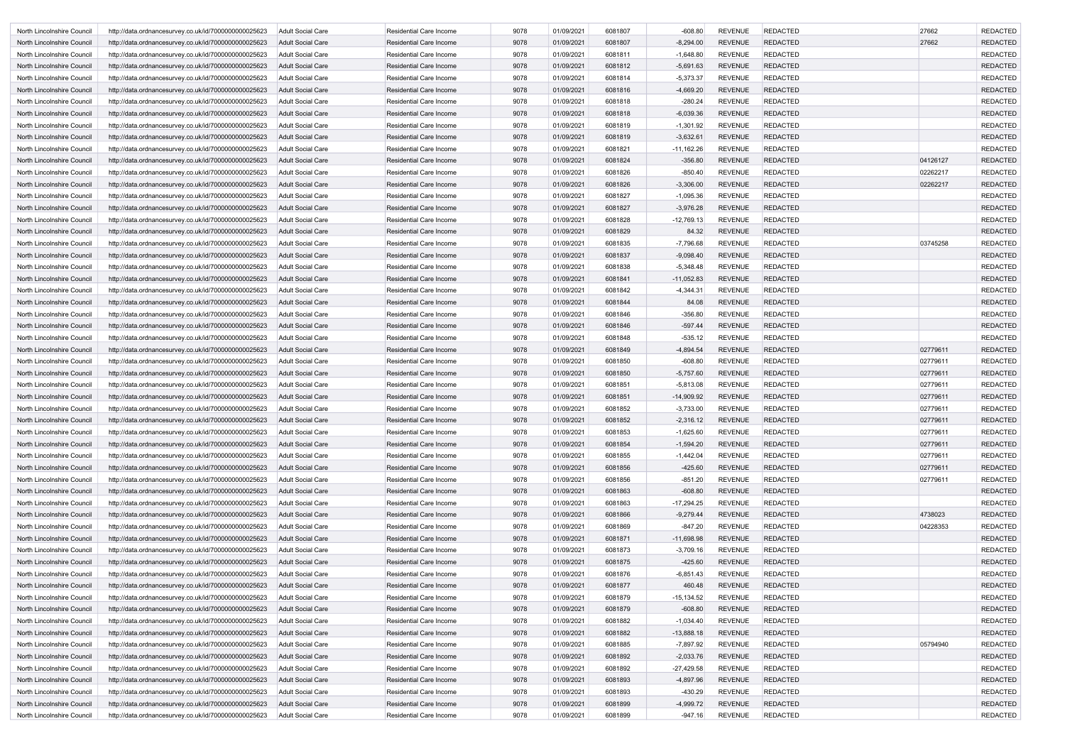| North Lincolnshire Council                               | http://data.ordnancesurvey.co.uk/id/7000000000025623                                                         | Adult Social Care                             | Residential Care Income                                          | 9078         | 01/09/2021               | 6081807            | $-608.80$                   | <b>REVENUE</b>                   | <b>REDACTED</b>                    | 27662                | <b>REDACTED</b>                    |
|----------------------------------------------------------|--------------------------------------------------------------------------------------------------------------|-----------------------------------------------|------------------------------------------------------------------|--------------|--------------------------|--------------------|-----------------------------|----------------------------------|------------------------------------|----------------------|------------------------------------|
| North Lincolnshire Council                               | http://data.ordnancesurvey.co.uk/id/7000000000025623                                                         | <b>Adult Social Care</b>                      | <b>Residential Care Income</b>                                   | 9078         | 01/09/2021               | 6081807            | $-8,294.00$                 | <b>REVENUE</b>                   | <b>REDACTED</b>                    | 27662                | <b>REDACTED</b>                    |
| North Lincolnshire Council                               | http://data.ordnancesurvey.co.uk/id/7000000000025623                                                         | Adult Social Care                             | <b>Residential Care Income</b>                                   | 9078         | 01/09/2021               | 6081811            | $-1,648.80$                 | <b>REVENUE</b>                   | <b>REDACTED</b>                    |                      | <b>REDACTED</b>                    |
| North Lincolnshire Council                               | http://data.ordnancesurvey.co.uk/id/7000000000025623                                                         | <b>Adult Social Care</b>                      | <b>Residential Care Income</b>                                   | 9078         | 01/09/2021               | 6081812            | $-5,691.63$                 | <b>REVENUE</b>                   | <b>REDACTED</b>                    |                      | <b>REDACTED</b>                    |
| North Lincolnshire Council                               | http://data.ordnancesurvey.co.uk/id/7000000000025623                                                         | <b>Adult Social Care</b>                      | <b>Residential Care Income</b>                                   | 9078         | 01/09/2021               | 6081814            | $-5,373.37$                 | <b>REVENUE</b>                   | <b>REDACTED</b>                    |                      | <b>REDACTED</b>                    |
| North Lincolnshire Council                               | http://data.ordnancesurvey.co.uk/id/7000000000025623                                                         | <b>Adult Social Care</b>                      | <b>Residential Care Income</b>                                   | 9078         | 01/09/2021               | 6081816            | $-4,669.20$                 | <b>REVENUE</b>                   | <b>REDACTED</b>                    |                      | <b>REDACTED</b>                    |
| North Lincolnshire Council                               | http://data.ordnancesurvey.co.uk/id/7000000000025623                                                         | Adult Social Care                             | <b>Residential Care Income</b>                                   | 9078         | 01/09/2021               | 6081818            | $-280.24$                   | <b>REVENUE</b>                   | <b>REDACTED</b>                    |                      | <b>REDACTED</b>                    |
| North Lincolnshire Council                               | http://data.ordnancesurvey.co.uk/id/7000000000025623                                                         | Adult Social Care                             | <b>Residential Care Income</b>                                   | 9078         | 01/09/2021               | 6081818            | $-6,039.36$                 | <b>REVENUE</b>                   | <b>REDACTED</b>                    |                      | <b>REDACTED</b>                    |
| North Lincolnshire Council                               | http://data.ordnancesurvey.co.uk/id/7000000000025623                                                         | <b>Adult Social Care</b>                      | <b>Residential Care Income</b>                                   | 9078         | 01/09/2021               | 6081819            | $-1,301.92$                 | <b>REVENUE</b>                   | <b>REDACTED</b>                    |                      | <b>REDACTED</b>                    |
| North Lincolnshire Council                               | http://data.ordnancesurvey.co.uk/id/7000000000025623                                                         | <b>Adult Social Care</b>                      | <b>Residential Care Income</b>                                   | 9078         | 01/09/2021               | 6081819            | $-3,632.61$                 | REVENUE                          | <b>REDACTED</b>                    |                      | <b>REDACTED</b>                    |
| North Lincolnshire Council                               | http://data.ordnancesurvey.co.uk/id/7000000000025623                                                         | Adult Social Care                             | <b>Residential Care Income</b>                                   | 9078         | 01/09/2021               | 6081821            | $-11,162.26$                | <b>REVENUE</b>                   | <b>REDACTED</b>                    |                      | <b>REDACTED</b>                    |
| North Lincolnshire Council                               | http://data.ordnancesurvey.co.uk/id/7000000000025623                                                         | <b>Adult Social Care</b>                      | <b>Residential Care Income</b>                                   | 9078         | 01/09/2021               | 6081824            | $-356.80$                   | <b>REVENUE</b>                   | <b>REDACTED</b>                    | 04126127             | <b>REDACTED</b>                    |
| North Lincolnshire Council                               | http://data.ordnancesurvey.co.uk/id/7000000000025623                                                         | Adult Social Care                             | Residential Care Income                                          | 9078         | 01/09/2021               | 6081826            | $-850.40$                   | <b>REVENUE</b>                   | <b>REDACTED</b>                    | 02262217             | <b>REDACTED</b>                    |
| North Lincolnshire Council                               | http://data.ordnancesurvey.co.uk/id/7000000000025623                                                         | <b>Adult Social Care</b>                      | <b>Residential Care Income</b>                                   | 9078         | 01/09/2021               | 6081826            | $-3,306.00$                 | <b>REVENUE</b>                   | <b>REDACTED</b>                    | 02262217             | <b>REDACTED</b>                    |
| North Lincolnshire Council                               | http://data.ordnancesurvey.co.uk/id/7000000000025623                                                         | <b>Adult Social Care</b>                      | Residential Care Income                                          | 9078         | 01/09/2021               | 6081827            | $-1,095.36$                 | <b>REVENUE</b>                   | <b>REDACTED</b>                    |                      | <b>REDACTED</b>                    |
| North Lincolnshire Council                               | http://data.ordnancesurvey.co.uk/id/7000000000025623                                                         | <b>Adult Social Care</b>                      | <b>Residential Care Income</b>                                   | 9078         | 01/09/2021               | 6081827            | $-3,976.28$                 | <b>REVENUE</b>                   | <b>REDACTED</b>                    |                      | <b>REDACTED</b>                    |
| North Lincolnshire Council                               | http://data.ordnancesurvey.co.uk/id/7000000000025623                                                         | <b>Adult Social Care</b>                      | <b>Residential Care Income</b>                                   | 9078         | 01/09/2021               | 6081828            | $-12,769.13$                | <b>REVENUE</b>                   | <b>REDACTED</b>                    |                      | <b>REDACTED</b>                    |
| North Lincolnshire Council                               | http://data.ordnancesurvey.co.uk/id/7000000000025623                                                         | Adult Social Care                             | <b>Residential Care Income</b>                                   | 9078         | 01/09/2021               | 6081829            | 84.32                       | <b>REVENUE</b>                   | <b>REDACTED</b>                    |                      | <b>REDACTED</b>                    |
| North Lincolnshire Council                               | http://data.ordnancesurvey.co.uk/id/7000000000025623                                                         | <b>Adult Social Care</b>                      | <b>Residential Care Income</b>                                   | 9078         | 01/09/2021               | 6081835            | $-7,796.68$                 | <b>REVENUE</b>                   | <b>REDACTED</b>                    | 03745258             | <b>REDACTED</b>                    |
| North Lincolnshire Council                               | http://data.ordnancesurvey.co.uk/id/7000000000025623                                                         | <b>Adult Social Care</b>                      | <b>Residential Care Income</b>                                   | 9078         | 01/09/2021               | 6081837            | $-9,098.40$                 | <b>REVENUE</b>                   | <b>REDACTED</b>                    |                      | <b>REDACTED</b>                    |
| North Lincolnshire Council                               | http://data.ordnancesurvey.co.uk/id/7000000000025623                                                         | Adult Social Care                             | <b>Residential Care Income</b>                                   | 9078         | 01/09/2021               | 6081838            | $-5,348.48$                 | <b>REVENUE</b>                   | <b>REDACTED</b>                    |                      | <b>REDACTED</b>                    |
| North Lincolnshire Council                               | http://data.ordnancesurvey.co.uk/id/7000000000025623                                                         | <b>Adult Social Care</b>                      | <b>Residential Care Income</b>                                   | 9078         | 01/09/2021               | 6081841            | $-11,052.83$                | <b>REVENUE</b>                   | <b>REDACTED</b>                    |                      | <b>REDACTED</b>                    |
| North Lincolnshire Council                               | http://data.ordnancesurvey.co.uk/id/7000000000025623                                                         | Adult Social Care                             | <b>Residential Care Income</b>                                   | 9078         | 01/09/2021               | 6081842            | $-4,344.31$                 | <b>REVENUE</b>                   | <b>REDACTED</b>                    |                      | <b>REDACTED</b>                    |
| North Lincolnshire Council                               | http://data.ordnancesurvey.co.uk/id/7000000000025623                                                         | Adult Social Care                             | <b>Residential Care Income</b>                                   | 9078         | 01/09/2021               | 6081844            | 84.08                       | <b>REVENUE</b>                   | <b>REDACTED</b>                    |                      | <b>REDACTED</b>                    |
| North Lincolnshire Council                               | http://data.ordnancesurvey.co.uk/id/7000000000025623                                                         | <b>Adult Social Care</b>                      | Residential Care Income                                          | 9078         | 01/09/2021               | 6081846            | $-356.80$                   | <b>REVENUE</b>                   | <b>REDACTED</b>                    |                      | <b>REDACTED</b>                    |
| North Lincolnshire Council                               | http://data.ordnancesurvey.co.uk/id/7000000000025623                                                         | Adult Social Care                             | <b>Residential Care Income</b>                                   | 9078         | 01/09/2021               | 6081846            | $-597.44$                   | <b>REVENUE</b>                   | <b>REDACTED</b>                    |                      | <b>REDACTED</b>                    |
| North Lincolnshire Council                               | http://data.ordnancesurvey.co.uk/id/7000000000025623                                                         | Adult Social Care                             | <b>Residential Care Income</b>                                   | 9078         | 01/09/2021               | 6081848            | $-535.12$                   | <b>REVENUE</b>                   | <b>REDACTED</b>                    |                      | <b>REDACTED</b>                    |
| North Lincolnshire Council                               | http://data.ordnancesurvey.co.uk/id/7000000000025623                                                         | Adult Social Care                             | <b>Residential Care Income</b>                                   | 9078         | 01/09/2021               | 6081849            | $-4,894.54$                 | <b>REVENUE</b>                   | <b>REDACTED</b>                    | 02779611             | <b>REDACTED</b>                    |
|                                                          |                                                                                                              |                                               |                                                                  | 9078         |                          | 6081850            | $-608.80$                   | <b>REVENUE</b>                   | <b>REDACTED</b>                    |                      | <b>REDACTED</b>                    |
| North Lincolnshire Council                               | http://data.ordnancesurvey.co.uk/id/7000000000025623                                                         | Adult Social Care                             | <b>Residential Care Income</b>                                   | 9078         | 01/09/2021               | 6081850            |                             | <b>REVENUE</b>                   |                                    | 02779611<br>02779611 |                                    |
| North Lincolnshire Council                               | http://data.ordnancesurvey.co.uk/id/7000000000025623                                                         | Adult Social Care                             | <b>Residential Care Income</b>                                   | 9078         | 01/09/2021               | 6081851            | $-5,757.60$<br>$-5,813.08$  | <b>REVENUE</b>                   | <b>REDACTED</b><br><b>REDACTED</b> | 02779611             | <b>REDACTED</b><br><b>REDACTED</b> |
| North Lincolnshire Council                               | http://data.ordnancesurvey.co.uk/id/7000000000025623                                                         | Adult Social Care<br><b>Adult Social Care</b> | Residential Care Income                                          | 9078         | 01/09/2021               |                    |                             |                                  |                                    |                      |                                    |
| North Lincolnshire Council                               | http://data.ordnancesurvey.co.uk/id/7000000000025623                                                         | Adult Social Care                             | <b>Residential Care Income</b><br><b>Residential Care Income</b> | 9078         | 01/09/2021<br>01/09/2021 | 6081851<br>6081852 | $-14,909.92$<br>$-3,733.00$ | <b>REVENUE</b><br><b>REVENUE</b> | <b>REDACTED</b><br><b>REDACTED</b> | 02779611<br>02779611 | <b>REDACTED</b><br><b>REDACTED</b> |
| North Lincolnshire Council                               | http://data.ordnancesurvey.co.uk/id/7000000000025623<br>http://data.ordnancesurvey.co.uk/id/7000000000025623 | <b>Adult Social Care</b>                      | Residential Care Income                                          | 9078         | 01/09/2021               | 6081852            | $-2,316.12$                 | REVENUE                          | <b>REDACTED</b>                    | 02779611             | REDACTED                           |
| North Lincolnshire Council<br>North Lincolnshire Council | http://data.ordnancesurvey.co.uk/id/7000000000025623                                                         | Adult Social Care                             | <b>Residential Care Income</b>                                   | 9078         | 01/09/2021               | 6081853            | $-1,625.60$                 | REVENUE                          | <b>REDACTED</b>                    | 02779611             | <b>REDACTED</b>                    |
|                                                          |                                                                                                              |                                               |                                                                  |              |                          |                    |                             | <b>REVENUE</b>                   |                                    |                      |                                    |
| North Lincolnshire Council                               | http://data.ordnancesurvey.co.uk/id/7000000000025623                                                         | Adult Social Care                             | <b>Residential Care Income</b><br><b>Residential Care Income</b> | 9078<br>9078 | 01/09/2021               | 6081854            | $-1,594.20$                 |                                  | <b>REDACTED</b><br><b>REDACTED</b> | 02779611             | <b>REDACTED</b><br><b>REDACTED</b> |
| North Lincolnshire Council                               | http://data.ordnancesurvey.co.uk/id/7000000000025623                                                         | Adult Social Care                             | Residential Care Income                                          | 9078         | 01/09/2021<br>01/09/2021 | 6081855<br>6081856 | $-1,442.04$<br>$-425.60$    | REVENUE<br><b>REVENUE</b>        | <b>REDACTED</b>                    | 02779611<br>02779611 | <b>REDACTED</b>                    |
| North Lincolnshire Council<br>North Lincolnshire Council | http://data.ordnancesurvey.co.uk/id/7000000000025623<br>http://data.ordnancesurvey.co.uk/id/7000000000025623 | Adult Social Care<br><b>Adult Social Care</b> | <b>Residential Care Income</b>                                   |              |                          |                    |                             | <b>REVENUE</b>                   | <b>REDACTED</b>                    |                      | <b>REDACTED</b>                    |
| North Lincolnshire Council                               | http://data.ordnancesurvey.co.uk/id/7000000000025623                                                         | <b>Adult Social Care</b>                      | Residential Care Income                                          | 9078<br>9078 | 01/09/2021<br>01/09/2021 | 6081856<br>6081863 | $-851.20$<br>$-608.80$      | <b>REVENUE</b>                   | <b>REDACTED</b>                    | 02779611             | <b>REDACTED</b>                    |
| North Lincolnshire Council                               | http://data.ordnancesurvey.co.uk/id/7000000000025623                                                         | Adult Social Care                             | <b>Residential Care Income</b>                                   | 9078         | 01/09/2021               | 6081863            | $-17,294.25$                | <b>REVENUE</b>                   | <b>REDACTED</b>                    |                      | <b>REDACTED</b>                    |
| North Lincolnshire Council                               | http://data.ordnancesurvey.co.uk/id/7000000000025623                                                         | <b>Adult Social Care</b>                      | Residential Care Income                                          | 9078         | 01/09/2021               | 6081866            | $-9,279.44$                 | REVENUE                          | <b>REDACTED</b>                    | 4738023              | <b>REDACTED</b>                    |
|                                                          |                                                                                                              | <b>Adult Social Care</b>                      |                                                                  |              |                          |                    |                             |                                  |                                    |                      |                                    |
| North Lincolnshire Council                               | http://data.ordnancesurvey.co.uk/id/7000000000025623                                                         |                                               | <b>Residential Care Income</b>                                   | 9078         | 01/09/2021               | 6081869            | $-847.20$                   | <b>REVENUE</b>                   | <b>REDACTED</b>                    | 04228353             | <b>REDACTED</b>                    |
| North Lincolnshire Council                               | http://data.ordnancesurvey.co.uk/id/7000000000025623                                                         | <b>Adult Social Care</b>                      | <b>Residential Care Income</b>                                   | 9078         | 01/09/2021               | 6081871            | $-11,698.98$                | <b>REVENUE</b>                   | <b>REDACTED</b>                    |                      | <b>REDACTED</b>                    |
| North Lincolnshire Council                               | http://data.ordnancesurvey.co.uk/id/7000000000025623                                                         | <b>Adult Social Care</b>                      | Residential Care Income                                          | 9078         | 01/09/2021               | 6081873            | $-3,709.16$                 | <b>REVENUE</b>                   | <b>REDACTED</b>                    |                      | <b>REDACTED</b>                    |
| North Lincolnshire Council                               | http://data.ordnancesurvey.co.uk/id/7000000000025623                                                         | <b>Adult Social Care</b>                      | <b>Residential Care Income</b>                                   | 9078         | 01/09/2021               | 6081875            | $-425.60$                   | <b>REVENUE</b>                   | <b>REDACTED</b>                    |                      | <b>REDACTED</b>                    |
| North Lincolnshire Council                               | http://data.ordnancesurvey.co.uk/id/7000000000025623                                                         | Adult Social Care                             | Residential Care Income                                          | 9078         | 01/09/2021               | 6081876            | $-6,851.43$                 | <b>REVENUE</b>                   | <b>REDACTED</b>                    |                      | <b>REDACTED</b>                    |
| North Lincolnshire Council                               | http://data.ordnancesurvey.co.uk/id/7000000000025623                                                         | <b>Adult Social Care</b>                      | <b>Residential Care Income</b>                                   | 9078         | 01/09/2021               | 6081877            | 460.48                      | <b>REVENUE</b>                   | <b>REDACTED</b>                    |                      | <b>REDACTED</b>                    |
| North Lincolnshire Council                               | http://data.ordnancesurvey.co.uk/id/7000000000025623                                                         | <b>Adult Social Care</b>                      | <b>Residential Care Income</b>                                   | 9078         | 01/09/2021               | 6081879            | $-15,134.52$                | <b>REVENUE</b>                   | <b>REDACTED</b>                    |                      | <b>REDACTED</b>                    |
| North Lincolnshire Council                               | http://data.ordnancesurvey.co.uk/id/7000000000025623                                                         | <b>Adult Social Care</b>                      | Residential Care Income                                          | 9078         | 01/09/2021               | 6081879            | $-608.80$                   | <b>REVENUE</b>                   | <b>REDACTED</b>                    |                      | <b>REDACTED</b>                    |
| North Lincolnshire Council                               | http://data.ordnancesurvey.co.uk/id/7000000000025623                                                         | Adult Social Care                             | Residential Care Income                                          | 9078         | 01/09/2021               | 6081882            | $-1,034.40$                 | <b>REVENUE</b>                   | <b>REDACTED</b>                    |                      | <b>REDACTED</b>                    |
| North Lincolnshire Council                               | http://data.ordnancesurvey.co.uk/id/7000000000025623                                                         | <b>Adult Social Care</b>                      | Residential Care Income                                          | 9078         | 01/09/2021               | 6081882            | $-13,888.18$                | REVENUE                          | <b>REDACTED</b>                    |                      | <b>REDACTED</b>                    |
| North Lincolnshire Council                               | http://data.ordnancesurvey.co.uk/id/7000000000025623                                                         | <b>Adult Social Care</b>                      | Residential Care Income                                          | 9078         | 01/09/2021               | 6081885            | $-7,897.92$                 | <b>REVENUE</b>                   | <b>REDACTED</b>                    | 05794940             | <b>REDACTED</b>                    |
| North Lincolnshire Council                               | http://data.ordnancesurvey.co.uk/id/7000000000025623                                                         | <b>Adult Social Care</b>                      | Residential Care Income                                          | 9078         | 01/09/2021               | 6081892            | $-2,033.76$                 | <b>REVENUE</b>                   | <b>REDACTED</b>                    |                      | <b>REDACTED</b>                    |
| North Lincolnshire Council                               | http://data.ordnancesurvey.co.uk/id/7000000000025623                                                         | Adult Social Care                             | <b>Residential Care Income</b>                                   | 9078         | 01/09/2021               | 6081892            | $-27,429.58$                | <b>REVENUE</b>                   | <b>REDACTED</b>                    |                      | <b>REDACTED</b>                    |
| North Lincolnshire Council                               | http://data.ordnancesurvey.co.uk/id/7000000000025623                                                         | <b>Adult Social Care</b>                      | Residential Care Income                                          | 9078         | 01/09/2021               | 6081893            | $-4,897.96$                 | REVENUE                          | <b>REDACTED</b>                    |                      | <b>REDACTED</b>                    |
| North Lincolnshire Council                               | http://data.ordnancesurvey.co.uk/id/7000000000025623                                                         | Adult Social Care                             | Residential Care Income                                          | 9078         | 01/09/2021               | 6081893            | $-430.29$                   | <b>REVENUE</b>                   | <b>REDACTED</b>                    |                      | <b>REDACTED</b>                    |
| North Lincolnshire Council                               | http://data.ordnancesurvey.co.uk/id/7000000000025623                                                         | <b>Adult Social Care</b>                      | <b>Residential Care Income</b>                                   | 9078         | 01/09/2021               | 6081899            | $-4,999.72$                 | <b>REVENUE</b>                   | <b>REDACTED</b>                    |                      | <b>REDACTED</b>                    |
| North Lincolnshire Council                               | http://data.ordnancesurvey.co.uk/id/7000000000025623                                                         | Adult Social Care                             | Residential Care Income                                          | 9078         | 01/09/2021               | 6081899            | $-947.16$                   | <b>REVENUE</b>                   | <b>REDACTED</b>                    |                      | <b>REDACTED</b>                    |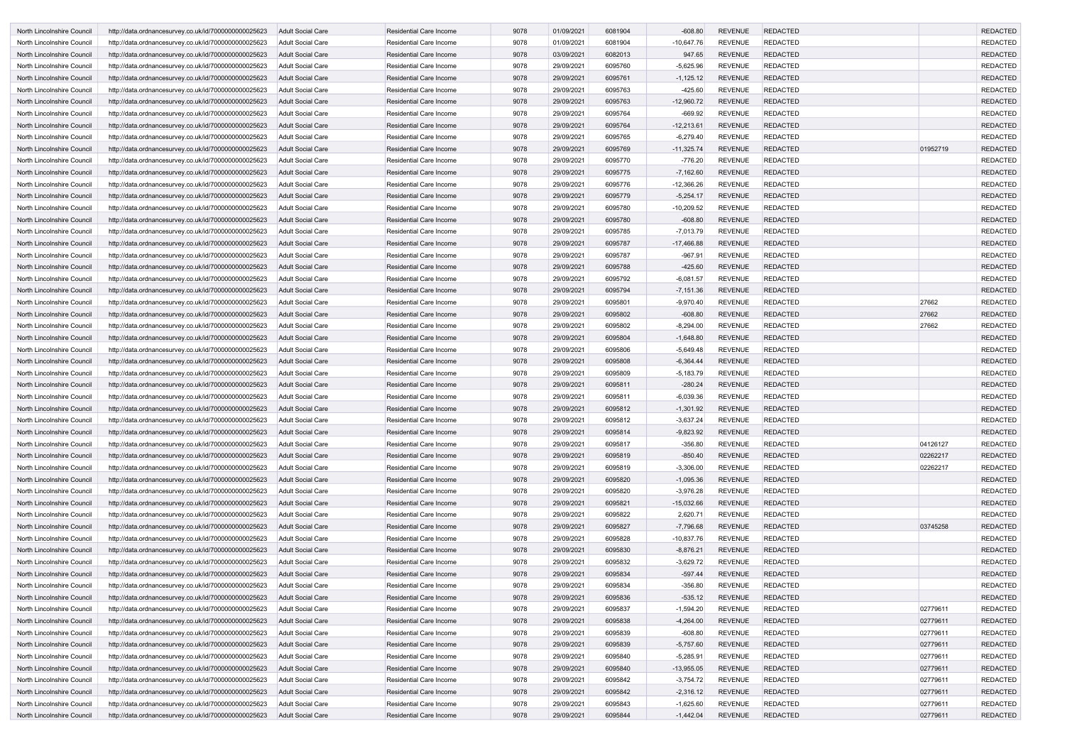| North Lincolnshire Council                               | http://data.ordnancesurvey.co.uk/id/7000000000025623                                                         | Adult Social Care                                    | <b>Residential Care Income</b>                                   | 9078         | 01/09/2021               | 6081904            | $-608.80$                  | <b>REVENUE</b>                   | <b>REDACTED</b>                    |                      | <b>REDACTED</b>                    |
|----------------------------------------------------------|--------------------------------------------------------------------------------------------------------------|------------------------------------------------------|------------------------------------------------------------------|--------------|--------------------------|--------------------|----------------------------|----------------------------------|------------------------------------|----------------------|------------------------------------|
| North Lincolnshire Council                               | http://data.ordnancesurvey.co.uk/id/7000000000025623                                                         | Adult Social Care                                    | <b>Residential Care Income</b>                                   | 9078         | 01/09/2021               | 6081904            | $-10,647.76$               | <b>REVENUE</b>                   | <b>REDACTED</b>                    |                      | <b>REDACTED</b>                    |
| North Lincolnshire Council                               | http://data.ordnancesurvey.co.uk/id/7000000000025623                                                         | <b>Adult Social Care</b>                             | <b>Residential Care Income</b>                                   | 9078         | 03/09/2021               | 6082013            | 947.65                     | <b>REVENUE</b>                   | <b>REDACTED</b>                    |                      | <b>REDACTED</b>                    |
| North Lincolnshire Council                               | http://data.ordnancesurvey.co.uk/id/7000000000025623                                                         | Adult Social Care                                    | <b>Residential Care Income</b>                                   | 9078         | 29/09/2021               | 6095760            | $-5,625.96$                | <b>REVENUE</b>                   | <b>REDACTED</b>                    |                      | <b>REDACTED</b>                    |
| North Lincolnshire Council                               | http://data.ordnancesurvey.co.uk/id/7000000000025623                                                         | Adult Social Care                                    | <b>Residential Care Income</b>                                   | 9078         | 29/09/2021               | 6095761            | $-1,125.12$                | <b>REVENUE</b>                   | <b>REDACTED</b>                    |                      | <b>REDACTED</b>                    |
| North Lincolnshire Council                               | http://data.ordnancesurvey.co.uk/id/7000000000025623                                                         | Adult Social Care                                    | Residential Care Income                                          | 9078         | 29/09/2021               | 6095763            | $-425.60$                  | <b>REVENUE</b>                   | <b>REDACTED</b>                    |                      | <b>REDACTED</b>                    |
| North Lincolnshire Council                               | http://data.ordnancesurvey.co.uk/id/7000000000025623                                                         | <b>Adult Social Care</b>                             | <b>Residential Care Income</b>                                   | 9078         | 29/09/2021               | 6095763            | $-12,960.72$               | <b>REVENUE</b>                   | <b>REDACTED</b>                    |                      | <b>REDACTED</b>                    |
| North Lincolnshire Council                               | http://data.ordnancesurvey.co.uk/id/7000000000025623                                                         | <b>Adult Social Care</b>                             | <b>Residential Care Income</b>                                   | 9078         | 29/09/2021               | 6095764            | $-669.92$                  | <b>REVENUE</b>                   | <b>REDACTED</b>                    |                      | <b>REDACTED</b>                    |
| North Lincolnshire Council                               | http://data.ordnancesurvey.co.uk/id/7000000000025623                                                         | <b>Adult Social Care</b>                             | <b>Residential Care Income</b>                                   | 9078         | 29/09/2021               | 6095764            | $-12,213.61$               | <b>REVENUE</b>                   | <b>REDACTED</b>                    |                      | <b>REDACTED</b>                    |
| North Lincolnshire Council                               | http://data.ordnancesurvey.co.uk/id/7000000000025623                                                         | Adult Social Care                                    | <b>Residential Care Income</b>                                   | 9078         | 29/09/2021               | 6095765            | $-6,279.40$                | <b>REVENUE</b>                   | <b>REDACTED</b>                    |                      | <b>REDACTED</b>                    |
| North Lincolnshire Council<br>North Lincolnshire Council | http://data.ordnancesurvey.co.uk/id/7000000000025623<br>http://data.ordnancesurvey.co.uk/id/7000000000025623 | <b>Adult Social Care</b><br>Adult Social Care        | <b>Residential Care Income</b><br><b>Residential Care Income</b> | 9078<br>9078 | 29/09/2021<br>29/09/2021 | 6095769<br>6095770 | $-11,325.74$<br>$-776.20$  | <b>REVENUE</b><br><b>REVENUE</b> | <b>REDACTED</b><br><b>REDACTED</b> | 01952719             | <b>REDACTED</b><br><b>REDACTED</b> |
| North Lincolnshire Council                               | http://data.ordnancesurvey.co.uk/id/7000000000025623                                                         | <b>Adult Social Care</b>                             | <b>Residential Care Income</b>                                   | 9078         | 29/09/2021               | 6095775            | $-7,162.60$                | <b>REVENUE</b>                   | <b>REDACTED</b>                    |                      | <b>REDACTED</b>                    |
| North Lincolnshire Council                               | http://data.ordnancesurvey.co.uk/id/7000000000025623                                                         | Adult Social Care                                    | <b>Residential Care Income</b>                                   | 9078         | 29/09/2021               | 6095776            | $-12,366.26$               | <b>REVENUE</b>                   | <b>REDACTED</b>                    |                      | <b>REDACTED</b>                    |
| North Lincolnshire Council                               | http://data.ordnancesurvey.co.uk/id/7000000000025623                                                         | <b>Adult Social Care</b>                             | <b>Residential Care Income</b>                                   | 9078         | 29/09/2021               | 6095779            | $-5,254.17$                | <b>REVENUE</b>                   | <b>REDACTED</b>                    |                      | <b>REDACTED</b>                    |
| North Lincolnshire Council                               | http://data.ordnancesurvey.co.uk/id/7000000000025623                                                         | Adult Social Care                                    | Residential Care Income                                          | 9078         | 29/09/2021               | 6095780            | $-10,209.52$               | <b>REVENUE</b>                   | <b>REDACTED</b>                    |                      | <b>REDACTED</b>                    |
| North Lincolnshire Council                               | http://data.ordnancesurvey.co.uk/id/7000000000025623                                                         | <b>Adult Social Care</b>                             | <b>Residential Care Income</b>                                   | 9078         | 29/09/2021               | 6095780            | $-608.80$                  | <b>REVENUE</b>                   | <b>REDACTED</b>                    |                      | <b>REDACTED</b>                    |
| North Lincolnshire Council                               | http://data.ordnancesurvey.co.uk/id/7000000000025623                                                         | <b>Adult Social Care</b>                             | <b>Residential Care Income</b>                                   | 9078         | 29/09/2021               | 6095785            | $-7,013.79$                | <b>REVENUE</b>                   | <b>REDACTED</b>                    |                      | <b>REDACTED</b>                    |
| North Lincolnshire Council                               | http://data.ordnancesurvey.co.uk/id/7000000000025623                                                         | <b>Adult Social Care</b>                             | <b>Residential Care Income</b>                                   | 9078         | 29/09/2021               | 6095787            | $-17,466.88$               | <b>REVENUE</b>                   | <b>REDACTED</b>                    |                      | <b>REDACTED</b>                    |
| North Lincolnshire Council                               | http://data.ordnancesurvey.co.uk/id/7000000000025623                                                         | Adult Social Care                                    | Residential Care Income                                          | 9078         | 29/09/2021               | 6095787            | $-967.91$                  | <b>REVENUE</b>                   | <b>REDACTED</b>                    |                      | <b>REDACTED</b>                    |
| North Lincolnshire Council                               | http://data.ordnancesurvey.co.uk/id/7000000000025623                                                         | <b>Adult Social Care</b>                             | <b>Residential Care Income</b>                                   | 9078         | 29/09/2021               | 6095788            | $-425.60$                  | <b>REVENUE</b>                   | <b>REDACTED</b>                    |                      | <b>REDACTED</b>                    |
| North Lincolnshire Council                               | http://data.ordnancesurvey.co.uk/id/7000000000025623                                                         | Adult Social Care                                    | <b>Residential Care Income</b>                                   | 9078         | 29/09/2021               | 6095792            | $-6,081.57$                | <b>REVENUE</b>                   | <b>REDACTED</b>                    |                      | <b>REDACTED</b>                    |
| North Lincolnshire Council                               | http://data.ordnancesurvey.co.uk/id/7000000000025623                                                         | <b>Adult Social Care</b>                             | <b>Residential Care Income</b>                                   | 9078         | 29/09/2021               | 6095794            | $-7,151.36$                | <b>REVENUE</b>                   | <b>REDACTED</b>                    |                      | <b>REDACTED</b>                    |
| North Lincolnshire Council                               | http://data.ordnancesurvey.co.uk/id/7000000000025623                                                         | Adult Social Care                                    | <b>Residential Care Income</b>                                   | 9078         | 29/09/2021               | 6095801            | $-9,970.40$                | <b>REVENUE</b>                   | <b>REDACTED</b>                    | 27662                | <b>REDACTED</b>                    |
| North Lincolnshire Council                               | http://data.ordnancesurvey.co.uk/id/7000000000025623                                                         | <b>Adult Social Care</b>                             | <b>Residential Care Income</b>                                   | 9078         | 29/09/2021               | 6095802            | $-608.80$                  | <b>REVENUE</b>                   | <b>REDACTED</b>                    | 27662                | <b>REDACTED</b>                    |
| North Lincolnshire Council                               | http://data.ordnancesurvey.co.uk/id/7000000000025623                                                         | Adult Social Care                                    | <b>Residential Care Income</b>                                   | 9078         | 29/09/2021               | 6095802            | $-8,294.00$                | <b>REVENUE</b>                   | <b>REDACTED</b>                    | 27662                | <b>REDACTED</b>                    |
| North Lincolnshire Council                               | http://data.ordnancesurvey.co.uk/id/7000000000025623                                                         | <b>Adult Social Care</b>                             | <b>Residential Care Income</b>                                   | 9078         | 29/09/2021               | 6095804            | $-1,648.80$                | <b>REVENUE</b>                   | <b>REDACTED</b>                    |                      | <b>REDACTED</b>                    |
| North Lincolnshire Council                               | http://data.ordnancesurvey.co.uk/id/7000000000025623                                                         | <b>Adult Social Care</b>                             | <b>Residential Care Income</b>                                   | 9078         | 29/09/2021               | 6095806            | $-5,649.48$                | <b>REVENUE</b>                   | <b>REDACTED</b>                    |                      | <b>REDACTED</b>                    |
| North Lincolnshire Council                               | http://data.ordnancesurvey.co.uk/id/7000000000025623                                                         | <b>Adult Social Care</b>                             | <b>Residential Care Income</b>                                   | 9078         | 29/09/2021               | 6095808            | $-6,364.44$                | <b>REVENUE</b>                   | <b>REDACTED</b>                    |                      | <b>REDACTED</b>                    |
| North Lincolnshire Council                               | http://data.ordnancesurvey.co.uk/id/7000000000025623                                                         | Adult Social Care                                    | Residential Care Income                                          | 9078         | 29/09/2021               | 6095809            | $-5,183.79$                | <b>REVENUE</b>                   | <b>REDACTED</b><br><b>REDACTED</b> |                      | <b>REDACTED</b>                    |
| North Lincolnshire Council<br>North Lincolnshire Council | http://data.ordnancesurvey.co.uk/id/7000000000025623                                                         | <b>Adult Social Care</b><br><b>Adult Social Care</b> | <b>Residential Care Income</b><br><b>Residential Care Income</b> | 9078<br>9078 | 29/09/2021<br>29/09/2021 | 6095811<br>6095811 | $-280.24$<br>$-6,039.36$   | <b>REVENUE</b><br><b>REVENUE</b> | <b>REDACTED</b>                    |                      | <b>REDACTED</b><br><b>REDACTED</b> |
| North Lincolnshire Council                               | http://data.ordnancesurvey.co.uk/id/7000000000025623<br>http://data.ordnancesurvey.co.uk/id/7000000000025623 | <b>Adult Social Care</b>                             | <b>Residential Care Income</b>                                   | 9078         | 29/09/2021               | 6095812            | $-1,301.92$                | <b>REVENUE</b>                   | <b>REDACTED</b>                    |                      | <b>REDACTED</b>                    |
| North Lincolnshire Council                               | http://data.ordnancesurvey.co.uk/id/7000000000025623                                                         | <b>Adult Social Care</b>                             | Residential Care Income                                          | 9078         | 29/09/2021               | 6095812            | $-3,637.24$                | REVENUE                          | <b>REDACTED</b>                    |                      | REDACTED                           |
| North Lincolnshire Council                               | http://data.ordnancesurvey.co.uk/id/7000000000025623                                                         | <b>Adult Social Care</b>                             | <b>Residential Care Income</b>                                   | 9078         | 29/09/2021               | 6095814            | $-9,823.92$                | <b>REVENUE</b>                   | <b>REDACTED</b>                    |                      | <b>REDACTED</b>                    |
| North Lincolnshire Council                               | http://data.ordnancesurvey.co.uk/id/7000000000025623                                                         | Adult Social Care                                    | Residential Care Income                                          | 9078         | 29/09/2021               | 6095817            | $-356.80$                  | <b>REVENUE</b>                   | <b>REDACTED</b>                    | 04126127             | <b>REDACTED</b>                    |
| North Lincolnshire Council                               | http://data.ordnancesurvey.co.uk/id/7000000000025623                                                         | <b>Adult Social Care</b>                             | <b>Residential Care Income</b>                                   | 9078         | 29/09/2021               | 6095819            | $-850.40$                  | <b>REVENUE</b>                   | <b>REDACTED</b>                    | 02262217             | <b>REDACTED</b>                    |
| North Lincolnshire Council                               | http://data.ordnancesurvey.co.uk/id/7000000000025623                                                         | <b>Adult Social Care</b>                             | <b>Residential Care Income</b>                                   | 9078         | 29/09/2021               | 6095819            | $-3,306.00$                | <b>REVENUE</b>                   | <b>REDACTED</b>                    | 02262217             | <b>REDACTED</b>                    |
| North Lincolnshire Council                               | http://data.ordnancesurvey.co.uk/id/7000000000025623                                                         | <b>Adult Social Care</b>                             | <b>Residential Care Income</b>                                   | 9078         | 29/09/2021               | 6095820            | $-1,095.36$                | <b>REVENUE</b>                   | <b>REDACTED</b>                    |                      | <b>REDACTED</b>                    |
| North Lincolnshire Council                               | http://data.ordnancesurvey.co.uk/id/7000000000025623                                                         | <b>Adult Social Care</b>                             | <b>Residential Care Income</b>                                   | 9078         | 29/09/2021               | 6095820            | $-3,976.28$                | <b>REVENUE</b>                   | <b>REDACTED</b>                    |                      | <b>REDACTED</b>                    |
| North Lincolnshire Council                               | http://data.ordnancesurvey.co.uk/id/7000000000025623                                                         | <b>Adult Social Care</b>                             | Residential Care Income                                          | 9078         | 29/09/2021               | 6095821            | $-15,032.66$               | <b>REVENUE</b>                   | <b>REDACTED</b>                    |                      | <b>REDACTED</b>                    |
| North Lincolnshire Council                               | http://data.ordnancesurvey.co.uk/id/7000000000025623                                                         | <b>Adult Social Care</b>                             | Residential Care Income                                          | 9078         | 29/09/2021               | 6095822            | 2,620.71                   | <b>REVENUE</b>                   | <b>REDACTED</b>                    |                      | <b>REDACTED</b>                    |
| North Lincolnshire Council                               | http://data.ordnancesurvey.co.uk/id/7000000000025623                                                         | <b>Adult Social Care</b>                             | Residential Care Income                                          | 9078         | 29/09/2021               | 6095827            | $-7,796.68$                | <b>REVENUE</b>                   | <b>REDACTED</b>                    | 03745258             | <b>REDACTED</b>                    |
| North Lincolnshire Council                               | http://data.ordnancesurvey.co.uk/id/7000000000025623                                                         | <b>Adult Social Care</b>                             | <b>Residential Care Income</b>                                   | 9078         | 29/09/2021               | 6095828            | $-10,837.76$               | <b>REVENUE</b>                   | <b>REDACTED</b>                    |                      | <b>REDACTED</b>                    |
| North Lincolnshire Council                               | http://data.ordnancesurvey.co.uk/id/7000000000025623                                                         | <b>Adult Social Care</b>                             | <b>Residential Care Income</b>                                   | 9078         | 29/09/2021               | 6095830            | $-8,876.21$                | <b>REVENUE</b>                   | <b>REDACTED</b>                    |                      | <b>REDACTED</b>                    |
| North Lincolnshire Council                               | http://data.ordnancesurvey.co.uk/id/7000000000025623                                                         | Adult Social Care                                    | Residential Care Income                                          | 9078         | 29/09/2021               | 6095832            | $-3,629.72$                | <b>REVENUE</b>                   | <b>REDACTED</b>                    |                      | <b>REDACTED</b>                    |
| North Lincolnshire Council                               | http://data.ordnancesurvey.co.uk/id/7000000000025623                                                         | <b>Adult Social Care</b>                             | Residential Care Income                                          | 9078         | 29/09/2021               | 6095834            | $-597.44$                  | <b>REVENUE</b>                   | <b>REDACTED</b>                    |                      | <b>REDACTED</b>                    |
| North Lincolnshire Council                               | http://data.ordnancesurvey.co.uk/id/7000000000025623                                                         | <b>Adult Social Care</b>                             | <b>Residential Care Income</b>                                   | 9078         | 29/09/2021               | 6095834            | $-356.80$                  | <b>REVENUE</b>                   | <b>REDACTED</b>                    |                      | <b>REDACTED</b>                    |
| North Lincolnshire Council                               | http://data.ordnancesurvey.co.uk/id/7000000000025623                                                         | <b>Adult Social Care</b>                             | <b>Residential Care Income</b>                                   | 9078         | 29/09/2021               | 6095836            | $-535.12$                  | <b>REVENUE</b><br><b>REVENUE</b> | <b>REDACTED</b><br><b>REDACTED</b> |                      | <b>REDACTED</b><br><b>REDACTED</b> |
| North Lincolnshire Council<br>North Lincolnshire Council | http://data.ordnancesurvey.co.uk/id/7000000000025623                                                         | <b>Adult Social Care</b><br><b>Adult Social Care</b> | <b>Residential Care Income</b><br>Residential Care Income        | 9078<br>9078 | 29/09/2021<br>29/09/2021 | 6095837<br>6095838 | $-1,594.20$<br>$-4,264.00$ | <b>REVENUE</b>                   | <b>REDACTED</b>                    | 02779611<br>02779611 | <b>REDACTED</b>                    |
| North Lincolnshire Council                               | http://data.ordnancesurvey.co.uk/id/7000000000025623<br>http://data.ordnancesurvey.co.uk/id/7000000000025623 | <b>Adult Social Care</b>                             | <b>Residential Care Income</b>                                   | 9078         | 29/09/2021               | 6095839            | $-608.80$                  | <b>REVENUE</b>                   | <b>REDACTED</b>                    | 02779611             | <b>REDACTED</b>                    |
| North Lincolnshire Council                               | http://data.ordnancesurvey.co.uk/id/7000000000025623                                                         | <b>Adult Social Care</b>                             | Residential Care Income                                          | 9078         | 29/09/2021               | 6095839            | $-5,757.60$                | <b>REVENUE</b>                   | <b>REDACTED</b>                    | 02779611             | <b>REDACTED</b>                    |
| North Lincolnshire Council                               | http://data.ordnancesurvey.co.uk/id/7000000000025623                                                         | <b>Adult Social Care</b>                             | <b>Residential Care Income</b>                                   | 9078         | 29/09/2021               | 6095840            | $-5,285.91$                | <b>REVENUE</b>                   | <b>REDACTED</b>                    | 02779611             | <b>REDACTED</b>                    |
| North Lincolnshire Council                               | http://data.ordnancesurvey.co.uk/id/7000000000025623                                                         | <b>Adult Social Care</b>                             | <b>Residential Care Income</b>                                   | 9078         | 29/09/2021               | 6095840            | $-13,955.05$               | <b>REVENUE</b>                   | <b>REDACTED</b>                    | 02779611             | <b>REDACTED</b>                    |
| North Lincolnshire Council                               | http://data.ordnancesurvey.co.uk/id/7000000000025623                                                         | Adult Social Care                                    | Residential Care Income                                          | 9078         | 29/09/2021               | 6095842            | $-3,754.72$                | <b>REVENUE</b>                   | <b>REDACTED</b>                    | 02779611             | <b>REDACTED</b>                    |
| North Lincolnshire Council                               | http://data.ordnancesurvey.co.uk/id/7000000000025623                                                         | <b>Adult Social Care</b>                             | Residential Care Income                                          | 9078         | 29/09/2021               | 6095842            | $-2,316.12$                | <b>REVENUE</b>                   | <b>REDACTED</b>                    | 02779611             | <b>REDACTED</b>                    |
| North Lincolnshire Council                               | http://data.ordnancesurvey.co.uk/id/7000000000025623                                                         | <b>Adult Social Care</b>                             | <b>Residential Care Income</b>                                   | 9078         | 29/09/2021               | 6095843            | $-1,625.60$                | <b>REVENUE</b>                   | <b>REDACTED</b>                    | 02779611             | <b>REDACTED</b>                    |
| North Lincolnshire Council                               | http://data.ordnancesurvey.co.uk/id/7000000000025623                                                         | <b>Adult Social Care</b>                             | <b>Residential Care Income</b>                                   | 9078         | 29/09/2021               | 6095844            | $-1,442.04$                | <b>REVENUE</b>                   | <b>REDACTED</b>                    | 02779611             | <b>REDACTED</b>                    |
|                                                          |                                                                                                              |                                                      |                                                                  |              |                          |                    |                            |                                  |                                    |                      |                                    |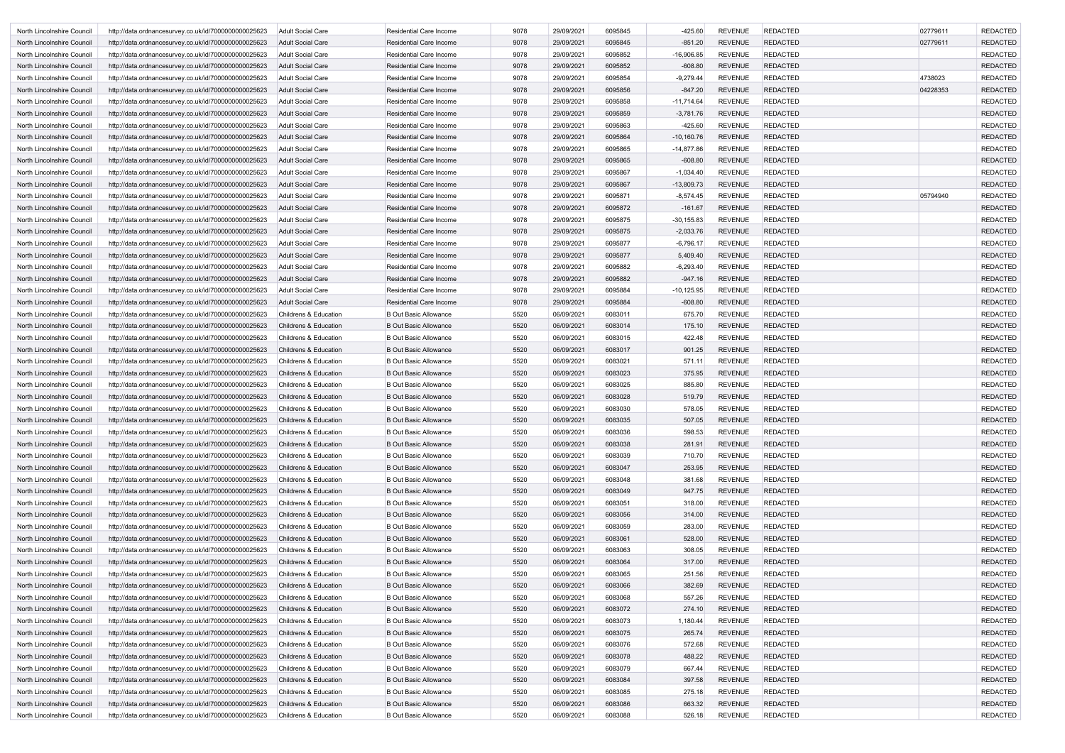| North Lincolnshire Council | http://data.ordnancesurvey.co.uk/id/7000000000025623 | Adult Social Care                | <b>Residential Care Income</b> | 9078 | 29/09/2021 | 6095845 | -425.60       | REVENUE        | <b>REDACTED</b> | 02779611 | <b>REDACTED</b> |
|----------------------------|------------------------------------------------------|----------------------------------|--------------------------------|------|------------|---------|---------------|----------------|-----------------|----------|-----------------|
| North Lincolnshire Council | http://data.ordnancesurvey.co.uk/id/7000000000025623 | Adult Social Care                | <b>Residential Care Income</b> | 9078 | 29/09/2021 | 6095845 | $-851.20$     | <b>REVENUE</b> | <b>REDACTED</b> | 02779611 | <b>REDACTED</b> |
| North Lincolnshire Council | http://data.ordnancesurvey.co.uk/id/7000000000025623 | Adult Social Care                | <b>Residential Care Income</b> | 9078 | 29/09/2021 | 6095852 | -16,906.85    | <b>REVENUE</b> | <b>REDACTED</b> |          | <b>REDACTED</b> |
| North Lincolnshire Council | http://data.ordnancesurvey.co.uk/id/7000000000025623 | Adult Social Care                | <b>Residential Care Income</b> | 9078 | 29/09/2021 | 6095852 | $-608.80$     | <b>REVENUE</b> | <b>REDACTED</b> |          | <b>REDACTED</b> |
| North Lincolnshire Council | http://data.ordnancesurvey.co.uk/id/7000000000025623 | Adult Social Care                | <b>Residential Care Income</b> | 9078 | 29/09/2021 | 6095854 | $-9,279.44$   | <b>REVENUE</b> | <b>REDACTED</b> | 4738023  | <b>REDACTED</b> |
| North Lincolnshire Council | http://data.ordnancesurvey.co.uk/id/7000000000025623 | <b>Adult Social Care</b>         | <b>Residential Care Income</b> | 9078 | 29/09/2021 | 6095856 | $-847.20$     | <b>REVENUE</b> | <b>REDACTED</b> | 04228353 | <b>REDACTED</b> |
| North Lincolnshire Council | http://data.ordnancesurvey.co.uk/id/7000000000025623 | <b>Adult Social Care</b>         | <b>Residential Care Income</b> | 9078 | 29/09/2021 | 6095858 | $-11,714.64$  | <b>REVENUE</b> | <b>REDACTED</b> |          | <b>REDACTED</b> |
| North Lincolnshire Council | http://data.ordnancesurvey.co.uk/id/7000000000025623 | <b>Adult Social Care</b>         | <b>Residential Care Income</b> | 9078 | 29/09/2021 | 6095859 | $-3,781.76$   | <b>REVENUE</b> | <b>REDACTED</b> |          | <b>REDACTED</b> |
| North Lincolnshire Council | http://data.ordnancesurvey.co.uk/id/7000000000025623 | Adult Social Care                | <b>Residential Care Income</b> | 9078 | 29/09/2021 | 6095863 | $-425.60$     | <b>REVENUE</b> | <b>REDACTED</b> |          | <b>REDACTED</b> |
| North Lincolnshire Council | http://data.ordnancesurvey.co.uk/id/7000000000025623 | Adult Social Care                | <b>Residential Care Income</b> | 9078 | 29/09/2021 | 6095864 | $-10,160.76$  | <b>REVENUE</b> | <b>REDACTED</b> |          | <b>REDACTED</b> |
| North Lincolnshire Council | http://data.ordnancesurvey.co.uk/id/7000000000025623 | Adult Social Care                | <b>Residential Care Income</b> | 9078 | 29/09/2021 | 6095865 | $-14,877.86$  | <b>REVENUE</b> | <b>REDACTED</b> |          | <b>REDACTED</b> |
| North Lincolnshire Council | http://data.ordnancesurvey.co.uk/id/7000000000025623 | <b>Adult Social Care</b>         | <b>Residential Care Income</b> | 9078 | 29/09/2021 | 6095865 | $-608.80$     | <b>REVENUE</b> | <b>REDACTED</b> |          | <b>REDACTED</b> |
| North Lincolnshire Council | http://data.ordnancesurvey.co.uk/id/7000000000025623 | <b>Adult Social Care</b>         | <b>Residential Care Income</b> | 9078 | 29/09/2021 | 6095867 | $-1,034.40$   | <b>REVENUE</b> | <b>REDACTED</b> |          | <b>REDACTED</b> |
| North Lincolnshire Council | http://data.ordnancesurvey.co.uk/id/7000000000025623 | Adult Social Care                | <b>Residential Care Income</b> | 9078 | 29/09/2021 | 6095867 | $-13,809.73$  | <b>REVENUE</b> | <b>REDACTED</b> |          | <b>REDACTED</b> |
| North Lincolnshire Council | http://data.ordnancesurvey.co.uk/id/7000000000025623 | Adult Social Care                | <b>Residential Care Income</b> | 9078 | 29/09/2021 | 6095871 | $-8,574.45$   | <b>REVENUE</b> | <b>REDACTED</b> | 05794940 | <b>REDACTED</b> |
| North Lincolnshire Council | http://data.ordnancesurvey.co.uk/id/7000000000025623 | Adult Social Care                | <b>Residential Care Income</b> | 9078 | 29/09/2021 | 6095872 | $-161.67$     | <b>REVENUE</b> | <b>REDACTED</b> |          | <b>REDACTED</b> |
| North Lincolnshire Council | http://data.ordnancesurvey.co.uk/id/7000000000025623 | <b>Adult Social Care</b>         | <b>Residential Care Income</b> | 9078 | 29/09/2021 | 6095875 | $-30, 155.83$ | <b>REVENUE</b> | <b>REDACTED</b> |          | <b>REDACTED</b> |
| North Lincolnshire Council | http://data.ordnancesurvey.co.uk/id/7000000000025623 | <b>Adult Social Care</b>         | <b>Residential Care Income</b> | 9078 | 29/09/2021 | 6095875 | $-2,033.76$   | <b>REVENUE</b> | <b>REDACTED</b> |          | <b>REDACTED</b> |
| North Lincolnshire Council | http://data.ordnancesurvey.co.uk/id/7000000000025623 | Adult Social Care                | Residential Care Income        | 9078 | 29/09/2021 | 6095877 | $-6,796.17$   | <b>REVENUE</b> | <b>REDACTED</b> |          | <b>REDACTED</b> |
| North Lincolnshire Council | http://data.ordnancesurvey.co.uk/id/7000000000025623 | Adult Social Care                | <b>Residential Care Income</b> | 9078 | 29/09/2021 | 6095877 | 5,409.40      | <b>REVENUE</b> | <b>REDACTED</b> |          | <b>REDACTED</b> |
| North Lincolnshire Council | http://data.ordnancesurvey.co.uk/id/7000000000025623 | Adult Social Care                | <b>Residential Care Income</b> | 9078 | 29/09/2021 | 6095882 | -6,293.40     | <b>REVENUE</b> | <b>REDACTED</b> |          | <b>REDACTED</b> |
| North Lincolnshire Council | http://data.ordnancesurvey.co.uk/id/7000000000025623 | Adult Social Care                | <b>Residential Care Income</b> | 9078 | 29/09/2021 | 6095882 | $-947.16$     | <b>REVENUE</b> | <b>REDACTED</b> |          | <b>REDACTED</b> |
| North Lincolnshire Council | http://data.ordnancesurvey.co.uk/id/7000000000025623 | Adult Social Care                | <b>Residential Care Income</b> | 9078 | 29/09/2021 | 6095884 | $-10, 125.95$ | <b>REVENUE</b> | <b>REDACTED</b> |          | <b>REDACTED</b> |
| North Lincolnshire Council | http://data.ordnancesurvey.co.uk/id/7000000000025623 | <b>Adult Social Care</b>         | <b>Residential Care Income</b> | 9078 | 29/09/2021 | 6095884 | $-608.80$     | <b>REVENUE</b> | <b>REDACTED</b> |          | <b>REDACTED</b> |
| North Lincolnshire Council | http://data.ordnancesurvey.co.uk/id/7000000000025623 | <b>Childrens &amp; Education</b> | <b>B Out Basic Allowance</b>   | 5520 | 06/09/2021 | 6083011 | 675.70        | <b>REVENUE</b> | <b>REDACTED</b> |          | <b>REDACTED</b> |
| North Lincolnshire Council | http://data.ordnancesurvey.co.uk/id/7000000000025623 | <b>Childrens &amp; Education</b> | <b>B Out Basic Allowance</b>   | 5520 | 06/09/2021 | 6083014 | 175.10        | <b>REVENUE</b> | <b>REDACTED</b> |          | <b>REDACTED</b> |
| North Lincolnshire Council | http://data.ordnancesurvey.co.uk/id/7000000000025623 | Childrens & Education            | <b>B Out Basic Allowance</b>   | 5520 | 06/09/2021 | 6083015 | 422.48        | <b>REVENUE</b> | <b>REDACTED</b> |          | <b>REDACTED</b> |
| North Lincolnshire Council | http://data.ordnancesurvey.co.uk/id/7000000000025623 | <b>Childrens &amp; Education</b> | <b>B Out Basic Allowance</b>   | 5520 | 06/09/2021 | 6083017 | 901.25        | <b>REVENUE</b> | <b>REDACTED</b> |          | <b>REDACTED</b> |
| North Lincolnshire Council | http://data.ordnancesurvey.co.uk/id/7000000000025623 | <b>Childrens &amp; Education</b> | <b>B Out Basic Allowance</b>   | 5520 | 06/09/2021 | 6083021 | 571.11        | <b>REVENUE</b> | <b>REDACTED</b> |          | <b>REDACTED</b> |
| North Lincolnshire Council | http://data.ordnancesurvey.co.uk/id/7000000000025623 | <b>Childrens &amp; Education</b> | <b>B Out Basic Allowance</b>   | 5520 | 06/09/2021 | 6083023 | 375.95        | <b>REVENUE</b> | <b>REDACTED</b> |          | <b>REDACTED</b> |
| North Lincolnshire Council | http://data.ordnancesurvey.co.uk/id/7000000000025623 | Childrens & Education            | <b>B Out Basic Allowance</b>   | 5520 | 06/09/2021 | 6083025 | 885.80        | <b>REVENUE</b> | <b>REDACTED</b> |          | <b>REDACTED</b> |
| North Lincolnshire Council | http://data.ordnancesurvey.co.uk/id/7000000000025623 | <b>Childrens &amp; Education</b> | <b>B Out Basic Allowance</b>   | 5520 | 06/09/2021 | 6083028 | 519.79        | <b>REVENUE</b> | <b>REDACTED</b> |          | <b>REDACTED</b> |
| North Lincolnshire Council | http://data.ordnancesurvey.co.uk/id/7000000000025623 | <b>Childrens &amp; Education</b> | <b>B Out Basic Allowance</b>   | 5520 | 06/09/2021 | 6083030 | 578.05        | <b>REVENUE</b> | <b>REDACTED</b> |          | <b>REDACTED</b> |
| North Lincolnshire Council | http://data.ordnancesurvey.co.uk/id/7000000000025623 | <b>Childrens &amp; Education</b> | <b>B Out Basic Allowance</b>   | 5520 | 06/09/2021 | 6083035 | 507.05        | REVENUE        | <b>REDACTED</b> |          | REDACTED        |
| North Lincolnshire Council | http://data.ordnancesurvey.co.uk/id/7000000000025623 | Childrens & Education            | <b>B Out Basic Allowance</b>   | 5520 | 06/09/2021 | 6083036 | 598.53        | <b>REVENUE</b> | <b>REDACTED</b> |          | <b>REDACTED</b> |
| North Lincolnshire Council | http://data.ordnancesurvey.co.uk/id/7000000000025623 | Childrens & Education            | <b>B Out Basic Allowance</b>   | 5520 | 06/09/2021 | 6083038 | 281.91        | REVENUE        | <b>REDACTED</b> |          | <b>REDACTED</b> |
| North Lincolnshire Council | http://data.ordnancesurvey.co.uk/id/7000000000025623 | Childrens & Education            | <b>B Out Basic Allowance</b>   | 5520 | 06/09/2021 | 6083039 | 710.70        | REVENUE        | <b>REDACTED</b> |          | <b>REDACTED</b> |
| North Lincolnshire Council | http://data.ordnancesurvey.co.uk/id/7000000000025623 | <b>Childrens &amp; Education</b> | <b>B Out Basic Allowance</b>   | 5520 | 06/09/2021 | 6083047 | 253.95        | REVENUE        | <b>REDACTED</b> |          | <b>REDACTED</b> |
| North Lincolnshire Council | http://data.ordnancesurvey.co.uk/id/7000000000025623 | <b>Childrens &amp; Education</b> | <b>B Out Basic Allowance</b>   | 5520 | 06/09/2021 | 6083048 | 381.68        | REVENUE        | <b>REDACTED</b> |          | <b>REDACTED</b> |
| North Lincolnshire Council | http://data.ordnancesurvey.co.uk/id/7000000000025623 | Childrens & Education            | <b>B Out Basic Allowance</b>   | 5520 | 06/09/2021 | 6083049 | 947.75        | REVENUE        | <b>REDACTED</b> |          | <b>REDACTED</b> |
| North Lincolnshire Council | http://data.ordnancesurvey.co.uk/id/7000000000025623 | Childrens & Education            | <b>B Out Basic Allowance</b>   | 5520 | 06/09/2021 | 6083051 | 318.00        | REVENUE        | <b>REDACTED</b> |          | <b>REDACTED</b> |
| North Lincolnshire Council | http://data.ordnancesurvey.co.uk/id/7000000000025623 | Childrens & Education            | <b>B Out Basic Allowance</b>   | 5520 | 06/09/2021 | 6083056 | 314.00        | REVENUE        | <b>REDACTED</b> |          | <b>REDACTED</b> |
| North Lincolnshire Council | http://data.ordnancesurvey.co.uk/id/7000000000025623 | <b>Childrens &amp; Education</b> | <b>B Out Basic Allowance</b>   | 5520 | 06/09/2021 | 6083059 | 283.00        | <b>REVENUE</b> | <b>REDACTED</b> |          | <b>REDACTED</b> |
| North Lincolnshire Council | http://data.ordnancesurvey.co.uk/id/7000000000025623 | <b>Childrens &amp; Education</b> | <b>B Out Basic Allowance</b>   | 5520 | 06/09/2021 | 6083061 | 528.00        | REVENUE        | <b>REDACTED</b> |          | <b>REDACTED</b> |
| North Lincolnshire Council | http://data.ordnancesurvey.co.uk/id/7000000000025623 | Childrens & Education            | <b>B Out Basic Allowance</b>   | 5520 | 06/09/2021 | 6083063 | 308.05        | <b>REVENUE</b> | <b>REDACTED</b> |          | <b>REDACTED</b> |
| North Lincolnshire Council | http://data.ordnancesurvey.co.uk/id/7000000000025623 | <b>Childrens &amp; Education</b> | <b>B Out Basic Allowance</b>   | 5520 | 06/09/2021 | 6083064 | 317.00        | REVENUE        | <b>REDACTED</b> |          | <b>REDACTED</b> |
| North Lincolnshire Council | http://data.ordnancesurvey.co.uk/id/7000000000025623 | Childrens & Education            | <b>B Out Basic Allowance</b>   | 5520 | 06/09/2021 | 6083065 | 251.56        | REVENUE        | <b>REDACTED</b> |          | <b>REDACTED</b> |
| North Lincolnshire Council | http://data.ordnancesurvey.co.uk/id/7000000000025623 | <b>Childrens &amp; Education</b> | <b>B Out Basic Allowance</b>   | 5520 | 06/09/2021 | 6083066 | 382.69        | REVENUE        | <b>REDACTED</b> |          | <b>REDACTED</b> |
| North Lincolnshire Council | http://data.ordnancesurvey.co.uk/id/7000000000025623 | <b>Childrens &amp; Education</b> | <b>B Out Basic Allowance</b>   | 5520 | 06/09/2021 | 6083068 | 557.26        | REVENUE        | <b>REDACTED</b> |          | <b>REDACTED</b> |
| North Lincolnshire Council | http://data.ordnancesurvey.co.uk/id/7000000000025623 | <b>Childrens &amp; Education</b> | <b>B Out Basic Allowance</b>   | 5520 | 06/09/2021 | 6083072 | 274.10        | REVENUE        | <b>REDACTED</b> |          | <b>REDACTED</b> |
| North Lincolnshire Council | http://data.ordnancesurvey.co.uk/id/7000000000025623 | Childrens & Education            | <b>B Out Basic Allowance</b>   | 5520 | 06/09/2021 | 6083073 | 1,180.44      | REVENUE        | <b>REDACTED</b> |          | <b>REDACTED</b> |
| North Lincolnshire Council | http://data.ordnancesurvey.co.uk/id/7000000000025623 | Childrens & Education            | <b>B Out Basic Allowance</b>   | 5520 | 06/09/2021 | 6083075 | 265.74        | REVENUE        | <b>REDACTED</b> |          | <b>REDACTED</b> |
| North Lincolnshire Council | http://data.ordnancesurvey.co.uk/id/7000000000025623 | Childrens & Education            | <b>B Out Basic Allowance</b>   | 5520 | 06/09/2021 | 6083076 | 572.68        | <b>REVENUE</b> | <b>REDACTED</b> |          | <b>REDACTED</b> |
| North Lincolnshire Council | http://data.ordnancesurvey.co.uk/id/7000000000025623 | <b>Childrens &amp; Education</b> | <b>B Out Basic Allowance</b>   | 5520 | 06/09/2021 | 6083078 | 488.22        | REVENUE        | <b>REDACTED</b> |          | <b>REDACTED</b> |
| North Lincolnshire Council | http://data.ordnancesurvey.co.uk/id/7000000000025623 | Childrens & Education            | <b>B Out Basic Allowance</b>   | 5520 | 06/09/2021 | 6083079 | 667.44        | <b>REVENUE</b> | <b>REDACTED</b> |          | <b>REDACTED</b> |
| North Lincolnshire Council | http://data.ordnancesurvey.co.uk/id/7000000000025623 | <b>Childrens &amp; Education</b> | <b>B Out Basic Allowance</b>   | 5520 | 06/09/2021 | 6083084 | 397.58        | REVENUE        | <b>REDACTED</b> |          | <b>REDACTED</b> |
| North Lincolnshire Council | http://data.ordnancesurvey.co.uk/id/7000000000025623 | Childrens & Education            | <b>B Out Basic Allowance</b>   | 5520 | 06/09/2021 | 6083085 | 275.18        | REVENUE        | <b>REDACTED</b> |          | <b>REDACTED</b> |
| North Lincolnshire Council | http://data.ordnancesurvey.co.uk/id/7000000000025623 | Childrens & Education            | <b>B Out Basic Allowance</b>   | 5520 | 06/09/2021 | 6083086 | 663.32        | <b>REVENUE</b> | <b>REDACTED</b> |          | <b>REDACTED</b> |
| North Lincolnshire Council | http://data.ordnancesurvey.co.uk/id/7000000000025623 | Childrens & Education            | <b>B Out Basic Allowance</b>   | 5520 | 06/09/2021 | 6083088 | 526.18        | REVENUE        | <b>REDACTED</b> |          | <b>REDACTED</b> |
|                            |                                                      |                                  |                                |      |            |         |               |                |                 |          |                 |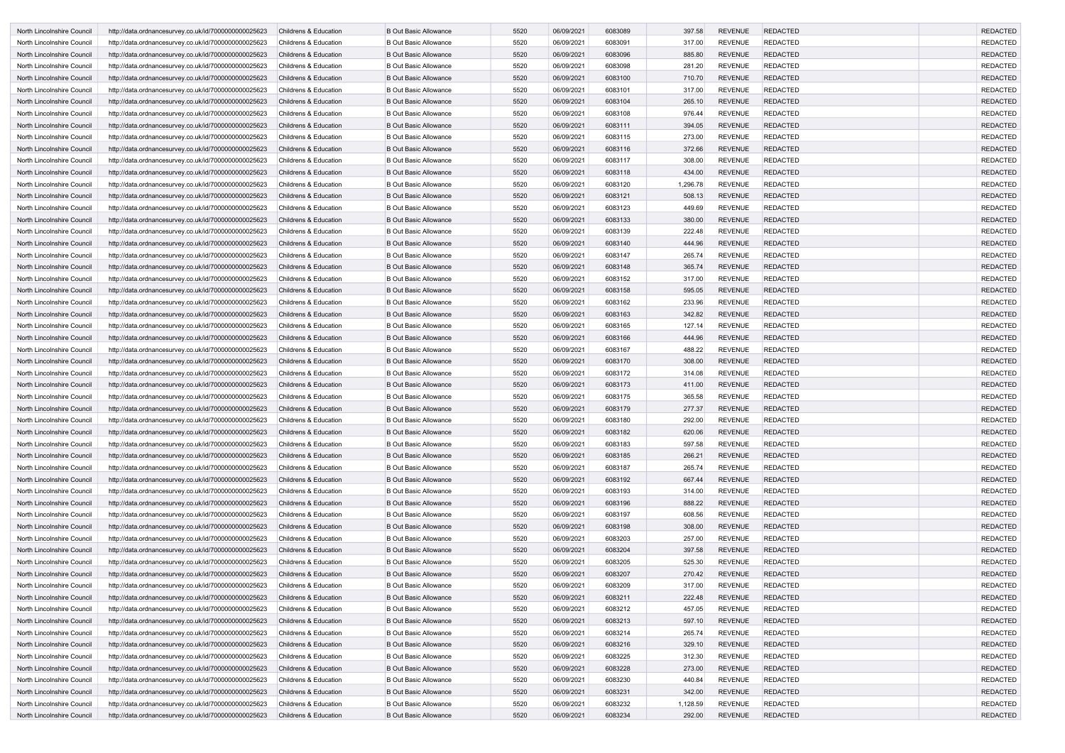| North Lincolnshire Council | http://data.ordnancesurvey.co.uk/id/7000000000025623 | <b>Childrens &amp; Education</b> | <b>B Out Basic Allowance</b> | 5520 | 06/09/2021 | 6083089 | 397.58   | <b>REVENUE</b> | <b>REDACTED</b> | <b>REDACTED</b> |
|----------------------------|------------------------------------------------------|----------------------------------|------------------------------|------|------------|---------|----------|----------------|-----------------|-----------------|
| North Lincolnshire Council | http://data.ordnancesurvey.co.uk/id/7000000000025623 | <b>Childrens &amp; Education</b> | <b>B Out Basic Allowance</b> | 5520 | 06/09/2021 | 6083091 | 317.00   | <b>REVENUE</b> | <b>REDACTED</b> | <b>REDACTED</b> |
| North Lincolnshire Council | http://data.ordnancesurvey.co.uk/id/7000000000025623 | <b>Childrens &amp; Education</b> | <b>B Out Basic Allowance</b> | 5520 | 06/09/2021 | 6083096 | 885.80   | <b>REVENUE</b> | <b>REDACTED</b> | <b>REDACTED</b> |
| North Lincolnshire Council | http://data.ordnancesurvey.co.uk/id/7000000000025623 | <b>Childrens &amp; Education</b> | <b>B Out Basic Allowance</b> | 5520 | 06/09/2021 | 6083098 | 281.20   | <b>REVENUE</b> | <b>REDACTED</b> | <b>REDACTED</b> |
| North Lincolnshire Council | http://data.ordnancesurvey.co.uk/id/7000000000025623 | <b>Childrens &amp; Education</b> | <b>B Out Basic Allowance</b> | 5520 | 06/09/2021 | 6083100 | 710.70   | <b>REVENUE</b> | <b>REDACTED</b> | <b>REDACTED</b> |
| North Lincolnshire Council | http://data.ordnancesurvey.co.uk/id/7000000000025623 | <b>Childrens &amp; Education</b> | <b>B Out Basic Allowance</b> | 5520 | 06/09/2021 | 6083101 | 317.00   | <b>REVENUE</b> | <b>REDACTED</b> | <b>REDACTED</b> |
| North Lincolnshire Council | http://data.ordnancesurvey.co.uk/id/7000000000025623 | <b>Childrens &amp; Education</b> | <b>B Out Basic Allowance</b> | 5520 | 06/09/2021 | 6083104 | 265.10   | <b>REVENUE</b> | <b>REDACTED</b> | <b>REDACTED</b> |
| North Lincolnshire Council | http://data.ordnancesurvey.co.uk/id/7000000000025623 | <b>Childrens &amp; Education</b> | <b>B Out Basic Allowance</b> | 5520 | 06/09/2021 | 6083108 | 976.44   | <b>REVENUE</b> | <b>REDACTED</b> | <b>REDACTED</b> |
| North Lincolnshire Council | http://data.ordnancesurvey.co.uk/id/7000000000025623 | <b>Childrens &amp; Education</b> | <b>B Out Basic Allowance</b> | 5520 | 06/09/2021 | 6083111 | 394.05   | <b>REVENUE</b> | <b>REDACTED</b> | <b>REDACTED</b> |
| North Lincolnshire Council | http://data.ordnancesurvey.co.uk/id/7000000000025623 | Childrens & Education            | <b>B Out Basic Allowance</b> | 5520 | 06/09/2021 | 6083115 | 273.00   | <b>REVENUE</b> | <b>REDACTED</b> | <b>REDACTED</b> |
| North Lincolnshire Council | http://data.ordnancesurvey.co.uk/id/7000000000025623 | <b>Childrens &amp; Education</b> | <b>B Out Basic Allowance</b> | 5520 | 06/09/2021 | 6083116 | 372.66   | <b>REVENUE</b> | <b>REDACTED</b> | <b>REDACTED</b> |
| North Lincolnshire Council | http://data.ordnancesurvey.co.uk/id/7000000000025623 | <b>Childrens &amp; Education</b> | <b>B Out Basic Allowance</b> | 5520 | 06/09/2021 | 6083117 | 308.00   | <b>REVENUE</b> | <b>REDACTED</b> | <b>REDACTED</b> |
| North Lincolnshire Council | http://data.ordnancesurvey.co.uk/id/7000000000025623 | <b>Childrens &amp; Education</b> | <b>B Out Basic Allowance</b> | 5520 | 06/09/2021 | 6083118 | 434.00   | <b>REVENUE</b> | <b>REDACTED</b> | <b>REDACTED</b> |
| North Lincolnshire Council | http://data.ordnancesurvey.co.uk/id/7000000000025623 | <b>Childrens &amp; Education</b> | <b>B Out Basic Allowance</b> | 5520 | 06/09/2021 | 6083120 | 1,296.78 | <b>REVENUE</b> | <b>REDACTED</b> | <b>REDACTED</b> |
| North Lincolnshire Council | http://data.ordnancesurvey.co.uk/id/7000000000025623 | <b>Childrens &amp; Education</b> | <b>B Out Basic Allowance</b> | 5520 | 06/09/2021 | 6083121 | 508.13   | <b>REVENUE</b> | <b>REDACTED</b> | <b>REDACTED</b> |
| North Lincolnshire Council | http://data.ordnancesurvey.co.uk/id/7000000000025623 | <b>Childrens &amp; Education</b> | <b>B Out Basic Allowance</b> | 5520 | 06/09/2021 | 6083123 | 449.69   | <b>REVENUE</b> | <b>REDACTED</b> | <b>REDACTED</b> |
| North Lincolnshire Council | http://data.ordnancesurvey.co.uk/id/7000000000025623 | <b>Childrens &amp; Education</b> | <b>B Out Basic Allowance</b> | 5520 | 06/09/2021 | 6083133 | 380.00   | <b>REVENUE</b> | <b>REDACTED</b> | <b>REDACTED</b> |
| North Lincolnshire Council | http://data.ordnancesurvey.co.uk/id/7000000000025623 | <b>Childrens &amp; Education</b> | <b>B Out Basic Allowance</b> | 5520 | 06/09/2021 | 6083139 | 222.48   | <b>REVENUE</b> | <b>REDACTED</b> | <b>REDACTED</b> |
| North Lincolnshire Council | http://data.ordnancesurvey.co.uk/id/7000000000025623 | <b>Childrens &amp; Education</b> | <b>B Out Basic Allowance</b> | 5520 | 06/09/2021 | 6083140 | 444.96   | <b>REVENUE</b> | <b>REDACTED</b> | <b>REDACTED</b> |
| North Lincolnshire Council | http://data.ordnancesurvey.co.uk/id/7000000000025623 | <b>Childrens &amp; Education</b> | <b>B Out Basic Allowance</b> | 5520 | 06/09/2021 | 6083147 | 265.74   | <b>REVENUE</b> | <b>REDACTED</b> | <b>REDACTED</b> |
| North Lincolnshire Council | http://data.ordnancesurvey.co.uk/id/7000000000025623 | <b>Childrens &amp; Education</b> | <b>B Out Basic Allowance</b> | 5520 | 06/09/2021 | 6083148 | 365.74   | <b>REVENUE</b> | <b>REDACTED</b> | <b>REDACTED</b> |
| North Lincolnshire Council | http://data.ordnancesurvey.co.uk/id/7000000000025623 | <b>Childrens &amp; Education</b> | <b>B Out Basic Allowance</b> | 5520 | 06/09/2021 | 6083152 | 317.00   | <b>REVENUE</b> | <b>REDACTED</b> | <b>REDACTED</b> |
| North Lincolnshire Council | http://data.ordnancesurvey.co.uk/id/7000000000025623 | <b>Childrens &amp; Education</b> | <b>B Out Basic Allowance</b> | 5520 | 06/09/2021 | 6083158 | 595.05   | <b>REVENUE</b> | <b>REDACTED</b> | <b>REDACTED</b> |
| North Lincolnshire Council | http://data.ordnancesurvey.co.uk/id/7000000000025623 | <b>Childrens &amp; Education</b> | <b>B Out Basic Allowance</b> | 5520 | 06/09/2021 | 6083162 | 233.96   | <b>REVENUE</b> | <b>REDACTED</b> | <b>REDACTED</b> |
| North Lincolnshire Council | http://data.ordnancesurvey.co.uk/id/7000000000025623 | <b>Childrens &amp; Education</b> | <b>B Out Basic Allowance</b> | 5520 | 06/09/2021 | 6083163 | 342.82   | <b>REVENUE</b> | <b>REDACTED</b> | <b>REDACTED</b> |
| North Lincolnshire Council | http://data.ordnancesurvey.co.uk/id/7000000000025623 | <b>Childrens &amp; Education</b> | <b>B Out Basic Allowance</b> | 5520 | 06/09/2021 | 6083165 | 127.14   | <b>REVENUE</b> | <b>REDACTED</b> | <b>REDACTED</b> |
| North Lincolnshire Council | http://data.ordnancesurvey.co.uk/id/7000000000025623 | <b>Childrens &amp; Education</b> | <b>B Out Basic Allowance</b> | 5520 | 06/09/2021 | 6083166 | 444.96   | <b>REVENUE</b> | <b>REDACTED</b> | <b>REDACTED</b> |
| North Lincolnshire Council | http://data.ordnancesurvey.co.uk/id/7000000000025623 | <b>Childrens &amp; Education</b> | <b>B Out Basic Allowance</b> | 5520 | 06/09/2021 | 6083167 | 488.22   | <b>REVENUE</b> | <b>REDACTED</b> | <b>REDACTED</b> |
| North Lincolnshire Council | http://data.ordnancesurvey.co.uk/id/7000000000025623 | <b>Childrens &amp; Education</b> | <b>B Out Basic Allowance</b> | 5520 | 06/09/2021 | 6083170 | 308.00   | <b>REVENUE</b> | <b>REDACTED</b> | <b>REDACTED</b> |
| North Lincolnshire Council | http://data.ordnancesurvey.co.uk/id/7000000000025623 | <b>Childrens &amp; Education</b> | <b>B Out Basic Allowance</b> | 5520 | 06/09/2021 | 6083172 | 314.08   | <b>REVENUE</b> | <b>REDACTED</b> | <b>REDACTED</b> |
| North Lincolnshire Council | http://data.ordnancesurvey.co.uk/id/7000000000025623 | <b>Childrens &amp; Education</b> | <b>B Out Basic Allowance</b> | 5520 | 06/09/2021 | 6083173 | 411.00   | <b>REVENUE</b> | <b>REDACTED</b> | <b>REDACTED</b> |
| North Lincolnshire Council | http://data.ordnancesurvey.co.uk/id/7000000000025623 | <b>Childrens &amp; Education</b> | <b>B Out Basic Allowance</b> | 5520 | 06/09/2021 | 6083175 | 365.58   | <b>REVENUE</b> | <b>REDACTED</b> | <b>REDACTED</b> |
| North Lincolnshire Council | http://data.ordnancesurvey.co.uk/id/7000000000025623 | <b>Childrens &amp; Education</b> | <b>B Out Basic Allowance</b> | 5520 | 06/09/2021 | 6083179 | 277.37   | <b>REVENUE</b> | <b>REDACTED</b> | <b>REDACTED</b> |
| North Lincolnshire Council | http://data.ordnancesurvey.co.uk/id/7000000000025623 | Childrens & Education            | <b>B Out Basic Allowance</b> | 5520 | 06/09/2021 | 6083180 | 292.00   | <b>REVENUE</b> | REDACTED        | REDACTED        |
| North Lincolnshire Council | http://data.ordnancesurvey.co.uk/id/7000000000025623 | <b>Childrens &amp; Education</b> | <b>B Out Basic Allowance</b> | 5520 | 06/09/2021 | 6083182 | 620.06   | <b>REVENUE</b> | <b>REDACTED</b> | <b>REDACTED</b> |
| North Lincolnshire Council | http://data.ordnancesurvey.co.uk/id/7000000000025623 | Childrens & Education            | <b>B Out Basic Allowance</b> | 5520 | 06/09/2021 | 6083183 | 597.58   | <b>REVENUE</b> | <b>REDACTED</b> | <b>REDACTED</b> |
| North Lincolnshire Council | http://data.ordnancesurvey.co.uk/id/7000000000025623 | Childrens & Education            | <b>B Out Basic Allowance</b> | 5520 | 06/09/2021 | 6083185 | 266.21   | <b>REVENUE</b> | <b>REDACTED</b> | <b>REDACTED</b> |
| North Lincolnshire Council | http://data.ordnancesurvey.co.uk/id/7000000000025623 | Childrens & Education            | <b>B Out Basic Allowance</b> | 5520 | 06/09/2021 | 6083187 | 265.74   | <b>REVENUE</b> | <b>REDACTED</b> | <b>REDACTED</b> |
| North Lincolnshire Council | http://data.ordnancesurvey.co.uk/id/7000000000025623 | <b>Childrens &amp; Education</b> | <b>B Out Basic Allowance</b> | 5520 | 06/09/2021 | 6083192 | 667.44   | <b>REVENUE</b> | REDACTED        | <b>REDACTED</b> |
| North Lincolnshire Council | http://data.ordnancesurvey.co.uk/id/7000000000025623 | Childrens & Education            | <b>B Out Basic Allowance</b> | 5520 | 06/09/2021 | 6083193 | 314.00   | <b>REVENUE</b> | <b>REDACTED</b> | <b>REDACTED</b> |
| North Lincolnshire Council | http://data.ordnancesurvey.co.uk/id/7000000000025623 | Childrens & Education            | <b>B Out Basic Allowance</b> | 5520 | 06/09/2021 | 6083196 | 888.22   | <b>REVENUE</b> | <b>REDACTED</b> | <b>REDACTED</b> |
| North Lincolnshire Council | http://data.ordnancesurvey.co.uk/id/7000000000025623 | Childrens & Education            | <b>B Out Basic Allowance</b> | 5520 | 06/09/2021 | 6083197 | 608.56   | <b>REVENUE</b> | <b>REDACTED</b> | <b>REDACTED</b> |
| North Lincolnshire Council | http://data.ordnancesurvey.co.uk/id/7000000000025623 | <b>Childrens &amp; Education</b> | <b>B Out Basic Allowance</b> | 5520 | 06/09/2021 | 6083198 | 308.00   | <b>REVENUE</b> | <b>REDACTED</b> | <b>REDACTED</b> |
| North Lincolnshire Council | http://data.ordnancesurvey.co.uk/id/7000000000025623 | Childrens & Education            | <b>B Out Basic Allowance</b> | 5520 | 06/09/2021 | 6083203 | 257.00   | <b>REVENUE</b> | <b>REDACTED</b> | <b>REDACTED</b> |
| North Lincolnshire Council | http://data.ordnancesurvey.co.uk/id/7000000000025623 | <b>Childrens &amp; Education</b> | <b>B Out Basic Allowance</b> | 5520 | 06/09/2021 | 6083204 | 397.58   | <b>REVENUE</b> | <b>REDACTED</b> | <b>REDACTED</b> |
| North Lincolnshire Council | http://data.ordnancesurvey.co.uk/id/7000000000025623 | Childrens & Education            | <b>B Out Basic Allowance</b> | 5520 | 06/09/2021 | 6083205 | 525.30   | <b>REVENUE</b> | <b>REDACTED</b> | <b>REDACTED</b> |
| North Lincolnshire Council | http://data.ordnancesurvey.co.uk/id/7000000000025623 | Childrens & Education            | <b>B Out Basic Allowance</b> | 5520 | 06/09/2021 | 6083207 | 270.42   | <b>REVENUE</b> | <b>REDACTED</b> | <b>REDACTED</b> |
| North Lincolnshire Council | http://data.ordnancesurvey.co.uk/id/7000000000025623 | Childrens & Education            | <b>B Out Basic Allowance</b> | 5520 | 06/09/2021 | 6083209 | 317.00   | <b>REVENUE</b> | <b>REDACTED</b> | <b>REDACTED</b> |
| North Lincolnshire Council | http://data.ordnancesurvey.co.uk/id/7000000000025623 | Childrens & Education            | <b>B Out Basic Allowance</b> | 5520 | 06/09/2021 | 6083211 | 222.48   | <b>REVENUE</b> | <b>REDACTED</b> | <b>REDACTED</b> |
| North Lincolnshire Council | http://data.ordnancesurvey.co.uk/id/7000000000025623 | Childrens & Education            | <b>B Out Basic Allowance</b> | 5520 | 06/09/2021 | 6083212 | 457.05   | <b>REVENUE</b> | <b>REDACTED</b> | <b>REDACTED</b> |
| North Lincolnshire Council | http://data.ordnancesurvey.co.uk/id/7000000000025623 | Childrens & Education            | <b>B Out Basic Allowance</b> | 5520 | 06/09/2021 | 6083213 | 597.10   | <b>REVENUE</b> | <b>REDACTED</b> | <b>REDACTED</b> |
| North Lincolnshire Council | http://data.ordnancesurvey.co.uk/id/7000000000025623 | Childrens & Education            | <b>B Out Basic Allowance</b> | 5520 | 06/09/2021 | 6083214 | 265.74   | <b>REVENUE</b> | <b>REDACTED</b> | <b>REDACTED</b> |
| North Lincolnshire Council | http://data.ordnancesurvey.co.uk/id/7000000000025623 | <b>Childrens &amp; Education</b> | <b>B Out Basic Allowance</b> | 5520 | 06/09/2021 | 6083216 | 329.10   | <b>REVENUE</b> | <b>REDACTED</b> | <b>REDACTED</b> |
| North Lincolnshire Council | http://data.ordnancesurvey.co.uk/id/7000000000025623 | Childrens & Education            | <b>B Out Basic Allowance</b> | 5520 | 06/09/2021 | 6083225 | 312.30   | <b>REVENUE</b> | <b>REDACTED</b> | <b>REDACTED</b> |
| North Lincolnshire Council | http://data.ordnancesurvey.co.uk/id/7000000000025623 | <b>Childrens &amp; Education</b> | <b>B Out Basic Allowance</b> | 5520 | 06/09/2021 | 6083228 | 273.00   | <b>REVENUE</b> | <b>REDACTED</b> | <b>REDACTED</b> |
| North Lincolnshire Council | http://data.ordnancesurvey.co.uk/id/7000000000025623 | Childrens & Education            | <b>B Out Basic Allowance</b> | 5520 | 06/09/2021 | 6083230 | 440.84   | <b>REVENUE</b> | <b>REDACTED</b> | <b>REDACTED</b> |
| North Lincolnshire Council | http://data.ordnancesurvey.co.uk/id/7000000000025623 | Childrens & Education            | <b>B Out Basic Allowance</b> | 5520 | 06/09/2021 | 6083231 | 342.00   | <b>REVENUE</b> | <b>REDACTED</b> | <b>REDACTED</b> |
| North Lincolnshire Council | http://data.ordnancesurvey.co.uk/id/7000000000025623 | Childrens & Education            | <b>B Out Basic Allowance</b> | 5520 | 06/09/2021 | 6083232 | 1,128.59 | <b>REVENUE</b> | <b>REDACTED</b> | <b>REDACTED</b> |
| North Lincolnshire Council | http://data.ordnancesurvey.co.uk/id/7000000000025623 | <b>Childrens &amp; Education</b> | <b>B Out Basic Allowance</b> | 5520 | 06/09/2021 | 6083234 | 292.00   | <b>REVENUE</b> | <b>REDACTED</b> | <b>REDACTED</b> |
|                            |                                                      |                                  |                              |      |            |         |          |                |                 |                 |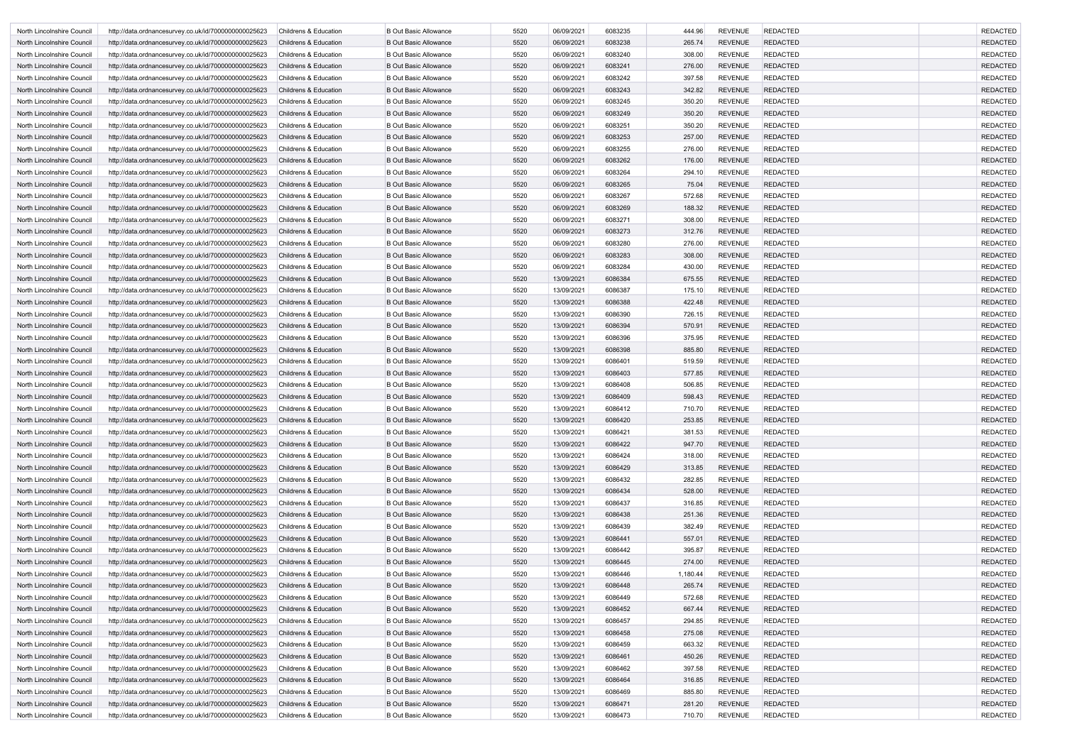| North Lincolnshire Council                               | http://data.ordnancesurvey.co.uk/id/7000000000025623                                                         | <b>Childrens &amp; Education</b>               | <b>B Out Basic Allowance</b> | 5520 | 06/09/2021               | 6083235            | 444.96   | <b>REVENUE</b> | <b>REDACTED</b> | <b>REDACTED</b> |
|----------------------------------------------------------|--------------------------------------------------------------------------------------------------------------|------------------------------------------------|------------------------------|------|--------------------------|--------------------|----------|----------------|-----------------|-----------------|
| North Lincolnshire Council                               | http://data.ordnancesurvey.co.uk/id/7000000000025623                                                         | <b>Childrens &amp; Education</b>               | <b>B Out Basic Allowance</b> | 5520 | 06/09/2021               | 6083238            | 265.74   | <b>REVENUE</b> | <b>REDACTED</b> | <b>REDACTED</b> |
| North Lincolnshire Council                               | http://data.ordnancesurvey.co.uk/id/7000000000025623                                                         | <b>Childrens &amp; Education</b>               | <b>B Out Basic Allowance</b> | 5520 | 06/09/2021               | 6083240            | 308.00   | <b>REVENUE</b> | <b>REDACTED</b> | <b>REDACTED</b> |
| North Lincolnshire Council                               | http://data.ordnancesurvey.co.uk/id/7000000000025623                                                         | <b>Childrens &amp; Education</b>               | <b>B Out Basic Allowance</b> | 5520 | 06/09/2021               | 6083241            | 276.00   | <b>REVENUE</b> | <b>REDACTED</b> | <b>REDACTED</b> |
| North Lincolnshire Council                               | http://data.ordnancesurvey.co.uk/id/7000000000025623                                                         | <b>Childrens &amp; Education</b>               | <b>B Out Basic Allowance</b> | 5520 | 06/09/2021               | 6083242            | 397.58   | <b>REVENUE</b> | <b>REDACTED</b> | <b>REDACTED</b> |
| North Lincolnshire Council                               | http://data.ordnancesurvey.co.uk/id/7000000000025623                                                         | <b>Childrens &amp; Education</b>               | <b>B Out Basic Allowance</b> | 5520 | 06/09/2021               | 6083243            | 342.82   | <b>REVENUE</b> | <b>REDACTED</b> | <b>REDACTED</b> |
| North Lincolnshire Council                               | http://data.ordnancesurvey.co.uk/id/7000000000025623                                                         | Childrens & Education                          | <b>B Out Basic Allowance</b> | 5520 | 06/09/2021               | 6083245            | 350.20   | <b>REVENUE</b> | <b>REDACTED</b> | <b>REDACTED</b> |
| North Lincolnshire Council                               | http://data.ordnancesurvey.co.uk/id/7000000000025623                                                         | <b>Childrens &amp; Education</b>               | <b>B Out Basic Allowance</b> | 5520 | 06/09/2021               | 6083249            | 350.20   | <b>REVENUE</b> | <b>REDACTED</b> | <b>REDACTED</b> |
| North Lincolnshire Council                               | http://data.ordnancesurvey.co.uk/id/7000000000025623                                                         | Childrens & Education                          | <b>B Out Basic Allowance</b> | 5520 | 06/09/2021               | 6083251            | 350.20   | <b>REVENUE</b> | <b>REDACTED</b> | <b>REDACTED</b> |
| North Lincolnshire Council                               | http://data.ordnancesurvey.co.uk/id/7000000000025623                                                         | <b>Childrens &amp; Education</b>               | <b>B Out Basic Allowance</b> | 5520 | 06/09/2021               | 6083253            | 257.00   | <b>REVENUE</b> | <b>REDACTED</b> | <b>REDACTED</b> |
| North Lincolnshire Council                               | http://data.ordnancesurvey.co.uk/id/7000000000025623                                                         | <b>Childrens &amp; Education</b>               | <b>B Out Basic Allowance</b> | 5520 | 06/09/2021               | 6083255            | 276.00   | <b>REVENUE</b> | <b>REDACTED</b> | <b>REDACTED</b> |
| North Lincolnshire Council                               | http://data.ordnancesurvey.co.uk/id/7000000000025623                                                         | <b>Childrens &amp; Education</b>               | <b>B Out Basic Allowance</b> | 5520 | 06/09/2021               | 6083262            | 176.00   | <b>REVENUE</b> | <b>REDACTED</b> | <b>REDACTED</b> |
| North Lincolnshire Council                               | http://data.ordnancesurvey.co.uk/id/7000000000025623                                                         | <b>Childrens &amp; Education</b>               | <b>B Out Basic Allowance</b> | 5520 | 06/09/2021               | 6083264            | 294.10   | <b>REVENUE</b> | <b>REDACTED</b> | <b>REDACTED</b> |
| North Lincolnshire Council                               | http://data.ordnancesurvey.co.uk/id/7000000000025623                                                         | <b>Childrens &amp; Education</b>               | <b>B Out Basic Allowance</b> | 5520 | 06/09/2021               | 6083265            | 75.04    | <b>REVENUE</b> | <b>REDACTED</b> | <b>REDACTED</b> |
| North Lincolnshire Council                               | http://data.ordnancesurvey.co.uk/id/7000000000025623                                                         | <b>Childrens &amp; Education</b>               | <b>B Out Basic Allowance</b> | 5520 | 06/09/2021               | 6083267            | 572.68   | <b>REVENUE</b> | <b>REDACTED</b> | <b>REDACTED</b> |
| North Lincolnshire Council                               | http://data.ordnancesurvey.co.uk/id/7000000000025623                                                         | <b>Childrens &amp; Education</b>               | <b>B Out Basic Allowance</b> | 5520 | 06/09/2021               | 6083269            | 188.32   | <b>REVENUE</b> | <b>REDACTED</b> | <b>REDACTED</b> |
| North Lincolnshire Council                               | http://data.ordnancesurvey.co.uk/id/7000000000025623                                                         | <b>Childrens &amp; Education</b>               | <b>B Out Basic Allowance</b> | 5520 | 06/09/2021               | 6083271            | 308.00   | <b>REVENUE</b> | <b>REDACTED</b> | <b>REDACTED</b> |
| North Lincolnshire Council                               | http://data.ordnancesurvey.co.uk/id/7000000000025623                                                         | <b>Childrens &amp; Education</b>               | <b>B Out Basic Allowance</b> | 5520 | 06/09/2021               | 6083273            | 312.76   | <b>REVENUE</b> | <b>REDACTED</b> | <b>REDACTED</b> |
| North Lincolnshire Council                               | http://data.ordnancesurvey.co.uk/id/7000000000025623                                                         | <b>Childrens &amp; Education</b>               | <b>B Out Basic Allowance</b> | 5520 | 06/09/2021               | 6083280            | 276.00   | <b>REVENUE</b> | <b>REDACTED</b> | <b>REDACTED</b> |
| North Lincolnshire Council                               | http://data.ordnancesurvey.co.uk/id/7000000000025623                                                         | <b>Childrens &amp; Education</b>               | <b>B Out Basic Allowance</b> | 5520 | 06/09/2021               | 6083283            | 308.00   | <b>REVENUE</b> | <b>REDACTED</b> | <b>REDACTED</b> |
| North Lincolnshire Council                               | http://data.ordnancesurvey.co.uk/id/7000000000025623                                                         | <b>Childrens &amp; Education</b>               | <b>B Out Basic Allowance</b> | 5520 | 06/09/2021               | 6083284            | 430.00   | <b>REVENUE</b> | <b>REDACTED</b> | <b>REDACTED</b> |
| North Lincolnshire Council                               | http://data.ordnancesurvey.co.uk/id/7000000000025623                                                         | <b>Childrens &amp; Education</b>               | <b>B Out Basic Allowance</b> | 5520 | 13/09/2021               | 6086384            | 675.55   | <b>REVENUE</b> | <b>REDACTED</b> | <b>REDACTED</b> |
| North Lincolnshire Council                               | http://data.ordnancesurvey.co.uk/id/7000000000025623                                                         | <b>Childrens &amp; Education</b>               | <b>B Out Basic Allowance</b> | 5520 | 13/09/2021               | 6086387            | 175.10   | <b>REVENUE</b> | <b>REDACTED</b> | <b>REDACTED</b> |
| North Lincolnshire Council                               | http://data.ordnancesurvey.co.uk/id/7000000000025623                                                         | <b>Childrens &amp; Education</b>               | <b>B Out Basic Allowance</b> | 5520 | 13/09/2021               | 6086388            | 422.48   | <b>REVENUE</b> | <b>REDACTED</b> | <b>REDACTED</b> |
| North Lincolnshire Council                               | http://data.ordnancesurvey.co.uk/id/7000000000025623                                                         | <b>Childrens &amp; Education</b>               | <b>B Out Basic Allowance</b> | 5520 | 13/09/2021               | 6086390            | 726.15   | <b>REVENUE</b> | <b>REDACTED</b> | <b>REDACTED</b> |
| North Lincolnshire Council                               | http://data.ordnancesurvey.co.uk/id/7000000000025623                                                         | <b>Childrens &amp; Education</b>               | <b>B Out Basic Allowance</b> | 5520 | 13/09/2021               | 6086394            | 570.91   | <b>REVENUE</b> | <b>REDACTED</b> | <b>REDACTED</b> |
| North Lincolnshire Council                               | http://data.ordnancesurvey.co.uk/id/7000000000025623                                                         | <b>Childrens &amp; Education</b>               | <b>B Out Basic Allowance</b> | 5520 | 13/09/2021               | 6086396            | 375.95   | <b>REVENUE</b> | <b>REDACTED</b> | <b>REDACTED</b> |
| North Lincolnshire Council                               | http://data.ordnancesurvey.co.uk/id/7000000000025623                                                         | <b>Childrens &amp; Education</b>               | <b>B Out Basic Allowance</b> | 5520 | 13/09/2021               | 6086398            | 885.80   | <b>REVENUE</b> | <b>REDACTED</b> | <b>REDACTED</b> |
| North Lincolnshire Council                               | http://data.ordnancesurvey.co.uk/id/7000000000025623                                                         | <b>Childrens &amp; Education</b>               | <b>B Out Basic Allowance</b> | 5520 | 13/09/2021               | 6086401            | 519.59   | <b>REVENUE</b> | <b>REDACTED</b> | <b>REDACTED</b> |
| North Lincolnshire Council                               | http://data.ordnancesurvey.co.uk/id/7000000000025623                                                         | <b>Childrens &amp; Education</b>               | <b>B Out Basic Allowance</b> | 5520 | 13/09/2021               | 6086403            | 577.85   | <b>REVENUE</b> | <b>REDACTED</b> | <b>REDACTED</b> |
| North Lincolnshire Council                               | http://data.ordnancesurvey.co.uk/id/7000000000025623                                                         | <b>Childrens &amp; Education</b>               | <b>B Out Basic Allowance</b> | 5520 | 13/09/2021               | 6086408            | 506.85   | <b>REVENUE</b> | <b>REDACTED</b> | <b>REDACTED</b> |
| North Lincolnshire Council                               | http://data.ordnancesurvey.co.uk/id/7000000000025623                                                         | <b>Childrens &amp; Education</b>               | <b>B Out Basic Allowance</b> | 5520 | 13/09/2021               | 6086409            | 598.43   | <b>REVENUE</b> | <b>REDACTED</b> | <b>REDACTED</b> |
| North Lincolnshire Council                               | http://data.ordnancesurvey.co.uk/id/7000000000025623                                                         | Childrens & Education                          | <b>B Out Basic Allowance</b> | 5520 | 13/09/2021               | 6086412            | 710.70   | <b>REVENUE</b> | <b>REDACTED</b> | <b>REDACTED</b> |
| North Lincolnshire Council                               | http://data.ordnancesurvey.co.uk/id/7000000000025623                                                         | Childrens & Education                          | <b>B Out Basic Allowance</b> | 5520 | 13/09/2021               | 6086420            | 253.85   | <b>REVENUE</b> | <b>REDACTED</b> | <b>REDACTED</b> |
| North Lincolnshire Council                               | http://data.ordnancesurvey.co.uk/id/7000000000025623                                                         | Childrens & Education                          | <b>B Out Basic Allowance</b> | 5520 | 13/09/2021               | 6086421            | 381.53   | <b>REVENUE</b> | <b>REDACTED</b> | <b>REDACTED</b> |
| North Lincolnshire Council                               | http://data.ordnancesurvey.co.uk/id/7000000000025623                                                         | <b>Childrens &amp; Education</b>               | <b>B Out Basic Allowance</b> | 5520 | 13/09/2021               | 6086422            | 947.70   | <b>REVENUE</b> | <b>REDACTED</b> | <b>REDACTED</b> |
| North Lincolnshire Council                               | http://data.ordnancesurvey.co.uk/id/7000000000025623                                                         | Childrens & Education                          | <b>B Out Basic Allowance</b> | 5520 | 13/09/2021               | 6086424            | 318.00   | <b>REVENUE</b> | <b>REDACTED</b> | <b>REDACTED</b> |
| North Lincolnshire Council                               | http://data.ordnancesurvey.co.uk/id/7000000000025623                                                         | <b>Childrens &amp; Education</b>               | <b>B Out Basic Allowance</b> | 5520 | 13/09/2021               | 6086429            | 313.85   | <b>REVENUE</b> | <b>REDACTED</b> | <b>REDACTED</b> |
| North Lincolnshire Council                               | http://data.ordnancesurvey.co.uk/id/7000000000025623                                                         | Childrens & Education                          | <b>B Out Basic Allowance</b> | 5520 | 13/09/2021               | 6086432            | 282.85   | <b>REVENUE</b> | <b>REDACTED</b> | <b>REDACTED</b> |
| North Lincolnshire Council                               | http://data.ordnancesurvey.co.uk/id/7000000000025623                                                         | Childrens & Education                          | <b>B Out Basic Allowance</b> | 5520 | 13/09/2021               | 6086434            | 528.00   | <b>REVENUE</b> | <b>REDACTED</b> | <b>REDACTED</b> |
| North Lincolnshire Council                               | http://data.ordnancesurvey.co.uk/id/7000000000025623                                                         | <b>Childrens &amp; Education</b>               | <b>B</b> Out Basic Allowance | 5520 | 13/09/2021               | 6086437            | 316.85   | <b>REVENUE</b> | <b>REDACTED</b> | <b>REDACTED</b> |
| North Lincolnshire Council                               | http://data.ordnancesurvey.co.uk/id/7000000000025623                                                         | Childrens & Education                          | <b>B Out Basic Allowance</b> | 5520 | 13/09/2021               | 6086438            | 251.36   | <b>REVENUE</b> | <b>REDACTED</b> | <b>REDACTED</b> |
| North Lincolnshire Council                               | http://data.ordnancesurvey.co.uk/id/7000000000025623                                                         | <b>Childrens &amp; Education</b>               | <b>B Out Basic Allowance</b> | 5520 | 13/09/2021               | 6086439            | 382.49   | <b>REVENUE</b> | <b>REDACTED</b> | <b>REDACTED</b> |
| North Lincolnshire Council                               | http://data.ordnancesurvey.co.uk/id/7000000000025623                                                         | Childrens & Education                          | <b>B Out Basic Allowance</b> | 5520 | 13/09/2021               | 6086441            | 557.01   | <b>REVENUE</b> | <b>REDACTED</b> | <b>REDACTED</b> |
| North Lincolnshire Council                               | http://data.ordnancesurvey.co.uk/id/7000000000025623                                                         | Childrens & Education                          | <b>B Out Basic Allowance</b> | 5520 | 13/09/2021               | 6086442            | 395.87   | <b>REVENUE</b> | <b>REDACTED</b> | <b>REDACTED</b> |
| North Lincolnshire Council                               | http://data.ordnancesurvey.co.uk/id/7000000000025623                                                         | Childrens & Education                          | <b>B Out Basic Allowance</b> | 5520 | 13/09/2021               | 6086445            | 274.00   | <b>REVENUE</b> | <b>REDACTED</b> | <b>REDACTED</b> |
| North Lincolnshire Council                               | http://data.ordnancesurvey.co.uk/id/7000000000025623                                                         | Childrens & Education                          | <b>B Out Basic Allowance</b> | 5520 | 13/09/2021               | 6086446            | 1,180.44 | <b>REVENUE</b> | <b>REDACTED</b> | <b>REDACTED</b> |
| North Lincolnshire Council                               | http://data.ordnancesurvey.co.uk/id/7000000000025623                                                         | <b>Childrens &amp; Education</b>               | <b>B Out Basic Allowance</b> | 5520 | 13/09/2021               | 6086448            | 265.74   | <b>REVENUE</b> | <b>REDACTED</b> | <b>REDACTED</b> |
| North Lincolnshire Council                               | http://data.ordnancesurvey.co.uk/id/7000000000025623                                                         | Childrens & Education                          | <b>B Out Basic Allowance</b> | 5520 | 13/09/2021               | 6086449            | 572.68   | <b>REVENUE</b> | <b>REDACTED</b> | <b>REDACTED</b> |
| North Lincolnshire Council                               | http://data.ordnancesurvey.co.uk/id/7000000000025623                                                         | Childrens & Education                          | <b>B Out Basic Allowance</b> | 5520 | 13/09/2021               | 6086452            | 667.44   | <b>REVENUE</b> | <b>REDACTED</b> | <b>REDACTED</b> |
|                                                          |                                                                                                              |                                                | <b>B Out Basic Allowance</b> | 5520 |                          |                    | 294.85   | <b>REVENUE</b> | <b>REDACTED</b> | <b>REDACTED</b> |
| North Lincolnshire Council<br>North Lincolnshire Council | http://data.ordnancesurvey.co.uk/id/7000000000025623<br>http://data.ordnancesurvey.co.uk/id/7000000000025623 | Childrens & Education<br>Childrens & Education | <b>B Out Basic Allowance</b> | 5520 | 13/09/2021<br>13/09/2021 | 6086457<br>6086458 | 275.08   | <b>REVENUE</b> | <b>REDACTED</b> | <b>REDACTED</b> |
|                                                          |                                                                                                              |                                                |                              |      |                          |                    |          |                |                 |                 |
| North Lincolnshire Council                               | http://data.ordnancesurvey.co.uk/id/7000000000025623                                                         | <b>Childrens &amp; Education</b>               | <b>B Out Basic Allowance</b> | 5520 | 13/09/2021               | 6086459            | 663.32   | <b>REVENUE</b> | <b>REDACTED</b> | <b>REDACTED</b> |
| North Lincolnshire Council                               | http://data.ordnancesurvey.co.uk/id/7000000000025623                                                         | Childrens & Education                          | <b>B Out Basic Allowance</b> | 5520 | 13/09/2021               | 6086461            | 450.26   | <b>REVENUE</b> | <b>REDACTED</b> | <b>REDACTED</b> |
| North Lincolnshire Council                               | http://data.ordnancesurvey.co.uk/id/7000000000025623                                                         | Childrens & Education                          | <b>B Out Basic Allowance</b> | 5520 | 13/09/2021               | 6086462            | 397.58   | <b>REVENUE</b> | <b>REDACTED</b> | <b>REDACTED</b> |
| North Lincolnshire Council                               | http://data.ordnancesurvey.co.uk/id/7000000000025623                                                         | Childrens & Education                          | <b>B Out Basic Allowance</b> | 5520 | 13/09/2021               | 6086464            | 316.85   | <b>REVENUE</b> | <b>REDACTED</b> | <b>REDACTED</b> |
| North Lincolnshire Council                               | http://data.ordnancesurvey.co.uk/id/7000000000025623                                                         | <b>Childrens &amp; Education</b>               | <b>B Out Basic Allowance</b> | 5520 | 13/09/2021               | 6086469            | 885.80   | <b>REVENUE</b> | <b>REDACTED</b> | <b>REDACTED</b> |
| North Lincolnshire Council                               | http://data.ordnancesurvey.co.uk/id/7000000000025623                                                         | <b>Childrens &amp; Education</b>               | <b>B Out Basic Allowance</b> | 5520 | 13/09/2021               | 6086471            | 281.20   | <b>REVENUE</b> | <b>REDACTED</b> | <b>REDACTED</b> |
| North Lincolnshire Council                               | http://data.ordnancesurvey.co.uk/id/7000000000025623                                                         | Childrens & Education                          | <b>B Out Basic Allowance</b> | 5520 | 13/09/2021               | 6086473            | 710.70   | <b>REVENUE</b> | <b>REDACTED</b> | <b>REDACTED</b> |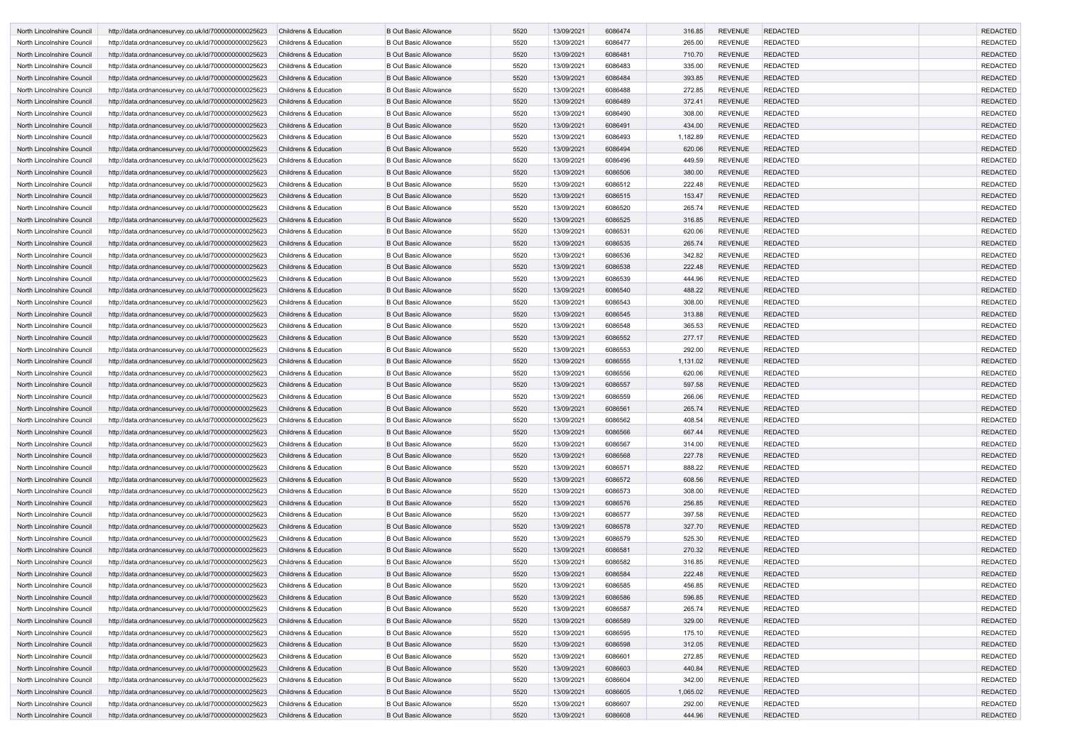| North Lincolnshire Council | http://data.ordnancesurvey.co.uk/id/7000000000025623 | <b>Childrens &amp; Education</b> | <b>B Out Basic Allowance</b> | 5520 | 13/09/2021 | 6086474 | 316.85   | <b>REVENUE</b> | <b>REDACTED</b> | <b>REDACTED</b> |
|----------------------------|------------------------------------------------------|----------------------------------|------------------------------|------|------------|---------|----------|----------------|-----------------|-----------------|
| North Lincolnshire Council | http://data.ordnancesurvey.co.uk/id/7000000000025623 | <b>Childrens &amp; Education</b> | <b>B Out Basic Allowance</b> | 5520 | 13/09/2021 | 6086477 | 265.00   | <b>REVENUE</b> | <b>REDACTED</b> | <b>REDACTED</b> |
| North Lincolnshire Council | http://data.ordnancesurvey.co.uk/id/7000000000025623 | <b>Childrens &amp; Education</b> | <b>B Out Basic Allowance</b> | 5520 | 13/09/2021 | 6086481 | 710.70   | <b>REVENUE</b> | <b>REDACTED</b> | <b>REDACTED</b> |
| North Lincolnshire Council | http://data.ordnancesurvey.co.uk/id/7000000000025623 | <b>Childrens &amp; Education</b> | <b>B Out Basic Allowance</b> | 5520 | 13/09/2021 | 6086483 | 335.00   | <b>REVENUE</b> | <b>REDACTED</b> | <b>REDACTED</b> |
| North Lincolnshire Council | http://data.ordnancesurvey.co.uk/id/7000000000025623 | <b>Childrens &amp; Education</b> | <b>B Out Basic Allowance</b> | 5520 | 13/09/2021 | 6086484 | 393.85   | <b>REVENUE</b> | <b>REDACTED</b> | <b>REDACTED</b> |
| North Lincolnshire Council | http://data.ordnancesurvey.co.uk/id/7000000000025623 | <b>Childrens &amp; Education</b> | <b>B Out Basic Allowance</b> | 5520 | 13/09/2021 | 6086488 | 272.85   | <b>REVENUE</b> | <b>REDACTED</b> | <b>REDACTED</b> |
| North Lincolnshire Council | http://data.ordnancesurvey.co.uk/id/7000000000025623 | <b>Childrens &amp; Education</b> | <b>B Out Basic Allowance</b> | 5520 | 13/09/2021 | 6086489 | 372.41   | <b>REVENUE</b> | <b>REDACTED</b> | <b>REDACTED</b> |
| North Lincolnshire Council | http://data.ordnancesurvey.co.uk/id/7000000000025623 | <b>Childrens &amp; Education</b> | <b>B Out Basic Allowance</b> | 5520 | 13/09/2021 | 6086490 | 308.00   | <b>REVENUE</b> | <b>REDACTED</b> | <b>REDACTED</b> |
| North Lincolnshire Council | http://data.ordnancesurvey.co.uk/id/7000000000025623 | <b>Childrens &amp; Education</b> | <b>B Out Basic Allowance</b> | 5520 | 13/09/2021 | 6086491 | 434.00   | <b>REVENUE</b> | <b>REDACTED</b> | <b>REDACTED</b> |
| North Lincolnshire Council | http://data.ordnancesurvey.co.uk/id/7000000000025623 | Childrens & Education            | <b>B Out Basic Allowance</b> | 5520 | 13/09/2021 | 6086493 | 1,182.89 | <b>REVENUE</b> | <b>REDACTED</b> | <b>REDACTED</b> |
| North Lincolnshire Council | http://data.ordnancesurvey.co.uk/id/7000000000025623 | <b>Childrens &amp; Education</b> | <b>B Out Basic Allowance</b> | 5520 | 13/09/2021 | 6086494 | 620.06   | <b>REVENUE</b> | <b>REDACTED</b> | <b>REDACTED</b> |
| North Lincolnshire Council | http://data.ordnancesurvey.co.uk/id/7000000000025623 | <b>Childrens &amp; Education</b> | <b>B Out Basic Allowance</b> | 5520 | 13/09/2021 | 6086496 | 449.59   | <b>REVENUE</b> | <b>REDACTED</b> | <b>REDACTED</b> |
| North Lincolnshire Council | http://data.ordnancesurvey.co.uk/id/7000000000025623 | <b>Childrens &amp; Education</b> | <b>B Out Basic Allowance</b> | 5520 | 13/09/2021 | 6086506 | 380.00   | <b>REVENUE</b> | <b>REDACTED</b> | <b>REDACTED</b> |
| North Lincolnshire Council | http://data.ordnancesurvey.co.uk/id/7000000000025623 | <b>Childrens &amp; Education</b> | <b>B Out Basic Allowance</b> | 5520 | 13/09/2021 | 6086512 | 222.48   | <b>REVENUE</b> | <b>REDACTED</b> | <b>REDACTED</b> |
| North Lincolnshire Council | http://data.ordnancesurvey.co.uk/id/7000000000025623 | <b>Childrens &amp; Education</b> | <b>B Out Basic Allowance</b> | 5520 | 13/09/2021 | 6086515 | 153.47   | <b>REVENUE</b> | <b>REDACTED</b> | <b>REDACTED</b> |
| North Lincolnshire Council | http://data.ordnancesurvey.co.uk/id/7000000000025623 | <b>Childrens &amp; Education</b> | <b>B Out Basic Allowance</b> | 5520 | 13/09/2021 | 6086520 | 265.74   | <b>REVENUE</b> | <b>REDACTED</b> | <b>REDACTED</b> |
| North Lincolnshire Council | http://data.ordnancesurvey.co.uk/id/7000000000025623 | <b>Childrens &amp; Education</b> | <b>B Out Basic Allowance</b> | 5520 | 13/09/2021 | 6086525 | 316.85   | <b>REVENUE</b> | <b>REDACTED</b> | <b>REDACTED</b> |
| North Lincolnshire Council | http://data.ordnancesurvey.co.uk/id/7000000000025623 | <b>Childrens &amp; Education</b> | <b>B Out Basic Allowance</b> | 5520 | 13/09/2021 | 6086531 | 620.06   | <b>REVENUE</b> | <b>REDACTED</b> | <b>REDACTED</b> |
| North Lincolnshire Council | http://data.ordnancesurvey.co.uk/id/7000000000025623 | <b>Childrens &amp; Education</b> | <b>B Out Basic Allowance</b> | 5520 | 13/09/2021 | 6086535 | 265.74   | <b>REVENUE</b> | <b>REDACTED</b> | <b>REDACTED</b> |
| North Lincolnshire Council | http://data.ordnancesurvey.co.uk/id/7000000000025623 | <b>Childrens &amp; Education</b> | <b>B Out Basic Allowance</b> | 5520 | 13/09/2021 | 6086536 | 342.82   | <b>REVENUE</b> | <b>REDACTED</b> | <b>REDACTED</b> |
| North Lincolnshire Council | http://data.ordnancesurvey.co.uk/id/7000000000025623 | <b>Childrens &amp; Education</b> | <b>B Out Basic Allowance</b> | 5520 | 13/09/2021 | 6086538 | 222.48   | <b>REVENUE</b> | <b>REDACTED</b> | <b>REDACTED</b> |
| North Lincolnshire Council | http://data.ordnancesurvey.co.uk/id/7000000000025623 | <b>Childrens &amp; Education</b> | <b>B Out Basic Allowance</b> | 5520 | 13/09/2021 | 6086539 | 444.96   | <b>REVENUE</b> | <b>REDACTED</b> | <b>REDACTED</b> |
| North Lincolnshire Council | http://data.ordnancesurvey.co.uk/id/7000000000025623 | <b>Childrens &amp; Education</b> | <b>B Out Basic Allowance</b> | 5520 | 13/09/2021 | 6086540 | 488.22   | <b>REVENUE</b> | <b>REDACTED</b> | <b>REDACTED</b> |
| North Lincolnshire Council | http://data.ordnancesurvey.co.uk/id/7000000000025623 | <b>Childrens &amp; Education</b> | <b>B Out Basic Allowance</b> | 5520 | 13/09/2021 | 6086543 | 308.00   | <b>REVENUE</b> | <b>REDACTED</b> | <b>REDACTED</b> |
| North Lincolnshire Council | http://data.ordnancesurvey.co.uk/id/7000000000025623 | <b>Childrens &amp; Education</b> | <b>B Out Basic Allowance</b> | 5520 | 13/09/2021 | 6086545 | 313.88   | <b>REVENUE</b> | <b>REDACTED</b> | <b>REDACTED</b> |
| North Lincolnshire Council | http://data.ordnancesurvey.co.uk/id/7000000000025623 | <b>Childrens &amp; Education</b> | <b>B Out Basic Allowance</b> | 5520 | 13/09/2021 | 6086548 | 365.53   | <b>REVENUE</b> | <b>REDACTED</b> | <b>REDACTED</b> |
| North Lincolnshire Council | http://data.ordnancesurvey.co.uk/id/7000000000025623 | <b>Childrens &amp; Education</b> | <b>B Out Basic Allowance</b> | 5520 | 13/09/2021 | 6086552 | 277.17   | <b>REVENUE</b> | <b>REDACTED</b> | <b>REDACTED</b> |
| North Lincolnshire Council | http://data.ordnancesurvey.co.uk/id/7000000000025623 | <b>Childrens &amp; Education</b> | <b>B Out Basic Allowance</b> | 5520 | 13/09/2021 | 6086553 | 292.00   | <b>REVENUE</b> | <b>REDACTED</b> | <b>REDACTED</b> |
| North Lincolnshire Council | http://data.ordnancesurvey.co.uk/id/7000000000025623 | <b>Childrens &amp; Education</b> | <b>B Out Basic Allowance</b> | 5520 | 13/09/2021 | 6086555 | 1,131.02 | <b>REVENUE</b> | <b>REDACTED</b> | <b>REDACTED</b> |
| North Lincolnshire Council | http://data.ordnancesurvey.co.uk/id/7000000000025623 | <b>Childrens &amp; Education</b> | <b>B Out Basic Allowance</b> | 5520 | 13/09/2021 | 6086556 | 620.06   | <b>REVENUE</b> | <b>REDACTED</b> | <b>REDACTED</b> |
| North Lincolnshire Council | http://data.ordnancesurvey.co.uk/id/7000000000025623 | <b>Childrens &amp; Education</b> | <b>B Out Basic Allowance</b> | 5520 | 13/09/2021 | 6086557 | 597.58   | <b>REVENUE</b> | <b>REDACTED</b> | <b>REDACTED</b> |
| North Lincolnshire Council | http://data.ordnancesurvey.co.uk/id/7000000000025623 | <b>Childrens &amp; Education</b> | <b>B Out Basic Allowance</b> | 5520 | 13/09/2021 | 6086559 | 266.06   | <b>REVENUE</b> | <b>REDACTED</b> | <b>REDACTED</b> |
| North Lincolnshire Council | http://data.ordnancesurvey.co.uk/id/7000000000025623 | <b>Childrens &amp; Education</b> | <b>B Out Basic Allowance</b> | 5520 | 13/09/2021 | 6086561 | 265.74   | <b>REVENUE</b> | <b>REDACTED</b> | <b>REDACTED</b> |
| North Lincolnshire Council | http://data.ordnancesurvey.co.uk/id/7000000000025623 | Childrens & Education            | <b>B Out Basic Allowance</b> | 5520 | 13/09/2021 | 6086562 | 408.54   | <b>REVENUE</b> | REDACTED        | REDACTED        |
| North Lincolnshire Council | http://data.ordnancesurvey.co.uk/id/7000000000025623 | <b>Childrens &amp; Education</b> | <b>B Out Basic Allowance</b> | 5520 | 13/09/2021 | 6086566 | 667.44   | <b>REVENUE</b> | <b>REDACTED</b> | <b>REDACTED</b> |
| North Lincolnshire Council | http://data.ordnancesurvey.co.uk/id/7000000000025623 | Childrens & Education            | <b>B Out Basic Allowance</b> | 5520 | 13/09/2021 | 6086567 | 314.00   | <b>REVENUE</b> | <b>REDACTED</b> | <b>REDACTED</b> |
| North Lincolnshire Council | http://data.ordnancesurvey.co.uk/id/7000000000025623 | Childrens & Education            | <b>B Out Basic Allowance</b> | 5520 | 13/09/2021 | 6086568 | 227.78   | <b>REVENUE</b> | <b>REDACTED</b> | <b>REDACTED</b> |
| North Lincolnshire Council | http://data.ordnancesurvey.co.uk/id/7000000000025623 | Childrens & Education            | <b>B Out Basic Allowance</b> | 5520 | 13/09/2021 | 6086571 | 888.22   | <b>REVENUE</b> | <b>REDACTED</b> | <b>REDACTED</b> |
| North Lincolnshire Council | http://data.ordnancesurvey.co.uk/id/7000000000025623 | <b>Childrens &amp; Education</b> | <b>B Out Basic Allowance</b> | 5520 | 13/09/2021 | 6086572 | 608.56   | <b>REVENUE</b> | REDACTED        | <b>REDACTED</b> |
| North Lincolnshire Council | http://data.ordnancesurvey.co.uk/id/7000000000025623 | Childrens & Education            | <b>B Out Basic Allowance</b> | 5520 | 13/09/2021 | 6086573 | 308.00   | <b>REVENUE</b> | <b>REDACTED</b> | <b>REDACTED</b> |
| North Lincolnshire Council | http://data.ordnancesurvey.co.uk/id/7000000000025623 | Childrens & Education            | <b>B Out Basic Allowance</b> | 5520 | 13/09/2021 | 6086576 | 256.85   | <b>REVENUE</b> | <b>REDACTED</b> | <b>REDACTED</b> |
| North Lincolnshire Council | http://data.ordnancesurvey.co.uk/id/7000000000025623 | Childrens & Education            | <b>B Out Basic Allowance</b> | 5520 | 13/09/2021 | 6086577 | 397.58   | <b>REVENUE</b> | <b>REDACTED</b> | <b>REDACTED</b> |
| North Lincolnshire Council | http://data.ordnancesurvey.co.uk/id/7000000000025623 | <b>Childrens &amp; Education</b> | <b>B Out Basic Allowance</b> | 5520 | 13/09/2021 | 6086578 | 327.70   | <b>REVENUE</b> | <b>REDACTED</b> | <b>REDACTED</b> |
| North Lincolnshire Council | http://data.ordnancesurvey.co.uk/id/7000000000025623 | Childrens & Education            | <b>B Out Basic Allowance</b> | 5520 | 13/09/2021 | 6086579 | 525.30   | <b>REVENUE</b> | <b>REDACTED</b> | <b>REDACTED</b> |
| North Lincolnshire Council | http://data.ordnancesurvey.co.uk/id/7000000000025623 | <b>Childrens &amp; Education</b> | <b>B Out Basic Allowance</b> | 5520 | 13/09/2021 | 6086581 | 270.32   | <b>REVENUE</b> | <b>REDACTED</b> | <b>REDACTED</b> |
| North Lincolnshire Council | http://data.ordnancesurvey.co.uk/id/7000000000025623 | Childrens & Education            | <b>B Out Basic Allowance</b> | 5520 | 13/09/2021 | 6086582 | 316.85   | <b>REVENUE</b> | <b>REDACTED</b> | <b>REDACTED</b> |
| North Lincolnshire Council | http://data.ordnancesurvey.co.uk/id/7000000000025623 | Childrens & Education            | <b>B Out Basic Allowance</b> | 5520 | 13/09/2021 | 6086584 | 222.48   | <b>REVENUE</b> | <b>REDACTED</b> | <b>REDACTED</b> |
| North Lincolnshire Council | http://data.ordnancesurvey.co.uk/id/7000000000025623 | Childrens & Education            | <b>B Out Basic Allowance</b> | 5520 | 13/09/2021 | 6086585 | 456.85   | <b>REVENUE</b> | <b>REDACTED</b> | <b>REDACTED</b> |
| North Lincolnshire Council | http://data.ordnancesurvey.co.uk/id/7000000000025623 | Childrens & Education            | <b>B Out Basic Allowance</b> | 5520 | 13/09/2021 | 6086586 | 596.85   | <b>REVENUE</b> | <b>REDACTED</b> | <b>REDACTED</b> |
| North Lincolnshire Council | http://data.ordnancesurvey.co.uk/id/7000000000025623 | Childrens & Education            | <b>B Out Basic Allowance</b> | 5520 | 13/09/2021 | 6086587 | 265.74   | <b>REVENUE</b> | <b>REDACTED</b> | <b>REDACTED</b> |
| North Lincolnshire Council | http://data.ordnancesurvey.co.uk/id/7000000000025623 | Childrens & Education            | <b>B Out Basic Allowance</b> | 5520 | 13/09/2021 | 6086589 | 329.00   | <b>REVENUE</b> | <b>REDACTED</b> | <b>REDACTED</b> |
| North Lincolnshire Council | http://data.ordnancesurvey.co.uk/id/7000000000025623 | Childrens & Education            | <b>B Out Basic Allowance</b> | 5520 | 13/09/2021 | 6086595 | 175.10   | <b>REVENUE</b> | <b>REDACTED</b> | <b>REDACTED</b> |
| North Lincolnshire Council | http://data.ordnancesurvey.co.uk/id/7000000000025623 | <b>Childrens &amp; Education</b> | <b>B Out Basic Allowance</b> | 5520 | 13/09/2021 | 6086598 | 312.05   | <b>REVENUE</b> | <b>REDACTED</b> | <b>REDACTED</b> |
| North Lincolnshire Council | http://data.ordnancesurvey.co.uk/id/7000000000025623 | Childrens & Education            | <b>B Out Basic Allowance</b> | 5520 | 13/09/2021 | 6086601 | 272.85   | <b>REVENUE</b> | <b>REDACTED</b> | <b>REDACTED</b> |
| North Lincolnshire Council | http://data.ordnancesurvey.co.uk/id/7000000000025623 | <b>Childrens &amp; Education</b> | <b>B Out Basic Allowance</b> | 5520 | 13/09/2021 | 6086603 | 440.84   | <b>REVENUE</b> | <b>REDACTED</b> | <b>REDACTED</b> |
| North Lincolnshire Council | http://data.ordnancesurvey.co.uk/id/7000000000025623 | Childrens & Education            | <b>B Out Basic Allowance</b> | 5520 | 13/09/2021 | 6086604 | 342.00   | <b>REVENUE</b> | <b>REDACTED</b> | <b>REDACTED</b> |
| North Lincolnshire Council | http://data.ordnancesurvey.co.uk/id/7000000000025623 | Childrens & Education            | <b>B Out Basic Allowance</b> | 5520 | 13/09/2021 | 6086605 | 1,065.02 | <b>REVENUE</b> | <b>REDACTED</b> | <b>REDACTED</b> |
| North Lincolnshire Council | http://data.ordnancesurvey.co.uk/id/7000000000025623 | Childrens & Education            | <b>B Out Basic Allowance</b> | 5520 | 13/09/2021 | 6086607 | 292.00   | <b>REVENUE</b> | <b>REDACTED</b> | <b>REDACTED</b> |
| North Lincolnshire Council | http://data.ordnancesurvey.co.uk/id/7000000000025623 | <b>Childrens &amp; Education</b> | <b>B Out Basic Allowance</b> | 5520 | 13/09/2021 | 6086608 | 444.96   | <b>REVENUE</b> | <b>REDACTED</b> | <b>REDACTED</b> |
|                            |                                                      |                                  |                              |      |            |         |          |                |                 |                 |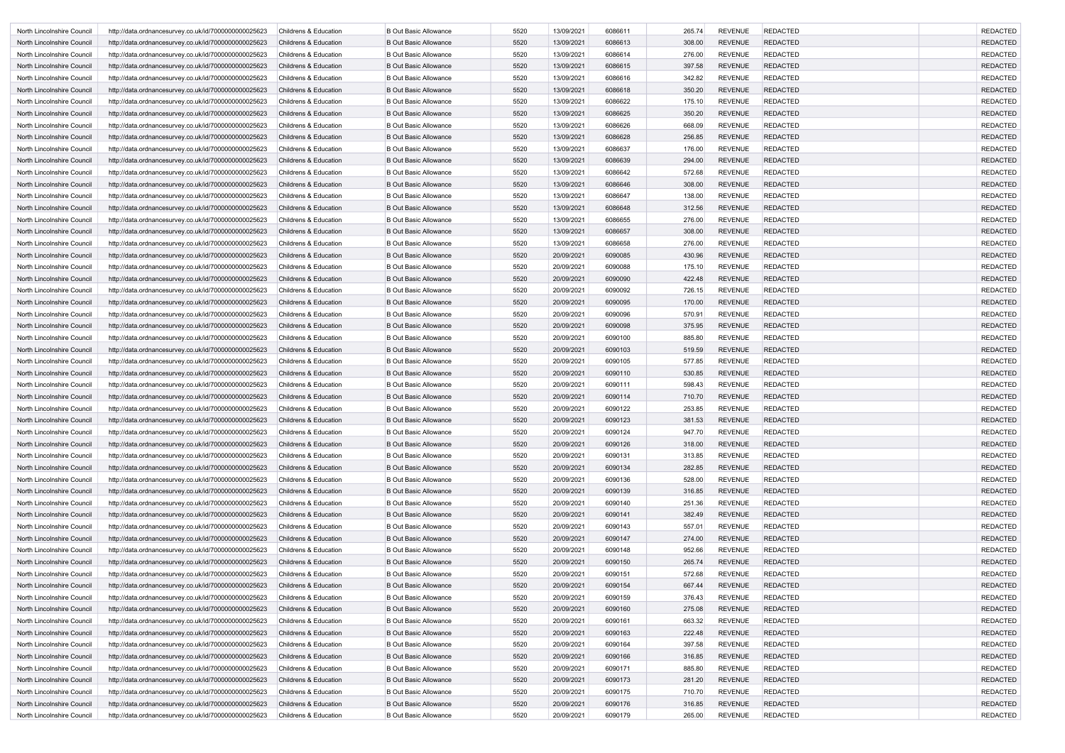| North Lincolnshire Council | http://data.ordnancesurvey.co.uk/id/7000000000025623 | <b>Childrens &amp; Education</b> | <b>B Out Basic Allowance</b> | 5520 | 13/09/2021 | 6086611 | 265.74 | <b>REVENUE</b> | <b>REDACTED</b> | <b>REDACTED</b> |
|----------------------------|------------------------------------------------------|----------------------------------|------------------------------|------|------------|---------|--------|----------------|-----------------|-----------------|
| North Lincolnshire Council | http://data.ordnancesurvey.co.uk/id/7000000000025623 | <b>Childrens &amp; Education</b> | <b>B Out Basic Allowance</b> | 5520 | 13/09/2021 | 6086613 | 308.00 | <b>REVENUE</b> | <b>REDACTED</b> | <b>REDACTED</b> |
| North Lincolnshire Council | http://data.ordnancesurvey.co.uk/id/7000000000025623 | <b>Childrens &amp; Education</b> | <b>B Out Basic Allowance</b> | 5520 | 13/09/2021 | 6086614 | 276.00 | <b>REVENUE</b> | <b>REDACTED</b> | <b>REDACTED</b> |
| North Lincolnshire Council | http://data.ordnancesurvey.co.uk/id/7000000000025623 | <b>Childrens &amp; Education</b> | <b>B Out Basic Allowance</b> | 5520 | 13/09/2021 | 6086615 | 397.58 | <b>REVENUE</b> | <b>REDACTED</b> | <b>REDACTED</b> |
| North Lincolnshire Council | http://data.ordnancesurvey.co.uk/id/7000000000025623 | Childrens & Education            | <b>B Out Basic Allowance</b> | 5520 | 13/09/2021 | 6086616 | 342.82 | <b>REVENUE</b> | <b>REDACTED</b> | <b>REDACTED</b> |
| North Lincolnshire Council | http://data.ordnancesurvey.co.uk/id/7000000000025623 | <b>Childrens &amp; Education</b> | <b>B Out Basic Allowance</b> | 5520 | 13/09/2021 | 6086618 | 350.20 | <b>REVENUE</b> | <b>REDACTED</b> | <b>REDACTED</b> |
| North Lincolnshire Council | http://data.ordnancesurvey.co.uk/id/7000000000025623 | <b>Childrens &amp; Education</b> | <b>B Out Basic Allowance</b> | 5520 | 13/09/2021 | 6086622 | 175.10 | <b>REVENUE</b> | <b>REDACTED</b> | <b>REDACTED</b> |
| North Lincolnshire Council | http://data.ordnancesurvey.co.uk/id/7000000000025623 | <b>Childrens &amp; Education</b> | <b>B Out Basic Allowance</b> | 5520 | 13/09/2021 | 6086625 | 350.20 | <b>REVENUE</b> | <b>REDACTED</b> | <b>REDACTED</b> |
| North Lincolnshire Council | http://data.ordnancesurvey.co.uk/id/7000000000025623 | <b>Childrens &amp; Education</b> | <b>B Out Basic Allowance</b> | 5520 | 13/09/2021 | 6086626 | 668.09 | <b>REVENUE</b> | <b>REDACTED</b> | <b>REDACTED</b> |
| North Lincolnshire Council | http://data.ordnancesurvey.co.uk/id/7000000000025623 | <b>Childrens &amp; Education</b> | <b>B Out Basic Allowance</b> | 5520 | 13/09/2021 | 6086628 | 256.85 | <b>REVENUE</b> | <b>REDACTED</b> | <b>REDACTED</b> |
| North Lincolnshire Council | http://data.ordnancesurvey.co.uk/id/7000000000025623 | <b>Childrens &amp; Education</b> | <b>B Out Basic Allowance</b> | 5520 | 13/09/2021 | 6086637 | 176.00 | <b>REVENUE</b> | <b>REDACTED</b> | <b>REDACTED</b> |
| North Lincolnshire Council | http://data.ordnancesurvey.co.uk/id/7000000000025623 | <b>Childrens &amp; Education</b> | <b>B Out Basic Allowance</b> | 5520 | 13/09/2021 | 6086639 | 294.00 | <b>REVENUE</b> | <b>REDACTED</b> | <b>REDACTED</b> |
| North Lincolnshire Council | http://data.ordnancesurvey.co.uk/id/7000000000025623 | <b>Childrens &amp; Education</b> | <b>B Out Basic Allowance</b> | 5520 | 13/09/2021 | 6086642 | 572.68 | <b>REVENUE</b> | <b>REDACTED</b> | <b>REDACTED</b> |
| North Lincolnshire Council | http://data.ordnancesurvey.co.uk/id/7000000000025623 | <b>Childrens &amp; Education</b> | <b>B Out Basic Allowance</b> | 5520 | 13/09/2021 | 6086646 | 308.00 | <b>REVENUE</b> | <b>REDACTED</b> | <b>REDACTED</b> |
| North Lincolnshire Council | http://data.ordnancesurvey.co.uk/id/7000000000025623 | <b>Childrens &amp; Education</b> | <b>B Out Basic Allowance</b> | 5520 | 13/09/2021 | 6086647 | 138.00 | <b>REVENUE</b> | <b>REDACTED</b> | <b>REDACTED</b> |
| North Lincolnshire Council | http://data.ordnancesurvey.co.uk/id/7000000000025623 | <b>Childrens &amp; Education</b> | <b>B Out Basic Allowance</b> | 5520 | 13/09/2021 | 6086648 | 312.56 | <b>REVENUE</b> | <b>REDACTED</b> | <b>REDACTED</b> |
| North Lincolnshire Council | http://data.ordnancesurvey.co.uk/id/7000000000025623 | <b>Childrens &amp; Education</b> | <b>B Out Basic Allowance</b> | 5520 | 13/09/2021 | 6086655 | 276.00 | <b>REVENUE</b> | <b>REDACTED</b> | <b>REDACTED</b> |
| North Lincolnshire Council | http://data.ordnancesurvey.co.uk/id/7000000000025623 | <b>Childrens &amp; Education</b> | <b>B Out Basic Allowance</b> | 5520 | 13/09/2021 | 6086657 | 308.00 | <b>REVENUE</b> | <b>REDACTED</b> | <b>REDACTED</b> |
| North Lincolnshire Council | http://data.ordnancesurvey.co.uk/id/7000000000025623 | <b>Childrens &amp; Education</b> | <b>B Out Basic Allowance</b> | 5520 | 13/09/2021 | 6086658 | 276.00 | <b>REVENUE</b> | <b>REDACTED</b> | <b>REDACTED</b> |
| North Lincolnshire Council | http://data.ordnancesurvey.co.uk/id/7000000000025623 | <b>Childrens &amp; Education</b> | <b>B Out Basic Allowance</b> | 5520 | 20/09/2021 | 6090085 | 430.96 | <b>REVENUE</b> | <b>REDACTED</b> | <b>REDACTED</b> |
| North Lincolnshire Council | http://data.ordnancesurvey.co.uk/id/7000000000025623 | Childrens & Education            | <b>B Out Basic Allowance</b> | 5520 | 20/09/2021 | 6090088 | 175.10 | <b>REVENUE</b> | <b>REDACTED</b> | <b>REDACTED</b> |
| North Lincolnshire Council | http://data.ordnancesurvey.co.uk/id/7000000000025623 | <b>Childrens &amp; Education</b> | <b>B Out Basic Allowance</b> | 5520 | 20/09/2021 | 6090090 | 422.48 | <b>REVENUE</b> | <b>REDACTED</b> | <b>REDACTED</b> |
| North Lincolnshire Council | http://data.ordnancesurvey.co.uk/id/7000000000025623 | <b>Childrens &amp; Education</b> | <b>B Out Basic Allowance</b> | 5520 | 20/09/2021 | 6090092 | 726.15 | <b>REVENUE</b> | <b>REDACTED</b> | <b>REDACTED</b> |
| North Lincolnshire Council | http://data.ordnancesurvey.co.uk/id/7000000000025623 | <b>Childrens &amp; Education</b> | <b>B Out Basic Allowance</b> | 5520 | 20/09/2021 | 6090095 | 170.00 | <b>REVENUE</b> | <b>REDACTED</b> | <b>REDACTED</b> |
| North Lincolnshire Council | http://data.ordnancesurvey.co.uk/id/7000000000025623 | <b>Childrens &amp; Education</b> | <b>B Out Basic Allowance</b> | 5520 | 20/09/2021 | 6090096 | 570.91 | <b>REVENUE</b> | <b>REDACTED</b> | <b>REDACTED</b> |
| North Lincolnshire Council | http://data.ordnancesurvey.co.uk/id/7000000000025623 | <b>Childrens &amp; Education</b> | <b>B Out Basic Allowance</b> | 5520 | 20/09/2021 | 6090098 | 375.95 | <b>REVENUE</b> | <b>REDACTED</b> | <b>REDACTED</b> |
| North Lincolnshire Council | http://data.ordnancesurvey.co.uk/id/7000000000025623 | <b>Childrens &amp; Education</b> | <b>B Out Basic Allowance</b> | 5520 | 20/09/2021 | 6090100 | 885.80 | <b>REVENUE</b> | <b>REDACTED</b> | <b>REDACTED</b> |
| North Lincolnshire Council | http://data.ordnancesurvey.co.uk/id/7000000000025623 | <b>Childrens &amp; Education</b> | <b>B Out Basic Allowance</b> | 5520 | 20/09/2021 | 6090103 | 519.59 | <b>REVENUE</b> | <b>REDACTED</b> | <b>REDACTED</b> |
| North Lincolnshire Council | http://data.ordnancesurvey.co.uk/id/7000000000025623 | <b>Childrens &amp; Education</b> | <b>B Out Basic Allowance</b> | 5520 | 20/09/2021 | 6090105 | 577.85 | <b>REVENUE</b> | <b>REDACTED</b> | <b>REDACTED</b> |
| North Lincolnshire Council | http://data.ordnancesurvey.co.uk/id/7000000000025623 | <b>Childrens &amp; Education</b> | <b>B Out Basic Allowance</b> | 5520 | 20/09/2021 | 6090110 | 530.85 | <b>REVENUE</b> | <b>REDACTED</b> | <b>REDACTED</b> |
| North Lincolnshire Council | http://data.ordnancesurvey.co.uk/id/7000000000025623 | Childrens & Education            | <b>B Out Basic Allowance</b> | 5520 | 20/09/2021 | 6090111 | 598.43 | <b>REVENUE</b> | <b>REDACTED</b> | <b>REDACTED</b> |
| North Lincolnshire Council | http://data.ordnancesurvey.co.uk/id/7000000000025623 | <b>Childrens &amp; Education</b> | <b>B Out Basic Allowance</b> | 5520 | 20/09/2021 | 6090114 | 710.70 | <b>REVENUE</b> | <b>REDACTED</b> | <b>REDACTED</b> |
| North Lincolnshire Council | http://data.ordnancesurvey.co.uk/id/7000000000025623 | <b>Childrens &amp; Education</b> | <b>B Out Basic Allowance</b> | 5520 | 20/09/2021 | 6090122 | 253.85 | <b>REVENUE</b> | <b>REDACTED</b> | <b>REDACTED</b> |
| North Lincolnshire Council | http://data.ordnancesurvey.co.uk/id/7000000000025623 | Childrens & Education            | <b>B Out Basic Allowance</b> | 5520 | 20/09/2021 | 6090123 | 381.53 | <b>REVENUE</b> | <b>REDACTED</b> | <b>REDACTED</b> |
| North Lincolnshire Council | http://data.ordnancesurvey.co.uk/id/7000000000025623 | Childrens & Education            | <b>B Out Basic Allowance</b> | 5520 | 20/09/2021 | 6090124 | 947.70 | <b>REVENUE</b> | <b>REDACTED</b> | <b>REDACTED</b> |
| North Lincolnshire Council | http://data.ordnancesurvey.co.uk/id/7000000000025623 | Childrens & Education            | <b>B Out Basic Allowance</b> | 5520 | 20/09/2021 | 6090126 | 318.00 | <b>REVENUE</b> | <b>REDACTED</b> | <b>REDACTED</b> |
| North Lincolnshire Council | http://data.ordnancesurvey.co.uk/id/7000000000025623 | Childrens & Education            | <b>B Out Basic Allowance</b> | 5520 | 20/09/2021 | 6090131 | 313.85 | <b>REVENUE</b> | <b>REDACTED</b> | <b>REDACTED</b> |
| North Lincolnshire Council | http://data.ordnancesurvey.co.uk/id/7000000000025623 | Childrens & Education            | <b>B Out Basic Allowance</b> | 5520 | 20/09/2021 | 6090134 | 282.85 | <b>REVENUE</b> | <b>REDACTED</b> | <b>REDACTED</b> |
| North Lincolnshire Council | http://data.ordnancesurvey.co.uk/id/7000000000025623 | Childrens & Education            | <b>B Out Basic Allowance</b> | 5520 | 20/09/2021 | 6090136 | 528.00 | <b>REVENUE</b> | <b>REDACTED</b> | <b>REDACTED</b> |
| North Lincolnshire Council | http://data.ordnancesurvey.co.uk/id/7000000000025623 | Childrens & Education            | <b>B Out Basic Allowance</b> | 5520 | 20/09/2021 | 6090139 | 316.85 | <b>REVENUE</b> | <b>REDACTED</b> | <b>REDACTED</b> |
| North Lincolnshire Council | http://data.ordnancesurvey.co.uk/id/7000000000025623 | Childrens & Education            | <b>B Out Basic Allowance</b> | 5520 | 20/09/2021 | 6090140 | 251.36 | <b>REVENUE</b> | <b>REDACTED</b> | <b>REDACTED</b> |
| North Lincolnshire Council | http://data.ordnancesurvey.co.uk/id/7000000000025623 | Childrens & Education            | <b>B Out Basic Allowance</b> | 5520 | 20/09/2021 | 6090141 | 382.49 | <b>REVENUE</b> | <b>REDACTED</b> | <b>REDACTED</b> |
| North Lincolnshire Council | http://data.ordnancesurvey.co.uk/id/7000000000025623 | Childrens & Education            | <b>B Out Basic Allowance</b> | 5520 | 20/09/2021 | 6090143 | 557.01 | <b>REVENUE</b> | <b>REDACTED</b> | <b>REDACTED</b> |
| North Lincolnshire Council | http://data.ordnancesurvey.co.uk/id/7000000000025623 | Childrens & Education            | <b>B Out Basic Allowance</b> | 5520 | 20/09/2021 | 6090147 | 274.00 | <b>REVENUE</b> | <b>REDACTED</b> | <b>REDACTED</b> |
| North Lincolnshire Council | http://data.ordnancesurvey.co.uk/id/7000000000025623 | Childrens & Education            | <b>B Out Basic Allowance</b> | 5520 | 20/09/2021 | 6090148 | 952.66 | <b>REVENUE</b> | <b>REDACTED</b> | <b>REDACTED</b> |
| North Lincolnshire Council | http://data.ordnancesurvey.co.uk/id/7000000000025623 | Childrens & Education            | <b>B Out Basic Allowance</b> | 5520 | 20/09/2021 | 6090150 | 265.74 | <b>REVENUE</b> | <b>REDACTED</b> | <b>REDACTED</b> |
| North Lincolnshire Council | http://data.ordnancesurvey.co.uk/id/7000000000025623 | Childrens & Education            | <b>B Out Basic Allowance</b> | 5520 | 20/09/2021 | 6090151 | 572.68 | <b>REVENUE</b> | <b>REDACTED</b> | <b>REDACTED</b> |
| North Lincolnshire Council | http://data.ordnancesurvey.co.uk/id/7000000000025623 | Childrens & Education            | <b>B Out Basic Allowance</b> | 5520 | 20/09/2021 | 6090154 | 667.44 | <b>REVENUE</b> | <b>REDACTED</b> | <b>REDACTED</b> |
| North Lincolnshire Council | http://data.ordnancesurvey.co.uk/id/7000000000025623 | Childrens & Education            | <b>B Out Basic Allowance</b> | 5520 | 20/09/2021 | 6090159 | 376.43 | <b>REVENUE</b> | <b>REDACTED</b> | <b>REDACTED</b> |
| North Lincolnshire Council | http://data.ordnancesurvey.co.uk/id/7000000000025623 | Childrens & Education            | <b>B Out Basic Allowance</b> | 5520 | 20/09/2021 | 6090160 | 275.08 | <b>REVENUE</b> | <b>REDACTED</b> | <b>REDACTED</b> |
| North Lincolnshire Council | http://data.ordnancesurvey.co.uk/id/7000000000025623 | Childrens & Education            | <b>B Out Basic Allowance</b> | 5520 | 20/09/2021 | 6090161 | 663.32 | <b>REVENUE</b> | <b>REDACTED</b> | <b>REDACTED</b> |
| North Lincolnshire Council | http://data.ordnancesurvey.co.uk/id/7000000000025623 | Childrens & Education            | <b>B Out Basic Allowance</b> | 5520 | 20/09/2021 | 6090163 | 222.48 | <b>REVENUE</b> | <b>REDACTED</b> | <b>REDACTED</b> |
| North Lincolnshire Council | http://data.ordnancesurvey.co.uk/id/7000000000025623 | <b>Childrens &amp; Education</b> | <b>B Out Basic Allowance</b> | 5520 | 20/09/2021 | 6090164 | 397.58 | <b>REVENUE</b> | <b>REDACTED</b> | <b>REDACTED</b> |
| North Lincolnshire Council | http://data.ordnancesurvey.co.uk/id/7000000000025623 | <b>Childrens &amp; Education</b> | <b>B Out Basic Allowance</b> | 5520 | 20/09/2021 | 6090166 | 316.85 | <b>REVENUE</b> | <b>REDACTED</b> | <b>REDACTED</b> |
| North Lincolnshire Council | http://data.ordnancesurvey.co.uk/id/7000000000025623 | Childrens & Education            | <b>B Out Basic Allowance</b> | 5520 | 20/09/2021 | 6090171 | 885.80 | <b>REVENUE</b> | <b>REDACTED</b> | <b>REDACTED</b> |
| North Lincolnshire Council | http://data.ordnancesurvey.co.uk/id/7000000000025623 | Childrens & Education            | <b>B Out Basic Allowance</b> | 5520 | 20/09/2021 | 6090173 | 281.20 | <b>REVENUE</b> | <b>REDACTED</b> | <b>REDACTED</b> |
| North Lincolnshire Council | http://data.ordnancesurvey.co.uk/id/7000000000025623 | <b>Childrens &amp; Education</b> | <b>B Out Basic Allowance</b> | 5520 | 20/09/2021 | 6090175 | 710.70 | <b>REVENUE</b> | <b>REDACTED</b> | <b>REDACTED</b> |
| North Lincolnshire Council | http://data.ordnancesurvey.co.uk/id/7000000000025623 | Childrens & Education            | <b>B Out Basic Allowance</b> | 5520 | 20/09/2021 | 6090176 | 316.85 | <b>REVENUE</b> | <b>REDACTED</b> | <b>REDACTED</b> |
| North Lincolnshire Council | http://data.ordnancesurvey.co.uk/id/7000000000025623 | Childrens & Education            | <b>B Out Basic Allowance</b> | 5520 | 20/09/2021 | 6090179 | 265.00 | <b>REVENUE</b> | <b>REDACTED</b> | <b>REDACTED</b> |
|                            |                                                      |                                  |                              |      |            |         |        |                |                 |                 |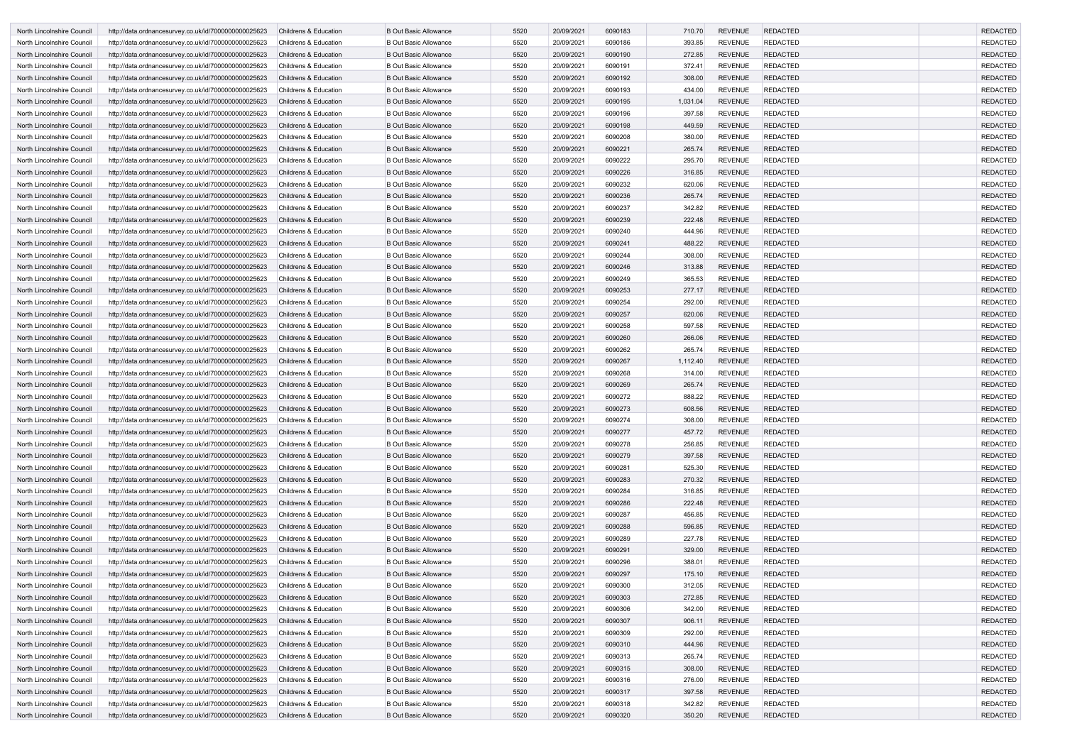| North Lincolnshire Council | http://data.ordnancesurvey.co.uk/id/7000000000025623 | <b>Childrens &amp; Education</b> | <b>B Out Basic Allowance</b> | 5520 | 20/09/2021 | 6090183 | 710.70   | <b>REVENUE</b> | <b>REDACTED</b> | <b>REDACTED</b> |
|----------------------------|------------------------------------------------------|----------------------------------|------------------------------|------|------------|---------|----------|----------------|-----------------|-----------------|
| North Lincolnshire Council | http://data.ordnancesurvey.co.uk/id/7000000000025623 | <b>Childrens &amp; Education</b> | <b>B Out Basic Allowance</b> | 5520 | 20/09/2021 | 6090186 | 393.85   | <b>REVENUE</b> | <b>REDACTED</b> | <b>REDACTED</b> |
| North Lincolnshire Council | http://data.ordnancesurvey.co.uk/id/7000000000025623 | <b>Childrens &amp; Education</b> | <b>B Out Basic Allowance</b> | 5520 | 20/09/2021 | 6090190 | 272.85   | <b>REVENUE</b> | <b>REDACTED</b> | <b>REDACTED</b> |
| North Lincolnshire Council | http://data.ordnancesurvey.co.uk/id/7000000000025623 | <b>Childrens &amp; Education</b> | <b>B Out Basic Allowance</b> | 5520 | 20/09/2021 | 6090191 | 372.41   | <b>REVENUE</b> | <b>REDACTED</b> | <b>REDACTED</b> |
| North Lincolnshire Council | http://data.ordnancesurvey.co.uk/id/7000000000025623 | <b>Childrens &amp; Education</b> | <b>B Out Basic Allowance</b> | 5520 | 20/09/2021 | 6090192 | 308.00   | <b>REVENUE</b> | <b>REDACTED</b> | <b>REDACTED</b> |
| North Lincolnshire Council | http://data.ordnancesurvey.co.uk/id/7000000000025623 | <b>Childrens &amp; Education</b> | <b>B Out Basic Allowance</b> | 5520 | 20/09/2021 | 6090193 | 434.00   | <b>REVENUE</b> | <b>REDACTED</b> | <b>REDACTED</b> |
| North Lincolnshire Council | http://data.ordnancesurvey.co.uk/id/7000000000025623 | <b>Childrens &amp; Education</b> | <b>B Out Basic Allowance</b> | 5520 | 20/09/2021 | 6090195 | 1,031.04 | <b>REVENUE</b> | <b>REDACTED</b> | <b>REDACTED</b> |
| North Lincolnshire Council | http://data.ordnancesurvey.co.uk/id/7000000000025623 | <b>Childrens &amp; Education</b> | <b>B Out Basic Allowance</b> | 5520 | 20/09/2021 | 6090196 | 397.58   | <b>REVENUE</b> | <b>REDACTED</b> | <b>REDACTED</b> |
| North Lincolnshire Council | http://data.ordnancesurvey.co.uk/id/7000000000025623 | <b>Childrens &amp; Education</b> | <b>B Out Basic Allowance</b> | 5520 | 20/09/2021 | 6090198 | 449.59   | <b>REVENUE</b> | <b>REDACTED</b> | <b>REDACTED</b> |
| North Lincolnshire Council | http://data.ordnancesurvey.co.uk/id/7000000000025623 | Childrens & Education            | <b>B Out Basic Allowance</b> | 5520 | 20/09/2021 | 6090208 | 380.00   | <b>REVENUE</b> | <b>REDACTED</b> | <b>REDACTED</b> |
| North Lincolnshire Council | http://data.ordnancesurvey.co.uk/id/7000000000025623 | <b>Childrens &amp; Education</b> | <b>B Out Basic Allowance</b> | 5520 | 20/09/2021 | 6090221 | 265.74   | <b>REVENUE</b> | <b>REDACTED</b> | <b>REDACTED</b> |
| North Lincolnshire Council | http://data.ordnancesurvey.co.uk/id/7000000000025623 | <b>Childrens &amp; Education</b> | <b>B Out Basic Allowance</b> | 5520 | 20/09/2021 | 6090222 | 295.70   | <b>REVENUE</b> | <b>REDACTED</b> | <b>REDACTED</b> |
| North Lincolnshire Council | http://data.ordnancesurvey.co.uk/id/7000000000025623 | <b>Childrens &amp; Education</b> | <b>B Out Basic Allowance</b> | 5520 | 20/09/2021 | 6090226 | 316.85   | <b>REVENUE</b> | <b>REDACTED</b> | <b>REDACTED</b> |
| North Lincolnshire Council | http://data.ordnancesurvey.co.uk/id/7000000000025623 | <b>Childrens &amp; Education</b> | <b>B Out Basic Allowance</b> | 5520 | 20/09/2021 | 6090232 | 620.06   | <b>REVENUE</b> | <b>REDACTED</b> | <b>REDACTED</b> |
| North Lincolnshire Council | http://data.ordnancesurvey.co.uk/id/7000000000025623 | <b>Childrens &amp; Education</b> | <b>B Out Basic Allowance</b> | 5520 | 20/09/2021 | 6090236 | 265.74   | <b>REVENUE</b> | <b>REDACTED</b> | <b>REDACTED</b> |
| North Lincolnshire Council | http://data.ordnancesurvey.co.uk/id/7000000000025623 | <b>Childrens &amp; Education</b> | <b>B Out Basic Allowance</b> | 5520 | 20/09/2021 | 6090237 | 342.82   | <b>REVENUE</b> | <b>REDACTED</b> | <b>REDACTED</b> |
| North Lincolnshire Council | http://data.ordnancesurvey.co.uk/id/7000000000025623 | <b>Childrens &amp; Education</b> | <b>B Out Basic Allowance</b> | 5520 | 20/09/2021 | 6090239 | 222.48   | <b>REVENUE</b> | <b>REDACTED</b> | <b>REDACTED</b> |
| North Lincolnshire Council | http://data.ordnancesurvey.co.uk/id/7000000000025623 | <b>Childrens &amp; Education</b> | <b>B Out Basic Allowance</b> | 5520 | 20/09/2021 | 6090240 | 444.96   | <b>REVENUE</b> | <b>REDACTED</b> | <b>REDACTED</b> |
| North Lincolnshire Council | http://data.ordnancesurvey.co.uk/id/7000000000025623 | <b>Childrens &amp; Education</b> | <b>B Out Basic Allowance</b> | 5520 | 20/09/2021 | 6090241 | 488.22   | <b>REVENUE</b> | <b>REDACTED</b> | <b>REDACTED</b> |
| North Lincolnshire Council | http://data.ordnancesurvey.co.uk/id/7000000000025623 | <b>Childrens &amp; Education</b> | <b>B Out Basic Allowance</b> | 5520 | 20/09/2021 | 6090244 | 308.00   | <b>REVENUE</b> | <b>REDACTED</b> | <b>REDACTED</b> |
| North Lincolnshire Council | http://data.ordnancesurvey.co.uk/id/7000000000025623 | <b>Childrens &amp; Education</b> | <b>B Out Basic Allowance</b> | 5520 | 20/09/2021 | 6090246 | 313.88   | <b>REVENUE</b> | <b>REDACTED</b> | <b>REDACTED</b> |
| North Lincolnshire Council | http://data.ordnancesurvey.co.uk/id/7000000000025623 | <b>Childrens &amp; Education</b> | <b>B Out Basic Allowance</b> | 5520 | 20/09/2021 | 6090249 | 365.53   | <b>REVENUE</b> | <b>REDACTED</b> | <b>REDACTED</b> |
| North Lincolnshire Council | http://data.ordnancesurvey.co.uk/id/7000000000025623 | <b>Childrens &amp; Education</b> | <b>B Out Basic Allowance</b> | 5520 | 20/09/2021 | 6090253 | 277.17   | <b>REVENUE</b> | <b>REDACTED</b> | <b>REDACTED</b> |
| North Lincolnshire Council | http://data.ordnancesurvey.co.uk/id/7000000000025623 | <b>Childrens &amp; Education</b> | <b>B Out Basic Allowance</b> | 5520 | 20/09/2021 | 6090254 | 292.00   | <b>REVENUE</b> | <b>REDACTED</b> | <b>REDACTED</b> |
| North Lincolnshire Council | http://data.ordnancesurvey.co.uk/id/7000000000025623 | <b>Childrens &amp; Education</b> | <b>B Out Basic Allowance</b> | 5520 | 20/09/2021 | 6090257 | 620.06   | <b>REVENUE</b> | <b>REDACTED</b> | <b>REDACTED</b> |
| North Lincolnshire Council | http://data.ordnancesurvey.co.uk/id/7000000000025623 | <b>Childrens &amp; Education</b> | <b>B Out Basic Allowance</b> | 5520 | 20/09/2021 | 6090258 | 597.58   | <b>REVENUE</b> | <b>REDACTED</b> | <b>REDACTED</b> |
| North Lincolnshire Council | http://data.ordnancesurvey.co.uk/id/7000000000025623 | <b>Childrens &amp; Education</b> | <b>B Out Basic Allowance</b> | 5520 | 20/09/2021 | 6090260 | 266.06   | <b>REVENUE</b> | <b>REDACTED</b> | <b>REDACTED</b> |
| North Lincolnshire Council | http://data.ordnancesurvey.co.uk/id/7000000000025623 | <b>Childrens &amp; Education</b> | <b>B Out Basic Allowance</b> | 5520 | 20/09/2021 | 6090262 | 265.74   | <b>REVENUE</b> | <b>REDACTED</b> | <b>REDACTED</b> |
| North Lincolnshire Council | http://data.ordnancesurvey.co.uk/id/7000000000025623 | <b>Childrens &amp; Education</b> | <b>B Out Basic Allowance</b> | 5520 | 20/09/2021 | 6090267 | 1,112.40 | <b>REVENUE</b> | <b>REDACTED</b> | <b>REDACTED</b> |
| North Lincolnshire Council | http://data.ordnancesurvey.co.uk/id/7000000000025623 | <b>Childrens &amp; Education</b> | <b>B Out Basic Allowance</b> | 5520 | 20/09/2021 | 6090268 | 314.00   | <b>REVENUE</b> | <b>REDACTED</b> | <b>REDACTED</b> |
| North Lincolnshire Council | http://data.ordnancesurvey.co.uk/id/7000000000025623 | <b>Childrens &amp; Education</b> | <b>B Out Basic Allowance</b> | 5520 | 20/09/2021 | 6090269 | 265.74   | <b>REVENUE</b> | <b>REDACTED</b> | <b>REDACTED</b> |
| North Lincolnshire Council | http://data.ordnancesurvey.co.uk/id/7000000000025623 | <b>Childrens &amp; Education</b> | <b>B Out Basic Allowance</b> | 5520 | 20/09/2021 | 6090272 | 888.22   | <b>REVENUE</b> | <b>REDACTED</b> | <b>REDACTED</b> |
| North Lincolnshire Council | http://data.ordnancesurvey.co.uk/id/7000000000025623 | <b>Childrens &amp; Education</b> | <b>B Out Basic Allowance</b> | 5520 | 20/09/2021 | 6090273 | 608.56   | <b>REVENUE</b> | <b>REDACTED</b> | <b>REDACTED</b> |
| North Lincolnshire Council | http://data.ordnancesurvey.co.uk/id/7000000000025623 | Childrens & Education            | <b>B Out Basic Allowance</b> | 5520 | 20/09/2021 | 6090274 | 308.00   | <b>REVENUE</b> | REDACTED        | REDACTED        |
| North Lincolnshire Council | http://data.ordnancesurvey.co.uk/id/7000000000025623 | <b>Childrens &amp; Education</b> | <b>B Out Basic Allowance</b> | 5520 | 20/09/2021 | 6090277 | 457.72   | <b>REVENUE</b> | <b>REDACTED</b> | <b>REDACTED</b> |
| North Lincolnshire Council | http://data.ordnancesurvey.co.uk/id/7000000000025623 | Childrens & Education            | <b>B Out Basic Allowance</b> | 5520 | 20/09/2021 | 6090278 | 256.85   | <b>REVENUE</b> | <b>REDACTED</b> | <b>REDACTED</b> |
| North Lincolnshire Council | http://data.ordnancesurvey.co.uk/id/7000000000025623 | Childrens & Education            | <b>B Out Basic Allowance</b> | 5520 | 20/09/2021 | 6090279 | 397.58   | <b>REVENUE</b> | <b>REDACTED</b> | <b>REDACTED</b> |
| North Lincolnshire Council | http://data.ordnancesurvey.co.uk/id/7000000000025623 | Childrens & Education            | <b>B Out Basic Allowance</b> | 5520 | 20/09/2021 | 6090281 | 525.30   | <b>REVENUE</b> | <b>REDACTED</b> | <b>REDACTED</b> |
| North Lincolnshire Council | http://data.ordnancesurvey.co.uk/id/7000000000025623 | <b>Childrens &amp; Education</b> | <b>B Out Basic Allowance</b> | 5520 | 20/09/2021 | 6090283 | 270.32   | <b>REVENUE</b> | REDACTED        | <b>REDACTED</b> |
| North Lincolnshire Council | http://data.ordnancesurvey.co.uk/id/7000000000025623 | Childrens & Education            | <b>B Out Basic Allowance</b> | 5520 | 20/09/2021 | 6090284 | 316.85   | <b>REVENUE</b> | <b>REDACTED</b> | <b>REDACTED</b> |
| North Lincolnshire Council | http://data.ordnancesurvey.co.uk/id/7000000000025623 | Childrens & Education            | <b>B Out Basic Allowance</b> | 5520 | 20/09/2021 | 6090286 | 222.48   | <b>REVENUE</b> | <b>REDACTED</b> | <b>REDACTED</b> |
| North Lincolnshire Council | http://data.ordnancesurvey.co.uk/id/7000000000025623 | Childrens & Education            | <b>B Out Basic Allowance</b> | 5520 | 20/09/2021 | 6090287 | 456.85   | <b>REVENUE</b> | <b>REDACTED</b> | <b>REDACTED</b> |
| North Lincolnshire Council | http://data.ordnancesurvey.co.uk/id/7000000000025623 | <b>Childrens &amp; Education</b> | <b>B Out Basic Allowance</b> | 5520 | 20/09/2021 | 6090288 | 596.85   | <b>REVENUE</b> | <b>REDACTED</b> | <b>REDACTED</b> |
| North Lincolnshire Council | http://data.ordnancesurvey.co.uk/id/7000000000025623 | Childrens & Education            | <b>B Out Basic Allowance</b> | 5520 | 20/09/2021 | 6090289 | 227.78   | <b>REVENUE</b> | <b>REDACTED</b> | <b>REDACTED</b> |
| North Lincolnshire Council | http://data.ordnancesurvey.co.uk/id/7000000000025623 | <b>Childrens &amp; Education</b> | <b>B Out Basic Allowance</b> | 5520 | 20/09/2021 | 6090291 | 329.00   | <b>REVENUE</b> | <b>REDACTED</b> | <b>REDACTED</b> |
| North Lincolnshire Council | http://data.ordnancesurvey.co.uk/id/7000000000025623 | Childrens & Education            | <b>B Out Basic Allowance</b> | 5520 | 20/09/2021 | 6090296 | 388.01   | <b>REVENUE</b> | <b>REDACTED</b> | <b>REDACTED</b> |
| North Lincolnshire Council | http://data.ordnancesurvey.co.uk/id/7000000000025623 | Childrens & Education            | <b>B Out Basic Allowance</b> | 5520 | 20/09/2021 | 6090297 | 175.10   | <b>REVENUE</b> | <b>REDACTED</b> | <b>REDACTED</b> |
| North Lincolnshire Council | http://data.ordnancesurvey.co.uk/id/7000000000025623 | Childrens & Education            | <b>B Out Basic Allowance</b> | 5520 | 20/09/2021 | 6090300 | 312.05   | <b>REVENUE</b> | <b>REDACTED</b> | <b>REDACTED</b> |
| North Lincolnshire Council | http://data.ordnancesurvey.co.uk/id/7000000000025623 | Childrens & Education            | <b>B Out Basic Allowance</b> | 5520 | 20/09/2021 | 6090303 | 272.85   | <b>REVENUE</b> | <b>REDACTED</b> | <b>REDACTED</b> |
| North Lincolnshire Council | http://data.ordnancesurvey.co.uk/id/7000000000025623 | Childrens & Education            | <b>B Out Basic Allowance</b> | 5520 | 20/09/2021 | 6090306 | 342.00   | <b>REVENUE</b> | <b>REDACTED</b> | <b>REDACTED</b> |
| North Lincolnshire Council | http://data.ordnancesurvey.co.uk/id/7000000000025623 | Childrens & Education            | <b>B Out Basic Allowance</b> | 5520 | 20/09/2021 | 6090307 | 906.11   | <b>REVENUE</b> | <b>REDACTED</b> | <b>REDACTED</b> |
| North Lincolnshire Council | http://data.ordnancesurvey.co.uk/id/7000000000025623 | Childrens & Education            | <b>B Out Basic Allowance</b> | 5520 | 20/09/2021 | 6090309 | 292.00   | <b>REVENUE</b> | <b>REDACTED</b> | <b>REDACTED</b> |
| North Lincolnshire Council | http://data.ordnancesurvey.co.uk/id/7000000000025623 | <b>Childrens &amp; Education</b> | <b>B Out Basic Allowance</b> | 5520 | 20/09/2021 | 6090310 | 444.96   | <b>REVENUE</b> | <b>REDACTED</b> | <b>REDACTED</b> |
| North Lincolnshire Council | http://data.ordnancesurvey.co.uk/id/7000000000025623 | Childrens & Education            | <b>B Out Basic Allowance</b> | 5520 | 20/09/2021 | 6090313 | 265.74   | <b>REVENUE</b> | <b>REDACTED</b> | <b>REDACTED</b> |
| North Lincolnshire Council | http://data.ordnancesurvey.co.uk/id/7000000000025623 | <b>Childrens &amp; Education</b> | <b>B Out Basic Allowance</b> | 5520 | 20/09/2021 | 6090315 | 308.00   | <b>REVENUE</b> | <b>REDACTED</b> | <b>REDACTED</b> |
| North Lincolnshire Council | http://data.ordnancesurvey.co.uk/id/7000000000025623 | Childrens & Education            | <b>B Out Basic Allowance</b> | 5520 | 20/09/2021 | 6090316 | 276.00   | <b>REVENUE</b> | <b>REDACTED</b> | <b>REDACTED</b> |
| North Lincolnshire Council | http://data.ordnancesurvey.co.uk/id/7000000000025623 | Childrens & Education            | <b>B Out Basic Allowance</b> | 5520 | 20/09/2021 | 6090317 | 397.58   | <b>REVENUE</b> | <b>REDACTED</b> | <b>REDACTED</b> |
| North Lincolnshire Council | http://data.ordnancesurvey.co.uk/id/7000000000025623 | Childrens & Education            | <b>B Out Basic Allowance</b> | 5520 | 20/09/2021 | 6090318 | 342.82   | <b>REVENUE</b> | <b>REDACTED</b> | <b>REDACTED</b> |
| North Lincolnshire Council | http://data.ordnancesurvey.co.uk/id/7000000000025623 | <b>Childrens &amp; Education</b> | <b>B Out Basic Allowance</b> | 5520 | 20/09/2021 | 6090320 | 350.20   | <b>REVENUE</b> | <b>REDACTED</b> | <b>REDACTED</b> |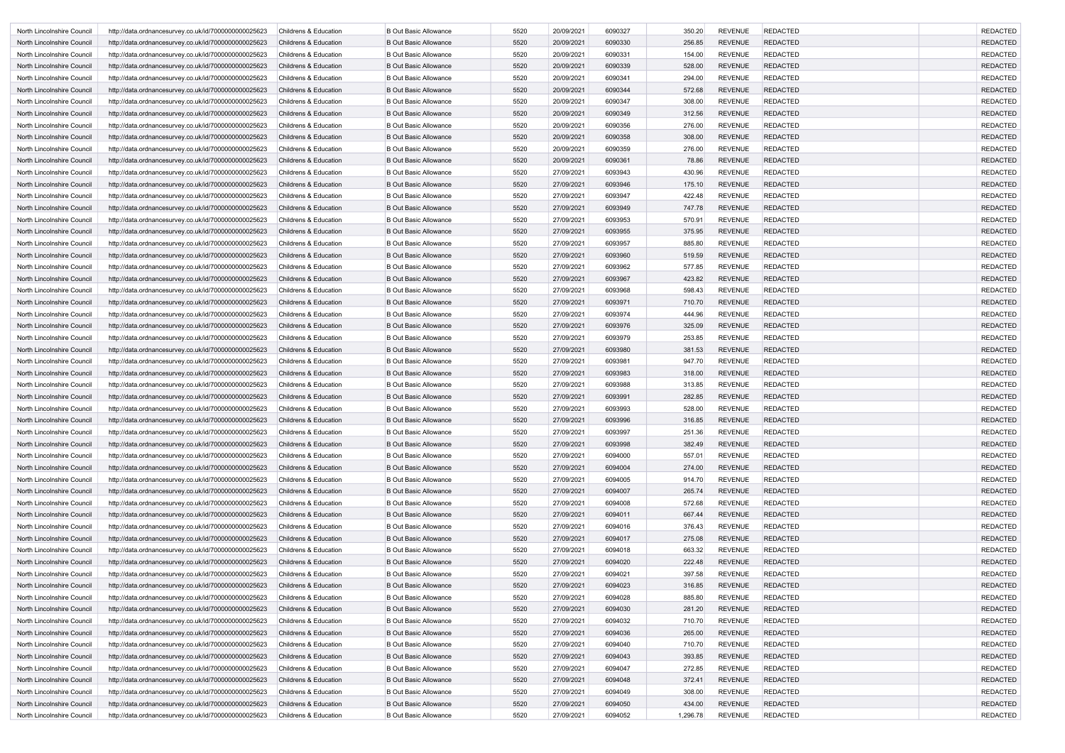| North Lincolnshire Council | http://data.ordnancesurvey.co.uk/id/7000000000025623 | <b>Childrens &amp; Education</b> | <b>B Out Basic Allowance</b> | 5520 | 20/09/2021 | 6090327 | 350.20   | <b>REVENUE</b> | <b>REDACTED</b> | <b>REDACTED</b> |
|----------------------------|------------------------------------------------------|----------------------------------|------------------------------|------|------------|---------|----------|----------------|-----------------|-----------------|
| North Lincolnshire Council | http://data.ordnancesurvey.co.uk/id/7000000000025623 | <b>Childrens &amp; Education</b> | <b>B Out Basic Allowance</b> | 5520 | 20/09/2021 | 6090330 | 256.85   | <b>REVENUE</b> | <b>REDACTED</b> | <b>REDACTED</b> |
| North Lincolnshire Council | http://data.ordnancesurvey.co.uk/id/7000000000025623 | <b>Childrens &amp; Education</b> | <b>B Out Basic Allowance</b> | 5520 | 20/09/2021 | 6090331 | 154.00   | <b>REVENUE</b> | <b>REDACTED</b> | <b>REDACTED</b> |
| North Lincolnshire Council | http://data.ordnancesurvey.co.uk/id/7000000000025623 | <b>Childrens &amp; Education</b> | <b>B Out Basic Allowance</b> | 5520 | 20/09/2021 | 6090339 | 528.00   | <b>REVENUE</b> | <b>REDACTED</b> | <b>REDACTED</b> |
| North Lincolnshire Council | http://data.ordnancesurvey.co.uk/id/7000000000025623 | <b>Childrens &amp; Education</b> | <b>B Out Basic Allowance</b> | 5520 | 20/09/2021 | 6090341 | 294.00   | <b>REVENUE</b> | <b>REDACTED</b> | <b>REDACTED</b> |
| North Lincolnshire Council | http://data.ordnancesurvey.co.uk/id/7000000000025623 | <b>Childrens &amp; Education</b> | <b>B Out Basic Allowance</b> | 5520 | 20/09/2021 | 6090344 | 572.68   | <b>REVENUE</b> | <b>REDACTED</b> | <b>REDACTED</b> |
| North Lincolnshire Council | http://data.ordnancesurvey.co.uk/id/7000000000025623 | Childrens & Education            | <b>B Out Basic Allowance</b> | 5520 | 20/09/2021 | 6090347 | 308.00   | <b>REVENUE</b> | <b>REDACTED</b> | <b>REDACTED</b> |
| North Lincolnshire Council | http://data.ordnancesurvey.co.uk/id/7000000000025623 | <b>Childrens &amp; Education</b> | <b>B Out Basic Allowance</b> | 5520 | 20/09/2021 | 6090349 | 312.56   | <b>REVENUE</b> | <b>REDACTED</b> | <b>REDACTED</b> |
| North Lincolnshire Council | http://data.ordnancesurvey.co.uk/id/7000000000025623 | Childrens & Education            | <b>B Out Basic Allowance</b> | 5520 | 20/09/2021 | 6090356 | 276.00   | <b>REVENUE</b> | <b>REDACTED</b> | <b>REDACTED</b> |
| North Lincolnshire Council | http://data.ordnancesurvey.co.uk/id/7000000000025623 | <b>Childrens &amp; Education</b> | <b>B Out Basic Allowance</b> | 5520 | 20/09/2021 | 6090358 | 308.00   | <b>REVENUE</b> | <b>REDACTED</b> | <b>REDACTED</b> |
| North Lincolnshire Council | http://data.ordnancesurvey.co.uk/id/7000000000025623 | <b>Childrens &amp; Education</b> | <b>B Out Basic Allowance</b> | 5520 | 20/09/2021 | 6090359 | 276.00   | <b>REVENUE</b> | <b>REDACTED</b> | <b>REDACTED</b> |
| North Lincolnshire Council | http://data.ordnancesurvey.co.uk/id/7000000000025623 | <b>Childrens &amp; Education</b> | <b>B Out Basic Allowance</b> | 5520 | 20/09/2021 | 6090361 | 78.86    | <b>REVENUE</b> | <b>REDACTED</b> | <b>REDACTED</b> |
| North Lincolnshire Council | http://data.ordnancesurvey.co.uk/id/7000000000025623 | <b>Childrens &amp; Education</b> | <b>B Out Basic Allowance</b> | 5520 | 27/09/2021 | 6093943 | 430.96   | <b>REVENUE</b> | <b>REDACTED</b> | <b>REDACTED</b> |
| North Lincolnshire Council | http://data.ordnancesurvey.co.uk/id/7000000000025623 | <b>Childrens &amp; Education</b> | <b>B Out Basic Allowance</b> | 5520 | 27/09/2021 | 6093946 | 175.10   | <b>REVENUE</b> | <b>REDACTED</b> | <b>REDACTED</b> |
| North Lincolnshire Council | http://data.ordnancesurvey.co.uk/id/7000000000025623 | <b>Childrens &amp; Education</b> | <b>B Out Basic Allowance</b> | 5520 | 27/09/2021 | 6093947 | 422.48   | <b>REVENUE</b> | <b>REDACTED</b> | <b>REDACTED</b> |
| North Lincolnshire Council | http://data.ordnancesurvey.co.uk/id/7000000000025623 | <b>Childrens &amp; Education</b> | <b>B Out Basic Allowance</b> | 5520 | 27/09/2021 | 6093949 | 747.78   | <b>REVENUE</b> | <b>REDACTED</b> | <b>REDACTED</b> |
| North Lincolnshire Council | http://data.ordnancesurvey.co.uk/id/7000000000025623 | <b>Childrens &amp; Education</b> | <b>B Out Basic Allowance</b> | 5520 | 27/09/2021 | 6093953 | 570.91   | <b>REVENUE</b> | <b>REDACTED</b> | <b>REDACTED</b> |
| North Lincolnshire Council | http://data.ordnancesurvey.co.uk/id/7000000000025623 | <b>Childrens &amp; Education</b> | <b>B Out Basic Allowance</b> | 5520 | 27/09/2021 | 6093955 | 375.95   | <b>REVENUE</b> | <b>REDACTED</b> | <b>REDACTED</b> |
| North Lincolnshire Council | http://data.ordnancesurvey.co.uk/id/7000000000025623 | <b>Childrens &amp; Education</b> | <b>B Out Basic Allowance</b> | 5520 | 27/09/2021 | 6093957 | 885.80   | <b>REVENUE</b> | <b>REDACTED</b> | <b>REDACTED</b> |
| North Lincolnshire Council | http://data.ordnancesurvey.co.uk/id/7000000000025623 | <b>Childrens &amp; Education</b> | <b>B Out Basic Allowance</b> | 5520 | 27/09/2021 | 6093960 | 519.59   | <b>REVENUE</b> | <b>REDACTED</b> | <b>REDACTED</b> |
| North Lincolnshire Council | http://data.ordnancesurvey.co.uk/id/7000000000025623 | <b>Childrens &amp; Education</b> | <b>B Out Basic Allowance</b> | 5520 | 27/09/2021 | 6093962 | 577.85   | <b>REVENUE</b> | <b>REDACTED</b> | <b>REDACTED</b> |
| North Lincolnshire Council | http://data.ordnancesurvey.co.uk/id/7000000000025623 | <b>Childrens &amp; Education</b> | <b>B Out Basic Allowance</b> | 5520 | 27/09/2021 | 6093967 | 423.82   | <b>REVENUE</b> | <b>REDACTED</b> | <b>REDACTED</b> |
| North Lincolnshire Council | http://data.ordnancesurvey.co.uk/id/7000000000025623 | <b>Childrens &amp; Education</b> | <b>B Out Basic Allowance</b> | 5520 | 27/09/2021 | 6093968 | 598.43   | <b>REVENUE</b> | <b>REDACTED</b> | <b>REDACTED</b> |
| North Lincolnshire Council | http://data.ordnancesurvey.co.uk/id/7000000000025623 | <b>Childrens &amp; Education</b> | <b>B Out Basic Allowance</b> | 5520 | 27/09/2021 | 6093971 | 710.70   | <b>REVENUE</b> | <b>REDACTED</b> | <b>REDACTED</b> |
| North Lincolnshire Council | http://data.ordnancesurvey.co.uk/id/7000000000025623 | <b>Childrens &amp; Education</b> | <b>B Out Basic Allowance</b> | 5520 | 27/09/2021 | 6093974 | 444.96   | <b>REVENUE</b> | <b>REDACTED</b> | <b>REDACTED</b> |
| North Lincolnshire Council | http://data.ordnancesurvey.co.uk/id/7000000000025623 | <b>Childrens &amp; Education</b> | <b>B Out Basic Allowance</b> | 5520 | 27/09/2021 | 6093976 | 325.09   | <b>REVENUE</b> | <b>REDACTED</b> | <b>REDACTED</b> |
| North Lincolnshire Council | http://data.ordnancesurvey.co.uk/id/7000000000025623 | <b>Childrens &amp; Education</b> | <b>B Out Basic Allowance</b> | 5520 | 27/09/2021 | 6093979 | 253.85   | <b>REVENUE</b> | <b>REDACTED</b> | <b>REDACTED</b> |
| North Lincolnshire Council | http://data.ordnancesurvey.co.uk/id/7000000000025623 | <b>Childrens &amp; Education</b> | <b>B Out Basic Allowance</b> | 5520 | 27/09/2021 | 6093980 | 381.53   | <b>REVENUE</b> | <b>REDACTED</b> | <b>REDACTED</b> |
| North Lincolnshire Council | http://data.ordnancesurvey.co.uk/id/7000000000025623 | <b>Childrens &amp; Education</b> | <b>B Out Basic Allowance</b> | 5520 | 27/09/2021 | 6093981 | 947.70   | <b>REVENUE</b> | <b>REDACTED</b> | <b>REDACTED</b> |
| North Lincolnshire Council | http://data.ordnancesurvey.co.uk/id/7000000000025623 | <b>Childrens &amp; Education</b> | <b>B Out Basic Allowance</b> | 5520 | 27/09/2021 | 6093983 | 318.00   | <b>REVENUE</b> | <b>REDACTED</b> | <b>REDACTED</b> |
| North Lincolnshire Council | http://data.ordnancesurvey.co.uk/id/7000000000025623 | <b>Childrens &amp; Education</b> | <b>B Out Basic Allowance</b> | 5520 | 27/09/2021 | 6093988 | 313.85   | <b>REVENUE</b> | <b>REDACTED</b> | <b>REDACTED</b> |
| North Lincolnshire Council | http://data.ordnancesurvey.co.uk/id/7000000000025623 | <b>Childrens &amp; Education</b> | <b>B Out Basic Allowance</b> | 5520 | 27/09/2021 | 6093991 | 282.85   | <b>REVENUE</b> | <b>REDACTED</b> | <b>REDACTED</b> |
| North Lincolnshire Council | http://data.ordnancesurvey.co.uk/id/7000000000025623 | Childrens & Education            | <b>B Out Basic Allowance</b> | 5520 | 27/09/2021 | 6093993 | 528.00   | <b>REVENUE</b> | <b>REDACTED</b> | <b>REDACTED</b> |
| North Lincolnshire Council | http://data.ordnancesurvey.co.uk/id/7000000000025623 | Childrens & Education            | <b>B Out Basic Allowance</b> | 5520 | 27/09/2021 | 6093996 | 316.85   | <b>REVENUE</b> | <b>REDACTED</b> | <b>REDACTED</b> |
| North Lincolnshire Council | http://data.ordnancesurvey.co.uk/id/7000000000025623 | Childrens & Education            | <b>B Out Basic Allowance</b> | 5520 | 27/09/2021 | 6093997 | 251.36   | <b>REVENUE</b> | <b>REDACTED</b> | <b>REDACTED</b> |
| North Lincolnshire Council | http://data.ordnancesurvey.co.uk/id/7000000000025623 | <b>Childrens &amp; Education</b> | <b>B Out Basic Allowance</b> | 5520 | 27/09/2021 | 6093998 | 382.49   | <b>REVENUE</b> | <b>REDACTED</b> | <b>REDACTED</b> |
| North Lincolnshire Council | http://data.ordnancesurvey.co.uk/id/7000000000025623 | Childrens & Education            | <b>B Out Basic Allowance</b> | 5520 | 27/09/2021 | 6094000 | 557.01   | <b>REVENUE</b> | <b>REDACTED</b> | <b>REDACTED</b> |
| North Lincolnshire Council | http://data.ordnancesurvey.co.uk/id/7000000000025623 | <b>Childrens &amp; Education</b> | <b>B Out Basic Allowance</b> | 5520 | 27/09/2021 | 6094004 | 274.00   | <b>REVENUE</b> | <b>REDACTED</b> | <b>REDACTED</b> |
| North Lincolnshire Council | http://data.ordnancesurvey.co.uk/id/7000000000025623 | Childrens & Education            | <b>B Out Basic Allowance</b> | 5520 | 27/09/2021 | 6094005 | 914.70   | <b>REVENUE</b> | <b>REDACTED</b> | <b>REDACTED</b> |
| North Lincolnshire Council | http://data.ordnancesurvey.co.uk/id/7000000000025623 | Childrens & Education            | <b>B Out Basic Allowance</b> | 5520 | 27/09/2021 | 6094007 | 265.74   | <b>REVENUE</b> | <b>REDACTED</b> | <b>REDACTED</b> |
| North Lincolnshire Council | http://data.ordnancesurvey.co.uk/id/7000000000025623 | <b>Childrens &amp; Education</b> | <b>B Out Basic Allowance</b> | 5520 | 27/09/2021 | 6094008 | 572.68   | <b>REVENUE</b> | <b>REDACTED</b> | <b>REDACTED</b> |
| North Lincolnshire Council | http://data.ordnancesurvey.co.uk/id/7000000000025623 | Childrens & Education            | <b>B Out Basic Allowance</b> | 5520 | 27/09/2021 | 6094011 | 667.44   | <b>REVENUE</b> | <b>REDACTED</b> | <b>REDACTED</b> |
| North Lincolnshire Council | http://data.ordnancesurvey.co.uk/id/7000000000025623 | <b>Childrens &amp; Education</b> | <b>B Out Basic Allowance</b> | 5520 | 27/09/2021 | 6094016 | 376.43   | <b>REVENUE</b> | <b>REDACTED</b> | <b>REDACTED</b> |
| North Lincolnshire Council | http://data.ordnancesurvey.co.uk/id/7000000000025623 | Childrens & Education            | <b>B Out Basic Allowance</b> | 5520 | 27/09/2021 | 6094017 | 275.08   | <b>REVENUE</b> | <b>REDACTED</b> | <b>REDACTED</b> |
| North Lincolnshire Council | http://data.ordnancesurvey.co.uk/id/7000000000025623 | Childrens & Education            | <b>B Out Basic Allowance</b> | 5520 | 27/09/2021 | 6094018 | 663.32   | <b>REVENUE</b> | <b>REDACTED</b> | <b>REDACTED</b> |
| North Lincolnshire Council | http://data.ordnancesurvey.co.uk/id/7000000000025623 | Childrens & Education            | <b>B Out Basic Allowance</b> | 5520 | 27/09/2021 | 6094020 | 222.48   | <b>REVENUE</b> | <b>REDACTED</b> | <b>REDACTED</b> |
| North Lincolnshire Council | http://data.ordnancesurvey.co.uk/id/7000000000025623 | Childrens & Education            | <b>B Out Basic Allowance</b> | 5520 | 27/09/2021 | 6094021 | 397.58   | <b>REVENUE</b> | <b>REDACTED</b> | <b>REDACTED</b> |
| North Lincolnshire Council | http://data.ordnancesurvey.co.uk/id/7000000000025623 | <b>Childrens &amp; Education</b> | <b>B Out Basic Allowance</b> | 5520 | 27/09/2021 | 6094023 | 316.85   | <b>REVENUE</b> | <b>REDACTED</b> | <b>REDACTED</b> |
| North Lincolnshire Council | http://data.ordnancesurvey.co.uk/id/7000000000025623 | Childrens & Education            | <b>B Out Basic Allowance</b> | 5520 | 27/09/2021 | 6094028 | 885.80   | <b>REVENUE</b> | <b>REDACTED</b> | <b>REDACTED</b> |
| North Lincolnshire Council | http://data.ordnancesurvey.co.uk/id/7000000000025623 | Childrens & Education            | <b>B Out Basic Allowance</b> | 5520 | 27/09/2021 | 6094030 | 281.20   | <b>REVENUE</b> | <b>REDACTED</b> | <b>REDACTED</b> |
| North Lincolnshire Council | http://data.ordnancesurvey.co.uk/id/7000000000025623 | Childrens & Education            | <b>B Out Basic Allowance</b> | 5520 | 27/09/2021 | 6094032 | 710.70   | <b>REVENUE</b> | <b>REDACTED</b> | <b>REDACTED</b> |
| North Lincolnshire Council | http://data.ordnancesurvey.co.uk/id/7000000000025623 | Childrens & Education            | <b>B Out Basic Allowance</b> | 5520 | 27/09/2021 | 6094036 | 265.00   | <b>REVENUE</b> | <b>REDACTED</b> | <b>REDACTED</b> |
| North Lincolnshire Council | http://data.ordnancesurvey.co.uk/id/7000000000025623 | <b>Childrens &amp; Education</b> | <b>B Out Basic Allowance</b> | 5520 | 27/09/2021 | 6094040 | 710.70   | <b>REVENUE</b> | <b>REDACTED</b> | <b>REDACTED</b> |
| North Lincolnshire Council | http://data.ordnancesurvey.co.uk/id/7000000000025623 | Childrens & Education            | <b>B Out Basic Allowance</b> | 5520 | 27/09/2021 | 6094043 | 393.85   | <b>REVENUE</b> | <b>REDACTED</b> | <b>REDACTED</b> |
| North Lincolnshire Council | http://data.ordnancesurvey.co.uk/id/7000000000025623 | Childrens & Education            | <b>B Out Basic Allowance</b> | 5520 | 27/09/2021 | 6094047 | 272.85   | <b>REVENUE</b> | <b>REDACTED</b> | <b>REDACTED</b> |
| North Lincolnshire Council | http://data.ordnancesurvey.co.uk/id/7000000000025623 | Childrens & Education            | <b>B Out Basic Allowance</b> | 5520 | 27/09/2021 | 6094048 | 372.41   | <b>REVENUE</b> | <b>REDACTED</b> | <b>REDACTED</b> |
| North Lincolnshire Council | http://data.ordnancesurvey.co.uk/id/7000000000025623 | <b>Childrens &amp; Education</b> | <b>B Out Basic Allowance</b> | 5520 | 27/09/2021 | 6094049 | 308.00   | <b>REVENUE</b> | <b>REDACTED</b> | <b>REDACTED</b> |
| North Lincolnshire Council | http://data.ordnancesurvey.co.uk/id/7000000000025623 | <b>Childrens &amp; Education</b> | <b>B Out Basic Allowance</b> | 5520 | 27/09/2021 | 6094050 | 434.00   | <b>REVENUE</b> | <b>REDACTED</b> | <b>REDACTED</b> |
| North Lincolnshire Council | http://data.ordnancesurvey.co.uk/id/7000000000025623 | Childrens & Education            | <b>B Out Basic Allowance</b> | 5520 | 27/09/2021 | 6094052 | 1,296.78 | <b>REVENUE</b> | <b>REDACTED</b> | <b>REDACTED</b> |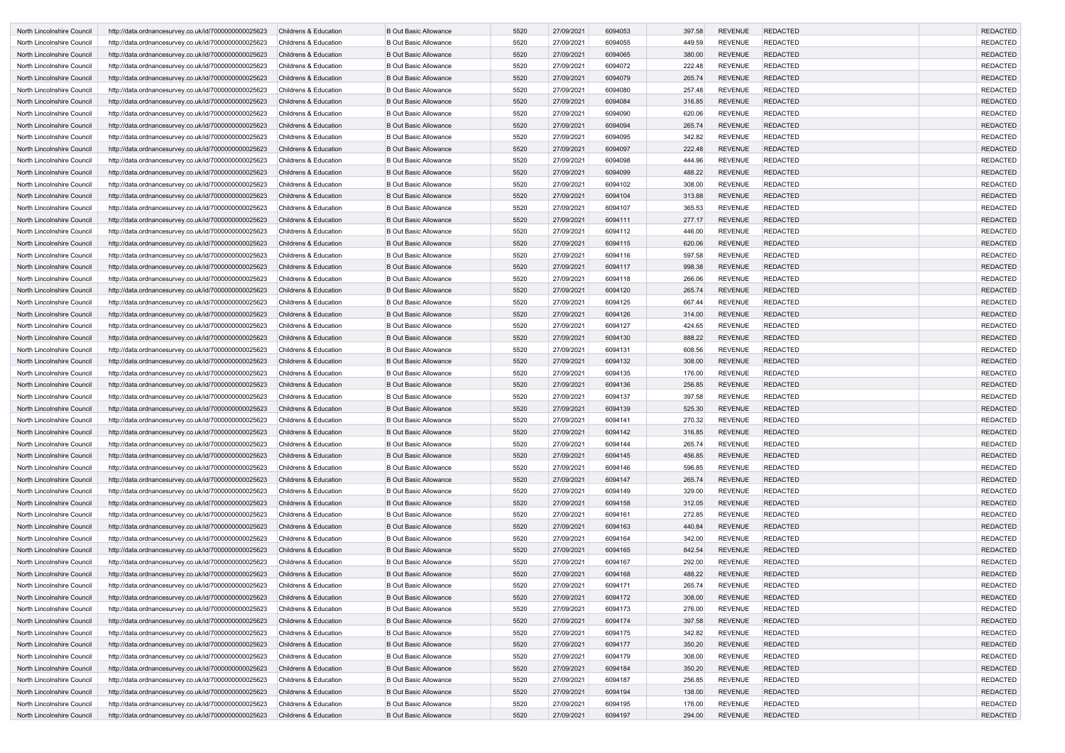| North Lincolnshire Council | http://data.ordnancesurvey.co.uk/id/7000000000025623 | <b>Childrens &amp; Education</b> | <b>B Out Basic Allowance</b> | 5520 | 27/09/2021 | 6094053 | 397.58 | <b>REVENUE</b> | <b>REDACTED</b> | <b>REDACTED</b> |
|----------------------------|------------------------------------------------------|----------------------------------|------------------------------|------|------------|---------|--------|----------------|-----------------|-----------------|
| North Lincolnshire Council | http://data.ordnancesurvey.co.uk/id/7000000000025623 | <b>Childrens &amp; Education</b> | <b>B Out Basic Allowance</b> | 5520 | 27/09/2021 | 6094055 | 449.59 | <b>REVENUE</b> | <b>REDACTED</b> | <b>REDACTED</b> |
| North Lincolnshire Council | http://data.ordnancesurvey.co.uk/id/7000000000025623 | <b>Childrens &amp; Education</b> | <b>B Out Basic Allowance</b> | 5520 | 27/09/2021 | 6094065 | 380.00 | <b>REVENUE</b> | <b>REDACTED</b> | <b>REDACTED</b> |
| North Lincolnshire Council | http://data.ordnancesurvey.co.uk/id/7000000000025623 | <b>Childrens &amp; Education</b> | <b>B Out Basic Allowance</b> | 5520 | 27/09/2021 | 6094072 | 222.48 | <b>REVENUE</b> | <b>REDACTED</b> | <b>REDACTED</b> |
| North Lincolnshire Council | http://data.ordnancesurvey.co.uk/id/7000000000025623 | <b>Childrens &amp; Education</b> | <b>B Out Basic Allowance</b> | 5520 | 27/09/2021 | 6094079 | 265.74 | <b>REVENUE</b> | <b>REDACTED</b> | <b>REDACTED</b> |
| North Lincolnshire Council | http://data.ordnancesurvey.co.uk/id/7000000000025623 | <b>Childrens &amp; Education</b> | <b>B Out Basic Allowance</b> | 5520 | 27/09/2021 | 6094080 | 257.48 | <b>REVENUE</b> | <b>REDACTED</b> | <b>REDACTED</b> |
| North Lincolnshire Council | http://data.ordnancesurvey.co.uk/id/7000000000025623 | <b>Childrens &amp; Education</b> | <b>B Out Basic Allowance</b> | 5520 | 27/09/2021 | 6094084 | 316.85 | <b>REVENUE</b> | <b>REDACTED</b> | <b>REDACTED</b> |
| North Lincolnshire Council | http://data.ordnancesurvey.co.uk/id/7000000000025623 | <b>Childrens &amp; Education</b> | <b>B Out Basic Allowance</b> | 5520 | 27/09/2021 | 6094090 | 620.06 | <b>REVENUE</b> | <b>REDACTED</b> | <b>REDACTED</b> |
| North Lincolnshire Council | http://data.ordnancesurvey.co.uk/id/7000000000025623 | <b>Childrens &amp; Education</b> | <b>B Out Basic Allowance</b> | 5520 | 27/09/2021 | 6094094 | 265.74 | <b>REVENUE</b> | <b>REDACTED</b> | <b>REDACTED</b> |
| North Lincolnshire Council | http://data.ordnancesurvey.co.uk/id/7000000000025623 | Childrens & Education            | <b>B Out Basic Allowance</b> | 5520 | 27/09/2021 | 6094095 | 342.82 | <b>REVENUE</b> | <b>REDACTED</b> | <b>REDACTED</b> |
| North Lincolnshire Council | http://data.ordnancesurvey.co.uk/id/7000000000025623 | <b>Childrens &amp; Education</b> | <b>B Out Basic Allowance</b> | 5520 | 27/09/2021 | 6094097 | 222.48 | <b>REVENUE</b> | <b>REDACTED</b> | <b>REDACTED</b> |
| North Lincolnshire Council | http://data.ordnancesurvey.co.uk/id/7000000000025623 | <b>Childrens &amp; Education</b> | <b>B Out Basic Allowance</b> | 5520 | 27/09/2021 | 6094098 | 444.96 | <b>REVENUE</b> | <b>REDACTED</b> | <b>REDACTED</b> |
| North Lincolnshire Council | http://data.ordnancesurvey.co.uk/id/7000000000025623 | <b>Childrens &amp; Education</b> | <b>B Out Basic Allowance</b> | 5520 | 27/09/2021 | 6094099 | 488.22 | <b>REVENUE</b> | <b>REDACTED</b> | <b>REDACTED</b> |
| North Lincolnshire Council | http://data.ordnancesurvey.co.uk/id/7000000000025623 | <b>Childrens &amp; Education</b> | <b>B Out Basic Allowance</b> | 5520 | 27/09/2021 | 6094102 | 308.00 | <b>REVENUE</b> | <b>REDACTED</b> | <b>REDACTED</b> |
| North Lincolnshire Council | http://data.ordnancesurvey.co.uk/id/7000000000025623 | <b>Childrens &amp; Education</b> | <b>B Out Basic Allowance</b> | 5520 | 27/09/2021 | 6094104 | 313.88 | <b>REVENUE</b> | <b>REDACTED</b> | <b>REDACTED</b> |
| North Lincolnshire Council | http://data.ordnancesurvey.co.uk/id/7000000000025623 | <b>Childrens &amp; Education</b> | <b>B Out Basic Allowance</b> | 5520 | 27/09/2021 | 6094107 | 365.53 | <b>REVENUE</b> | <b>REDACTED</b> | <b>REDACTED</b> |
| North Lincolnshire Council | http://data.ordnancesurvey.co.uk/id/7000000000025623 | <b>Childrens &amp; Education</b> | <b>B Out Basic Allowance</b> | 5520 | 27/09/2021 | 6094111 | 277.17 | <b>REVENUE</b> | <b>REDACTED</b> | <b>REDACTED</b> |
| North Lincolnshire Council | http://data.ordnancesurvey.co.uk/id/7000000000025623 | <b>Childrens &amp; Education</b> | <b>B Out Basic Allowance</b> | 5520 | 27/09/2021 | 6094112 | 446.00 | <b>REVENUE</b> | <b>REDACTED</b> | <b>REDACTED</b> |
| North Lincolnshire Council | http://data.ordnancesurvey.co.uk/id/7000000000025623 | <b>Childrens &amp; Education</b> | <b>B Out Basic Allowance</b> | 5520 | 27/09/2021 | 6094115 | 620.06 | <b>REVENUE</b> | <b>REDACTED</b> | <b>REDACTED</b> |
| North Lincolnshire Council | http://data.ordnancesurvey.co.uk/id/7000000000025623 | <b>Childrens &amp; Education</b> | <b>B Out Basic Allowance</b> | 5520 | 27/09/2021 | 6094116 | 597.58 | <b>REVENUE</b> | <b>REDACTED</b> | <b>REDACTED</b> |
| North Lincolnshire Council | http://data.ordnancesurvey.co.uk/id/7000000000025623 | <b>Childrens &amp; Education</b> | <b>B Out Basic Allowance</b> | 5520 | 27/09/2021 | 6094117 | 998.38 | <b>REVENUE</b> | <b>REDACTED</b> | <b>REDACTED</b> |
| North Lincolnshire Council | http://data.ordnancesurvey.co.uk/id/7000000000025623 | <b>Childrens &amp; Education</b> | <b>B Out Basic Allowance</b> | 5520 | 27/09/2021 | 6094118 | 266.06 | <b>REVENUE</b> | <b>REDACTED</b> | <b>REDACTED</b> |
| North Lincolnshire Council | http://data.ordnancesurvey.co.uk/id/7000000000025623 | <b>Childrens &amp; Education</b> | <b>B Out Basic Allowance</b> | 5520 | 27/09/2021 | 6094120 | 265.74 | <b>REVENUE</b> | <b>REDACTED</b> | <b>REDACTED</b> |
| North Lincolnshire Council | http://data.ordnancesurvey.co.uk/id/7000000000025623 | <b>Childrens &amp; Education</b> | <b>B Out Basic Allowance</b> | 5520 | 27/09/2021 | 6094125 | 667.44 | <b>REVENUE</b> | <b>REDACTED</b> | <b>REDACTED</b> |
| North Lincolnshire Council | http://data.ordnancesurvey.co.uk/id/7000000000025623 | <b>Childrens &amp; Education</b> | <b>B Out Basic Allowance</b> | 5520 | 27/09/2021 | 6094126 | 314.00 | <b>REVENUE</b> | <b>REDACTED</b> | <b>REDACTED</b> |
| North Lincolnshire Council | http://data.ordnancesurvey.co.uk/id/7000000000025623 | <b>Childrens &amp; Education</b> | <b>B Out Basic Allowance</b> | 5520 | 27/09/2021 | 6094127 | 424.65 | <b>REVENUE</b> | <b>REDACTED</b> | <b>REDACTED</b> |
| North Lincolnshire Council | http://data.ordnancesurvey.co.uk/id/7000000000025623 | <b>Childrens &amp; Education</b> | <b>B Out Basic Allowance</b> | 5520 | 27/09/2021 | 6094130 | 888.22 | <b>REVENUE</b> | <b>REDACTED</b> | <b>REDACTED</b> |
| North Lincolnshire Council | http://data.ordnancesurvey.co.uk/id/7000000000025623 | <b>Childrens &amp; Education</b> | <b>B Out Basic Allowance</b> | 5520 | 27/09/2021 | 6094131 | 608.56 | <b>REVENUE</b> | <b>REDACTED</b> | <b>REDACTED</b> |
| North Lincolnshire Council | http://data.ordnancesurvey.co.uk/id/7000000000025623 | <b>Childrens &amp; Education</b> | <b>B Out Basic Allowance</b> | 5520 | 27/09/2021 | 6094132 | 308.00 | <b>REVENUE</b> | <b>REDACTED</b> | <b>REDACTED</b> |
| North Lincolnshire Council | http://data.ordnancesurvey.co.uk/id/7000000000025623 | <b>Childrens &amp; Education</b> | <b>B Out Basic Allowance</b> | 5520 | 27/09/2021 | 6094135 | 176.00 | <b>REVENUE</b> | <b>REDACTED</b> | <b>REDACTED</b> |
| North Lincolnshire Council | http://data.ordnancesurvey.co.uk/id/7000000000025623 | <b>Childrens &amp; Education</b> | <b>B Out Basic Allowance</b> | 5520 | 27/09/2021 | 6094136 | 256.85 | <b>REVENUE</b> | <b>REDACTED</b> | <b>REDACTED</b> |
| North Lincolnshire Council | http://data.ordnancesurvey.co.uk/id/7000000000025623 | <b>Childrens &amp; Education</b> | <b>B Out Basic Allowance</b> | 5520 | 27/09/2021 | 6094137 | 397.58 | <b>REVENUE</b> | <b>REDACTED</b> | <b>REDACTED</b> |
| North Lincolnshire Council | http://data.ordnancesurvey.co.uk/id/7000000000025623 | <b>Childrens &amp; Education</b> | <b>B Out Basic Allowance</b> | 5520 | 27/09/2021 | 6094139 | 525.30 | <b>REVENUE</b> | <b>REDACTED</b> | <b>REDACTED</b> |
| North Lincolnshire Council | http://data.ordnancesurvey.co.uk/id/7000000000025623 | Childrens & Education            | <b>B Out Basic Allowance</b> | 5520 | 27/09/2021 | 6094141 | 270.32 | <b>REVENUE</b> | REDACTED        | REDACTED        |
| North Lincolnshire Council | http://data.ordnancesurvey.co.uk/id/7000000000025623 | <b>Childrens &amp; Education</b> | <b>B Out Basic Allowance</b> | 5520 | 27/09/2021 | 6094142 | 316.85 | <b>REVENUE</b> | <b>REDACTED</b> | <b>REDACTED</b> |
| North Lincolnshire Council | http://data.ordnancesurvey.co.uk/id/7000000000025623 | Childrens & Education            | <b>B Out Basic Allowance</b> | 5520 | 27/09/2021 | 6094144 | 265.74 | <b>REVENUE</b> | <b>REDACTED</b> | <b>REDACTED</b> |
| North Lincolnshire Council | http://data.ordnancesurvey.co.uk/id/7000000000025623 | Childrens & Education            | <b>B Out Basic Allowance</b> | 5520 | 27/09/2021 | 6094145 | 456.85 | <b>REVENUE</b> | <b>REDACTED</b> | <b>REDACTED</b> |
| North Lincolnshire Council | http://data.ordnancesurvey.co.uk/id/7000000000025623 | Childrens & Education            | <b>B Out Basic Allowance</b> | 5520 | 27/09/2021 | 6094146 | 596.85 | <b>REVENUE</b> | <b>REDACTED</b> | <b>REDACTED</b> |
| North Lincolnshire Council | http://data.ordnancesurvey.co.uk/id/7000000000025623 | <b>Childrens &amp; Education</b> | <b>B Out Basic Allowance</b> | 5520 | 27/09/2021 | 6094147 | 265.74 | <b>REVENUE</b> | REDACTED        | <b>REDACTED</b> |
| North Lincolnshire Council | http://data.ordnancesurvey.co.uk/id/7000000000025623 | Childrens & Education            | <b>B Out Basic Allowance</b> | 5520 | 27/09/2021 | 6094149 | 329.00 | <b>REVENUE</b> | <b>REDACTED</b> | <b>REDACTED</b> |
| North Lincolnshire Council | http://data.ordnancesurvey.co.uk/id/7000000000025623 | Childrens & Education            | <b>B Out Basic Allowance</b> | 5520 | 27/09/2021 | 6094158 | 312.05 | <b>REVENUE</b> | <b>REDACTED</b> | <b>REDACTED</b> |
| North Lincolnshire Council | http://data.ordnancesurvey.co.uk/id/7000000000025623 | Childrens & Education            | <b>B Out Basic Allowance</b> | 5520 | 27/09/2021 | 6094161 | 272.85 | <b>REVENUE</b> | <b>REDACTED</b> | <b>REDACTED</b> |
| North Lincolnshire Council | http://data.ordnancesurvey.co.uk/id/7000000000025623 | <b>Childrens &amp; Education</b> | <b>B Out Basic Allowance</b> | 5520 | 27/09/2021 | 6094163 | 440.84 | <b>REVENUE</b> | <b>REDACTED</b> | <b>REDACTED</b> |
| North Lincolnshire Council | http://data.ordnancesurvey.co.uk/id/7000000000025623 | Childrens & Education            | <b>B Out Basic Allowance</b> | 5520 | 27/09/2021 | 6094164 | 342.00 | <b>REVENUE</b> | <b>REDACTED</b> | <b>REDACTED</b> |
| North Lincolnshire Council | http://data.ordnancesurvey.co.uk/id/7000000000025623 | <b>Childrens &amp; Education</b> | <b>B Out Basic Allowance</b> | 5520 | 27/09/2021 | 6094165 | 842.54 | <b>REVENUE</b> | <b>REDACTED</b> | <b>REDACTED</b> |
| North Lincolnshire Council | http://data.ordnancesurvey.co.uk/id/7000000000025623 | Childrens & Education            | <b>B Out Basic Allowance</b> | 5520 | 27/09/2021 | 6094167 | 292.00 | <b>REVENUE</b> | <b>REDACTED</b> | <b>REDACTED</b> |
| North Lincolnshire Council | http://data.ordnancesurvey.co.uk/id/7000000000025623 | Childrens & Education            | <b>B Out Basic Allowance</b> | 5520 | 27/09/2021 | 6094168 | 488.22 | <b>REVENUE</b> | <b>REDACTED</b> | <b>REDACTED</b> |
| North Lincolnshire Council | http://data.ordnancesurvey.co.uk/id/7000000000025623 | Childrens & Education            | <b>B Out Basic Allowance</b> | 5520 | 27/09/2021 | 6094171 | 265.74 | <b>REVENUE</b> | <b>REDACTED</b> | <b>REDACTED</b> |
| North Lincolnshire Council | http://data.ordnancesurvey.co.uk/id/7000000000025623 | Childrens & Education            | <b>B Out Basic Allowance</b> | 5520 | 27/09/2021 | 6094172 | 308.00 | <b>REVENUE</b> | <b>REDACTED</b> | <b>REDACTED</b> |
| North Lincolnshire Council | http://data.ordnancesurvey.co.uk/id/7000000000025623 | Childrens & Education            | <b>B Out Basic Allowance</b> | 5520 | 27/09/2021 | 6094173 | 276.00 | <b>REVENUE</b> | <b>REDACTED</b> | <b>REDACTED</b> |
| North Lincolnshire Council | http://data.ordnancesurvey.co.uk/id/7000000000025623 | Childrens & Education            | <b>B Out Basic Allowance</b> | 5520 | 27/09/2021 | 6094174 | 397.58 | <b>REVENUE</b> | <b>REDACTED</b> | <b>REDACTED</b> |
| North Lincolnshire Council | http://data.ordnancesurvey.co.uk/id/7000000000025623 | Childrens & Education            | <b>B Out Basic Allowance</b> | 5520 | 27/09/2021 | 6094175 | 342.82 | <b>REVENUE</b> | <b>REDACTED</b> | <b>REDACTED</b> |
| North Lincolnshire Council | http://data.ordnancesurvey.co.uk/id/7000000000025623 | <b>Childrens &amp; Education</b> | <b>B Out Basic Allowance</b> | 5520 | 27/09/2021 | 6094177 | 350.20 | <b>REVENUE</b> | <b>REDACTED</b> | <b>REDACTED</b> |
| North Lincolnshire Council | http://data.ordnancesurvey.co.uk/id/7000000000025623 | Childrens & Education            | <b>B Out Basic Allowance</b> | 5520 | 27/09/2021 | 6094179 | 308.00 | <b>REVENUE</b> | <b>REDACTED</b> | <b>REDACTED</b> |
| North Lincolnshire Council | http://data.ordnancesurvey.co.uk/id/7000000000025623 | <b>Childrens &amp; Education</b> | <b>B Out Basic Allowance</b> | 5520 | 27/09/2021 | 6094184 | 350.20 | <b>REVENUE</b> | <b>REDACTED</b> | <b>REDACTED</b> |
| North Lincolnshire Council | http://data.ordnancesurvey.co.uk/id/7000000000025623 | Childrens & Education            | <b>B Out Basic Allowance</b> | 5520 | 27/09/2021 | 6094187 | 256.85 | <b>REVENUE</b> | <b>REDACTED</b> | <b>REDACTED</b> |
| North Lincolnshire Council | http://data.ordnancesurvey.co.uk/id/7000000000025623 | Childrens & Education            | <b>B Out Basic Allowance</b> | 5520 | 27/09/2021 | 6094194 | 138.00 | <b>REVENUE</b> | <b>REDACTED</b> | <b>REDACTED</b> |
| North Lincolnshire Council | http://data.ordnancesurvey.co.uk/id/7000000000025623 | Childrens & Education            | <b>B Out Basic Allowance</b> | 5520 | 27/09/2021 | 6094195 | 176.00 | <b>REVENUE</b> | <b>REDACTED</b> | <b>REDACTED</b> |
| North Lincolnshire Council | http://data.ordnancesurvey.co.uk/id/7000000000025623 | <b>Childrens &amp; Education</b> | <b>B Out Basic Allowance</b> | 5520 | 27/09/2021 | 6094197 | 294.00 | <b>REVENUE</b> | <b>REDACTED</b> | <b>REDACTED</b> |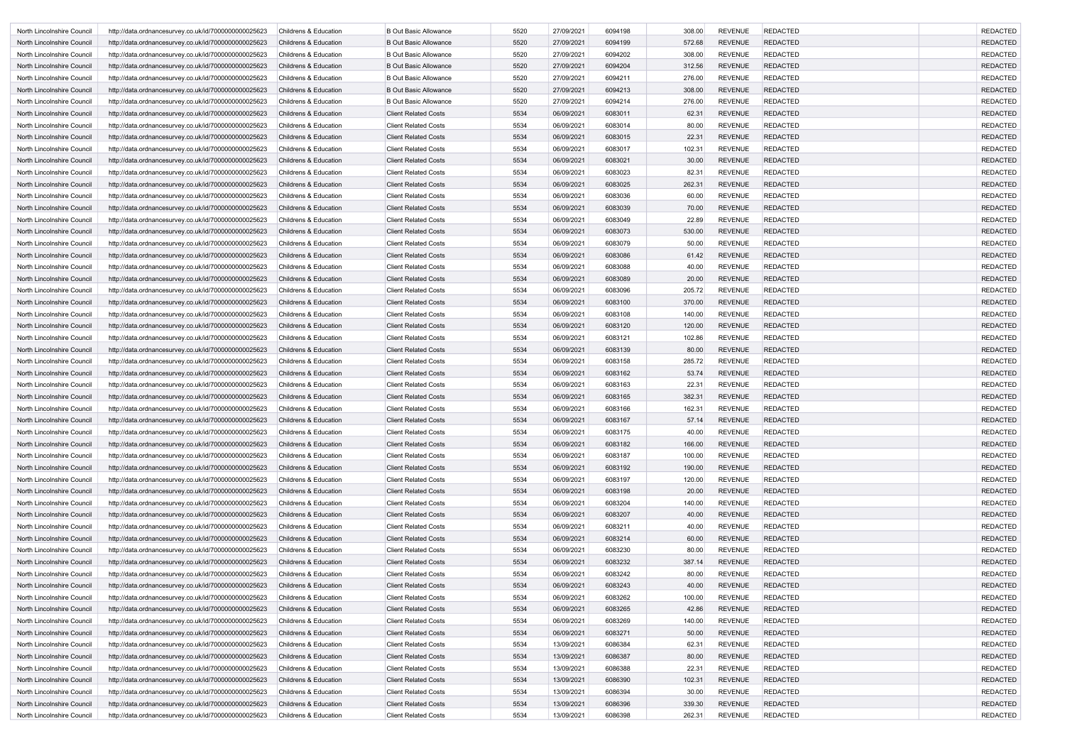| North Lincolnshire Council | http://data.ordnancesurvey.co.uk/id/7000000000025623 | <b>Childrens &amp; Education</b> | <b>B Out Basic Allowance</b> | 5520 | 27/09/2021 | 6094198 | 308.00 | <b>REVENUE</b> | <b>REDACTED</b> | <b>REDACTED</b> |
|----------------------------|------------------------------------------------------|----------------------------------|------------------------------|------|------------|---------|--------|----------------|-----------------|-----------------|
| North Lincolnshire Council | http://data.ordnancesurvey.co.uk/id/7000000000025623 | <b>Childrens &amp; Education</b> | <b>B Out Basic Allowance</b> | 5520 | 27/09/2021 | 6094199 | 572.68 | <b>REVENUE</b> | <b>REDACTED</b> | <b>REDACTED</b> |
| North Lincolnshire Council | http://data.ordnancesurvey.co.uk/id/7000000000025623 | <b>Childrens &amp; Education</b> | <b>B Out Basic Allowance</b> | 5520 | 27/09/2021 | 6094202 | 308.00 | <b>REVENUE</b> | <b>REDACTED</b> | <b>REDACTED</b> |
| North Lincolnshire Council | http://data.ordnancesurvey.co.uk/id/7000000000025623 | <b>Childrens &amp; Education</b> | <b>B Out Basic Allowance</b> | 5520 | 27/09/2021 | 6094204 | 312.56 | <b>REVENUE</b> | <b>REDACTED</b> | <b>REDACTED</b> |
| North Lincolnshire Council | http://data.ordnancesurvey.co.uk/id/7000000000025623 | <b>Childrens &amp; Education</b> | <b>B Out Basic Allowance</b> | 5520 | 27/09/2021 | 6094211 | 276.00 | <b>REVENUE</b> | <b>REDACTED</b> | <b>REDACTED</b> |
| North Lincolnshire Council | http://data.ordnancesurvey.co.uk/id/7000000000025623 | <b>Childrens &amp; Education</b> | <b>B Out Basic Allowance</b> | 5520 | 27/09/2021 | 6094213 | 308.00 | <b>REVENUE</b> | <b>REDACTED</b> | <b>REDACTED</b> |
| North Lincolnshire Council | http://data.ordnancesurvey.co.uk/id/7000000000025623 | <b>Childrens &amp; Education</b> | <b>B Out Basic Allowance</b> | 5520 | 27/09/2021 | 6094214 | 276.00 | <b>REVENUE</b> | <b>REDACTED</b> | <b>REDACTED</b> |
| North Lincolnshire Council | http://data.ordnancesurvey.co.uk/id/7000000000025623 | <b>Childrens &amp; Education</b> | <b>Client Related Costs</b>  | 5534 | 06/09/2021 | 6083011 | 62.31  | <b>REVENUE</b> | <b>REDACTED</b> | <b>REDACTED</b> |
| North Lincolnshire Council | http://data.ordnancesurvey.co.uk/id/7000000000025623 | Childrens & Education            | <b>Client Related Costs</b>  | 5534 | 06/09/2021 | 6083014 | 80.00  | <b>REVENUE</b> | <b>REDACTED</b> | <b>REDACTED</b> |
| North Lincolnshire Council | http://data.ordnancesurvey.co.uk/id/7000000000025623 | <b>Childrens &amp; Education</b> | <b>Client Related Costs</b>  | 5534 | 06/09/2021 | 6083015 | 22.31  | <b>REVENUE</b> | <b>REDACTED</b> | <b>REDACTED</b> |
| North Lincolnshire Council | http://data.ordnancesurvey.co.uk/id/7000000000025623 | <b>Childrens &amp; Education</b> | <b>Client Related Costs</b>  | 5534 | 06/09/2021 | 6083017 | 102.31 | <b>REVENUE</b> | <b>REDACTED</b> | <b>REDACTED</b> |
| North Lincolnshire Council | http://data.ordnancesurvey.co.uk/id/7000000000025623 | <b>Childrens &amp; Education</b> | <b>Client Related Costs</b>  | 5534 | 06/09/2021 | 6083021 | 30.00  | <b>REVENUE</b> | <b>REDACTED</b> | <b>REDACTED</b> |
| North Lincolnshire Council | http://data.ordnancesurvey.co.uk/id/7000000000025623 | <b>Childrens &amp; Education</b> | <b>Client Related Costs</b>  | 5534 | 06/09/2021 | 6083023 | 82.31  | <b>REVENUE</b> | <b>REDACTED</b> | <b>REDACTED</b> |
| North Lincolnshire Council | http://data.ordnancesurvey.co.uk/id/7000000000025623 | <b>Childrens &amp; Education</b> | <b>Client Related Costs</b>  | 5534 | 06/09/2021 | 6083025 | 262.31 | <b>REVENUE</b> | <b>REDACTED</b> | <b>REDACTED</b> |
| North Lincolnshire Council | http://data.ordnancesurvey.co.uk/id/7000000000025623 | <b>Childrens &amp; Education</b> | <b>Client Related Costs</b>  | 5534 | 06/09/2021 | 6083036 | 60.00  | <b>REVENUE</b> | <b>REDACTED</b> | <b>REDACTED</b> |
| North Lincolnshire Council | http://data.ordnancesurvey.co.uk/id/7000000000025623 | <b>Childrens &amp; Education</b> | <b>Client Related Costs</b>  | 5534 | 06/09/2021 | 6083039 | 70.00  | <b>REVENUE</b> | <b>REDACTED</b> | <b>REDACTED</b> |
| North Lincolnshire Council | http://data.ordnancesurvey.co.uk/id/7000000000025623 | <b>Childrens &amp; Education</b> | <b>Client Related Costs</b>  | 5534 | 06/09/2021 | 6083049 | 22.89  | <b>REVENUE</b> | <b>REDACTED</b> | <b>REDACTED</b> |
| North Lincolnshire Council | http://data.ordnancesurvey.co.uk/id/7000000000025623 | <b>Childrens &amp; Education</b> | <b>Client Related Costs</b>  | 5534 | 06/09/2021 | 6083073 | 530.00 | <b>REVENUE</b> | <b>REDACTED</b> | <b>REDACTED</b> |
| North Lincolnshire Council | http://data.ordnancesurvey.co.uk/id/7000000000025623 | <b>Childrens &amp; Education</b> | <b>Client Related Costs</b>  | 5534 | 06/09/2021 | 6083079 | 50.00  | <b>REVENUE</b> | <b>REDACTED</b> | <b>REDACTED</b> |
| North Lincolnshire Council | http://data.ordnancesurvey.co.uk/id/7000000000025623 | <b>Childrens &amp; Education</b> | <b>Client Related Costs</b>  | 5534 | 06/09/2021 | 6083086 | 61.42  | <b>REVENUE</b> | <b>REDACTED</b> | <b>REDACTED</b> |
| North Lincolnshire Council | http://data.ordnancesurvey.co.uk/id/7000000000025623 | Childrens & Education            | <b>Client Related Costs</b>  | 5534 | 06/09/2021 | 6083088 | 40.00  | <b>REVENUE</b> | <b>REDACTED</b> | <b>REDACTED</b> |
| North Lincolnshire Council | http://data.ordnancesurvey.co.uk/id/7000000000025623 | <b>Childrens &amp; Education</b> | <b>Client Related Costs</b>  | 5534 | 06/09/2021 | 6083089 | 20.00  | <b>REVENUE</b> | <b>REDACTED</b> | <b>REDACTED</b> |
| North Lincolnshire Council | http://data.ordnancesurvey.co.uk/id/7000000000025623 | <b>Childrens &amp; Education</b> | <b>Client Related Costs</b>  | 5534 | 06/09/2021 | 6083096 | 205.72 | <b>REVENUE</b> | <b>REDACTED</b> | <b>REDACTED</b> |
| North Lincolnshire Council | http://data.ordnancesurvey.co.uk/id/7000000000025623 | <b>Childrens &amp; Education</b> | <b>Client Related Costs</b>  | 5534 | 06/09/2021 | 6083100 | 370.00 | <b>REVENUE</b> | <b>REDACTED</b> | <b>REDACTED</b> |
| North Lincolnshire Council | http://data.ordnancesurvey.co.uk/id/7000000000025623 | <b>Childrens &amp; Education</b> | <b>Client Related Costs</b>  | 5534 | 06/09/2021 | 6083108 | 140.00 | <b>REVENUE</b> | <b>REDACTED</b> | <b>REDACTED</b> |
| North Lincolnshire Council | http://data.ordnancesurvey.co.uk/id/7000000000025623 | <b>Childrens &amp; Education</b> | <b>Client Related Costs</b>  | 5534 | 06/09/2021 | 6083120 | 120.00 | <b>REVENUE</b> | <b>REDACTED</b> | <b>REDACTED</b> |
| North Lincolnshire Council | http://data.ordnancesurvey.co.uk/id/7000000000025623 | <b>Childrens &amp; Education</b> | <b>Client Related Costs</b>  | 5534 | 06/09/2021 | 6083121 | 102.86 | <b>REVENUE</b> | <b>REDACTED</b> | <b>REDACTED</b> |
| North Lincolnshire Council | http://data.ordnancesurvey.co.uk/id/7000000000025623 | <b>Childrens &amp; Education</b> | <b>Client Related Costs</b>  | 5534 | 06/09/2021 | 6083139 | 80.00  | <b>REVENUE</b> | <b>REDACTED</b> | <b>REDACTED</b> |
| North Lincolnshire Council | http://data.ordnancesurvey.co.uk/id/7000000000025623 | <b>Childrens &amp; Education</b> | <b>Client Related Costs</b>  | 5534 | 06/09/2021 | 6083158 | 285.72 | <b>REVENUE</b> | <b>REDACTED</b> | <b>REDACTED</b> |
| North Lincolnshire Council | http://data.ordnancesurvey.co.uk/id/7000000000025623 | <b>Childrens &amp; Education</b> | <b>Client Related Costs</b>  | 5534 | 06/09/2021 | 6083162 | 53.74  | <b>REVENUE</b> | <b>REDACTED</b> | <b>REDACTED</b> |
| North Lincolnshire Council | http://data.ordnancesurvey.co.uk/id/7000000000025623 | <b>Childrens &amp; Education</b> | <b>Client Related Costs</b>  | 5534 | 06/09/2021 | 6083163 | 22.31  | <b>REVENUE</b> | <b>REDACTED</b> | <b>REDACTED</b> |
| North Lincolnshire Council | http://data.ordnancesurvey.co.uk/id/7000000000025623 | <b>Childrens &amp; Education</b> | <b>Client Related Costs</b>  | 5534 | 06/09/2021 | 6083165 | 382.31 | <b>REVENUE</b> | <b>REDACTED</b> | <b>REDACTED</b> |
| North Lincolnshire Council | http://data.ordnancesurvey.co.uk/id/7000000000025623 | <b>Childrens &amp; Education</b> | <b>Client Related Costs</b>  | 5534 | 06/09/2021 | 6083166 | 162.31 | <b>REVENUE</b> | <b>REDACTED</b> | <b>REDACTED</b> |
| North Lincolnshire Council | http://data.ordnancesurvey.co.uk/id/7000000000025623 | Childrens & Education            | <b>Client Related Costs</b>  | 5534 | 06/09/2021 | 6083167 | 57.14  | <b>REVENUE</b> | <b>REDACTED</b> | <b>REDACTED</b> |
| North Lincolnshire Council | http://data.ordnancesurvey.co.uk/id/7000000000025623 | Childrens & Education            | <b>Client Related Costs</b>  | 5534 | 06/09/2021 | 6083175 | 40.00  | <b>REVENUE</b> | <b>REDACTED</b> | <b>REDACTED</b> |
| North Lincolnshire Council | http://data.ordnancesurvey.co.uk/id/7000000000025623 | Childrens & Education            | <b>Client Related Costs</b>  | 5534 | 06/09/2021 | 6083182 | 166.00 | <b>REVENUE</b> | <b>REDACTED</b> | <b>REDACTED</b> |
| North Lincolnshire Council | http://data.ordnancesurvey.co.uk/id/7000000000025623 | Childrens & Education            | <b>Client Related Costs</b>  | 5534 | 06/09/2021 | 6083187 | 100.00 | <b>REVENUE</b> | <b>REDACTED</b> | <b>REDACTED</b> |
| North Lincolnshire Council | http://data.ordnancesurvey.co.uk/id/7000000000025623 | <b>Childrens &amp; Education</b> | <b>Client Related Costs</b>  | 5534 | 06/09/2021 | 6083192 | 190.00 | <b>REVENUE</b> | <b>REDACTED</b> | <b>REDACTED</b> |
| North Lincolnshire Council | http://data.ordnancesurvey.co.uk/id/7000000000025623 | Childrens & Education            | <b>Client Related Costs</b>  | 5534 | 06/09/2021 | 6083197 | 120.00 | <b>REVENUE</b> | <b>REDACTED</b> | <b>REDACTED</b> |
| North Lincolnshire Council | http://data.ordnancesurvey.co.uk/id/7000000000025623 | Childrens & Education            | <b>Client Related Costs</b>  | 5534 | 06/09/2021 | 6083198 | 20.00  | <b>REVENUE</b> | <b>REDACTED</b> | <b>REDACTED</b> |
| North Lincolnshire Council | http://data.ordnancesurvey.co.uk/id/7000000000025623 | Childrens & Education            | <b>Client Related Costs</b>  | 5534 | 06/09/2021 | 6083204 | 140.00 | <b>REVENUE</b> | <b>REDACTED</b> | <b>REDACTED</b> |
| North Lincolnshire Council | http://data.ordnancesurvey.co.uk/id/7000000000025623 | Childrens & Education            | <b>Client Related Costs</b>  | 5534 | 06/09/2021 | 6083207 | 40.00  | <b>REVENUE</b> | <b>REDACTED</b> | <b>REDACTED</b> |
| North Lincolnshire Council | http://data.ordnancesurvey.co.uk/id/7000000000025623 | Childrens & Education            | <b>Client Related Costs</b>  | 5534 | 06/09/2021 | 6083211 | 40.00  | <b>REVENUE</b> | <b>REDACTED</b> | <b>REDACTED</b> |
| North Lincolnshire Council | http://data.ordnancesurvey.co.uk/id/7000000000025623 | <b>Childrens &amp; Education</b> | <b>Client Related Costs</b>  | 5534 | 06/09/2021 | 6083214 | 60.00  | <b>REVENUE</b> | <b>REDACTED</b> | <b>REDACTED</b> |
| North Lincolnshire Council | http://data.ordnancesurvey.co.uk/id/7000000000025623 | Childrens & Education            | <b>Client Related Costs</b>  | 5534 | 06/09/2021 | 6083230 | 80.00  | <b>REVENUE</b> | <b>REDACTED</b> | <b>REDACTED</b> |
| North Lincolnshire Council | http://data.ordnancesurvey.co.uk/id/7000000000025623 | Childrens & Education            | <b>Client Related Costs</b>  | 5534 | 06/09/2021 | 6083232 | 387.14 | <b>REVENUE</b> | <b>REDACTED</b> | <b>REDACTED</b> |
| North Lincolnshire Council | http://data.ordnancesurvey.co.uk/id/7000000000025623 | Childrens & Education            | <b>Client Related Costs</b>  | 5534 | 06/09/2021 | 6083242 | 80.00  | <b>REVENUE</b> | <b>REDACTED</b> | <b>REDACTED</b> |
| North Lincolnshire Council | http://data.ordnancesurvey.co.uk/id/7000000000025623 | Childrens & Education            | <b>Client Related Costs</b>  | 5534 | 06/09/2021 | 6083243 | 40.00  | <b>REVENUE</b> | <b>REDACTED</b> | <b>REDACTED</b> |
| North Lincolnshire Council | http://data.ordnancesurvey.co.uk/id/7000000000025623 | Childrens & Education            | <b>Client Related Costs</b>  | 5534 | 06/09/2021 | 6083262 | 100.00 | <b>REVENUE</b> | <b>REDACTED</b> | <b>REDACTED</b> |
| North Lincolnshire Council | http://data.ordnancesurvey.co.uk/id/7000000000025623 | Childrens & Education            | <b>Client Related Costs</b>  | 5534 | 06/09/2021 | 6083265 | 42.86  | <b>REVENUE</b> | <b>REDACTED</b> | <b>REDACTED</b> |
| North Lincolnshire Council | http://data.ordnancesurvey.co.uk/id/7000000000025623 | Childrens & Education            | <b>Client Related Costs</b>  | 5534 | 06/09/2021 | 6083269 | 140.00 | <b>REVENUE</b> | <b>REDACTED</b> | <b>REDACTED</b> |
| North Lincolnshire Council | http://data.ordnancesurvey.co.uk/id/7000000000025623 | Childrens & Education            | <b>Client Related Costs</b>  | 5534 | 06/09/2021 | 6083271 | 50.00  | <b>REVENUE</b> | <b>REDACTED</b> | <b>REDACTED</b> |
| North Lincolnshire Council | http://data.ordnancesurvey.co.uk/id/7000000000025623 | <b>Childrens &amp; Education</b> | <b>Client Related Costs</b>  | 5534 | 13/09/2021 | 6086384 | 62.31  | <b>REVENUE</b> | <b>REDACTED</b> | <b>REDACTED</b> |
| North Lincolnshire Council | http://data.ordnancesurvey.co.uk/id/7000000000025623 | <b>Childrens &amp; Education</b> | <b>Client Related Costs</b>  | 5534 | 13/09/2021 | 6086387 | 80.00  | <b>REVENUE</b> | <b>REDACTED</b> | <b>REDACTED</b> |
| North Lincolnshire Council | http://data.ordnancesurvey.co.uk/id/7000000000025623 | Childrens & Education            | <b>Client Related Costs</b>  | 5534 | 13/09/2021 | 6086388 | 22.31  | <b>REVENUE</b> | <b>REDACTED</b> | <b>REDACTED</b> |
| North Lincolnshire Council | http://data.ordnancesurvey.co.uk/id/7000000000025623 | Childrens & Education            | <b>Client Related Costs</b>  | 5534 | 13/09/2021 | 6086390 | 102.31 | <b>REVENUE</b> | <b>REDACTED</b> | <b>REDACTED</b> |
| North Lincolnshire Council | http://data.ordnancesurvey.co.uk/id/7000000000025623 | <b>Childrens &amp; Education</b> | <b>Client Related Costs</b>  | 5534 | 13/09/2021 | 6086394 | 30.00  | <b>REVENUE</b> | <b>REDACTED</b> | <b>REDACTED</b> |
| North Lincolnshire Council | http://data.ordnancesurvey.co.uk/id/7000000000025623 | Childrens & Education            | <b>Client Related Costs</b>  | 5534 | 13/09/2021 | 6086396 | 339.30 | <b>REVENUE</b> | <b>REDACTED</b> | <b>REDACTED</b> |
| North Lincolnshire Council | http://data.ordnancesurvey.co.uk/id/7000000000025623 | Childrens & Education            | <b>Client Related Costs</b>  | 5534 | 13/09/2021 | 6086398 | 262.31 | <b>REVENUE</b> | <b>REDACTED</b> | <b>REDACTED</b> |
|                            |                                                      |                                  |                              |      |            |         |        |                |                 |                 |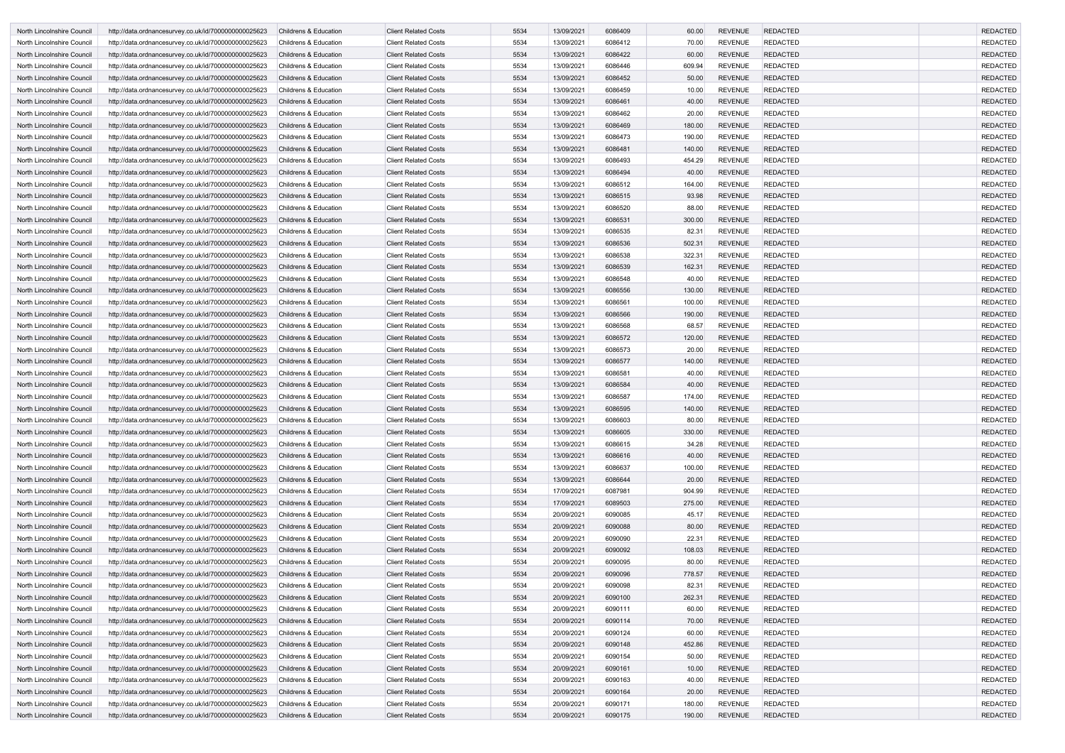| North Lincolnshire Council | http://data.ordnancesurvey.co.uk/id/7000000000025623                                                         | Childrens & Education                                                | <b>Client Related Costs</b>                                | 5534         | 13/09/2021               | 6086409            | 60.00           | <b>REVENUE</b> | <b>REDACTED</b>                    | <b>REDACTED</b>                    |
|----------------------------|--------------------------------------------------------------------------------------------------------------|----------------------------------------------------------------------|------------------------------------------------------------|--------------|--------------------------|--------------------|-----------------|----------------|------------------------------------|------------------------------------|
| North Lincolnshire Council | http://data.ordnancesurvey.co.uk/id/7000000000025623                                                         | <b>Childrens &amp; Education</b>                                     | <b>Client Related Costs</b>                                | 5534         | 13/09/2021               | 6086412            | 70.00           | <b>REVENUE</b> | <b>REDACTED</b>                    | <b>REDACTED</b>                    |
| North Lincolnshire Council | http://data.ordnancesurvey.co.uk/id/7000000000025623                                                         | <b>Childrens &amp; Education</b>                                     | <b>Client Related Costs</b>                                | 5534         | 13/09/2021               | 6086422            | 60.00           | <b>REVENUE</b> | <b>REDACTED</b>                    | <b>REDACTED</b>                    |
| North Lincolnshire Council | http://data.ordnancesurvey.co.uk/id/7000000000025623                                                         | <b>Childrens &amp; Education</b>                                     | <b>Client Related Costs</b>                                | 5534         | 13/09/2021               | 6086446            | 609.94          | <b>REVENUE</b> | <b>REDACTED</b>                    | <b>REDACTED</b>                    |
| North Lincolnshire Council | http://data.ordnancesurvey.co.uk/id/7000000000025623                                                         | <b>Childrens &amp; Education</b>                                     | <b>Client Related Costs</b>                                | 5534         | 13/09/2021               | 6086452            | 50.00           | <b>REVENUE</b> | <b>REDACTED</b>                    | <b>REDACTED</b>                    |
| North Lincolnshire Council | http://data.ordnancesurvey.co.uk/id/7000000000025623                                                         | <b>Childrens &amp; Education</b>                                     | <b>Client Related Costs</b>                                | 5534         | 13/09/2021               | 6086459            | 10.00           | <b>REVENUE</b> | <b>REDACTED</b>                    | <b>REDACTED</b>                    |
| North Lincolnshire Council | http://data.ordnancesurvey.co.uk/id/7000000000025623                                                         | <b>Childrens &amp; Education</b>                                     | <b>Client Related Costs</b>                                | 5534         | 13/09/2021               | 6086461            | 40.00           | <b>REVENUE</b> | <b>REDACTED</b>                    | <b>REDACTED</b>                    |
| North Lincolnshire Council | http://data.ordnancesurvey.co.uk/id/7000000000025623                                                         | <b>Childrens &amp; Education</b>                                     | <b>Client Related Costs</b>                                | 5534         | 13/09/2021               | 6086462            | 20.00           | <b>REVENUE</b> | <b>REDACTED</b>                    | <b>REDACTED</b>                    |
| North Lincolnshire Council | http://data.ordnancesurvey.co.uk/id/7000000000025623                                                         | <b>Childrens &amp; Education</b>                                     | <b>Client Related Costs</b>                                | 5534         | 13/09/2021               | 6086469            | 180.00          | <b>REVENUE</b> | <b>REDACTED</b>                    | <b>REDACTED</b>                    |
| North Lincolnshire Council | http://data.ordnancesurvey.co.uk/id/7000000000025623                                                         | Childrens & Education                                                | <b>Client Related Costs</b>                                | 5534         | 13/09/2021               | 6086473            | 190.00          | <b>REVENUE</b> | <b>REDACTED</b>                    | <b>REDACTED</b>                    |
| North Lincolnshire Council | http://data.ordnancesurvey.co.uk/id/7000000000025623                                                         | <b>Childrens &amp; Education</b>                                     | <b>Client Related Costs</b>                                | 5534         | 13/09/2021               | 6086481            | 140.00          | <b>REVENUE</b> | <b>REDACTED</b>                    | <b>REDACTED</b>                    |
| North Lincolnshire Council | http://data.ordnancesurvey.co.uk/id/7000000000025623                                                         | <b>Childrens &amp; Education</b>                                     | <b>Client Related Costs</b>                                | 5534         | 13/09/2021               | 6086493            | 454.29          | <b>REVENUE</b> | <b>REDACTED</b>                    | <b>REDACTED</b>                    |
| North Lincolnshire Council | http://data.ordnancesurvey.co.uk/id/7000000000025623                                                         | <b>Childrens &amp; Education</b>                                     | <b>Client Related Costs</b>                                | 5534         | 13/09/2021               | 6086494            | 40.00           | <b>REVENUE</b> | <b>REDACTED</b>                    | <b>REDACTED</b>                    |
| North Lincolnshire Council | http://data.ordnancesurvey.co.uk/id/7000000000025623                                                         | <b>Childrens &amp; Education</b>                                     | <b>Client Related Costs</b>                                | 5534         | 13/09/2021               | 6086512            | 164.00          | <b>REVENUE</b> | <b>REDACTED</b>                    | <b>REDACTED</b>                    |
| North Lincolnshire Council | http://data.ordnancesurvey.co.uk/id/7000000000025623                                                         | <b>Childrens &amp; Education</b>                                     | <b>Client Related Costs</b>                                | 5534         | 13/09/2021               | 6086515            | 93.98           | <b>REVENUE</b> | <b>REDACTED</b>                    | <b>REDACTED</b>                    |
| North Lincolnshire Council | http://data.ordnancesurvey.co.uk/id/7000000000025623                                                         | <b>Childrens &amp; Education</b>                                     | <b>Client Related Costs</b>                                | 5534         | 13/09/2021               | 6086520            | 88.00           | <b>REVENUE</b> | <b>REDACTED</b>                    | <b>REDACTED</b>                    |
| North Lincolnshire Council | http://data.ordnancesurvey.co.uk/id/7000000000025623                                                         | <b>Childrens &amp; Education</b>                                     | <b>Client Related Costs</b>                                | 5534         | 13/09/2021               | 6086531            | 300.00          | <b>REVENUE</b> | <b>REDACTED</b>                    | <b>REDACTED</b>                    |
| North Lincolnshire Council | http://data.ordnancesurvey.co.uk/id/7000000000025623                                                         | <b>Childrens &amp; Education</b>                                     | <b>Client Related Costs</b>                                | 5534         | 13/09/2021               | 6086535            | 82.31           | <b>REVENUE</b> | <b>REDACTED</b>                    | <b>REDACTED</b>                    |
| North Lincolnshire Council | http://data.ordnancesurvey.co.uk/id/7000000000025623                                                         | <b>Childrens &amp; Education</b>                                     | <b>Client Related Costs</b>                                | 5534         | 13/09/2021               | 6086536            | 502.31          | <b>REVENUE</b> | <b>REDACTED</b>                    | <b>REDACTED</b>                    |
| North Lincolnshire Council | http://data.ordnancesurvey.co.uk/id/7000000000025623                                                         | Childrens & Education                                                | <b>Client Related Costs</b>                                | 5534         | 13/09/2021               | 6086538            | 322.31          | <b>REVENUE</b> | <b>REDACTED</b>                    | <b>REDACTED</b>                    |
| North Lincolnshire Council | http://data.ordnancesurvey.co.uk/id/7000000000025623                                                         | <b>Childrens &amp; Education</b>                                     | <b>Client Related Costs</b>                                | 5534         | 13/09/2021               | 6086539            | 162.31          | <b>REVENUE</b> | <b>REDACTED</b>                    | <b>REDACTED</b>                    |
| North Lincolnshire Council | http://data.ordnancesurvey.co.uk/id/7000000000025623                                                         | <b>Childrens &amp; Education</b>                                     | <b>Client Related Costs</b>                                | 5534         | 13/09/2021               | 6086548            | 40.00           | <b>REVENUE</b> | <b>REDACTED</b>                    | <b>REDACTED</b>                    |
| North Lincolnshire Council | http://data.ordnancesurvey.co.uk/id/7000000000025623                                                         | <b>Childrens &amp; Education</b>                                     | <b>Client Related Costs</b>                                | 5534         | 13/09/2021               | 6086556            | 130.00          | <b>REVENUE</b> | <b>REDACTED</b>                    | <b>REDACTED</b>                    |
| North Lincolnshire Council | http://data.ordnancesurvey.co.uk/id/7000000000025623                                                         | <b>Childrens &amp; Education</b>                                     | <b>Client Related Costs</b>                                | 5534         | 13/09/2021               | 6086561            | 100.00          | <b>REVENUE</b> | <b>REDACTED</b>                    | <b>REDACTED</b>                    |
| North Lincolnshire Council | http://data.ordnancesurvey.co.uk/id/7000000000025623                                                         | <b>Childrens &amp; Education</b>                                     | <b>Client Related Costs</b>                                | 5534         | 13/09/2021               | 6086566            | 190.00          | <b>REVENUE</b> | <b>REDACTED</b>                    | <b>REDACTED</b>                    |
| North Lincolnshire Council | http://data.ordnancesurvey.co.uk/id/7000000000025623                                                         | <b>Childrens &amp; Education</b>                                     | <b>Client Related Costs</b>                                | 5534         | 13/09/2021               | 6086568            | 68.57           | <b>REVENUE</b> | <b>REDACTED</b>                    | <b>REDACTED</b>                    |
| North Lincolnshire Council | http://data.ordnancesurvey.co.uk/id/7000000000025623                                                         | <b>Childrens &amp; Education</b>                                     | <b>Client Related Costs</b>                                | 5534         | 13/09/2021               | 6086572            | 120.00          | <b>REVENUE</b> | <b>REDACTED</b>                    | <b>REDACTED</b>                    |
| North Lincolnshire Council | http://data.ordnancesurvey.co.uk/id/7000000000025623                                                         | <b>Childrens &amp; Education</b>                                     | <b>Client Related Costs</b>                                | 5534         | 13/09/2021               | 6086573            | 20.00           | <b>REVENUE</b> | <b>REDACTED</b>                    | <b>REDACTED</b>                    |
|                            |                                                                                                              | <b>Childrens &amp; Education</b>                                     | <b>Client Related Costs</b>                                | 5534         |                          | 6086577            |                 | <b>REVENUE</b> | <b>REDACTED</b>                    | <b>REDACTED</b>                    |
| North Lincolnshire Council | http://data.ordnancesurvey.co.uk/id/7000000000025623                                                         |                                                                      |                                                            |              | 13/09/2021               |                    | 140.00          | <b>REVENUE</b> | <b>REDACTED</b>                    | <b>REDACTED</b>                    |
| North Lincolnshire Council | http://data.ordnancesurvey.co.uk/id/7000000000025623                                                         | Childrens & Education                                                | <b>Client Related Costs</b>                                | 5534<br>5534 | 13/09/2021               | 6086581            | 40.00           | <b>REVENUE</b> |                                    |                                    |
| North Lincolnshire Council | http://data.ordnancesurvey.co.uk/id/7000000000025623                                                         | <b>Childrens &amp; Education</b><br><b>Childrens &amp; Education</b> | <b>Client Related Costs</b><br><b>Client Related Costs</b> |              | 13/09/2021<br>13/09/2021 | 6086584<br>6086587 | 40.00<br>174.00 | <b>REVENUE</b> | <b>REDACTED</b><br><b>REDACTED</b> | <b>REDACTED</b><br><b>REDACTED</b> |
| North Lincolnshire Council | http://data.ordnancesurvey.co.uk/id/7000000000025623<br>http://data.ordnancesurvey.co.uk/id/7000000000025623 | <b>Childrens &amp; Education</b>                                     | <b>Client Related Costs</b>                                | 5534<br>5534 | 13/09/2021               | 6086595            | 140.00          | <b>REVENUE</b> | <b>REDACTED</b>                    | <b>REDACTED</b>                    |
| North Lincolnshire Council | http://data.ordnancesurvey.co.uk/id/7000000000025623                                                         |                                                                      |                                                            |              |                          |                    |                 |                |                                    | <b>REDACTED</b>                    |
| North Lincolnshire Council |                                                                                                              | Childrens & Education                                                | <b>Client Related Costs</b><br><b>Client Related Costs</b> | 5534         | 13/09/2021               | 6086603            | 80.00           | <b>REVENUE</b> | <b>REDACTED</b>                    |                                    |
| North Lincolnshire Council | http://data.ordnancesurvey.co.uk/id/7000000000025623                                                         | <b>Childrens &amp; Education</b>                                     |                                                            | 5534         | 13/09/2021               | 6086605            | 330.00          | <b>REVENUE</b> | <b>REDACTED</b>                    | <b>REDACTED</b>                    |
| North Lincolnshire Council | http://data.ordnancesurvey.co.uk/id/7000000000025623                                                         | Childrens & Education                                                | <b>Client Related Costs</b>                                | 5534         | 13/09/2021               | 6086615            | 34.28           | <b>REVENUE</b> | <b>REDACTED</b>                    | <b>REDACTED</b>                    |
| North Lincolnshire Council | http://data.ordnancesurvey.co.uk/id/7000000000025623                                                         | Childrens & Education                                                | <b>Client Related Costs</b>                                | 5534         | 13/09/2021               | 6086616            | 40.00           | <b>REVENUE</b> | <b>REDACTED</b>                    | <b>REDACTED</b>                    |
| North Lincolnshire Council | http://data.ordnancesurvey.co.uk/id/7000000000025623                                                         | Childrens & Education                                                | <b>Client Related Costs</b>                                | 5534         | 13/09/2021               | 6086637            | 100.00          | <b>REVENUE</b> | <b>REDACTED</b>                    | <b>REDACTED</b>                    |
| North Lincolnshire Council | http://data.ordnancesurvey.co.uk/id/7000000000025623                                                         | <b>Childrens &amp; Education</b>                                     | <b>Client Related Costs</b>                                | 5534         | 13/09/2021               | 6086644            | 20.00           | <b>REVENUE</b> | <b>REDACTED</b>                    | <b>REDACTED</b>                    |
| North Lincolnshire Council | http://data.ordnancesurvey.co.uk/id/7000000000025623                                                         | Childrens & Education                                                | <b>Client Related Costs</b>                                | 5534         | 17/09/2021               | 6087981            | 904.99          | <b>REVENUE</b> | <b>REDACTED</b>                    | <b>REDACTED</b>                    |
| North Lincolnshire Council | http://data.ordnancesurvey.co.uk/id/7000000000025623                                                         | <b>Childrens &amp; Education</b>                                     | <b>Client Related Costs</b>                                | 5534         | 17/09/2021               | 6089503            | 275.00          | <b>REVENUE</b> | <b>REDACTED</b>                    | <b>REDACTED</b>                    |
| North Lincolnshire Council | http://data.ordnancesurvey.co.uk/id/7000000000025623                                                         | Childrens & Education                                                | <b>Client Related Costs</b>                                | 5534         | 20/09/2021               | 6090085            | 45.17           | <b>REVENUE</b> | <b>REDACTED</b>                    | <b>REDACTED</b>                    |
| North Lincolnshire Council | http://data.ordnancesurvey.co.uk/id/7000000000025623                                                         | <b>Childrens &amp; Education</b>                                     | <b>Client Related Costs</b>                                | 5534         | 20/09/2021               | 6090088            | 80.00           | <b>REVENUE</b> | <b>REDACTED</b>                    | <b>REDACTED</b>                    |
| North Lincolnshire Council | http://data.ordnancesurvey.co.uk/id/7000000000025623                                                         | Childrens & Education                                                | <b>Client Related Costs</b>                                | 5534         | 20/09/2021               | 6090090            | 22.31           | <b>REVENUE</b> | <b>REDACTED</b>                    | <b>REDACTED</b>                    |
| North Lincolnshire Council | http://data.ordnancesurvey.co.uk/id/7000000000025623                                                         | Childrens & Education                                                | <b>Client Related Costs</b>                                | 5534         | 20/09/2021               | 6090092            | 108.03          | <b>REVENUE</b> | <b>REDACTED</b>                    | <b>REDACTED</b>                    |
| North Lincolnshire Council | http://data.ordnancesurvey.co.uk/id/7000000000025623                                                         | Childrens & Education                                                | <b>Client Related Costs</b>                                | 5534         | 20/09/2021               | 6090095            | 80.00           | <b>REVENUE</b> | <b>REDACTED</b>                    | <b>REDACTED</b>                    |
| North Lincolnshire Council | http://data.ordnancesurvey.co.uk/id/7000000000025623                                                         | Childrens & Education                                                | <b>Client Related Costs</b>                                | 5534         | 20/09/2021               | 6090096            | 778.57          | <b>REVENUE</b> | REDACTED                           | <b>REDACTED</b>                    |
| North Lincolnshire Council | http://data.ordnancesurvey.co.uk/id/7000000000025623                                                         | <b>Childrens &amp; Education</b>                                     | <b>Client Related Costs</b>                                | 5534         | 20/09/2021               | 6090098            | 82.31           | <b>REVENUE</b> | <b>REDACTED</b>                    | <b>REDACTED</b>                    |
| North Lincolnshire Council | http://data.ordnancesurvey.co.uk/id/7000000000025623                                                         | Childrens & Education                                                | <b>Client Related Costs</b>                                | 5534         | 20/09/2021               | 6090100            | 262.31          | <b>REVENUE</b> | <b>REDACTED</b>                    | <b>REDACTED</b>                    |
| North Lincolnshire Council | http://data.ordnancesurvey.co.uk/id/7000000000025623                                                         | Childrens & Education                                                | <b>Client Related Costs</b>                                | 5534         | 20/09/2021               | 6090111            | 60.00           | <b>REVENUE</b> | <b>REDACTED</b>                    | <b>REDACTED</b>                    |
| North Lincolnshire Council | http://data.ordnancesurvey.co.uk/id/7000000000025623                                                         | Childrens & Education                                                | <b>Client Related Costs</b>                                | 5534         | 20/09/2021               | 6090114            | 70.00           | <b>REVENUE</b> | REDACTED                           | <b>REDACTED</b>                    |
| North Lincolnshire Council | http://data.ordnancesurvey.co.uk/id/7000000000025623                                                         | Childrens & Education                                                | <b>Client Related Costs</b>                                | 5534         | 20/09/2021               | 6090124            | 60.00           | <b>REVENUE</b> | <b>REDACTED</b>                    | <b>REDACTED</b>                    |
| North Lincolnshire Council | http://data.ordnancesurvey.co.uk/id/7000000000025623                                                         | <b>Childrens &amp; Education</b>                                     | <b>Client Related Costs</b>                                | 5534         | 20/09/2021               | 6090148            | 452.86          | <b>REVENUE</b> | <b>REDACTED</b>                    | <b>REDACTED</b>                    |
| North Lincolnshire Council | http://data.ordnancesurvey.co.uk/id/7000000000025623                                                         | Childrens & Education                                                | <b>Client Related Costs</b>                                | 5534         | 20/09/2021               | 6090154            | 50.00           | <b>REVENUE</b> | <b>REDACTED</b>                    | <b>REDACTED</b>                    |
| North Lincolnshire Council | http://data.ordnancesurvey.co.uk/id/7000000000025623                                                         | Childrens & Education                                                | <b>Client Related Costs</b>                                | 5534         | 20/09/2021               | 6090161            | 10.00           | <b>REVENUE</b> | <b>REDACTED</b>                    | <b>REDACTED</b>                    |
| North Lincolnshire Council | http://data.ordnancesurvey.co.uk/id/7000000000025623                                                         | Childrens & Education                                                | <b>Client Related Costs</b>                                | 5534         | 20/09/2021               | 6090163            | 40.00           | <b>REVENUE</b> | REDACTED                           | <b>REDACTED</b>                    |
| North Lincolnshire Council | http://data.ordnancesurvey.co.uk/id/7000000000025623                                                         | <b>Childrens &amp; Education</b>                                     | <b>Client Related Costs</b>                                | 5534         | 20/09/2021               | 6090164            | 20.00           | <b>REVENUE</b> | REDACTED                           | <b>REDACTED</b>                    |
| North Lincolnshire Council | http://data.ordnancesurvey.co.uk/id/7000000000025623                                                         | <b>Childrens &amp; Education</b>                                     | <b>Client Related Costs</b>                                | 5534         | 20/09/2021               | 6090171            | 180.00          | <b>REVENUE</b> | REDACTED                           | <b>REDACTED</b>                    |
| North Lincolnshire Council | http://data.ordnancesurvey.co.uk/id/7000000000025623                                                         | Childrens & Education                                                | <b>Client Related Costs</b>                                | 5534         | 20/09/2021               | 6090175            | 190.00          | <b>REVENUE</b> | <b>REDACTED</b>                    | <b>REDACTED</b>                    |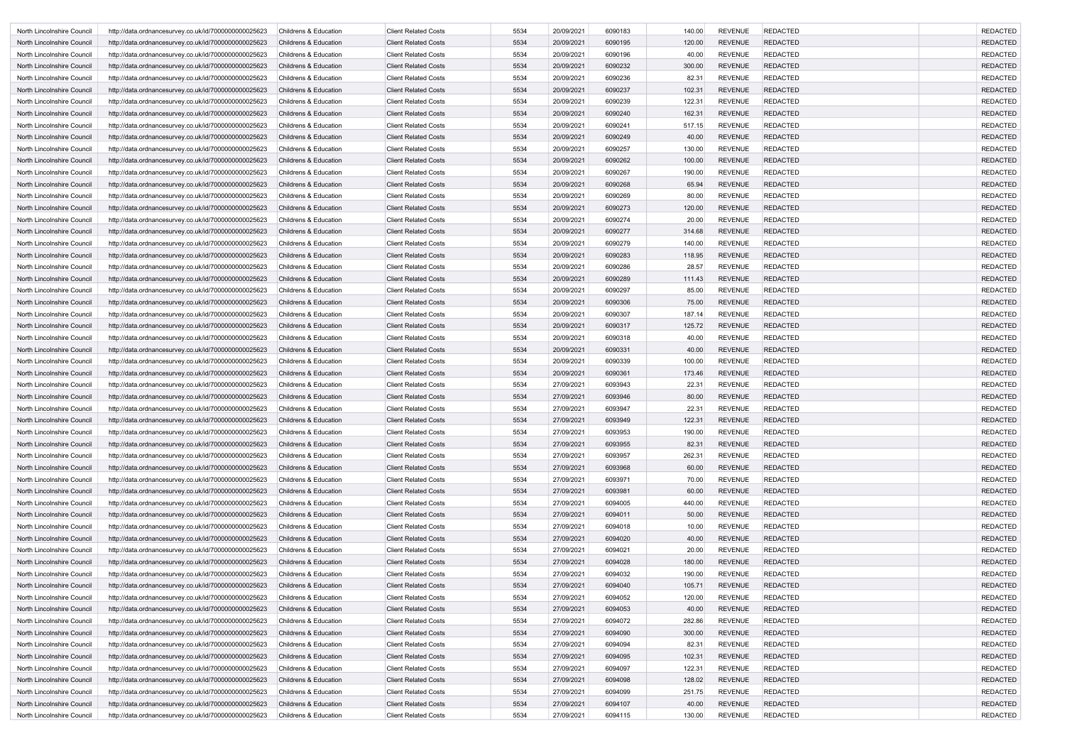| <b>REDACTED</b><br>5534<br>20/09/2021<br>6090183<br><b>REVENUE</b><br>North Lincolnshire Council<br>http://data.ordnancesurvey.co.uk/id/7000000000025623<br><b>Childrens &amp; Education</b><br><b>Client Related Costs</b><br>140.00<br>5534<br><b>REVENUE</b><br><b>REDACTED</b><br><b>Client Related Costs</b><br>20/09/2021<br>6090195<br>120.00<br>North Lincolnshire Council<br>http://data.ordnancesurvey.co.uk/id/7000000000025623<br><b>Childrens &amp; Education</b><br>5534<br><b>REVENUE</b><br><b>REDACTED</b><br><b>Client Related Costs</b><br>20/09/2021<br>6090196<br>40.00<br>North Lincolnshire Council<br>http://data.ordnancesurvey.co.uk/id/7000000000025623<br><b>Childrens &amp; Education</b><br>5534<br>6090232<br>300.00<br><b>REVENUE</b><br><b>REDACTED</b><br>North Lincolnshire Council<br><b>Childrens &amp; Education</b><br><b>Client Related Costs</b><br>20/09/2021<br>http://data.ordnancesurvey.co.uk/id/7000000000025623<br>5534<br><b>Client Related Costs</b><br>20/09/2021<br>6090236<br>82.31<br><b>REVENUE</b><br><b>REDACTED</b><br>North Lincolnshire Council<br>http://data.ordnancesurvey.co.uk/id/7000000000025623<br>Childrens & Education<br>5534<br>6090237<br><b>REVENUE</b><br><b>REDACTED</b><br><b>Client Related Costs</b><br>20/09/2021<br>102.31<br>North Lincolnshire Council<br>http://data.ordnancesurvey.co.uk/id/7000000000025623<br><b>Childrens &amp; Education</b><br>5534<br>122.31<br><b>REVENUE</b><br><b>REDACTED</b><br><b>Client Related Costs</b><br>20/09/2021<br>6090239<br>North Lincolnshire Council<br>http://data.ordnancesurvey.co.uk/id/7000000000025623<br><b>Childrens &amp; Education</b><br>5534<br>20/09/2021<br>6090240<br>162.31<br><b>REVENUE</b><br><b>REDACTED</b><br>North Lincolnshire Council<br>http://data.ordnancesurvey.co.uk/id/7000000000025623<br><b>Childrens &amp; Education</b><br><b>Client Related Costs</b><br>5534<br>6090241<br>517.15<br><b>REVENUE</b><br><b>REDACTED</b><br><b>Childrens &amp; Education</b><br><b>Client Related Costs</b><br>20/09/2021<br>North Lincolnshire Council<br>http://data.ordnancesurvey.co.uk/id/7000000000025623<br>5534<br>20/09/2021<br>6090249<br><b>REVENUE</b><br><b>REDACTED</b><br>North Lincolnshire Council<br>http://data.ordnancesurvey.co.uk/id/7000000000025623<br><b>Childrens &amp; Education</b><br><b>Client Related Costs</b><br>40.00<br>5534<br>6090257<br><b>REVENUE</b><br><b>REDACTED</b><br><b>Client Related Costs</b><br>20/09/2021<br>130.00<br>North Lincolnshire Council<br>http://data.ordnancesurvey.co.uk/id/7000000000025623<br><b>Childrens &amp; Education</b><br>5534<br>6090262<br><b>REVENUE</b><br><b>REDACTED</b><br><b>Client Related Costs</b><br>20/09/2021<br>100.00<br>North Lincolnshire Council<br>http://data.ordnancesurvey.co.uk/id/7000000000025623<br><b>Childrens &amp; Education</b><br>5534<br><b>REVENUE</b><br><b>REDACTED</b><br><b>Client Related Costs</b><br>20/09/2021<br>6090267<br>190.00<br>North Lincolnshire Council<br>http://data.ordnancesurvey.co.uk/id/7000000000025623<br><b>Childrens &amp; Education</b><br>5534<br>6090268<br>65.94<br><b>REVENUE</b><br><b>REDACTED</b><br>North Lincolnshire Council<br><b>Childrens &amp; Education</b><br><b>Client Related Costs</b><br>20/09/2021<br>http://data.ordnancesurvey.co.uk/id/7000000000025623<br>5534<br>6090269<br>80.00<br><b>REDACTED</b><br><b>Client Related Costs</b><br>20/09/2021<br><b>REVENUE</b><br>North Lincolnshire Council<br>http://data.ordnancesurvey.co.uk/id/7000000000025623<br><b>Childrens &amp; Education</b><br>5534<br><b>REVENUE</b><br><b>REDACTED</b><br><b>Client Related Costs</b><br>20/09/2021<br>6090273<br>120.00<br>North Lincolnshire Council<br>http://data.ordnancesurvey.co.uk/id/7000000000025623<br><b>Childrens &amp; Education</b><br>5534<br><b>REVENUE</b><br><b>REDACTED</b><br><b>Client Related Costs</b><br>20/09/2021<br>6090274<br>20.00<br>North Lincolnshire Council<br>http://data.ordnancesurvey.co.uk/id/7000000000025623<br><b>Childrens &amp; Education</b><br>5534<br>20/09/2021<br>6090277<br><b>REVENUE</b><br><b>REDACTED</b><br><b>Childrens &amp; Education</b><br><b>Client Related Costs</b><br>314.68<br>North Lincolnshire Council<br>http://data.ordnancesurvey.co.uk/id/7000000000025623<br>5534<br><b>REVENUE</b><br><b>REDACTED</b><br><b>Client Related Costs</b><br>20/09/2021<br>6090279<br>140.00<br>North Lincolnshire Council<br>http://data.ordnancesurvey.co.uk/id/7000000000025623<br>Childrens & Education<br>5534<br><b>Client Related Costs</b><br>20/09/2021<br>6090283<br>118.95<br><b>REVENUE</b><br><b>REDACTED</b><br>North Lincolnshire Council<br>http://data.ordnancesurvey.co.uk/id/7000000000025623<br><b>Childrens &amp; Education</b><br>5534<br>6090286<br><b>REVENUE</b><br><b>REDACTED</b><br><b>Client Related Costs</b><br>20/09/2021<br>28.57<br>North Lincolnshire Council<br>http://data.ordnancesurvey.co.uk/id/7000000000025623<br><b>Childrens &amp; Education</b><br>5534<br><b>REVENUE</b><br><b>REDACTED</b><br><b>Client Related Costs</b><br>20/09/2021<br>6090289<br>North Lincolnshire Council<br>http://data.ordnancesurvey.co.uk/id/7000000000025623<br><b>Childrens &amp; Education</b><br>111.43<br><b>REVENUE</b><br><b>Client Related Costs</b><br>5534<br>20/09/2021<br>6090297<br>85.00<br><b>REDACTED</b><br>North Lincolnshire Council<br>http://data.ordnancesurvey.co.uk/id/7000000000025623<br><b>Childrens &amp; Education</b><br>5534<br>6090306<br><b>REVENUE</b><br><b>REDACTED</b><br>North Lincolnshire Council<br><b>Childrens &amp; Education</b><br><b>Client Related Costs</b><br>20/09/2021<br>75.00<br>http://data.ordnancesurvey.co.uk/id/7000000000025623<br>5534<br>6090307<br>187.14<br><b>Client Related Costs</b><br>20/09/2021<br><b>REVENUE</b><br><b>REDACTED</b><br>North Lincolnshire Council<br>http://data.ordnancesurvey.co.uk/id/7000000000025623<br><b>Childrens &amp; Education</b><br>5534<br><b>REVENUE</b><br><b>REDACTED</b><br><b>Client Related Costs</b><br>20/09/2021<br>6090317<br>125.72<br>North Lincolnshire Council<br>http://data.ordnancesurvey.co.uk/id/7000000000025623<br><b>Childrens &amp; Education</b><br>5534<br><b>REVENUE</b><br><b>REDACTED</b><br><b>Client Related Costs</b><br>20/09/2021<br>6090318<br>40.00<br>North Lincolnshire Council<br>http://data.ordnancesurvey.co.uk/id/7000000000025623<br><b>Childrens &amp; Education</b><br>5534<br>20/09/2021<br>6090331<br>40.00<br><b>REVENUE</b><br><b>REDACTED</b><br><b>Client Related Costs</b><br>North Lincolnshire Council<br>http://data.ordnancesurvey.co.uk/id/7000000000025623<br>Childrens & Education<br><b>Client Related Costs</b><br>5534<br>20/09/2021<br>6090339<br>100.00<br><b>REVENUE</b><br><b>REDACTED</b><br>http://data.ordnancesurvey.co.uk/id/7000000000025623<br><b>Childrens &amp; Education</b><br>North Lincolnshire Council<br>5534<br><b>Client Related Costs</b><br>20/09/2021<br>6090361<br>173.46<br><b>REVENUE</b><br><b>REDACTED</b><br>North Lincolnshire Council<br>http://data.ordnancesurvey.co.uk/id/7000000000025623<br><b>Childrens &amp; Education</b><br>5534<br><b>REVENUE</b><br><b>REDACTED</b><br><b>Client Related Costs</b><br>27/09/2021<br>6093943<br>22.31<br>North Lincolnshire Council<br>http://data.ordnancesurvey.co.uk/id/7000000000025623<br><b>Childrens &amp; Education</b><br>5534<br><b>REVENUE</b><br><b>REDACTED</b><br><b>Client Related Costs</b><br>27/09/2021<br>6093946<br>80.00<br>North Lincolnshire Council<br>http://data.ordnancesurvey.co.uk/id/7000000000025623<br><b>Childrens &amp; Education</b><br>5534<br>27/09/2021<br>6093947<br>22.31<br><b>REVENUE</b><br><b>REDACTED</b><br>http://data.ordnancesurvey.co.uk/id/7000000000025623<br><b>Childrens &amp; Education</b><br><b>Client Related Costs</b><br>North Lincolnshire Council<br>http://data.ordnancesurvey.co.uk/id/7000000000025623<br>Childrens & Education<br><b>Client Related Costs</b><br>North Lincolnshire Council<br>5534<br>27/09/2021<br>122.31<br><b>REVENUE</b><br><b>REDACTED</b><br>6093949<br>5534<br><b>REDACTED</b><br><b>Client Related Costs</b><br>27/09/2021<br>6093953<br>190.00<br><b>REVENUE</b><br>North Lincolnshire Council<br>http://data.ordnancesurvey.co.uk/id/7000000000025623<br><b>Childrens &amp; Education</b><br>5534<br><b>REVENUE</b><br><b>REDACTED</b><br>North Lincolnshire Council<br>http://data.ordnancesurvey.co.uk/id/7000000000025623<br>Childrens & Education<br><b>Client Related Costs</b><br>27/09/2021<br>6093955<br>82.31<br><b>Client Related Costs</b><br>5534<br>27/09/2021<br>6093957<br><b>REVENUE</b><br><b>REDACTED</b><br>North Lincolnshire Council<br>http://data.ordnancesurvey.co.uk/id/7000000000025623<br>Childrens & Education<br>262.31<br>5534<br><b>REVENUE</b><br><b>Client Related Costs</b><br>27/09/2021<br>6093968<br>60.00<br><b>REDACTED</b><br>North Lincolnshire Council<br>http://data.ordnancesurvey.co.uk/id/7000000000025623<br><b>Childrens &amp; Education</b><br>5534<br>6093971<br>70.00<br><b>REVENUE</b><br><b>REDACTED</b><br>Childrens & Education<br><b>Client Related Costs</b><br>27/09/2021<br>North Lincolnshire Council<br>http://data.ordnancesurvey.co.uk/id/7000000000025623<br>5534<br>6093981<br><b>REVENUE</b><br>REDACTED<br>North Lincolnshire Council<br>Childrens & Education<br><b>Client Related Costs</b><br>27/09/2021<br>60.00<br>http://data.ordnancesurvey.co.uk/id/7000000000025623<br><b>Client Related Costs</b><br>5534<br><b>REVENUE</b><br><b>REDACTED</b><br>North Lincolnshire Council<br>http://data.ordnancesurvey.co.uk/id/7000000000025623<br>Childrens & Education<br>27/09/2021<br>6094005<br>440.00<br>5534<br><b>REVENUE</b><br><b>REDACTED</b><br><b>Client Related Costs</b><br>27/09/2021<br>6094011<br>50.00<br>North Lincolnshire Council<br>http://data.ordnancesurvey.co.uk/id/7000000000025623<br><b>Childrens &amp; Education</b><br>5534<br>27/09/2021<br>6094018<br><b>REVENUE</b><br><b>REDACTED</b><br>Childrens & Education<br><b>Client Related Costs</b><br>10.00<br>North Lincolnshire Council<br>http://data.ordnancesurvey.co.uk/id/7000000000025623<br><b>REVENUE</b><br><b>Client Related Costs</b><br>5534<br>27/09/2021<br>6094020<br>40.00<br><b>REDACTED</b><br>North Lincolnshire Council<br>http://data.ordnancesurvey.co.uk/id/7000000000025623<br><b>Childrens &amp; Education</b><br>5534<br><b>Client Related Costs</b><br>27/09/2021<br>6094021<br>20.00<br><b>REVENUE</b><br><b>REDACTED</b><br>North Lincolnshire Council<br>http://data.ordnancesurvey.co.uk/id/7000000000025623<br>Childrens & Education<br>5534<br><b>REVENUE</b><br><b>REDACTED</b><br>Childrens & Education<br><b>Client Related Costs</b><br>27/09/2021<br>6094028<br>180.00<br>North Lincolnshire Council<br>http://data.ordnancesurvey.co.uk/id/7000000000025623<br><b>Client Related Costs</b><br>5534<br>6094032<br>190.00<br><b>REVENUE</b><br><b>REDACTED</b><br>North Lincolnshire Council<br>Childrens & Education<br>27/09/2021<br>http://data.ordnancesurvey.co.uk/id/7000000000025623<br>5534<br>27/09/2021<br>6094040<br>105.71<br><b>REVENUE</b><br><b>REDACTED</b><br>North Lincolnshire Council<br>http://data.ordnancesurvey.co.uk/id/7000000000025623<br><b>Childrens &amp; Education</b><br><b>Client Related Costs</b><br>5534<br>6094052<br><b>REVENUE</b><br>Childrens & Education<br><b>Client Related Costs</b><br>27/09/2021<br>120.00<br><b>REDACTED</b><br>North Lincolnshire Council<br>http://data.ordnancesurvey.co.uk/id/7000000000025623<br>5534<br>6094053<br><b>REVENUE</b><br><b>REDACTED</b><br>North Lincolnshire Council<br>Childrens & Education<br><b>Client Related Costs</b><br>27/09/2021<br>40.00<br>http://data.ordnancesurvey.co.uk/id/7000000000025623<br>5534<br><b>REVENUE</b><br><b>REDACTED</b><br>North Lincolnshire Council<br>Childrens & Education<br><b>Client Related Costs</b><br>27/09/2021<br>6094072<br>282.86<br>http://data.ordnancesurvey.co.uk/id/7000000000025623<br>5534<br><b>REVENUE</b><br><b>REDACTED</b><br><b>Client Related Costs</b><br>27/09/2021<br>6094090<br>300.00<br>North Lincolnshire Council<br>http://data.ordnancesurvey.co.uk/id/7000000000025623<br><b>Childrens &amp; Education</b><br>5534<br>6094094<br><b>REVENUE</b><br><b>REDACTED</b><br>Childrens & Education<br><b>Client Related Costs</b><br>27/09/2021<br>82.31<br>North Lincolnshire Council<br>http://data.ordnancesurvey.co.uk/id/7000000000025623<br><b>REVENUE</b><br><b>Client Related Costs</b><br>5534<br>27/09/2021<br>6094095<br>102.31<br><b>REDACTED</b><br>North Lincolnshire Council<br>http://data.ordnancesurvey.co.uk/id/7000000000025623<br><b>Childrens &amp; Education</b><br>5534<br><b>Client Related Costs</b><br>27/09/2021<br>6094097<br>122.31<br><b>REVENUE</b><br><b>REDACTED</b><br>North Lincolnshire Council<br>http://data.ordnancesurvey.co.uk/id/7000000000025623<br>Childrens & Education<br>5534<br><b>REDACTED</b><br><b>Client Related Costs</b><br>6094098<br>128.02<br><b>REVENUE</b><br>North Lincolnshire Council<br>http://data.ordnancesurvey.co.uk/id/7000000000025623<br><b>Childrens &amp; Education</b><br>27/09/2021<br><b>Client Related Costs</b><br>5534<br>6094099<br>251.75<br><b>REVENUE</b><br><b>REDACTED</b><br>North Lincolnshire Council<br>http://data.ordnancesurvey.co.uk/id/7000000000025623<br>Childrens & Education<br>27/09/2021<br>5534<br><b>REVENUE</b><br><b>REDACTED</b><br>North Lincolnshire Council<br>Childrens & Education<br><b>Client Related Costs</b><br>27/09/2021<br>6094107<br>40.00<br>http://data.ordnancesurvey.co.uk/id/7000000000025623<br><b>Client Related Costs</b><br>5534<br>27/09/2021<br>6094115<br>130.00<br><b>REVENUE</b><br><b>REDACTED</b><br>North Lincolnshire Council<br>http://data.ordnancesurvey.co.uk/id/7000000000025623<br>Childrens & Education |  |  |  |  |  |                 |
|------------------------------------------------------------------------------------------------------------------------------------------------------------------------------------------------------------------------------------------------------------------------------------------------------------------------------------------------------------------------------------------------------------------------------------------------------------------------------------------------------------------------------------------------------------------------------------------------------------------------------------------------------------------------------------------------------------------------------------------------------------------------------------------------------------------------------------------------------------------------------------------------------------------------------------------------------------------------------------------------------------------------------------------------------------------------------------------------------------------------------------------------------------------------------------------------------------------------------------------------------------------------------------------------------------------------------------------------------------------------------------------------------------------------------------------------------------------------------------------------------------------------------------------------------------------------------------------------------------------------------------------------------------------------------------------------------------------------------------------------------------------------------------------------------------------------------------------------------------------------------------------------------------------------------------------------------------------------------------------------------------------------------------------------------------------------------------------------------------------------------------------------------------------------------------------------------------------------------------------------------------------------------------------------------------------------------------------------------------------------------------------------------------------------------------------------------------------------------------------------------------------------------------------------------------------------------------------------------------------------------------------------------------------------------------------------------------------------------------------------------------------------------------------------------------------------------------------------------------------------------------------------------------------------------------------------------------------------------------------------------------------------------------------------------------------------------------------------------------------------------------------------------------------------------------------------------------------------------------------------------------------------------------------------------------------------------------------------------------------------------------------------------------------------------------------------------------------------------------------------------------------------------------------------------------------------------------------------------------------------------------------------------------------------------------------------------------------------------------------------------------------------------------------------------------------------------------------------------------------------------------------------------------------------------------------------------------------------------------------------------------------------------------------------------------------------------------------------------------------------------------------------------------------------------------------------------------------------------------------------------------------------------------------------------------------------------------------------------------------------------------------------------------------------------------------------------------------------------------------------------------------------------------------------------------------------------------------------------------------------------------------------------------------------------------------------------------------------------------------------------------------------------------------------------------------------------------------------------------------------------------------------------------------------------------------------------------------------------------------------------------------------------------------------------------------------------------------------------------------------------------------------------------------------------------------------------------------------------------------------------------------------------------------------------------------------------------------------------------------------------------------------------------------------------------------------------------------------------------------------------------------------------------------------------------------------------------------------------------------------------------------------------------------------------------------------------------------------------------------------------------------------------------------------------------------------------------------------------------------------------------------------------------------------------------------------------------------------------------------------------------------------------------------------------------------------------------------------------------------------------------------------------------------------------------------------------------------------------------------------------------------------------------------------------------------------------------------------------------------------------------------------------------------------------------------------------------------------------------------------------------------------------------------------------------------------------------------------------------------------------------------------------------------------------------------------------------------------------------------------------------------------------------------------------------------------------------------------------------------------------------------------------------------------------------------------------------------------------------------------------------------------------------------------------------------------------------------------------------------------------------------------------------------------------------------------------------------------------------------------------------------------------------------------------------------------------------------------------------------------------------------------------------------------------------------------------------------------------------------------------------------------------------------------------------------------------------------------------------------------------------------------------------------------------------------------------------------------------------------------------------------------------------------------------------------------------------------------------------------------------------------------------------------------------------------------------------------------------------------------------------------------------------------------------------------------------------------------------------------------------------------------------------------------------------------------------------------------------------------------------------------------------------------------------------------------------------------------------------------------------------------------------------------------------------------------------------------------------------------------------------------------------------------------------------------------------------------------------------------------------------------------------------------------------------------------------------------------------------------------------------------------------------------------------------------------------------------------------------------------------------------------------------------------------------------------------------------------------------------------------------------------------------------------------------------------------------------------------------------------------------------------------------------------------------------------------------------------------------------------------------------------------------------------------------------------------------------------------------------------------------------------------------------------------------------------------------------------------------------------------------------------------------------------------------------------------------------------------------------------------------------------------------------------------------------------------------------------------------------------------------------------------------------------------------------------------------------------------------------------------------------------------------------------------------------------------------------------------------------------------------------------------------------------------------------------------------------------------------------------------------------------------------------------------------------------------------------------------------------------------------------------------------------------------------------------------------------------------------------------------------------------------------------------------------------------------------------------------------------------------------------------------------------------------------------------------------------------------------------------------------------------------------------------------------------------------------------------------------------------------------------------------------------------------------------------------------------------------------------------------------------------------------------------------------------------------------------------------------------------------------------------------------------------------------------------------------------------------------------------------------------------------------------------------------------------------------------------------------------------------------------------------------------------------------------------------------------------------------------------------------------------------------------------------------------------------------------------------------------------------------------------------------------------------------------------------------------------------------------------------------------------------------------------------------------------------------------------------------------------------------------------------------------------------------------------------------------------------------------------------------------------------------------------------------------------------------------------------------------------------------------------------------------------------------------------------------------------------------------------------------------------------------------------------------------------------------------------------------------------------------------------------------------------------------------------------------------------------------------------------------------------------------------------------------------------------------------------------------------------------------------------------------------------------------------------------------------------------------------------------------------------------------------------------------------------------------------------------------------------------------------------------------------------------------------------------------------------------------------------------------------------------------------------------------------------------------------------------------------------------------------------------------------------------------------------------------------------------------------------------------------------------------------------------------------------------------------------------------------------------------------------------------------------------------------------------------------------------------------------------------------------------------------------------------------------------------------------------------------------------------------------------------------------------------------------------------------------------------------------------------------------------------------------------------------------------------------------------------------------------------------------------------------------------------------------------------------------------------------------------------------------------------------------------------------------------------------------------------------------------------------------------------------|--|--|--|--|--|-----------------|
|                                                                                                                                                                                                                                                                                                                                                                                                                                                                                                                                                                                                                                                                                                                                                                                                                                                                                                                                                                                                                                                                                                                                                                                                                                                                                                                                                                                                                                                                                                                                                                                                                                                                                                                                                                                                                                                                                                                                                                                                                                                                                                                                                                                                                                                                                                                                                                                                                                                                                                                                                                                                                                                                                                                                                                                                                                                                                                                                                                                                                                                                                                                                                                                                                                                                                                                                                                                                                                                                                                                                                                                                                                                                                                                                                                                                                                                                                                                                                                                                                                                                                                                                                                                                                                                                                                                                                                                                                                                                                                                                                                                                                                                                                                                                                                                                                                                                                                                                                                                                                                                                                                                                                                                                                                                                                                                                                                                                                                                                                                                                                                                                                                                                                                                                                                                                                                                                                                                                                                                                                                                                                                                                                                                                                                                                                                                                                                                                                                                                                                                                                                                                                                                                                                                                                                                                                                                                                                                                                                                                                                                                                                                                                                                                                                                                                                                                                                                                                                                                                                                                                                                                                                                                                                                                                                                                                                                                                                                                                                                                                                                                                                                                                                                                                                                                                                                                                                                                                                                                                                                                                                                                                                                                                                                                                                                                                                                                                                                                                                                                                                                                                                                                                                                                                                                                                                                                                                                                                                                                                                                                                                                                                                                                                                                                                                                                                                                                                                                                                                                                                                                                                                                                                                                                                                                                                                                                                                                                                                                                                                                                                                                                                                                                                                                                                                                                                                                                                                                                                                                                                                                                                                                                                                                                                                                                                                                                                                                                                                                                                                                                                                                                                                                                                                                                                                                                                                                                                                                                                                                                                                                                                                                                                                                                                                                                                                                                                                                                                                                                                                                                                                                                                                                                                                                                                                                                                                                                                                                                                                                                                                                                                                                                                                                                                                                                                                                                                                                                                                                                                                                                                                                                                                                                                                                                                                                                                                                                                                                                                                                                                                          |  |  |  |  |  | <b>REDACTED</b> |
|                                                                                                                                                                                                                                                                                                                                                                                                                                                                                                                                                                                                                                                                                                                                                                                                                                                                                                                                                                                                                                                                                                                                                                                                                                                                                                                                                                                                                                                                                                                                                                                                                                                                                                                                                                                                                                                                                                                                                                                                                                                                                                                                                                                                                                                                                                                                                                                                                                                                                                                                                                                                                                                                                                                                                                                                                                                                                                                                                                                                                                                                                                                                                                                                                                                                                                                                                                                                                                                                                                                                                                                                                                                                                                                                                                                                                                                                                                                                                                                                                                                                                                                                                                                                                                                                                                                                                                                                                                                                                                                                                                                                                                                                                                                                                                                                                                                                                                                                                                                                                                                                                                                                                                                                                                                                                                                                                                                                                                                                                                                                                                                                                                                                                                                                                                                                                                                                                                                                                                                                                                                                                                                                                                                                                                                                                                                                                                                                                                                                                                                                                                                                                                                                                                                                                                                                                                                                                                                                                                                                                                                                                                                                                                                                                                                                                                                                                                                                                                                                                                                                                                                                                                                                                                                                                                                                                                                                                                                                                                                                                                                                                                                                                                                                                                                                                                                                                                                                                                                                                                                                                                                                                                                                                                                                                                                                                                                                                                                                                                                                                                                                                                                                                                                                                                                                                                                                                                                                                                                                                                                                                                                                                                                                                                                                                                                                                                                                                                                                                                                                                                                                                                                                                                                                                                                                                                                                                                                                                                                                                                                                                                                                                                                                                                                                                                                                                                                                                                                                                                                                                                                                                                                                                                                                                                                                                                                                                                                                                                                                                                                                                                                                                                                                                                                                                                                                                                                                                                                                                                                                                                                                                                                                                                                                                                                                                                                                                                                                                                                                                                                                                                                                                                                                                                                                                                                                                                                                                                                                                                                                                                                                                                                                                                                                                                                                                                                                                                                                                                                                                                                                                                                                                                                                                                                                                                                                                                                                                                                                                                                                                                          |  |  |  |  |  | <b>REDACTED</b> |
|                                                                                                                                                                                                                                                                                                                                                                                                                                                                                                                                                                                                                                                                                                                                                                                                                                                                                                                                                                                                                                                                                                                                                                                                                                                                                                                                                                                                                                                                                                                                                                                                                                                                                                                                                                                                                                                                                                                                                                                                                                                                                                                                                                                                                                                                                                                                                                                                                                                                                                                                                                                                                                                                                                                                                                                                                                                                                                                                                                                                                                                                                                                                                                                                                                                                                                                                                                                                                                                                                                                                                                                                                                                                                                                                                                                                                                                                                                                                                                                                                                                                                                                                                                                                                                                                                                                                                                                                                                                                                                                                                                                                                                                                                                                                                                                                                                                                                                                                                                                                                                                                                                                                                                                                                                                                                                                                                                                                                                                                                                                                                                                                                                                                                                                                                                                                                                                                                                                                                                                                                                                                                                                                                                                                                                                                                                                                                                                                                                                                                                                                                                                                                                                                                                                                                                                                                                                                                                                                                                                                                                                                                                                                                                                                                                                                                                                                                                                                                                                                                                                                                                                                                                                                                                                                                                                                                                                                                                                                                                                                                                                                                                                                                                                                                                                                                                                                                                                                                                                                                                                                                                                                                                                                                                                                                                                                                                                                                                                                                                                                                                                                                                                                                                                                                                                                                                                                                                                                                                                                                                                                                                                                                                                                                                                                                                                                                                                                                                                                                                                                                                                                                                                                                                                                                                                                                                                                                                                                                                                                                                                                                                                                                                                                                                                                                                                                                                                                                                                                                                                                                                                                                                                                                                                                                                                                                                                                                                                                                                                                                                                                                                                                                                                                                                                                                                                                                                                                                                                                                                                                                                                                                                                                                                                                                                                                                                                                                                                                                                                                                                                                                                                                                                                                                                                                                                                                                                                                                                                                                                                                                                                                                                                                                                                                                                                                                                                                                                                                                                                                                                                                                                                                                                                                                                                                                                                                                                                                                                                                                                                                                                          |  |  |  |  |  | <b>REDACTED</b> |
|                                                                                                                                                                                                                                                                                                                                                                                                                                                                                                                                                                                                                                                                                                                                                                                                                                                                                                                                                                                                                                                                                                                                                                                                                                                                                                                                                                                                                                                                                                                                                                                                                                                                                                                                                                                                                                                                                                                                                                                                                                                                                                                                                                                                                                                                                                                                                                                                                                                                                                                                                                                                                                                                                                                                                                                                                                                                                                                                                                                                                                                                                                                                                                                                                                                                                                                                                                                                                                                                                                                                                                                                                                                                                                                                                                                                                                                                                                                                                                                                                                                                                                                                                                                                                                                                                                                                                                                                                                                                                                                                                                                                                                                                                                                                                                                                                                                                                                                                                                                                                                                                                                                                                                                                                                                                                                                                                                                                                                                                                                                                                                                                                                                                                                                                                                                                                                                                                                                                                                                                                                                                                                                                                                                                                                                                                                                                                                                                                                                                                                                                                                                                                                                                                                                                                                                                                                                                                                                                                                                                                                                                                                                                                                                                                                                                                                                                                                                                                                                                                                                                                                                                                                                                                                                                                                                                                                                                                                                                                                                                                                                                                                                                                                                                                                                                                                                                                                                                                                                                                                                                                                                                                                                                                                                                                                                                                                                                                                                                                                                                                                                                                                                                                                                                                                                                                                                                                                                                                                                                                                                                                                                                                                                                                                                                                                                                                                                                                                                                                                                                                                                                                                                                                                                                                                                                                                                                                                                                                                                                                                                                                                                                                                                                                                                                                                                                                                                                                                                                                                                                                                                                                                                                                                                                                                                                                                                                                                                                                                                                                                                                                                                                                                                                                                                                                                                                                                                                                                                                                                                                                                                                                                                                                                                                                                                                                                                                                                                                                                                                                                                                                                                                                                                                                                                                                                                                                                                                                                                                                                                                                                                                                                                                                                                                                                                                                                                                                                                                                                                                                                                                                                                                                                                                                                                                                                                                                                                                                                                                                                                                                                          |  |  |  |  |  | <b>REDACTED</b> |
|                                                                                                                                                                                                                                                                                                                                                                                                                                                                                                                                                                                                                                                                                                                                                                                                                                                                                                                                                                                                                                                                                                                                                                                                                                                                                                                                                                                                                                                                                                                                                                                                                                                                                                                                                                                                                                                                                                                                                                                                                                                                                                                                                                                                                                                                                                                                                                                                                                                                                                                                                                                                                                                                                                                                                                                                                                                                                                                                                                                                                                                                                                                                                                                                                                                                                                                                                                                                                                                                                                                                                                                                                                                                                                                                                                                                                                                                                                                                                                                                                                                                                                                                                                                                                                                                                                                                                                                                                                                                                                                                                                                                                                                                                                                                                                                                                                                                                                                                                                                                                                                                                                                                                                                                                                                                                                                                                                                                                                                                                                                                                                                                                                                                                                                                                                                                                                                                                                                                                                                                                                                                                                                                                                                                                                                                                                                                                                                                                                                                                                                                                                                                                                                                                                                                                                                                                                                                                                                                                                                                                                                                                                                                                                                                                                                                                                                                                                                                                                                                                                                                                                                                                                                                                                                                                                                                                                                                                                                                                                                                                                                                                                                                                                                                                                                                                                                                                                                                                                                                                                                                                                                                                                                                                                                                                                                                                                                                                                                                                                                                                                                                                                                                                                                                                                                                                                                                                                                                                                                                                                                                                                                                                                                                                                                                                                                                                                                                                                                                                                                                                                                                                                                                                                                                                                                                                                                                                                                                                                                                                                                                                                                                                                                                                                                                                                                                                                                                                                                                                                                                                                                                                                                                                                                                                                                                                                                                                                                                                                                                                                                                                                                                                                                                                                                                                                                                                                                                                                                                                                                                                                                                                                                                                                                                                                                                                                                                                                                                                                                                                                                                                                                                                                                                                                                                                                                                                                                                                                                                                                                                                                                                                                                                                                                                                                                                                                                                                                                                                                                                                                                                                                                                                                                                                                                                                                                                                                                                                                                                                                                                                                          |  |  |  |  |  | <b>REDACTED</b> |
|                                                                                                                                                                                                                                                                                                                                                                                                                                                                                                                                                                                                                                                                                                                                                                                                                                                                                                                                                                                                                                                                                                                                                                                                                                                                                                                                                                                                                                                                                                                                                                                                                                                                                                                                                                                                                                                                                                                                                                                                                                                                                                                                                                                                                                                                                                                                                                                                                                                                                                                                                                                                                                                                                                                                                                                                                                                                                                                                                                                                                                                                                                                                                                                                                                                                                                                                                                                                                                                                                                                                                                                                                                                                                                                                                                                                                                                                                                                                                                                                                                                                                                                                                                                                                                                                                                                                                                                                                                                                                                                                                                                                                                                                                                                                                                                                                                                                                                                                                                                                                                                                                                                                                                                                                                                                                                                                                                                                                                                                                                                                                                                                                                                                                                                                                                                                                                                                                                                                                                                                                                                                                                                                                                                                                                                                                                                                                                                                                                                                                                                                                                                                                                                                                                                                                                                                                                                                                                                                                                                                                                                                                                                                                                                                                                                                                                                                                                                                                                                                                                                                                                                                                                                                                                                                                                                                                                                                                                                                                                                                                                                                                                                                                                                                                                                                                                                                                                                                                                                                                                                                                                                                                                                                                                                                                                                                                                                                                                                                                                                                                                                                                                                                                                                                                                                                                                                                                                                                                                                                                                                                                                                                                                                                                                                                                                                                                                                                                                                                                                                                                                                                                                                                                                                                                                                                                                                                                                                                                                                                                                                                                                                                                                                                                                                                                                                                                                                                                                                                                                                                                                                                                                                                                                                                                                                                                                                                                                                                                                                                                                                                                                                                                                                                                                                                                                                                                                                                                                                                                                                                                                                                                                                                                                                                                                                                                                                                                                                                                                                                                                                                                                                                                                                                                                                                                                                                                                                                                                                                                                                                                                                                                                                                                                                                                                                                                                                                                                                                                                                                                                                                                                                                                                                                                                                                                                                                                                                                                                                                                                                                                                          |  |  |  |  |  | <b>REDACTED</b> |
|                                                                                                                                                                                                                                                                                                                                                                                                                                                                                                                                                                                                                                                                                                                                                                                                                                                                                                                                                                                                                                                                                                                                                                                                                                                                                                                                                                                                                                                                                                                                                                                                                                                                                                                                                                                                                                                                                                                                                                                                                                                                                                                                                                                                                                                                                                                                                                                                                                                                                                                                                                                                                                                                                                                                                                                                                                                                                                                                                                                                                                                                                                                                                                                                                                                                                                                                                                                                                                                                                                                                                                                                                                                                                                                                                                                                                                                                                                                                                                                                                                                                                                                                                                                                                                                                                                                                                                                                                                                                                                                                                                                                                                                                                                                                                                                                                                                                                                                                                                                                                                                                                                                                                                                                                                                                                                                                                                                                                                                                                                                                                                                                                                                                                                                                                                                                                                                                                                                                                                                                                                                                                                                                                                                                                                                                                                                                                                                                                                                                                                                                                                                                                                                                                                                                                                                                                                                                                                                                                                                                                                                                                                                                                                                                                                                                                                                                                                                                                                                                                                                                                                                                                                                                                                                                                                                                                                                                                                                                                                                                                                                                                                                                                                                                                                                                                                                                                                                                                                                                                                                                                                                                                                                                                                                                                                                                                                                                                                                                                                                                                                                                                                                                                                                                                                                                                                                                                                                                                                                                                                                                                                                                                                                                                                                                                                                                                                                                                                                                                                                                                                                                                                                                                                                                                                                                                                                                                                                                                                                                                                                                                                                                                                                                                                                                                                                                                                                                                                                                                                                                                                                                                                                                                                                                                                                                                                                                                                                                                                                                                                                                                                                                                                                                                                                                                                                                                                                                                                                                                                                                                                                                                                                                                                                                                                                                                                                                                                                                                                                                                                                                                                                                                                                                                                                                                                                                                                                                                                                                                                                                                                                                                                                                                                                                                                                                                                                                                                                                                                                                                                                                                                                                                                                                                                                                                                                                                                                                                                                                                                                                                                          |  |  |  |  |  | <b>REDACTED</b> |
|                                                                                                                                                                                                                                                                                                                                                                                                                                                                                                                                                                                                                                                                                                                                                                                                                                                                                                                                                                                                                                                                                                                                                                                                                                                                                                                                                                                                                                                                                                                                                                                                                                                                                                                                                                                                                                                                                                                                                                                                                                                                                                                                                                                                                                                                                                                                                                                                                                                                                                                                                                                                                                                                                                                                                                                                                                                                                                                                                                                                                                                                                                                                                                                                                                                                                                                                                                                                                                                                                                                                                                                                                                                                                                                                                                                                                                                                                                                                                                                                                                                                                                                                                                                                                                                                                                                                                                                                                                                                                                                                                                                                                                                                                                                                                                                                                                                                                                                                                                                                                                                                                                                                                                                                                                                                                                                                                                                                                                                                                                                                                                                                                                                                                                                                                                                                                                                                                                                                                                                                                                                                                                                                                                                                                                                                                                                                                                                                                                                                                                                                                                                                                                                                                                                                                                                                                                                                                                                                                                                                                                                                                                                                                                                                                                                                                                                                                                                                                                                                                                                                                                                                                                                                                                                                                                                                                                                                                                                                                                                                                                                                                                                                                                                                                                                                                                                                                                                                                                                                                                                                                                                                                                                                                                                                                                                                                                                                                                                                                                                                                                                                                                                                                                                                                                                                                                                                                                                                                                                                                                                                                                                                                                                                                                                                                                                                                                                                                                                                                                                                                                                                                                                                                                                                                                                                                                                                                                                                                                                                                                                                                                                                                                                                                                                                                                                                                                                                                                                                                                                                                                                                                                                                                                                                                                                                                                                                                                                                                                                                                                                                                                                                                                                                                                                                                                                                                                                                                                                                                                                                                                                                                                                                                                                                                                                                                                                                                                                                                                                                                                                                                                                                                                                                                                                                                                                                                                                                                                                                                                                                                                                                                                                                                                                                                                                                                                                                                                                                                                                                                                                                                                                                                                                                                                                                                                                                                                                                                                                                                                                                                                          |  |  |  |  |  | <b>REDACTED</b> |
|                                                                                                                                                                                                                                                                                                                                                                                                                                                                                                                                                                                                                                                                                                                                                                                                                                                                                                                                                                                                                                                                                                                                                                                                                                                                                                                                                                                                                                                                                                                                                                                                                                                                                                                                                                                                                                                                                                                                                                                                                                                                                                                                                                                                                                                                                                                                                                                                                                                                                                                                                                                                                                                                                                                                                                                                                                                                                                                                                                                                                                                                                                                                                                                                                                                                                                                                                                                                                                                                                                                                                                                                                                                                                                                                                                                                                                                                                                                                                                                                                                                                                                                                                                                                                                                                                                                                                                                                                                                                                                                                                                                                                                                                                                                                                                                                                                                                                                                                                                                                                                                                                                                                                                                                                                                                                                                                                                                                                                                                                                                                                                                                                                                                                                                                                                                                                                                                                                                                                                                                                                                                                                                                                                                                                                                                                                                                                                                                                                                                                                                                                                                                                                                                                                                                                                                                                                                                                                                                                                                                                                                                                                                                                                                                                                                                                                                                                                                                                                                                                                                                                                                                                                                                                                                                                                                                                                                                                                                                                                                                                                                                                                                                                                                                                                                                                                                                                                                                                                                                                                                                                                                                                                                                                                                                                                                                                                                                                                                                                                                                                                                                                                                                                                                                                                                                                                                                                                                                                                                                                                                                                                                                                                                                                                                                                                                                                                                                                                                                                                                                                                                                                                                                                                                                                                                                                                                                                                                                                                                                                                                                                                                                                                                                                                                                                                                                                                                                                                                                                                                                                                                                                                                                                                                                                                                                                                                                                                                                                                                                                                                                                                                                                                                                                                                                                                                                                                                                                                                                                                                                                                                                                                                                                                                                                                                                                                                                                                                                                                                                                                                                                                                                                                                                                                                                                                                                                                                                                                                                                                                                                                                                                                                                                                                                                                                                                                                                                                                                                                                                                                                                                                                                                                                                                                                                                                                                                                                                                                                                                                                                                                          |  |  |  |  |  | <b>REDACTED</b> |
|                                                                                                                                                                                                                                                                                                                                                                                                                                                                                                                                                                                                                                                                                                                                                                                                                                                                                                                                                                                                                                                                                                                                                                                                                                                                                                                                                                                                                                                                                                                                                                                                                                                                                                                                                                                                                                                                                                                                                                                                                                                                                                                                                                                                                                                                                                                                                                                                                                                                                                                                                                                                                                                                                                                                                                                                                                                                                                                                                                                                                                                                                                                                                                                                                                                                                                                                                                                                                                                                                                                                                                                                                                                                                                                                                                                                                                                                                                                                                                                                                                                                                                                                                                                                                                                                                                                                                                                                                                                                                                                                                                                                                                                                                                                                                                                                                                                                                                                                                                                                                                                                                                                                                                                                                                                                                                                                                                                                                                                                                                                                                                                                                                                                                                                                                                                                                                                                                                                                                                                                                                                                                                                                                                                                                                                                                                                                                                                                                                                                                                                                                                                                                                                                                                                                                                                                                                                                                                                                                                                                                                                                                                                                                                                                                                                                                                                                                                                                                                                                                                                                                                                                                                                                                                                                                                                                                                                                                                                                                                                                                                                                                                                                                                                                                                                                                                                                                                                                                                                                                                                                                                                                                                                                                                                                                                                                                                                                                                                                                                                                                                                                                                                                                                                                                                                                                                                                                                                                                                                                                                                                                                                                                                                                                                                                                                                                                                                                                                                                                                                                                                                                                                                                                                                                                                                                                                                                                                                                                                                                                                                                                                                                                                                                                                                                                                                                                                                                                                                                                                                                                                                                                                                                                                                                                                                                                                                                                                                                                                                                                                                                                                                                                                                                                                                                                                                                                                                                                                                                                                                                                                                                                                                                                                                                                                                                                                                                                                                                                                                                                                                                                                                                                                                                                                                                                                                                                                                                                                                                                                                                                                                                                                                                                                                                                                                                                                                                                                                                                                                                                                                                                                                                                                                                                                                                                                                                                                                                                                                                                                                                                                          |  |  |  |  |  | <b>REDACTED</b> |
|                                                                                                                                                                                                                                                                                                                                                                                                                                                                                                                                                                                                                                                                                                                                                                                                                                                                                                                                                                                                                                                                                                                                                                                                                                                                                                                                                                                                                                                                                                                                                                                                                                                                                                                                                                                                                                                                                                                                                                                                                                                                                                                                                                                                                                                                                                                                                                                                                                                                                                                                                                                                                                                                                                                                                                                                                                                                                                                                                                                                                                                                                                                                                                                                                                                                                                                                                                                                                                                                                                                                                                                                                                                                                                                                                                                                                                                                                                                                                                                                                                                                                                                                                                                                                                                                                                                                                                                                                                                                                                                                                                                                                                                                                                                                                                                                                                                                                                                                                                                                                                                                                                                                                                                                                                                                                                                                                                                                                                                                                                                                                                                                                                                                                                                                                                                                                                                                                                                                                                                                                                                                                                                                                                                                                                                                                                                                                                                                                                                                                                                                                                                                                                                                                                                                                                                                                                                                                                                                                                                                                                                                                                                                                                                                                                                                                                                                                                                                                                                                                                                                                                                                                                                                                                                                                                                                                                                                                                                                                                                                                                                                                                                                                                                                                                                                                                                                                                                                                                                                                                                                                                                                                                                                                                                                                                                                                                                                                                                                                                                                                                                                                                                                                                                                                                                                                                                                                                                                                                                                                                                                                                                                                                                                                                                                                                                                                                                                                                                                                                                                                                                                                                                                                                                                                                                                                                                                                                                                                                                                                                                                                                                                                                                                                                                                                                                                                                                                                                                                                                                                                                                                                                                                                                                                                                                                                                                                                                                                                                                                                                                                                                                                                                                                                                                                                                                                                                                                                                                                                                                                                                                                                                                                                                                                                                                                                                                                                                                                                                                                                                                                                                                                                                                                                                                                                                                                                                                                                                                                                                                                                                                                                                                                                                                                                                                                                                                                                                                                                                                                                                                                                                                                                                                                                                                                                                                                                                                                                                                                                                                                                                          |  |  |  |  |  | <b>REDACTED</b> |
|                                                                                                                                                                                                                                                                                                                                                                                                                                                                                                                                                                                                                                                                                                                                                                                                                                                                                                                                                                                                                                                                                                                                                                                                                                                                                                                                                                                                                                                                                                                                                                                                                                                                                                                                                                                                                                                                                                                                                                                                                                                                                                                                                                                                                                                                                                                                                                                                                                                                                                                                                                                                                                                                                                                                                                                                                                                                                                                                                                                                                                                                                                                                                                                                                                                                                                                                                                                                                                                                                                                                                                                                                                                                                                                                                                                                                                                                                                                                                                                                                                                                                                                                                                                                                                                                                                                                                                                                                                                                                                                                                                                                                                                                                                                                                                                                                                                                                                                                                                                                                                                                                                                                                                                                                                                                                                                                                                                                                                                                                                                                                                                                                                                                                                                                                                                                                                                                                                                                                                                                                                                                                                                                                                                                                                                                                                                                                                                                                                                                                                                                                                                                                                                                                                                                                                                                                                                                                                                                                                                                                                                                                                                                                                                                                                                                                                                                                                                                                                                                                                                                                                                                                                                                                                                                                                                                                                                                                                                                                                                                                                                                                                                                                                                                                                                                                                                                                                                                                                                                                                                                                                                                                                                                                                                                                                                                                                                                                                                                                                                                                                                                                                                                                                                                                                                                                                                                                                                                                                                                                                                                                                                                                                                                                                                                                                                                                                                                                                                                                                                                                                                                                                                                                                                                                                                                                                                                                                                                                                                                                                                                                                                                                                                                                                                                                                                                                                                                                                                                                                                                                                                                                                                                                                                                                                                                                                                                                                                                                                                                                                                                                                                                                                                                                                                                                                                                                                                                                                                                                                                                                                                                                                                                                                                                                                                                                                                                                                                                                                                                                                                                                                                                                                                                                                                                                                                                                                                                                                                                                                                                                                                                                                                                                                                                                                                                                                                                                                                                                                                                                                                                                                                                                                                                                                                                                                                                                                                                                                                                                                                                                                          |  |  |  |  |  | <b>REDACTED</b> |
|                                                                                                                                                                                                                                                                                                                                                                                                                                                                                                                                                                                                                                                                                                                                                                                                                                                                                                                                                                                                                                                                                                                                                                                                                                                                                                                                                                                                                                                                                                                                                                                                                                                                                                                                                                                                                                                                                                                                                                                                                                                                                                                                                                                                                                                                                                                                                                                                                                                                                                                                                                                                                                                                                                                                                                                                                                                                                                                                                                                                                                                                                                                                                                                                                                                                                                                                                                                                                                                                                                                                                                                                                                                                                                                                                                                                                                                                                                                                                                                                                                                                                                                                                                                                                                                                                                                                                                                                                                                                                                                                                                                                                                                                                                                                                                                                                                                                                                                                                                                                                                                                                                                                                                                                                                                                                                                                                                                                                                                                                                                                                                                                                                                                                                                                                                                                                                                                                                                                                                                                                                                                                                                                                                                                                                                                                                                                                                                                                                                                                                                                                                                                                                                                                                                                                                                                                                                                                                                                                                                                                                                                                                                                                                                                                                                                                                                                                                                                                                                                                                                                                                                                                                                                                                                                                                                                                                                                                                                                                                                                                                                                                                                                                                                                                                                                                                                                                                                                                                                                                                                                                                                                                                                                                                                                                                                                                                                                                                                                                                                                                                                                                                                                                                                                                                                                                                                                                                                                                                                                                                                                                                                                                                                                                                                                                                                                                                                                                                                                                                                                                                                                                                                                                                                                                                                                                                                                                                                                                                                                                                                                                                                                                                                                                                                                                                                                                                                                                                                                                                                                                                                                                                                                                                                                                                                                                                                                                                                                                                                                                                                                                                                                                                                                                                                                                                                                                                                                                                                                                                                                                                                                                                                                                                                                                                                                                                                                                                                                                                                                                                                                                                                                                                                                                                                                                                                                                                                                                                                                                                                                                                                                                                                                                                                                                                                                                                                                                                                                                                                                                                                                                                                                                                                                                                                                                                                                                                                                                                                                                                                                                                          |  |  |  |  |  | <b>REDACTED</b> |
|                                                                                                                                                                                                                                                                                                                                                                                                                                                                                                                                                                                                                                                                                                                                                                                                                                                                                                                                                                                                                                                                                                                                                                                                                                                                                                                                                                                                                                                                                                                                                                                                                                                                                                                                                                                                                                                                                                                                                                                                                                                                                                                                                                                                                                                                                                                                                                                                                                                                                                                                                                                                                                                                                                                                                                                                                                                                                                                                                                                                                                                                                                                                                                                                                                                                                                                                                                                                                                                                                                                                                                                                                                                                                                                                                                                                                                                                                                                                                                                                                                                                                                                                                                                                                                                                                                                                                                                                                                                                                                                                                                                                                                                                                                                                                                                                                                                                                                                                                                                                                                                                                                                                                                                                                                                                                                                                                                                                                                                                                                                                                                                                                                                                                                                                                                                                                                                                                                                                                                                                                                                                                                                                                                                                                                                                                                                                                                                                                                                                                                                                                                                                                                                                                                                                                                                                                                                                                                                                                                                                                                                                                                                                                                                                                                                                                                                                                                                                                                                                                                                                                                                                                                                                                                                                                                                                                                                                                                                                                                                                                                                                                                                                                                                                                                                                                                                                                                                                                                                                                                                                                                                                                                                                                                                                                                                                                                                                                                                                                                                                                                                                                                                                                                                                                                                                                                                                                                                                                                                                                                                                                                                                                                                                                                                                                                                                                                                                                                                                                                                                                                                                                                                                                                                                                                                                                                                                                                                                                                                                                                                                                                                                                                                                                                                                                                                                                                                                                                                                                                                                                                                                                                                                                                                                                                                                                                                                                                                                                                                                                                                                                                                                                                                                                                                                                                                                                                                                                                                                                                                                                                                                                                                                                                                                                                                                                                                                                                                                                                                                                                                                                                                                                                                                                                                                                                                                                                                                                                                                                                                                                                                                                                                                                                                                                                                                                                                                                                                                                                                                                                                                                                                                                                                                                                                                                                                                                                                                                                                                                                                                                                          |  |  |  |  |  | <b>REDACTED</b> |
|                                                                                                                                                                                                                                                                                                                                                                                                                                                                                                                                                                                                                                                                                                                                                                                                                                                                                                                                                                                                                                                                                                                                                                                                                                                                                                                                                                                                                                                                                                                                                                                                                                                                                                                                                                                                                                                                                                                                                                                                                                                                                                                                                                                                                                                                                                                                                                                                                                                                                                                                                                                                                                                                                                                                                                                                                                                                                                                                                                                                                                                                                                                                                                                                                                                                                                                                                                                                                                                                                                                                                                                                                                                                                                                                                                                                                                                                                                                                                                                                                                                                                                                                                                                                                                                                                                                                                                                                                                                                                                                                                                                                                                                                                                                                                                                                                                                                                                                                                                                                                                                                                                                                                                                                                                                                                                                                                                                                                                                                                                                                                                                                                                                                                                                                                                                                                                                                                                                                                                                                                                                                                                                                                                                                                                                                                                                                                                                                                                                                                                                                                                                                                                                                                                                                                                                                                                                                                                                                                                                                                                                                                                                                                                                                                                                                                                                                                                                                                                                                                                                                                                                                                                                                                                                                                                                                                                                                                                                                                                                                                                                                                                                                                                                                                                                                                                                                                                                                                                                                                                                                                                                                                                                                                                                                                                                                                                                                                                                                                                                                                                                                                                                                                                                                                                                                                                                                                                                                                                                                                                                                                                                                                                                                                                                                                                                                                                                                                                                                                                                                                                                                                                                                                                                                                                                                                                                                                                                                                                                                                                                                                                                                                                                                                                                                                                                                                                                                                                                                                                                                                                                                                                                                                                                                                                                                                                                                                                                                                                                                                                                                                                                                                                                                                                                                                                                                                                                                                                                                                                                                                                                                                                                                                                                                                                                                                                                                                                                                                                                                                                                                                                                                                                                                                                                                                                                                                                                                                                                                                                                                                                                                                                                                                                                                                                                                                                                                                                                                                                                                                                                                                                                                                                                                                                                                                                                                                                                                                                                                                                                                                                          |  |  |  |  |  | <b>REDACTED</b> |
|                                                                                                                                                                                                                                                                                                                                                                                                                                                                                                                                                                                                                                                                                                                                                                                                                                                                                                                                                                                                                                                                                                                                                                                                                                                                                                                                                                                                                                                                                                                                                                                                                                                                                                                                                                                                                                                                                                                                                                                                                                                                                                                                                                                                                                                                                                                                                                                                                                                                                                                                                                                                                                                                                                                                                                                                                                                                                                                                                                                                                                                                                                                                                                                                                                                                                                                                                                                                                                                                                                                                                                                                                                                                                                                                                                                                                                                                                                                                                                                                                                                                                                                                                                                                                                                                                                                                                                                                                                                                                                                                                                                                                                                                                                                                                                                                                                                                                                                                                                                                                                                                                                                                                                                                                                                                                                                                                                                                                                                                                                                                                                                                                                                                                                                                                                                                                                                                                                                                                                                                                                                                                                                                                                                                                                                                                                                                                                                                                                                                                                                                                                                                                                                                                                                                                                                                                                                                                                                                                                                                                                                                                                                                                                                                                                                                                                                                                                                                                                                                                                                                                                                                                                                                                                                                                                                                                                                                                                                                                                                                                                                                                                                                                                                                                                                                                                                                                                                                                                                                                                                                                                                                                                                                                                                                                                                                                                                                                                                                                                                                                                                                                                                                                                                                                                                                                                                                                                                                                                                                                                                                                                                                                                                                                                                                                                                                                                                                                                                                                                                                                                                                                                                                                                                                                                                                                                                                                                                                                                                                                                                                                                                                                                                                                                                                                                                                                                                                                                                                                                                                                                                                                                                                                                                                                                                                                                                                                                                                                                                                                                                                                                                                                                                                                                                                                                                                                                                                                                                                                                                                                                                                                                                                                                                                                                                                                                                                                                                                                                                                                                                                                                                                                                                                                                                                                                                                                                                                                                                                                                                                                                                                                                                                                                                                                                                                                                                                                                                                                                                                                                                                                                                                                                                                                                                                                                                                                                                                                                                                                                                                                                          |  |  |  |  |  | <b>REDACTED</b> |
|                                                                                                                                                                                                                                                                                                                                                                                                                                                                                                                                                                                                                                                                                                                                                                                                                                                                                                                                                                                                                                                                                                                                                                                                                                                                                                                                                                                                                                                                                                                                                                                                                                                                                                                                                                                                                                                                                                                                                                                                                                                                                                                                                                                                                                                                                                                                                                                                                                                                                                                                                                                                                                                                                                                                                                                                                                                                                                                                                                                                                                                                                                                                                                                                                                                                                                                                                                                                                                                                                                                                                                                                                                                                                                                                                                                                                                                                                                                                                                                                                                                                                                                                                                                                                                                                                                                                                                                                                                                                                                                                                                                                                                                                                                                                                                                                                                                                                                                                                                                                                                                                                                                                                                                                                                                                                                                                                                                                                                                                                                                                                                                                                                                                                                                                                                                                                                                                                                                                                                                                                                                                                                                                                                                                                                                                                                                                                                                                                                                                                                                                                                                                                                                                                                                                                                                                                                                                                                                                                                                                                                                                                                                                                                                                                                                                                                                                                                                                                                                                                                                                                                                                                                                                                                                                                                                                                                                                                                                                                                                                                                                                                                                                                                                                                                                                                                                                                                                                                                                                                                                                                                                                                                                                                                                                                                                                                                                                                                                                                                                                                                                                                                                                                                                                                                                                                                                                                                                                                                                                                                                                                                                                                                                                                                                                                                                                                                                                                                                                                                                                                                                                                                                                                                                                                                                                                                                                                                                                                                                                                                                                                                                                                                                                                                                                                                                                                                                                                                                                                                                                                                                                                                                                                                                                                                                                                                                                                                                                                                                                                                                                                                                                                                                                                                                                                                                                                                                                                                                                                                                                                                                                                                                                                                                                                                                                                                                                                                                                                                                                                                                                                                                                                                                                                                                                                                                                                                                                                                                                                                                                                                                                                                                                                                                                                                                                                                                                                                                                                                                                                                                                                                                                                                                                                                                                                                                                                                                                                                                                                                                                                                          |  |  |  |  |  | <b>REDACTED</b> |
|                                                                                                                                                                                                                                                                                                                                                                                                                                                                                                                                                                                                                                                                                                                                                                                                                                                                                                                                                                                                                                                                                                                                                                                                                                                                                                                                                                                                                                                                                                                                                                                                                                                                                                                                                                                                                                                                                                                                                                                                                                                                                                                                                                                                                                                                                                                                                                                                                                                                                                                                                                                                                                                                                                                                                                                                                                                                                                                                                                                                                                                                                                                                                                                                                                                                                                                                                                                                                                                                                                                                                                                                                                                                                                                                                                                                                                                                                                                                                                                                                                                                                                                                                                                                                                                                                                                                                                                                                                                                                                                                                                                                                                                                                                                                                                                                                                                                                                                                                                                                                                                                                                                                                                                                                                                                                                                                                                                                                                                                                                                                                                                                                                                                                                                                                                                                                                                                                                                                                                                                                                                                                                                                                                                                                                                                                                                                                                                                                                                                                                                                                                                                                                                                                                                                                                                                                                                                                                                                                                                                                                                                                                                                                                                                                                                                                                                                                                                                                                                                                                                                                                                                                                                                                                                                                                                                                                                                                                                                                                                                                                                                                                                                                                                                                                                                                                                                                                                                                                                                                                                                                                                                                                                                                                                                                                                                                                                                                                                                                                                                                                                                                                                                                                                                                                                                                                                                                                                                                                                                                                                                                                                                                                                                                                                                                                                                                                                                                                                                                                                                                                                                                                                                                                                                                                                                                                                                                                                                                                                                                                                                                                                                                                                                                                                                                                                                                                                                                                                                                                                                                                                                                                                                                                                                                                                                                                                                                                                                                                                                                                                                                                                                                                                                                                                                                                                                                                                                                                                                                                                                                                                                                                                                                                                                                                                                                                                                                                                                                                                                                                                                                                                                                                                                                                                                                                                                                                                                                                                                                                                                                                                                                                                                                                                                                                                                                                                                                                                                                                                                                                                                                                                                                                                                                                                                                                                                                                                                                                                                                                                                                                          |  |  |  |  |  | <b>REDACTED</b> |
|                                                                                                                                                                                                                                                                                                                                                                                                                                                                                                                                                                                                                                                                                                                                                                                                                                                                                                                                                                                                                                                                                                                                                                                                                                                                                                                                                                                                                                                                                                                                                                                                                                                                                                                                                                                                                                                                                                                                                                                                                                                                                                                                                                                                                                                                                                                                                                                                                                                                                                                                                                                                                                                                                                                                                                                                                                                                                                                                                                                                                                                                                                                                                                                                                                                                                                                                                                                                                                                                                                                                                                                                                                                                                                                                                                                                                                                                                                                                                                                                                                                                                                                                                                                                                                                                                                                                                                                                                                                                                                                                                                                                                                                                                                                                                                                                                                                                                                                                                                                                                                                                                                                                                                                                                                                                                                                                                                                                                                                                                                                                                                                                                                                                                                                                                                                                                                                                                                                                                                                                                                                                                                                                                                                                                                                                                                                                                                                                                                                                                                                                                                                                                                                                                                                                                                                                                                                                                                                                                                                                                                                                                                                                                                                                                                                                                                                                                                                                                                                                                                                                                                                                                                                                                                                                                                                                                                                                                                                                                                                                                                                                                                                                                                                                                                                                                                                                                                                                                                                                                                                                                                                                                                                                                                                                                                                                                                                                                                                                                                                                                                                                                                                                                                                                                                                                                                                                                                                                                                                                                                                                                                                                                                                                                                                                                                                                                                                                                                                                                                                                                                                                                                                                                                                                                                                                                                                                                                                                                                                                                                                                                                                                                                                                                                                                                                                                                                                                                                                                                                                                                                                                                                                                                                                                                                                                                                                                                                                                                                                                                                                                                                                                                                                                                                                                                                                                                                                                                                                                                                                                                                                                                                                                                                                                                                                                                                                                                                                                                                                                                                                                                                                                                                                                                                                                                                                                                                                                                                                                                                                                                                                                                                                                                                                                                                                                                                                                                                                                                                                                                                                                                                                                                                                                                                                                                                                                                                                                                                                                                                                                                                          |  |  |  |  |  | <b>REDACTED</b> |
|                                                                                                                                                                                                                                                                                                                                                                                                                                                                                                                                                                                                                                                                                                                                                                                                                                                                                                                                                                                                                                                                                                                                                                                                                                                                                                                                                                                                                                                                                                                                                                                                                                                                                                                                                                                                                                                                                                                                                                                                                                                                                                                                                                                                                                                                                                                                                                                                                                                                                                                                                                                                                                                                                                                                                                                                                                                                                                                                                                                                                                                                                                                                                                                                                                                                                                                                                                                                                                                                                                                                                                                                                                                                                                                                                                                                                                                                                                                                                                                                                                                                                                                                                                                                                                                                                                                                                                                                                                                                                                                                                                                                                                                                                                                                                                                                                                                                                                                                                                                                                                                                                                                                                                                                                                                                                                                                                                                                                                                                                                                                                                                                                                                                                                                                                                                                                                                                                                                                                                                                                                                                                                                                                                                                                                                                                                                                                                                                                                                                                                                                                                                                                                                                                                                                                                                                                                                                                                                                                                                                                                                                                                                                                                                                                                                                                                                                                                                                                                                                                                                                                                                                                                                                                                                                                                                                                                                                                                                                                                                                                                                                                                                                                                                                                                                                                                                                                                                                                                                                                                                                                                                                                                                                                                                                                                                                                                                                                                                                                                                                                                                                                                                                                                                                                                                                                                                                                                                                                                                                                                                                                                                                                                                                                                                                                                                                                                                                                                                                                                                                                                                                                                                                                                                                                                                                                                                                                                                                                                                                                                                                                                                                                                                                                                                                                                                                                                                                                                                                                                                                                                                                                                                                                                                                                                                                                                                                                                                                                                                                                                                                                                                                                                                                                                                                                                                                                                                                                                                                                                                                                                                                                                                                                                                                                                                                                                                                                                                                                                                                                                                                                                                                                                                                                                                                                                                                                                                                                                                                                                                                                                                                                                                                                                                                                                                                                                                                                                                                                                                                                                                                                                                                                                                                                                                                                                                                                                                                                                                                                                                                                                          |  |  |  |  |  | <b>REDACTED</b> |
|                                                                                                                                                                                                                                                                                                                                                                                                                                                                                                                                                                                                                                                                                                                                                                                                                                                                                                                                                                                                                                                                                                                                                                                                                                                                                                                                                                                                                                                                                                                                                                                                                                                                                                                                                                                                                                                                                                                                                                                                                                                                                                                                                                                                                                                                                                                                                                                                                                                                                                                                                                                                                                                                                                                                                                                                                                                                                                                                                                                                                                                                                                                                                                                                                                                                                                                                                                                                                                                                                                                                                                                                                                                                                                                                                                                                                                                                                                                                                                                                                                                                                                                                                                                                                                                                                                                                                                                                                                                                                                                                                                                                                                                                                                                                                                                                                                                                                                                                                                                                                                                                                                                                                                                                                                                                                                                                                                                                                                                                                                                                                                                                                                                                                                                                                                                                                                                                                                                                                                                                                                                                                                                                                                                                                                                                                                                                                                                                                                                                                                                                                                                                                                                                                                                                                                                                                                                                                                                                                                                                                                                                                                                                                                                                                                                                                                                                                                                                                                                                                                                                                                                                                                                                                                                                                                                                                                                                                                                                                                                                                                                                                                                                                                                                                                                                                                                                                                                                                                                                                                                                                                                                                                                                                                                                                                                                                                                                                                                                                                                                                                                                                                                                                                                                                                                                                                                                                                                                                                                                                                                                                                                                                                                                                                                                                                                                                                                                                                                                                                                                                                                                                                                                                                                                                                                                                                                                                                                                                                                                                                                                                                                                                                                                                                                                                                                                                                                                                                                                                                                                                                                                                                                                                                                                                                                                                                                                                                                                                                                                                                                                                                                                                                                                                                                                                                                                                                                                                                                                                                                                                                                                                                                                                                                                                                                                                                                                                                                                                                                                                                                                                                                                                                                                                                                                                                                                                                                                                                                                                                                                                                                                                                                                                                                                                                                                                                                                                                                                                                                                                                                                                                                                                                                                                                                                                                                                                                                                                                                                                                                                                                          |  |  |  |  |  | <b>REDACTED</b> |
|                                                                                                                                                                                                                                                                                                                                                                                                                                                                                                                                                                                                                                                                                                                                                                                                                                                                                                                                                                                                                                                                                                                                                                                                                                                                                                                                                                                                                                                                                                                                                                                                                                                                                                                                                                                                                                                                                                                                                                                                                                                                                                                                                                                                                                                                                                                                                                                                                                                                                                                                                                                                                                                                                                                                                                                                                                                                                                                                                                                                                                                                                                                                                                                                                                                                                                                                                                                                                                                                                                                                                                                                                                                                                                                                                                                                                                                                                                                                                                                                                                                                                                                                                                                                                                                                                                                                                                                                                                                                                                                                                                                                                                                                                                                                                                                                                                                                                                                                                                                                                                                                                                                                                                                                                                                                                                                                                                                                                                                                                                                                                                                                                                                                                                                                                                                                                                                                                                                                                                                                                                                                                                                                                                                                                                                                                                                                                                                                                                                                                                                                                                                                                                                                                                                                                                                                                                                                                                                                                                                                                                                                                                                                                                                                                                                                                                                                                                                                                                                                                                                                                                                                                                                                                                                                                                                                                                                                                                                                                                                                                                                                                                                                                                                                                                                                                                                                                                                                                                                                                                                                                                                                                                                                                                                                                                                                                                                                                                                                                                                                                                                                                                                                                                                                                                                                                                                                                                                                                                                                                                                                                                                                                                                                                                                                                                                                                                                                                                                                                                                                                                                                                                                                                                                                                                                                                                                                                                                                                                                                                                                                                                                                                                                                                                                                                                                                                                                                                                                                                                                                                                                                                                                                                                                                                                                                                                                                                                                                                                                                                                                                                                                                                                                                                                                                                                                                                                                                                                                                                                                                                                                                                                                                                                                                                                                                                                                                                                                                                                                                                                                                                                                                                                                                                                                                                                                                                                                                                                                                                                                                                                                                                                                                                                                                                                                                                                                                                                                                                                                                                                                                                                                                                                                                                                                                                                                                                                                                                                                                                                                                                                          |  |  |  |  |  | <b>REDACTED</b> |
|                                                                                                                                                                                                                                                                                                                                                                                                                                                                                                                                                                                                                                                                                                                                                                                                                                                                                                                                                                                                                                                                                                                                                                                                                                                                                                                                                                                                                                                                                                                                                                                                                                                                                                                                                                                                                                                                                                                                                                                                                                                                                                                                                                                                                                                                                                                                                                                                                                                                                                                                                                                                                                                                                                                                                                                                                                                                                                                                                                                                                                                                                                                                                                                                                                                                                                                                                                                                                                                                                                                                                                                                                                                                                                                                                                                                                                                                                                                                                                                                                                                                                                                                                                                                                                                                                                                                                                                                                                                                                                                                                                                                                                                                                                                                                                                                                                                                                                                                                                                                                                                                                                                                                                                                                                                                                                                                                                                                                                                                                                                                                                                                                                                                                                                                                                                                                                                                                                                                                                                                                                                                                                                                                                                                                                                                                                                                                                                                                                                                                                                                                                                                                                                                                                                                                                                                                                                                                                                                                                                                                                                                                                                                                                                                                                                                                                                                                                                                                                                                                                                                                                                                                                                                                                                                                                                                                                                                                                                                                                                                                                                                                                                                                                                                                                                                                                                                                                                                                                                                                                                                                                                                                                                                                                                                                                                                                                                                                                                                                                                                                                                                                                                                                                                                                                                                                                                                                                                                                                                                                                                                                                                                                                                                                                                                                                                                                                                                                                                                                                                                                                                                                                                                                                                                                                                                                                                                                                                                                                                                                                                                                                                                                                                                                                                                                                                                                                                                                                                                                                                                                                                                                                                                                                                                                                                                                                                                                                                                                                                                                                                                                                                                                                                                                                                                                                                                                                                                                                                                                                                                                                                                                                                                                                                                                                                                                                                                                                                                                                                                                                                                                                                                                                                                                                                                                                                                                                                                                                                                                                                                                                                                                                                                                                                                                                                                                                                                                                                                                                                                                                                                                                                                                                                                                                                                                                                                                                                                                                                                                                                                                                          |  |  |  |  |  | <b>REDACTED</b> |
|                                                                                                                                                                                                                                                                                                                                                                                                                                                                                                                                                                                                                                                                                                                                                                                                                                                                                                                                                                                                                                                                                                                                                                                                                                                                                                                                                                                                                                                                                                                                                                                                                                                                                                                                                                                                                                                                                                                                                                                                                                                                                                                                                                                                                                                                                                                                                                                                                                                                                                                                                                                                                                                                                                                                                                                                                                                                                                                                                                                                                                                                                                                                                                                                                                                                                                                                                                                                                                                                                                                                                                                                                                                                                                                                                                                                                                                                                                                                                                                                                                                                                                                                                                                                                                                                                                                                                                                                                                                                                                                                                                                                                                                                                                                                                                                                                                                                                                                                                                                                                                                                                                                                                                                                                                                                                                                                                                                                                                                                                                                                                                                                                                                                                                                                                                                                                                                                                                                                                                                                                                                                                                                                                                                                                                                                                                                                                                                                                                                                                                                                                                                                                                                                                                                                                                                                                                                                                                                                                                                                                                                                                                                                                                                                                                                                                                                                                                                                                                                                                                                                                                                                                                                                                                                                                                                                                                                                                                                                                                                                                                                                                                                                                                                                                                                                                                                                                                                                                                                                                                                                                                                                                                                                                                                                                                                                                                                                                                                                                                                                                                                                                                                                                                                                                                                                                                                                                                                                                                                                                                                                                                                                                                                                                                                                                                                                                                                                                                                                                                                                                                                                                                                                                                                                                                                                                                                                                                                                                                                                                                                                                                                                                                                                                                                                                                                                                                                                                                                                                                                                                                                                                                                                                                                                                                                                                                                                                                                                                                                                                                                                                                                                                                                                                                                                                                                                                                                                                                                                                                                                                                                                                                                                                                                                                                                                                                                                                                                                                                                                                                                                                                                                                                                                                                                                                                                                                                                                                                                                                                                                                                                                                                                                                                                                                                                                                                                                                                                                                                                                                                                                                                                                                                                                                                                                                                                                                                                                                                                                                                                                                                          |  |  |  |  |  | <b>REDACTED</b> |
|                                                                                                                                                                                                                                                                                                                                                                                                                                                                                                                                                                                                                                                                                                                                                                                                                                                                                                                                                                                                                                                                                                                                                                                                                                                                                                                                                                                                                                                                                                                                                                                                                                                                                                                                                                                                                                                                                                                                                                                                                                                                                                                                                                                                                                                                                                                                                                                                                                                                                                                                                                                                                                                                                                                                                                                                                                                                                                                                                                                                                                                                                                                                                                                                                                                                                                                                                                                                                                                                                                                                                                                                                                                                                                                                                                                                                                                                                                                                                                                                                                                                                                                                                                                                                                                                                                                                                                                                                                                                                                                                                                                                                                                                                                                                                                                                                                                                                                                                                                                                                                                                                                                                                                                                                                                                                                                                                                                                                                                                                                                                                                                                                                                                                                                                                                                                                                                                                                                                                                                                                                                                                                                                                                                                                                                                                                                                                                                                                                                                                                                                                                                                                                                                                                                                                                                                                                                                                                                                                                                                                                                                                                                                                                                                                                                                                                                                                                                                                                                                                                                                                                                                                                                                                                                                                                                                                                                                                                                                                                                                                                                                                                                                                                                                                                                                                                                                                                                                                                                                                                                                                                                                                                                                                                                                                                                                                                                                                                                                                                                                                                                                                                                                                                                                                                                                                                                                                                                                                                                                                                                                                                                                                                                                                                                                                                                                                                                                                                                                                                                                                                                                                                                                                                                                                                                                                                                                                                                                                                                                                                                                                                                                                                                                                                                                                                                                                                                                                                                                                                                                                                                                                                                                                                                                                                                                                                                                                                                                                                                                                                                                                                                                                                                                                                                                                                                                                                                                                                                                                                                                                                                                                                                                                                                                                                                                                                                                                                                                                                                                                                                                                                                                                                                                                                                                                                                                                                                                                                                                                                                                                                                                                                                                                                                                                                                                                                                                                                                                                                                                                                                                                                                                                                                                                                                                                                                                                                                                                                                                                                                                                                          |  |  |  |  |  | <b>REDACTED</b> |
|                                                                                                                                                                                                                                                                                                                                                                                                                                                                                                                                                                                                                                                                                                                                                                                                                                                                                                                                                                                                                                                                                                                                                                                                                                                                                                                                                                                                                                                                                                                                                                                                                                                                                                                                                                                                                                                                                                                                                                                                                                                                                                                                                                                                                                                                                                                                                                                                                                                                                                                                                                                                                                                                                                                                                                                                                                                                                                                                                                                                                                                                                                                                                                                                                                                                                                                                                                                                                                                                                                                                                                                                                                                                                                                                                                                                                                                                                                                                                                                                                                                                                                                                                                                                                                                                                                                                                                                                                                                                                                                                                                                                                                                                                                                                                                                                                                                                                                                                                                                                                                                                                                                                                                                                                                                                                                                                                                                                                                                                                                                                                                                                                                                                                                                                                                                                                                                                                                                                                                                                                                                                                                                                                                                                                                                                                                                                                                                                                                                                                                                                                                                                                                                                                                                                                                                                                                                                                                                                                                                                                                                                                                                                                                                                                                                                                                                                                                                                                                                                                                                                                                                                                                                                                                                                                                                                                                                                                                                                                                                                                                                                                                                                                                                                                                                                                                                                                                                                                                                                                                                                                                                                                                                                                                                                                                                                                                                                                                                                                                                                                                                                                                                                                                                                                                                                                                                                                                                                                                                                                                                                                                                                                                                                                                                                                                                                                                                                                                                                                                                                                                                                                                                                                                                                                                                                                                                                                                                                                                                                                                                                                                                                                                                                                                                                                                                                                                                                                                                                                                                                                                                                                                                                                                                                                                                                                                                                                                                                                                                                                                                                                                                                                                                                                                                                                                                                                                                                                                                                                                                                                                                                                                                                                                                                                                                                                                                                                                                                                                                                                                                                                                                                                                                                                                                                                                                                                                                                                                                                                                                                                                                                                                                                                                                                                                                                                                                                                                                                                                                                                                                                                                                                                                                                                                                                                                                                                                                                                                                                                                                                                                          |  |  |  |  |  | <b>REDACTED</b> |
|                                                                                                                                                                                                                                                                                                                                                                                                                                                                                                                                                                                                                                                                                                                                                                                                                                                                                                                                                                                                                                                                                                                                                                                                                                                                                                                                                                                                                                                                                                                                                                                                                                                                                                                                                                                                                                                                                                                                                                                                                                                                                                                                                                                                                                                                                                                                                                                                                                                                                                                                                                                                                                                                                                                                                                                                                                                                                                                                                                                                                                                                                                                                                                                                                                                                                                                                                                                                                                                                                                                                                                                                                                                                                                                                                                                                                                                                                                                                                                                                                                                                                                                                                                                                                                                                                                                                                                                                                                                                                                                                                                                                                                                                                                                                                                                                                                                                                                                                                                                                                                                                                                                                                                                                                                                                                                                                                                                                                                                                                                                                                                                                                                                                                                                                                                                                                                                                                                                                                                                                                                                                                                                                                                                                                                                                                                                                                                                                                                                                                                                                                                                                                                                                                                                                                                                                                                                                                                                                                                                                                                                                                                                                                                                                                                                                                                                                                                                                                                                                                                                                                                                                                                                                                                                                                                                                                                                                                                                                                                                                                                                                                                                                                                                                                                                                                                                                                                                                                                                                                                                                                                                                                                                                                                                                                                                                                                                                                                                                                                                                                                                                                                                                                                                                                                                                                                                                                                                                                                                                                                                                                                                                                                                                                                                                                                                                                                                                                                                                                                                                                                                                                                                                                                                                                                                                                                                                                                                                                                                                                                                                                                                                                                                                                                                                                                                                                                                                                                                                                                                                                                                                                                                                                                                                                                                                                                                                                                                                                                                                                                                                                                                                                                                                                                                                                                                                                                                                                                                                                                                                                                                                                                                                                                                                                                                                                                                                                                                                                                                                                                                                                                                                                                                                                                                                                                                                                                                                                                                                                                                                                                                                                                                                                                                                                                                                                                                                                                                                                                                                                                                                                                                                                                                                                                                                                                                                                                                                                                                                                                                                                                          |  |  |  |  |  | <b>REDACTED</b> |
|                                                                                                                                                                                                                                                                                                                                                                                                                                                                                                                                                                                                                                                                                                                                                                                                                                                                                                                                                                                                                                                                                                                                                                                                                                                                                                                                                                                                                                                                                                                                                                                                                                                                                                                                                                                                                                                                                                                                                                                                                                                                                                                                                                                                                                                                                                                                                                                                                                                                                                                                                                                                                                                                                                                                                                                                                                                                                                                                                                                                                                                                                                                                                                                                                                                                                                                                                                                                                                                                                                                                                                                                                                                                                                                                                                                                                                                                                                                                                                                                                                                                                                                                                                                                                                                                                                                                                                                                                                                                                                                                                                                                                                                                                                                                                                                                                                                                                                                                                                                                                                                                                                                                                                                                                                                                                                                                                                                                                                                                                                                                                                                                                                                                                                                                                                                                                                                                                                                                                                                                                                                                                                                                                                                                                                                                                                                                                                                                                                                                                                                                                                                                                                                                                                                                                                                                                                                                                                                                                                                                                                                                                                                                                                                                                                                                                                                                                                                                                                                                                                                                                                                                                                                                                                                                                                                                                                                                                                                                                                                                                                                                                                                                                                                                                                                                                                                                                                                                                                                                                                                                                                                                                                                                                                                                                                                                                                                                                                                                                                                                                                                                                                                                                                                                                                                                                                                                                                                                                                                                                                                                                                                                                                                                                                                                                                                                                                                                                                                                                                                                                                                                                                                                                                                                                                                                                                                                                                                                                                                                                                                                                                                                                                                                                                                                                                                                                                                                                                                                                                                                                                                                                                                                                                                                                                                                                                                                                                                                                                                                                                                                                                                                                                                                                                                                                                                                                                                                                                                                                                                                                                                                                                                                                                                                                                                                                                                                                                                                                                                                                                                                                                                                                                                                                                                                                                                                                                                                                                                                                                                                                                                                                                                                                                                                                                                                                                                                                                                                                                                                                                                                                                                                                                                                                                                                                                                                                                                                                                                                                                                                                                          |  |  |  |  |  | <b>REDACTED</b> |
|                                                                                                                                                                                                                                                                                                                                                                                                                                                                                                                                                                                                                                                                                                                                                                                                                                                                                                                                                                                                                                                                                                                                                                                                                                                                                                                                                                                                                                                                                                                                                                                                                                                                                                                                                                                                                                                                                                                                                                                                                                                                                                                                                                                                                                                                                                                                                                                                                                                                                                                                                                                                                                                                                                                                                                                                                                                                                                                                                                                                                                                                                                                                                                                                                                                                                                                                                                                                                                                                                                                                                                                                                                                                                                                                                                                                                                                                                                                                                                                                                                                                                                                                                                                                                                                                                                                                                                                                                                                                                                                                                                                                                                                                                                                                                                                                                                                                                                                                                                                                                                                                                                                                                                                                                                                                                                                                                                                                                                                                                                                                                                                                                                                                                                                                                                                                                                                                                                                                                                                                                                                                                                                                                                                                                                                                                                                                                                                                                                                                                                                                                                                                                                                                                                                                                                                                                                                                                                                                                                                                                                                                                                                                                                                                                                                                                                                                                                                                                                                                                                                                                                                                                                                                                                                                                                                                                                                                                                                                                                                                                                                                                                                                                                                                                                                                                                                                                                                                                                                                                                                                                                                                                                                                                                                                                                                                                                                                                                                                                                                                                                                                                                                                                                                                                                                                                                                                                                                                                                                                                                                                                                                                                                                                                                                                                                                                                                                                                                                                                                                                                                                                                                                                                                                                                                                                                                                                                                                                                                                                                                                                                                                                                                                                                                                                                                                                                                                                                                                                                                                                                                                                                                                                                                                                                                                                                                                                                                                                                                                                                                                                                                                                                                                                                                                                                                                                                                                                                                                                                                                                                                                                                                                                                                                                                                                                                                                                                                                                                                                                                                                                                                                                                                                                                                                                                                                                                                                                                                                                                                                                                                                                                                                                                                                                                                                                                                                                                                                                                                                                                                                                                                                                                                                                                                                                                                                                                                                                                                                                                                                                                                          |  |  |  |  |  | <b>REDACTED</b> |
|                                                                                                                                                                                                                                                                                                                                                                                                                                                                                                                                                                                                                                                                                                                                                                                                                                                                                                                                                                                                                                                                                                                                                                                                                                                                                                                                                                                                                                                                                                                                                                                                                                                                                                                                                                                                                                                                                                                                                                                                                                                                                                                                                                                                                                                                                                                                                                                                                                                                                                                                                                                                                                                                                                                                                                                                                                                                                                                                                                                                                                                                                                                                                                                                                                                                                                                                                                                                                                                                                                                                                                                                                                                                                                                                                                                                                                                                                                                                                                                                                                                                                                                                                                                                                                                                                                                                                                                                                                                                                                                                                                                                                                                                                                                                                                                                                                                                                                                                                                                                                                                                                                                                                                                                                                                                                                                                                                                                                                                                                                                                                                                                                                                                                                                                                                                                                                                                                                                                                                                                                                                                                                                                                                                                                                                                                                                                                                                                                                                                                                                                                                                                                                                                                                                                                                                                                                                                                                                                                                                                                                                                                                                                                                                                                                                                                                                                                                                                                                                                                                                                                                                                                                                                                                                                                                                                                                                                                                                                                                                                                                                                                                                                                                                                                                                                                                                                                                                                                                                                                                                                                                                                                                                                                                                                                                                                                                                                                                                                                                                                                                                                                                                                                                                                                                                                                                                                                                                                                                                                                                                                                                                                                                                                                                                                                                                                                                                                                                                                                                                                                                                                                                                                                                                                                                                                                                                                                                                                                                                                                                                                                                                                                                                                                                                                                                                                                                                                                                                                                                                                                                                                                                                                                                                                                                                                                                                                                                                                                                                                                                                                                                                                                                                                                                                                                                                                                                                                                                                                                                                                                                                                                                                                                                                                                                                                                                                                                                                                                                                                                                                                                                                                                                                                                                                                                                                                                                                                                                                                                                                                                                                                                                                                                                                                                                                                                                                                                                                                                                                                                                                                                                                                                                                                                                                                                                                                                                                                                                                                                                                                                                          |  |  |  |  |  | <b>REDACTED</b> |
|                                                                                                                                                                                                                                                                                                                                                                                                                                                                                                                                                                                                                                                                                                                                                                                                                                                                                                                                                                                                                                                                                                                                                                                                                                                                                                                                                                                                                                                                                                                                                                                                                                                                                                                                                                                                                                                                                                                                                                                                                                                                                                                                                                                                                                                                                                                                                                                                                                                                                                                                                                                                                                                                                                                                                                                                                                                                                                                                                                                                                                                                                                                                                                                                                                                                                                                                                                                                                                                                                                                                                                                                                                                                                                                                                                                                                                                                                                                                                                                                                                                                                                                                                                                                                                                                                                                                                                                                                                                                                                                                                                                                                                                                                                                                                                                                                                                                                                                                                                                                                                                                                                                                                                                                                                                                                                                                                                                                                                                                                                                                                                                                                                                                                                                                                                                                                                                                                                                                                                                                                                                                                                                                                                                                                                                                                                                                                                                                                                                                                                                                                                                                                                                                                                                                                                                                                                                                                                                                                                                                                                                                                                                                                                                                                                                                                                                                                                                                                                                                                                                                                                                                                                                                                                                                                                                                                                                                                                                                                                                                                                                                                                                                                                                                                                                                                                                                                                                                                                                                                                                                                                                                                                                                                                                                                                                                                                                                                                                                                                                                                                                                                                                                                                                                                                                                                                                                                                                                                                                                                                                                                                                                                                                                                                                                                                                                                                                                                                                                                                                                                                                                                                                                                                                                                                                                                                                                                                                                                                                                                                                                                                                                                                                                                                                                                                                                                                                                                                                                                                                                                                                                                                                                                                                                                                                                                                                                                                                                                                                                                                                                                                                                                                                                                                                                                                                                                                                                                                                                                                                                                                                                                                                                                                                                                                                                                                                                                                                                                                                                                                                                                                                                                                                                                                                                                                                                                                                                                                                                                                                                                                                                                                                                                                                                                                                                                                                                                                                                                                                                                                                                                                                                                                                                                                                                                                                                                                                                                                                                                                                                                                          |  |  |  |  |  | <b>REDACTED</b> |
|                                                                                                                                                                                                                                                                                                                                                                                                                                                                                                                                                                                                                                                                                                                                                                                                                                                                                                                                                                                                                                                                                                                                                                                                                                                                                                                                                                                                                                                                                                                                                                                                                                                                                                                                                                                                                                                                                                                                                                                                                                                                                                                                                                                                                                                                                                                                                                                                                                                                                                                                                                                                                                                                                                                                                                                                                                                                                                                                                                                                                                                                                                                                                                                                                                                                                                                                                                                                                                                                                                                                                                                                                                                                                                                                                                                                                                                                                                                                                                                                                                                                                                                                                                                                                                                                                                                                                                                                                                                                                                                                                                                                                                                                                                                                                                                                                                                                                                                                                                                                                                                                                                                                                                                                                                                                                                                                                                                                                                                                                                                                                                                                                                                                                                                                                                                                                                                                                                                                                                                                                                                                                                                                                                                                                                                                                                                                                                                                                                                                                                                                                                                                                                                                                                                                                                                                                                                                                                                                                                                                                                                                                                                                                                                                                                                                                                                                                                                                                                                                                                                                                                                                                                                                                                                                                                                                                                                                                                                                                                                                                                                                                                                                                                                                                                                                                                                                                                                                                                                                                                                                                                                                                                                                                                                                                                                                                                                                                                                                                                                                                                                                                                                                                                                                                                                                                                                                                                                                                                                                                                                                                                                                                                                                                                                                                                                                                                                                                                                                                                                                                                                                                                                                                                                                                                                                                                                                                                                                                                                                                                                                                                                                                                                                                                                                                                                                                                                                                                                                                                                                                                                                                                                                                                                                                                                                                                                                                                                                                                                                                                                                                                                                                                                                                                                                                                                                                                                                                                                                                                                                                                                                                                                                                                                                                                                                                                                                                                                                                                                                                                                                                                                                                                                                                                                                                                                                                                                                                                                                                                                                                                                                                                                                                                                                                                                                                                                                                                                                                                                                                                                                                                                                                                                                                                                                                                                                                                                                                                                                                                                                                                          |  |  |  |  |  | <b>REDACTED</b> |
|                                                                                                                                                                                                                                                                                                                                                                                                                                                                                                                                                                                                                                                                                                                                                                                                                                                                                                                                                                                                                                                                                                                                                                                                                                                                                                                                                                                                                                                                                                                                                                                                                                                                                                                                                                                                                                                                                                                                                                                                                                                                                                                                                                                                                                                                                                                                                                                                                                                                                                                                                                                                                                                                                                                                                                                                                                                                                                                                                                                                                                                                                                                                                                                                                                                                                                                                                                                                                                                                                                                                                                                                                                                                                                                                                                                                                                                                                                                                                                                                                                                                                                                                                                                                                                                                                                                                                                                                                                                                                                                                                                                                                                                                                                                                                                                                                                                                                                                                                                                                                                                                                                                                                                                                                                                                                                                                                                                                                                                                                                                                                                                                                                                                                                                                                                                                                                                                                                                                                                                                                                                                                                                                                                                                                                                                                                                                                                                                                                                                                                                                                                                                                                                                                                                                                                                                                                                                                                                                                                                                                                                                                                                                                                                                                                                                                                                                                                                                                                                                                                                                                                                                                                                                                                                                                                                                                                                                                                                                                                                                                                                                                                                                                                                                                                                                                                                                                                                                                                                                                                                                                                                                                                                                                                                                                                                                                                                                                                                                                                                                                                                                                                                                                                                                                                                                                                                                                                                                                                                                                                                                                                                                                                                                                                                                                                                                                                                                                                                                                                                                                                                                                                                                                                                                                                                                                                                                                                                                                                                                                                                                                                                                                                                                                                                                                                                                                                                                                                                                                                                                                                                                                                                                                                                                                                                                                                                                                                                                                                                                                                                                                                                                                                                                                                                                                                                                                                                                                                                                                                                                                                                                                                                                                                                                                                                                                                                                                                                                                                                                                                                                                                                                                                                                                                                                                                                                                                                                                                                                                                                                                                                                                                                                                                                                                                                                                                                                                                                                                                                                                                                                                                                                                                                                                                                                                                                                                                                                                                                                                                                                                                          |  |  |  |  |  | <b>REDACTED</b> |
|                                                                                                                                                                                                                                                                                                                                                                                                                                                                                                                                                                                                                                                                                                                                                                                                                                                                                                                                                                                                                                                                                                                                                                                                                                                                                                                                                                                                                                                                                                                                                                                                                                                                                                                                                                                                                                                                                                                                                                                                                                                                                                                                                                                                                                                                                                                                                                                                                                                                                                                                                                                                                                                                                                                                                                                                                                                                                                                                                                                                                                                                                                                                                                                                                                                                                                                                                                                                                                                                                                                                                                                                                                                                                                                                                                                                                                                                                                                                                                                                                                                                                                                                                                                                                                                                                                                                                                                                                                                                                                                                                                                                                                                                                                                                                                                                                                                                                                                                                                                                                                                                                                                                                                                                                                                                                                                                                                                                                                                                                                                                                                                                                                                                                                                                                                                                                                                                                                                                                                                                                                                                                                                                                                                                                                                                                                                                                                                                                                                                                                                                                                                                                                                                                                                                                                                                                                                                                                                                                                                                                                                                                                                                                                                                                                                                                                                                                                                                                                                                                                                                                                                                                                                                                                                                                                                                                                                                                                                                                                                                                                                                                                                                                                                                                                                                                                                                                                                                                                                                                                                                                                                                                                                                                                                                                                                                                                                                                                                                                                                                                                                                                                                                                                                                                                                                                                                                                                                                                                                                                                                                                                                                                                                                                                                                                                                                                                                                                                                                                                                                                                                                                                                                                                                                                                                                                                                                                                                                                                                                                                                                                                                                                                                                                                                                                                                                                                                                                                                                                                                                                                                                                                                                                                                                                                                                                                                                                                                                                                                                                                                                                                                                                                                                                                                                                                                                                                                                                                                                                                                                                                                                                                                                                                                                                                                                                                                                                                                                                                                                                                                                                                                                                                                                                                                                                                                                                                                                                                                                                                                                                                                                                                                                                                                                                                                                                                                                                                                                                                                                                                                                                                                                                                                                                                                                                                                                                                                                                                                                                                                                                                          |  |  |  |  |  | <b>REDACTED</b> |
|                                                                                                                                                                                                                                                                                                                                                                                                                                                                                                                                                                                                                                                                                                                                                                                                                                                                                                                                                                                                                                                                                                                                                                                                                                                                                                                                                                                                                                                                                                                                                                                                                                                                                                                                                                                                                                                                                                                                                                                                                                                                                                                                                                                                                                                                                                                                                                                                                                                                                                                                                                                                                                                                                                                                                                                                                                                                                                                                                                                                                                                                                                                                                                                                                                                                                                                                                                                                                                                                                                                                                                                                                                                                                                                                                                                                                                                                                                                                                                                                                                                                                                                                                                                                                                                                                                                                                                                                                                                                                                                                                                                                                                                                                                                                                                                                                                                                                                                                                                                                                                                                                                                                                                                                                                                                                                                                                                                                                                                                                                                                                                                                                                                                                                                                                                                                                                                                                                                                                                                                                                                                                                                                                                                                                                                                                                                                                                                                                                                                                                                                                                                                                                                                                                                                                                                                                                                                                                                                                                                                                                                                                                                                                                                                                                                                                                                                                                                                                                                                                                                                                                                                                                                                                                                                                                                                                                                                                                                                                                                                                                                                                                                                                                                                                                                                                                                                                                                                                                                                                                                                                                                                                                                                                                                                                                                                                                                                                                                                                                                                                                                                                                                                                                                                                                                                                                                                                                                                                                                                                                                                                                                                                                                                                                                                                                                                                                                                                                                                                                                                                                                                                                                                                                                                                                                                                                                                                                                                                                                                                                                                                                                                                                                                                                                                                                                                                                                                                                                                                                                                                                                                                                                                                                                                                                                                                                                                                                                                                                                                                                                                                                                                                                                                                                                                                                                                                                                                                                                                                                                                                                                                                                                                                                                                                                                                                                                                                                                                                                                                                                                                                                                                                                                                                                                                                                                                                                                                                                                                                                                                                                                                                                                                                                                                                                                                                                                                                                                                                                                                                                                                                                                                                                                                                                                                                                                                                                                                                                                                                                                                                                          |  |  |  |  |  | <b>REDACTED</b> |
|                                                                                                                                                                                                                                                                                                                                                                                                                                                                                                                                                                                                                                                                                                                                                                                                                                                                                                                                                                                                                                                                                                                                                                                                                                                                                                                                                                                                                                                                                                                                                                                                                                                                                                                                                                                                                                                                                                                                                                                                                                                                                                                                                                                                                                                                                                                                                                                                                                                                                                                                                                                                                                                                                                                                                                                                                                                                                                                                                                                                                                                                                                                                                                                                                                                                                                                                                                                                                                                                                                                                                                                                                                                                                                                                                                                                                                                                                                                                                                                                                                                                                                                                                                                                                                                                                                                                                                                                                                                                                                                                                                                                                                                                                                                                                                                                                                                                                                                                                                                                                                                                                                                                                                                                                                                                                                                                                                                                                                                                                                                                                                                                                                                                                                                                                                                                                                                                                                                                                                                                                                                                                                                                                                                                                                                                                                                                                                                                                                                                                                                                                                                                                                                                                                                                                                                                                                                                                                                                                                                                                                                                                                                                                                                                                                                                                                                                                                                                                                                                                                                                                                                                                                                                                                                                                                                                                                                                                                                                                                                                                                                                                                                                                                                                                                                                                                                                                                                                                                                                                                                                                                                                                                                                                                                                                                                                                                                                                                                                                                                                                                                                                                                                                                                                                                                                                                                                                                                                                                                                                                                                                                                                                                                                                                                                                                                                                                                                                                                                                                                                                                                                                                                                                                                                                                                                                                                                                                                                                                                                                                                                                                                                                                                                                                                                                                                                                                                                                                                                                                                                                                                                                                                                                                                                                                                                                                                                                                                                                                                                                                                                                                                                                                                                                                                                                                                                                                                                                                                                                                                                                                                                                                                                                                                                                                                                                                                                                                                                                                                                                                                                                                                                                                                                                                                                                                                                                                                                                                                                                                                                                                                                                                                                                                                                                                                                                                                                                                                                                                                                                                                                                                                                                                                                                                                                                                                                                                                                                                                                                                                                                                          |  |  |  |  |  | <b>REDACTED</b> |
|                                                                                                                                                                                                                                                                                                                                                                                                                                                                                                                                                                                                                                                                                                                                                                                                                                                                                                                                                                                                                                                                                                                                                                                                                                                                                                                                                                                                                                                                                                                                                                                                                                                                                                                                                                                                                                                                                                                                                                                                                                                                                                                                                                                                                                                                                                                                                                                                                                                                                                                                                                                                                                                                                                                                                                                                                                                                                                                                                                                                                                                                                                                                                                                                                                                                                                                                                                                                                                                                                                                                                                                                                                                                                                                                                                                                                                                                                                                                                                                                                                                                                                                                                                                                                                                                                                                                                                                                                                                                                                                                                                                                                                                                                                                                                                                                                                                                                                                                                                                                                                                                                                                                                                                                                                                                                                                                                                                                                                                                                                                                                                                                                                                                                                                                                                                                                                                                                                                                                                                                                                                                                                                                                                                                                                                                                                                                                                                                                                                                                                                                                                                                                                                                                                                                                                                                                                                                                                                                                                                                                                                                                                                                                                                                                                                                                                                                                                                                                                                                                                                                                                                                                                                                                                                                                                                                                                                                                                                                                                                                                                                                                                                                                                                                                                                                                                                                                                                                                                                                                                                                                                                                                                                                                                                                                                                                                                                                                                                                                                                                                                                                                                                                                                                                                                                                                                                                                                                                                                                                                                                                                                                                                                                                                                                                                                                                                                                                                                                                                                                                                                                                                                                                                                                                                                                                                                                                                                                                                                                                                                                                                                                                                                                                                                                                                                                                                                                                                                                                                                                                                                                                                                                                                                                                                                                                                                                                                                                                                                                                                                                                                                                                                                                                                                                                                                                                                                                                                                                                                                                                                                                                                                                                                                                                                                                                                                                                                                                                                                                                                                                                                                                                                                                                                                                                                                                                                                                                                                                                                                                                                                                                                                                                                                                                                                                                                                                                                                                                                                                                                                                                                                                                                                                                                                                                                                                                                                                                                                                                                                                                                                          |  |  |  |  |  | <b>REDACTED</b> |
|                                                                                                                                                                                                                                                                                                                                                                                                                                                                                                                                                                                                                                                                                                                                                                                                                                                                                                                                                                                                                                                                                                                                                                                                                                                                                                                                                                                                                                                                                                                                                                                                                                                                                                                                                                                                                                                                                                                                                                                                                                                                                                                                                                                                                                                                                                                                                                                                                                                                                                                                                                                                                                                                                                                                                                                                                                                                                                                                                                                                                                                                                                                                                                                                                                                                                                                                                                                                                                                                                                                                                                                                                                                                                                                                                                                                                                                                                                                                                                                                                                                                                                                                                                                                                                                                                                                                                                                                                                                                                                                                                                                                                                                                                                                                                                                                                                                                                                                                                                                                                                                                                                                                                                                                                                                                                                                                                                                                                                                                                                                                                                                                                                                                                                                                                                                                                                                                                                                                                                                                                                                                                                                                                                                                                                                                                                                                                                                                                                                                                                                                                                                                                                                                                                                                                                                                                                                                                                                                                                                                                                                                                                                                                                                                                                                                                                                                                                                                                                                                                                                                                                                                                                                                                                                                                                                                                                                                                                                                                                                                                                                                                                                                                                                                                                                                                                                                                                                                                                                                                                                                                                                                                                                                                                                                                                                                                                                                                                                                                                                                                                                                                                                                                                                                                                                                                                                                                                                                                                                                                                                                                                                                                                                                                                                                                                                                                                                                                                                                                                                                                                                                                                                                                                                                                                                                                                                                                                                                                                                                                                                                                                                                                                                                                                                                                                                                                                                                                                                                                                                                                                                                                                                                                                                                                                                                                                                                                                                                                                                                                                                                                                                                                                                                                                                                                                                                                                                                                                                                                                                                                                                                                                                                                                                                                                                                                                                                                                                                                                                                                                                                                                                                                                                                                                                                                                                                                                                                                                                                                                                                                                                                                                                                                                                                                                                                                                                                                                                                                                                                                                                                                                                                                                                                                                                                                                                                                                                                                                                                                                                                                                          |  |  |  |  |  | <b>REDACTED</b> |
|                                                                                                                                                                                                                                                                                                                                                                                                                                                                                                                                                                                                                                                                                                                                                                                                                                                                                                                                                                                                                                                                                                                                                                                                                                                                                                                                                                                                                                                                                                                                                                                                                                                                                                                                                                                                                                                                                                                                                                                                                                                                                                                                                                                                                                                                                                                                                                                                                                                                                                                                                                                                                                                                                                                                                                                                                                                                                                                                                                                                                                                                                                                                                                                                                                                                                                                                                                                                                                                                                                                                                                                                                                                                                                                                                                                                                                                                                                                                                                                                                                                                                                                                                                                                                                                                                                                                                                                                                                                                                                                                                                                                                                                                                                                                                                                                                                                                                                                                                                                                                                                                                                                                                                                                                                                                                                                                                                                                                                                                                                                                                                                                                                                                                                                                                                                                                                                                                                                                                                                                                                                                                                                                                                                                                                                                                                                                                                                                                                                                                                                                                                                                                                                                                                                                                                                                                                                                                                                                                                                                                                                                                                                                                                                                                                                                                                                                                                                                                                                                                                                                                                                                                                                                                                                                                                                                                                                                                                                                                                                                                                                                                                                                                                                                                                                                                                                                                                                                                                                                                                                                                                                                                                                                                                                                                                                                                                                                                                                                                                                                                                                                                                                                                                                                                                                                                                                                                                                                                                                                                                                                                                                                                                                                                                                                                                                                                                                                                                                                                                                                                                                                                                                                                                                                                                                                                                                                                                                                                                                                                                                                                                                                                                                                                                                                                                                                                                                                                                                                                                                                                                                                                                                                                                                                                                                                                                                                                                                                                                                                                                                                                                                                                                                                                                                                                                                                                                                                                                                                                                                                                                                                                                                                                                                                                                                                                                                                                                                                                                                                                                                                                                                                                                                                                                                                                                                                                                                                                                                                                                                                                                                                                                                                                                                                                                                                                                                                                                                                                                                                                                                                                                                                                                                                                                                                                                                                                                                                                                                                                                                                                                          |  |  |  |  |  | <b>REDACTED</b> |
|                                                                                                                                                                                                                                                                                                                                                                                                                                                                                                                                                                                                                                                                                                                                                                                                                                                                                                                                                                                                                                                                                                                                                                                                                                                                                                                                                                                                                                                                                                                                                                                                                                                                                                                                                                                                                                                                                                                                                                                                                                                                                                                                                                                                                                                                                                                                                                                                                                                                                                                                                                                                                                                                                                                                                                                                                                                                                                                                                                                                                                                                                                                                                                                                                                                                                                                                                                                                                                                                                                                                                                                                                                                                                                                                                                                                                                                                                                                                                                                                                                                                                                                                                                                                                                                                                                                                                                                                                                                                                                                                                                                                                                                                                                                                                                                                                                                                                                                                                                                                                                                                                                                                                                                                                                                                                                                                                                                                                                                                                                                                                                                                                                                                                                                                                                                                                                                                                                                                                                                                                                                                                                                                                                                                                                                                                                                                                                                                                                                                                                                                                                                                                                                                                                                                                                                                                                                                                                                                                                                                                                                                                                                                                                                                                                                                                                                                                                                                                                                                                                                                                                                                                                                                                                                                                                                                                                                                                                                                                                                                                                                                                                                                                                                                                                                                                                                                                                                                                                                                                                                                                                                                                                                                                                                                                                                                                                                                                                                                                                                                                                                                                                                                                                                                                                                                                                                                                                                                                                                                                                                                                                                                                                                                                                                                                                                                                                                                                                                                                                                                                                                                                                                                                                                                                                                                                                                                                                                                                                                                                                                                                                                                                                                                                                                                                                                                                                                                                                                                                                                                                                                                                                                                                                                                                                                                                                                                                                                                                                                                                                                                                                                                                                                                                                                                                                                                                                                                                                                                                                                                                                                                                                                                                                                                                                                                                                                                                                                                                                                                                                                                                                                                                                                                                                                                                                                                                                                                                                                                                                                                                                                                                                                                                                                                                                                                                                                                                                                                                                                                                                                                                                                                                                                                                                                                                                                                                                                                                                                                                                                                                                          |  |  |  |  |  | <b>REDACTED</b> |
|                                                                                                                                                                                                                                                                                                                                                                                                                                                                                                                                                                                                                                                                                                                                                                                                                                                                                                                                                                                                                                                                                                                                                                                                                                                                                                                                                                                                                                                                                                                                                                                                                                                                                                                                                                                                                                                                                                                                                                                                                                                                                                                                                                                                                                                                                                                                                                                                                                                                                                                                                                                                                                                                                                                                                                                                                                                                                                                                                                                                                                                                                                                                                                                                                                                                                                                                                                                                                                                                                                                                                                                                                                                                                                                                                                                                                                                                                                                                                                                                                                                                                                                                                                                                                                                                                                                                                                                                                                                                                                                                                                                                                                                                                                                                                                                                                                                                                                                                                                                                                                                                                                                                                                                                                                                                                                                                                                                                                                                                                                                                                                                                                                                                                                                                                                                                                                                                                                                                                                                                                                                                                                                                                                                                                                                                                                                                                                                                                                                                                                                                                                                                                                                                                                                                                                                                                                                                                                                                                                                                                                                                                                                                                                                                                                                                                                                                                                                                                                                                                                                                                                                                                                                                                                                                                                                                                                                                                                                                                                                                                                                                                                                                                                                                                                                                                                                                                                                                                                                                                                                                                                                                                                                                                                                                                                                                                                                                                                                                                                                                                                                                                                                                                                                                                                                                                                                                                                                                                                                                                                                                                                                                                                                                                                                                                                                                                                                                                                                                                                                                                                                                                                                                                                                                                                                                                                                                                                                                                                                                                                                                                                                                                                                                                                                                                                                                                                                                                                                                                                                                                                                                                                                                                                                                                                                                                                                                                                                                                                                                                                                                                                                                                                                                                                                                                                                                                                                                                                                                                                                                                                                                                                                                                                                                                                                                                                                                                                                                                                                                                                                                                                                                                                                                                                                                                                                                                                                                                                                                                                                                                                                                                                                                                                                                                                                                                                                                                                                                                                                                                                                                                                                                                                                                                                                                                                                                                                                                                                                                                                                                                                          |  |  |  |  |  | <b>REDACTED</b> |
|                                                                                                                                                                                                                                                                                                                                                                                                                                                                                                                                                                                                                                                                                                                                                                                                                                                                                                                                                                                                                                                                                                                                                                                                                                                                                                                                                                                                                                                                                                                                                                                                                                                                                                                                                                                                                                                                                                                                                                                                                                                                                                                                                                                                                                                                                                                                                                                                                                                                                                                                                                                                                                                                                                                                                                                                                                                                                                                                                                                                                                                                                                                                                                                                                                                                                                                                                                                                                                                                                                                                                                                                                                                                                                                                                                                                                                                                                                                                                                                                                                                                                                                                                                                                                                                                                                                                                                                                                                                                                                                                                                                                                                                                                                                                                                                                                                                                                                                                                                                                                                                                                                                                                                                                                                                                                                                                                                                                                                                                                                                                                                                                                                                                                                                                                                                                                                                                                                                                                                                                                                                                                                                                                                                                                                                                                                                                                                                                                                                                                                                                                                                                                                                                                                                                                                                                                                                                                                                                                                                                                                                                                                                                                                                                                                                                                                                                                                                                                                                                                                                                                                                                                                                                                                                                                                                                                                                                                                                                                                                                                                                                                                                                                                                                                                                                                                                                                                                                                                                                                                                                                                                                                                                                                                                                                                                                                                                                                                                                                                                                                                                                                                                                                                                                                                                                                                                                                                                                                                                                                                                                                                                                                                                                                                                                                                                                                                                                                                                                                                                                                                                                                                                                                                                                                                                                                                                                                                                                                                                                                                                                                                                                                                                                                                                                                                                                                                                                                                                                                                                                                                                                                                                                                                                                                                                                                                                                                                                                                                                                                                                                                                                                                                                                                                                                                                                                                                                                                                                                                                                                                                                                                                                                                                                                                                                                                                                                                                                                                                                                                                                                                                                                                                                                                                                                                                                                                                                                                                                                                                                                                                                                                                                                                                                                                                                                                                                                                                                                                                                                                                                                                                                                                                                                                                                                                                                                                                                                                                                                                                                                                                          |  |  |  |  |  | <b>REDACTED</b> |
|                                                                                                                                                                                                                                                                                                                                                                                                                                                                                                                                                                                                                                                                                                                                                                                                                                                                                                                                                                                                                                                                                                                                                                                                                                                                                                                                                                                                                                                                                                                                                                                                                                                                                                                                                                                                                                                                                                                                                                                                                                                                                                                                                                                                                                                                                                                                                                                                                                                                                                                                                                                                                                                                                                                                                                                                                                                                                                                                                                                                                                                                                                                                                                                                                                                                                                                                                                                                                                                                                                                                                                                                                                                                                                                                                                                                                                                                                                                                                                                                                                                                                                                                                                                                                                                                                                                                                                                                                                                                                                                                                                                                                                                                                                                                                                                                                                                                                                                                                                                                                                                                                                                                                                                                                                                                                                                                                                                                                                                                                                                                                                                                                                                                                                                                                                                                                                                                                                                                                                                                                                                                                                                                                                                                                                                                                                                                                                                                                                                                                                                                                                                                                                                                                                                                                                                                                                                                                                                                                                                                                                                                                                                                                                                                                                                                                                                                                                                                                                                                                                                                                                                                                                                                                                                                                                                                                                                                                                                                                                                                                                                                                                                                                                                                                                                                                                                                                                                                                                                                                                                                                                                                                                                                                                                                                                                                                                                                                                                                                                                                                                                                                                                                                                                                                                                                                                                                                                                                                                                                                                                                                                                                                                                                                                                                                                                                                                                                                                                                                                                                                                                                                                                                                                                                                                                                                                                                                                                                                                                                                                                                                                                                                                                                                                                                                                                                                                                                                                                                                                                                                                                                                                                                                                                                                                                                                                                                                                                                                                                                                                                                                                                                                                                                                                                                                                                                                                                                                                                                                                                                                                                                                                                                                                                                                                                                                                                                                                                                                                                                                                                                                                                                                                                                                                                                                                                                                                                                                                                                                                                                                                                                                                                                                                                                                                                                                                                                                                                                                                                                                                                                                                                                                                                                                                                                                                                                                                                                                                                                                                                                                                          |  |  |  |  |  | <b>REDACTED</b> |
|                                                                                                                                                                                                                                                                                                                                                                                                                                                                                                                                                                                                                                                                                                                                                                                                                                                                                                                                                                                                                                                                                                                                                                                                                                                                                                                                                                                                                                                                                                                                                                                                                                                                                                                                                                                                                                                                                                                                                                                                                                                                                                                                                                                                                                                                                                                                                                                                                                                                                                                                                                                                                                                                                                                                                                                                                                                                                                                                                                                                                                                                                                                                                                                                                                                                                                                                                                                                                                                                                                                                                                                                                                                                                                                                                                                                                                                                                                                                                                                                                                                                                                                                                                                                                                                                                                                                                                                                                                                                                                                                                                                                                                                                                                                                                                                                                                                                                                                                                                                                                                                                                                                                                                                                                                                                                                                                                                                                                                                                                                                                                                                                                                                                                                                                                                                                                                                                                                                                                                                                                                                                                                                                                                                                                                                                                                                                                                                                                                                                                                                                                                                                                                                                                                                                                                                                                                                                                                                                                                                                                                                                                                                                                                                                                                                                                                                                                                                                                                                                                                                                                                                                                                                                                                                                                                                                                                                                                                                                                                                                                                                                                                                                                                                                                                                                                                                                                                                                                                                                                                                                                                                                                                                                                                                                                                                                                                                                                                                                                                                                                                                                                                                                                                                                                                                                                                                                                                                                                                                                                                                                                                                                                                                                                                                                                                                                                                                                                                                                                                                                                                                                                                                                                                                                                                                                                                                                                                                                                                                                                                                                                                                                                                                                                                                                                                                                                                                                                                                                                                                                                                                                                                                                                                                                                                                                                                                                                                                                                                                                                                                                                                                                                                                                                                                                                                                                                                                                                                                                                                                                                                                                                                                                                                                                                                                                                                                                                                                                                                                                                                                                                                                                                                                                                                                                                                                                                                                                                                                                                                                                                                                                                                                                                                                                                                                                                                                                                                                                                                                                                                                                                                                                                                                                                                                                                                                                                                                                                                                                                                                                                                          |  |  |  |  |  | <b>REDACTED</b> |
|                                                                                                                                                                                                                                                                                                                                                                                                                                                                                                                                                                                                                                                                                                                                                                                                                                                                                                                                                                                                                                                                                                                                                                                                                                                                                                                                                                                                                                                                                                                                                                                                                                                                                                                                                                                                                                                                                                                                                                                                                                                                                                                                                                                                                                                                                                                                                                                                                                                                                                                                                                                                                                                                                                                                                                                                                                                                                                                                                                                                                                                                                                                                                                                                                                                                                                                                                                                                                                                                                                                                                                                                                                                                                                                                                                                                                                                                                                                                                                                                                                                                                                                                                                                                                                                                                                                                                                                                                                                                                                                                                                                                                                                                                                                                                                                                                                                                                                                                                                                                                                                                                                                                                                                                                                                                                                                                                                                                                                                                                                                                                                                                                                                                                                                                                                                                                                                                                                                                                                                                                                                                                                                                                                                                                                                                                                                                                                                                                                                                                                                                                                                                                                                                                                                                                                                                                                                                                                                                                                                                                                                                                                                                                                                                                                                                                                                                                                                                                                                                                                                                                                                                                                                                                                                                                                                                                                                                                                                                                                                                                                                                                                                                                                                                                                                                                                                                                                                                                                                                                                                                                                                                                                                                                                                                                                                                                                                                                                                                                                                                                                                                                                                                                                                                                                                                                                                                                                                                                                                                                                                                                                                                                                                                                                                                                                                                                                                                                                                                                                                                                                                                                                                                                                                                                                                                                                                                                                                                                                                                                                                                                                                                                                                                                                                                                                                                                                                                                                                                                                                                                                                                                                                                                                                                                                                                                                                                                                                                                                                                                                                                                                                                                                                                                                                                                                                                                                                                                                                                                                                                                                                                                                                                                                                                                                                                                                                                                                                                                                                                                                                                                                                                                                                                                                                                                                                                                                                                                                                                                                                                                                                                                                                                                                                                                                                                                                                                                                                                                                                                                                                                                                                                                                                                                                                                                                                                                                                                                                                                                                                                                                          |  |  |  |  |  | <b>REDACTED</b> |
|                                                                                                                                                                                                                                                                                                                                                                                                                                                                                                                                                                                                                                                                                                                                                                                                                                                                                                                                                                                                                                                                                                                                                                                                                                                                                                                                                                                                                                                                                                                                                                                                                                                                                                                                                                                                                                                                                                                                                                                                                                                                                                                                                                                                                                                                                                                                                                                                                                                                                                                                                                                                                                                                                                                                                                                                                                                                                                                                                                                                                                                                                                                                                                                                                                                                                                                                                                                                                                                                                                                                                                                                                                                                                                                                                                                                                                                                                                                                                                                                                                                                                                                                                                                                                                                                                                                                                                                                                                                                                                                                                                                                                                                                                                                                                                                                                                                                                                                                                                                                                                                                                                                                                                                                                                                                                                                                                                                                                                                                                                                                                                                                                                                                                                                                                                                                                                                                                                                                                                                                                                                                                                                                                                                                                                                                                                                                                                                                                                                                                                                                                                                                                                                                                                                                                                                                                                                                                                                                                                                                                                                                                                                                                                                                                                                                                                                                                                                                                                                                                                                                                                                                                                                                                                                                                                                                                                                                                                                                                                                                                                                                                                                                                                                                                                                                                                                                                                                                                                                                                                                                                                                                                                                                                                                                                                                                                                                                                                                                                                                                                                                                                                                                                                                                                                                                                                                                                                                                                                                                                                                                                                                                                                                                                                                                                                                                                                                                                                                                                                                                                                                                                                                                                                                                                                                                                                                                                                                                                                                                                                                                                                                                                                                                                                                                                                                                                                                                                                                                                                                                                                                                                                                                                                                                                                                                                                                                                                                                                                                                                                                                                                                                                                                                                                                                                                                                                                                                                                                                                                                                                                                                                                                                                                                                                                                                                                                                                                                                                                                                                                                                                                                                                                                                                                                                                                                                                                                                                                                                                                                                                                                                                                                                                                                                                                                                                                                                                                                                                                                                                                                                                                                                                                                                                                                                                                                                                                                                                                                                                                                                                                          |  |  |  |  |  | <b>REDACTED</b> |
|                                                                                                                                                                                                                                                                                                                                                                                                                                                                                                                                                                                                                                                                                                                                                                                                                                                                                                                                                                                                                                                                                                                                                                                                                                                                                                                                                                                                                                                                                                                                                                                                                                                                                                                                                                                                                                                                                                                                                                                                                                                                                                                                                                                                                                                                                                                                                                                                                                                                                                                                                                                                                                                                                                                                                                                                                                                                                                                                                                                                                                                                                                                                                                                                                                                                                                                                                                                                                                                                                                                                                                                                                                                                                                                                                                                                                                                                                                                                                                                                                                                                                                                                                                                                                                                                                                                                                                                                                                                                                                                                                                                                                                                                                                                                                                                                                                                                                                                                                                                                                                                                                                                                                                                                                                                                                                                                                                                                                                                                                                                                                                                                                                                                                                                                                                                                                                                                                                                                                                                                                                                                                                                                                                                                                                                                                                                                                                                                                                                                                                                                                                                                                                                                                                                                                                                                                                                                                                                                                                                                                                                                                                                                                                                                                                                                                                                                                                                                                                                                                                                                                                                                                                                                                                                                                                                                                                                                                                                                                                                                                                                                                                                                                                                                                                                                                                                                                                                                                                                                                                                                                                                                                                                                                                                                                                                                                                                                                                                                                                                                                                                                                                                                                                                                                                                                                                                                                                                                                                                                                                                                                                                                                                                                                                                                                                                                                                                                                                                                                                                                                                                                                                                                                                                                                                                                                                                                                                                                                                                                                                                                                                                                                                                                                                                                                                                                                                                                                                                                                                                                                                                                                                                                                                                                                                                                                                                                                                                                                                                                                                                                                                                                                                                                                                                                                                                                                                                                                                                                                                                                                                                                                                                                                                                                                                                                                                                                                                                                                                                                                                                                                                                                                                                                                                                                                                                                                                                                                                                                                                                                                                                                                                                                                                                                                                                                                                                                                                                                                                                                                                                                                                                                                                                                                                                                                                                                                                                                                                                                                                                                                                          |  |  |  |  |  | <b>REDACTED</b> |
|                                                                                                                                                                                                                                                                                                                                                                                                                                                                                                                                                                                                                                                                                                                                                                                                                                                                                                                                                                                                                                                                                                                                                                                                                                                                                                                                                                                                                                                                                                                                                                                                                                                                                                                                                                                                                                                                                                                                                                                                                                                                                                                                                                                                                                                                                                                                                                                                                                                                                                                                                                                                                                                                                                                                                                                                                                                                                                                                                                                                                                                                                                                                                                                                                                                                                                                                                                                                                                                                                                                                                                                                                                                                                                                                                                                                                                                                                                                                                                                                                                                                                                                                                                                                                                                                                                                                                                                                                                                                                                                                                                                                                                                                                                                                                                                                                                                                                                                                                                                                                                                                                                                                                                                                                                                                                                                                                                                                                                                                                                                                                                                                                                                                                                                                                                                                                                                                                                                                                                                                                                                                                                                                                                                                                                                                                                                                                                                                                                                                                                                                                                                                                                                                                                                                                                                                                                                                                                                                                                                                                                                                                                                                                                                                                                                                                                                                                                                                                                                                                                                                                                                                                                                                                                                                                                                                                                                                                                                                                                                                                                                                                                                                                                                                                                                                                                                                                                                                                                                                                                                                                                                                                                                                                                                                                                                                                                                                                                                                                                                                                                                                                                                                                                                                                                                                                                                                                                                                                                                                                                                                                                                                                                                                                                                                                                                                                                                                                                                                                                                                                                                                                                                                                                                                                                                                                                                                                                                                                                                                                                                                                                                                                                                                                                                                                                                                                                                                                                                                                                                                                                                                                                                                                                                                                                                                                                                                                                                                                                                                                                                                                                                                                                                                                                                                                                                                                                                                                                                                                                                                                                                                                                                                                                                                                                                                                                                                                                                                                                                                                                                                                                                                                                                                                                                                                                                                                                                                                                                                                                                                                                                                                                                                                                                                                                                                                                                                                                                                                                                                                                                                                                                                                                                                                                                                                                                                                                                                                                                                                                                                                                          |  |  |  |  |  | <b>REDACTED</b> |
|                                                                                                                                                                                                                                                                                                                                                                                                                                                                                                                                                                                                                                                                                                                                                                                                                                                                                                                                                                                                                                                                                                                                                                                                                                                                                                                                                                                                                                                                                                                                                                                                                                                                                                                                                                                                                                                                                                                                                                                                                                                                                                                                                                                                                                                                                                                                                                                                                                                                                                                                                                                                                                                                                                                                                                                                                                                                                                                                                                                                                                                                                                                                                                                                                                                                                                                                                                                                                                                                                                                                                                                                                                                                                                                                                                                                                                                                                                                                                                                                                                                                                                                                                                                                                                                                                                                                                                                                                                                                                                                                                                                                                                                                                                                                                                                                                                                                                                                                                                                                                                                                                                                                                                                                                                                                                                                                                                                                                                                                                                                                                                                                                                                                                                                                                                                                                                                                                                                                                                                                                                                                                                                                                                                                                                                                                                                                                                                                                                                                                                                                                                                                                                                                                                                                                                                                                                                                                                                                                                                                                                                                                                                                                                                                                                                                                                                                                                                                                                                                                                                                                                                                                                                                                                                                                                                                                                                                                                                                                                                                                                                                                                                                                                                                                                                                                                                                                                                                                                                                                                                                                                                                                                                                                                                                                                                                                                                                                                                                                                                                                                                                                                                                                                                                                                                                                                                                                                                                                                                                                                                                                                                                                                                                                                                                                                                                                                                                                                                                                                                                                                                                                                                                                                                                                                                                                                                                                                                                                                                                                                                                                                                                                                                                                                                                                                                                                                                                                                                                                                                                                                                                                                                                                                                                                                                                                                                                                                                                                                                                                                                                                                                                                                                                                                                                                                                                                                                                                                                                                                                                                                                                                                                                                                                                                                                                                                                                                                                                                                                                                                                                                                                                                                                                                                                                                                                                                                                                                                                                                                                                                                                                                                                                                                                                                                                                                                                                                                                                                                                                                                                                                                                                                                                                                                                                                                                                                                                                                                                                                                                                                                          |  |  |  |  |  | <b>REDACTED</b> |
|                                                                                                                                                                                                                                                                                                                                                                                                                                                                                                                                                                                                                                                                                                                                                                                                                                                                                                                                                                                                                                                                                                                                                                                                                                                                                                                                                                                                                                                                                                                                                                                                                                                                                                                                                                                                                                                                                                                                                                                                                                                                                                                                                                                                                                                                                                                                                                                                                                                                                                                                                                                                                                                                                                                                                                                                                                                                                                                                                                                                                                                                                                                                                                                                                                                                                                                                                                                                                                                                                                                                                                                                                                                                                                                                                                                                                                                                                                                                                                                                                                                                                                                                                                                                                                                                                                                                                                                                                                                                                                                                                                                                                                                                                                                                                                                                                                                                                                                                                                                                                                                                                                                                                                                                                                                                                                                                                                                                                                                                                                                                                                                                                                                                                                                                                                                                                                                                                                                                                                                                                                                                                                                                                                                                                                                                                                                                                                                                                                                                                                                                                                                                                                                                                                                                                                                                                                                                                                                                                                                                                                                                                                                                                                                                                                                                                                                                                                                                                                                                                                                                                                                                                                                                                                                                                                                                                                                                                                                                                                                                                                                                                                                                                                                                                                                                                                                                                                                                                                                                                                                                                                                                                                                                                                                                                                                                                                                                                                                                                                                                                                                                                                                                                                                                                                                                                                                                                                                                                                                                                                                                                                                                                                                                                                                                                                                                                                                                                                                                                                                                                                                                                                                                                                                                                                                                                                                                                                                                                                                                                                                                                                                                                                                                                                                                                                                                                                                                                                                                                                                                                                                                                                                                                                                                                                                                                                                                                                                                                                                                                                                                                                                                                                                                                                                                                                                                                                                                                                                                                                                                                                                                                                                                                                                                                                                                                                                                                                                                                                                                                                                                                                                                                                                                                                                                                                                                                                                                                                                                                                                                                                                                                                                                                                                                                                                                                                                                                                                                                                                                                                                                                                                                                                                                                                                                                                                                                                                                                                                                                                                                                                          |  |  |  |  |  | <b>REDACTED</b> |
|                                                                                                                                                                                                                                                                                                                                                                                                                                                                                                                                                                                                                                                                                                                                                                                                                                                                                                                                                                                                                                                                                                                                                                                                                                                                                                                                                                                                                                                                                                                                                                                                                                                                                                                                                                                                                                                                                                                                                                                                                                                                                                                                                                                                                                                                                                                                                                                                                                                                                                                                                                                                                                                                                                                                                                                                                                                                                                                                                                                                                                                                                                                                                                                                                                                                                                                                                                                                                                                                                                                                                                                                                                                                                                                                                                                                                                                                                                                                                                                                                                                                                                                                                                                                                                                                                                                                                                                                                                                                                                                                                                                                                                                                                                                                                                                                                                                                                                                                                                                                                                                                                                                                                                                                                                                                                                                                                                                                                                                                                                                                                                                                                                                                                                                                                                                                                                                                                                                                                                                                                                                                                                                                                                                                                                                                                                                                                                                                                                                                                                                                                                                                                                                                                                                                                                                                                                                                                                                                                                                                                                                                                                                                                                                                                                                                                                                                                                                                                                                                                                                                                                                                                                                                                                                                                                                                                                                                                                                                                                                                                                                                                                                                                                                                                                                                                                                                                                                                                                                                                                                                                                                                                                                                                                                                                                                                                                                                                                                                                                                                                                                                                                                                                                                                                                                                                                                                                                                                                                                                                                                                                                                                                                                                                                                                                                                                                                                                                                                                                                                                                                                                                                                                                                                                                                                                                                                                                                                                                                                                                                                                                                                                                                                                                                                                                                                                                                                                                                                                                                                                                                                                                                                                                                                                                                                                                                                                                                                                                                                                                                                                                                                                                                                                                                                                                                                                                                                                                                                                                                                                                                                                                                                                                                                                                                                                                                                                                                                                                                                                                                                                                                                                                                                                                                                                                                                                                                                                                                                                                                                                                                                                                                                                                                                                                                                                                                                                                                                                                                                                                                                                                                                                                                                                                                                                                                                                                                                                                                                                                                                                                                          |  |  |  |  |  | <b>REDACTED</b> |
|                                                                                                                                                                                                                                                                                                                                                                                                                                                                                                                                                                                                                                                                                                                                                                                                                                                                                                                                                                                                                                                                                                                                                                                                                                                                                                                                                                                                                                                                                                                                                                                                                                                                                                                                                                                                                                                                                                                                                                                                                                                                                                                                                                                                                                                                                                                                                                                                                                                                                                                                                                                                                                                                                                                                                                                                                                                                                                                                                                                                                                                                                                                                                                                                                                                                                                                                                                                                                                                                                                                                                                                                                                                                                                                                                                                                                                                                                                                                                                                                                                                                                                                                                                                                                                                                                                                                                                                                                                                                                                                                                                                                                                                                                                                                                                                                                                                                                                                                                                                                                                                                                                                                                                                                                                                                                                                                                                                                                                                                                                                                                                                                                                                                                                                                                                                                                                                                                                                                                                                                                                                                                                                                                                                                                                                                                                                                                                                                                                                                                                                                                                                                                                                                                                                                                                                                                                                                                                                                                                                                                                                                                                                                                                                                                                                                                                                                                                                                                                                                                                                                                                                                                                                                                                                                                                                                                                                                                                                                                                                                                                                                                                                                                                                                                                                                                                                                                                                                                                                                                                                                                                                                                                                                                                                                                                                                                                                                                                                                                                                                                                                                                                                                                                                                                                                                                                                                                                                                                                                                                                                                                                                                                                                                                                                                                                                                                                                                                                                                                                                                                                                                                                                                                                                                                                                                                                                                                                                                                                                                                                                                                                                                                                                                                                                                                                                                                                                                                                                                                                                                                                                                                                                                                                                                                                                                                                                                                                                                                                                                                                                                                                                                                                                                                                                                                                                                                                                                                                                                                                                                                                                                                                                                                                                                                                                                                                                                                                                                                                                                                                                                                                                                                                                                                                                                                                                                                                                                                                                                                                                                                                                                                                                                                                                                                                                                                                                                                                                                                                                                                                                                                                                                                                                                                                                                                                                                                                                                                                                                                                                                                                          |  |  |  |  |  | <b>REDACTED</b> |
|                                                                                                                                                                                                                                                                                                                                                                                                                                                                                                                                                                                                                                                                                                                                                                                                                                                                                                                                                                                                                                                                                                                                                                                                                                                                                                                                                                                                                                                                                                                                                                                                                                                                                                                                                                                                                                                                                                                                                                                                                                                                                                                                                                                                                                                                                                                                                                                                                                                                                                                                                                                                                                                                                                                                                                                                                                                                                                                                                                                                                                                                                                                                                                                                                                                                                                                                                                                                                                                                                                                                                                                                                                                                                                                                                                                                                                                                                                                                                                                                                                                                                                                                                                                                                                                                                                                                                                                                                                                                                                                                                                                                                                                                                                                                                                                                                                                                                                                                                                                                                                                                                                                                                                                                                                                                                                                                                                                                                                                                                                                                                                                                                                                                                                                                                                                                                                                                                                                                                                                                                                                                                                                                                                                                                                                                                                                                                                                                                                                                                                                                                                                                                                                                                                                                                                                                                                                                                                                                                                                                                                                                                                                                                                                                                                                                                                                                                                                                                                                                                                                                                                                                                                                                                                                                                                                                                                                                                                                                                                                                                                                                                                                                                                                                                                                                                                                                                                                                                                                                                                                                                                                                                                                                                                                                                                                                                                                                                                                                                                                                                                                                                                                                                                                                                                                                                                                                                                                                                                                                                                                                                                                                                                                                                                                                                                                                                                                                                                                                                                                                                                                                                                                                                                                                                                                                                                                                                                                                                                                                                                                                                                                                                                                                                                                                                                                                                                                                                                                                                                                                                                                                                                                                                                                                                                                                                                                                                                                                                                                                                                                                                                                                                                                                                                                                                                                                                                                                                                                                                                                                                                                                                                                                                                                                                                                                                                                                                                                                                                                                                                                                                                                                                                                                                                                                                                                                                                                                                                                                                                                                                                                                                                                                                                                                                                                                                                                                                                                                                                                                                                                                                                                                                                                                                                                                                                                                                                                                                                                                                                                                                                          |  |  |  |  |  | <b>REDACTED</b> |
|                                                                                                                                                                                                                                                                                                                                                                                                                                                                                                                                                                                                                                                                                                                                                                                                                                                                                                                                                                                                                                                                                                                                                                                                                                                                                                                                                                                                                                                                                                                                                                                                                                                                                                                                                                                                                                                                                                                                                                                                                                                                                                                                                                                                                                                                                                                                                                                                                                                                                                                                                                                                                                                                                                                                                                                                                                                                                                                                                                                                                                                                                                                                                                                                                                                                                                                                                                                                                                                                                                                                                                                                                                                                                                                                                                                                                                                                                                                                                                                                                                                                                                                                                                                                                                                                                                                                                                                                                                                                                                                                                                                                                                                                                                                                                                                                                                                                                                                                                                                                                                                                                                                                                                                                                                                                                                                                                                                                                                                                                                                                                                                                                                                                                                                                                                                                                                                                                                                                                                                                                                                                                                                                                                                                                                                                                                                                                                                                                                                                                                                                                                                                                                                                                                                                                                                                                                                                                                                                                                                                                                                                                                                                                                                                                                                                                                                                                                                                                                                                                                                                                                                                                                                                                                                                                                                                                                                                                                                                                                                                                                                                                                                                                                                                                                                                                                                                                                                                                                                                                                                                                                                                                                                                                                                                                                                                                                                                                                                                                                                                                                                                                                                                                                                                                                                                                                                                                                                                                                                                                                                                                                                                                                                                                                                                                                                                                                                                                                                                                                                                                                                                                                                                                                                                                                                                                                                                                                                                                                                                                                                                                                                                                                                                                                                                                                                                                                                                                                                                                                                                                                                                                                                                                                                                                                                                                                                                                                                                                                                                                                                                                                                                                                                                                                                                                                                                                                                                                                                                                                                                                                                                                                                                                                                                                                                                                                                                                                                                                                                                                                                                                                                                                                                                                                                                                                                                                                                                                                                                                                                                                                                                                                                                                                                                                                                                                                                                                                                                                                                                                                                                                                                                                                                                                                                                                                                                                                                                                                                                                                                                                                          |  |  |  |  |  | <b>REDACTED</b> |
|                                                                                                                                                                                                                                                                                                                                                                                                                                                                                                                                                                                                                                                                                                                                                                                                                                                                                                                                                                                                                                                                                                                                                                                                                                                                                                                                                                                                                                                                                                                                                                                                                                                                                                                                                                                                                                                                                                                                                                                                                                                                                                                                                                                                                                                                                                                                                                                                                                                                                                                                                                                                                                                                                                                                                                                                                                                                                                                                                                                                                                                                                                                                                                                                                                                                                                                                                                                                                                                                                                                                                                                                                                                                                                                                                                                                                                                                                                                                                                                                                                                                                                                                                                                                                                                                                                                                                                                                                                                                                                                                                                                                                                                                                                                                                                                                                                                                                                                                                                                                                                                                                                                                                                                                                                                                                                                                                                                                                                                                                                                                                                                                                                                                                                                                                                                                                                                                                                                                                                                                                                                                                                                                                                                                                                                                                                                                                                                                                                                                                                                                                                                                                                                                                                                                                                                                                                                                                                                                                                                                                                                                                                                                                                                                                                                                                                                                                                                                                                                                                                                                                                                                                                                                                                                                                                                                                                                                                                                                                                                                                                                                                                                                                                                                                                                                                                                                                                                                                                                                                                                                                                                                                                                                                                                                                                                                                                                                                                                                                                                                                                                                                                                                                                                                                                                                                                                                                                                                                                                                                                                                                                                                                                                                                                                                                                                                                                                                                                                                                                                                                                                                                                                                                                                                                                                                                                                                                                                                                                                                                                                                                                                                                                                                                                                                                                                                                                                                                                                                                                                                                                                                                                                                                                                                                                                                                                                                                                                                                                                                                                                                                                                                                                                                                                                                                                                                                                                                                                                                                                                                                                                                                                                                                                                                                                                                                                                                                                                                                                                                                                                                                                                                                                                                                                                                                                                                                                                                                                                                                                                                                                                                                                                                                                                                                                                                                                                                                                                                                                                                                                                                                                                                                                                                                                                                                                                                                                                                                                                                                                                                                                          |  |  |  |  |  | <b>REDACTED</b> |
|                                                                                                                                                                                                                                                                                                                                                                                                                                                                                                                                                                                                                                                                                                                                                                                                                                                                                                                                                                                                                                                                                                                                                                                                                                                                                                                                                                                                                                                                                                                                                                                                                                                                                                                                                                                                                                                                                                                                                                                                                                                                                                                                                                                                                                                                                                                                                                                                                                                                                                                                                                                                                                                                                                                                                                                                                                                                                                                                                                                                                                                                                                                                                                                                                                                                                                                                                                                                                                                                                                                                                                                                                                                                                                                                                                                                                                                                                                                                                                                                                                                                                                                                                                                                                                                                                                                                                                                                                                                                                                                                                                                                                                                                                                                                                                                                                                                                                                                                                                                                                                                                                                                                                                                                                                                                                                                                                                                                                                                                                                                                                                                                                                                                                                                                                                                                                                                                                                                                                                                                                                                                                                                                                                                                                                                                                                                                                                                                                                                                                                                                                                                                                                                                                                                                                                                                                                                                                                                                                                                                                                                                                                                                                                                                                                                                                                                                                                                                                                                                                                                                                                                                                                                                                                                                                                                                                                                                                                                                                                                                                                                                                                                                                                                                                                                                                                                                                                                                                                                                                                                                                                                                                                                                                                                                                                                                                                                                                                                                                                                                                                                                                                                                                                                                                                                                                                                                                                                                                                                                                                                                                                                                                                                                                                                                                                                                                                                                                                                                                                                                                                                                                                                                                                                                                                                                                                                                                                                                                                                                                                                                                                                                                                                                                                                                                                                                                                                                                                                                                                                                                                                                                                                                                                                                                                                                                                                                                                                                                                                                                                                                                                                                                                                                                                                                                                                                                                                                                                                                                                                                                                                                                                                                                                                                                                                                                                                                                                                                                                                                                                                                                                                                                                                                                                                                                                                                                                                                                                                                                                                                                                                                                                                                                                                                                                                                                                                                                                                                                                                                                                                                                                                                                                                                                                                                                                                                                                                                                                                                                                                                                                          |  |  |  |  |  | <b>REDACTED</b> |
|                                                                                                                                                                                                                                                                                                                                                                                                                                                                                                                                                                                                                                                                                                                                                                                                                                                                                                                                                                                                                                                                                                                                                                                                                                                                                                                                                                                                                                                                                                                                                                                                                                                                                                                                                                                                                                                                                                                                                                                                                                                                                                                                                                                                                                                                                                                                                                                                                                                                                                                                                                                                                                                                                                                                                                                                                                                                                                                                                                                                                                                                                                                                                                                                                                                                                                                                                                                                                                                                                                                                                                                                                                                                                                                                                                                                                                                                                                                                                                                                                                                                                                                                                                                                                                                                                                                                                                                                                                                                                                                                                                                                                                                                                                                                                                                                                                                                                                                                                                                                                                                                                                                                                                                                                                                                                                                                                                                                                                                                                                                                                                                                                                                                                                                                                                                                                                                                                                                                                                                                                                                                                                                                                                                                                                                                                                                                                                                                                                                                                                                                                                                                                                                                                                                                                                                                                                                                                                                                                                                                                                                                                                                                                                                                                                                                                                                                                                                                                                                                                                                                                                                                                                                                                                                                                                                                                                                                                                                                                                                                                                                                                                                                                                                                                                                                                                                                                                                                                                                                                                                                                                                                                                                                                                                                                                                                                                                                                                                                                                                                                                                                                                                                                                                                                                                                                                                                                                                                                                                                                                                                                                                                                                                                                                                                                                                                                                                                                                                                                                                                                                                                                                                                                                                                                                                                                                                                                                                                                                                                                                                                                                                                                                                                                                                                                                                                                                                                                                                                                                                                                                                                                                                                                                                                                                                                                                                                                                                                                                                                                                                                                                                                                                                                                                                                                                                                                                                                                                                                                                                                                                                                                                                                                                                                                                                                                                                                                                                                                                                                                                                                                                                                                                                                                                                                                                                                                                                                                                                                                                                                                                                                                                                                                                                                                                                                                                                                                                                                                                                                                                                                                                                                                                                                                                                                                                                                                                                                                                                                                                                                                                          |  |  |  |  |  | <b>REDACTED</b> |
|                                                                                                                                                                                                                                                                                                                                                                                                                                                                                                                                                                                                                                                                                                                                                                                                                                                                                                                                                                                                                                                                                                                                                                                                                                                                                                                                                                                                                                                                                                                                                                                                                                                                                                                                                                                                                                                                                                                                                                                                                                                                                                                                                                                                                                                                                                                                                                                                                                                                                                                                                                                                                                                                                                                                                                                                                                                                                                                                                                                                                                                                                                                                                                                                                                                                                                                                                                                                                                                                                                                                                                                                                                                                                                                                                                                                                                                                                                                                                                                                                                                                                                                                                                                                                                                                                                                                                                                                                                                                                                                                                                                                                                                                                                                                                                                                                                                                                                                                                                                                                                                                                                                                                                                                                                                                                                                                                                                                                                                                                                                                                                                                                                                                                                                                                                                                                                                                                                                                                                                                                                                                                                                                                                                                                                                                                                                                                                                                                                                                                                                                                                                                                                                                                                                                                                                                                                                                                                                                                                                                                                                                                                                                                                                                                                                                                                                                                                                                                                                                                                                                                                                                                                                                                                                                                                                                                                                                                                                                                                                                                                                                                                                                                                                                                                                                                                                                                                                                                                                                                                                                                                                                                                                                                                                                                                                                                                                                                                                                                                                                                                                                                                                                                                                                                                                                                                                                                                                                                                                                                                                                                                                                                                                                                                                                                                                                                                                                                                                                                                                                                                                                                                                                                                                                                                                                                                                                                                                                                                                                                                                                                                                                                                                                                                                                                                                                                                                                                                                                                                                                                                                                                                                                                                                                                                                                                                                                                                                                                                                                                                                                                                                                                                                                                                                                                                                                                                                                                                                                                                                                                                                                                                                                                                                                                                                                                                                                                                                                                                                                                                                                                                                                                                                                                                                                                                                                                                                                                                                                                                                                                                                                                                                                                                                                                                                                                                                                                                                                                                                                                                                                                                                                                                                                                                                                                                                                                                                                                                                                                                                                                                          |  |  |  |  |  | <b>REDACTED</b> |
|                                                                                                                                                                                                                                                                                                                                                                                                                                                                                                                                                                                                                                                                                                                                                                                                                                                                                                                                                                                                                                                                                                                                                                                                                                                                                                                                                                                                                                                                                                                                                                                                                                                                                                                                                                                                                                                                                                                                                                                                                                                                                                                                                                                                                                                                                                                                                                                                                                                                                                                                                                                                                                                                                                                                                                                                                                                                                                                                                                                                                                                                                                                                                                                                                                                                                                                                                                                                                                                                                                                                                                                                                                                                                                                                                                                                                                                                                                                                                                                                                                                                                                                                                                                                                                                                                                                                                                                                                                                                                                                                                                                                                                                                                                                                                                                                                                                                                                                                                                                                                                                                                                                                                                                                                                                                                                                                                                                                                                                                                                                                                                                                                                                                                                                                                                                                                                                                                                                                                                                                                                                                                                                                                                                                                                                                                                                                                                                                                                                                                                                                                                                                                                                                                                                                                                                                                                                                                                                                                                                                                                                                                                                                                                                                                                                                                                                                                                                                                                                                                                                                                                                                                                                                                                                                                                                                                                                                                                                                                                                                                                                                                                                                                                                                                                                                                                                                                                                                                                                                                                                                                                                                                                                                                                                                                                                                                                                                                                                                                                                                                                                                                                                                                                                                                                                                                                                                                                                                                                                                                                                                                                                                                                                                                                                                                                                                                                                                                                                                                                                                                                                                                                                                                                                                                                                                                                                                                                                                                                                                                                                                                                                                                                                                                                                                                                                                                                                                                                                                                                                                                                                                                                                                                                                                                                                                                                                                                                                                                                                                                                                                                                                                                                                                                                                                                                                                                                                                                                                                                                                                                                                                                                                                                                                                                                                                                                                                                                                                                                                                                                                                                                                                                                                                                                                                                                                                                                                                                                                                                                                                                                                                                                                                                                                                                                                                                                                                                                                                                                                                                                                                                                                                                                                                                                                                                                                                                                                                                                                                                                                                                                          |  |  |  |  |  | <b>REDACTED</b> |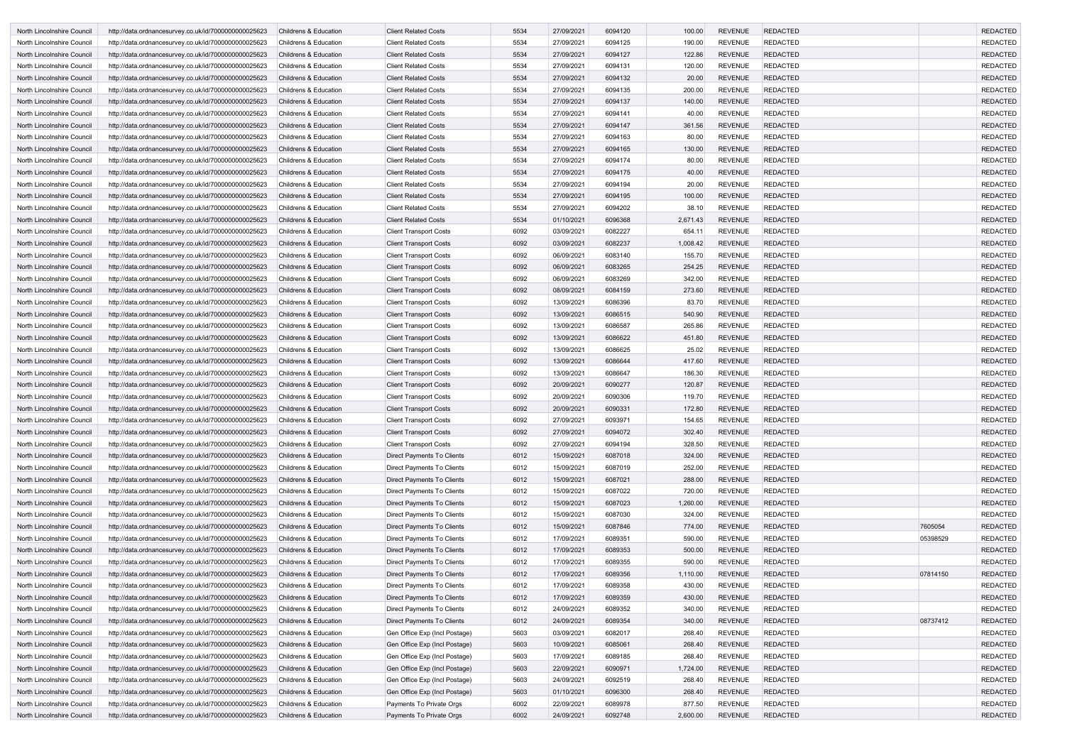| North Lincolnshire Council                               | http://data.ordnancesurvey.co.uk/id/7000000000025623                                                         | <b>Childrens &amp; Education</b>               | <b>Client Related Costs</b>                                     | 5534         | 27/09/2021               | 6094120            | 100.00             | <b>REVENUE</b>                   | <b>REDACTED</b>             |          | <b>REDACTED</b>                    |
|----------------------------------------------------------|--------------------------------------------------------------------------------------------------------------|------------------------------------------------|-----------------------------------------------------------------|--------------|--------------------------|--------------------|--------------------|----------------------------------|-----------------------------|----------|------------------------------------|
| North Lincolnshire Council                               | http://data.ordnancesurvey.co.uk/id/7000000000025623                                                         | <b>Childrens &amp; Education</b>               | <b>Client Related Costs</b>                                     | 5534         | 27/09/2021               | 6094125            | 190.00             | <b>REVENUE</b>                   | <b>REDACTED</b>             |          | <b>REDACTED</b>                    |
| North Lincolnshire Council                               | http://data.ordnancesurvey.co.uk/id/7000000000025623                                                         | <b>Childrens &amp; Education</b>               | <b>Client Related Costs</b>                                     | 5534         | 27/09/2021               | 6094127            | 122.86             | <b>REVENUE</b>                   | <b>REDACTED</b>             |          | <b>REDACTED</b>                    |
| North Lincolnshire Council                               | http://data.ordnancesurvey.co.uk/id/7000000000025623                                                         | <b>Childrens &amp; Education</b>               | <b>Client Related Costs</b>                                     | 5534         | 27/09/2021               | 6094131            | 120.00             | <b>REVENUE</b>                   | <b>REDACTED</b>             |          | <b>REDACTED</b>                    |
| North Lincolnshire Council                               | http://data.ordnancesurvey.co.uk/id/7000000000025623                                                         | <b>Childrens &amp; Education</b>               | <b>Client Related Costs</b>                                     | 5534         | 27/09/2021               | 6094132            | 20.00              | <b>REVENUE</b>                   | <b>REDACTED</b>             |          | <b>REDACTED</b>                    |
| North Lincolnshire Council                               | http://data.ordnancesurvey.co.uk/id/7000000000025623                                                         | <b>Childrens &amp; Education</b>               | <b>Client Related Costs</b>                                     | 5534         | 27/09/2021               | 6094135            | 200.00             | <b>REVENUE</b>                   | <b>REDACTED</b>             |          | <b>REDACTED</b>                    |
| North Lincolnshire Council                               | http://data.ordnancesurvey.co.uk/id/7000000000025623                                                         | <b>Childrens &amp; Education</b>               | <b>Client Related Costs</b>                                     | 5534         | 27/09/2021               | 6094137            | 140.00             | <b>REVENUE</b>                   | <b>REDACTED</b>             |          | <b>REDACTED</b>                    |
| North Lincolnshire Council                               | http://data.ordnancesurvey.co.uk/id/7000000000025623                                                         | <b>Childrens &amp; Education</b>               | <b>Client Related Costs</b>                                     | 5534         | 27/09/2021               | 6094141            | 40.00              | <b>REVENUE</b>                   | <b>REDACTED</b>             |          | <b>REDACTED</b>                    |
| North Lincolnshire Council                               | http://data.ordnancesurvey.co.uk/id/7000000000025623                                                         | <b>Childrens &amp; Education</b>               | <b>Client Related Costs</b>                                     | 5534         | 27/09/2021               | 6094147            | 361.56             | <b>REVENUE</b>                   | <b>REDACTED</b>             |          | <b>REDACTED</b>                    |
| North Lincolnshire Council                               | http://data.ordnancesurvey.co.uk/id/7000000000025623                                                         | Childrens & Education                          | <b>Client Related Costs</b>                                     | 5534         | 27/09/2021               | 6094163            | 80.00              | <b>REVENUE</b>                   | <b>REDACTED</b>             |          | <b>REDACTED</b>                    |
| North Lincolnshire Council                               | http://data.ordnancesurvey.co.uk/id/7000000000025623                                                         | <b>Childrens &amp; Education</b>               | <b>Client Related Costs</b>                                     | 5534         | 27/09/2021               | 6094165            | 130.00             | <b>REVENUE</b>                   | <b>REDACTED</b>             |          | <b>REDACTED</b>                    |
| North Lincolnshire Council                               | http://data.ordnancesurvey.co.uk/id/7000000000025623                                                         | <b>Childrens &amp; Education</b>               | <b>Client Related Costs</b>                                     | 5534         | 27/09/2021               | 6094174            | 80.00              | <b>REVENUE</b>                   | <b>REDACTED</b>             |          | <b>REDACTED</b>                    |
| North Lincolnshire Council                               | http://data.ordnancesurvey.co.uk/id/7000000000025623                                                         | <b>Childrens &amp; Education</b>               | <b>Client Related Costs</b>                                     | 5534         | 27/09/2021               | 6094175            | 40.00              | <b>REVENUE</b>                   | <b>REDACTED</b>             |          | <b>REDACTED</b>                    |
| North Lincolnshire Council                               | http://data.ordnancesurvey.co.uk/id/7000000000025623                                                         | <b>Childrens &amp; Education</b>               | <b>Client Related Costs</b>                                     | 5534         | 27/09/2021               | 6094194            | 20.00              | <b>REVENUE</b>                   | <b>REDACTED</b>             |          | <b>REDACTED</b>                    |
| North Lincolnshire Council                               | http://data.ordnancesurvey.co.uk/id/7000000000025623                                                         | <b>Childrens &amp; Education</b>               | <b>Client Related Costs</b>                                     | 5534         | 27/09/2021               | 6094195            | 100.00             | <b>REVENUE</b>                   | <b>REDACTED</b>             |          | <b>REDACTED</b>                    |
| North Lincolnshire Council                               | http://data.ordnancesurvey.co.uk/id/7000000000025623                                                         | <b>Childrens &amp; Education</b>               | <b>Client Related Costs</b>                                     | 5534         | 27/09/2021               | 6094202            | 38.10              | <b>REVENUE</b>                   | <b>REDACTED</b>             |          | <b>REDACTED</b>                    |
| North Lincolnshire Council                               | http://data.ordnancesurvey.co.uk/id/7000000000025623                                                         | <b>Childrens &amp; Education</b>               | <b>Client Related Costs</b>                                     | 5534         | 01/10/2021               | 6096368            | 2,671.43           | <b>REVENUE</b>                   | <b>REDACTED</b>             |          | <b>REDACTED</b>                    |
| North Lincolnshire Council                               | http://data.ordnancesurvey.co.uk/id/7000000000025623                                                         | <b>Childrens &amp; Education</b>               | <b>Client Transport Costs</b>                                   | 6092         | 03/09/2021               | 6082227            | 654.11             | <b>REVENUE</b>                   | <b>REDACTED</b>             |          | <b>REDACTED</b>                    |
| North Lincolnshire Council                               | http://data.ordnancesurvey.co.uk/id/7000000000025623                                                         | Childrens & Education                          | <b>Client Transport Costs</b>                                   | 6092         | 03/09/2021               | 6082237            | 1,008.42           | <b>REVENUE</b>                   | <b>REDACTED</b>             |          | <b>REDACTED</b>                    |
| North Lincolnshire Council                               | http://data.ordnancesurvey.co.uk/id/7000000000025623                                                         | <b>Childrens &amp; Education</b>               | <b>Client Transport Costs</b>                                   | 6092         | 06/09/2021               | 6083140            | 155.70             | <b>REVENUE</b>                   | <b>REDACTED</b>             |          | <b>REDACTED</b>                    |
| North Lincolnshire Council                               | http://data.ordnancesurvey.co.uk/id/7000000000025623                                                         | <b>Childrens &amp; Education</b>               | <b>Client Transport Costs</b>                                   | 6092         | 06/09/2021               | 6083265            | 254.25             | <b>REVENUE</b>                   | <b>REDACTED</b>             |          | <b>REDACTED</b>                    |
| North Lincolnshire Council                               | http://data.ordnancesurvey.co.uk/id/7000000000025623                                                         | <b>Childrens &amp; Education</b>               | <b>Client Transport Costs</b>                                   | 6092         | 06/09/2021               | 6083269            | 342.00             | <b>REVENUE</b>                   | <b>REDACTED</b>             |          | <b>REDACTED</b>                    |
| North Lincolnshire Council                               | http://data.ordnancesurvey.co.uk/id/7000000000025623                                                         | <b>Childrens &amp; Education</b>               | <b>Client Transport Costs</b>                                   | 6092         | 08/09/2021               | 6084159            | 273.60             | <b>REVENUE</b>                   | <b>REDACTED</b>             |          | <b>REDACTED</b>                    |
| North Lincolnshire Council                               | http://data.ordnancesurvey.co.uk/id/7000000000025623                                                         | <b>Childrens &amp; Education</b>               | <b>Client Transport Costs</b>                                   | 6092         | 13/09/2021               | 6086396            | 83.70              | <b>REVENUE</b>                   | <b>REDACTED</b>             |          | <b>REDACTED</b>                    |
| North Lincolnshire Council                               | http://data.ordnancesurvey.co.uk/id/7000000000025623                                                         | <b>Childrens &amp; Education</b>               | <b>Client Transport Costs</b>                                   | 6092         | 13/09/2021               | 6086515            | 540.90             | <b>REVENUE</b>                   | <b>REDACTED</b>             |          | <b>REDACTED</b>                    |
| North Lincolnshire Council                               | http://data.ordnancesurvey.co.uk/id/7000000000025623                                                         | <b>Childrens &amp; Education</b>               | <b>Client Transport Costs</b>                                   | 6092         | 13/09/2021               | 6086587            | 265.86             | <b>REVENUE</b>                   | <b>REDACTED</b>             |          | <b>REDACTED</b>                    |
| North Lincolnshire Council                               | http://data.ordnancesurvey.co.uk/id/7000000000025623                                                         | <b>Childrens &amp; Education</b>               | <b>Client Transport Costs</b>                                   | 6092         | 13/09/2021               | 6086622            | 451.80             | <b>REVENUE</b>                   | <b>REDACTED</b>             |          | <b>REDACTED</b>                    |
| North Lincolnshire Council                               | http://data.ordnancesurvey.co.uk/id/7000000000025623                                                         | <b>Childrens &amp; Education</b>               | <b>Client Transport Costs</b>                                   | 6092         | 13/09/2021               | 6086625            | 25.02              | <b>REVENUE</b>                   | <b>REDACTED</b>             |          | <b>REDACTED</b>                    |
| North Lincolnshire Council                               | http://data.ordnancesurvey.co.uk/id/7000000000025623                                                         | <b>Childrens &amp; Education</b>               | <b>Client Transport Costs</b>                                   | 6092         | 13/09/2021               | 6086644            | 417.60             | <b>REVENUE</b>                   | <b>REDACTED</b>             |          | <b>REDACTED</b>                    |
| North Lincolnshire Council                               | http://data.ordnancesurvey.co.uk/id/7000000000025623                                                         | Childrens & Education                          | <b>Client Transport Costs</b>                                   | 6092         | 13/09/2021               | 6086647            | 186.30             | <b>REVENUE</b>                   | <b>REDACTED</b>             |          | <b>REDACTED</b>                    |
| North Lincolnshire Council                               | http://data.ordnancesurvey.co.uk/id/7000000000025623                                                         | <b>Childrens &amp; Education</b>               | <b>Client Transport Costs</b>                                   | 6092         | 20/09/2021               | 6090277            | 120.87             | <b>REVENUE</b>                   | <b>REDACTED</b>             |          | <b>REDACTED</b>                    |
| North Lincolnshire Council                               | http://data.ordnancesurvey.co.uk/id/7000000000025623                                                         | <b>Childrens &amp; Education</b>               | <b>Client Transport Costs</b>                                   | 6092         | 20/09/2021               | 6090306            | 119.70             | <b>REVENUE</b>                   | <b>REDACTED</b>             |          | <b>REDACTED</b>                    |
| North Lincolnshire Council                               | http://data.ordnancesurvey.co.uk/id/7000000000025623                                                         | <b>Childrens &amp; Education</b>               | <b>Client Transport Costs</b>                                   | 6092         | 20/09/2021               | 6090331            | 172.80             | <b>REVENUE</b>                   | <b>REDACTED</b>             |          | <b>REDACTED</b>                    |
| North Lincolnshire Council                               | http://data.ordnancesurvey.co.uk/id/7000000000025623                                                         | Childrens & Education                          | <b>Client Transport Costs</b>                                   | 6092         | 27/09/2021               | 6093971            | 154.65             | REVENUE                          | <b>REDACTED</b>             |          | REDACTED                           |
| North Lincolnshire Council                               | http://data.ordnancesurvey.co.uk/id/7000000000025623                                                         | Childrens & Education                          | <b>Client Transport Costs</b>                                   | 6092         | 27/09/2021               | 6094072            | 302.40             | <b>REVENUE</b>                   | <b>REDACTED</b>             |          | <b>REDACTED</b>                    |
| North Lincolnshire Council                               | http://data.ordnancesurvey.co.uk/id/7000000000025623                                                         | Childrens & Education                          | <b>Client Transport Costs</b>                                   | 6092         | 27/09/2021               | 6094194            | 328.50             | <b>REVENUE</b>                   | REDACTED                    |          | <b>REDACTED</b>                    |
| North Lincolnshire Council                               | http://data.ordnancesurvey.co.uk/id/7000000000025623                                                         | Childrens & Education                          | Direct Payments To Clients                                      | 6012         | 15/09/2021               | 6087018            | 324.00             | <b>REVENUE</b>                   | <b>REDACTED</b>             |          | <b>REDACTED</b>                    |
| North Lincolnshire Council                               | http://data.ordnancesurvey.co.uk/id/7000000000025623                                                         | Childrens & Education                          | <b>Direct Payments To Clients</b>                               | 6012         | 15/09/2021               | 6087019            | 252.00             | <b>REVENUE</b>                   | <b>REDACTED</b>             |          | <b>REDACTED</b>                    |
| North Lincolnshire Council                               | http://data.ordnancesurvey.co.uk/id/7000000000025623                                                         | Childrens & Education                          | <b>Direct Payments To Clients</b>                               | 6012         | 15/09/2021               | 6087021            | 288.00             | <b>REVENUE</b>                   | <b>REDACTED</b>             |          | <b>REDACTED</b>                    |
| North Lincolnshire Council                               | http://data.ordnancesurvey.co.uk/id/7000000000025623                                                         | Childrens & Education                          | <b>Direct Payments To Clients</b>                               | 6012         | 15/09/2021               | 6087022            | 720.00             | <b>REVENUE</b>                   | <b>REDACTED</b>             |          | <b>REDACTED</b>                    |
| North Lincolnshire Council                               | http://data.ordnancesurvey.co.uk/id/7000000000025623                                                         | Childrens & Education                          | Direct Payments To Clients                                      | 6012         | 15/09/2021               | 6087023            | 1,260.00           | <b>REVENUE</b>                   | <b>REDACTED</b>             |          | <b>REDACTED</b>                    |
| North Lincolnshire Council                               | http://data.ordnancesurvey.co.uk/id/7000000000025623                                                         | Childrens & Education                          | Direct Payments To Clients                                      | 6012         | 15/09/2021               | 6087030            | 324.00             | <b>REVENUE</b>                   | <b>REDACTED</b>             |          | <b>REDACTED</b>                    |
| North Lincolnshire Council                               | http://data.ordnancesurvey.co.uk/id/7000000000025623                                                         | Childrens & Education                          | Direct Payments To Clients                                      | 6012         | 15/09/2021               | 6087846            | 774.00             | <b>REVENUE</b>                   | <b>REDACTED</b>             | 7605054  | <b>REDACTED</b>                    |
| North Lincolnshire Council                               | http://data.ordnancesurvey.co.uk/id/7000000000025623                                                         | Childrens & Education                          | Direct Payments To Clients                                      | 6012         | 17/09/2021               | 6089351            | 590.00             | <b>REVENUE</b><br><b>REVENUE</b> | <b>REDACTED</b>             | 05398529 | <b>REDACTED</b>                    |
| North Lincolnshire Council                               | http://data.ordnancesurvey.co.uk/id/7000000000025623                                                         | Childrens & Education                          | Direct Payments To Clients                                      | 6012         | 17/09/2021               | 6089353            | 500.00             |                                  | <b>REDACTED</b>             |          | <b>REDACTED</b><br><b>REDACTED</b> |
| North Lincolnshire Council<br>North Lincolnshire Council | http://data.ordnancesurvey.co.uk/id/7000000000025623<br>http://data.ordnancesurvey.co.uk/id/7000000000025623 | Childrens & Education<br>Childrens & Education | <b>Direct Payments To Clients</b>                               | 6012<br>6012 | 17/09/2021<br>17/09/2021 | 6089355<br>6089356 | 590.00<br>1,110.00 | <b>REVENUE</b><br><b>REVENUE</b> | REDACTED<br><b>REDACTED</b> | 07814150 | <b>REDACTED</b>                    |
|                                                          |                                                                                                              | Childrens & Education                          | Direct Payments To Clients<br><b>Direct Payments To Clients</b> | 6012         | 17/09/2021               | 6089358            | 430.00             | <b>REVENUE</b>                   | <b>REDACTED</b>             |          | <b>REDACTED</b>                    |
| North Lincolnshire Council<br>North Lincolnshire Council | http://data.ordnancesurvey.co.uk/id/7000000000025623<br>http://data.ordnancesurvey.co.uk/id/7000000000025623 | Childrens & Education                          | Direct Payments To Clients                                      | 6012         | 17/09/2021               | 6089359            | 430.00             | <b>REVENUE</b>                   | <b>REDACTED</b>             |          | <b>REDACTED</b>                    |
|                                                          |                                                                                                              |                                                |                                                                 |              |                          |                    |                    | <b>REVENUE</b>                   | <b>REDACTED</b>             |          |                                    |
| North Lincolnshire Council<br>North Lincolnshire Council | http://data.ordnancesurvey.co.uk/id/7000000000025623<br>http://data.ordnancesurvey.co.uk/id/7000000000025623 | Childrens & Education<br>Childrens & Education | Direct Payments To Clients<br>Direct Payments To Clients        | 6012<br>6012 | 24/09/2021<br>24/09/2021 | 6089352<br>6089354 | 340.00<br>340.00   | <b>REVENUE</b>                   | <b>REDACTED</b>             | 08737412 | <b>REDACTED</b><br><b>REDACTED</b> |
| North Lincolnshire Council                               | http://data.ordnancesurvey.co.uk/id/7000000000025623                                                         | Childrens & Education                          | Gen Office Exp (Incl Postage)                                   | 5603         | 03/09/2021               | 6082017            | 268.40             | <b>REVENUE</b>                   | <b>REDACTED</b>             |          | <b>REDACTED</b>                    |
| North Lincolnshire Council                               | http://data.ordnancesurvey.co.uk/id/7000000000025623                                                         | <b>Childrens &amp; Education</b>               | Gen Office Exp (Incl Postage)                                   | 5603         | 10/09/2021               | 6085061            | 268.40             | <b>REVENUE</b>                   | <b>REDACTED</b>             |          | <b>REDACTED</b>                    |
| North Lincolnshire Council                               | http://data.ordnancesurvey.co.uk/id/7000000000025623                                                         | Childrens & Education                          | Gen Office Exp (Incl Postage)                                   | 5603         | 17/09/2021               | 6089185            | 268.40             | <b>REVENUE</b>                   | <b>REDACTED</b>             |          | <b>REDACTED</b>                    |
| North Lincolnshire Council                               | http://data.ordnancesurvey.co.uk/id/7000000000025623                                                         | <b>Childrens &amp; Education</b>               | Gen Office Exp (Incl Postage)                                   | 5603         | 22/09/2021               | 6090971            | 1,724.00           | <b>REVENUE</b>                   | <b>REDACTED</b>             |          | <b>REDACTED</b>                    |
| North Lincolnshire Council                               | http://data.ordnancesurvey.co.uk/id/7000000000025623                                                         | Childrens & Education                          | Gen Office Exp (Incl Postage)                                   | 5603         | 24/09/2021               | 6092519            | 268.40             | <b>REVENUE</b>                   | <b>REDACTED</b>             |          | <b>REDACTED</b>                    |
| North Lincolnshire Council                               | http://data.ordnancesurvey.co.uk/id/7000000000025623                                                         | Childrens & Education                          | Gen Office Exp (Incl Postage)                                   | 5603         | 01/10/2021               | 6096300            | 268.40             | <b>REVENUE</b>                   | <b>REDACTED</b>             |          | <b>REDACTED</b>                    |
| North Lincolnshire Council                               | http://data.ordnancesurvey.co.uk/id/7000000000025623                                                         | Childrens & Education                          | Payments To Private Orgs                                        | 6002         | 22/09/2021               | 6089978            | 877.50             | <b>REVENUE</b>                   | <b>REDACTED</b>             |          | <b>REDACTED</b>                    |
| North Lincolnshire Council                               | http://data.ordnancesurvey.co.uk/id/7000000000025623                                                         | Childrens & Education                          | Payments To Private Orgs                                        | 6002         | 24/09/2021               | 6092748            | 2,600.00           | <b>REVENUE</b>                   | <b>REDACTED</b>             |          | <b>REDACTED</b>                    |
|                                                          |                                                                                                              |                                                |                                                                 |              |                          |                    |                    |                                  |                             |          |                                    |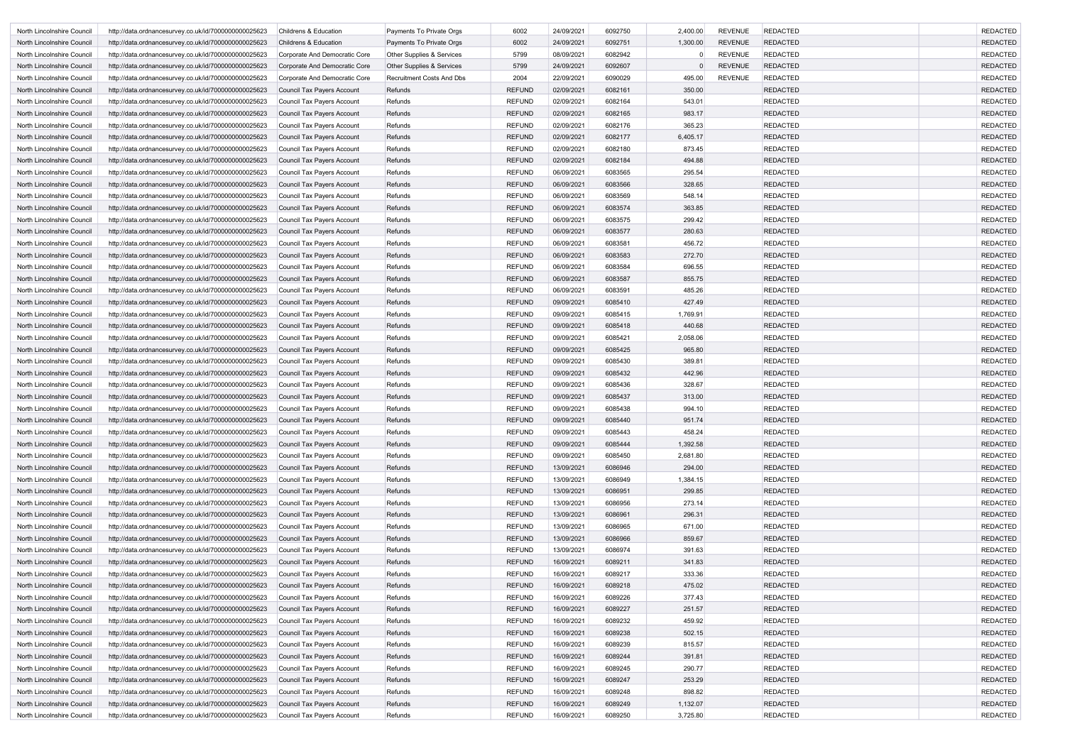| North Lincolnshire Council | http://data.ordnancesurvey.co.uk/id/7000000000025623 | <b>Childrens &amp; Education</b>  | Payments To Private Orgs         | 6002          | 24/09/2021 | 6092750 | 2,400.00 | <b>REVENUE</b> | <b>REDACTED</b> | <b>REDACTED</b> |
|----------------------------|------------------------------------------------------|-----------------------------------|----------------------------------|---------------|------------|---------|----------|----------------|-----------------|-----------------|
| North Lincolnshire Council | http://data.ordnancesurvey.co.uk/id/7000000000025623 | <b>Childrens &amp; Education</b>  | Payments To Private Orgs         | 6002          | 24/09/2021 | 6092751 | 1,300.00 | <b>REVENUE</b> | <b>REDACTED</b> | <b>REDACTED</b> |
| North Lincolnshire Council | http://data.ordnancesurvey.co.uk/id/7000000000025623 | Corporate And Democratic Core     | Other Supplies & Services        | 5799          | 08/09/2021 | 6082942 | 0        | <b>REVENUE</b> | <b>REDACTED</b> | <b>REDACTED</b> |
| North Lincolnshire Council | http://data.ordnancesurvey.co.uk/id/7000000000025623 | Corporate And Democratic Core     | Other Supplies & Services        | 5799          | 24/09/2021 | 6092607 |          | <b>REVENUE</b> | <b>REDACTED</b> | <b>REDACTED</b> |
| North Lincolnshire Council | http://data.ordnancesurvey.co.uk/id/7000000000025623 | Corporate And Democratic Core     | <b>Recruitment Costs And Dbs</b> | 2004          | 22/09/2021 | 6090029 | 495.00   | <b>REVENUE</b> | <b>REDACTED</b> | <b>REDACTED</b> |
| North Lincolnshire Council | http://data.ordnancesurvey.co.uk/id/7000000000025623 | Council Tax Payers Account        | Refunds                          | <b>REFUND</b> | 02/09/2021 | 6082161 | 350.00   |                | <b>REDACTED</b> | <b>REDACTED</b> |
| North Lincolnshire Council | http://data.ordnancesurvey.co.uk/id/7000000000025623 | Council Tax Payers Account        | Refunds                          | <b>REFUND</b> | 02/09/2021 | 6082164 | 543.01   |                | <b>REDACTED</b> | <b>REDACTED</b> |
| North Lincolnshire Council | http://data.ordnancesurvey.co.uk/id/7000000000025623 | <b>Council Tax Payers Account</b> | Refunds                          | <b>REFUND</b> | 02/09/2021 | 6082165 | 983.17   |                | <b>REDACTED</b> | <b>REDACTED</b> |
| North Lincolnshire Council | http://data.ordnancesurvey.co.uk/id/7000000000025623 | Council Tax Payers Account        | Refunds                          | <b>REFUND</b> | 02/09/2021 | 6082176 | 365.23   |                | <b>REDACTED</b> | <b>REDACTED</b> |
| North Lincolnshire Council | http://data.ordnancesurvey.co.uk/id/7000000000025623 | Council Tax Payers Account        | Refunds                          | <b>REFUND</b> | 02/09/2021 | 6082177 | 6,405.17 |                | <b>REDACTED</b> | <b>REDACTED</b> |
| North Lincolnshire Council | http://data.ordnancesurvey.co.uk/id/7000000000025623 | Council Tax Payers Account        | Refunds                          | <b>REFUND</b> | 02/09/2021 | 6082180 | 873.45   |                | <b>REDACTED</b> | <b>REDACTED</b> |
| North Lincolnshire Council | http://data.ordnancesurvey.co.uk/id/7000000000025623 | Council Tax Payers Account        | Refunds                          | <b>REFUND</b> | 02/09/2021 | 6082184 | 494.88   |                | <b>REDACTED</b> | <b>REDACTED</b> |
| North Lincolnshire Council | http://data.ordnancesurvey.co.uk/id/7000000000025623 | Council Tax Payers Account        | Refunds                          | <b>REFUND</b> | 06/09/2021 | 6083565 | 295.54   |                | <b>REDACTED</b> | <b>REDACTED</b> |
| North Lincolnshire Council | http://data.ordnancesurvey.co.uk/id/7000000000025623 | Council Tax Payers Account        | Refunds                          | <b>REFUND</b> | 06/09/2021 | 6083566 | 328.65   |                | <b>REDACTED</b> | <b>REDACTED</b> |
| North Lincolnshire Council | http://data.ordnancesurvey.co.uk/id/7000000000025623 | Council Tax Payers Account        | Refunds                          | <b>REFUND</b> | 06/09/2021 | 6083569 | 548.14   |                | <b>REDACTED</b> | <b>REDACTED</b> |
| North Lincolnshire Council | http://data.ordnancesurvey.co.uk/id/7000000000025623 | Council Tax Payers Account        | Refunds                          | <b>REFUND</b> | 06/09/2021 | 6083574 | 363.85   |                | <b>REDACTED</b> | <b>REDACTED</b> |
| North Lincolnshire Council | http://data.ordnancesurvey.co.uk/id/7000000000025623 | Council Tax Payers Account        | Refunds                          | <b>REFUND</b> | 06/09/2021 | 6083575 | 299.42   |                | <b>REDACTED</b> | <b>REDACTED</b> |
| North Lincolnshire Council | http://data.ordnancesurvey.co.uk/id/7000000000025623 | <b>Council Tax Payers Account</b> | Refunds                          | <b>REFUND</b> | 06/09/2021 | 6083577 | 280.63   |                | <b>REDACTED</b> | <b>REDACTED</b> |
| North Lincolnshire Council | http://data.ordnancesurvey.co.uk/id/7000000000025623 | Council Tax Payers Account        | Refunds                          | <b>REFUND</b> | 06/09/2021 | 6083581 | 456.72   |                | <b>REDACTED</b> | <b>REDACTED</b> |
| North Lincolnshire Council | http://data.ordnancesurvey.co.uk/id/7000000000025623 | <b>Council Tax Payers Account</b> | Refunds                          | <b>REFUND</b> | 06/09/2021 | 6083583 | 272.70   |                | <b>REDACTED</b> | <b>REDACTED</b> |
| North Lincolnshire Council | http://data.ordnancesurvey.co.uk/id/7000000000025623 | Council Tax Payers Account        | Refunds                          | <b>REFUND</b> | 06/09/2021 | 6083584 | 696.55   |                | <b>REDACTED</b> | <b>REDACTED</b> |
| North Lincolnshire Council | http://data.ordnancesurvey.co.uk/id/7000000000025623 | Council Tax Payers Account        | Refunds                          | <b>REFUND</b> | 06/09/2021 | 6083587 | 855.75   |                | <b>REDACTED</b> | <b>REDACTED</b> |
| North Lincolnshire Council | http://data.ordnancesurvey.co.uk/id/7000000000025623 | Council Tax Payers Account        | Refunds                          | <b>REFUND</b> | 06/09/2021 | 6083591 | 485.26   |                | <b>REDACTED</b> | <b>REDACTED</b> |
| North Lincolnshire Council | http://data.ordnancesurvey.co.uk/id/7000000000025623 | Council Tax Payers Account        | Refunds                          | <b>REFUND</b> | 09/09/2021 | 6085410 | 427.49   |                | <b>REDACTED</b> | <b>REDACTED</b> |
| North Lincolnshire Council | http://data.ordnancesurvey.co.uk/id/7000000000025623 | Council Tax Payers Account        | Refunds                          | <b>REFUND</b> | 09/09/2021 | 6085415 | 1,769.91 |                | <b>REDACTED</b> | <b>REDACTED</b> |
| North Lincolnshire Council | http://data.ordnancesurvey.co.uk/id/7000000000025623 | Council Tax Payers Account        | Refunds                          | <b>REFUND</b> | 09/09/2021 | 6085418 | 440.68   |                | <b>REDACTED</b> | <b>REDACTED</b> |
| North Lincolnshire Council | http://data.ordnancesurvey.co.uk/id/7000000000025623 | Council Tax Payers Account        | Refunds                          | <b>REFUND</b> | 09/09/2021 | 6085421 | 2,058.06 |                | <b>REDACTED</b> | <b>REDACTED</b> |
| North Lincolnshire Council | http://data.ordnancesurvey.co.uk/id/7000000000025623 | Council Tax Payers Account        | Refunds                          | <b>REFUND</b> | 09/09/2021 | 6085425 | 965.80   |                | <b>REDACTED</b> | <b>REDACTED</b> |
| North Lincolnshire Council | http://data.ordnancesurvey.co.uk/id/7000000000025623 | Council Tax Payers Account        | Refunds                          | <b>REFUND</b> | 09/09/2021 | 6085430 | 389.81   |                | <b>REDACTED</b> | <b>REDACTED</b> |
| North Lincolnshire Council | http://data.ordnancesurvey.co.uk/id/7000000000025623 | <b>Council Tax Payers Account</b> | Refunds                          | <b>REFUND</b> | 09/09/2021 | 6085432 | 442.96   |                | <b>REDACTED</b> | <b>REDACTED</b> |
| North Lincolnshire Council | http://data.ordnancesurvey.co.uk/id/7000000000025623 | Council Tax Payers Account        | Refunds                          | <b>REFUND</b> | 09/09/2021 | 6085436 | 328.67   |                | <b>REDACTED</b> | <b>REDACTED</b> |
| North Lincolnshire Council | http://data.ordnancesurvey.co.uk/id/7000000000025623 | <b>Council Tax Payers Account</b> | Refunds                          | <b>REFUND</b> | 09/09/2021 | 6085437 | 313.00   |                | <b>REDACTED</b> | <b>REDACTED</b> |
| North Lincolnshire Council | http://data.ordnancesurvey.co.uk/id/7000000000025623 | Council Tax Payers Account        | Refunds                          | <b>REFUND</b> | 09/09/2021 | 6085438 | 994.10   |                | <b>REDACTED</b> | <b>REDACTED</b> |
| North Lincolnshire Council | http://data.ordnancesurvey.co.uk/id/7000000000025623 | Council Tax Payers Account        | Refunds                          | <b>REFUND</b> | 09/09/2021 | 6085440 | 951.74   |                | <b>REDACTED</b> | <b>REDACTED</b> |
| North Lincolnshire Council | http://data.ordnancesurvey.co.uk/id/7000000000025623 | Council Tax Payers Account        | Refunds                          | <b>REFUND</b> | 09/09/2021 | 6085443 | 458.24   |                | <b>REDACTED</b> | <b>REDACTED</b> |
| North Lincolnshire Council | http://data.ordnancesurvey.co.uk/id/7000000000025623 | <b>Council Tax Payers Account</b> | Refunds                          | <b>REFUND</b> | 09/09/2021 | 6085444 | 1,392.58 |                | <b>REDACTED</b> | <b>REDACTED</b> |
| North Lincolnshire Council | http://data.ordnancesurvey.co.uk/id/7000000000025623 | Council Tax Payers Account        | Refunds                          | <b>REFUND</b> | 09/09/2021 | 6085450 | 2,681.80 |                | <b>REDACTED</b> | <b>REDACTED</b> |
| North Lincolnshire Council | http://data.ordnancesurvey.co.uk/id/7000000000025623 | Council Tax Payers Account        | Refunds                          | <b>REFUND</b> | 13/09/2021 | 6086946 | 294.00   |                | <b>REDACTED</b> | <b>REDACTED</b> |
| North Lincolnshire Council | http://data.ordnancesurvey.co.uk/id/7000000000025623 | Council Tax Payers Account        | Refunds                          | <b>REFUND</b> | 13/09/2021 | 6086949 | 1,384.15 |                | <b>REDACTED</b> | <b>REDACTED</b> |
| North Lincolnshire Council | http://data.ordnancesurvey.co.uk/id/7000000000025623 | Council Tax Payers Account        | Refunds                          | <b>REFUND</b> | 13/09/2021 | 6086951 | 299.85   |                | <b>REDACTED</b> | <b>REDACTED</b> |
| North Lincolnshire Council | http://data.ordnancesurvey.co.uk/id/7000000000025623 | Council Tax Payers Account        | Refunds                          | <b>REFUND</b> | 13/09/2021 | 6086956 | 273.14   |                | <b>REDACTED</b> | <b>REDACTED</b> |
| North Lincolnshire Council | http://data.ordnancesurvey.co.uk/id/7000000000025623 | Council Tax Payers Account        | Refunds                          | <b>REFUND</b> | 13/09/2021 | 6086961 | 296.31   |                | <b>REDACTED</b> | <b>REDACTED</b> |
| North Lincolnshire Council | http://data.ordnancesurvey.co.uk/id/7000000000025623 | Council Tax Payers Account        | Refunds                          | <b>REFUND</b> | 13/09/2021 | 6086965 | 671.00   |                | <b>REDACTED</b> | <b>REDACTED</b> |
| North Lincolnshire Council | http://data.ordnancesurvey.co.uk/id/7000000000025623 | Council Tax Payers Account        | Refunds                          | <b>REFUND</b> | 13/09/2021 | 6086966 | 859.67   |                | <b>REDACTED</b> | <b>REDACTED</b> |
| North Lincolnshire Council | http://data.ordnancesurvey.co.uk/id/7000000000025623 | Council Tax Payers Account        | Refunds                          | <b>REFUND</b> | 13/09/2021 | 6086974 | 391.63   |                | <b>REDACTED</b> | <b>REDACTED</b> |
| North Lincolnshire Council | http://data.ordnancesurvey.co.uk/id/7000000000025623 | Council Tax Payers Account        | Refunds                          | <b>REFUND</b> | 16/09/2021 | 6089211 | 341.83   |                | <b>REDACTED</b> | <b>REDACTED</b> |
| North Lincolnshire Council | http://data.ordnancesurvey.co.uk/id/7000000000025623 | Council Tax Payers Account        | Refunds                          | <b>REFUND</b> | 16/09/2021 | 6089217 | 333.36   |                | <b>REDACTED</b> | <b>REDACTED</b> |
| North Lincolnshire Council | http://data.ordnancesurvey.co.uk/id/7000000000025623 | Council Tax Payers Account        | Refunds                          | <b>REFUND</b> | 16/09/2021 | 6089218 | 475.02   |                | <b>REDACTED</b> | <b>REDACTED</b> |
| North Lincolnshire Council | http://data.ordnancesurvey.co.uk/id/7000000000025623 | Council Tax Payers Account        | Refunds                          | <b>REFUND</b> | 16/09/2021 | 6089226 | 377.43   |                | <b>REDACTED</b> | <b>REDACTED</b> |
| North Lincolnshire Council | http://data.ordnancesurvey.co.uk/id/7000000000025623 | Council Tax Payers Account        | Refunds                          | <b>REFUND</b> | 16/09/2021 | 6089227 | 251.57   |                | <b>REDACTED</b> | <b>REDACTED</b> |
| North Lincolnshire Council | http://data.ordnancesurvey.co.uk/id/7000000000025623 | Council Tax Payers Account        | Refunds                          | <b>REFUND</b> | 16/09/2021 | 6089232 | 459.92   |                | <b>REDACTED</b> | <b>REDACTED</b> |
| North Lincolnshire Council | http://data.ordnancesurvey.co.uk/id/7000000000025623 | Council Tax Payers Account        | Refunds                          | <b>REFUND</b> | 16/09/2021 | 6089238 | 502.15   |                | <b>REDACTED</b> | <b>REDACTED</b> |
| North Lincolnshire Council | http://data.ordnancesurvey.co.uk/id/7000000000025623 | Council Tax Payers Account        | Refunds                          | <b>REFUND</b> | 16/09/2021 | 6089239 | 815.57   |                | <b>REDACTED</b> | <b>REDACTED</b> |
| North Lincolnshire Council | http://data.ordnancesurvey.co.uk/id/7000000000025623 | Council Tax Payers Account        | Refunds                          | <b>REFUND</b> | 16/09/2021 | 6089244 | 391.81   |                | <b>REDACTED</b> | <b>REDACTED</b> |
| North Lincolnshire Council | http://data.ordnancesurvey.co.uk/id/7000000000025623 | Council Tax Payers Account        | Refunds                          | <b>REFUND</b> | 16/09/2021 | 6089245 | 290.77   |                | <b>REDACTED</b> | <b>REDACTED</b> |
| North Lincolnshire Council | http://data.ordnancesurvey.co.uk/id/7000000000025623 | Council Tax Payers Account        | Refunds                          | <b>REFUND</b> | 16/09/2021 | 6089247 | 253.29   |                | <b>REDACTED</b> | <b>REDACTED</b> |
| North Lincolnshire Council | http://data.ordnancesurvey.co.uk/id/7000000000025623 | Council Tax Payers Account        | Refunds                          | <b>REFUND</b> | 16/09/2021 | 6089248 | 898.82   |                | <b>REDACTED</b> | <b>REDACTED</b> |
| North Lincolnshire Council | http://data.ordnancesurvey.co.uk/id/7000000000025623 | <b>Council Tax Payers Account</b> | Refunds                          | <b>REFUND</b> | 16/09/2021 | 6089249 | 1,132.07 |                | <b>REDACTED</b> | <b>REDACTED</b> |
| North Lincolnshire Council | http://data.ordnancesurvey.co.uk/id/7000000000025623 | Council Tax Payers Account        | Refunds                          | <b>REFUND</b> | 16/09/2021 | 6089250 | 3,725.80 |                | <b>REDACTED</b> | <b>REDACTED</b> |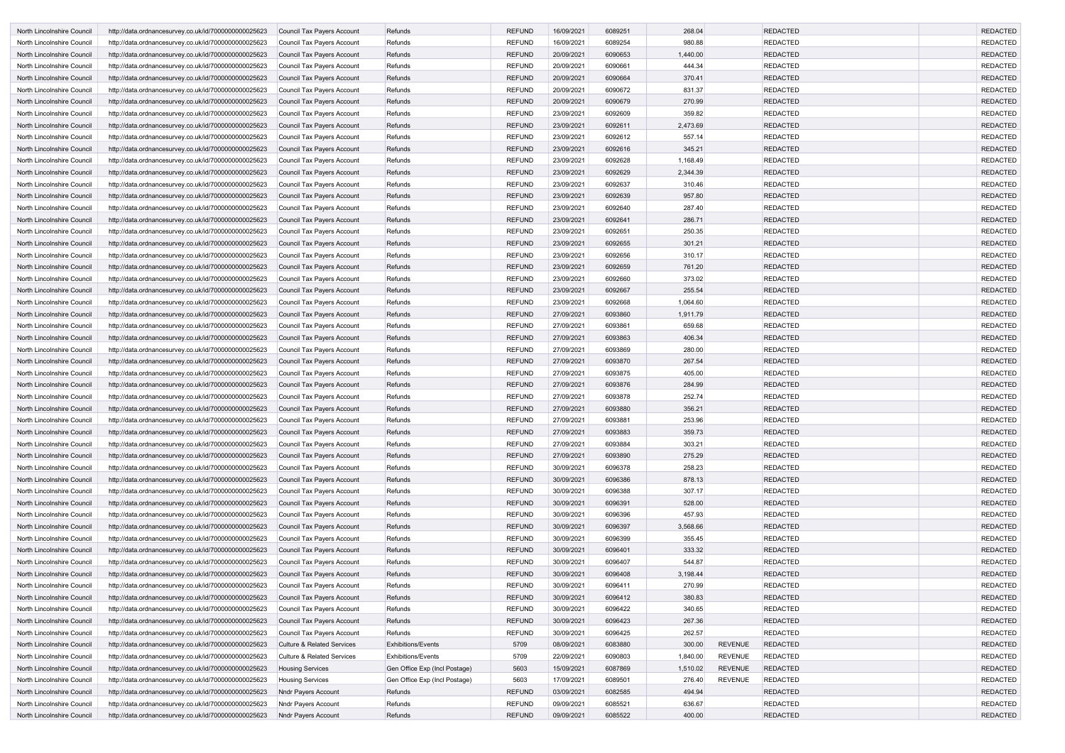| North Lincolnshire Council | http://data.ordnancesurvey.co.uk/id/7000000000025623 | Council Tax Payers Account            | Refunds                       | <b>REFUND</b> | 16/09/2021 | 6089251 | 268.04   |                | <b>REDACTED</b> | <b>REDACTED</b> |
|----------------------------|------------------------------------------------------|---------------------------------------|-------------------------------|---------------|------------|---------|----------|----------------|-----------------|-----------------|
| North Lincolnshire Council | http://data.ordnancesurvey.co.uk/id/7000000000025623 | Council Tax Payers Account            | Refunds                       | <b>REFUND</b> | 16/09/2021 | 6089254 | 980.88   |                | <b>REDACTED</b> | <b>REDACTED</b> |
| North Lincolnshire Council | http://data.ordnancesurvey.co.uk/id/7000000000025623 | Council Tax Payers Account            | Refunds                       | <b>REFUND</b> | 20/09/2021 | 6090653 | 1,440.00 |                | <b>REDACTED</b> | <b>REDACTED</b> |
| North Lincolnshire Council | http://data.ordnancesurvey.co.uk/id/7000000000025623 | Council Tax Payers Account            | Refunds                       | <b>REFUND</b> | 20/09/2021 | 6090661 | 444.34   |                | <b>REDACTED</b> | <b>REDACTED</b> |
| North Lincolnshire Council | http://data.ordnancesurvey.co.uk/id/7000000000025623 | Council Tax Payers Account            | Refunds                       | <b>REFUND</b> | 20/09/2021 | 6090664 | 370.41   |                | <b>REDACTED</b> | <b>REDACTED</b> |
| North Lincolnshire Council | http://data.ordnancesurvey.co.uk/id/7000000000025623 | Council Tax Payers Account            | Refunds                       | <b>REFUND</b> | 20/09/2021 | 6090672 | 831.37   |                | <b>REDACTED</b> | <b>REDACTED</b> |
| North Lincolnshire Council | http://data.ordnancesurvey.co.uk/id/7000000000025623 | Council Tax Payers Account            | Refunds                       | <b>REFUND</b> | 20/09/2021 | 6090679 | 270.99   |                | <b>REDACTED</b> | <b>REDACTED</b> |
| North Lincolnshire Council | http://data.ordnancesurvey.co.uk/id/7000000000025623 | Council Tax Payers Account            | Refunds                       | <b>REFUND</b> | 23/09/2021 | 6092609 | 359.82   |                | <b>REDACTED</b> | <b>REDACTED</b> |
| North Lincolnshire Council | http://data.ordnancesurvey.co.uk/id/7000000000025623 | Council Tax Payers Account            | Refunds                       | <b>REFUND</b> | 23/09/2021 | 6092611 | 2,473.69 |                | <b>REDACTED</b> | <b>REDACTED</b> |
| North Lincolnshire Council | http://data.ordnancesurvey.co.uk/id/7000000000025623 | Council Tax Payers Account            | Refunds                       | <b>REFUND</b> | 23/09/2021 | 6092612 | 557.14   |                | <b>REDACTED</b> | <b>REDACTED</b> |
| North Lincolnshire Council | http://data.ordnancesurvey.co.uk/id/7000000000025623 | Council Tax Payers Account            | Refunds                       | <b>REFUND</b> | 23/09/2021 | 6092616 | 345.21   |                | <b>REDACTED</b> | <b>REDACTED</b> |
| North Lincolnshire Council | http://data.ordnancesurvey.co.uk/id/7000000000025623 | Council Tax Payers Account            | Refunds                       | <b>REFUND</b> | 23/09/2021 | 6092628 | 1,168.49 |                | <b>REDACTED</b> | <b>REDACTED</b> |
| North Lincolnshire Council | http://data.ordnancesurvey.co.uk/id/7000000000025623 | Council Tax Payers Account            | Refunds                       | <b>REFUND</b> | 23/09/2021 | 6092629 | 2,344.39 |                | <b>REDACTED</b> | <b>REDACTED</b> |
| North Lincolnshire Council | http://data.ordnancesurvey.co.uk/id/7000000000025623 | Council Tax Payers Account            | Refunds                       | <b>REFUND</b> | 23/09/2021 | 6092637 | 310.46   |                | <b>REDACTED</b> | <b>REDACTED</b> |
| North Lincolnshire Council | http://data.ordnancesurvey.co.uk/id/7000000000025623 | Council Tax Payers Account            | Refunds                       | <b>REFUND</b> | 23/09/2021 | 6092639 | 957.80   |                | <b>REDACTED</b> | <b>REDACTED</b> |
| North Lincolnshire Council | http://data.ordnancesurvey.co.uk/id/7000000000025623 | Council Tax Payers Account            | Refunds                       | <b>REFUND</b> | 23/09/2021 | 6092640 | 287.40   |                | <b>REDACTED</b> | <b>REDACTED</b> |
| North Lincolnshire Council | http://data.ordnancesurvey.co.uk/id/7000000000025623 | Council Tax Payers Account            | Refunds                       | <b>REFUND</b> | 23/09/2021 | 6092641 | 286.71   |                | <b>REDACTED</b> | <b>REDACTED</b> |
| North Lincolnshire Council | http://data.ordnancesurvey.co.uk/id/7000000000025623 | Council Tax Payers Account            | Refunds                       | <b>REFUND</b> | 23/09/2021 | 6092651 | 250.35   |                | <b>REDACTED</b> | <b>REDACTED</b> |
| North Lincolnshire Council | http://data.ordnancesurvey.co.uk/id/7000000000025623 | Council Tax Payers Account            | Refunds                       | <b>REFUND</b> | 23/09/2021 | 6092655 | 301.21   |                | <b>REDACTED</b> | <b>REDACTED</b> |
| North Lincolnshire Council | http://data.ordnancesurvey.co.uk/id/7000000000025623 | Council Tax Payers Account            | Refunds                       | <b>REFUND</b> | 23/09/2021 | 6092656 | 310.17   |                | <b>REDACTED</b> | <b>REDACTED</b> |
| North Lincolnshire Council | http://data.ordnancesurvey.co.uk/id/7000000000025623 | Council Tax Payers Account            | Refunds                       | <b>REFUND</b> | 23/09/2021 | 6092659 | 761.20   |                | <b>REDACTED</b> | <b>REDACTED</b> |
| North Lincolnshire Council | http://data.ordnancesurvey.co.uk/id/7000000000025623 | Council Tax Payers Account            | Refunds                       | <b>REFUND</b> | 23/09/2021 | 6092660 | 373.02   |                | <b>REDACTED</b> | <b>REDACTED</b> |
| North Lincolnshire Council | http://data.ordnancesurvey.co.uk/id/7000000000025623 | Council Tax Payers Account            | Refunds                       | <b>REFUND</b> | 23/09/2021 | 6092667 | 255.54   |                | <b>REDACTED</b> | <b>REDACTED</b> |
| North Lincolnshire Council | http://data.ordnancesurvey.co.uk/id/7000000000025623 | Council Tax Payers Account            | Refunds                       | <b>REFUND</b> | 23/09/2021 | 6092668 | 1,064.60 |                | <b>REDACTED</b> | <b>REDACTED</b> |
| North Lincolnshire Council | http://data.ordnancesurvey.co.uk/id/7000000000025623 | Council Tax Payers Account            | Refunds                       | <b>REFUND</b> | 27/09/2021 | 6093860 | 1,911.79 |                | <b>REDACTED</b> | <b>REDACTED</b> |
| North Lincolnshire Council | http://data.ordnancesurvey.co.uk/id/7000000000025623 | Council Tax Payers Account            | Refunds                       | <b>REFUND</b> | 27/09/2021 | 6093861 | 659.68   |                | <b>REDACTED</b> | <b>REDACTED</b> |
| North Lincolnshire Council | http://data.ordnancesurvey.co.uk/id/7000000000025623 | Council Tax Payers Account            | Refunds                       | <b>REFUND</b> | 27/09/2021 | 6093863 | 406.34   |                | <b>REDACTED</b> | <b>REDACTED</b> |
| North Lincolnshire Council | http://data.ordnancesurvey.co.uk/id/7000000000025623 | Council Tax Payers Account            | Refunds                       | <b>REFUND</b> | 27/09/2021 | 6093869 | 280.00   |                | <b>REDACTED</b> | <b>REDACTED</b> |
| North Lincolnshire Council | http://data.ordnancesurvey.co.uk/id/7000000000025623 | Council Tax Payers Account            | Refunds                       | <b>REFUND</b> | 27/09/2021 | 6093870 | 267.54   |                | <b>REDACTED</b> | <b>REDACTED</b> |
| North Lincolnshire Council | http://data.ordnancesurvey.co.uk/id/7000000000025623 | Council Tax Payers Account            | Refunds                       | <b>REFUND</b> | 27/09/2021 | 6093875 | 405.00   |                | <b>REDACTED</b> | <b>REDACTED</b> |
| North Lincolnshire Council | http://data.ordnancesurvey.co.uk/id/7000000000025623 | Council Tax Payers Account            | Refunds                       | <b>REFUND</b> | 27/09/2021 | 6093876 | 284.99   |                | <b>REDACTED</b> | <b>REDACTED</b> |
| North Lincolnshire Council | http://data.ordnancesurvey.co.uk/id/7000000000025623 | Council Tax Payers Account            | Refunds                       | <b>REFUND</b> | 27/09/2021 | 6093878 | 252.74   |                | <b>REDACTED</b> | <b>REDACTED</b> |
| North Lincolnshire Council | http://data.ordnancesurvey.co.uk/id/7000000000025623 | Council Tax Payers Account            | Refunds                       | <b>REFUND</b> | 27/09/2021 | 6093880 | 356.21   |                | <b>REDACTED</b> | <b>REDACTED</b> |
| North Lincolnshire Council | http://data.ordnancesurvey.co.uk/id/7000000000025623 | Council Tax Payers Account            | Refunds                       | <b>REFUND</b> | 27/09/2021 | 6093881 | 253.96   |                | <b>REDACTED</b> | REDACTED        |
| North Lincolnshire Council | http://data.ordnancesurvey.co.uk/id/7000000000025623 | Council Tax Payers Account            | Refunds                       | <b>REFUND</b> | 27/09/2021 | 6093883 | 359.73   |                | <b>REDACTED</b> | <b>REDACTED</b> |
| North Lincolnshire Council | http://data.ordnancesurvey.co.uk/id/7000000000025623 | Council Tax Payers Account            | Refunds                       | <b>REFUND</b> | 27/09/2021 | 6093884 | 303.21   |                | <b>REDACTED</b> | <b>REDACTED</b> |
| North Lincolnshire Council | http://data.ordnancesurvey.co.uk/id/7000000000025623 | Council Tax Payers Account            | Refunds                       | <b>REFUND</b> | 27/09/2021 | 6093890 | 275.29   |                | <b>REDACTED</b> | <b>REDACTED</b> |
| North Lincolnshire Council | http://data.ordnancesurvey.co.uk/id/7000000000025623 | Council Tax Payers Account            | Refunds                       | <b>REFUND</b> | 30/09/2021 | 6096378 | 258.23   |                | <b>REDACTED</b> | <b>REDACTED</b> |
| North Lincolnshire Council | http://data.ordnancesurvey.co.uk/id/7000000000025623 | Council Tax Payers Account            | Refunds                       | <b>REFUND</b> | 30/09/2021 | 6096386 | 878.13   |                | <b>REDACTED</b> | <b>REDACTED</b> |
| North Lincolnshire Council | http://data.ordnancesurvey.co.uk/id/7000000000025623 | Council Tax Payers Account            | Refunds                       | <b>REFUND</b> | 30/09/2021 | 6096388 | 307.17   |                | <b>REDACTED</b> | <b>REDACTED</b> |
| North Lincolnshire Council | http://data.ordnancesurvey.co.uk/id/7000000000025623 | Council Tax Payers Account            | Refunds                       | <b>REFUND</b> | 30/09/2021 | 6096391 | 528.00   |                | <b>REDACTED</b> | <b>REDACTED</b> |
| North Lincolnshire Council | http://data.ordnancesurvey.co.uk/id/7000000000025623 | Council Tax Payers Account            | Refunds                       | <b>REFUND</b> | 30/09/2021 | 6096396 | 457.93   |                | <b>REDACTED</b> | <b>REDACTED</b> |
| North Lincolnshire Council | http://data.ordnancesurvey.co.uk/id/7000000000025623 | Council Tax Payers Account            | Refunds                       | <b>REFUND</b> | 30/09/2021 | 6096397 | 3,568.66 |                | <b>REDACTED</b> | <b>REDACTED</b> |
| North Lincolnshire Council | http://data.ordnancesurvey.co.uk/id/7000000000025623 | Council Tax Payers Account            | Refunds                       | <b>REFUND</b> | 30/09/2021 | 6096399 | 355.45   |                | <b>REDACTED</b> | <b>REDACTED</b> |
| North Lincolnshire Council | http://data.ordnancesurvey.co.uk/id/7000000000025623 | Council Tax Payers Account            | Refunds                       | <b>REFUND</b> | 30/09/2021 | 6096401 | 333.32   |                | <b>REDACTED</b> | <b>REDACTED</b> |
| North Lincolnshire Council | http://data.ordnancesurvey.co.uk/id/7000000000025623 | Council Tax Payers Account            | Refunds                       | <b>REFUND</b> | 30/09/2021 | 6096407 | 544.87   |                | <b>REDACTED</b> | <b>REDACTED</b> |
| North Lincolnshire Council | http://data.ordnancesurvey.co.uk/id/7000000000025623 | Council Tax Payers Account            | Refunds                       | <b>REFUND</b> | 30/09/2021 | 6096408 | 3,198.44 |                | <b>REDACTED</b> | <b>REDACTED</b> |
| North Lincolnshire Council | http://data.ordnancesurvey.co.uk/id/7000000000025623 | Council Tax Payers Account            | Refunds                       | <b>REFUND</b> | 30/09/2021 | 6096411 | 270.99   |                | <b>REDACTED</b> | <b>REDACTED</b> |
| North Lincolnshire Council | http://data.ordnancesurvey.co.uk/id/7000000000025623 | Council Tax Payers Account            | Refunds                       | <b>REFUND</b> | 30/09/2021 | 6096412 | 380.83   |                | <b>REDACTED</b> | <b>REDACTED</b> |
| North Lincolnshire Council | http://data.ordnancesurvey.co.uk/id/7000000000025623 | Council Tax Payers Account            | Refunds                       | <b>REFUND</b> | 30/09/2021 | 6096422 | 340.65   |                | <b>REDACTED</b> | <b>REDACTED</b> |
| North Lincolnshire Council | http://data.ordnancesurvey.co.uk/id/7000000000025623 | Council Tax Payers Account            | Refunds                       | <b>REFUND</b> | 30/09/2021 | 6096423 | 267.36   |                | <b>REDACTED</b> | <b>REDACTED</b> |
| North Lincolnshire Council | http://data.ordnancesurvey.co.uk/id/7000000000025623 | Council Tax Payers Account            | Refunds                       | <b>REFUND</b> | 30/09/2021 | 6096425 | 262.57   |                | <b>REDACTED</b> | <b>REDACTED</b> |
| North Lincolnshire Council | http://data.ordnancesurvey.co.uk/id/7000000000025623 | <b>Culture &amp; Related Services</b> | <b>Exhibitions/Events</b>     | 5709          | 08/09/2021 | 6083880 | 300.00   | <b>REVENUE</b> | <b>REDACTED</b> | <b>REDACTED</b> |
| North Lincolnshire Council | http://data.ordnancesurvey.co.uk/id/7000000000025623 | <b>Culture &amp; Related Services</b> | <b>Exhibitions/Events</b>     | 5709          | 22/09/2021 | 6090803 | 1,840.00 | <b>REVENUE</b> | <b>REDACTED</b> | <b>REDACTED</b> |
| North Lincolnshire Council | http://data.ordnancesurvey.co.uk/id/7000000000025623 | <b>Housing Services</b>               | Gen Office Exp (Incl Postage) | 5603          | 15/09/2021 | 6087869 | 1,510.02 | <b>REVENUE</b> | <b>REDACTED</b> | <b>REDACTED</b> |
| North Lincolnshire Council | http://data.ordnancesurvey.co.uk/id/7000000000025623 | <b>Housing Services</b>               | Gen Office Exp (Incl Postage) | 5603          | 17/09/2021 | 6089501 | 276.40   | <b>REVENUE</b> | <b>REDACTED</b> | <b>REDACTED</b> |
| North Lincolnshire Council | http://data.ordnancesurvey.co.uk/id/7000000000025623 | <b>Nndr Payers Account</b>            | Refunds                       | <b>REFUND</b> | 03/09/2021 | 6082585 | 494.94   |                | <b>REDACTED</b> | <b>REDACTED</b> |
| North Lincolnshire Council | http://data.ordnancesurvey.co.uk/id/7000000000025623 | Nndr Payers Account                   | Refunds                       | <b>REFUND</b> | 09/09/2021 | 6085521 | 636.67   |                | <b>REDACTED</b> | <b>REDACTED</b> |
| North Lincolnshire Council | http://data.ordnancesurvey.co.uk/id/7000000000025623 | <b>Nndr Payers Account</b>            | Refunds                       | <b>REFUND</b> | 09/09/2021 | 6085522 | 400.00   |                | <b>REDACTED</b> | <b>REDACTED</b> |
|                            |                                                      |                                       |                               |               |            |         |          |                |                 |                 |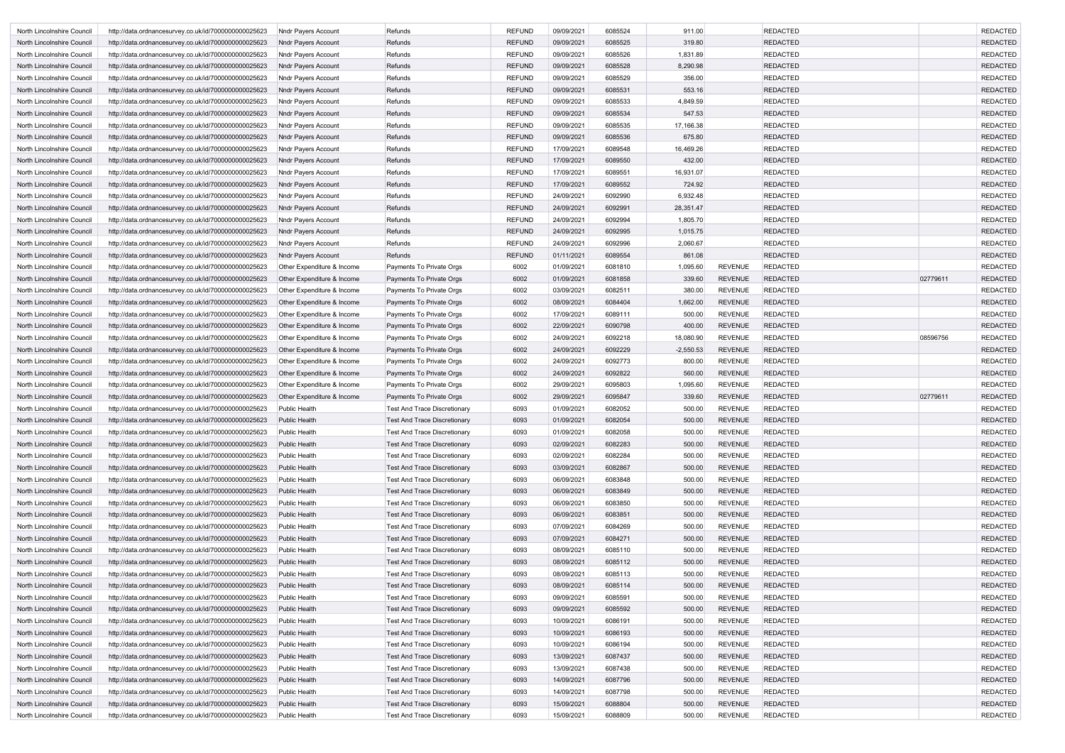| North Lincolnshire Council | http://data.ordnancesurvey.co.uk/id/7000000000025623 | Nndr Payers Account        | Refunds                             | <b>REFUND</b> | 09/09/2021 | 6085524 | 911.00      |                | <b>REDACTED</b> |          | <b>REDACTED</b> |
|----------------------------|------------------------------------------------------|----------------------------|-------------------------------------|---------------|------------|---------|-------------|----------------|-----------------|----------|-----------------|
| North Lincolnshire Council | http://data.ordnancesurvey.co.uk/id/7000000000025623 | Nndr Payers Account        | Refunds                             | <b>REFUND</b> | 09/09/2021 | 6085525 | 319.80      |                | <b>REDACTED</b> |          | <b>REDACTED</b> |
| North Lincolnshire Council | http://data.ordnancesurvey.co.uk/id/7000000000025623 | Nndr Payers Account        | Refunds                             | <b>REFUND</b> | 09/09/2021 | 6085526 | 1,831.89    |                | <b>REDACTED</b> |          | <b>REDACTED</b> |
| North Lincolnshire Council | http://data.ordnancesurvey.co.uk/id/7000000000025623 | Nndr Payers Account        | Refunds                             | <b>REFUND</b> | 09/09/2021 | 6085528 | 8,290.98    |                | <b>REDACTED</b> |          | <b>REDACTED</b> |
| North Lincolnshire Council | http://data.ordnancesurvey.co.uk/id/7000000000025623 | Nndr Payers Account        | Refunds                             | <b>REFUND</b> | 09/09/2021 | 6085529 | 356.00      |                | <b>REDACTED</b> |          | <b>REDACTED</b> |
| North Lincolnshire Council | http://data.ordnancesurvey.co.uk/id/7000000000025623 | Nndr Payers Account        | Refunds                             | <b>REFUND</b> | 09/09/2021 | 6085531 | 553.16      |                | <b>REDACTED</b> |          | <b>REDACTED</b> |
| North Lincolnshire Council | http://data.ordnancesurvey.co.uk/id/7000000000025623 | Nndr Payers Account        | Refunds                             | <b>REFUND</b> | 09/09/2021 | 6085533 | 4,849.59    |                | <b>REDACTED</b> |          | <b>REDACTED</b> |
| North Lincolnshire Council | http://data.ordnancesurvey.co.uk/id/7000000000025623 | Nndr Payers Account        | Refunds                             | <b>REFUND</b> | 09/09/2021 | 6085534 | 547.53      |                | <b>REDACTED</b> |          | <b>REDACTED</b> |
| North Lincolnshire Council | http://data.ordnancesurvey.co.uk/id/7000000000025623 | Nndr Payers Account        | Refunds                             | <b>REFUND</b> | 09/09/2021 | 6085535 | 17,166.38   |                | <b>REDACTED</b> |          | <b>REDACTED</b> |
| North Lincolnshire Council | http://data.ordnancesurvey.co.uk/id/7000000000025623 | Nndr Payers Account        | Refunds                             | <b>REFUND</b> | 09/09/2021 | 6085536 | 675.80      |                | <b>REDACTED</b> |          | <b>REDACTED</b> |
| North Lincolnshire Council | http://data.ordnancesurvey.co.uk/id/7000000000025623 | Nndr Payers Account        | Refunds                             | <b>REFUND</b> | 17/09/2021 | 6089548 | 16,469.26   |                | <b>REDACTED</b> |          | <b>REDACTED</b> |
| North Lincolnshire Council | http://data.ordnancesurvey.co.uk/id/7000000000025623 | Nndr Payers Account        | Refunds                             | <b>REFUND</b> | 17/09/2021 | 6089550 | 432.00      |                | <b>REDACTED</b> |          | <b>REDACTED</b> |
| North Lincolnshire Council | http://data.ordnancesurvey.co.uk/id/7000000000025623 | Nndr Payers Account        | Refunds                             | <b>REFUND</b> | 17/09/2021 | 6089551 | 16,931.07   |                | <b>REDACTED</b> |          | <b>REDACTED</b> |
| North Lincolnshire Council | http://data.ordnancesurvey.co.uk/id/7000000000025623 | Nndr Payers Account        | Refunds                             | <b>REFUND</b> | 17/09/2021 | 6089552 | 724.92      |                | <b>REDACTED</b> |          | <b>REDACTED</b> |
| North Lincolnshire Council | http://data.ordnancesurvey.co.uk/id/7000000000025623 | Nndr Payers Account        | Refunds                             | <b>REFUND</b> | 24/09/2021 | 6092990 | 6,932.48    |                | <b>REDACTED</b> |          | <b>REDACTED</b> |
| North Lincolnshire Council | http://data.ordnancesurvey.co.uk/id/7000000000025623 | Nndr Payers Account        | Refunds                             | <b>REFUND</b> | 24/09/2021 | 6092991 | 28,351.47   |                | <b>REDACTED</b> |          | <b>REDACTED</b> |
| North Lincolnshire Council | http://data.ordnancesurvey.co.uk/id/7000000000025623 | Nndr Payers Account        | Refunds                             | <b>REFUND</b> | 24/09/2021 | 6092994 | 1,805.70    |                | <b>REDACTED</b> |          | <b>REDACTED</b> |
| North Lincolnshire Council | http://data.ordnancesurvey.co.uk/id/7000000000025623 | Nndr Payers Account        | Refunds                             | <b>REFUND</b> | 24/09/2021 | 6092995 | 1,015.75    |                | <b>REDACTED</b> |          | <b>REDACTED</b> |
| North Lincolnshire Council | http://data.ordnancesurvey.co.uk/id/7000000000025623 | Nndr Payers Account        | Refunds                             | <b>REFUND</b> | 24/09/2021 | 6092996 | 2,060.67    |                | <b>REDACTED</b> |          | <b>REDACTED</b> |
| North Lincolnshire Council | http://data.ordnancesurvey.co.uk/id/7000000000025623 | Nndr Payers Account        | Refunds                             | <b>REFUND</b> | 01/11/2021 | 6089554 | 861.08      |                | <b>REDACTED</b> |          | <b>REDACTED</b> |
| North Lincolnshire Council | http://data.ordnancesurvey.co.uk/id/7000000000025623 | Other Expenditure & Income | Payments To Private Orgs            | 6002          | 01/09/2021 | 6081810 | 1,095.60    | <b>REVENUE</b> | <b>REDACTED</b> |          | <b>REDACTED</b> |
| North Lincolnshire Council | http://data.ordnancesurvey.co.uk/id/7000000000025623 | Other Expenditure & Income | Payments To Private Orgs            | 6002          | 01/09/2021 | 6081858 | 339.60      | <b>REVENUE</b> | REDACTED        | 02779611 | <b>REDACTED</b> |
| North Lincolnshire Council | http://data.ordnancesurvey.co.uk/id/7000000000025623 | Other Expenditure & Income | Payments To Private Orgs            | 6002          | 03/09/2021 | 6082511 | 380.00      | <b>REVENUE</b> | <b>REDACTED</b> |          | <b>REDACTED</b> |
| North Lincolnshire Council | http://data.ordnancesurvey.co.uk/id/7000000000025623 | Other Expenditure & Income | Payments To Private Orgs            | 6002          | 08/09/2021 | 6084404 | 1,662.00    | <b>REVENUE</b> | <b>REDACTED</b> |          | <b>REDACTED</b> |
| North Lincolnshire Council | http://data.ordnancesurvey.co.uk/id/7000000000025623 | Other Expenditure & Income | Payments To Private Orgs            | 6002          | 17/09/2021 | 6089111 | 500.00      | <b>REVENUE</b> | <b>REDACTED</b> |          | <b>REDACTED</b> |
| North Lincolnshire Council | http://data.ordnancesurvey.co.uk/id/7000000000025623 | Other Expenditure & Income | Payments To Private Orgs            | 6002          | 22/09/2021 | 6090798 | 400.00      | <b>REVENUE</b> | <b>REDACTED</b> |          | <b>REDACTED</b> |
| North Lincolnshire Council | http://data.ordnancesurvey.co.uk/id/7000000000025623 | Other Expenditure & Income | Payments To Private Orgs            | 6002          | 24/09/2021 | 6092218 | 18,080.90   | <b>REVENUE</b> | <b>REDACTED</b> | 08596756 | <b>REDACTED</b> |
| North Lincolnshire Council | http://data.ordnancesurvey.co.uk/id/7000000000025623 | Other Expenditure & Income | Payments To Private Orgs            | 6002          | 24/09/2021 | 6092229 | $-2,550.53$ | <b>REVENUE</b> | <b>REDACTED</b> |          | <b>REDACTED</b> |
| North Lincolnshire Council | http://data.ordnancesurvey.co.uk/id/7000000000025623 | Other Expenditure & Income | Payments To Private Orgs            | 6002          | 24/09/2021 | 6092773 | 800.00      | <b>REVENUE</b> | <b>REDACTED</b> |          | <b>REDACTED</b> |
| North Lincolnshire Council | http://data.ordnancesurvey.co.uk/id/7000000000025623 | Other Expenditure & Income | Payments To Private Orgs            | 6002          | 24/09/2021 | 6092822 | 560.00      | <b>REVENUE</b> | <b>REDACTED</b> |          | <b>REDACTED</b> |
| North Lincolnshire Council | http://data.ordnancesurvey.co.uk/id/7000000000025623 | Other Expenditure & Income | Payments To Private Orgs            | 6002          | 29/09/2021 | 6095803 | 1,095.60    | <b>REVENUE</b> | <b>REDACTED</b> |          | <b>REDACTED</b> |
| North Lincolnshire Council | http://data.ordnancesurvey.co.uk/id/7000000000025623 | Other Expenditure & Income | Payments To Private Orgs            | 6002          | 29/09/2021 | 6095847 | 339.60      | <b>REVENUE</b> | <b>REDACTED</b> | 02779611 | <b>REDACTED</b> |
| North Lincolnshire Council | http://data.ordnancesurvey.co.uk/id/7000000000025623 | Public Health              | <b>Test And Trace Discretionary</b> | 6093          | 01/09/2021 | 6082052 | 500.00      | <b>REVENUE</b> | <b>REDACTED</b> |          | <b>REDACTED</b> |
| North Lincolnshire Council | http://data.ordnancesurvey.co.uk/id/7000000000025623 | <b>Public Health</b>       | <b>Test And Trace Discretionary</b> | 6093          | 01/09/2021 | 6082054 | 500.00      | REVENUE        | <b>REDACTED</b> |          | <b>REDACTED</b> |
| North Lincolnshire Council | http://data.ordnancesurvey.co.uk/id/7000000000025623 | <b>Public Health</b>       | Test And Trace Discretionary        | 6093          | 01/09/2021 | 6082058 | 500.00      | <b>REVENUE</b> | <b>REDACTED</b> |          | <b>REDACTED</b> |
| North Lincolnshire Council | http://data.ordnancesurvey.co.uk/id/7000000000025623 | Public Health              | <b>Test And Trace Discretionary</b> | 6093          | 02/09/2021 | 6082283 | 500.00      | <b>REVENUE</b> | <b>REDACTED</b> |          | <b>REDACTED</b> |
| North Lincolnshire Council | http://data.ordnancesurvey.co.uk/id/7000000000025623 | Public Health              | <b>Test And Trace Discretionary</b> | 6093          | 02/09/2021 | 6082284 | 500.00      | <b>REVENUE</b> | <b>REDACTED</b> |          | <b>REDACTED</b> |
| North Lincolnshire Council | http://data.ordnancesurvey.co.uk/id/7000000000025623 | Public Health              | <b>Test And Trace Discretionary</b> | 6093          | 03/09/2021 | 6082867 | 500.00      | <b>REVENUE</b> | <b>REDACTED</b> |          | <b>REDACTED</b> |
| North Lincolnshire Council | http://data.ordnancesurvey.co.uk/id/7000000000025623 | Public Health              | <b>Test And Trace Discretionary</b> | 6093          | 06/09/2021 | 6083848 | 500.00      | <b>REVENUE</b> | <b>REDACTED</b> |          | <b>REDACTED</b> |
| North Lincolnshire Council | http://data.ordnancesurvey.co.uk/id/7000000000025623 | <b>Public Health</b>       | <b>Test And Trace Discretionary</b> | 6093          | 06/09/2021 | 6083849 | 500.00      | <b>REVENUE</b> | <b>REDACTED</b> |          | <b>REDACTED</b> |
| North Lincolnshire Council | http://data.ordnancesurvey.co.uk/id/7000000000025623 | Public Health              | <b>Test And Trace Discretionary</b> | 6093          | 06/09/2021 | 6083850 | 500.00      | <b>REVENUE</b> | <b>REDACTED</b> |          | <b>REDACTED</b> |
| North Lincolnshire Council | http://data.ordnancesurvey.co.uk/id/7000000000025623 | <b>Public Health</b>       | <b>Test And Trace Discretionary</b> | 6093          | 06/09/2021 | 6083851 | 500.00      | <b>REVENUE</b> | <b>REDACTED</b> |          | <b>REDACTED</b> |
| North Lincolnshire Council | http://data.ordnancesurvey.co.uk/id/7000000000025623 | Public Health              | <b>Test And Trace Discretionary</b> | 6093          | 07/09/2021 | 6084269 | 500.00      | <b>REVENUE</b> | <b>REDACTED</b> |          | <b>REDACTED</b> |
| North Lincolnshire Council | http://data.ordnancesurvey.co.uk/id/7000000000025623 | Public Health              | <b>Test And Trace Discretionary</b> | 6093          | 07/09/2021 | 6084271 | 500.00      | <b>REVENUE</b> | <b>REDACTED</b> |          | <b>REDACTED</b> |
| North Lincolnshire Council | http://data.ordnancesurvey.co.uk/id/7000000000025623 | <b>Public Health</b>       | <b>Test And Trace Discretionary</b> | 6093          | 08/09/2021 | 6085110 | 500.00      | <b>REVENUE</b> | <b>REDACTED</b> |          | <b>REDACTED</b> |
| North Lincolnshire Council | http://data.ordnancesurvey.co.uk/id/7000000000025623 | Public Health              | <b>Test And Trace Discretionary</b> | 6093          | 08/09/2021 | 6085112 | 500.00      | <b>REVENUE</b> | <b>REDACTED</b> |          | <b>REDACTED</b> |
| North Lincolnshire Council | http://data.ordnancesurvey.co.uk/id/7000000000025623 | Public Health              | <b>Test And Trace Discretionary</b> | 6093          | 08/09/2021 | 6085113 | 500.00      | <b>REVENUE</b> | <b>REDACTED</b> |          | <b>REDACTED</b> |
| North Lincolnshire Council | http://data.ordnancesurvey.co.uk/id/7000000000025623 | <b>Public Health</b>       | <b>Test And Trace Discretionary</b> | 6093          | 08/09/2021 | 6085114 | 500.00      | <b>REVENUE</b> | <b>REDACTED</b> |          | <b>REDACTED</b> |
| North Lincolnshire Council | http://data.ordnancesurvey.co.uk/id/7000000000025623 | <b>Public Health</b>       | <b>Test And Trace Discretionary</b> | 6093          | 09/09/2021 | 6085591 | 500.00      | <b>REVENUE</b> | <b>REDACTED</b> |          | <b>REDACTED</b> |
| North Lincolnshire Council | http://data.ordnancesurvey.co.uk/id/7000000000025623 | <b>Public Health</b>       | <b>Test And Trace Discretionary</b> | 6093          | 09/09/2021 | 6085592 | 500.00      | <b>REVENUE</b> | <b>REDACTED</b> |          | <b>REDACTED</b> |
| North Lincolnshire Council | http://data.ordnancesurvey.co.uk/id/7000000000025623 | Public Health              | <b>Test And Trace Discretionary</b> | 6093          | 10/09/2021 | 6086191 | 500.00      | <b>REVENUE</b> | <b>REDACTED</b> |          | <b>REDACTED</b> |
| North Lincolnshire Council | http://data.ordnancesurvey.co.uk/id/7000000000025623 | Public Health              | <b>Test And Trace Discretionary</b> | 6093          | 10/09/2021 | 6086193 | 500.00      | <b>REVENUE</b> | <b>REDACTED</b> |          | <b>REDACTED</b> |
| North Lincolnshire Council | http://data.ordnancesurvey.co.uk/id/7000000000025623 | Public Health              | <b>Test And Trace Discretionary</b> | 6093          | 10/09/2021 | 6086194 | 500.00      | <b>REVENUE</b> | <b>REDACTED</b> |          | <b>REDACTED</b> |
| North Lincolnshire Council | http://data.ordnancesurvey.co.uk/id/7000000000025623 | <b>Public Health</b>       | <b>Test And Trace Discretionary</b> | 6093          | 13/09/2021 | 6087437 | 500.00      | <b>REVENUE</b> | <b>REDACTED</b> |          | <b>REDACTED</b> |
| North Lincolnshire Council | http://data.ordnancesurvey.co.uk/id/7000000000025623 | <b>Public Health</b>       | <b>Test And Trace Discretionary</b> | 6093          | 13/09/2021 | 6087438 | 500.00      | <b>REVENUE</b> | <b>REDACTED</b> |          | <b>REDACTED</b> |
| North Lincolnshire Council | http://data.ordnancesurvey.co.uk/id/7000000000025623 | Public Health              | <b>Test And Trace Discretionary</b> | 6093          | 14/09/2021 | 6087796 | 500.00      | REVENUE        | <b>REDACTED</b> |          | <b>REDACTED</b> |
| North Lincolnshire Council | http://data.ordnancesurvey.co.uk/id/7000000000025623 | Public Health              | <b>Test And Trace Discretionary</b> | 6093          | 14/09/2021 | 6087798 | 500.00      | <b>REVENUE</b> | <b>REDACTED</b> |          | <b>REDACTED</b> |
| North Lincolnshire Council | http://data.ordnancesurvey.co.uk/id/7000000000025623 | Public Health              | <b>Test And Trace Discretionary</b> | 6093          | 15/09/2021 | 6088804 | 500.00      | <b>REVENUE</b> | <b>REDACTED</b> |          | <b>REDACTED</b> |
| North Lincolnshire Council |                                                      | Public Health              | <b>Test And Trace Discretionary</b> | 6093          | 15/09/2021 | 6088809 | 500.00      | <b>REVENUE</b> | <b>REDACTED</b> |          | <b>REDACTED</b> |
|                            | http://data.ordnancesurvey.co.uk/id/7000000000025623 |                            |                                     |               |            |         |             |                |                 |          |                 |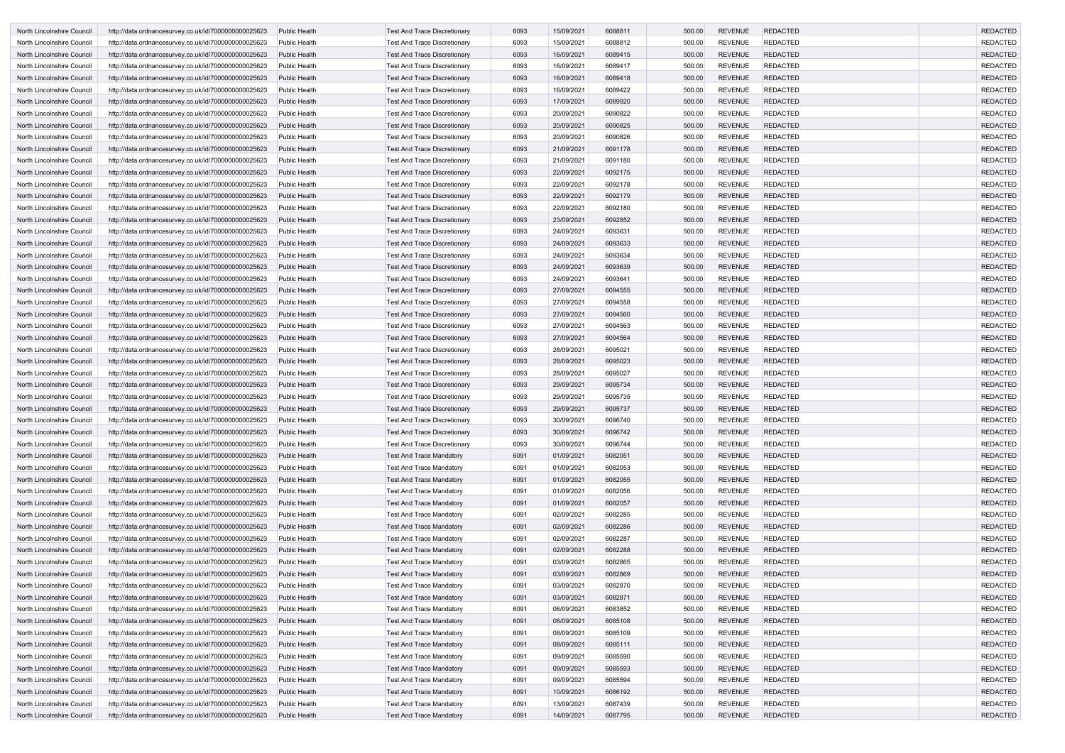| North Lincolnshire Council | http://data.ordnancesurvey.co.uk/id/7000000000025623 | <b>Public Health</b> | Test And Trace Discretionary        | 6093 | 15/09/2021 | 6088811 | 500.00 | <b>REVENUE</b> | <b>REDACTED</b> | <b>REDACTED</b> |
|----------------------------|------------------------------------------------------|----------------------|-------------------------------------|------|------------|---------|--------|----------------|-----------------|-----------------|
| North Lincolnshire Council | http://data.ordnancesurvey.co.uk/id/7000000000025623 | <b>Public Health</b> | <b>Test And Trace Discretionary</b> | 6093 | 15/09/2021 | 6088812 | 500.00 | <b>REVENUE</b> | <b>REDACTED</b> | <b>REDACTED</b> |
| North Lincolnshire Council | http://data.ordnancesurvey.co.uk/id/7000000000025623 | <b>Public Health</b> | <b>Test And Trace Discretionary</b> | 6093 | 16/09/2021 | 6089415 | 500.00 | <b>REVENUE</b> | <b>REDACTED</b> | <b>REDACTED</b> |
| North Lincolnshire Council | http://data.ordnancesurvey.co.uk/id/7000000000025623 | <b>Public Health</b> | <b>Test And Trace Discretionary</b> | 6093 | 16/09/2021 | 6089417 | 500.00 | <b>REVENUE</b> | <b>REDACTED</b> | <b>REDACTED</b> |
| North Lincolnshire Council | http://data.ordnancesurvey.co.uk/id/7000000000025623 | <b>Public Health</b> | <b>Test And Trace Discretionary</b> | 6093 | 16/09/2021 | 6089418 | 500.00 | <b>REVENUE</b> | <b>REDACTED</b> | <b>REDACTED</b> |
| North Lincolnshire Council | http://data.ordnancesurvey.co.uk/id/7000000000025623 | <b>Public Health</b> | <b>Test And Trace Discretionary</b> | 6093 | 16/09/2021 | 6089422 | 500.00 | <b>REVENUE</b> | <b>REDACTED</b> | <b>REDACTED</b> |
| North Lincolnshire Council | http://data.ordnancesurvey.co.uk/id/7000000000025623 | <b>Public Health</b> | <b>Test And Trace Discretionary</b> | 6093 | 17/09/2021 | 6089920 | 500.00 | <b>REVENUE</b> | <b>REDACTED</b> | <b>REDACTED</b> |
| North Lincolnshire Council | http://data.ordnancesurvey.co.uk/id/7000000000025623 | <b>Public Health</b> | <b>Test And Trace Discretionary</b> | 6093 | 20/09/2021 | 6090822 | 500.00 | <b>REVENUE</b> | <b>REDACTED</b> | <b>REDACTED</b> |
| North Lincolnshire Council | http://data.ordnancesurvey.co.uk/id/7000000000025623 | <b>Public Health</b> | <b>Test And Trace Discretionary</b> | 6093 | 20/09/2021 | 6090825 | 500.00 | <b>REVENUE</b> | <b>REDACTED</b> | <b>REDACTED</b> |
| North Lincolnshire Council | http://data.ordnancesurvey.co.uk/id/7000000000025623 | <b>Public Health</b> | <b>Test And Trace Discretionary</b> | 6093 | 20/09/2021 | 6090826 | 500.00 | <b>REVENUE</b> | <b>REDACTED</b> | <b>REDACTED</b> |
| North Lincolnshire Council | http://data.ordnancesurvey.co.uk/id/7000000000025623 | <b>Public Health</b> | <b>Test And Trace Discretionary</b> | 6093 | 21/09/2021 | 6091178 | 500.00 | <b>REVENUE</b> | <b>REDACTED</b> | <b>REDACTED</b> |
| North Lincolnshire Council | http://data.ordnancesurvey.co.uk/id/7000000000025623 | <b>Public Health</b> | <b>Test And Trace Discretionary</b> | 6093 | 21/09/2021 | 6091180 | 500.00 | <b>REVENUE</b> | <b>REDACTED</b> | <b>REDACTED</b> |
| North Lincolnshire Council | http://data.ordnancesurvey.co.uk/id/7000000000025623 | <b>Public Health</b> | <b>Test And Trace Discretionary</b> | 6093 | 22/09/2021 | 6092175 | 500.00 | <b>REVENUE</b> | <b>REDACTED</b> | <b>REDACTED</b> |
| North Lincolnshire Council | http://data.ordnancesurvey.co.uk/id/7000000000025623 | <b>Public Health</b> | <b>Test And Trace Discretionary</b> | 6093 | 22/09/2021 | 6092178 | 500.00 | <b>REVENUE</b> | <b>REDACTED</b> | <b>REDACTED</b> |
| North Lincolnshire Council | http://data.ordnancesurvey.co.uk/id/7000000000025623 | <b>Public Health</b> | <b>Test And Trace Discretionary</b> | 6093 | 22/09/2021 | 6092179 | 500.00 | <b>REVENUE</b> | <b>REDACTED</b> | <b>REDACTED</b> |
| North Lincolnshire Council | http://data.ordnancesurvey.co.uk/id/7000000000025623 | <b>Public Health</b> | <b>Test And Trace Discretionary</b> | 6093 | 22/09/2021 | 6092180 | 500.00 | <b>REVENUE</b> | <b>REDACTED</b> | <b>REDACTED</b> |
| North Lincolnshire Council | http://data.ordnancesurvey.co.uk/id/7000000000025623 | <b>Public Health</b> | <b>Test And Trace Discretionary</b> | 6093 | 23/09/2021 | 6092852 | 500.00 | <b>REVENUE</b> | <b>REDACTED</b> | <b>REDACTED</b> |
| North Lincolnshire Council | http://data.ordnancesurvey.co.uk/id/7000000000025623 | <b>Public Health</b> | <b>Test And Trace Discretionary</b> | 6093 | 24/09/2021 | 6093631 | 500.00 | <b>REVENUE</b> | <b>REDACTED</b> | <b>REDACTED</b> |
| North Lincolnshire Council | http://data.ordnancesurvey.co.uk/id/7000000000025623 | <b>Public Health</b> | <b>Test And Trace Discretionary</b> | 6093 | 24/09/2021 | 6093633 | 500.00 | <b>REVENUE</b> | <b>REDACTED</b> | <b>REDACTED</b> |
| North Lincolnshire Council | http://data.ordnancesurvey.co.uk/id/7000000000025623 | Public Health        | <b>Test And Trace Discretionary</b> | 6093 | 24/09/2021 | 6093634 | 500.00 | <b>REVENUE</b> | <b>REDACTED</b> | <b>REDACTED</b> |
| North Lincolnshire Council | http://data.ordnancesurvey.co.uk/id/7000000000025623 | <b>Public Health</b> | <b>Test And Trace Discretionary</b> | 6093 | 24/09/2021 | 6093639 | 500.00 | <b>REVENUE</b> | <b>REDACTED</b> | <b>REDACTED</b> |
| North Lincolnshire Council | http://data.ordnancesurvey.co.uk/id/7000000000025623 | <b>Public Health</b> | <b>Test And Trace Discretionary</b> | 6093 | 24/09/2021 | 6093641 | 500.00 | <b>REVENUE</b> | <b>REDACTED</b> | <b>REDACTED</b> |
| North Lincolnshire Council | http://data.ordnancesurvey.co.uk/id/7000000000025623 | <b>Public Health</b> | <b>Test And Trace Discretionary</b> | 6093 | 27/09/2021 | 6094555 | 500.00 | <b>REVENUE</b> | <b>REDACTED</b> | <b>REDACTED</b> |
| North Lincolnshire Council | http://data.ordnancesurvey.co.uk/id/7000000000025623 | <b>Public Health</b> | <b>Test And Trace Discretionary</b> | 6093 | 27/09/2021 | 6094558 | 500.00 | <b>REVENUE</b> | <b>REDACTED</b> | <b>REDACTED</b> |
| North Lincolnshire Council | http://data.ordnancesurvey.co.uk/id/7000000000025623 | <b>Public Health</b> | <b>Test And Trace Discretionary</b> | 6093 | 27/09/2021 | 6094560 | 500.00 | <b>REVENUE</b> | <b>REDACTED</b> | <b>REDACTED</b> |
| North Lincolnshire Council | http://data.ordnancesurvey.co.uk/id/7000000000025623 | <b>Public Health</b> | <b>Test And Trace Discretionary</b> | 6093 | 27/09/2021 | 6094563 | 500.00 | <b>REVENUE</b> | <b>REDACTED</b> | <b>REDACTED</b> |
| North Lincolnshire Council | http://data.ordnancesurvey.co.uk/id/7000000000025623 | <b>Public Health</b> | <b>Test And Trace Discretionary</b> | 6093 | 27/09/2021 | 6094564 | 500.00 | <b>REVENUE</b> | <b>REDACTED</b> | <b>REDACTED</b> |
| North Lincolnshire Council | http://data.ordnancesurvey.co.uk/id/7000000000025623 | <b>Public Health</b> | <b>Test And Trace Discretionary</b> | 6093 | 28/09/2021 | 6095021 | 500.00 | <b>REVENUE</b> | <b>REDACTED</b> | <b>REDACTED</b> |
| North Lincolnshire Council | http://data.ordnancesurvey.co.uk/id/7000000000025623 | <b>Public Health</b> | <b>Test And Trace Discretionary</b> | 6093 | 28/09/2021 | 6095023 | 500.00 | <b>REVENUE</b> | <b>REDACTED</b> | <b>REDACTED</b> |
| North Lincolnshire Council | http://data.ordnancesurvey.co.uk/id/7000000000025623 | Public Health        | <b>Test And Trace Discretionary</b> | 6093 | 28/09/2021 | 6095027 | 500.00 | <b>REVENUE</b> | <b>REDACTED</b> | <b>REDACTED</b> |
| North Lincolnshire Council | http://data.ordnancesurvey.co.uk/id/7000000000025623 | <b>Public Health</b> | <b>Test And Trace Discretionary</b> | 6093 | 29/09/2021 | 6095734 | 500.00 | <b>REVENUE</b> | <b>REDACTED</b> | <b>REDACTED</b> |
| North Lincolnshire Council | http://data.ordnancesurvey.co.uk/id/7000000000025623 | <b>Public Health</b> | <b>Test And Trace Discretionary</b> | 6093 | 29/09/2021 | 6095735 | 500.00 | <b>REVENUE</b> | <b>REDACTED</b> | <b>REDACTED</b> |
| North Lincolnshire Council | http://data.ordnancesurvey.co.uk/id/7000000000025623 | <b>Public Health</b> | <b>Test And Trace Discretionary</b> | 6093 | 29/09/2021 | 6095737 | 500.00 | <b>REVENUE</b> | <b>REDACTED</b> | <b>REDACTED</b> |
| North Lincolnshire Council | http://data.ordnancesurvey.co.uk/id/7000000000025623 | <b>Public Health</b> | <b>Test And Trace Discretionary</b> | 6093 | 30/09/2021 | 6096740 | 500.00 | <b>REVENUE</b> | <b>REDACTED</b> | <b>REDACTED</b> |
| North Lincolnshire Council | http://data.ordnancesurvey.co.uk/id/7000000000025623 | <b>Public Health</b> | <b>Test And Trace Discretionary</b> | 6093 | 30/09/2021 | 6096742 | 500.00 | <b>REVENUE</b> | <b>REDACTED</b> | <b>REDACTED</b> |
| North Lincolnshire Council | http://data.ordnancesurvey.co.uk/id/7000000000025623 | <b>Public Health</b> | <b>Test And Trace Discretionary</b> | 6093 | 30/09/2021 | 6096744 | 500.00 | <b>REVENUE</b> | <b>REDACTED</b> | <b>REDACTED</b> |
| North Lincolnshire Council | http://data.ordnancesurvey.co.uk/id/7000000000025623 | <b>Public Health</b> | <b>Test And Trace Mandatory</b>     | 6091 | 01/09/2021 | 6082051 | 500.00 | <b>REVENUE</b> | <b>REDACTED</b> | <b>REDACTED</b> |
| North Lincolnshire Council | http://data.ordnancesurvey.co.uk/id/7000000000025623 | <b>Public Health</b> | <b>Test And Trace Mandatory</b>     | 6091 | 01/09/2021 | 6082053 | 500.00 | <b>REVENUE</b> | <b>REDACTED</b> | <b>REDACTED</b> |
| North Lincolnshire Council | http://data.ordnancesurvey.co.uk/id/7000000000025623 | <b>Public Health</b> | <b>Test And Trace Mandatory</b>     | 6091 | 01/09/2021 | 6082055 | 500.00 | <b>REVENUE</b> | <b>REDACTED</b> | <b>REDACTED</b> |
| North Lincolnshire Council | http://data.ordnancesurvey.co.uk/id/7000000000025623 | <b>Public Health</b> | <b>Test And Trace Mandatory</b>     | 6091 | 01/09/2021 | 6082056 | 500.00 | <b>REVENUE</b> | <b>REDACTED</b> | <b>REDACTED</b> |
| North Lincolnshire Council | http://data.ordnancesurvey.co.uk/id/7000000000025623 | <b>Public Health</b> | <b>Test And Trace Mandatory</b>     | 6091 | 01/09/2021 | 6082057 | 500.00 | <b>REVENUE</b> | <b>REDACTED</b> | <b>REDACTED</b> |
| North Lincolnshire Council | http://data.ordnancesurvey.co.uk/id/7000000000025623 | <b>Public Health</b> | <b>Test And Trace Mandatory</b>     | 6091 | 02/09/2021 | 6082285 | 500.00 | <b>REVENUE</b> | <b>REDACTED</b> | <b>REDACTED</b> |
| North Lincolnshire Council | http://data.ordnancesurvey.co.uk/id/7000000000025623 | <b>Public Health</b> | <b>Test And Trace Mandatory</b>     | 6091 | 02/09/2021 | 6082286 | 500.00 | <b>REVENUE</b> | <b>REDACTED</b> | <b>REDACTED</b> |
| North Lincolnshire Council | http://data.ordnancesurvey.co.uk/id/7000000000025623 | <b>Public Health</b> | <b>Test And Trace Mandatory</b>     | 6091 | 02/09/2021 | 6082287 | 500.00 | <b>REVENUE</b> | <b>REDACTED</b> | <b>REDACTED</b> |
| North Lincolnshire Council | http://data.ordnancesurvey.co.uk/id/7000000000025623 | <b>Public Health</b> | <b>Test And Trace Mandatory</b>     | 6091 | 02/09/2021 | 6082288 | 500.00 | <b>REVENUE</b> | <b>REDACTED</b> | <b>REDACTED</b> |
| North Lincolnshire Council | http://data.ordnancesurvey.co.uk/id/7000000000025623 | <b>Public Health</b> | <b>Test And Trace Mandatory</b>     | 6091 | 03/09/2021 | 6082865 | 500.00 | <b>REVENUE</b> | <b>REDACTED</b> | <b>REDACTED</b> |
| North Lincolnshire Council | http://data.ordnancesurvey.co.uk/id/7000000000025623 | <b>Public Health</b> | <b>Test And Trace Mandatory</b>     | 6091 | 03/09/2021 | 6082869 | 500.00 | <b>REVENUE</b> | <b>REDACTED</b> | <b>REDACTED</b> |
| North Lincolnshire Council | http://data.ordnancesurvey.co.uk/id/7000000000025623 | <b>Public Health</b> | <b>Test And Trace Mandatory</b>     | 6091 | 03/09/2021 | 6082870 | 500.00 | <b>REVENUE</b> | <b>REDACTED</b> | <b>REDACTED</b> |
| North Lincolnshire Council | http://data.ordnancesurvey.co.uk/id/7000000000025623 | <b>Public Health</b> | <b>Test And Trace Mandatory</b>     | 6091 | 03/09/2021 | 6082871 | 500.00 | <b>REVENUE</b> | <b>REDACTED</b> | <b>REDACTED</b> |
| North Lincolnshire Council | http://data.ordnancesurvey.co.uk/id/7000000000025623 | <b>Public Health</b> | <b>Test And Trace Mandatory</b>     | 6091 | 06/09/2021 | 6083852 | 500.00 | <b>REVENUE</b> | <b>REDACTED</b> | <b>REDACTED</b> |
| North Lincolnshire Council | http://data.ordnancesurvey.co.uk/id/7000000000025623 | <b>Public Health</b> | <b>Test And Trace Mandatory</b>     | 6091 | 08/09/2021 | 6085108 | 500.00 | <b>REVENUE</b> | <b>REDACTED</b> | <b>REDACTED</b> |
| North Lincolnshire Council | http://data.ordnancesurvey.co.uk/id/7000000000025623 | <b>Public Health</b> | <b>Test And Trace Mandatory</b>     | 6091 | 08/09/2021 | 6085109 | 500.00 | <b>REVENUE</b> | <b>REDACTED</b> | <b>REDACTED</b> |
| North Lincolnshire Council | http://data.ordnancesurvey.co.uk/id/7000000000025623 | <b>Public Health</b> | <b>Test And Trace Mandatory</b>     | 6091 | 08/09/2021 | 6085111 | 500.00 | <b>REVENUE</b> | <b>REDACTED</b> | <b>REDACTED</b> |
| North Lincolnshire Council | http://data.ordnancesurvey.co.uk/id/7000000000025623 | <b>Public Health</b> | <b>Test And Trace Mandatory</b>     | 6091 | 09/09/2021 | 6085590 | 500.00 | <b>REVENUE</b> | <b>REDACTED</b> | <b>REDACTED</b> |
| North Lincolnshire Council | http://data.ordnancesurvey.co.uk/id/7000000000025623 | <b>Public Health</b> | <b>Test And Trace Mandatory</b>     | 6091 | 09/09/2021 | 6085593 | 500.00 | <b>REVENUE</b> | <b>REDACTED</b> | <b>REDACTED</b> |
| North Lincolnshire Council | http://data.ordnancesurvey.co.uk/id/7000000000025623 | <b>Public Health</b> | <b>Test And Trace Mandatory</b>     | 6091 | 09/09/2021 | 6085594 | 500.00 | <b>REVENUE</b> | <b>REDACTED</b> | <b>REDACTED</b> |
| North Lincolnshire Council | http://data.ordnancesurvey.co.uk/id/7000000000025623 | <b>Public Health</b> | <b>Test And Trace Mandatory</b>     | 6091 | 10/09/2021 | 6086192 | 500.00 | <b>REVENUE</b> | <b>REDACTED</b> | <b>REDACTED</b> |
| North Lincolnshire Council | http://data.ordnancesurvey.co.uk/id/7000000000025623 | <b>Public Health</b> | <b>Test And Trace Mandatory</b>     | 6091 | 13/09/2021 | 6087439 | 500.00 | <b>REVENUE</b> | <b>REDACTED</b> | <b>REDACTED</b> |
| North Lincolnshire Council | http://data.ordnancesurvey.co.uk/id/7000000000025623 | <b>Public Health</b> | <b>Test And Trace Mandatory</b>     | 6091 | 14/09/2021 | 6087795 | 500.00 | <b>REVENUE</b> | <b>REDACTED</b> | <b>REDACTED</b> |
|                            |                                                      |                      |                                     |      |            |         |        |                |                 |                 |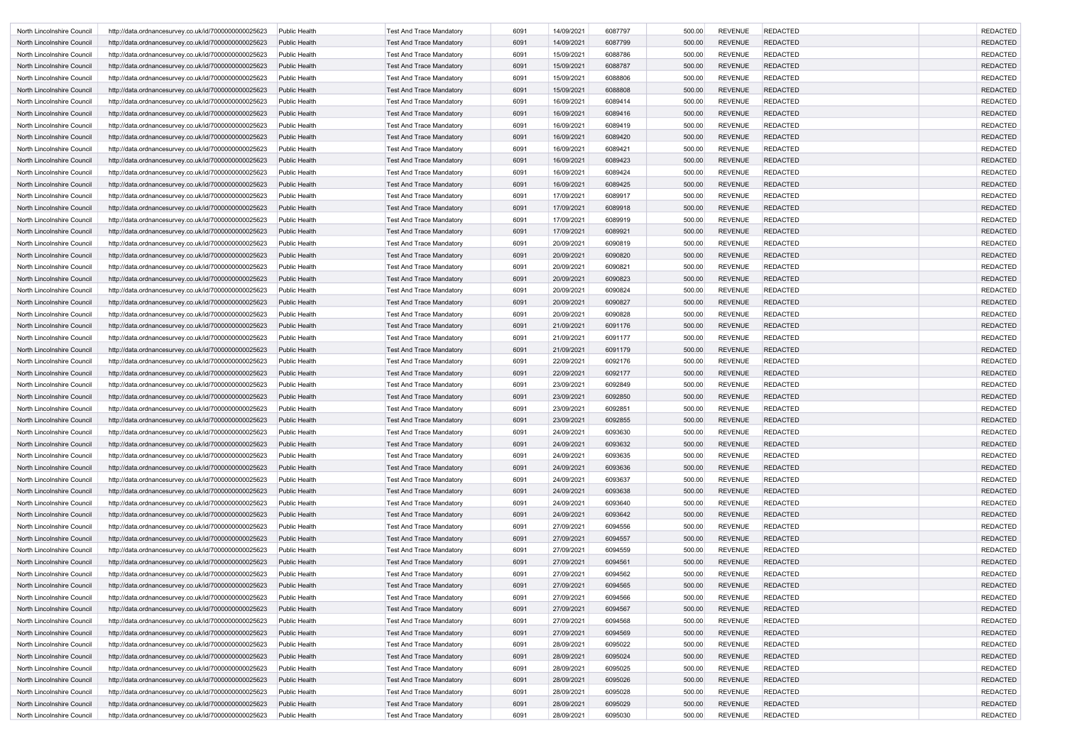| North Lincolnshire Council | http://data.ordnancesurvey.co.uk/id/7000000000025623 | Public Health        | <b>Test And Trace Mandatory</b> | 6091 | 14/09/2021 | 6087797 | 500.00 | <b>REVENUE</b> | <b>REDACTED</b> | <b>REDACTED</b>                    |
|----------------------------|------------------------------------------------------|----------------------|---------------------------------|------|------------|---------|--------|----------------|-----------------|------------------------------------|
| North Lincolnshire Council | http://data.ordnancesurvey.co.uk/id/7000000000025623 | <b>Public Health</b> | <b>Test And Trace Mandatory</b> | 6091 | 14/09/2021 | 6087799 | 500.00 | <b>REVENUE</b> | <b>REDACTED</b> | <b>REDACTED</b>                    |
| North Lincolnshire Council | http://data.ordnancesurvey.co.uk/id/7000000000025623 | <b>Public Health</b> | <b>Test And Trace Mandatory</b> | 6091 | 15/09/2021 | 6088786 | 500.00 | <b>REVENUE</b> | <b>REDACTED</b> | <b>REDACTED</b>                    |
| North Lincolnshire Council | http://data.ordnancesurvey.co.uk/id/7000000000025623 | <b>Public Health</b> | <b>Test And Trace Mandatory</b> | 6091 | 15/09/2021 | 6088787 | 500.00 | <b>REVENUE</b> | <b>REDACTED</b> | <b>REDACTED</b>                    |
| North Lincolnshire Council | http://data.ordnancesurvey.co.uk/id/7000000000025623 | Public Health        | <b>Test And Trace Mandatory</b> | 6091 | 15/09/2021 | 6088806 | 500.00 | <b>REVENUE</b> | <b>REDACTED</b> | <b>REDACTED</b>                    |
| North Lincolnshire Council | http://data.ordnancesurvey.co.uk/id/7000000000025623 | <b>Public Health</b> | <b>Test And Trace Mandatory</b> | 6091 | 15/09/2021 | 6088808 | 500.00 | <b>REVENUE</b> | <b>REDACTED</b> | <b>REDACTED</b>                    |
| North Lincolnshire Council | http://data.ordnancesurvey.co.uk/id/7000000000025623 | Public Health        | <b>Test And Trace Mandatory</b> | 6091 | 16/09/2021 | 6089414 | 500.00 | <b>REVENUE</b> | <b>REDACTED</b> | <b>REDACTED</b>                    |
| North Lincolnshire Council | http://data.ordnancesurvey.co.uk/id/7000000000025623 | <b>Public Health</b> | <b>Test And Trace Mandatory</b> | 6091 | 16/09/2021 | 6089416 | 500.00 | <b>REVENUE</b> | <b>REDACTED</b> | <b>REDACTED</b>                    |
| North Lincolnshire Council | http://data.ordnancesurvey.co.uk/id/7000000000025623 | Public Health        | <b>Test And Trace Mandatory</b> | 6091 | 16/09/2021 | 6089419 | 500.00 | <b>REVENUE</b> | <b>REDACTED</b> | <b>REDACTED</b>                    |
| North Lincolnshire Council | http://data.ordnancesurvey.co.uk/id/7000000000025623 | <b>Public Health</b> | <b>Test And Trace Mandatory</b> | 6091 | 16/09/2021 | 6089420 | 500.00 | <b>REVENUE</b> | <b>REDACTED</b> | <b>REDACTED</b>                    |
| North Lincolnshire Council | http://data.ordnancesurvey.co.uk/id/7000000000025623 | Public Health        | <b>Test And Trace Mandatory</b> | 6091 | 16/09/2021 | 6089421 | 500.00 | <b>REVENUE</b> | <b>REDACTED</b> | <b>REDACTED</b>                    |
| North Lincolnshire Council | http://data.ordnancesurvey.co.uk/id/7000000000025623 | <b>Public Health</b> | <b>Test And Trace Mandatory</b> | 6091 | 16/09/2021 | 6089423 | 500.00 | <b>REVENUE</b> | <b>REDACTED</b> | <b>REDACTED</b>                    |
| North Lincolnshire Council | http://data.ordnancesurvey.co.uk/id/7000000000025623 | <b>Public Health</b> | <b>Test And Trace Mandatory</b> | 6091 | 16/09/2021 | 6089424 | 500.00 | <b>REVENUE</b> | <b>REDACTED</b> | <b>REDACTED</b>                    |
| North Lincolnshire Council | http://data.ordnancesurvey.co.uk/id/7000000000025623 | <b>Public Health</b> | <b>Test And Trace Mandatory</b> | 6091 | 16/09/2021 | 6089425 | 500.00 | <b>REVENUE</b> | <b>REDACTED</b> | <b>REDACTED</b>                    |
| North Lincolnshire Council | http://data.ordnancesurvey.co.uk/id/7000000000025623 | <b>Public Health</b> | <b>Test And Trace Mandatory</b> | 6091 | 17/09/2021 | 6089917 | 500.00 | <b>REVENUE</b> | <b>REDACTED</b> | <b>REDACTED</b>                    |
| North Lincolnshire Council | http://data.ordnancesurvey.co.uk/id/7000000000025623 | <b>Public Health</b> | <b>Test And Trace Mandatory</b> | 6091 | 17/09/2021 | 6089918 | 500.00 | <b>REVENUE</b> | <b>REDACTED</b> | <b>REDACTED</b>                    |
| North Lincolnshire Council | http://data.ordnancesurvey.co.uk/id/7000000000025623 | Public Health        | <b>Test And Trace Mandatory</b> | 6091 | 17/09/2021 | 6089919 | 500.00 | <b>REVENUE</b> | <b>REDACTED</b> | <b>REDACTED</b>                    |
| North Lincolnshire Council | http://data.ordnancesurvey.co.uk/id/7000000000025623 | <b>Public Health</b> |                                 | 6091 | 17/09/2021 | 6089921 | 500.00 | <b>REVENUE</b> | <b>REDACTED</b> | <b>REDACTED</b>                    |
|                            |                                                      | Public Health        | <b>Test And Trace Mandatory</b> |      |            | 6090819 |        | <b>REVENUE</b> | <b>REDACTED</b> | <b>REDACTED</b>                    |
| North Lincolnshire Council | http://data.ordnancesurvey.co.uk/id/7000000000025623 |                      | <b>Test And Trace Mandatory</b> | 6091 | 20/09/2021 |         | 500.00 |                |                 |                                    |
| North Lincolnshire Council | http://data.ordnancesurvey.co.uk/id/7000000000025623 | <b>Public Health</b> | <b>Test And Trace Mandatory</b> | 6091 | 20/09/2021 | 6090820 | 500.00 | <b>REVENUE</b> | <b>REDACTED</b> | <b>REDACTED</b><br><b>REDACTED</b> |
| North Lincolnshire Council | http://data.ordnancesurvey.co.uk/id/7000000000025623 | Public Health        | <b>Test And Trace Mandatory</b> | 6091 | 20/09/2021 | 6090821 | 500.00 | <b>REVENUE</b> | <b>REDACTED</b> |                                    |
| North Lincolnshire Council | http://data.ordnancesurvey.co.uk/id/7000000000025623 | <b>Public Health</b> | <b>Test And Trace Mandatory</b> | 6091 | 20/09/2021 | 6090823 | 500.00 | <b>REVENUE</b> | <b>REDACTED</b> | <b>REDACTED</b>                    |
| North Lincolnshire Council | http://data.ordnancesurvey.co.uk/id/7000000000025623 | Public Health        | <b>Test And Trace Mandatory</b> | 6091 | 20/09/2021 | 6090824 | 500.00 | <b>REVENUE</b> | <b>REDACTED</b> | <b>REDACTED</b>                    |
| North Lincolnshire Council | http://data.ordnancesurvey.co.uk/id/7000000000025623 | <b>Public Health</b> | <b>Test And Trace Mandatory</b> | 6091 | 20/09/2021 | 6090827 | 500.00 | <b>REVENUE</b> | <b>REDACTED</b> | <b>REDACTED</b>                    |
| North Lincolnshire Council | http://data.ordnancesurvey.co.uk/id/7000000000025623 | <b>Public Health</b> | <b>Test And Trace Mandatory</b> | 6091 | 20/09/2021 | 6090828 | 500.00 | <b>REVENUE</b> | <b>REDACTED</b> | <b>REDACTED</b>                    |
| North Lincolnshire Council | http://data.ordnancesurvey.co.uk/id/7000000000025623 | <b>Public Health</b> | <b>Test And Trace Mandatory</b> | 6091 | 21/09/2021 | 6091176 | 500.00 | <b>REVENUE</b> | <b>REDACTED</b> | <b>REDACTED</b>                    |
| North Lincolnshire Council | http://data.ordnancesurvey.co.uk/id/7000000000025623 | Public Health        | <b>Test And Trace Mandatory</b> | 6091 | 21/09/2021 | 6091177 | 500.00 | <b>REVENUE</b> | <b>REDACTED</b> | <b>REDACTED</b>                    |
| North Lincolnshire Council | http://data.ordnancesurvey.co.uk/id/7000000000025623 | <b>Public Health</b> | <b>Test And Trace Mandatory</b> | 6091 | 21/09/2021 | 6091179 | 500.00 | <b>REVENUE</b> | <b>REDACTED</b> | <b>REDACTED</b>                    |
| North Lincolnshire Council | http://data.ordnancesurvey.co.uk/id/7000000000025623 | Public Health        | <b>Test And Trace Mandatory</b> | 6091 | 22/09/2021 | 6092176 | 500.00 | <b>REVENUE</b> | <b>REDACTED</b> | <b>REDACTED</b>                    |
| North Lincolnshire Council | http://data.ordnancesurvey.co.uk/id/7000000000025623 | <b>Public Health</b> | <b>Test And Trace Mandatory</b> | 6091 | 22/09/2021 | 6092177 | 500.00 | <b>REVENUE</b> | <b>REDACTED</b> | <b>REDACTED</b>                    |
| North Lincolnshire Council | http://data.ordnancesurvey.co.uk/id/7000000000025623 | Public Health        | <b>Test And Trace Mandatory</b> | 6091 | 23/09/2021 | 6092849 | 500.00 | <b>REVENUE</b> | <b>REDACTED</b> | <b>REDACTED</b>                    |
| North Lincolnshire Council | http://data.ordnancesurvey.co.uk/id/7000000000025623 | <b>Public Health</b> | <b>Test And Trace Mandatory</b> | 6091 | 23/09/2021 | 6092850 | 500.00 | <b>REVENUE</b> | <b>REDACTED</b> | <b>REDACTED</b>                    |
| North Lincolnshire Council | http://data.ordnancesurvey.co.uk/id/7000000000025623 | Public Health        | <b>Test And Trace Mandatory</b> | 6091 | 23/09/2021 | 6092851 | 500.00 | <b>REVENUE</b> | <b>REDACTED</b> | <b>REDACTED</b>                    |
| North Lincolnshire Council | http://data.ordnancesurvey.co.uk/id/7000000000025623 | Public Health        | <b>Test And Trace Mandatory</b> | 6091 | 23/09/2021 | 6092855 | 500.00 | <b>REVENUE</b> | <b>REDACTED</b> | <b>REDACTED</b>                    |
| North Lincolnshire Council | http://data.ordnancesurvey.co.uk/id/7000000000025623 | Public Health        | <b>Test And Trace Mandatory</b> | 6091 | 24/09/2021 | 6093630 | 500.00 | <b>REVENUE</b> | <b>REDACTED</b> | <b>REDACTED</b>                    |
| North Lincolnshire Council | http://data.ordnancesurvey.co.uk/id/7000000000025623 | Public Health        | <b>Test And Trace Mandatory</b> | 6091 | 24/09/2021 | 6093632 | 500.00 | <b>REVENUE</b> | <b>REDACTED</b> | <b>REDACTED</b>                    |
| North Lincolnshire Council | http://data.ordnancesurvey.co.uk/id/7000000000025623 | Public Health        | <b>Test And Trace Mandatory</b> | 6091 | 24/09/2021 | 6093635 | 500.00 | <b>REVENUE</b> | <b>REDACTED</b> | <b>REDACTED</b>                    |
| North Lincolnshire Council | http://data.ordnancesurvey.co.uk/id/7000000000025623 | <b>Public Health</b> | <b>Test And Trace Mandatory</b> | 6091 | 24/09/2021 | 6093636 | 500.00 | <b>REVENUE</b> | <b>REDACTED</b> | <b>REDACTED</b>                    |
| North Lincolnshire Council | http://data.ordnancesurvey.co.uk/id/7000000000025623 | Public Health        | <b>Test And Trace Mandatory</b> | 6091 | 24/09/2021 | 6093637 | 500.00 | <b>REVENUE</b> | <b>REDACTED</b> | <b>REDACTED</b>                    |
| North Lincolnshire Council | http://data.ordnancesurvey.co.uk/id/7000000000025623 | Public Health        | <b>Test And Trace Mandatory</b> | 6091 | 24/09/2021 | 6093638 | 500.00 | <b>REVENUE</b> | <b>REDACTED</b> | <b>REDACTED</b>                    |
| North Lincolnshire Council | http://data.ordnancesurvey.co.uk/id/7000000000025623 | Public Health        | <b>Test And Trace Mandatory</b> | 6091 | 24/09/2021 | 6093640 | 500.00 | <b>REVENUE</b> | <b>REDACTED</b> | <b>REDACTED</b>                    |
| North Lincolnshire Council | http://data.ordnancesurvey.co.uk/id/7000000000025623 | Public Health        | <b>Test And Trace Mandatory</b> | 6091 | 24/09/2021 | 6093642 | 500.00 | <b>REVENUE</b> | <b>REDACTED</b> | <b>REDACTED</b>                    |
| North Lincolnshire Council | http://data.ordnancesurvey.co.uk/id/7000000000025623 | <b>Public Health</b> | <b>Test And Trace Mandatory</b> | 6091 | 27/09/2021 | 6094556 | 500.00 | <b>REVENUE</b> | <b>REDACTED</b> | <b>REDACTED</b>                    |
| North Lincolnshire Council | http://data.ordnancesurvey.co.uk/id/7000000000025623 | Public Health        | <b>Test And Trace Mandatory</b> | 6091 | 27/09/2021 | 6094557 | 500.00 | <b>REVENUE</b> | <b>REDACTED</b> | <b>REDACTED</b>                    |
| North Lincolnshire Council | http://data.ordnancesurvey.co.uk/id/7000000000025623 | Public Health        | <b>Test And Trace Mandatory</b> | 6091 | 27/09/2021 | 6094559 | 500.00 | <b>REVENUE</b> | <b>REDACTED</b> | <b>REDACTED</b>                    |
| North Lincolnshire Council | http://data.ordnancesurvey.co.uk/id/7000000000025623 | Public Health        | <b>Test And Trace Mandatory</b> | 6091 | 27/09/2021 | 6094561 | 500.00 | <b>REVENUE</b> | <b>REDACTED</b> | <b>REDACTED</b>                    |
| North Lincolnshire Council | http://data.ordnancesurvey.co.uk/id/7000000000025623 | Public Health        | <b>Test And Trace Mandatory</b> | 6091 | 27/09/2021 | 6094562 | 500.00 | <b>REVENUE</b> | <b>REDACTED</b> | <b>REDACTED</b>                    |
| North Lincolnshire Council | http://data.ordnancesurvey.co.uk/id/7000000000025623 | <b>Public Health</b> | <b>Test And Trace Mandatory</b> | 6091 | 27/09/2021 | 6094565 | 500.00 | <b>REVENUE</b> | <b>REDACTED</b> | <b>REDACTED</b>                    |
| North Lincolnshire Council | http://data.ordnancesurvey.co.uk/id/7000000000025623 | Public Health        | <b>Test And Trace Mandatory</b> | 6091 | 27/09/2021 | 6094566 | 500.00 | <b>REVENUE</b> | <b>REDACTED</b> | <b>REDACTED</b>                    |
| North Lincolnshire Council | http://data.ordnancesurvey.co.uk/id/7000000000025623 | Public Health        | <b>Test And Trace Mandatory</b> | 6091 | 27/09/2021 | 6094567 | 500.00 | <b>REVENUE</b> | <b>REDACTED</b> | <b>REDACTED</b>                    |
| North Lincolnshire Council | http://data.ordnancesurvey.co.uk/id/7000000000025623 | Public Health        | <b>Test And Trace Mandatory</b> | 6091 | 27/09/2021 | 6094568 | 500.00 | <b>REVENUE</b> | <b>REDACTED</b> | <b>REDACTED</b>                    |
| North Lincolnshire Council | http://data.ordnancesurvey.co.uk/id/7000000000025623 | Public Health        | <b>Test And Trace Mandatory</b> | 6091 | 27/09/2021 | 6094569 | 500.00 | <b>REVENUE</b> | <b>REDACTED</b> | <b>REDACTED</b>                    |
| North Lincolnshire Council | http://data.ordnancesurvey.co.uk/id/7000000000025623 | <b>Public Health</b> | <b>Test And Trace Mandatory</b> | 6091 | 28/09/2021 | 6095022 | 500.00 | <b>REVENUE</b> | <b>REDACTED</b> | <b>REDACTED</b>                    |
| North Lincolnshire Council | http://data.ordnancesurvey.co.uk/id/7000000000025623 | <b>Public Health</b> | <b>Test And Trace Mandatory</b> | 6091 | 28/09/2021 | 6095024 | 500.00 | <b>REVENUE</b> | <b>REDACTED</b> | <b>REDACTED</b>                    |
| North Lincolnshire Council | http://data.ordnancesurvey.co.uk/id/7000000000025623 | Public Health        | <b>Test And Trace Mandatory</b> | 6091 | 28/09/2021 | 6095025 | 500.00 | <b>REVENUE</b> | <b>REDACTED</b> | <b>REDACTED</b>                    |
| North Lincolnshire Council | http://data.ordnancesurvey.co.uk/id/7000000000025623 | Public Health        | <b>Test And Trace Mandatory</b> | 6091 | 28/09/2021 | 6095026 | 500.00 | <b>REVENUE</b> | <b>REDACTED</b> | <b>REDACTED</b>                    |
| North Lincolnshire Council | http://data.ordnancesurvey.co.uk/id/7000000000025623 | Public Health        | <b>Test And Trace Mandatory</b> | 6091 | 28/09/2021 | 6095028 | 500.00 | <b>REVENUE</b> | <b>REDACTED</b> | <b>REDACTED</b>                    |
| North Lincolnshire Council | http://data.ordnancesurvey.co.uk/id/7000000000025623 | <b>Public Health</b> | <b>Test And Trace Mandatory</b> | 6091 | 28/09/2021 | 6095029 | 500.00 | <b>REVENUE</b> | <b>REDACTED</b> | <b>REDACTED</b>                    |
| North Lincolnshire Council | http://data.ordnancesurvey.co.uk/id/7000000000025623 | <b>Public Health</b> | <b>Test And Trace Mandatory</b> | 6091 | 28/09/2021 | 6095030 | 500.00 | <b>REVENUE</b> | <b>REDACTED</b> | <b>REDACTED</b>                    |
|                            |                                                      |                      |                                 |      |            |         |        |                |                 |                                    |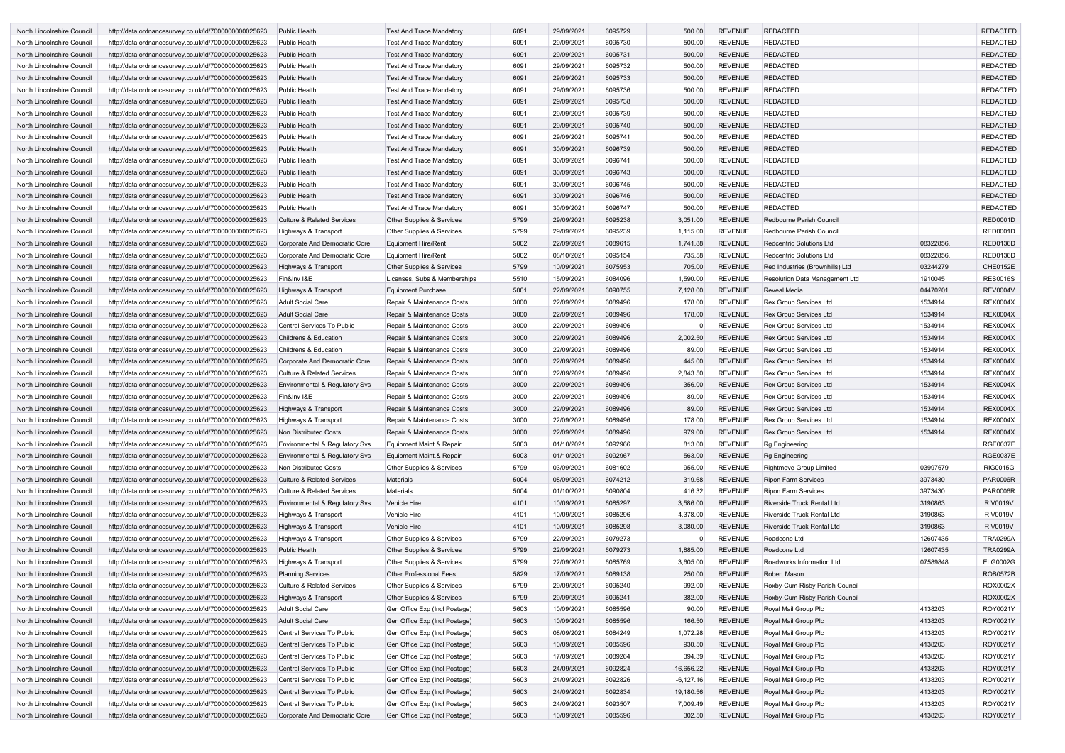| North Lincolnshire Council | http://data.ordnancesurvey.co.uk/id/7000000000025623 | <b>Public Health</b>                  | <b>Test And Trace Mandatory</b> | 6091 | 29/09/2021 | 6095729 | 500.00       | <b>REVENUE</b> | <b>REDACTED</b>                       |           | <b>REDACTED</b> |
|----------------------------|------------------------------------------------------|---------------------------------------|---------------------------------|------|------------|---------|--------------|----------------|---------------------------------------|-----------|-----------------|
| North Lincolnshire Council | http://data.ordnancesurvey.co.uk/id/7000000000025623 | <b>Public Health</b>                  | <b>Test And Trace Mandatory</b> | 6091 | 29/09/2021 | 6095730 | 500.00       | <b>REVENUE</b> | <b>REDACTED</b>                       |           | <b>REDACTED</b> |
| North Lincolnshire Council | http://data.ordnancesurvey.co.uk/id/7000000000025623 | <b>Public Health</b>                  | <b>Test And Trace Mandatory</b> | 6091 | 29/09/2021 | 6095731 | 500.00       | <b>REVENUE</b> | <b>REDACTED</b>                       |           | <b>REDACTED</b> |
| North Lincolnshire Council | http://data.ordnancesurvey.co.uk/id/7000000000025623 | <b>Public Health</b>                  | <b>Test And Trace Mandatory</b> | 6091 | 29/09/2021 | 6095732 | 500.00       | <b>REVENUE</b> | <b>REDACTED</b>                       |           | <b>REDACTED</b> |
| North Lincolnshire Council | http://data.ordnancesurvey.co.uk/id/7000000000025623 | <b>Public Health</b>                  | <b>Test And Trace Mandatory</b> | 6091 | 29/09/2021 | 6095733 | 500.00       | <b>REVENUE</b> | <b>REDACTED</b>                       |           | <b>REDACTED</b> |
| North Lincolnshire Council | http://data.ordnancesurvey.co.uk/id/7000000000025623 | <b>Public Health</b>                  | <b>Test And Trace Mandatory</b> | 6091 | 29/09/2021 | 6095736 | 500.00       | <b>REVENUE</b> | <b>REDACTED</b>                       |           | <b>REDACTED</b> |
| North Lincolnshire Council | http://data.ordnancesurvey.co.uk/id/7000000000025623 | <b>Public Health</b>                  | <b>Test And Trace Mandatory</b> | 6091 | 29/09/2021 | 6095738 | 500.00       | <b>REVENUE</b> | <b>REDACTED</b>                       |           | <b>REDACTED</b> |
| North Lincolnshire Council | http://data.ordnancesurvey.co.uk/id/7000000000025623 | <b>Public Health</b>                  | <b>Test And Trace Mandatory</b> | 6091 | 29/09/2021 | 6095739 | 500.00       | <b>REVENUE</b> | <b>REDACTED</b>                       |           | <b>REDACTED</b> |
| North Lincolnshire Council | http://data.ordnancesurvey.co.uk/id/7000000000025623 | <b>Public Health</b>                  | <b>Test And Trace Mandatory</b> | 6091 | 29/09/2021 | 6095740 | 500.00       | <b>REVENUE</b> | <b>REDACTED</b>                       |           | <b>REDACTED</b> |
| North Lincolnshire Council | http://data.ordnancesurvey.co.uk/id/7000000000025623 | <b>Public Health</b>                  | <b>Test And Trace Mandatory</b> | 6091 | 29/09/2021 | 6095741 | 500.00       | <b>REVENUE</b> | <b>REDACTED</b>                       |           | <b>REDACTED</b> |
| North Lincolnshire Council | http://data.ordnancesurvey.co.uk/id/7000000000025623 | <b>Public Health</b>                  | <b>Test And Trace Mandatory</b> | 6091 | 30/09/2021 | 6096739 | 500.00       | <b>REVENUE</b> | <b>REDACTED</b>                       |           | <b>REDACTED</b> |
| North Lincolnshire Council | http://data.ordnancesurvey.co.uk/id/7000000000025623 | <b>Public Health</b>                  | Test And Trace Mandatory        | 6091 | 30/09/2021 | 6096741 | 500.00       | <b>REVENUE</b> | <b>REDACTED</b>                       |           | <b>REDACTED</b> |
| North Lincolnshire Council | http://data.ordnancesurvey.co.uk/id/7000000000025623 | <b>Public Health</b>                  | <b>Test And Trace Mandatory</b> | 6091 | 30/09/2021 | 6096743 | 500.00       | <b>REVENUE</b> | <b>REDACTED</b>                       |           | <b>REDACTED</b> |
| North Lincolnshire Council | http://data.ordnancesurvey.co.uk/id/7000000000025623 | <b>Public Health</b>                  | <b>Test And Trace Mandatory</b> | 6091 | 30/09/2021 | 6096745 | 500.00       | <b>REVENUE</b> | <b>REDACTED</b>                       |           | <b>REDACTED</b> |
| North Lincolnshire Council | http://data.ordnancesurvey.co.uk/id/7000000000025623 | <b>Public Health</b>                  | <b>Test And Trace Mandatory</b> | 6091 | 30/09/2021 | 6096746 | 500.00       | <b>REVENUE</b> | <b>REDACTED</b>                       |           | <b>REDACTED</b> |
| North Lincolnshire Council | http://data.ordnancesurvey.co.uk/id/7000000000025623 | <b>Public Health</b>                  | <b>Test And Trace Mandatory</b> | 6091 | 30/09/2021 | 6096747 | 500.00       | <b>REVENUE</b> | <b>REDACTED</b>                       |           | <b>REDACTED</b> |
| North Lincolnshire Council | http://data.ordnancesurvey.co.uk/id/7000000000025623 | <b>Culture &amp; Related Services</b> | Other Supplies & Services       | 5799 | 29/09/2021 | 6095238 | 3,051.00     | <b>REVENUE</b> | Redbourne Parish Council              |           | <b>RED0001D</b> |
| North Lincolnshire Council | http://data.ordnancesurvey.co.uk/id/7000000000025623 | Highways & Transport                  | Other Supplies & Services       | 5799 | 29/09/2021 | 6095239 | 1,115.00     | <b>REVENUE</b> | Redbourne Parish Council              |           | <b>RED0001D</b> |
| North Lincolnshire Council | http://data.ordnancesurvey.co.uk/id/7000000000025623 | Corporate And Democratic Core         | Equipment Hire/Rent             | 5002 | 22/09/2021 | 6089615 | 1,741.88     | <b>REVENUE</b> | <b>Redcentric Solutions Ltd</b>       | 08322856. | <b>RED0136D</b> |
|                            |                                                      |                                       |                                 |      |            |         |              |                |                                       |           |                 |
| North Lincolnshire Council | http://data.ordnancesurvey.co.uk/id/7000000000025623 | Corporate And Democratic Core         | Equipment Hire/Rent             | 5002 | 08/10/2021 | 6095154 | 735.58       | <b>REVENUE</b> | <b>Redcentric Solutions Ltd</b>       | 08322856  | RED0136D        |
| North Lincolnshire Council | http://data.ordnancesurvey.co.uk/id/7000000000025623 | Highways & Transport                  | Other Supplies & Services       | 5799 | 10/09/2021 | 6075953 | 705.00       | <b>REVENUE</b> | Red Industries (Brownhills) Ltd       | 03244279  | <b>CHE0152E</b> |
| North Lincolnshire Council | http://data.ordnancesurvey.co.uk/id/7000000000025623 | Fin&Inv I&E                           | Licenses, Subs & Memberships    | 5510 | 15/09/2021 | 6084096 | 1,590.00     | <b>REVENUE</b> | <b>Resolution Data Management Ltd</b> | 1910045   | <b>RES0016S</b> |
| North Lincolnshire Council | http://data.ordnancesurvey.co.uk/id/7000000000025623 | Highways & Transport                  | Equipment Purchase              | 5001 | 22/09/2021 | 6090755 | 7,128.00     | <b>REVENUE</b> | <b>Reveal Media</b>                   | 04470201  | <b>REV0004V</b> |
| North Lincolnshire Council | http://data.ordnancesurvey.co.uk/id/7000000000025623 | Adult Social Care                     | Repair & Maintenance Costs      | 3000 | 22/09/2021 | 6089496 | 178.00       | <b>REVENUE</b> | <b>Rex Group Services Ltd</b>         | 1534914   | <b>REX0004X</b> |
| North Lincolnshire Council | http://data.ordnancesurvey.co.uk/id/7000000000025623 | <b>Adult Social Care</b>              | Repair & Maintenance Costs      | 3000 | 22/09/2021 | 6089496 | 178.00       | <b>REVENUE</b> | <b>Rex Group Services Ltd</b>         | 1534914   | <b>REX0004X</b> |
| North Lincolnshire Council | http://data.ordnancesurvey.co.uk/id/7000000000025623 | Central Services To Public            | Repair & Maintenance Costs      | 3000 | 22/09/2021 | 6089496 |              | <b>REVENUE</b> | Rex Group Services Ltd                | 1534914   | <b>REX0004X</b> |
| North Lincolnshire Council | http://data.ordnancesurvey.co.uk/id/7000000000025623 | <b>Childrens &amp; Education</b>      | Repair & Maintenance Costs      | 3000 | 22/09/2021 | 6089496 | 2,002.50     | <b>REVENUE</b> | <b>Rex Group Services Ltd</b>         | 1534914   | <b>REX0004X</b> |
| North Lincolnshire Council | http://data.ordnancesurvey.co.uk/id/7000000000025623 | <b>Childrens &amp; Education</b>      | Repair & Maintenance Costs      | 3000 | 22/09/2021 | 6089496 | 89.00        | <b>REVENUE</b> | Rex Group Services Ltd                | 1534914   | <b>REX0004X</b> |
| North Lincolnshire Council | http://data.ordnancesurvey.co.uk/id/7000000000025623 | Corporate And Democratic Core         | Repair & Maintenance Costs      | 3000 | 22/09/2021 | 6089496 | 445.00       | <b>REVENUE</b> | <b>Rex Group Services Ltd</b>         | 1534914   | <b>REX0004X</b> |
| North Lincolnshire Council | http://data.ordnancesurvey.co.uk/id/7000000000025623 | <b>Culture &amp; Related Services</b> | Repair & Maintenance Costs      | 3000 | 22/09/2021 | 6089496 | 2,843.50     | <b>REVENUE</b> | <b>Rex Group Services Ltd</b>         | 1534914   | <b>REX0004X</b> |
| North Lincolnshire Council | http://data.ordnancesurvey.co.uk/id/7000000000025623 | Environmental & Regulatory Svs        | Repair & Maintenance Costs      | 3000 | 22/09/2021 | 6089496 | 356.00       | <b>REVENUE</b> | <b>Rex Group Services Ltd</b>         | 1534914   | <b>REX0004X</b> |
| North Lincolnshire Council | http://data.ordnancesurvey.co.uk/id/7000000000025623 | Fin&Inv I&E                           | Repair & Maintenance Costs      | 3000 | 22/09/2021 | 6089496 | 89.00        | <b>REVENUE</b> | <b>Rex Group Services Ltd</b>         | 1534914   | <b>REX0004X</b> |
| North Lincolnshire Council | http://data.ordnancesurvey.co.uk/id/7000000000025623 | Highways & Transport                  | Repair & Maintenance Costs      | 3000 | 22/09/2021 | 6089496 | 89.00        | <b>REVENUE</b> | <b>Rex Group Services Ltd</b>         | 1534914   | <b>REX0004X</b> |
| North Lincolnshire Council | http://data.ordnancesurvey.co.uk/id/7000000000025623 | Highways & Transport                  | Repair & Maintenance Costs      | 3000 | 22/09/2021 | 6089496 | 178.00       | <b>REVENUE</b> | <b>Rex Group Services Ltd</b>         | 1534914   | <b>REX0004X</b> |
| North Lincolnshire Council | http://data.ordnancesurvey.co.uk/id/7000000000025623 | Non Distributed Costs                 | Repair & Maintenance Costs      | 3000 | 22/09/2021 | 6089496 | 979.00       | <b>REVENUE</b> | <b>Rex Group Services Ltd</b>         | 1534914   | <b>REX0004X</b> |
| North Lincolnshire Council | http://data.ordnancesurvey.co.uk/id/7000000000025623 | Environmental & Regulatory Svs        | Equipment Maint.& Repair        | 5003 | 01/10/2021 | 6092966 | 813.00       | <b>REVENUE</b> | Rg Engineering                        |           | <b>RGE0037E</b> |
| North Lincolnshire Council | http://data.ordnancesurvey.co.uk/id/7000000000025623 | Environmental & Regulatory Svs        | Equipment Maint.& Repair        | 5003 | 01/10/2021 | 6092967 | 563.00       | <b>REVENUE</b> | <b>Rg Engineering</b>                 |           | <b>RGE0037E</b> |
| North Lincolnshire Council | http://data.ordnancesurvey.co.uk/id/7000000000025623 | Non Distributed Costs                 | Other Supplies & Services       | 5799 | 03/09/2021 | 6081602 | 955.00       | <b>REVENUE</b> | <b>Rightmove Group Limited</b>        | 03997679  | <b>RIG0015G</b> |
| North Lincolnshire Council | http://data.ordnancesurvey.co.uk/id/7000000000025623 | <b>Culture &amp; Related Services</b> | Materials                       | 5004 | 08/09/2021 | 6074212 | 319.68       | <b>REVENUE</b> | <b>Ripon Farm Services</b>            | 3973430   | <b>PAR0006R</b> |
| North Lincolnshire Council | http://data.ordnancesurvey.co.uk/id/7000000000025623 | <b>Culture &amp; Related Services</b> | <b>Materials</b>                | 5004 | 01/10/2021 | 6090804 | 416.32       | <b>REVENUE</b> | <b>Ripon Farm Services</b>            | 3973430   | <b>PAR0006R</b> |
| North Lincolnshire Council | http://data.ordnancesurvey.co.uk/id/7000000000025623 | Environmental & Regulatory Svs        | Vehicle Hire                    | 4101 | 10/09/2021 | 6085297 | 3,586.00     | <b>REVENUE</b> | Riverside Truck Rental Ltd            | 3190863   | <b>RIV0019V</b> |
| North Lincolnshire Council | http://data.ordnancesurvey.co.uk/id/7000000000025623 | Highways & Transport                  | Vehicle Hire                    | 4101 | 10/09/2021 | 6085296 | 4,378.00     | <b>REVENUE</b> | Riverside Truck Rental Ltd            | 3190863   | <b>RIV0019V</b> |
| North Lincolnshire Council | http://data.ordnancesurvey.co.uk/id/7000000000025623 | Highways & Transport                  | Vehicle Hire                    | 4101 | 10/09/2021 | 6085298 | 3,080.00     | <b>REVENUE</b> | Riverside Truck Rental Ltd            | 3190863   | <b>RIV0019V</b> |
| North Lincolnshire Council | http://data.ordnancesurvey.co.uk/id/7000000000025623 | Highways & Transport                  | Other Supplies & Services       | 5799 | 22/09/2021 | 6079273 | 0            | <b>REVENUE</b> | Roadcone Ltd                          | 12607435  | <b>TRA0299A</b> |
| North Lincolnshire Council | http://data.ordnancesurvey.co.uk/id/7000000000025623 | Public Health                         | Other Supplies & Services       | 5799 | 22/09/2021 | 6079273 | 1,885.00     | <b>REVENUE</b> | Roadcone Ltd                          | 12607435  | <b>TRA0299A</b> |
| North Lincolnshire Council | http://data.ordnancesurvey.co.uk/id/7000000000025623 | Highways & Transport                  | Other Supplies & Services       | 5799 | 22/09/2021 | 6085769 | 3,605.00     | <b>REVENUE</b> | Roadworks Information Ltd             | 07589848  | <b>ELG0002G</b> |
| North Lincolnshire Council | http://data.ordnancesurvey.co.uk/id/7000000000025623 | <b>Planning Services</b>              | <b>Other Professional Fees</b>  | 5829 | 17/09/2021 | 6089138 | 250.00       | <b>REVENUE</b> | Robert Mason                          |           | <b>ROB0572B</b> |
| North Lincolnshire Council | http://data.ordnancesurvey.co.uk/id/7000000000025623 | <b>Culture &amp; Related Services</b> | Other Supplies & Services       | 5799 | 29/09/2021 | 6095240 | 992.00       | <b>REVENUE</b> | Roxby-Cum-Risby Parish Council        |           | ROX0002X        |
| North Lincolnshire Council | http://data.ordnancesurvey.co.uk/id/7000000000025623 | Highways & Transport                  | Other Supplies & Services       | 5799 | 29/09/2021 | 6095241 | 382.00       | <b>REVENUE</b> | Roxby-Cum-Risby Parish Council        |           | ROX0002X        |
| North Lincolnshire Council | http://data.ordnancesurvey.co.uk/id/7000000000025623 | Adult Social Care                     | Gen Office Exp (Incl Postage)   | 5603 | 10/09/2021 | 6085596 | 90.00        | <b>REVENUE</b> | Royal Mail Group Plc                  | 4138203   | ROY0021Y        |
| North Lincolnshire Council | http://data.ordnancesurvey.co.uk/id/7000000000025623 | <b>Adult Social Care</b>              | Gen Office Exp (Incl Postage)   | 5603 | 10/09/2021 | 6085596 | 166.50       | <b>REVENUE</b> | Royal Mail Group Plc                  | 4138203   | ROY0021Y        |
| North Lincolnshire Council | http://data.ordnancesurvey.co.uk/id/7000000000025623 | Central Services To Public            | Gen Office Exp (Incl Postage)   | 5603 | 08/09/2021 | 6084249 | 1,072.28     | <b>REVENUE</b> | Royal Mail Group Plc                  | 4138203   | ROY0021Y        |
| North Lincolnshire Council | http://data.ordnancesurvey.co.uk/id/7000000000025623 | Central Services To Public            | Gen Office Exp (Incl Postage)   | 5603 | 10/09/2021 | 6085596 | 930.50       | <b>REVENUE</b> | Royal Mail Group Plc                  | 4138203   | ROY0021Y        |
| North Lincolnshire Council | http://data.ordnancesurvey.co.uk/id/7000000000025623 | Central Services To Public            | Gen Office Exp (Incl Postage)   | 5603 | 17/09/2021 | 6089264 | 394.39       | <b>REVENUE</b> | Royal Mail Group Plc                  | 4138203   | ROY0021Y        |
| North Lincolnshire Council | http://data.ordnancesurvey.co.uk/id/7000000000025623 | Central Services To Public            | Gen Office Exp (Incl Postage)   | 5603 | 24/09/2021 | 6092824 | $-16,656.22$ | <b>REVENUE</b> | Royal Mail Group Plc                  | 4138203   | ROY0021Y        |
| North Lincolnshire Council | http://data.ordnancesurvey.co.uk/id/7000000000025623 | Central Services To Public            | Gen Office Exp (Incl Postage)   | 5603 | 24/09/2021 | 6092826 | $-6, 127.16$ | <b>REVENUE</b> | Royal Mail Group Plc                  | 4138203   | ROY0021Y        |
| North Lincolnshire Council | http://data.ordnancesurvey.co.uk/id/7000000000025623 | Central Services To Public            | Gen Office Exp (Incl Postage)   | 5603 | 24/09/2021 | 6092834 | 19,180.56    | <b>REVENUE</b> | Royal Mail Group Plc                  | 4138203   | ROY0021Y        |
| North Lincolnshire Council | http://data.ordnancesurvey.co.uk/id/7000000000025623 | Central Services To Public            | Gen Office Exp (Incl Postage)   | 5603 | 24/09/2021 | 6093507 | 7,009.49     | <b>REVENUE</b> | Royal Mail Group Plc                  | 4138203   | ROY0021Y        |
| North Lincolnshire Council | http://data.ordnancesurvey.co.uk/id/7000000000025623 | Corporate And Democratic Core         | Gen Office Exp (Incl Postage)   | 5603 | 10/09/2021 | 6085596 | 302.50       | <b>REVENUE</b> | Royal Mail Group Plc                  | 4138203   | ROY0021Y        |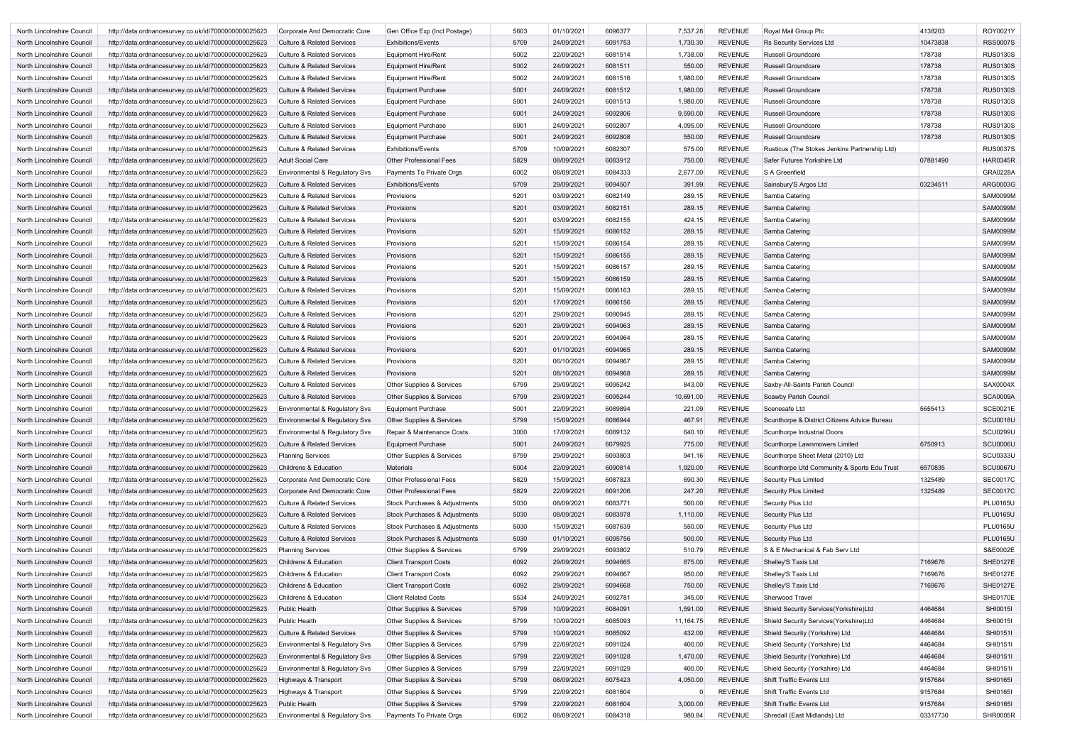| North Lincolnshire Council | http://data.ordnancesurvey.co.uk/id/7000000000025623 | Corporate And Democratic Core             | Gen Office Exp (Incl Postage)            | 5603 | 01/10/2021 | 6096377 | 7,537.28     | REVENUE        | Royal Mail Group Plc                          | 4138203  | ROY0021Y        |
|----------------------------|------------------------------------------------------|-------------------------------------------|------------------------------------------|------|------------|---------|--------------|----------------|-----------------------------------------------|----------|-----------------|
| North Lincolnshire Council | http://data.ordnancesurvey.co.uk/id/7000000000025623 | <b>Culture &amp; Related Services</b>     | <b>Exhibitions/Events</b>                | 5709 | 24/09/2021 | 6091753 | 1,730.30     | <b>REVENUE</b> | Rs Security Services Ltd                      | 10473838 | <b>RSS0007S</b> |
| North Lincolnshire Council | http://data.ordnancesurvey.co.uk/id/7000000000025623 | <b>Culture &amp; Related Services</b>     | <b>Equipment Hire/Rent</b>               | 5002 | 22/09/2021 | 6081514 | 1,738.00     | <b>REVENUE</b> | <b>Russell Groundcare</b>                     | 178738   | <b>RUS0130S</b> |
| North Lincolnshire Council | http://data.ordnancesurvey.co.uk/id/7000000000025623 | <b>Culture &amp; Related Services</b>     | <b>Equipment Hire/Rent</b>               | 5002 | 24/09/2021 | 6081511 | 550.00       | <b>REVENUE</b> | <b>Russell Groundcare</b>                     | 178738   | <b>RUS0130S</b> |
| North Lincolnshire Council | http://data.ordnancesurvey.co.uk/id/7000000000025623 | <b>Culture &amp; Related Services</b>     | <b>Equipment Hire/Rent</b>               | 5002 | 24/09/2021 | 6081516 | 1,980.00     | <b>REVENUE</b> | <b>Russell Groundcare</b>                     | 178738   | <b>RUS0130S</b> |
| North Lincolnshire Council | http://data.ordnancesurvey.co.uk/id/7000000000025623 | <b>Culture &amp; Related Services</b>     | <b>Equipment Purchase</b>                | 5001 | 24/09/2021 | 6081512 | 1,980.00     | <b>REVENUE</b> | <b>Russell Groundcare</b>                     | 178738   | <b>RUS0130S</b> |
| North Lincolnshire Council | http://data.ordnancesurvey.co.uk/id/7000000000025623 | <b>Culture &amp; Related Services</b>     | <b>Equipment Purchase</b>                | 5001 | 24/09/2021 | 6081513 | 1,980.00     | REVENUE        | <b>Russell Groundcare</b>                     | 178738   | <b>RUS0130S</b> |
| North Lincolnshire Council | http://data.ordnancesurvey.co.uk/id/7000000000025623 | <b>Culture &amp; Related Services</b>     | <b>Equipment Purchase</b>                | 5001 | 24/09/2021 | 6092806 | 9,590.00     | <b>REVENUE</b> | <b>Russell Groundcare</b>                     | 178738   | <b>RUS0130S</b> |
| North Lincolnshire Council | http://data.ordnancesurvey.co.uk/id/7000000000025623 | <b>Culture &amp; Related Services</b>     | <b>Equipment Purchase</b>                | 5001 | 24/09/2021 | 6092807 | 4,095.00     | <b>REVENUE</b> | <b>Russell Groundcare</b>                     | 178738   | <b>RUS0130S</b> |
| North Lincolnshire Council | http://data.ordnancesurvey.co.uk/id/7000000000025623 | <b>Culture &amp; Related Services</b>     | <b>Equipment Purchase</b>                | 5001 | 24/09/2021 | 6092808 | 550.00       | <b>REVENUE</b> | <b>Russell Groundcare</b>                     | 178738   | <b>RUS0130S</b> |
|                            |                                                      |                                           |                                          |      |            |         |              |                |                                               |          |                 |
| North Lincolnshire Council | http://data.ordnancesurvey.co.uk/id/7000000000025623 | <b>Culture &amp; Related Services</b>     | <b>Exhibitions/Events</b>                | 5709 | 10/09/2021 | 6082307 | 575.00       | <b>REVENUE</b> | Rusticus (The Stokes Jenkins Partnership Ltd) |          | <b>RUS0037S</b> |
| North Lincolnshire Council | http://data.ordnancesurvey.co.uk/id/7000000000025623 | <b>Adult Social Care</b>                  | <b>Other Professional Fees</b>           | 5829 | 08/09/2021 | 6083912 | 750.00       | <b>REVENUE</b> | Safer Futures Yorkshire Ltd                   | 07881490 | <b>HAR0345R</b> |
| North Lincolnshire Council | http://data.ordnancesurvey.co.uk/id/7000000000025623 | Environmental & Regulatory Svs            | Payments To Private Orgs                 | 6002 | 08/09/2021 | 6084333 | 2,677.00     | <b>REVENUE</b> | S A Greenfield                                |          | <b>GRA0228A</b> |
| North Lincolnshire Council | http://data.ordnancesurvey.co.uk/id/7000000000025623 | <b>Culture &amp; Related Services</b>     | <b>Exhibitions/Events</b>                | 5709 | 29/09/2021 | 6094507 | 391.99       | <b>REVENUE</b> | Sainsbury'S Argos Ltd                         | 03234511 | ARG0003G        |
| North Lincolnshire Council | http://data.ordnancesurvey.co.uk/id/7000000000025623 | <b>Culture &amp; Related Services</b>     | Provisions                               | 5201 | 03/09/2021 | 6082149 | 289.15       | <b>REVENUE</b> | Samba Catering                                |          | <b>SAM0099M</b> |
| North Lincolnshire Council | http://data.ordnancesurvey.co.uk/id/7000000000025623 | <b>Culture &amp; Related Services</b>     | Provisions                               | 5201 | 03/09/2021 | 6082151 | 289.15       | <b>REVENUE</b> | Samba Catering                                |          | <b>SAM0099M</b> |
| North Lincolnshire Council | http://data.ordnancesurvey.co.uk/id/7000000000025623 | <b>Culture &amp; Related Services</b>     | Provisions                               | 5201 | 03/09/2021 | 6082155 | 424.15       | REVENUE        | Samba Catering                                |          | <b>SAM0099M</b> |
| North Lincolnshire Council | http://data.ordnancesurvey.co.uk/id/7000000000025623 | <b>Culture &amp; Related Services</b>     | Provisions                               | 5201 | 15/09/2021 | 6086152 | 289.15       | REVENUE        | Samba Catering                                |          | <b>SAM0099M</b> |
| North Lincolnshire Council | http://data.ordnancesurvey.co.uk/id/7000000000025623 | <b>Culture &amp; Related Services</b>     | Provisions                               | 5201 | 15/09/2021 | 6086154 | 289.15       | <b>REVENUE</b> | Samba Catering                                |          | <b>SAM0099M</b> |
| North Lincolnshire Council | http://data.ordnancesurvey.co.uk/id/7000000000025623 | <b>Culture &amp; Related Services</b>     | Provisions                               | 5201 | 15/09/2021 | 6086155 | 289.15       | <b>REVENUE</b> | Samba Catering                                |          | <b>SAM0099M</b> |
| North Lincolnshire Council | http://data.ordnancesurvey.co.uk/id/7000000000025623 | <b>Culture &amp; Related Services</b>     | Provisions                               | 5201 | 15/09/2021 | 6086157 | 289.15       | <b>REVENUE</b> | Samba Catering                                |          | <b>SAM0099M</b> |
| North Lincolnshire Council | http://data.ordnancesurvey.co.uk/id/7000000000025623 | <b>Culture &amp; Related Services</b>     | Provisions                               | 5201 | 15/09/2021 | 6086159 | 289.15       | <b>REVENUE</b> | Samba Catering                                |          | <b>SAM0099M</b> |
| North Lincolnshire Council | http://data.ordnancesurvey.co.uk/id/7000000000025623 | <b>Culture &amp; Related Services</b>     | Provisions                               | 5201 | 15/09/2021 | 6086163 | 289.15       | <b>REVENUE</b> | Samba Catering                                |          | <b>SAM0099M</b> |
| North Lincolnshire Council | http://data.ordnancesurvey.co.uk/id/7000000000025623 | <b>Culture &amp; Related Services</b>     | Provisions                               | 5201 | 17/09/2021 | 6086156 | 289.15       | <b>REVENUE</b> | Samba Catering                                |          | <b>SAM0099M</b> |
| North Lincolnshire Council |                                                      | <b>Culture &amp; Related Services</b>     | Provisions                               | 5201 | 29/09/2021 | 6090945 | 289.15       | <b>REVENUE</b> | Samba Catering                                |          | <b>SAM0099M</b> |
|                            | http://data.ordnancesurvey.co.uk/id/7000000000025623 |                                           |                                          |      |            |         |              |                |                                               |          |                 |
| North Lincolnshire Council | http://data.ordnancesurvey.co.uk/id/7000000000025623 | <b>Culture &amp; Related Services</b>     | Provisions                               | 5201 | 29/09/2021 | 6094963 | 289.15       | <b>REVENUE</b> | Samba Catering                                |          | <b>SAM0099M</b> |
| North Lincolnshire Council | http://data.ordnancesurvey.co.uk/id/7000000000025623 | <b>Culture &amp; Related Services</b>     | Provisions                               | 5201 | 29/09/2021 | 6094964 | 289.15       | <b>REVENUE</b> | Samba Catering                                |          | <b>SAM0099M</b> |
| North Lincolnshire Council | http://data.ordnancesurvey.co.uk/id/7000000000025623 | <b>Culture &amp; Related Services</b>     | Provisions                               | 5201 | 01/10/2021 | 6094965 | 289.15       | REVENUE        | Samba Catering                                |          | <b>SAM0099M</b> |
| North Lincolnshire Council | http://data.ordnancesurvey.co.uk/id/7000000000025623 | <b>Culture &amp; Related Services</b>     | Provisions                               | 5201 | 06/10/2021 | 6094967 | 289.15       | <b>REVENUE</b> | Samba Catering                                |          | <b>SAM0099M</b> |
| North Lincolnshire Council | http://data.ordnancesurvey.co.uk/id/7000000000025623 | <b>Culture &amp; Related Services</b>     | Provisions                               | 5201 | 08/10/2021 | 6094968 | 289.15       | <b>REVENUE</b> | Samba Catering                                |          | <b>SAM0099M</b> |
| North Lincolnshire Council | http://data.ordnancesurvey.co.uk/id/7000000000025623 | <b>Culture &amp; Related Services</b>     | Other Supplies & Services                | 5799 | 29/09/2021 | 6095242 | 843.00       | <b>REVENUE</b> | Saxby-All-Saints Parish Council               |          | <b>SAX0004X</b> |
| North Lincolnshire Council | http://data.ordnancesurvey.co.uk/id/7000000000025623 | <b>Culture &amp; Related Services</b>     | Other Supplies & Services                | 5799 | 29/09/2021 | 6095244 | 10,691.00    | REVENUE        | Scawby Parish Council                         |          | <b>SCA0009A</b> |
| North Lincolnshire Council | http://data.ordnancesurvey.co.uk/id/7000000000025623 | Environmental & Regulatory Svs            | <b>Equipment Purchase</b>                | 5001 | 22/09/2021 | 6089894 | 221.09       | <b>REVENUE</b> | Scenesafe Ltd                                 | 5655413  | <b>SCE0021E</b> |
| North Lincolnshire Council | http://data.ordnancesurvey.co.uk/id/7000000000025623 | <b>Environmental &amp; Regulatory Svs</b> | Other Supplies & Services                | 5799 | 15/09/2021 | 6086944 | 467.91       | REVENUE        | Scunthorpe & District Citizens Advice Bureau  |          | <b>SCU0018U</b> |
| North Lincolnshire Council | http://data.ordnancesurvey.co.uk/id/7000000000025623 | <b>Environmental &amp; Regulatory Svs</b> | Repair & Maintenance Costs               | 3000 | 17/09/2021 | 6089132 | 640.10       | REVENUE        | Scunthorpe Industrial Doors                   |          | <b>SCU0299U</b> |
| North Lincolnshire Council | http://data.ordnancesurvey.co.uk/id/7000000000025623 | <b>Culture &amp; Related Services</b>     | <b>Equipment Purchase</b>                | 5001 | 24/09/2021 | 6079925 | 775.00       | <b>REVENUE</b> | Scunthorpe Lawnmowers Limited                 | 6750913  | SCU0006U        |
| North Lincolnshire Council | http://data.ordnancesurvey.co.uk/id/7000000000025623 | <b>Planning Services</b>                  | Other Supplies & Services                | 5799 | 29/09/2021 | 6093803 | 941.16       | <b>REVENUE</b> | Scunthorpe Sheet Metal (2010) Ltd             |          | <b>SCU0333U</b> |
| North Lincolnshire Council | http://data.ordnancesurvey.co.uk/id/7000000000025623 | Childrens & Education                     | <b>Materials</b>                         | 5004 | 22/09/2021 | 6090814 | 1,920.00     | <b>REVENUE</b> | Scunthorpe Utd Community & Sports Edu Trust   | 6570835  | <b>SCU0067U</b> |
| North Lincolnshire Council | http://data.ordnancesurvey.co.uk/id/7000000000025623 | Corporate And Democratic Core             | <b>Other Professional Fees</b>           | 5829 | 15/09/2021 | 6087823 | 690.30       | <b>REVENUE</b> | Security Plus Limited                         | 1325489  | <b>SEC0017C</b> |
| North Lincolnshire Council | http://data.ordnancesurvey.co.uk/id/7000000000025623 | Corporate And Democratic Core             | <b>Other Professional Fees</b>           | 5829 | 22/09/2021 | 6091206 | 247.20       | <b>REVENUE</b> | Security Plus Limited                         | 1325489  | <b>SEC0017C</b> |
|                            |                                                      | <b>Culture &amp; Related Services</b>     |                                          | 5030 | 08/09/2021 | 6083771 | 500.00       | <b>REVENUE</b> |                                               |          | <b>PLU0165U</b> |
| North Lincolnshire Council | http://data.ordnancesurvey.co.uk/id/7000000000025623 |                                           | Stock Purchases & Adjustments            |      |            |         |              |                | Security Plus Ltd                             |          |                 |
| North Lincolnshire Council | http://data.ordnancesurvey.co.uk/id/7000000000025623 | <b>Culture &amp; Related Services</b>     | Stock Purchases & Adjustments            | 5030 | 08/09/2021 | 6083978 | 1,110.00     | <b>REVENUE</b> | Security Plus Ltd                             |          | <b>PLU0165U</b> |
| North Lincolnshire Council | http://data.ordnancesurvey.co.uk/id/7000000000025623 | <b>Culture &amp; Related Services</b>     | Stock Purchases & Adjustments            | 5030 | 15/09/2021 | 6087639 | 550.00       | <b>REVENUE</b> | Security Plus Ltd                             |          | <b>PLU0165U</b> |
| North Lincolnshire Council | http://data.ordnancesurvey.co.uk/id/7000000000025623 | <b>Culture &amp; Related Services</b>     | <b>Stock Purchases &amp; Adjustments</b> | 5030 | 01/10/2021 | 6095756 | 500.00       | <b>REVENUE</b> | Security Plus Ltd                             |          | <b>PLU0165U</b> |
| North Lincolnshire Council | http://data.ordnancesurvey.co.uk/id/7000000000025623 | <b>Planning Services</b>                  | Other Supplies & Services                | 5799 | 29/09/2021 | 6093802 | 510.79       | <b>REVENUE</b> | S & E Mechanical & Fab Serv Ltd               |          | S&E0002E        |
| North Lincolnshire Council | http://data.ordnancesurvey.co.uk/id/7000000000025623 | Childrens & Education                     | <b>Client Transport Costs</b>            | 6092 | 29/09/2021 | 6094665 | 875.00       | <b>REVENUE</b> | Shelley'S Taxis Ltd                           | 7169676  | <b>SHE0127E</b> |
| North Lincolnshire Council | http://data.ordnancesurvey.co.uk/id/7000000000025623 | Childrens & Education                     | <b>Client Transport Costs</b>            | 6092 | 29/09/2021 | 6094667 | 950.00       | <b>REVENUE</b> | Shelley'S Taxis Ltd                           | 7169676  | <b>SHE0127E</b> |
| North Lincolnshire Council | http://data.ordnancesurvey.co.uk/id/7000000000025623 | Childrens & Education                     | <b>Client Transport Costs</b>            | 6092 | 29/09/2021 | 6094668 | 750.00       | <b>REVENUE</b> | Shelley'S Taxis Ltd                           | 7169676  | <b>SHE0127E</b> |
| North Lincolnshire Council | http://data.ordnancesurvey.co.uk/id/7000000000025623 | Childrens & Education                     | <b>Client Related Costs</b>              | 5534 | 24/09/2021 | 6092781 | 345.00       | <b>REVENUE</b> | Sherwood Travel                               |          | <b>SHE0170E</b> |
| North Lincolnshire Council | http://data.ordnancesurvey.co.uk/id/7000000000025623 | <b>Public Health</b>                      | Other Supplies & Services                | 5799 | 10/09/2021 | 6084091 | 1,591.00     | REVENUE        | Shield Security Services(Yorkshire)Ltd        | 4464684  | <b>SHI0015I</b> |
| North Lincolnshire Council | http://data.ordnancesurvey.co.uk/id/7000000000025623 | <b>Public Health</b>                      | Other Supplies & Services                | 5799 | 10/09/2021 | 6085093 | 11,164.75    | <b>REVENUE</b> | Shield Security Services (Yorkshire)Ltd       | 4464684  | <b>SHI0015I</b> |
| North Lincolnshire Council | http://data.ordnancesurvey.co.uk/id/7000000000025623 | <b>Culture &amp; Related Services</b>     | Other Supplies & Services                | 5799 | 10/09/2021 | 6085092 | 432.00       | <b>REVENUE</b> | Shield Security (Yorkshire) Ltd               | 4464684  | <b>SHI0151I</b> |
| North Lincolnshire Council | http://data.ordnancesurvey.co.uk/id/7000000000025623 | Environmental & Regulatory Svs            | Other Supplies & Services                | 5799 | 22/09/2021 | 6091024 | 400.00       | <b>REVENUE</b> | Shield Security (Yorkshire) Ltd               | 4464684  | SHI0151I        |
| North Lincolnshire Council | http://data.ordnancesurvey.co.uk/id/7000000000025623 | Environmental & Regulatory Svs            | Other Supplies & Services                | 5799 | 22/09/2021 | 6091028 | 1,470.00     | <b>REVENUE</b> | Shield Security (Yorkshire) Ltd               | 4464684  | SHI0151I        |
| North Lincolnshire Council | http://data.ordnancesurvey.co.uk/id/7000000000025623 | Environmental & Regulatory Svs            | Other Supplies & Services                | 5799 | 22/09/2021 | 6091029 | 400.00       | <b>REVENUE</b> | Shield Security (Yorkshire) Ltd               | 4464684  | SHI0151I        |
| North Lincolnshire Council | http://data.ordnancesurvey.co.uk/id/7000000000025623 | Highways & Transport                      | Other Supplies & Services                | 5799 | 08/09/2021 | 6075423 | 4,050.00     | <b>REVENUE</b> | Shift Traffic Events Ltd                      | 9157684  | <b>SHI0165I</b> |
|                            |                                                      |                                           |                                          |      |            |         |              |                |                                               |          |                 |
| North Lincolnshire Council | http://data.ordnancesurvey.co.uk/id/7000000000025623 | Highways & Transport                      | Other Supplies & Services                | 5799 | 22/09/2021 | 6081604 | <sup>0</sup> | <b>REVENUE</b> | <b>Shift Traffic Events Ltd</b>               | 9157684  | <b>SHI0165I</b> |
| North Lincolnshire Council | http://data.ordnancesurvey.co.uk/id/7000000000025623 | <b>Public Health</b>                      | Other Supplies & Services                | 5799 | 22/09/2021 | 6081604 | 3,000.00     | <b>REVENUE</b> | Shift Traffic Events Ltd                      | 9157684  | <b>SHI0165I</b> |
| North Lincolnshire Council | http://data.ordnancesurvey.co.uk/id/7000000000025623 | Environmental & Regulatory Svs            | Payments To Private Orgs                 | 6002 | 08/09/2021 | 6084318 | 980.84       | <b>REVENUE</b> | Shredall (East Midlands) Ltd                  | 03317730 | <b>SHR0005R</b> |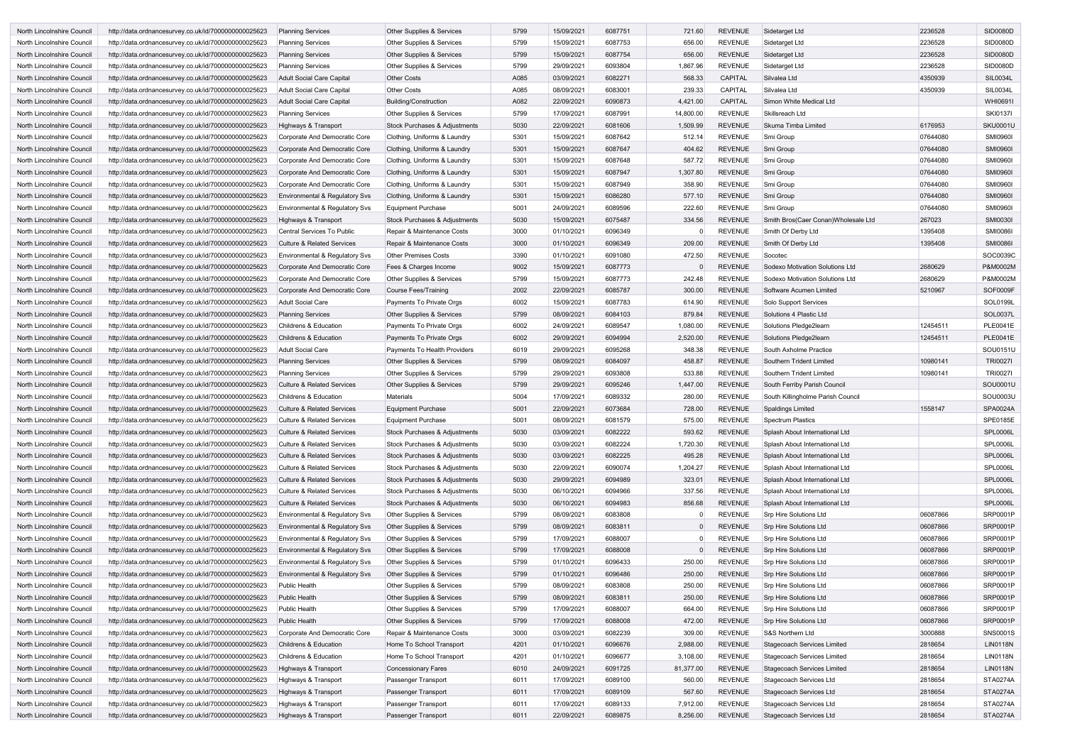| North Lincolnshire Council | http://data.ordnancesurvey.co.uk/id/7000000000025623 | <b>Planning Services</b>              | Other Supplies & Services                | 5799 | 15/09/2021 | 6087751 | 721.60    | <b>REVENUE</b> | Sidetarget Ltd                       | 2236528  | SID0080D        |
|----------------------------|------------------------------------------------------|---------------------------------------|------------------------------------------|------|------------|---------|-----------|----------------|--------------------------------------|----------|-----------------|
| North Lincolnshire Council | http://data.ordnancesurvey.co.uk/id/7000000000025623 | <b>Planning Services</b>              | <b>Other Supplies &amp; Services</b>     | 5799 | 15/09/2021 | 6087753 | 656.00    | <b>REVENUE</b> | Sidetarget Ltd                       | 2236528  | <b>SID0080D</b> |
| North Lincolnshire Council | http://data.ordnancesurvey.co.uk/id/7000000000025623 | <b>Planning Services</b>              | Other Supplies & Services                | 5799 | 15/09/2021 | 6087754 | 656.00    | <b>REVENUE</b> | Sidetarget Ltd                       | 2236528  | <b>SID0080D</b> |
| North Lincolnshire Council | http://data.ordnancesurvey.co.uk/id/7000000000025623 | <b>Planning Services</b>              | <b>Other Supplies &amp; Services</b>     | 5799 | 29/09/2021 | 6093804 | 1,867.96  | <b>REVENUE</b> | Sidetarget Ltd                       | 2236528  | SID0080D        |
| North Lincolnshire Council | http://data.ordnancesurvey.co.uk/id/7000000000025623 | <b>Adult Social Care Capital</b>      | <b>Other Costs</b>                       | A085 | 03/09/2021 | 6082271 | 568.33    | <b>CAPITAL</b> | Silvalea Ltd                         | 4350939  | <b>SIL0034L</b> |
| North Lincolnshire Council | http://data.ordnancesurvey.co.uk/id/7000000000025623 | <b>Adult Social Care Capital</b>      | <b>Other Costs</b>                       | A085 | 08/09/2021 | 6083001 | 239.33    | <b>CAPITAL</b> | Silvalea Ltd                         | 4350939  | SIL0034L        |
| North Lincolnshire Council | http://data.ordnancesurvey.co.uk/id/7000000000025623 | Adult Social Care Capital             | Building/Construction                    | A082 | 22/09/2021 | 6090873 | 4,421.00  | <b>CAPITAL</b> | Simon White Medical Ltd              |          | <b>WHI0691I</b> |
| North Lincolnshire Council | http://data.ordnancesurvey.co.uk/id/7000000000025623 | <b>Planning Services</b>              | <b>Other Supplies &amp; Services</b>     | 5799 | 17/09/2021 | 6087991 | 14,800.00 | <b>REVENUE</b> | Skillsreach Ltd                      |          | <b>SKI0137I</b> |
| North Lincolnshire Council | http://data.ordnancesurvey.co.uk/id/7000000000025623 | Highways & Transport                  | <b>Stock Purchases &amp; Adjustments</b> | 5030 | 22/09/2021 | 6081606 | 1,509.99  | <b>REVENUE</b> | Skuma Timba Limited                  | 6176953  | <b>SKU0001U</b> |
| North Lincolnshire Council | http://data.ordnancesurvey.co.uk/id/7000000000025623 | Corporate And Democratic Core         | Clothing, Uniforms & Laundry             | 5301 | 15/09/2021 | 6087642 | 512.14    | <b>REVENUE</b> | Smi Group                            | 07644080 | <b>SMI0960I</b> |
| North Lincolnshire Council | http://data.ordnancesurvey.co.uk/id/7000000000025623 | Corporate And Democratic Core         | Clothing, Uniforms & Laundry             | 5301 | 15/09/2021 | 6087647 | 404.62    | <b>REVENUE</b> | Smi Group                            | 07644080 | <b>SMI0960I</b> |
| North Lincolnshire Council | http://data.ordnancesurvey.co.uk/id/7000000000025623 | Corporate And Democratic Core         | Clothing, Uniforms & Laundry             | 5301 | 15/09/2021 | 6087648 | 587.72    | <b>REVENUE</b> | Smi Group                            | 07644080 | <b>SMI0960I</b> |
| North Lincolnshire Council | http://data.ordnancesurvey.co.uk/id/7000000000025623 | Corporate And Democratic Core         | Clothing, Uniforms & Laundry             | 5301 | 15/09/2021 | 6087947 | 1,307.80  | <b>REVENUE</b> | Smi Group                            | 07644080 | <b>SMI0960I</b> |
| North Lincolnshire Council | http://data.ordnancesurvey.co.uk/id/7000000000025623 | Corporate And Democratic Core         | Clothing, Uniforms & Laundry             | 5301 | 15/09/2021 | 6087949 | 358.90    | <b>REVENUE</b> | Smi Group                            | 07644080 | <b>SMI0960I</b> |
| North Lincolnshire Council | http://data.ordnancesurvey.co.uk/id/7000000000025623 | Environmental & Regulatory Svs        | Clothing, Uniforms & Laundry             | 5301 | 15/09/2021 | 6086280 | 577.10    | <b>REVENUE</b> | Smi Group                            | 07644080 | <b>SMI0960I</b> |
| North Lincolnshire Council | http://data.ordnancesurvey.co.uk/id/7000000000025623 | Environmental & Regulatory Svs        | Equipment Purchase                       | 5001 | 24/09/2021 | 6089596 | 222.60    | <b>REVENUE</b> | Smi Group                            | 07644080 | <b>SMI0960I</b> |
| North Lincolnshire Council | http://data.ordnancesurvey.co.uk/id/7000000000025623 | Highways & Transport                  | Stock Purchases & Adjustments            | 5030 | 15/09/2021 | 6075487 | 334.56    | <b>REVENUE</b> | Smith Bros(Caer Conan) Wholesale Ltd | 267023   | <b>SMI0030I</b> |
| North Lincolnshire Council | http://data.ordnancesurvey.co.uk/id/7000000000025623 | <b>Central Services To Public</b>     | Repair & Maintenance Costs               | 3000 | 01/10/2021 | 6096349 |           | <b>REVENUE</b> | Smith Of Derby Ltd                   | 1395408  | <b>SMI0086I</b> |
| North Lincolnshire Council | http://data.ordnancesurvey.co.uk/id/7000000000025623 | <b>Culture &amp; Related Services</b> | Repair & Maintenance Costs               | 3000 | 01/10/2021 | 6096349 | 209.00    | <b>REVENUE</b> | Smith Of Derby Ltd                   | 1395408  | <b>SMI0086I</b> |
| North Lincolnshire Council | http://data.ordnancesurvey.co.uk/id/7000000000025623 | Environmental & Regulatory Svs        | <b>Other Premises Costs</b>              | 3390 | 01/10/2021 | 6091080 | 472.50    | <b>REVENUE</b> | Socotec                              |          | SOC0039C        |
| North Lincolnshire Council | http://data.ordnancesurvey.co.uk/id/7000000000025623 | Corporate And Democratic Core         | Fees & Charges Income                    | 9002 | 15/09/2021 | 6087773 |           | <b>REVENUE</b> | Sodexo Motivation Solutions Ltd      | 2680629  | P&M0002M        |
| North Lincolnshire Council | http://data.ordnancesurvey.co.uk/id/7000000000025623 | Corporate And Democratic Core         | <b>Other Supplies &amp; Services</b>     | 5799 | 15/09/2021 | 6087773 | 242.48    | <b>REVENUE</b> | Sodexo Motivation Solutions Ltd      | 2680629  | P&M0002M        |
| North Lincolnshire Council | http://data.ordnancesurvey.co.uk/id/7000000000025623 | Corporate And Democratic Core         | <b>Course Fees/Training</b>              | 2002 | 22/09/2021 | 6085787 | 300.00    | <b>REVENUE</b> | Software Acumen Limited              | 5210967  | <b>SOF0009F</b> |
| North Lincolnshire Council | http://data.ordnancesurvey.co.uk/id/7000000000025623 | <b>Adult Social Care</b>              | Payments To Private Orgs                 | 6002 | 15/09/2021 | 6087783 | 614.90    | <b>REVENUE</b> | Solo Support Services                |          | <b>SOL0199L</b> |
| North Lincolnshire Council | http://data.ordnancesurvey.co.uk/id/7000000000025623 | <b>Planning Services</b>              | <b>Other Supplies &amp; Services</b>     | 5799 | 08/09/2021 | 6084103 | 879.84    | <b>REVENUE</b> | Solutions 4 Plastic Ltd              |          | <b>SOL0037L</b> |
| North Lincolnshire Council | http://data.ordnancesurvey.co.uk/id/7000000000025623 | <b>Childrens &amp; Education</b>      | Payments To Private Orgs                 | 6002 | 24/09/2021 | 6089547 | 1,080.00  | <b>REVENUE</b> | Solutions Pledge2learn               | 12454511 | <b>PLE0041E</b> |
| North Lincolnshire Council | http://data.ordnancesurvey.co.uk/id/7000000000025623 | <b>Childrens &amp; Education</b>      | Payments To Private Orgs                 | 6002 | 29/09/2021 | 6094994 | 2,520.00  | <b>REVENUE</b> | Solutions Pledge2learn               | 12454511 | <b>PLE0041E</b> |
| North Lincolnshire Council | http://data.ordnancesurvey.co.uk/id/7000000000025623 | <b>Adult Social Care</b>              | Payments To Health Providers             | 6019 | 29/09/2021 | 6095268 | 348.38    | <b>REVENUE</b> | South Axholme Practice               |          | SOU0151U        |
| North Lincolnshire Council | http://data.ordnancesurvey.co.uk/id/7000000000025623 | <b>Planning Services</b>              | <b>Other Supplies &amp; Services</b>     | 5799 | 08/09/2021 | 6084097 | 458.87    | <b>REVENUE</b> | Southern Trident Limited             | 10980141 | <b>TRI0027I</b> |
| North Lincolnshire Council | http://data.ordnancesurvey.co.uk/id/7000000000025623 | <b>Planning Services</b>              | <b>Other Supplies &amp; Services</b>     | 5799 | 29/09/2021 | 6093808 | 533.88    | <b>REVENUE</b> | Southern Trident Limited             | 10980141 | <b>TRI0027I</b> |
| North Lincolnshire Council | http://data.ordnancesurvey.co.uk/id/7000000000025623 | <b>Culture &amp; Related Services</b> | <b>Other Supplies &amp; Services</b>     | 5799 | 29/09/2021 | 6095246 | 1,447.00  | <b>REVENUE</b> | South Ferriby Parish Council         |          | SOU0001U        |
| North Lincolnshire Council | http://data.ordnancesurvey.co.uk/id/7000000000025623 | <b>Childrens &amp; Education</b>      | <b>Materials</b>                         | 5004 | 17/09/2021 | 6089332 | 280.00    | <b>REVENUE</b> | South Killingholme Parish Council    |          | SOU0003U        |
| North Lincolnshire Council | http://data.ordnancesurvey.co.uk/id/7000000000025623 | <b>Culture &amp; Related Services</b> | Equipment Purchase                       | 5001 | 22/09/2021 | 6073684 | 728.00    | <b>REVENUE</b> | <b>Spaldings Limited</b>             | 1558147  | <b>SPA0024A</b> |
| North Lincolnshire Council | http://data.ordnancesurvey.co.uk/id/7000000000025623 | <b>Culture &amp; Related Services</b> | <b>Equipment Purchase</b>                | 5001 | 08/09/2021 | 6081579 | 575.00    | <b>REVENUE</b> | <b>Spectrum Plastics</b>             |          | SPE0185E        |
| North Lincolnshire Council | http://data.ordnancesurvey.co.uk/id/7000000000025623 | <b>Culture &amp; Related Services</b> | Stock Purchases & Adjustments            | 5030 | 03/09/2021 | 6082222 | 593.62    | <b>REVENUE</b> | Splash About International Ltd       |          | <b>SPL0006L</b> |
| North Lincolnshire Council | http://data.ordnancesurvey.co.uk/id/7000000000025623 | <b>Culture &amp; Related Services</b> | <b>Stock Purchases &amp; Adjustments</b> | 5030 | 03/09/2021 | 6082224 | 1,720.30  | REVENUE        | Splash About International Ltd       |          | <b>SPL0006L</b> |
| North Lincolnshire Council | http://data.ordnancesurvey.co.uk/id/7000000000025623 | Culture & Related Services            | Stock Purchases & Adjustments            | 5030 | 03/09/2021 | 6082225 | 495.28    | REVENUE        | Splash About International Ltd       |          | <b>SPL0006L</b> |
| North Lincolnshire Council | http://data.ordnancesurvey.co.uk/id/7000000000025623 | <b>Culture &amp; Related Services</b> | Stock Purchases & Adjustments            | 5030 | 22/09/2021 | 6090074 | 1,204.27  | REVENUE        | Splash About International Ltd       |          | <b>SPL0006L</b> |
| North Lincolnshire Council | http://data.ordnancesurvey.co.uk/id/7000000000025623 | <b>Culture &amp; Related Services</b> | Stock Purchases & Adjustments            | 5030 | 29/09/2021 | 6094989 | 323.01    | <b>REVENUE</b> | Splash About International Ltd       |          | <b>SPL0006L</b> |
| North Lincolnshire Council | http://data.ordnancesurvey.co.uk/id/7000000000025623 | Culture & Related Services            | Stock Purchases & Adjustments            | 5030 | 06/10/2021 | 6094966 | 337.56    | <b>REVENUE</b> | Splash About International Ltd       |          | <b>SPL0006L</b> |
| North Lincolnshire Council | http://data.ordnancesurvey.co.uk/id/7000000000025623 | Culture & Related Services            | Stock Purchases & Adjustments            | 5030 | 06/10/2021 | 6094983 | 856.68    | REVENUE        | Splash About International Ltd       |          | <b>SPL0006L</b> |
| North Lincolnshire Council | http://data.ordnancesurvey.co.uk/id/7000000000025623 | Environmental & Regulatory Svs        | Other Supplies & Services                | 5799 | 08/09/2021 | 6083808 |           | <b>REVENUE</b> | <b>Srp Hire Solutions Ltd</b>        | 06087866 | SRP0001P        |
| North Lincolnshire Council | http://data.ordnancesurvey.co.uk/id/7000000000025623 | Environmental & Regulatory Svs        | Other Supplies & Services                | 5799 | 08/09/2021 | 6083811 | $\Omega$  | <b>REVENUE</b> | <b>Srp Hire Solutions Ltd</b>        | 06087866 | SRP0001P        |
| North Lincolnshire Council | http://data.ordnancesurvey.co.uk/id/7000000000025623 | Environmental & Regulatory Svs        | Other Supplies & Services                | 5799 | 17/09/2021 | 6088007 |           | <b>REVENUE</b> | Srp Hire Solutions Ltd               | 06087866 | SRP0001P        |
| North Lincolnshire Council | http://data.ordnancesurvey.co.uk/id/7000000000025623 | Environmental & Regulatory Svs        | Other Supplies & Services                | 5799 | 17/09/2021 | 6088008 | $\Omega$  | <b>REVENUE</b> | <b>Srp Hire Solutions Ltd</b>        | 06087866 | SRP0001P        |
| North Lincolnshire Council | http://data.ordnancesurvey.co.uk/id/7000000000025623 | Environmental & Regulatory Svs        | Other Supplies & Services                | 5799 | 01/10/2021 | 6096433 | 250.00    | <b>REVENUE</b> | <b>Srp Hire Solutions Ltd</b>        | 06087866 | <b>SRP0001P</b> |
| North Lincolnshire Council | http://data.ordnancesurvey.co.uk/id/7000000000025623 | Environmental & Regulatory Svs        | Other Supplies & Services                | 5799 | 01/10/2021 | 6096486 | 250.00    | REVENUE        | <b>Srp Hire Solutions Ltd</b>        | 06087866 | <b>SRP0001P</b> |
| North Lincolnshire Council | http://data.ordnancesurvey.co.uk/id/7000000000025623 | <b>Public Health</b>                  | <b>Other Supplies &amp; Services</b>     | 5799 | 08/09/2021 | 6083808 | 250.00    | <b>REVENUE</b> | Srp Hire Solutions Ltd               | 06087866 | SRP0001P        |
| North Lincolnshire Council | http://data.ordnancesurvey.co.uk/id/7000000000025623 | Public Health                         | <b>Other Supplies &amp; Services</b>     | 5799 | 08/09/2021 | 6083811 | 250.00    | <b>REVENUE</b> | Srp Hire Solutions Ltd               | 06087866 | <b>SRP0001P</b> |
| North Lincolnshire Council | http://data.ordnancesurvey.co.uk/id/7000000000025623 | <b>Public Health</b>                  | Other Supplies & Services                | 5799 | 17/09/2021 | 6088007 | 664.00    | <b>REVENUE</b> | Srp Hire Solutions Ltd               | 06087866 | <b>SRP0001P</b> |
| North Lincolnshire Council | http://data.ordnancesurvey.co.uk/id/7000000000025623 | Public Health                         | Other Supplies & Services                | 5799 | 17/09/2021 | 6088008 | 472.00    | <b>REVENUE</b> | <b>Srp Hire Solutions Ltd</b>        | 06087866 | <b>SRP0001P</b> |
| North Lincolnshire Council | http://data.ordnancesurvey.co.uk/id/7000000000025623 | Corporate And Democratic Core         | Repair & Maintenance Costs               | 3000 | 03/09/2021 | 6082239 | 309.00    | <b>REVENUE</b> | S&S Northern Ltd                     | 3000888  | <b>SNS0001S</b> |
| North Lincolnshire Council | http://data.ordnancesurvey.co.uk/id/7000000000025623 | Childrens & Education                 | Home To School Transport                 | 4201 | 01/10/2021 | 6096676 | 2,988.00  | <b>REVENUE</b> | Stagecoach Services Limited          | 2818654  | <b>LIN0118N</b> |
| North Lincolnshire Council | http://data.ordnancesurvey.co.uk/id/7000000000025623 | Childrens & Education                 | Home To School Transport                 | 4201 | 01/10/2021 | 6096677 | 3,108.00  | <b>REVENUE</b> | Stagecoach Services Limited          | 2818654  | <b>LIN0118N</b> |
| North Lincolnshire Council | http://data.ordnancesurvey.co.uk/id/7000000000025623 | Highways & Transport                  | <b>Concessionary Fares</b>               | 6010 | 24/09/2021 | 6091725 | 81,377.00 | <b>REVENUE</b> | <b>Stagecoach Services Limited</b>   | 2818654  | <b>LIN0118N</b> |
| North Lincolnshire Council | http://data.ordnancesurvey.co.uk/id/7000000000025623 | Highways & Transport                  | Passenger Transport                      | 6011 | 17/09/2021 | 6089100 | 560.00    | <b>REVENUE</b> | Stagecoach Services Ltd              | 2818654  | <b>STA0274A</b> |
| North Lincolnshire Council | http://data.ordnancesurvey.co.uk/id/7000000000025623 | Highways & Transport                  | Passenger Transport                      | 6011 | 17/09/2021 | 6089109 | 567.60    | <b>REVENUE</b> | Stagecoach Services Ltd              | 2818654  | <b>STA0274A</b> |
| North Lincolnshire Council | http://data.ordnancesurvey.co.uk/id/7000000000025623 | Highways & Transport                  | Passenger Transport                      | 6011 | 17/09/2021 | 6089133 | 7,912.00  | <b>REVENUE</b> | Stagecoach Services Ltd              | 2818654  | <b>STA0274A</b> |
| North Lincolnshire Council | http://data.ordnancesurvey.co.uk/id/7000000000025623 | Highways & Transport                  | Passenger Transport                      | 6011 | 22/09/2021 | 6089875 | 8,256.00  | <b>REVENUE</b> | Stagecoach Services Ltd              | 2818654  | <b>STA0274A</b> |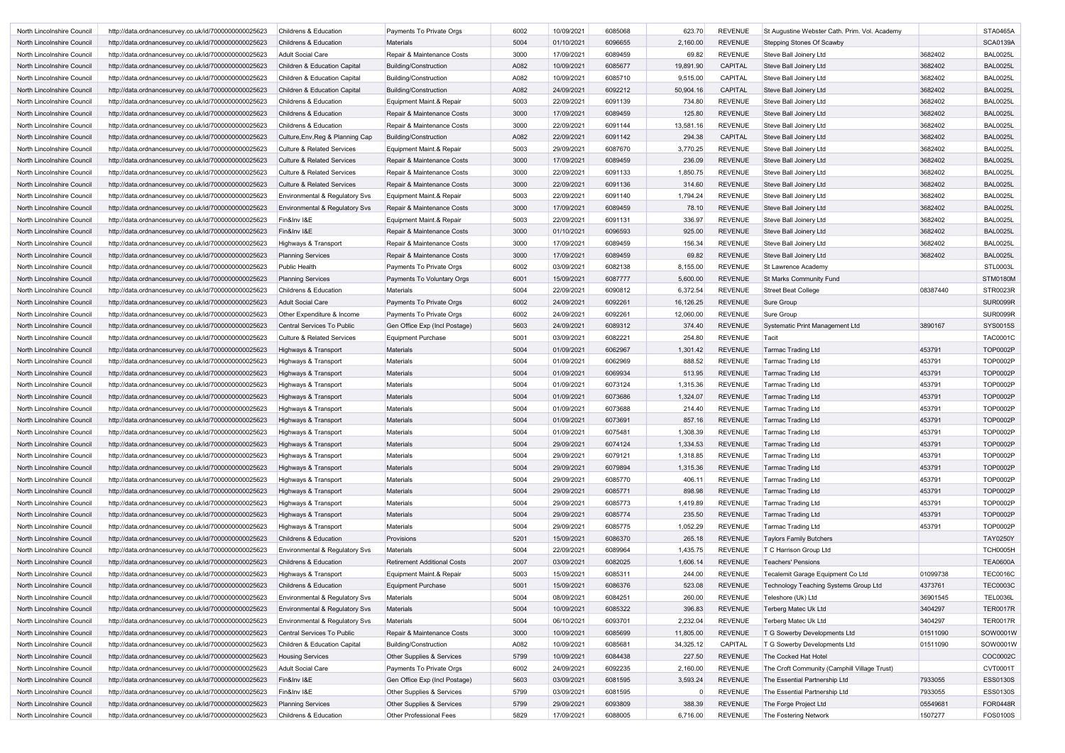| North Lincolnshire Council | http://data.ordnancesurvey.co.uk/id/7000000000025623                                                         | <b>Childrens &amp; Education</b>                        | Payments To Private Orgs             | 6002         | 10/09/2021               | 6085068            | 623.70    | <b>REVENUE</b>                   | St Augustine Webster Cath. Prim. Vol. Academy |                  | <b>STA0465A</b>                    |
|----------------------------|--------------------------------------------------------------------------------------------------------------|---------------------------------------------------------|--------------------------------------|--------------|--------------------------|--------------------|-----------|----------------------------------|-----------------------------------------------|------------------|------------------------------------|
| North Lincolnshire Council | http://data.ordnancesurvey.co.uk/id/7000000000025623                                                         | <b>Childrens &amp; Education</b>                        | <b>Materials</b>                     | 5004         | 01/10/2021               | 6096655            | 2,160.00  | <b>REVENUE</b>                   | <b>Stepping Stones Of Scawby</b>              |                  | <b>SCA0139A</b>                    |
| North Lincolnshire Council | http://data.ordnancesurvey.co.uk/id/7000000000025623                                                         | Adult Social Care                                       | Repair & Maintenance Costs           | 3000         | 17/09/2021               | 6089459            | 69.82     | REVENUE                          | Steve Ball Joinery Ltd                        | 3682402          | <b>BAL0025L</b>                    |
| North Lincolnshire Council | http://data.ordnancesurvey.co.uk/id/7000000000025623                                                         | Children & Education Capital                            | <b>Building/Construction</b>         | A082         | 10/09/2021               | 6085677            | 19,891.90 | <b>CAPITAL</b>                   | Steve Ball Joinery Ltd                        | 3682402          | <b>BAL0025L</b>                    |
| North Lincolnshire Council | http://data.ordnancesurvey.co.uk/id/7000000000025623                                                         | Children & Education Capital                            | <b>Building/Construction</b>         | A082         | 10/09/2021               | 6085710            | 9,515.00  | CAPITAL                          | Steve Ball Joinery Ltd                        | 3682402          | <b>BAL0025L</b>                    |
| North Lincolnshire Council | http://data.ordnancesurvey.co.uk/id/7000000000025623                                                         | Children & Education Capital                            | Building/Construction                | A082         | 24/09/2021               | 6092212            | 50,904.16 | CAPITAL                          | Steve Ball Joinery Ltd                        | 3682402          | <b>BAL0025L</b>                    |
| North Lincolnshire Council | http://data.ordnancesurvey.co.uk/id/7000000000025623                                                         | <b>Childrens &amp; Education</b>                        | Equipment Maint.& Repair             | 5003         | 22/09/2021               | 6091139            | 734.80    | <b>REVENUE</b>                   | Steve Ball Joinery Ltd                        | 3682402          | <b>BAL0025L</b>                    |
| North Lincolnshire Council | http://data.ordnancesurvey.co.uk/id/7000000000025623                                                         | <b>Childrens &amp; Education</b>                        | Repair & Maintenance Costs           | 3000         | 17/09/2021               | 6089459            | 125.80    | <b>REVENUE</b>                   | Steve Ball Joinery Ltd                        | 3682402          | <b>BAL0025L</b>                    |
| North Lincolnshire Council | http://data.ordnancesurvey.co.uk/id/7000000000025623                                                         | Childrens & Education                                   | Repair & Maintenance Costs           | 3000         | 22/09/2021               | 6091144            | 13,581.16 | REVENUE                          | Steve Ball Joinery Ltd                        | 3682402          | <b>BAL0025L</b>                    |
| North Lincolnshire Council | http://data.ordnancesurvey.co.uk/id/7000000000025623                                                         | Culture, Env, Reg & Planning Cap                        | <b>Building/Construction</b>         | A082         | 22/09/2021               | 6091142            | 294.38    | <b>CAPITAL</b>                   | Steve Ball Joinery Ltd                        | 3682402          | <b>BAL0025L</b>                    |
| North Lincolnshire Council | http://data.ordnancesurvey.co.uk/id/7000000000025623                                                         | <b>Culture &amp; Related Services</b>                   | Equipment Maint.& Repair             | 5003         | 29/09/2021               | 6087670            | 3,770.25  | <b>REVENUE</b>                   | Steve Ball Joinery Ltd                        | 3682402          | <b>BAL0025L</b>                    |
| North Lincolnshire Council | http://data.ordnancesurvey.co.uk/id/7000000000025623                                                         | <b>Culture &amp; Related Services</b>                   | Repair & Maintenance Costs           | 3000         | 17/09/2021               | 6089459            | 236.09    | <b>REVENUE</b>                   | Steve Ball Joinery Ltd                        | 3682402          | <b>BAL0025L</b>                    |
| North Lincolnshire Council | http://data.ordnancesurvey.co.uk/id/7000000000025623                                                         | <b>Culture &amp; Related Services</b>                   | Repair & Maintenance Costs           | 3000         | 22/09/2021               | 6091133            | 1,850.75  | REVENUE                          | Steve Ball Joinery Ltd                        | 3682402          | <b>BAL0025L</b>                    |
| North Lincolnshire Council | http://data.ordnancesurvey.co.uk/id/7000000000025623                                                         | <b>Culture &amp; Related Services</b>                   | Repair & Maintenance Costs           | 3000         | 22/09/2021               | 6091136            | 314.60    | <b>REVENUE</b>                   | Steve Ball Joinery Ltd                        | 3682402          | <b>BAL0025L</b>                    |
| North Lincolnshire Council | http://data.ordnancesurvey.co.uk/id/7000000000025623                                                         | <b>Environmental &amp; Regulatory Svs</b>               | Equipment Maint.& Repair             | 5003         | 22/09/2021               | 6091140            | 1,794.24  | <b>REVENUE</b>                   | Steve Ball Joinery Ltd                        | 3682402          | <b>BAL0025L</b>                    |
| North Lincolnshire Council | http://data.ordnancesurvey.co.uk/id/7000000000025623                                                         | Environmental & Regulatory Svs                          | Repair & Maintenance Costs           | 3000         | 17/09/2021               | 6089459            | 78.10     | <b>REVENUE</b>                   | Steve Ball Joinery Ltd                        | 3682402          | <b>BAL0025L</b>                    |
| North Lincolnshire Council | http://data.ordnancesurvey.co.uk/id/7000000000025623                                                         | Fin&Inv I&E                                             | Equipment Maint.& Repair             | 5003         | 22/09/2021               | 6091131            | 336.97    | <b>REVENUE</b>                   | Steve Ball Joinery Ltd                        | 3682402          | <b>BAL0025L</b>                    |
| North Lincolnshire Council | http://data.ordnancesurvey.co.uk/id/7000000000025623                                                         | Fin&Inv I&E                                             | Repair & Maintenance Costs           | 3000         | 01/10/2021               | 6096593            | 925.00    | <b>REVENUE</b>                   | Steve Ball Joinery Ltd                        | 3682402          | <b>BAL0025L</b>                    |
| North Lincolnshire Council | http://data.ordnancesurvey.co.uk/id/7000000000025623                                                         | Highways & Transport                                    | Repair & Maintenance Costs           | 3000         | 17/09/2021               | 6089459            | 156.34    | REVENUE                          | Steve Ball Joinery Ltd                        | 3682402          | <b>BAL0025L</b>                    |
| North Lincolnshire Council | http://data.ordnancesurvey.co.uk/id/7000000000025623                                                         | <b>Planning Services</b>                                | Repair & Maintenance Costs           | 3000         | 17/09/2021               | 6089459            | 69.82     | <b>REVENUE</b>                   | Steve Ball Joinery Ltd                        | 3682402          | <b>BAL0025L</b>                    |
| North Lincolnshire Council | http://data.ordnancesurvey.co.uk/id/7000000000025623                                                         | <b>Public Health</b>                                    | Payments To Private Orgs             | 6002         | 03/09/2021               | 6082138            | 8,155.00  | <b>REVENUE</b>                   | St Lawrence Academy                           |                  | <b>STL0003L</b>                    |
| North Lincolnshire Council | http://data.ordnancesurvey.co.uk/id/7000000000025623                                                         | <b>Planning Services</b>                                | Payments To Voluntary Orgs           | 6001         | 15/09/2021               | 6087777            | 5,600.00  | <b>REVENUE</b>                   | <b>St Marks Community Fund</b>                |                  | <b>STM0180M</b>                    |
| North Lincolnshire Council | http://data.ordnancesurvey.co.uk/id/7000000000025623                                                         | Childrens & Education                                   | <b>Materials</b>                     | 5004         | 22/09/2021               | 6090812            | 6,372.54  | <b>REVENUE</b>                   | <b>Street Beat College</b>                    | 08387440         | STR0023R                           |
| North Lincolnshire Council | http://data.ordnancesurvey.co.uk/id/7000000000025623                                                         | <b>Adult Social Care</b>                                | Payments To Private Orgs             | 6002         | 24/09/2021               | 6092261            | 16,126.25 | <b>REVENUE</b>                   | Sure Group                                    |                  | <b>SUR0099R</b>                    |
| North Lincolnshire Council | http://data.ordnancesurvey.co.uk/id/7000000000025623                                                         | Other Expenditure & Income                              | Payments To Private Orgs             | 6002         | 24/09/2021               | 6092261            | 12,060.00 | <b>REVENUE</b>                   | Sure Group                                    |                  | <b>SUR0099R</b>                    |
| North Lincolnshire Council | http://data.ordnancesurvey.co.uk/id/7000000000025623                                                         | Central Services To Public                              | Gen Office Exp (Incl Postage)        | 5603         | 24/09/2021               | 6089312            | 374.40    | <b>REVENUE</b>                   | <b>Systematic Print Management Ltd</b>        | 3890167          | <b>SYS0015S</b>                    |
| North Lincolnshire Council | http://data.ordnancesurvey.co.uk/id/7000000000025623                                                         | <b>Culture &amp; Related Services</b>                   | <b>Equipment Purchase</b>            | 5001         | 03/09/2021               | 6082221            | 254.80    | <b>REVENUE</b>                   | Tacit                                         |                  | <b>TAC0001C</b>                    |
| North Lincolnshire Council | http://data.ordnancesurvey.co.uk/id/7000000000025623                                                         |                                                         | Materials                            | 5004         | 01/09/2021               | 6062967            | 1,301.42  | <b>REVENUE</b>                   | <b>Tarmac Trading Ltd</b>                     | 453791           | <b>TOP0002P</b>                    |
|                            |                                                                                                              | Highways & Transport                                    | <b>Materials</b>                     | 5004         |                          | 6062969            | 888.52    |                                  |                                               |                  |                                    |
| North Lincolnshire Council | http://data.ordnancesurvey.co.uk/id/7000000000025623                                                         | Highways & Transport                                    |                                      | 5004         | 01/09/2021               |                    |           | REVENUE                          | Tarmac Trading Ltd                            | 453791           | <b>TOP0002P</b>                    |
| North Lincolnshire Council | http://data.ordnancesurvey.co.uk/id/7000000000025623                                                         | Highways & Transport                                    | Materials                            |              | 01/09/2021               | 6069934            | 513.95    | <b>REVENUE</b>                   | <b>Tarmac Trading Ltd</b>                     | 453791           | <b>TOP0002P</b>                    |
| North Lincolnshire Council | http://data.ordnancesurvey.co.uk/id/7000000000025623                                                         | Highways & Transport                                    | Materials                            | 5004         | 01/09/2021               | 6073124            | 1,315.36  | <b>REVENUE</b>                   | <b>Tarmac Trading Ltd</b>                     | 453791           | <b>TOP0002P</b>                    |
| North Lincolnshire Council | http://data.ordnancesurvey.co.uk/id/7000000000025623                                                         | Highways & Transport                                    | Materials                            | 5004         | 01/09/2021               | 6073686            | 1,324.07  | <b>REVENUE</b>                   | Tarmac Trading Ltd                            | 453791           | <b>TOP0002P</b>                    |
| North Lincolnshire Council | http://data.ordnancesurvey.co.uk/id/7000000000025623                                                         | Highways & Transport<br><b>Highways &amp; Transport</b> | <b>Materials</b><br><b>Materials</b> | 5004<br>5004 | 01/09/2021<br>01/09/2021 | 6073688<br>6073691 | 214.40    | REVENUE                          | Tarmac Trading Ltd                            | 453791<br>453791 | <b>TOP0002P</b><br><b>TOP0002P</b> |
| North Lincolnshire Council | http://data.ordnancesurvey.co.uk/id/7000000000025623<br>http://data.ordnancesurvey.co.uk/id/7000000000025623 |                                                         |                                      | 5004         |                          | 6075481            | 857.16    | <b>REVENUE</b>                   | <b>Tarmac Trading Ltd</b>                     | 453791           | TOP0002P                           |
| North Lincolnshire Council |                                                                                                              | Highways & Transport                                    | <b>Materials</b>                     |              | 01/09/2021               |                    | 1,308.39  | <b>REVENUE</b>                   | <b>Tarmac Trading Ltd</b>                     |                  |                                    |
| North Lincolnshire Council | http://data.ordnancesurvey.co.uk/id/7000000000025623                                                         | Highways & Transport                                    | Materials                            | 5004         | 29/09/2021               | 6074124            | 1,334.53  | <b>REVENUE</b>                   | <b>Tarmac Trading Ltd</b>                     | 453791           | <b>TOP0002P</b>                    |
| North Lincolnshire Council | http://data.ordnancesurvey.co.uk/id/7000000000025623                                                         | Highways & Transport                                    | Materials                            | 5004         | 29/09/2021               | 6079121            | 1,318.85  | <b>REVENUE</b>                   | <b>Tarmac Trading Ltd</b>                     | 453791           | <b>TOP0002P</b>                    |
| North Lincolnshire Council | http://data.ordnancesurvey.co.uk/id/7000000000025623                                                         | Highways & Transport                                    | Materials                            | 5004<br>5004 | 29/09/2021               | 6079894<br>6085770 | 1,315.36  | <b>REVENUE</b>                   | <b>Tarmac Trading Ltd</b>                     | 453791           | <b>TOP0002P</b>                    |
| North Lincolnshire Council | http://data.ordnancesurvey.co.uk/id/7000000000025623                                                         | Highways & Transport                                    | <b>Materials</b>                     | 5004         | 29/09/2021               |                    | 406.11    | <b>REVENUE</b><br><b>REVENUE</b> | <b>Tarmac Trading Ltd</b>                     | 453791           | <b>TOP0002P</b><br><b>TOP0002P</b> |
| North Lincolnshire Council | http://data.ordnancesurvey.co.uk/id/7000000000025623                                                         | Highways & Transport                                    | <b>Materials</b>                     |              | 29/09/2021               | 6085771            | 898.98    |                                  | <b>Tarmac Trading Ltd</b>                     | 453791           |                                    |
| North Lincolnshire Council | http://data.ordnancesurvey.co.uk/id/7000000000025623                                                         | Highways & Transport                                    | Materials                            | 5004         | 29/09/2021               | 6085773            | 1,419.89  | <b>REVENUE</b>                   | <b>Tarmac Trading Ltd</b>                     | 453791           | <b>TOP0002P</b>                    |
| North Lincolnshire Council | http://data.ordnancesurvey.co.uk/id/7000000000025623                                                         | Highways & Transport                                    | <b>Materials</b>                     | 5004         | 29/09/2021               | 6085774            | 235.50    | <b>REVENUE</b>                   | <b>Tarmac Trading Ltd</b>                     | 453791           | <b>TOP0002P</b>                    |
| North Lincolnshire Council | http://data.ordnancesurvey.co.uk/id/7000000000025623                                                         | Highways & Transport                                    | Materials                            | 5004         | 29/09/2021               | 6085775            | 1,052.29  | <b>REVENUE</b>                   | <b>Tarmac Trading Ltd</b>                     | 453791           | <b>TOP0002P</b>                    |
| North Lincolnshire Council | http://data.ordnancesurvey.co.uk/id/7000000000025623                                                         | Childrens & Education                                   | Provisions                           | 5201         | 15/09/2021               | 6086370            | 265.18    | <b>REVENUE</b>                   | <b>Taylors Family Butchers</b>                |                  | <b>TAY0250Y</b>                    |
| North Lincolnshire Council | http://data.ordnancesurvey.co.uk/id/7000000000025623                                                         | <b>Environmental &amp; Regulatory Svs</b>               | Materials                            | 5004         | 22/09/2021               | 6089964            | 1,435.75  | <b>REVENUE</b>                   | T C Harrison Group Ltd                        |                  | <b>TCH0005H</b>                    |
| North Lincolnshire Council | http://data.ordnancesurvey.co.uk/id/7000000000025623                                                         | Childrens & Education                                   | <b>Retirement Additional Costs</b>   | 2007         | 03/09/2021               | 6082025            | 1,606.14  | <b>REVENUE</b>                   | <b>Teachers' Pensions</b>                     |                  | <b>TEA0600A</b>                    |
| North Lincolnshire Council | http://data.ordnancesurvey.co.uk/id/7000000000025623                                                         | Highways & Transport                                    | Equipment Maint.& Repair             | 5003         | 15/09/2021               | 6085311            | 244.00    | <b>REVENUE</b>                   | Tecalemit Garage Equipment Co Ltd             | 01099738         | <b>TEC0016C</b>                    |
| North Lincolnshire Council | http://data.ordnancesurvey.co.uk/id/7000000000025623                                                         | Childrens & Education                                   | <b>Equipment Purchase</b>            | 5001         | 15/09/2021               | 6086376            | 523.08    | <b>REVENUE</b>                   | Technology Teaching Systems Group Ltd         | 4373761          | <b>TEC0003C</b>                    |
| North Lincolnshire Council | http://data.ordnancesurvey.co.uk/id/7000000000025623                                                         | Environmental & Regulatory Svs                          | Materials                            | 5004         | 08/09/2021               | 6084251            | 260.00    | <b>REVENUE</b>                   | Teleshore (Uk) Ltd                            | 36901545         | <b>TEL0036L</b>                    |
| North Lincolnshire Council | http://data.ordnancesurvey.co.uk/id/7000000000025623                                                         | Environmental & Regulatory Svs                          | <b>Materials</b>                     | 5004         | 10/09/2021               | 6085322            | 396.83    | <b>REVENUE</b>                   | Terberg Matec Uk Ltd                          | 3404297          | <b>TER0017R</b>                    |
| North Lincolnshire Council | http://data.ordnancesurvey.co.uk/id/7000000000025623                                                         | Environmental & Regulatory Svs                          | Materials                            | 5004         | 06/10/2021               | 6093701            | 2,232.04  | <b>REVENUE</b>                   | Terberg Matec Uk Ltd                          | 3404297          | <b>TER0017R</b>                    |
| North Lincolnshire Council | http://data.ordnancesurvey.co.uk/id/7000000000025623                                                         | Central Services To Public                              | Repair & Maintenance Costs           | 3000         | 10/09/2021               | 6085699            | 11,805.00 | <b>REVENUE</b>                   | T G Sowerby Developments Ltd                  | 01511090         | SOW0001W                           |
| North Lincolnshire Council | http://data.ordnancesurvey.co.uk/id/7000000000025623                                                         | Children & Education Capital                            | <b>Building/Construction</b>         | A082         | 10/09/2021               | 6085681            | 34,325.12 | CAPITAL                          | T G Sowerby Developments Ltd                  | 01511090         | SOW0001W                           |
| North Lincolnshire Council | http://data.ordnancesurvey.co.uk/id/7000000000025623                                                         | <b>Housing Services</b>                                 | Other Supplies & Services            | 5799         | 10/09/2021               | 6084438            | 227.50    | <b>REVENUE</b>                   | The Cocked Hat Hotel                          |                  | COC0002C                           |
| North Lincolnshire Council | http://data.ordnancesurvey.co.uk/id/7000000000025623                                                         | Adult Social Care                                       | Payments To Private Orgs             | 6002         | 24/09/2021               | 6092235            | 2,160.00  | <b>REVENUE</b>                   | The Croft Community (Camphill Village Trust)  |                  | CVT0001T                           |
| North Lincolnshire Council | http://data.ordnancesurvey.co.uk/id/7000000000025623                                                         | Fin&Inv I&E                                             | Gen Office Exp (Incl Postage)        | 5603         | 03/09/2021               | 6081595            | 3,593.24  | <b>REVENUE</b>                   | The Essential Partnership Ltd                 | 7933055          | <b>ESS0130S</b>                    |
| North Lincolnshire Council | http://data.ordnancesurvey.co.uk/id/7000000000025623                                                         | Fin&Inv I&E                                             | Other Supplies & Services            | 5799         | 03/09/2021               | 6081595            |           | <b>REVENUE</b>                   | The Essential Partnership Ltd                 | 7933055          | <b>ESS0130S</b>                    |
| North Lincolnshire Council | http://data.ordnancesurvey.co.uk/id/7000000000025623                                                         | <b>Planning Services</b>                                | Other Supplies & Services            | 5799         | 29/09/2021               | 6093809            | 388.39    | <b>REVENUE</b>                   | The Forge Project Ltd                         | 05549681         | <b>FOR0448R</b>                    |
| North Lincolnshire Council | http://data.ordnancesurvey.co.uk/id/7000000000025623                                                         | Childrens & Education                                   | Other Professional Fees              | 5829         | 17/09/2021               | 6088005            | 6,716.00  | <b>REVENUE</b>                   | The Fostering Network                         | 1507277          | FOS0100S                           |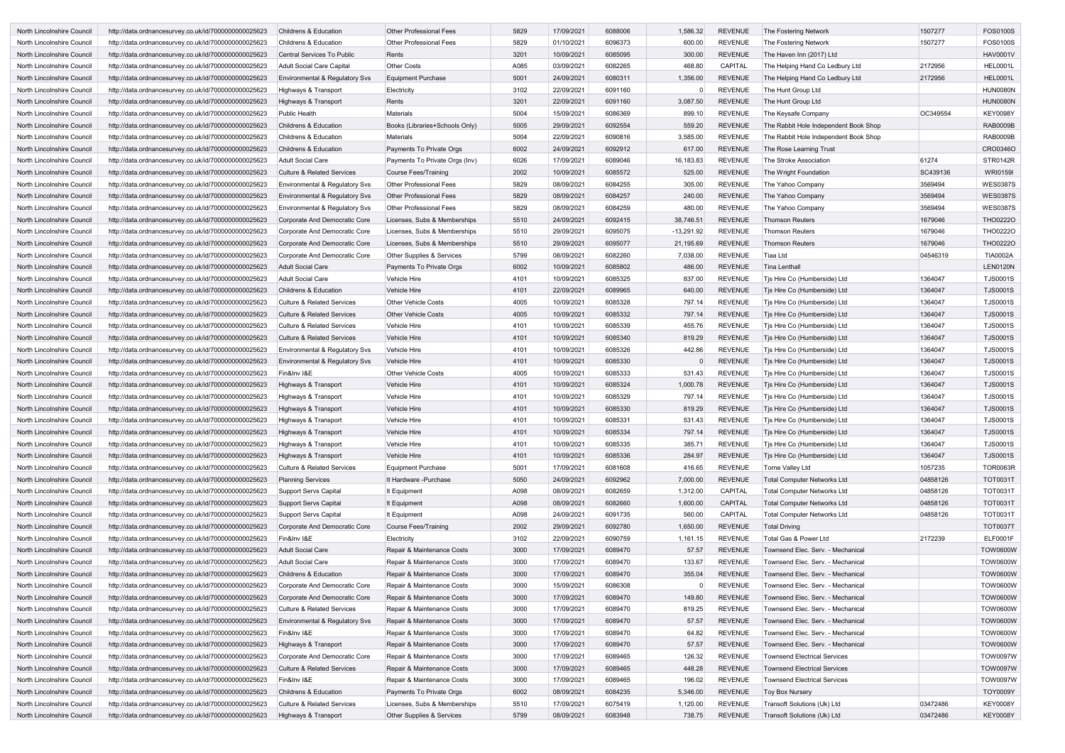| North Lincolnshire Council | http://data.ordnancesurvey.co.uk/id/7000000000025623 | <b>Childrens &amp; Education</b>      | <b>Other Professional Fees</b>       | 5829 | 17/09/2021 | 6088006 | 1,586.32     | REVENUE        | The Fostering Network                 | 1507277  | <b>FOS0100S</b> |
|----------------------------|------------------------------------------------------|---------------------------------------|--------------------------------------|------|------------|---------|--------------|----------------|---------------------------------------|----------|-----------------|
| North Lincolnshire Council | http://data.ordnancesurvey.co.uk/id/7000000000025623 | Childrens & Education                 | <b>Other Professional Fees</b>       | 5829 | 01/10/2021 | 6096373 | 600.00       | <b>REVENUE</b> | The Fostering Network                 | 1507277  | FOS0100S        |
| North Lincolnshire Council | http://data.ordnancesurvey.co.uk/id/7000000000025623 | Central Services To Public            | Rents                                | 3201 | 10/09/2021 | 6085095 | 300.00       | <b>REVENUE</b> | The Haven Inn (2017) Ltd              |          | <b>HAV0001V</b> |
| North Lincolnshire Council | http://data.ordnancesurvey.co.uk/id/7000000000025623 | Adult Social Care Capital             | <b>Other Costs</b>                   | A085 | 03/09/2021 | 6082265 | 468.80       | CAPITAL        | The Helping Hand Co Ledbury Ltd       | 2172956  | <b>HEL0001L</b> |
| North Lincolnshire Council | http://data.ordnancesurvey.co.uk/id/7000000000025623 | Environmental & Regulatory Svs        | <b>Equipment Purchase</b>            | 5001 | 24/09/2021 | 6080311 | 1,356.00     | <b>REVENUE</b> | The Helping Hand Co Ledbury Ltd       | 2172956  | <b>HEL0001L</b> |
| North Lincolnshire Council | http://data.ordnancesurvey.co.uk/id/7000000000025623 | Highways & Transport                  | Electricity                          | 3102 | 22/09/2021 | 6091160 |              | REVENUE        | The Hunt Group Ltd                    |          | <b>HUN0080N</b> |
| North Lincolnshire Council | http://data.ordnancesurvey.co.uk/id/7000000000025623 | Highways & Transport                  | Rents                                | 3201 | 22/09/2021 | 6091160 | 3,087.50     | <b>REVENUE</b> | The Hunt Group Ltd                    |          | <b>HUN0080N</b> |
| North Lincolnshire Council | http://data.ordnancesurvey.co.uk/id/7000000000025623 | <b>Public Health</b>                  | <b>Materials</b>                     | 5004 | 15/09/2021 | 6086369 | 899.10       | <b>REVENUE</b> | The Keysafe Company                   | OC349554 | <b>KEY0098Y</b> |
| North Lincolnshire Council | http://data.ordnancesurvey.co.uk/id/7000000000025623 | <b>Childrens &amp; Education</b>      | Books (Libraries+Schools Only)       | 5005 | 29/09/2021 | 6092554 | 559.20       | <b>REVENUE</b> | The Rabbit Hole Independent Book Shop |          | <b>RAB0009B</b> |
| North Lincolnshire Council | http://data.ordnancesurvey.co.uk/id/7000000000025623 | <b>Childrens &amp; Education</b>      | Materials                            | 5004 | 22/09/2021 | 6090816 | 3,585.00     | <b>REVENUE</b> | The Rabbit Hole Independent Book Shop |          | <b>RAB0009B</b> |
| North Lincolnshire Council | http://data.ordnancesurvey.co.uk/id/7000000000025623 | <b>Childrens &amp; Education</b>      | Payments To Private Orgs             | 6002 | 24/09/2021 | 6092912 | 617.00       | REVENUE        | The Rose Learning Trust               |          | CRO0346O        |
| North Lincolnshire Council | http://data.ordnancesurvey.co.uk/id/7000000000025623 | <b>Adult Social Care</b>              | Payments To Private Orgs (Inv)       | 6026 | 17/09/2021 | 6089046 | 16,183.83    | <b>REVENUE</b> | The Stroke Association                | 61274    | STR0142R        |
| North Lincolnshire Council | http://data.ordnancesurvey.co.uk/id/7000000000025623 | <b>Culture &amp; Related Services</b> | <b>Course Fees/Training</b>          | 2002 | 10/09/2021 | 6085572 | 525.00       | <b>REVENUE</b> | The Wright Foundation                 | SC439136 | <b>WRI0159I</b> |
| North Lincolnshire Council | http://data.ordnancesurvey.co.uk/id/7000000000025623 | Environmental & Regulatory Svs        | Other Professional Fees              | 5829 | 08/09/2021 | 6084255 | 305.00       | <b>REVENUE</b> | The Yahoo Company                     | 3569494  | <b>WES0387S</b> |
|                            | http://data.ordnancesurvey.co.uk/id/7000000000025623 |                                       |                                      | 5829 | 08/09/2021 | 6084257 | 240.00       | <b>REVENUE</b> |                                       |          | <b>WES0387S</b> |
| North Lincolnshire Council |                                                      | Environmental & Regulatory Svs        | <b>Other Professional Fees</b>       |      |            |         |              |                | The Yahoo Company                     | 3569494  |                 |
| North Lincolnshire Council | http://data.ordnancesurvey.co.uk/id/7000000000025623 | Environmental & Regulatory Svs        | <b>Other Professional Fees</b>       | 5829 | 08/09/2021 | 6084259 | 480.00       | REVENUE        | The Yahoo Company                     | 3569494  | <b>WES0387S</b> |
| North Lincolnshire Council | http://data.ordnancesurvey.co.uk/id/7000000000025623 | Corporate And Democratic Core         | Licenses, Subs & Memberships         | 5510 | 24/09/2021 | 6092415 | 38,746.51    | REVENUE        | <b>Thomson Reuters</b>                | 1679046  | <b>THO0222O</b> |
| North Lincolnshire Council | http://data.ordnancesurvey.co.uk/id/7000000000025623 | Corporate And Democratic Core         | Licenses, Subs & Memberships         | 5510 | 29/09/2021 | 6095075 | $-13,291.92$ | <b>REVENUE</b> | <b>Thomson Reuters</b>                | 1679046  | <b>THO0222O</b> |
| North Lincolnshire Council | http://data.ordnancesurvey.co.uk/id/7000000000025623 | Corporate And Democratic Core         | Licenses, Subs & Memberships         | 5510 | 29/09/2021 | 6095077 | 21,195.69    | REVENUE        | <b>Thomson Reuters</b>                | 1679046  | <b>THO0222O</b> |
| North Lincolnshire Council | http://data.ordnancesurvey.co.uk/id/7000000000025623 | Corporate And Democratic Core         | Other Supplies & Services            | 5799 | 08/09/2021 | 6082260 | 7,038.00     | REVENUE        | Tiaa Ltd                              | 04546319 | <b>TIA0002A</b> |
| North Lincolnshire Council | http://data.ordnancesurvey.co.uk/id/7000000000025623 | <b>Adult Social Care</b>              | <b>Payments To Private Orgs</b>      | 6002 | 10/09/2021 | 6085802 | 486.00       | <b>REVENUE</b> | <b>Tina Lenthall</b>                  |          | <b>LEN0120N</b> |
| North Lincolnshire Council | http://data.ordnancesurvey.co.uk/id/7000000000025623 | Adult Social Care                     | <b>Vehicle Hire</b>                  | 4101 | 10/09/2021 | 6085325 | 837.00       | <b>REVENUE</b> | Tjs Hire Co (Humberside) Ltd          | 1364047  | <b>TJS0001S</b> |
| North Lincolnshire Council | http://data.ordnancesurvey.co.uk/id/7000000000025623 | <b>Childrens &amp; Education</b>      | <b>Vehicle Hire</b>                  | 4101 | 22/09/2021 | 6089965 | 640.00       | <b>REVENUE</b> | Tjs Hire Co (Humberside) Ltd          | 1364047  | <b>TJS0001S</b> |
| North Lincolnshire Council | http://data.ordnancesurvey.co.uk/id/7000000000025623 | <b>Culture &amp; Related Services</b> | <b>Other Vehicle Costs</b>           | 4005 | 10/09/2021 | 6085328 | 797.14       | <b>REVENUE</b> | Tjs Hire Co (Humberside) Ltd          | 1364047  | <b>TJS0001S</b> |
| North Lincolnshire Council | http://data.ordnancesurvey.co.uk/id/7000000000025623 | <b>Culture &amp; Related Services</b> | <b>Other Vehicle Costs</b>           | 4005 | 10/09/2021 | 6085332 | 797.14       | <b>REVENUE</b> | Tjs Hire Co (Humberside) Ltd          | 1364047  | <b>TJS0001S</b> |
| North Lincolnshire Council | http://data.ordnancesurvey.co.uk/id/7000000000025623 | <b>Culture &amp; Related Services</b> | <b>Vehicle Hire</b>                  | 4101 | 10/09/2021 | 6085339 | 455.76       | <b>REVENUE</b> | Tjs Hire Co (Humberside) Ltd          | 1364047  | <b>TJS0001S</b> |
| North Lincolnshire Council | http://data.ordnancesurvey.co.uk/id/7000000000025623 | <b>Culture &amp; Related Services</b> | <b>Vehicle Hire</b>                  | 4101 | 10/09/2021 | 6085340 | 819.29       | <b>REVENUE</b> | Tjs Hire Co (Humberside) Ltd          | 1364047  | <b>TJS0001S</b> |
| North Lincolnshire Council | http://data.ordnancesurvey.co.uk/id/7000000000025623 | Environmental & Regulatory Svs        | <b>Vehicle Hire</b>                  | 4101 | 10/09/2021 | 6085326 | 442.86       | <b>REVENUE</b> | Tjs Hire Co (Humberside) Ltd          | 1364047  | <b>TJS0001S</b> |
| North Lincolnshire Council | http://data.ordnancesurvey.co.uk/id/7000000000025623 | Environmental & Regulatory Svs        | <b>Vehicle Hire</b>                  | 4101 | 10/09/2021 | 6085330 |              | <b>REVENUE</b> | Tjs Hire Co (Humberside) Ltd          | 1364047  | <b>TJS0001S</b> |
| North Lincolnshire Council | http://data.ordnancesurvey.co.uk/id/7000000000025623 | Fin&Inv I&E                           | <b>Other Vehicle Costs</b>           | 4005 | 10/09/2021 | 6085333 | 531.43       | <b>REVENUE</b> | Tjs Hire Co (Humberside) Ltd          | 1364047  | <b>TJS0001S</b> |
| North Lincolnshire Council | http://data.ordnancesurvey.co.uk/id/7000000000025623 | Highways & Transport                  | <b>Vehicle Hire</b>                  | 4101 | 10/09/2021 | 6085324 | 1,000.78     | <b>REVENUE</b> | Tis Hire Co (Humberside) Ltd          | 1364047  | <b>TJS0001S</b> |
| North Lincolnshire Council | http://data.ordnancesurvey.co.uk/id/7000000000025623 | Highways & Transport                  | <b>Vehicle Hire</b>                  | 4101 | 10/09/2021 | 6085329 | 797.14       | <b>REVENUE</b> | Tjs Hire Co (Humberside) Ltd          | 1364047  | <b>TJS0001S</b> |
| North Lincolnshire Council | http://data.ordnancesurvey.co.uk/id/7000000000025623 | Highways & Transport                  | <b>Vehicle Hire</b>                  | 4101 | 10/09/2021 | 6085330 | 819.29       | <b>REVENUE</b> | Tis Hire Co (Humberside) Ltd          | 1364047  | <b>TJS0001S</b> |
| North Lincolnshire Council | http://data.ordnancesurvey.co.uk/id/7000000000025623 | Highways & Transport                  | <b>Vehicle Hire</b>                  | 4101 | 10/09/2021 | 6085331 | 531.43       | REVENUE        | Tjs Hire Co (Humberside) Ltd          | 1364047  | <b>TJS0001S</b> |
| North Lincolnshire Council | http://data.ordnancesurvey.co.uk/id/7000000000025623 | Highways & Transport                  | <b>Vehicle Hire</b>                  | 4101 | 10/09/2021 | 6085334 | 797.14       | REVENUE        | Tjs Hire Co (Humberside) Ltd          | 1364047  | <b>TJS0001S</b> |
| North Lincolnshire Council | http://data.ordnancesurvey.co.uk/id/7000000000025623 | Highways & Transport                  | Vehicle Hire                         | 4101 | 10/09/2021 | 6085335 | 385.71       | <b>REVENUE</b> | Tjs Hire Co (Humberside) Ltd          | 1364047  | <b>TJS0001S</b> |
| North Lincolnshire Council | http://data.ordnancesurvey.co.uk/id/7000000000025623 | Highways & Transport                  | Vehicle Hire                         | 4101 | 10/09/2021 | 6085336 | 284.97       | <b>REVENUE</b> | Tjs Hire Co (Humberside) Ltd          | 1364047  | <b>TJS0001S</b> |
| North Lincolnshire Council | http://data.ordnancesurvey.co.uk/id/7000000000025623 | <b>Culture &amp; Related Services</b> | <b>Equipment Purchase</b>            | 5001 | 17/09/2021 | 6081608 | 416.65       | <b>REVENUE</b> | Torne Valley Ltd                      | 1057235  | <b>TOR0063R</b> |
| North Lincolnshire Council | http://data.ordnancesurvey.co.uk/id/7000000000025623 | <b>Planning Services</b>              | It Hardware - Purchase               | 5050 | 24/09/2021 | 6092962 | 7,000.00     | <b>REVENUE</b> | <b>Total Computer Networks Ltd</b>    | 04858126 | <b>TOT0031T</b> |
| North Lincolnshire Council | http://data.ordnancesurvey.co.uk/id/7000000000025623 | Support Servs Capital                 | It Equipment                         | A098 | 08/09/2021 | 6082659 | 1,312.00     | CAPITAL        | <b>Total Computer Networks Ltd</b>    | 04858126 | <b>TOT0031T</b> |
| North Lincolnshire Council | http://data.ordnancesurvey.co.uk/id/7000000000025623 | Support Servs Capital                 | It Equipment                         | A098 | 08/09/2021 | 6082660 | 1,600.00     | <b>CAPITAL</b> | <b>Total Computer Networks Ltd</b>    | 04858126 | <b>TOT0031T</b> |
| North Lincolnshire Council | http://data.ordnancesurvey.co.uk/id/7000000000025623 | Support Servs Capital                 | It Equipment                         | A098 | 24/09/2021 | 6091735 | 560.00       | CAPITAL        | <b>Total Computer Networks Ltd</b>    | 04858126 | <b>TOT0031T</b> |
| North Lincolnshire Council | http://data.ordnancesurvey.co.uk/id/7000000000025623 | Corporate And Democratic Core         | <b>Course Fees/Training</b>          | 2002 | 29/09/2021 | 6092780 | 1,650.00     | REVENUE        | <b>Total Driving</b>                  |          | <b>TOT0037T</b> |
| North Lincolnshire Council | http://data.ordnancesurvey.co.uk/id/7000000000025623 | Fin&Inv I&E                           | Electricity                          | 3102 | 22/09/2021 | 6090759 | 1,161.15     | REVENUE        | Total Gas & Power Ltd                 | 2172239  | <b>ELF0001F</b> |
| North Lincolnshire Council | http://data.ordnancesurvey.co.uk/id/7000000000025623 | <b>Adult Social Care</b>              | Repair & Maintenance Costs           | 3000 | 17/09/2021 | 6089470 | 57.57        | REVENUE        | Townsend Elec. Serv. - Mechanical     |          | <b>TOW0600W</b> |
| North Lincolnshire Council | http://data.ordnancesurvey.co.uk/id/7000000000025623 | <b>Adult Social Care</b>              | Repair & Maintenance Costs           | 3000 | 17/09/2021 | 6089470 | 133.67       | REVENUE        | Townsend Elec. Serv. - Mechanical     |          | <b>TOW0600W</b> |
| North Lincolnshire Council | http://data.ordnancesurvey.co.uk/id/7000000000025623 | Childrens & Education                 | Repair & Maintenance Costs           | 3000 | 17/09/2021 | 6089470 | 355.04       | <b>REVENUE</b> | Townsend Elec. Serv. - Mechanical     |          | <b>TOW0600W</b> |
| North Lincolnshire Council | http://data.ordnancesurvey.co.uk/id/7000000000025623 | Corporate And Democratic Core         | Repair & Maintenance Costs           | 3000 | 15/09/2021 | 6086308 |              | REVENUE        | Townsend Elec. Serv. - Mechanical     |          | <b>TOW0600W</b> |
| North Lincolnshire Council | http://data.ordnancesurvey.co.uk/id/7000000000025623 | Corporate And Democratic Core         | Repair & Maintenance Costs           | 3000 | 17/09/2021 | 6089470 | 149.80       | REVENUE        | Townsend Elec. Serv. - Mechanical     |          | <b>TOW0600W</b> |
| North Lincolnshire Council | http://data.ordnancesurvey.co.uk/id/7000000000025623 | <b>Culture &amp; Related Services</b> | Repair & Maintenance Costs           | 3000 | 17/09/2021 | 6089470 | 819.25       | <b>REVENUE</b> | Townsend Elec. Serv. - Mechanical     |          | <b>TOW0600W</b> |
| North Lincolnshire Council | http://data.ordnancesurvey.co.uk/id/7000000000025623 | Environmental & Regulatory Svs        | Repair & Maintenance Costs           | 3000 | 17/09/2021 | 6089470 | 57.57        | REVENUE        | Townsend Elec. Serv. - Mechanical     |          | <b>TOW0600W</b> |
| North Lincolnshire Council | http://data.ordnancesurvey.co.uk/id/7000000000025623 | Fin&Inv I&E                           | Repair & Maintenance Costs           | 3000 | 17/09/2021 | 6089470 | 64.82        | REVENUE        | Townsend Elec. Serv. - Mechanical     |          | <b>TOW0600W</b> |
| North Lincolnshire Council | http://data.ordnancesurvey.co.uk/id/7000000000025623 | Highways & Transport                  | Repair & Maintenance Costs           | 3000 | 17/09/2021 | 6089470 | 57.57        | REVENUE        | Townsend Elec. Serv. - Mechanical     |          | <b>TOW0600W</b> |
| North Lincolnshire Council | http://data.ordnancesurvey.co.uk/id/7000000000025623 | Corporate And Democratic Core         | Repair & Maintenance Costs           | 3000 | 17/09/2021 | 6089465 | 126.32       | <b>REVENUE</b> | <b>Townsend Electrical Services</b>   |          | <b>TOW0097W</b> |
| North Lincolnshire Council | http://data.ordnancesurvey.co.uk/id/7000000000025623 | <b>Culture &amp; Related Services</b> | Repair & Maintenance Costs           | 3000 | 17/09/2021 | 6089465 | 448.28       | <b>REVENUE</b> | <b>Townsend Electrical Services</b>   |          | <b>TOW0097W</b> |
| North Lincolnshire Council | http://data.ordnancesurvey.co.uk/id/7000000000025623 | Fin&Inv I&E                           | Repair & Maintenance Costs           | 3000 | 17/09/2021 | 6089465 | 196.02       | <b>REVENUE</b> | <b>Townsend Electrical Services</b>   |          | <b>TOW0097W</b> |
| North Lincolnshire Council | http://data.ordnancesurvey.co.uk/id/7000000000025623 | <b>Childrens &amp; Education</b>      | Payments To Private Orgs             | 6002 | 08/09/2021 | 6084235 | 5,346.00     | <b>REVENUE</b> | <b>Toy Box Nursery</b>                |          | <b>TOY0009Y</b> |
| North Lincolnshire Council | http://data.ordnancesurvey.co.uk/id/7000000000025623 | <b>Culture &amp; Related Services</b> | Licenses, Subs & Memberships         | 5510 | 17/09/2021 | 6075419 | 1,120.00     | <b>REVENUE</b> | Transoft Solutions (Uk) Ltd           | 03472486 | <b>KEY0008Y</b> |
| North Lincolnshire Council | http://data.ordnancesurvey.co.uk/id/7000000000025623 | Highways & Transport                  | <b>Other Supplies &amp; Services</b> | 5799 | 08/09/2021 | 6083948 | 738.75       | REVENUE        | Transoft Solutions (Uk) Ltd           | 03472486 | <b>KEY0008Y</b> |
|                            |                                                      |                                       |                                      |      |            |         |              |                |                                       |          |                 |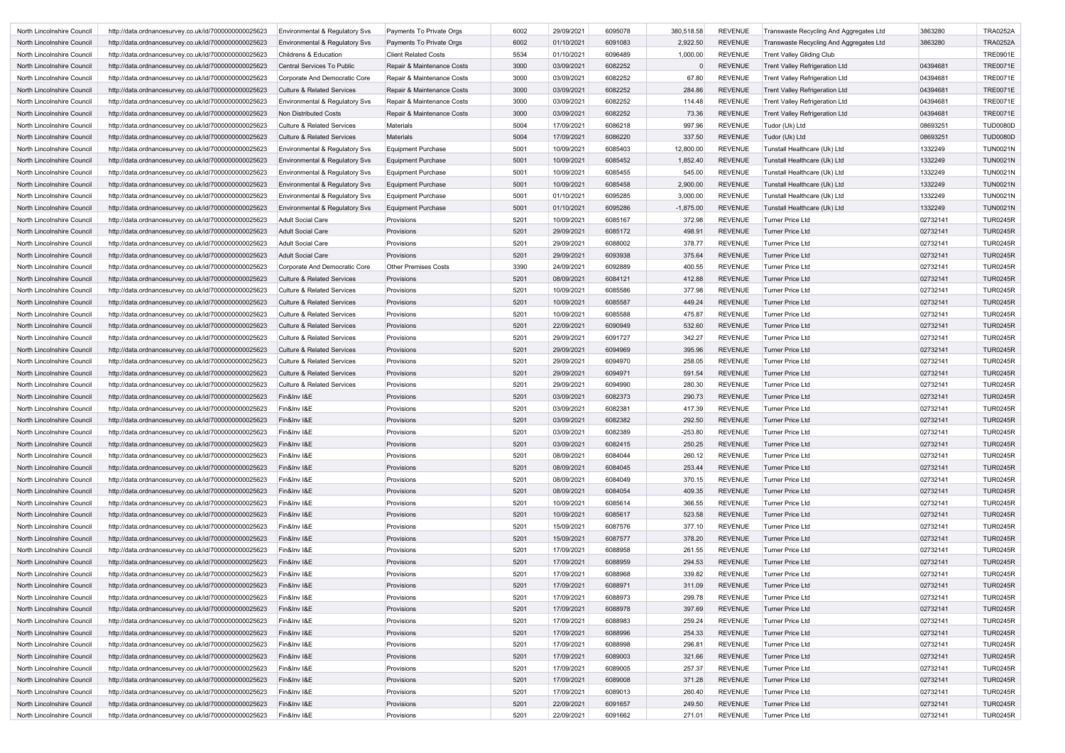| North Lincolnshire Council        | http://data.ordnancesurvey.co.uk/id/7000000000025623 | Environmental & Regulatory Svs        | Payments To Private Orgs    | 6002 | 29/09/2021 | 6095078 | 380,518.58  | <b>REVENUE</b> | Transwaste Recycling And Aggregates Ltd | 3863280  | <b>TRA0252A</b> |
|-----------------------------------|------------------------------------------------------|---------------------------------------|-----------------------------|------|------------|---------|-------------|----------------|-----------------------------------------|----------|-----------------|
| North Lincolnshire Council        | http://data.ordnancesurvey.co.uk/id/7000000000025623 | Environmental & Regulatory Svs        | Payments To Private Orgs    | 6002 | 01/10/2021 | 6091083 | 2,922.50    | <b>REVENUE</b> | Transwaste Recycling And Aggregates Ltd | 3863280  | <b>TRA0252A</b> |
| North Lincolnshire Council        | http://data.ordnancesurvey.co.uk/id/7000000000025623 | <b>Childrens &amp; Education</b>      | <b>Client Related Costs</b> | 5534 | 01/10/2021 | 6096489 | 1,000.00    | <b>REVENUE</b> | <b>Trent Valley Gliding Club</b>        |          | <b>TRE0901E</b> |
| North Lincolnshire Council        | http://data.ordnancesurvey.co.uk/id/7000000000025623 | Central Services To Public            | Repair & Maintenance Costs  | 3000 | 03/09/2021 | 6082252 |             | <b>REVENUE</b> | <b>Trent Valley Refrigeration Ltd</b>   | 04394681 | <b>TRE0071E</b> |
| North Lincolnshire Council        | http://data.ordnancesurvey.co.uk/id/7000000000025623 | Corporate And Democratic Core         | Repair & Maintenance Costs  | 3000 | 03/09/2021 | 6082252 | 67.80       | <b>REVENUE</b> | <b>Trent Valley Refrigeration Ltd</b>   | 04394681 | <b>TRE0071E</b> |
| North Lincolnshire Council        | http://data.ordnancesurvey.co.uk/id/7000000000025623 | <b>Culture &amp; Related Services</b> | Repair & Maintenance Costs  | 3000 | 03/09/2021 | 6082252 | 284.86      | <b>REVENUE</b> | <b>Trent Valley Refrigeration Ltd</b>   | 04394681 | <b>TRE0071E</b> |
| North Lincolnshire Council        | http://data.ordnancesurvey.co.uk/id/7000000000025623 | Environmental & Regulatory Svs        | Repair & Maintenance Costs  | 3000 | 03/09/2021 | 6082252 | 114.48      | <b>REVENUE</b> | <b>Trent Valley Refrigeration Ltd</b>   | 04394681 | <b>TRE0071E</b> |
| North Lincolnshire Council        | http://data.ordnancesurvey.co.uk/id/7000000000025623 | Non Distributed Costs                 | Repair & Maintenance Costs  | 3000 | 03/09/2021 | 6082252 | 73.36       | <b>REVENUE</b> | <b>Trent Valley Refrigeration Ltd</b>   | 04394681 | <b>TRE0071E</b> |
| North Lincolnshire Council        | http://data.ordnancesurvey.co.uk/id/7000000000025623 | <b>Culture &amp; Related Services</b> | Materials                   | 5004 | 17/09/2021 | 6086218 | 997.96      | <b>REVENUE</b> | Tudor (Uk) Ltd                          | 08693251 | <b>TUD0080D</b> |
| North Lincolnshire Council        | http://data.ordnancesurvey.co.uk/id/7000000000025623 | <b>Culture &amp; Related Services</b> | Materials                   | 5004 | 17/09/2021 | 6086220 | 337.50      | <b>REVENUE</b> | Tudor (Uk) Ltd                          | 08693251 | <b>TUD0080D</b> |
| North Lincolnshire Council        | http://data.ordnancesurvey.co.uk/id/7000000000025623 | Environmental & Regulatory Svs        | Equipment Purchase          | 5001 | 10/09/2021 | 6085403 | 12,800.00   | <b>REVENUE</b> | Tunstall Healthcare (Uk) Ltd            | 1332249  | <b>TUN0021N</b> |
| North Lincolnshire Council        | http://data.ordnancesurvey.co.uk/id/7000000000025623 | Environmental & Regulatory Svs        | Equipment Purchase          | 5001 | 10/09/2021 | 6085452 | 1,852.40    | <b>REVENUE</b> | Tunstall Healthcare (Uk) Ltd            | 1332249  | <b>TUN0021N</b> |
| North Lincolnshire Council        | http://data.ordnancesurvey.co.uk/id/7000000000025623 | Environmental & Regulatory Svs        | Equipment Purchase          | 5001 | 10/09/2021 | 6085455 | 545.00      | <b>REVENUE</b> | Tunstall Healthcare (Uk) Ltd            | 1332249  | <b>TUN0021N</b> |
| North Lincolnshire Council        | http://data.ordnancesurvey.co.uk/id/7000000000025623 | Environmental & Regulatory Svs        | Equipment Purchase          | 5001 | 10/09/2021 | 6085458 | 2,900.00    | <b>REVENUE</b> | Tunstall Healthcare (Uk) Ltd            | 1332249  | <b>TUN0021N</b> |
| North Lincolnshire Council        | http://data.ordnancesurvey.co.uk/id/7000000000025623 | Environmental & Regulatory Svs        | <b>Equipment Purchase</b>   | 5001 | 01/10/2021 | 6095285 | 3,000.00    | <b>REVENUE</b> | Tunstall Healthcare (Uk) Ltd            | 1332249  | <b>TUN0021N</b> |
| <b>North Lincolnshire Council</b> | http://data.ordnancesurvey.co.uk/id/7000000000025623 | Environmental & Regulatory Svs        | Equipment Purchase          | 5001 | 01/10/2021 | 6095286 | $-1,875.00$ | <b>REVENUE</b> | Tunstall Healthcare (Uk) Ltd            | 1332249  | <b>TUN0021N</b> |
| North Lincolnshire Council        | http://data.ordnancesurvey.co.uk/id/7000000000025623 | Adult Social Care                     | Provisions                  | 5201 | 10/09/2021 | 6085167 | 372.98      | <b>REVENUE</b> | <b>Turner Price Ltd</b>                 | 02732141 | <b>TUR0245R</b> |
| North Lincolnshire Council        | http://data.ordnancesurvey.co.uk/id/7000000000025623 | Adult Social Care                     | Provisions                  | 5201 | 29/09/2021 | 6085172 | 498.91      | <b>REVENUE</b> | Turner Price Ltd                        | 02732141 | <b>TUR0245R</b> |
| North Lincolnshire Council        | http://data.ordnancesurvey.co.uk/id/7000000000025623 | Adult Social Care                     | Provisions                  | 5201 | 29/09/2021 | 6088002 | 378.77      | REVENUE        | <b>Turner Price Ltd</b>                 | 02732141 | <b>TUR0245R</b> |
| North Lincolnshire Council        | http://data.ordnancesurvey.co.uk/id/7000000000025623 | Adult Social Care                     | Provisions                  | 5201 | 29/09/2021 | 6093938 | 375.64      | <b>REVENUE</b> | Turner Price Ltd                        | 02732141 | <b>TUR0245R</b> |
| North Lincolnshire Council        | http://data.ordnancesurvey.co.uk/id/7000000000025623 | Corporate And Democratic Core         | <b>Other Premises Costs</b> | 3390 | 24/09/2021 | 6092889 | 400.55      | <b>REVENUE</b> | <b>Turner Price Ltd</b>                 | 02732141 | <b>TUR0245R</b> |
| North Lincolnshire Council        | http://data.ordnancesurvey.co.uk/id/7000000000025623 | <b>Culture &amp; Related Services</b> | Provisions                  | 5201 | 08/09/2021 | 6084121 | 412.88      | <b>REVENUE</b> | <b>Turner Price Ltd</b>                 | 02732141 | <b>TUR0245R</b> |
| North Lincolnshire Council        | http://data.ordnancesurvey.co.uk/id/7000000000025623 | <b>Culture &amp; Related Services</b> | Provisions                  | 5201 | 10/09/2021 | 6085586 | 377.98      | <b>REVENUE</b> | <b>Turner Price Ltd</b>                 | 02732141 | <b>TUR0245R</b> |
| North Lincolnshire Council        | http://data.ordnancesurvey.co.uk/id/7000000000025623 | <b>Culture &amp; Related Services</b> | Provisions                  | 5201 | 10/09/2021 | 6085587 | 449.24      | <b>REVENUE</b> | <b>Turner Price Ltd</b>                 | 02732141 | <b>TUR0245R</b> |
| North Lincolnshire Council        | http://data.ordnancesurvey.co.uk/id/7000000000025623 | <b>Culture &amp; Related Services</b> | Provisions                  | 5201 | 10/09/2021 | 6085588 | 475.87      | <b>REVENUE</b> | <b>Turner Price Ltd</b>                 | 02732141 | <b>TUR0245R</b> |
| North Lincolnshire Council        | http://data.ordnancesurvey.co.uk/id/7000000000025623 | <b>Culture &amp; Related Services</b> | Provisions                  | 5201 | 22/09/2021 | 6090949 | 532.60      | <b>REVENUE</b> | Turner Price Ltd                        | 02732141 | <b>TUR0245R</b> |
| North Lincolnshire Council        |                                                      | <b>Culture &amp; Related Services</b> | Provisions                  | 5201 | 29/09/2021 | 6091727 | 342.27      | <b>REVENUE</b> | <b>Turner Price Ltd</b>                 | 02732141 | <b>TUR0245R</b> |
|                                   | http://data.ordnancesurvey.co.uk/id/7000000000025623 |                                       |                             |      |            | 6094969 | 395.96      | <b>REVENUE</b> |                                         |          | <b>TUR0245R</b> |
| North Lincolnshire Council        | http://data.ordnancesurvey.co.uk/id/7000000000025623 | <b>Culture &amp; Related Services</b> | Provisions                  | 5201 | 29/09/2021 |         |             |                | Turner Price Ltd                        | 02732141 |                 |
| North Lincolnshire Council        | http://data.ordnancesurvey.co.uk/id/7000000000025623 | <b>Culture &amp; Related Services</b> | Provisions                  | 5201 | 29/09/2021 | 6094970 | 258.05      | <b>REVENUE</b> | Turner Price Ltd                        | 02732141 | <b>TUR0245R</b> |
| North Lincolnshire Council        | http://data.ordnancesurvey.co.uk/id/7000000000025623 | <b>Culture &amp; Related Services</b> | Provisions                  | 5201 | 29/09/2021 | 6094971 | 591.54      | <b>REVENUE</b> | Turner Price Ltd                        | 02732141 | <b>TUR0245R</b> |
| North Lincolnshire Council        | http://data.ordnancesurvey.co.uk/id/7000000000025623 | <b>Culture &amp; Related Services</b> | Provisions                  | 5201 | 29/09/2021 | 6094990 | 280.30      | <b>REVENUE</b> | Turner Price Ltd                        | 02732141 | <b>TUR0245R</b> |
| North Lincolnshire Council        | http://data.ordnancesurvey.co.uk/id/7000000000025623 | Fin&Inv I&E                           | Provisions                  | 5201 | 03/09/2021 | 6082373 | 290.73      | <b>REVENUE</b> | <b>Turner Price Ltd</b>                 | 02732141 | <b>TUR0245R</b> |
| North Lincolnshire Council        | http://data.ordnancesurvey.co.uk/id/7000000000025623 | Fin&Inv I&E                           | Provisions                  | 5201 | 03/09/2021 | 6082381 | 417.39      | <b>REVENUE</b> | <b>Turner Price Ltd</b>                 | 02732141 | <b>TUR0245R</b> |
| North Lincolnshire Council        | http://data.ordnancesurvey.co.uk/id/7000000000025623 | Fin&Inv I&E                           | Provisions                  | 5201 | 03/09/2021 | 6082382 | 292.50      | <b>REVENUE</b> | Turner Price Ltd                        | 02732141 | <b>TUR0245R</b> |
| North Lincolnshire Council        | http://data.ordnancesurvey.co.uk/id/7000000000025623 | Fin&Inv I&E                           | Provisions                  | 5201 | 03/09/2021 | 6082389 | $-253.80$   | <b>REVENUE</b> | Turner Price Ltd                        | 02732141 | <b>TUR0245R</b> |
| North Lincolnshire Council        | http://data.ordnancesurvey.co.uk/id/7000000000025623 | Fin&Inv I&E                           | Provisions                  | 5201 | 03/09/2021 | 6082415 | 250.25      | <b>REVENUE</b> | Turner Price Ltd                        | 02732141 | <b>TUR0245R</b> |
| North Lincolnshire Council        | http://data.ordnancesurvey.co.uk/id/7000000000025623 | Fin&Inv I&E                           | Provisions                  | 5201 | 08/09/2021 | 6084044 | 260.12      | <b>REVENUE</b> | Turner Price Ltd                        | 02732141 | <b>TUR0245R</b> |
| North Lincolnshire Council        | http://data.ordnancesurvey.co.uk/id/7000000000025623 | Fin&Inv I&E                           | Provisions                  | 5201 | 08/09/2021 | 6084045 | 253.44      | <b>REVENUE</b> | Turner Price Ltd                        | 02732141 | <b>TUR0245R</b> |
| North Lincolnshire Council        | http://data.ordnancesurvey.co.uk/id/7000000000025623 | Fin&Inv I&E                           | Provisions                  | 5201 | 08/09/2021 | 6084049 | 370.15      | <b>REVENUE</b> | Turner Price Ltd                        | 02732141 | <b>TUR0245R</b> |
| North Lincolnshire Council        | http://data.ordnancesurvey.co.uk/id/7000000000025623 | Fin&Inv I&E                           | Provisions                  | 5201 | 08/09/2021 | 6084054 | 409.35      | <b>REVENUE</b> | Turner Price Ltd                        | 02732141 | <b>TUR0245R</b> |
| North Lincolnshire Council        | http://data.ordnancesurvey.co.uk/id/7000000000025623 | Fin&Inv I&E                           | Provisions                  | 5201 | 10/09/2021 | 6085614 | 366.55      | <b>REVENUE</b> | Turner Price Ltd                        | 02732141 | <b>TUR0245R</b> |
| <b>North Lincolnshire Council</b> | http://data.ordnancesurvey.co.uk/id/7000000000025623 | Fin&Inv I&E                           | Provisions                  | 5201 | 10/09/2021 | 6085617 | 523.58      | <b>REVENUE</b> | Turner Price Ltd                        | 02732141 | <b>TUR0245R</b> |
| North Lincolnshire Council        | http://data.ordnancesurvey.co.uk/id/7000000000025623 | Fin&Inv I&E                           | Provisions                  | 5201 | 15/09/2021 | 6087576 | 377.10      | <b>REVENUE</b> | Turner Price Ltd                        | 02732141 | <b>TUR0245R</b> |
| North Lincolnshire Council        | http://data.ordnancesurvey.co.uk/id/7000000000025623 | Fin&Inv I&E                           | Provisions                  | 5201 | 15/09/2021 | 6087577 | 378.20      | <b>REVENUE</b> | Turner Price Ltd                        | 02732141 | <b>TUR0245R</b> |
| North Lincolnshire Council        | http://data.ordnancesurvey.co.uk/id/7000000000025623 | Fin&Inv I&E                           | Provisions                  | 5201 | 17/09/2021 | 6088958 | 261.55      | <b>REVENUE</b> | Turner Price Ltd                        | 02732141 | <b>TUR0245R</b> |
| North Lincolnshire Council        | http://data.ordnancesurvey.co.uk/id/7000000000025623 | Fin&Inv I&E                           | Provisions                  | 5201 | 17/09/2021 | 6088959 | 294.53      | <b>REVENUE</b> | Turner Price Ltd                        | 02732141 | <b>TUR0245R</b> |
| North Lincolnshire Council        | http://data.ordnancesurvey.co.uk/id/7000000000025623 | Fin&Inv I&E                           | Provisions                  | 5201 | 17/09/2021 | 6088968 | 339.82      | <b>REVENUE</b> | Turner Price Ltd                        | 02732141 | <b>TUR0245R</b> |
| North Lincolnshire Council        | http://data.ordnancesurvey.co.uk/id/7000000000025623 | Fin&Inv I&E                           | Provisions                  | 5201 | 17/09/2021 | 6088971 | 311.09      | <b>REVENUE</b> | Turner Price Ltd                        | 02732141 | <b>TUR0245R</b> |
| North Lincolnshire Council        | http://data.ordnancesurvey.co.uk/id/7000000000025623 | Fin&Inv I&E                           | Provisions                  | 5201 | 17/09/2021 | 6088973 | 299.78      | <b>REVENUE</b> | Turner Price Ltd                        | 02732141 | <b>TUR0245R</b> |
| North Lincolnshire Council        | http://data.ordnancesurvey.co.uk/id/7000000000025623 | Fin&Inv I&E                           | Provisions                  | 5201 | 17/09/2021 | 6088978 | 397.69      | <b>REVENUE</b> | Turner Price Ltd                        | 02732141 | <b>TUR0245R</b> |
| North Lincolnshire Council        | http://data.ordnancesurvey.co.uk/id/7000000000025623 | Fin&Inv I&E                           | Provisions                  | 5201 | 17/09/2021 | 6088983 | 259.24      | <b>REVENUE</b> | Turner Price Ltd                        | 02732141 | <b>TUR0245R</b> |
| North Lincolnshire Council        | http://data.ordnancesurvey.co.uk/id/7000000000025623 | Fin&Inv I&E                           | Provisions                  | 5201 | 17/09/2021 | 6088996 | 254.33      | <b>REVENUE</b> | Turner Price Ltd                        | 02732141 | <b>TUR0245R</b> |
| North Lincolnshire Council        | http://data.ordnancesurvey.co.uk/id/7000000000025623 | Fin&Inv I&E                           | Provisions                  | 5201 | 17/09/2021 | 6088998 | 296.81      | <b>REVENUE</b> | Turner Price Ltd                        | 02732141 | <b>TUR0245R</b> |
| North Lincolnshire Council        | http://data.ordnancesurvey.co.uk/id/7000000000025623 | Fin&Inv I&E                           | Provisions                  | 5201 | 17/09/2021 | 6089003 | 321.66      | <b>REVENUE</b> | Turner Price Ltd                        | 02732141 | <b>TUR0245R</b> |
| North Lincolnshire Council        | http://data.ordnancesurvey.co.uk/id/7000000000025623 | Fin&Inv I&E                           | Provisions                  | 5201 | 17/09/2021 | 6089005 | 257.37      | <b>REVENUE</b> | Turner Price Ltd                        | 02732141 | <b>TUR0245R</b> |
| North Lincolnshire Council        | http://data.ordnancesurvey.co.uk/id/7000000000025623 | Fin&Inv I&E                           | Provisions                  | 5201 | 17/09/2021 | 6089008 | 371.28      | <b>REVENUE</b> | Turner Price Ltd                        | 02732141 | <b>TUR0245R</b> |
| North Lincolnshire Council        | http://data.ordnancesurvey.co.uk/id/7000000000025623 | Fin&Inv I&E                           | Provisions                  | 5201 | 17/09/2021 | 6089013 | 260.40      | <b>REVENUE</b> | Turner Price Ltd                        | 02732141 | <b>TUR0245R</b> |
| North Lincolnshire Council        | http://data.ordnancesurvey.co.uk/id/7000000000025623 | Fin&Inv I&E                           | Provisions                  | 5201 | 22/09/2021 | 6091657 | 249.50      | <b>REVENUE</b> | Turner Price Ltd                        | 02732141 | <b>TUR0245R</b> |
| North Lincolnshire Council        | http://data.ordnancesurvey.co.uk/id/7000000000025623 | Fin&Inv I&E                           | Provisions                  | 5201 | 22/09/2021 | 6091662 | 271.01      | <b>REVENUE</b> | Turner Price Ltd                        | 02732141 | <b>TUR0245R</b> |
|                                   |                                                      |                                       |                             |      |            |         |             |                |                                         |          |                 |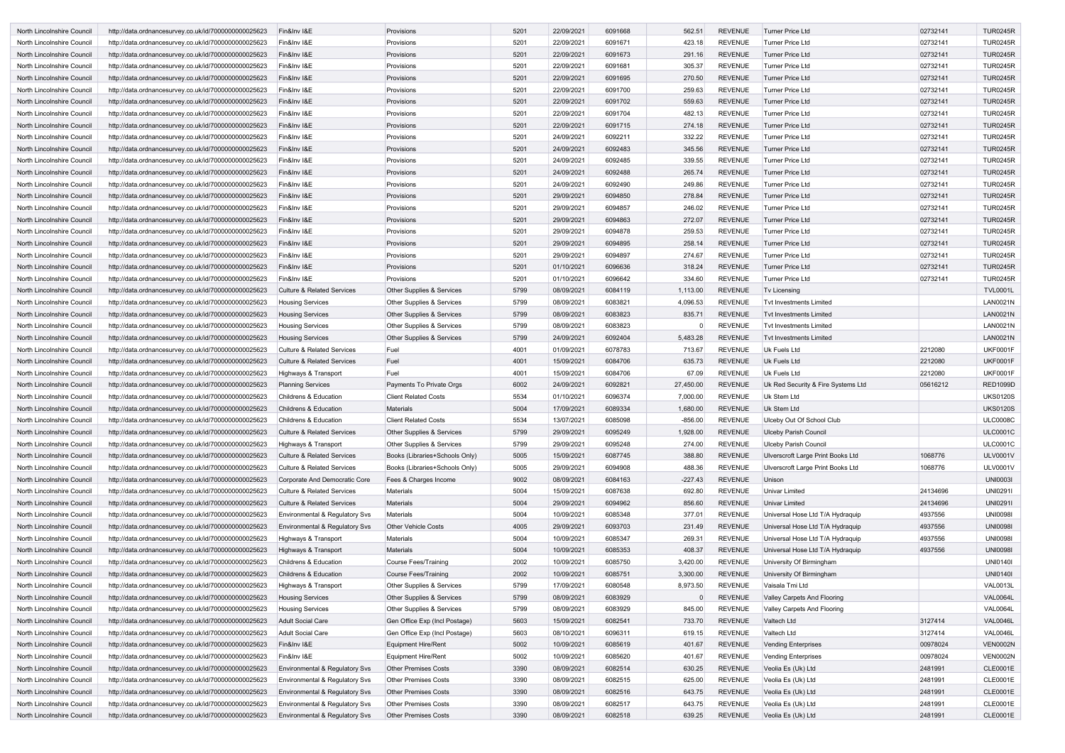| North Lincolnshire Council        | http://data.ordnancesurvey.co.uk/id/7000000000025623 | Fin&Inv I&E                               | Provisions                     | 5201 | 22/09/2021 | 6091668 | 562.51       | <b>REVENUE</b> | <b>Turner Price Ltd</b>            | 02732141 | <b>TUR0245R</b> |
|-----------------------------------|------------------------------------------------------|-------------------------------------------|--------------------------------|------|------------|---------|--------------|----------------|------------------------------------|----------|-----------------|
| North Lincolnshire Council        | http://data.ordnancesurvey.co.uk/id/7000000000025623 | Fin&Inv I&E                               | Provisions                     | 5201 | 22/09/2021 | 6091671 | 423.18       | <b>REVENUE</b> | <b>Turner Price Ltd</b>            | 02732141 | <b>TUR0245R</b> |
| North Lincolnshire Council        | http://data.ordnancesurvey.co.uk/id/7000000000025623 | Fin&Inv I&E                               | Provisions                     | 5201 | 22/09/2021 | 6091673 | 291.16       | <b>REVENUE</b> | <b>Turner Price Ltd</b>            | 02732141 | <b>TUR0245R</b> |
| North Lincolnshire Council        | http://data.ordnancesurvey.co.uk/id/7000000000025623 | Fin&Inv I&E                               | Provisions                     | 5201 | 22/09/2021 | 6091681 | 305.37       | <b>REVENUE</b> | Turner Price Ltd                   | 02732141 | <b>TUR0245R</b> |
| North Lincolnshire Council        | http://data.ordnancesurvey.co.uk/id/7000000000025623 | Fin&Inv I&E                               | Provisions                     | 5201 | 22/09/2021 | 6091695 | 270.50       | <b>REVENUE</b> | <b>Turner Price Ltd</b>            | 02732141 | <b>TUR0245R</b> |
| North Lincolnshire Council        | http://data.ordnancesurvey.co.uk/id/7000000000025623 | Fin&Inv I&E                               | Provisions                     | 5201 | 22/09/2021 | 6091700 | 259.63       | <b>REVENUE</b> | Turner Price Ltd                   | 02732141 | <b>TUR0245R</b> |
| North Lincolnshire Council        | http://data.ordnancesurvey.co.uk/id/7000000000025623 | Fin&Inv I&E                               | Provisions                     | 5201 | 22/09/2021 | 6091702 | 559.63       | <b>REVENUE</b> | <b>Turner Price Ltd</b>            | 02732141 | <b>TUR0245R</b> |
| North Lincolnshire Council        | http://data.ordnancesurvey.co.uk/id/7000000000025623 | Fin&Inv I&E                               | Provisions                     | 5201 | 22/09/2021 | 6091704 | 482.13       | <b>REVENUE</b> | Turner Price Ltd                   | 02732141 | <b>TUR0245R</b> |
| North Lincolnshire Council        | http://data.ordnancesurvey.co.uk/id/7000000000025623 | Fin&Inv I&E                               | Provisions                     | 5201 | 22/09/2021 | 6091715 | 274.18       | <b>REVENUE</b> | Turner Price Ltd                   | 02732141 | <b>TUR0245R</b> |
| North Lincolnshire Council        | http://data.ordnancesurvey.co.uk/id/7000000000025623 | Fin&Inv I&E                               | Provisions                     | 5201 | 24/09/2021 | 6092211 | 332.22       | <b>REVENUE</b> | <b>Turner Price Ltd</b>            | 02732141 | <b>TUR0245R</b> |
| North Lincolnshire Council        | http://data.ordnancesurvey.co.uk/id/7000000000025623 | Fin&Inv I&E                               | Provisions                     | 5201 | 24/09/2021 | 6092483 | 345.56       | <b>REVENUE</b> | <b>Turner Price Ltd</b>            | 02732141 | <b>TUR0245R</b> |
|                                   |                                                      | Fin&Inv I&E                               | Provisions                     | 5201 | 24/09/2021 | 6092485 | 339.55       | <b>REVENUE</b> | <b>Turner Price Ltd</b>            | 02732141 | <b>TUR0245R</b> |
| North Lincolnshire Council        | http://data.ordnancesurvey.co.uk/id/7000000000025623 |                                           |                                |      |            |         |              |                |                                    |          |                 |
| North Lincolnshire Council        | http://data.ordnancesurvey.co.uk/id/7000000000025623 | Fin&Inv I&E                               | Provisions                     | 5201 | 24/09/2021 | 6092488 | 265.74       | <b>REVENUE</b> | <b>Turner Price Ltd</b>            | 02732141 | <b>TUR0245R</b> |
| North Lincolnshire Council        | http://data.ordnancesurvey.co.uk/id/7000000000025623 | Fin&Inv I&E                               | Provisions                     | 5201 | 24/09/2021 | 6092490 | 249.86       | <b>REVENUE</b> | Turner Price Ltd                   | 02732141 | <b>TUR0245R</b> |
| <b>North Lincolnshire Council</b> | http://data.ordnancesurvey.co.uk/id/7000000000025623 | Fin&Inv I&E                               | Provisions                     | 5201 | 29/09/2021 | 6094850 | 278.84       | <b>REVENUE</b> | <b>Turner Price Ltd</b>            | 02732141 | <b>TUR0245R</b> |
| North Lincolnshire Council        | http://data.ordnancesurvey.co.uk/id/7000000000025623 | Fin&Inv I&E                               | Provisions                     | 5201 | 29/09/2021 | 6094857 | 246.02       | <b>REVENUE</b> | Turner Price Ltd                   | 02732141 | <b>TUR0245R</b> |
| North Lincolnshire Council        | http://data.ordnancesurvey.co.uk/id/7000000000025623 | Fin&Inv I&E                               | Provisions                     | 5201 | 29/09/2021 | 6094863 | 272.07       | <b>REVENUE</b> | <b>Turner Price Ltd</b>            | 02732141 | <b>TUR0245R</b> |
| North Lincolnshire Council        | http://data.ordnancesurvey.co.uk/id/7000000000025623 | Fin&Inv I&E                               | Provisions                     | 5201 | 29/09/2021 | 6094878 | 259.53       | <b>REVENUE</b> | Turner Price Ltd                   | 02732141 | <b>TUR0245R</b> |
| North Lincolnshire Council        | http://data.ordnancesurvey.co.uk/id/7000000000025623 | Fin&Inv I&E                               | Provisions                     | 5201 | 29/09/2021 | 6094895 | 258.14       | <b>REVENUE</b> | Turner Price Ltd                   | 02732141 | <b>TUR0245R</b> |
| North Lincolnshire Council        | http://data.ordnancesurvey.co.uk/id/7000000000025623 | Fin&Inv I&E                               | Provisions                     | 5201 | 29/09/2021 | 6094897 | 274.67       | <b>REVENUE</b> | Turner Price Ltd                   | 02732141 | <b>TUR0245R</b> |
| North Lincolnshire Council        | http://data.ordnancesurvey.co.uk/id/7000000000025623 | Fin&Inv I&E                               | Provisions                     | 5201 | 01/10/2021 | 6096636 | 318.24       | <b>REVENUE</b> | <b>Turner Price Ltd</b>            | 02732141 | <b>TUR0245R</b> |
| North Lincolnshire Council        | http://data.ordnancesurvey.co.uk/id/7000000000025623 | Fin&Inv I&E                               | Provisions                     | 5201 | 01/10/2021 | 6096642 | 334.60       | <b>REVENUE</b> | <b>Turner Price Ltd</b>            | 02732141 | <b>TUR0245R</b> |
| North Lincolnshire Council        | http://data.ordnancesurvey.co.uk/id/7000000000025623 | <b>Culture &amp; Related Services</b>     | Other Supplies & Services      | 5799 | 08/09/2021 | 6084119 | 1,113.00     | <b>REVENUE</b> | Tv Licensing                       |          | <b>TVL0001L</b> |
| North Lincolnshire Council        | http://data.ordnancesurvey.co.uk/id/7000000000025623 | <b>Housing Services</b>                   | Other Supplies & Services      | 5799 | 08/09/2021 | 6083821 | 4,096.53     | <b>REVENUE</b> | <b>Tvt Investments Limited</b>     |          | <b>LAN0021N</b> |
|                                   |                                                      |                                           |                                |      |            | 6083823 |              | <b>REVENUE</b> |                                    |          | <b>LAN0021N</b> |
| North Lincolnshire Council        | http://data.ordnancesurvey.co.uk/id/7000000000025623 | <b>Housing Services</b>                   | Other Supplies & Services      | 5799 | 08/09/2021 |         | 835.71       |                | <b>Tvt Investments Limited</b>     |          |                 |
| North Lincolnshire Council        | http://data.ordnancesurvey.co.uk/id/7000000000025623 | <b>Housing Services</b>                   | Other Supplies & Services      | 5799 | 08/09/2021 | 6083823 | <sup>0</sup> | <b>REVENUE</b> | <b>Tvt Investments Limited</b>     |          | <b>LAN0021N</b> |
| North Lincolnshire Council        | http://data.ordnancesurvey.co.uk/id/7000000000025623 | <b>Housing Services</b>                   | Other Supplies & Services      | 5799 | 24/09/2021 | 6092404 | 5,483.28     | <b>REVENUE</b> | Tyt Investments Limited            |          | <b>LAN0021N</b> |
| North Lincolnshire Council        | http://data.ordnancesurvey.co.uk/id/7000000000025623 | <b>Culture &amp; Related Services</b>     | Fuel                           | 4001 | 01/09/2021 | 6078783 | 713.67       | REVENUE        | <b>Uk Fuels Ltd</b>                | 2212080  | <b>UKF0001F</b> |
| North Lincolnshire Council        | http://data.ordnancesurvey.co.uk/id/7000000000025623 | <b>Culture &amp; Related Services</b>     | Fuel                           | 4001 | 15/09/2021 | 6084706 | 635.73       | <b>REVENUE</b> | <b>Uk Fuels Ltd</b>                | 2212080  | <b>UKF0001F</b> |
| North Lincolnshire Council        | http://data.ordnancesurvey.co.uk/id/7000000000025623 | Highways & Transport                      | Fuel                           | 4001 | 15/09/2021 | 6084706 | 67.09        | <b>REVENUE</b> | Uk Fuels Ltd                       | 2212080  | <b>UKF0001F</b> |
| North Lincolnshire Council        | http://data.ordnancesurvey.co.uk/id/7000000000025623 | <b>Planning Services</b>                  | Payments To Private Orgs       | 6002 | 24/09/2021 | 6092821 | 27,450.00    | <b>REVENUE</b> | Uk Red Security & Fire Systems Ltd | 05616212 | <b>RED1099D</b> |
| North Lincolnshire Council        | http://data.ordnancesurvey.co.uk/id/7000000000025623 | <b>Childrens &amp; Education</b>          | <b>Client Related Costs</b>    | 5534 | 01/10/2021 | 6096374 | 7,000.00     | <b>REVENUE</b> | Uk Stem Ltd                        |          | <b>UKS0120S</b> |
| North Lincolnshire Council        | http://data.ordnancesurvey.co.uk/id/7000000000025623 | <b>Childrens &amp; Education</b>          | <b>Materials</b>               | 5004 | 17/09/2021 | 6089334 | 1,680.00     | <b>REVENUE</b> | Uk Stem Ltd                        |          | <b>UKS0120S</b> |
| North Lincolnshire Council        | http://data.ordnancesurvey.co.uk/id/7000000000025623 | Childrens & Education                     | <b>Client Related Costs</b>    | 5534 | 13/07/2021 | 6085098 | $-856.00$    | <b>REVENUE</b> | Ulceby Out Of School Club          |          | <b>ULC0008C</b> |
| North Lincolnshire Council        | http://data.ordnancesurvey.co.uk/id/7000000000025623 | <b>Culture &amp; Related Services</b>     | Other Supplies & Services      | 5799 | 29/09/2021 | 6095249 | 1,928.00     | <b>REVENUE</b> | <b>Ulceby Parish Council</b>       |          | <b>ULC0001C</b> |
| North Lincolnshire Council        | http://data.ordnancesurvey.co.uk/id/7000000000025623 | Highways & Transport                      | Other Supplies & Services      | 5799 | 29/09/2021 | 6095248 | 274.00       | REVENUE        | <b>Ulceby Parish Council</b>       |          | <b>ULC0001C</b> |
| North Lincolnshire Council        | http://data.ordnancesurvey.co.uk/id/7000000000025623 | <b>Culture &amp; Related Services</b>     | Books (Libraries+Schools Only) | 5005 | 15/09/2021 | 6087745 | 388.80       | <b>REVENUE</b> | Ulverscroft Large Print Books Ltd  | 1068776  | <b>ULV0001V</b> |
| North Lincolnshire Council        | http://data.ordnancesurvey.co.uk/id/7000000000025623 | <b>Culture &amp; Related Services</b>     | Books (Libraries+Schools Only) | 5005 | 29/09/2021 | 6094908 | 488.36       | <b>REVENUE</b> | Ulverscroft Large Print Books Ltd  | 1068776  | <b>ULV0001V</b> |
| North Lincolnshire Council        | http://data.ordnancesurvey.co.uk/id/7000000000025623 | Corporate And Democratic Core             | Fees & Charges Income          | 9002 | 08/09/2021 | 6084163 | $-227.43$    | <b>REVENUE</b> | Unison                             |          | <b>UNI00031</b> |
|                                   |                                                      |                                           | <b>Materials</b>               | 5004 |            | 6087638 |              | <b>REVENUE</b> | Univar Limited                     | 24134696 | UNI0291I        |
| North Lincolnshire Council        | http://data.ordnancesurvey.co.uk/id/7000000000025623 | <b>Culture &amp; Related Services</b>     |                                |      | 15/09/2021 |         | 692.80       |                |                                    |          |                 |
| North Lincolnshire Council        | http://data.ordnancesurvey.co.uk/id/7000000000025623 | <b>Culture &amp; Related Services</b>     | <b>Materials</b>               | 5004 | 29/09/2021 | 6094962 | 856.60       | <b>REVENUE</b> | <b>Univar Limited</b>              | 24134696 | UNI0291I        |
| North Lincolnshire Council        | http://data.ordnancesurvey.co.uk/id/7000000000025623 | Environmental & Regulatory Svs            | Materials                      | 5004 | 10/09/2021 | 6085348 | 377.01       | <b>REVENUE</b> | Universal Hose Ltd T/A Hydraquip   | 4937556  | <b>UNI0098I</b> |
| North Lincolnshire Council        | http://data.ordnancesurvey.co.uk/id/7000000000025623 | Environmental & Regulatory Svs            | <b>Other Vehicle Costs</b>     | 4005 | 29/09/2021 | 6093703 | 231.49       | <b>REVENUE</b> | Universal Hose Ltd T/A Hydraquip   | 4937556  | <b>UNI00981</b> |
| North Lincolnshire Council        | http://data.ordnancesurvey.co.uk/id/7000000000025623 | Highways & Transport                      | <b>Materials</b>               | 5004 | 10/09/2021 | 6085347 | 269.31       | <b>REVENUE</b> | Universal Hose Ltd T/A Hydraquip   | 4937556  | <b>UNI00981</b> |
| North Lincolnshire Council        | http://data.ordnancesurvey.co.uk/id/7000000000025623 | Highways & Transport                      | <b>Materials</b>               | 5004 | 10/09/2021 | 6085353 | 408.37       | <b>REVENUE</b> | Universal Hose Ltd T/A Hydraquip   | 4937556  | <b>UNI00981</b> |
| North Lincolnshire Council        | http://data.ordnancesurvey.co.uk/id/7000000000025623 | Childrens & Education                     | <b>Course Fees/Training</b>    | 2002 | 10/09/2021 | 6085750 | 3,420.00     | <b>REVENUE</b> | University Of Birmingham           |          | <b>UNI0140I</b> |
| North Lincolnshire Council        | http://data.ordnancesurvey.co.uk/id/7000000000025623 | Childrens & Education                     | <b>Course Fees/Training</b>    | 2002 | 10/09/2021 | 6085751 | 3,300.00     | <b>REVENUE</b> | University Of Birmingham           |          | <b>UNI0140I</b> |
| North Lincolnshire Council        | http://data.ordnancesurvey.co.uk/id/7000000000025623 | Highways & Transport                      | Other Supplies & Services      | 5799 | 17/09/2021 | 6080548 | 8,973.50     | <b>REVENUE</b> | Vaisala Tmi Ltd                    |          | <b>VAL0013L</b> |
| North Lincolnshire Council        | http://data.ordnancesurvey.co.uk/id/7000000000025623 | <b>Housing Services</b>                   | Other Supplies & Services      | 5799 | 08/09/2021 | 6083929 |              | <b>REVENUE</b> | Valley Carpets And Flooring        |          | <b>VAL0064L</b> |
| North Lincolnshire Council        | http://data.ordnancesurvey.co.uk/id/7000000000025623 | <b>Housing Services</b>                   | Other Supplies & Services      | 5799 | 08/09/2021 | 6083929 | 845.00       | <b>REVENUE</b> | Valley Carpets And Flooring        |          | <b>VAL0064L</b> |
| North Lincolnshire Council        | http://data.ordnancesurvey.co.uk/id/7000000000025623 | <b>Adult Social Care</b>                  | Gen Office Exp (Incl Postage)  | 5603 | 15/09/2021 | 6082541 | 733.70       | <b>REVENUE</b> | Valtech Ltd                        | 3127414  | <b>VAL0046L</b> |
| North Lincolnshire Council        | http://data.ordnancesurvey.co.uk/id/7000000000025623 | <b>Adult Social Care</b>                  | Gen Office Exp (Incl Postage)  | 5603 | 08/10/2021 | 6096311 | 619.15       | <b>REVENUE</b> | Valtech Ltd                        | 3127414  | <b>VAL0046L</b> |
| North Lincolnshire Council        | http://data.ordnancesurvey.co.uk/id/7000000000025623 | Fin&Inv I&E                               | <b>Equipment Hire/Rent</b>     | 5002 | 10/09/2021 | 6085619 | 401.67       | <b>REVENUE</b> | <b>Vending Enterprises</b>         | 00978024 | <b>VEN0002N</b> |
|                                   |                                                      |                                           |                                | 5002 | 10/09/2021 | 6085620 |              | <b>REVENUE</b> |                                    | 00978024 | <b>VEN0002N</b> |
| North Lincolnshire Council        | http://data.ordnancesurvey.co.uk/id/7000000000025623 | Fin&Inv I&E                               | <b>Equipment Hire/Rent</b>     |      |            |         | 401.67       |                | <b>Vending Enterprises</b>         |          |                 |
| North Lincolnshire Council        | http://data.ordnancesurvey.co.uk/id/7000000000025623 | Environmental & Regulatory Svs            | <b>Other Premises Costs</b>    | 3390 | 08/09/2021 | 6082514 | 630.25       | REVENUE        | Veolia Es (Uk) Ltd                 | 2481991  | <b>CLE0001E</b> |
| North Lincolnshire Council        | http://data.ordnancesurvey.co.uk/id/7000000000025623 | Environmental & Regulatory Svs            | <b>Other Premises Costs</b>    | 3390 | 08/09/2021 | 6082515 | 625.00       | <b>REVENUE</b> | Veolia Es (Uk) Ltd                 | 2481991  | <b>CLE0001E</b> |
| North Lincolnshire Council        | http://data.ordnancesurvey.co.uk/id/7000000000025623 | Environmental & Regulatory Svs            | <b>Other Premises Costs</b>    | 3390 | 08/09/2021 | 6082516 | 643.75       | REVENUE        | Veolia Es (Uk) Ltd                 | 2481991  | <b>CLE0001E</b> |
| North Lincolnshire Council        | http://data.ordnancesurvey.co.uk/id/7000000000025623 | Environmental & Regulatory Svs            | <b>Other Premises Costs</b>    | 3390 | 08/09/2021 | 6082517 | 643.75       | <b>REVENUE</b> | Veolia Es (Uk) Ltd                 | 2481991  | CLE0001E        |
| North Lincolnshire Council        | http://data.ordnancesurvey.co.uk/id/7000000000025623 | <b>Environmental &amp; Regulatory Svs</b> | <b>Other Premises Costs</b>    | 3390 | 08/09/2021 | 6082518 | 639.25       | REVENUE        | Veolia Es (Uk) Ltd                 | 2481991  | <b>CLE0001E</b> |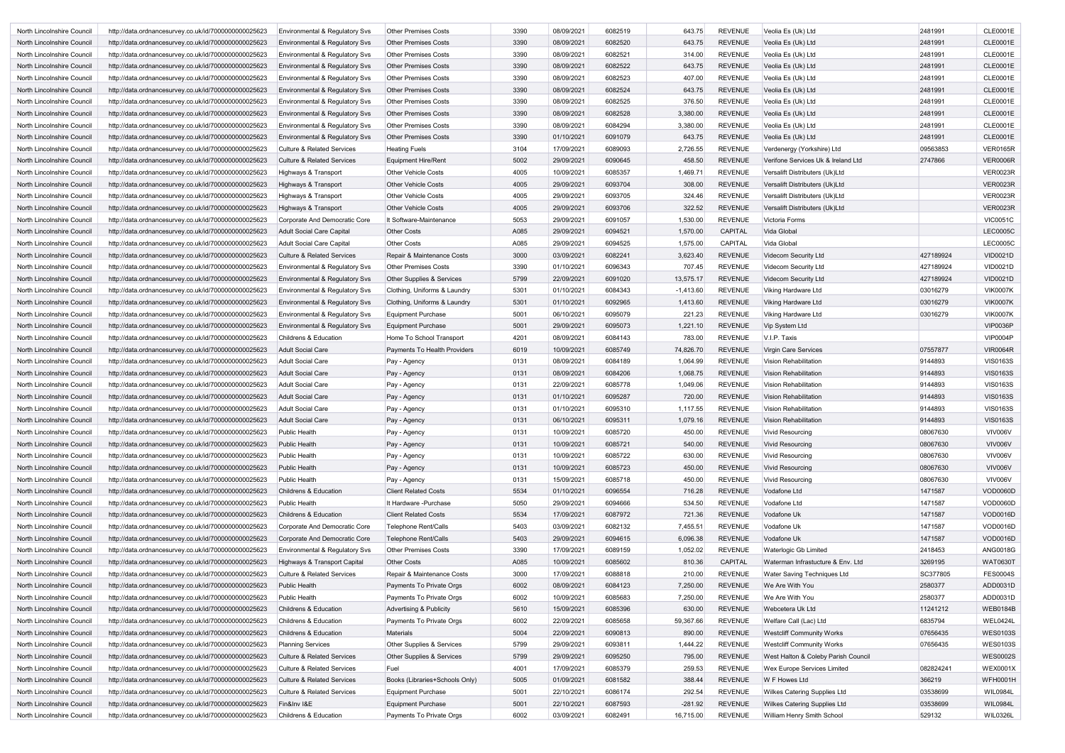| North Lincolnshire Council        | http://data.ordnancesurvey.co.uk/id/7000000000025623 | Environmental & Regulatory Sys        | <b>Other Premises Costs</b>    | 3390 | 08/09/2021 | 6082519 | 643.75      | REVENUE        | Veolia Es (Uk) Ltd                  | 2481991   | CLE0001E        |
|-----------------------------------|------------------------------------------------------|---------------------------------------|--------------------------------|------|------------|---------|-------------|----------------|-------------------------------------|-----------|-----------------|
| North Lincolnshire Council        | http://data.ordnancesurvey.co.uk/id/7000000000025623 | Environmental & Regulatory Svs        | <b>Other Premises Costs</b>    | 3390 | 08/09/2021 | 6082520 | 643.75      | <b>REVENUE</b> | Veolia Es (Uk) Ltd                  | 2481991   | <b>CLE0001E</b> |
| North Lincolnshire Council        | http://data.ordnancesurvey.co.uk/id/7000000000025623 | Environmental & Regulatory Svs        | <b>Other Premises Costs</b>    | 3390 | 08/09/2021 | 6082521 | 314.00      | REVENUE        | Veolia Es (Uk) Ltd                  | 2481991   | CLE0001E        |
| North Lincolnshire Council        | http://data.ordnancesurvey.co.uk/id/7000000000025623 | Environmental & Regulatory Svs        | <b>Other Premises Costs</b>    | 3390 | 08/09/2021 | 6082522 | 643.75      | <b>REVENUE</b> | Veolia Es (Uk) Ltd                  | 2481991   | <b>CLE0001E</b> |
| North Lincolnshire Council        | http://data.ordnancesurvey.co.uk/id/7000000000025623 | Environmental & Regulatory Svs        | <b>Other Premises Costs</b>    | 3390 | 08/09/2021 | 6082523 | 407.00      | <b>REVENUE</b> | Veolia Es (Uk) Ltd                  | 2481991   | CLE0001E        |
| North Lincolnshire Council        | http://data.ordnancesurvey.co.uk/id/7000000000025623 | Environmental & Regulatory Svs        | <b>Other Premises Costs</b>    | 3390 | 08/09/2021 | 6082524 | 643.75      | <b>REVENUE</b> | Veolia Es (Uk) Ltd                  | 2481991   | <b>CLE0001E</b> |
| North Lincolnshire Council        | http://data.ordnancesurvey.co.uk/id/7000000000025623 | Environmental & Regulatory Svs        | <b>Other Premises Costs</b>    | 3390 | 08/09/2021 | 6082525 | 376.50      | <b>REVENUE</b> | Veolia Es (Uk) Ltd                  | 2481991   | CLE0001E        |
| North Lincolnshire Council        | http://data.ordnancesurvey.co.uk/id/7000000000025623 | Environmental & Regulatory Svs        | <b>Other Premises Costs</b>    | 3390 | 08/09/2021 | 6082528 | 3,380.00    | <b>REVENUE</b> | Veolia Es (Uk) Ltd                  | 2481991   | <b>CLE0001E</b> |
| North Lincolnshire Council        | http://data.ordnancesurvey.co.uk/id/7000000000025623 | Environmental & Regulatory Svs        | <b>Other Premises Costs</b>    | 3390 | 08/09/2021 | 6084294 | 3,380.00    | <b>REVENUE</b> | Veolia Es (Uk) Ltd                  | 2481991   | CLE0001E        |
| North Lincolnshire Council        | http://data.ordnancesurvey.co.uk/id/7000000000025623 | Environmental & Regulatory Svs        | <b>Other Premises Costs</b>    | 3390 | 01/10/2021 | 6091079 | 643.75      | <b>REVENUE</b> | Veolia Es (Uk) Ltd                  | 2481991   | <b>CLE0001E</b> |
| North Lincolnshire Council        | http://data.ordnancesurvey.co.uk/id/7000000000025623 | <b>Culture &amp; Related Services</b> | <b>Heating Fuels</b>           | 3104 | 17/09/2021 | 6089093 | 2,726.55    | <b>REVENUE</b> | Verdenergy (Yorkshire) Ltd          | 09563853  | <b>VER0165R</b> |
| North Lincolnshire Council        | http://data.ordnancesurvey.co.uk/id/7000000000025623 | <b>Culture &amp; Related Services</b> | Equipment Hire/Rent            | 5002 | 29/09/2021 | 6090645 | 458.50      | <b>REVENUE</b> | Verifone Services Uk & Ireland Ltd  | 2747866   | <b>VER0006R</b> |
| North Lincolnshire Council        | http://data.ordnancesurvey.co.uk/id/7000000000025623 | Highways & Transport                  | <b>Other Vehicle Costs</b>     | 4005 | 10/09/2021 | 6085357 | 1,469.71    | REVENUE        | Versalift Distributers (Uk)Ltd      |           | <b>VER0023R</b> |
| North Lincolnshire Council        | http://data.ordnancesurvey.co.uk/id/7000000000025623 | Highways & Transport                  | <b>Other Vehicle Costs</b>     | 4005 | 29/09/2021 | 6093704 | 308.00      | <b>REVENUE</b> | Versalift Distributers (Uk)Ltd      |           | <b>VER0023R</b> |
| North Lincolnshire Council        | http://data.ordnancesurvey.co.uk/id/7000000000025623 | Highways & Transport                  | <b>Other Vehicle Costs</b>     | 4005 | 29/09/2021 | 6093705 | 324.46      | <b>REVENUE</b> | Versalift Distributers (Uk)Ltd      |           | <b>VER0023R</b> |
| North Lincolnshire Council        | http://data.ordnancesurvey.co.uk/id/7000000000025623 | Highways & Transport                  | <b>Other Vehicle Costs</b>     | 4005 | 29/09/2021 | 6093706 | 322.52      | <b>REVENUE</b> | Versalift Distributers (Uk)Ltd      |           | <b>VER0023R</b> |
| North Lincolnshire Council        | http://data.ordnancesurvey.co.uk/id/7000000000025623 | Corporate And Democratic Core         | It Software-Maintenance        | 5053 | 29/09/2021 | 6091057 | 1,530.00    | <b>REVENUE</b> | Victoria Forms                      |           | <b>VIC0051C</b> |
| North Lincolnshire Council        | http://data.ordnancesurvey.co.uk/id/7000000000025623 | Adult Social Care Capital             | <b>Other Costs</b>             | A085 | 29/09/2021 | 6094521 | 1,570.00    | <b>CAPITAL</b> | Vida Global                         |           | <b>LEC0005C</b> |
| North Lincolnshire Council        | http://data.ordnancesurvey.co.uk/id/7000000000025623 | Adult Social Care Capital             | <b>Other Costs</b>             | A085 | 29/09/2021 | 6094525 | 1,575.00    | CAPITAL        | Vida Global                         |           | <b>LEC0005C</b> |
| <b>North Lincolnshire Council</b> | http://data.ordnancesurvey.co.uk/id/7000000000025623 | <b>Culture &amp; Related Services</b> | Repair & Maintenance Costs     | 3000 | 03/09/2021 | 6082241 | 3,623.40    | <b>REVENUE</b> | Videcom Security Ltd                | 427189924 | <b>VID0021D</b> |
| North Lincolnshire Council        | http://data.ordnancesurvey.co.uk/id/7000000000025623 | Environmental & Regulatory Svs        | <b>Other Premises Costs</b>    | 3390 | 01/10/2021 | 6096343 | 707.45      | <b>REVENUE</b> | Videcom Security Ltd                | 427189924 | <b>VID0021D</b> |
| North Lincolnshire Council        | http://data.ordnancesurvey.co.uk/id/7000000000025623 | Environmental & Regulatory Svs        | Other Supplies & Services      | 5799 | 22/09/2021 | 6091020 | 13,575.17   | <b>REVENUE</b> | <b>Videcom Security Ltd</b>         | 427189924 | <b>VID0021D</b> |
| North Lincolnshire Council        | http://data.ordnancesurvey.co.uk/id/7000000000025623 | Environmental & Regulatory Svs        | Clothing, Uniforms & Laundry   | 5301 | 01/10/2021 | 6084343 | $-1,413.60$ | REVENUE        | Viking Hardware Ltd                 | 03016279  | <b>VIK0007K</b> |
| North Lincolnshire Council        | http://data.ordnancesurvey.co.uk/id/7000000000025623 | Environmental & Regulatory Svs        | Clothing, Uniforms & Laundry   | 5301 | 01/10/2021 | 6092965 | 1,413.60    | <b>REVENUE</b> | Viking Hardware Ltd                 | 03016279  | <b>VIK0007K</b> |
| North Lincolnshire Council        | http://data.ordnancesurvey.co.uk/id/7000000000025623 | Environmental & Regulatory Svs        | Equipment Purchase             | 5001 | 06/10/2021 | 6095079 | 221.23      | <b>REVENUE</b> | Viking Hardware Ltd                 | 03016279  | <b>VIK0007K</b> |
| North Lincolnshire Council        | http://data.ordnancesurvey.co.uk/id/7000000000025623 | Environmental & Regulatory Svs        | Equipment Purchase             | 5001 | 29/09/2021 | 6095073 | 1,221.10    | <b>REVENUE</b> | Vip System Ltd                      |           | <b>VIP0036P</b> |
| North Lincolnshire Council        | http://data.ordnancesurvey.co.uk/id/7000000000025623 | <b>Childrens &amp; Education</b>      | Home To School Transport       | 4201 | 08/09/2021 | 6084143 | 783.00      | <b>REVENUE</b> | V.I.P. Taxis                        |           | <b>VIP0004P</b> |
| North Lincolnshire Council        | http://data.ordnancesurvey.co.uk/id/7000000000025623 | Adult Social Care                     | Payments To Health Providers   | 6019 | 10/09/2021 | 6085749 | 74,826.70   | <b>REVENUE</b> | Virgin Care Services                | 07557877  | <b>VIR0064R</b> |
| North Lincolnshire Council        | http://data.ordnancesurvey.co.uk/id/7000000000025623 | Adult Social Care                     | Pay - Agency                   | 0131 | 08/09/2021 | 6084189 | 1,064.99    | <b>REVENUE</b> | <b>Vision Rehabilitation</b>        | 9144893   | <b>VIS0163S</b> |
| North Lincolnshire Council        | http://data.ordnancesurvey.co.uk/id/7000000000025623 | Adult Social Care                     | Pay - Agency                   | 0131 | 08/09/2021 | 6084206 | 1,068.75    | <b>REVENUE</b> | <b>Vision Rehabilitation</b>        | 9144893   | <b>VIS0163S</b> |
| North Lincolnshire Council        | http://data.ordnancesurvey.co.uk/id/7000000000025623 | Adult Social Care                     | Pay - Agency                   | 0131 | 22/09/2021 | 6085778 | 1,049.06    | <b>REVENUE</b> | <b>Vision Rehabilitation</b>        | 9144893   | <b>VIS0163S</b> |
| North Lincolnshire Council        | http://data.ordnancesurvey.co.uk/id/7000000000025623 | Adult Social Care                     | Pay - Agency                   | 0131 | 01/10/2021 | 6095287 | 720.00      | <b>REVENUE</b> | <b>Vision Rehabilitation</b>        | 9144893   | <b>VIS0163S</b> |
| North Lincolnshire Council        | http://data.ordnancesurvey.co.uk/id/7000000000025623 | <b>Adult Social Care</b>              | Pay - Agency                   | 0131 | 01/10/2021 | 6095310 | 1,117.55    | REVENUE        | <b>Vision Rehabilitation</b>        | 9144893   | <b>VIS0163S</b> |
| North Lincolnshire Council        | http://data.ordnancesurvey.co.uk/id/7000000000025623 | Adult Social Care                     | Pay - Agency                   | 0131 | 06/10/2021 | 6095311 | 1,079.16    | <b>REVENUE</b> | Vision Rehabilitation               | 9144893   | <b>VIS0163S</b> |
| North Lincolnshire Council        | http://data.ordnancesurvey.co.uk/id/7000000000025623 | <b>Public Health</b>                  | Pay - Agency                   | 0131 | 10/09/2021 | 6085720 | 450.00      | <b>REVENUE</b> | <b>Vivid Resourcing</b>             | 08067630  | VIV006V         |
| <b>North Lincolnshire Council</b> | http://data.ordnancesurvey.co.uk/id/7000000000025623 | <b>Public Health</b>                  | Pay - Agency                   | 0131 | 10/09/2021 | 6085721 | 540.00      | <b>REVENUE</b> | <b>Vivid Resourcing</b>             | 08067630  | VIV006V         |
| North Lincolnshire Council        | http://data.ordnancesurvey.co.uk/id/7000000000025623 | <b>Public Health</b>                  | Pay - Agency                   | 0131 | 10/09/2021 | 6085722 | 630.00      | <b>REVENUE</b> | <b>Vivid Resourcing</b>             | 08067630  | VIV006V         |
| North Lincolnshire Council        | http://data.ordnancesurvey.co.uk/id/7000000000025623 | <b>Public Health</b>                  | Pay - Agency                   | 0131 | 10/09/2021 | 6085723 | 450.00      | <b>REVENUE</b> | <b>Vivid Resourcing</b>             | 08067630  | <b>VIV006V</b>  |
| North Lincolnshire Council        | http://data.ordnancesurvey.co.uk/id/7000000000025623 | <b>Public Health</b>                  | Pay - Agency                   | 0131 | 15/09/2021 | 6085718 | 450.00      | <b>REVENUE</b> | <b>Vivid Resourcing</b>             | 08067630  | VIV006V         |
| North Lincolnshire Council        | http://data.ordnancesurvey.co.uk/id/7000000000025623 | <b>Childrens &amp; Education</b>      | <b>Client Related Costs</b>    | 5534 | 01/10/2021 | 6096554 | 716.28      | <b>REVENUE</b> | Vodafone Ltd                        | 1471587   | <b>VOD0060D</b> |
| North Lincolnshire Council        | http://data.ordnancesurvey.co.uk/id/7000000000025623 | <b>Public Health</b>                  | It Hardware - Purchase         | 5050 | 29/09/2021 | 6094666 | 534.50      | <b>REVENUE</b> | Vodafone Ltd                        | 1471587   | <b>VOD0060D</b> |
| North Lincolnshire Council        | http://data.ordnancesurvey.co.uk/id/7000000000025623 | Childrens & Education                 | <b>Client Related Costs</b>    | 5534 | 17/09/2021 | 6087972 | 721.36      | <b>REVENUE</b> | Vodafone Uk                         | 1471587   | <b>VOD0016D</b> |
| North Lincolnshire Council        | http://data.ordnancesurvey.co.uk/id/7000000000025623 | Corporate And Democratic Core         | Telephone Rent/Calls           | 5403 | 03/09/2021 | 6082132 | 7,455.51    | <b>REVENUE</b> | Vodafone Uk                         | 1471587   | VOD0016D        |
| North Lincolnshire Council        | http://data.ordnancesurvey.co.uk/id/7000000000025623 | Corporate And Democratic Core         | Telephone Rent/Calls           | 5403 | 29/09/2021 | 6094615 | 6,096.38    | <b>REVENUE</b> | Vodafone Uk                         | 1471587   | <b>VOD0016D</b> |
| North Lincolnshire Council        | http://data.ordnancesurvey.co.uk/id/7000000000025623 | Environmental & Regulatory Svs        | <b>Other Premises Costs</b>    | 3390 | 17/09/2021 | 6089159 | 1,052.02    | <b>REVENUE</b> | Waterlogic Gb Limited               | 2418453   | ANG0018G        |
| North Lincolnshire Council        | http://data.ordnancesurvey.co.uk/id/7000000000025623 | Highways & Transport Capital          | <b>Other Costs</b>             | A085 | 10/09/2021 | 6085602 | 810.36      | <b>CAPITAL</b> | Waterman Infrastucture & Env. Ltd   | 3269195   | <b>WAT0630T</b> |
| North Lincolnshire Council        | http://data.ordnancesurvey.co.uk/id/7000000000025623 | <b>Culture &amp; Related Services</b> | Repair & Maintenance Costs     | 3000 | 17/09/2021 | 6088818 | 210.00      | <b>REVENUE</b> | Water Saving Techniques Ltd         | SC377805  | <b>FES0004S</b> |
| North Lincolnshire Council        | http://data.ordnancesurvey.co.uk/id/7000000000025623 | <b>Public Health</b>                  | Payments To Private Orgs       | 6002 | 08/09/2021 | 6084123 | 7,250.00    | <b>REVENUE</b> | We Are With You                     | 2580377   | ADD0031D        |
| North Lincolnshire Council        | http://data.ordnancesurvey.co.uk/id/7000000000025623 | <b>Public Health</b>                  | Payments To Private Orgs       | 6002 | 10/09/2021 | 6085683 | 7,250.00    | <b>REVENUE</b> | We Are With You                     | 2580377   | ADD0031D        |
| North Lincolnshire Council        | http://data.ordnancesurvey.co.uk/id/7000000000025623 | Childrens & Education                 | Advertising & Publicity        | 5610 | 15/09/2021 | 6085396 | 630.00      | <b>REVENUE</b> | Webcetera Uk Ltd                    | 11241212  | WEB0184B        |
| North Lincolnshire Council        | http://data.ordnancesurvey.co.uk/id/7000000000025623 | Childrens & Education                 | Payments To Private Orgs       | 6002 | 22/09/2021 | 6085658 | 59,367.66   | <b>REVENUE</b> | Welfare Call (Lac) Ltd              | 6835794   | WEL0424L        |
| North Lincolnshire Council        | http://data.ordnancesurvey.co.uk/id/7000000000025623 | Childrens & Education                 | Materials                      | 5004 | 22/09/2021 | 6090813 | 890.00      | <b>REVENUE</b> | <b>Westcliff Community Works</b>    | 07656435  | <b>WES0103S</b> |
| North Lincolnshire Council        | http://data.ordnancesurvey.co.uk/id/7000000000025623 | <b>Planning Services</b>              | Other Supplies & Services      | 5799 | 29/09/2021 | 6093811 | 1,444.22    | <b>REVENUE</b> | <b>Westcliff Community Works</b>    | 07656435  | <b>WES0103S</b> |
| North Lincolnshire Council        | http://data.ordnancesurvey.co.uk/id/7000000000025623 | <b>Culture &amp; Related Services</b> | Other Supplies & Services      | 5799 | 29/09/2021 | 6095250 | 795.00      | <b>REVENUE</b> | West Halton & Coleby Parish Council |           | <b>WES0002S</b> |
| North Lincolnshire Council        | http://data.ordnancesurvey.co.uk/id/7000000000025623 | <b>Culture &amp; Related Services</b> | Fuel                           | 4001 | 17/09/2021 | 6085379 | 259.53      | <b>REVENUE</b> | Wex Europe Services Limited         | 082824241 | <b>WEX0001X</b> |
| North Lincolnshire Council        | http://data.ordnancesurvey.co.uk/id/7000000000025623 | <b>Culture &amp; Related Services</b> | Books (Libraries+Schools Only) | 5005 | 01/09/2021 | 6081582 | 388.44      | <b>REVENUE</b> | W F Howes Ltd                       | 366219    | <b>WFH0001H</b> |
| North Lincolnshire Council        | http://data.ordnancesurvey.co.uk/id/7000000000025623 | <b>Culture &amp; Related Services</b> | Equipment Purchase             | 5001 | 22/10/2021 | 6086174 | 292.54      | <b>REVENUE</b> | <b>Wilkes Catering Supplies Ltd</b> | 03538699  | <b>WIL0984L</b> |
| North Lincolnshire Council        | http://data.ordnancesurvey.co.uk/id/7000000000025623 | Fin&Inv I&E                           | Equipment Purchase             | 5001 | 22/10/2021 | 6087593 | $-281.92$   | <b>REVENUE</b> | <b>Wilkes Catering Supplies Ltd</b> | 03538699  | <b>WIL0984L</b> |
| North Lincolnshire Council        | http://data.ordnancesurvey.co.uk/id/7000000000025623 | Childrens & Education                 | Payments To Private Orgs       | 6002 | 03/09/2021 | 6082491 | 16,715.00   | <b>REVENUE</b> | William Henry Smith School          | 529132    | <b>WIL0326L</b> |
|                                   |                                                      |                                       |                                |      |            |         |             |                |                                     |           |                 |